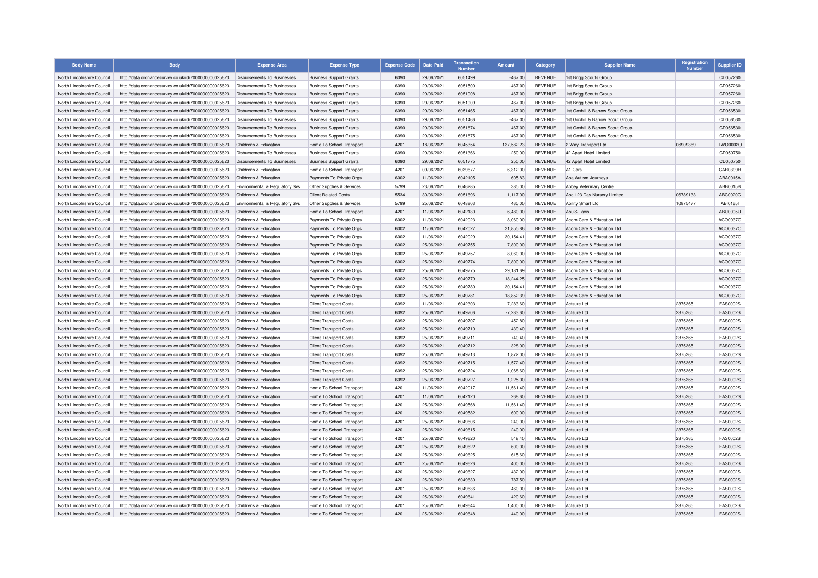| <b>Body Name</b>                                         | <b>Body</b>                                                                                                  | <b>Expense Area</b>                            | <b>Expense Type</b>                                            | <b>Expense Code</b> | <b>Date Paid</b>         | <b>Transaction</b><br>Number | <b>Amount</b>           | Category                         | <b>Supplier Name</b>                     | Registration<br><b>Number</b> | <b>Supplier ID</b> |
|----------------------------------------------------------|--------------------------------------------------------------------------------------------------------------|------------------------------------------------|----------------------------------------------------------------|---------------------|--------------------------|------------------------------|-------------------------|----------------------------------|------------------------------------------|-------------------------------|--------------------|
| North Lincolnshire Council                               | http://data.ordnancesurvey.co.uk/id/7000000000025623                                                         | Disbursements To Businesses                    | <b>Business Support Grants</b>                                 | 6090                | 29/06/2021               | 6051499                      | $-467.00$               | <b>REVENUE</b>                   | 1st Brigg Scouts Group                   |                               | CD057260           |
| North Lincolnshire Council                               | http://data.ordnancesurvey.co.uk/id/7000000000025623                                                         | Disbursements To Businesses                    | <b>Business Support Grants</b>                                 | 6090                | 29/06/2021               | 6051500                      | $-467.00$               | <b>REVENUE</b>                   | 1st Brigg Scouts Group                   |                               | CD057260           |
| North Lincolnshire Council                               | http://data.ordnancesurvey.co.uk/id/7000000000025623                                                         | Disbursements To Businesses                    | <b>Business Support Grants</b>                                 | 6090                | 29/06/2021               | 6051908                      | 467.00                  | <b>REVENUE</b>                   | 1st Brigg Scouts Group                   |                               | CD057260           |
| North Lincolnshire Council                               | http://data.ordnancesurvey.co.uk/id/7000000000025623                                                         | Disbursements To Businesses                    | <b>Business Support Grants</b>                                 | 6090                | 29/06/2021               | 6051909                      | 467.00                  | <b>REVENUE</b>                   | 1st Brigg Scouts Group                   |                               | CD057260           |
| North Lincolnshire Council                               | http://data.ordnancesurvey.co.uk/id/7000000000025623                                                         | <b>Disbursements To Businesses</b>             | <b>Business Support Grants</b>                                 | 6090                | 29/06/2021               | 6051465                      | $-467.00$               | <b>REVENUE</b>                   | 1st Goxhill & Barrow Scout Group         |                               | CD056530           |
| North Lincolnshire Council                               | http://data.ordnancesurvey.co.uk/id/7000000000025623                                                         | Disbursements To Businesses                    | <b>Business Support Grants</b>                                 | 6090                | 29/06/2021               | 6051466                      | $-467.00$               | <b>REVENUE</b>                   | 1st Goxhill & Barrow Scout Group         |                               | CD056530           |
| North Lincolnshire Council                               | http://data.ordnancesurvey.co.uk/id/7000000000025623                                                         | Disbursements To Businesses                    | <b>Business Support Grants</b>                                 | 6090                | 29/06/2021               | 6051874                      | 467.00                  | <b>REVENUE</b>                   | 1st Goxhill & Barrow Scout Group         |                               | CD056530           |
| North Lincolnshire Council                               | http://data.ordnancesurvey.co.uk/id/7000000000025623                                                         | Disbursements To Businesses                    | <b>Business Support Grants</b>                                 | 6090                | 29/06/2021               | 6051875                      | 467.00                  | <b>REVENUE</b>                   | 1st Goxhill & Barrow Scout Group         |                               | CD056530           |
| North Lincolnshire Council                               | http://data.ordnancesurvey.co.uk/id/7000000000025623                                                         | Childrens & Education                          | Home To School Transport                                       | 4201                | 18/06/2021               | 6045354                      | 137,582.23              | <b>REVENUE</b>                   | 2 Way Transport Ltd                      | 06909369                      | TWO0002O           |
| North Lincolnshire Council                               | http://data.ordnancesurvey.co.uk/id/7000000000025623                                                         | Disbursements To Businesses                    | <b>Business Support Grants</b>                                 | 6090                | 29/06/2021               | 6051366                      | $-250.00$               | <b>REVENUE</b>                   | 42 Apart Hotel Limited                   |                               | CD050750           |
| North Lincolnshire Council                               | http://data.ordnancesurvey.co.uk/id/7000000000025623                                                         | <b>Disbursements To Businesses</b>             | <b>Business Support Grants</b>                                 | 6090                | 29/06/2021               | 6051775                      | 250.00                  | <b>REVENUE</b>                   | 42 Apart Hotel Limited                   |                               | CD050750           |
| North Lincolnshire Council                               | http://data.ordnancesurvey.co.uk/id/7000000000025623                                                         | Childrens & Education                          | Home To School Transport                                       | 4201                | 09/06/2021               | 6039677                      | 6.312.00                | <b>REVENUE</b>                   | A1 Cars                                  |                               | CAR0399R           |
| North Lincolnshire Council                               | http://data.ordnancesurvey.co.uk/id/7000000000025623                                                         | Childrens & Education                          | Payments To Private Orgs                                       | 6002                | 11/06/2021               | 6042105                      | 605.83                  | <b>REVENUE</b>                   | Aba Autism Journeys                      |                               | ABA0015A           |
| North Lincolnshire Council                               | http://data.ordnancesurvey.co.uk/id/7000000000025623                                                         | Environmental & Regulatory Svs                 | Other Supplies & Services                                      | 5799                | 23/06/2021               | 6046285                      | 385.00                  | <b>REVENUE</b>                   | Abbey Veterinary Centre                  |                               | ABB0015B           |
| North Lincolnshire Council                               | http://data.ordnancesurvey.co.uk/id/7000000000025623                                                         | Childrens & Education                          | <b>Client Related Costs</b>                                    | 5534                | 30/06/2021               | 6051696                      | 1,117.00                | <b>REVENUE</b>                   | Abc 123 Day Nursery Limited              | 06789133                      | ABC0020C           |
| North Lincolnshire Council                               | http://data.ordnancesurvey.co.uk/id/7000000000025623                                                         | Environmental & Regulatory Svs                 | Other Supplies & Services                                      | 5799                | 25/06/2021               | 6048803                      | 465.00                  | <b>REVENUE</b>                   | Ability Smart Ltd                        | 10875477                      | ABI0165I           |
| North Lincolnshire Council                               | http://data.ordnancesurvey.co.uk/id/7000000000025623                                                         | Childrens & Education                          | Home To School Transport                                       | 4201                | 11/06/2021               | 6042130                      | 6,480.00                | <b>REVENUE</b>                   | Abu'S Taxis                              |                               | <b>ABU0005L</b>    |
| North Lincolnshire Council                               | http://data.ordnancesurvey.co.uk/id/7000000000025623                                                         | Childrens & Education                          | Payments To Private Orgs                                       | 6002                | 11/06/2021               | 6042023                      | 8,060.00                | <b>REVENUE</b>                   | Acorn Care & Education Ltd               |                               | ACO0037O           |
| North Lincolnshire Council                               | http://data.ordnancesurvey.co.uk/id/7000000000025623                                                         | Childrens & Education                          | Payments To Private Orgs                                       | 6002                | 11/06/2021               | 6042027                      | 31,855.86               | <b>REVENUE</b>                   | Acorn Care & Education Ltd               |                               | ACO0037O           |
| North Lincolnshire Council                               | http://data.ordnancesurvey.co.uk/id/7000000000025623                                                         | Childrens & Education                          | Payments To Private Orgs                                       | 6002                | 11/06/2021               | 6042029                      | 30,154.41               | <b>REVENUE</b>                   | Acorn Care & Education Ltd               |                               | ACO0037O           |
| North Lincolnshire Council                               | http://data.ordnancesurvey.co.uk/id/7000000000025623                                                         | Childrens & Education                          | Payments To Private Orgs                                       | 6002                | 25/06/2021               | 6049755                      | 7,800.00                | <b>REVENUE</b>                   | Acorn Care & Education Ltd               |                               | ACO0037O           |
| North Lincolnshire Council                               | http://data.ordnancesurvey.co.uk/id/7000000000025623                                                         | Childrens & Education                          | Payments To Private Orgs                                       | 6002                | 25/06/2021               | 6049757                      | 8,060.00                | <b>REVENUE</b>                   | Acorn Care & Education Ltd               |                               | ACO0037O           |
| North Lincolnshire Council                               | http://data.ordnancesurvey.co.uk/id/7000000000025623                                                         | Childrens & Education                          | Payments To Private Orgs                                       | 6002                | 25/06/2021               | 6049774                      | 7,800.00                | <b>REVENUE</b>                   | Acorn Care & Education Ltd               |                               | ACO0037O           |
| North Lincolnshire Council                               | http://data.ordnancesurvey.co.uk/id/7000000000025623                                                         | Childrens & Education                          | Payments To Private Orgs                                       | 6002                | 25/06/2021               | 6049775                      | 29,181.69               | <b>REVENUE</b>                   | Acorn Care & Education Ltd               |                               | ACO0037O           |
| North Lincolnshire Council                               | http://data.ordnancesurvey.co.uk/id/7000000000025623                                                         | Childrens & Education                          | Payments To Private Orgs                                       | 6002                | 25/06/2021               | 6049779                      | 18,244.25               | <b>REVENUE</b>                   | Acorn Care & Education Ltd               |                               | ACO0037O           |
| North Lincolnshire Council                               | http://data.ordnancesurvey.co.uk/id/7000000000025623                                                         | Childrens & Education                          | Payments To Private Orgs                                       | 6002                | 25/06/2021               | 6049780                      | 30,154.41               | <b>REVENUE</b>                   | Acorn Care & Education Ltd               |                               | ACO0037O           |
| North Lincolnshire Council                               | http://data.ordnancesurvey.co.uk/id/7000000000025623                                                         | Childrens & Education                          | Payments To Private Orgs                                       | 6002                | 25/06/2021               | 6049781                      | 18,852.39               | <b>REVENUE</b>                   | Acorn Care & Education Ltd               |                               | ACO0037O           |
|                                                          |                                                                                                              |                                                |                                                                |                     |                          |                              |                         |                                  |                                          |                               | FAS0002S           |
| North Lincolnshire Council<br>North Lincolnshire Council | http://data.ordnancesurvey.co.uk/id/7000000000025623<br>http://data.ordnancesurvey.co.uk/id/7000000000025623 | Childrens & Education<br>Childrens & Education | <b>Client Transport Costs</b><br><b>Client Transport Costs</b> | 6092<br>6092        | 11/06/2021<br>25/06/2021 | 6042303<br>6049706           | 7,283.60<br>$-7,283.60$ | <b>REVENUE</b><br><b>REVENUE</b> | <b>Actsure Ltd</b><br><b>Actsure Ltd</b> | 2375365<br>2375365            | <b>FAS0002S</b>    |
|                                                          |                                                                                                              |                                                |                                                                |                     |                          |                              |                         |                                  |                                          |                               |                    |
| North Lincolnshire Council                               | http://data.ordnancesurvey.co.uk/id/7000000000025623                                                         | Childrens & Education                          | <b>Client Transport Costs</b>                                  | 6092                | 25/06/2021               | 6049707                      | 452.80                  | <b>REVENUE</b>                   | <b>Actsure Ltd</b>                       | 2375365                       | <b>FAS0002S</b>    |
| North Lincolnshire Council                               | http://data.ordnancesurvey.co.uk/id/7000000000025623                                                         | Childrens & Education                          | <b>Client Transport Costs</b>                                  | 6092                | 25/06/2021               | 6049710                      | 439.40                  | <b>REVENUE</b>                   | <b>Actsure Ltd</b>                       | 2375365                       | <b>FAS0002S</b>    |
| North Lincolnshire Council                               | http://data.ordnancesurvey.co.uk/id/7000000000025623                                                         | Childrens & Education                          | <b>Client Transport Costs</b>                                  | 6092                | 25/06/2021               | 6049711                      | 740.40                  | REVENUE                          | Actsure Ltc                              | 2375365                       | FAS0002S           |
| North Lincolnshire Council                               | http://data.ordnancesurvey.co.uk/id/7000000000025623                                                         | Childrens & Education                          | <b>Client Transport Costs</b>                                  | 6092                | 25/06/2021               | 6049712                      | 328.00                  | <b>REVENUE</b>                   | <b>Actsure Ltd</b>                       | 2375365                       | FAS0002S           |
| North Lincolnshire Council                               | http://data.ordnancesurvey.co.uk/id/7000000000025623                                                         | Childrens & Education                          | <b>Client Transport Costs</b>                                  | 6092                | 25/06/2021               | 6049713                      | 1,872.00                | <b>REVENUE</b>                   | <b>Actsure Ltd</b>                       | 2375365                       | FAS0002S           |
| North Lincolnshire Council                               | http://data.ordnancesurvey.co.uk/id/7000000000025623                                                         | Childrens & Education                          | <b>Client Transport Costs</b>                                  | 6092                | 25/06/2021               | 6049715                      | 1,572.40                | <b>REVENUE</b>                   | Actsure Ltd                              | 2375365                       | FAS0002S           |
| North Lincolnshire Council                               | http://data.ordnancesurvey.co.uk/id/7000000000025623                                                         | Childrens & Education                          | <b>Client Transport Costs</b>                                  | 6092                | 25/06/2021               | 6049724                      | 1,068.60                | <b>REVENUE</b>                   | <b>Actsure Ltd</b>                       | 2375365                       | FAS0002S           |
| North Lincolnshire Council                               | http://data.ordnancesurvey.co.uk/id/7000000000025623                                                         | Childrens & Education                          | <b>Client Transport Costs</b>                                  | 6092                | 25/06/2021               | 6049727                      | 1,225.00                | <b>REVENUE</b>                   | Actsure Ltd                              | 2375365                       | <b>FAS0002S</b>    |
| North Lincolnshire Council                               | http://data.ordnancesurvey.co.uk/id/7000000000025623                                                         | Childrens & Education                          | Home To School Transport                                       | 4201                | 11/06/2021               | 6042017                      | 11,561.40               | <b>REVENUE</b>                   | Actsure Ltd                              | 2375365                       | FAS0002S           |
| North Lincolnshire Council                               | http://data.ordnancesurvey.co.uk/id/7000000000025623                                                         | Childrens & Education                          | Home To School Transport                                       | 4201                | 11/06/2021               | 6042120                      | 268.60                  | <b>REVENUE</b>                   | Actsure Ltd                              | 2375365                       | FAS0002S           |
| North Lincolnshire Council                               | http://data.ordnancesurvey.co.uk/id/7000000000025623                                                         | Childrens & Education                          | Home To School Transport                                       | 4201                | 25/06/2021               | 6049568                      | $-11,561.40$            | <b>REVENUE</b>                   | Actsure Ltd                              | 2375365                       | <b>FAS0002S</b>    |
| North Lincolnshire Council                               | http://data.ordnancesurvey.co.uk/id/7000000000025623                                                         | Childrens & Education                          | Home To School Transport                                       | 4201                | 25/06/2021               | 6049582                      | 600.00                  | <b>REVENUE</b>                   | <b>Actsure Ltd</b>                       | 2375365                       | FAS0002S           |
| North Lincolnshire Council                               | http://data.ordnancesurvey.co.uk/id/7000000000025623                                                         | Childrens & Education                          | Home To School Transport                                       | 4201                | 25/06/2021               | 6049606                      | 240.00                  | <b>REVENUE</b>                   | Actsure Ltd                              | 2375365                       | <b>FAS0002S</b>    |
| North Lincolnshire Council                               | http://data.ordnancesurvey.co.uk/id/7000000000025623                                                         | Childrens & Education                          | Home To School Transport                                       | 4201                | 25/06/2021               | 6049615                      | 240.00                  | REVENUE                          | <b>Actsure Ltd</b>                       | 2375365                       | FAS0002S           |
| North Lincolnshire Council                               | http://data.ordnancesurvey.co.uk/id/7000000000025623                                                         | Childrens & Education                          | Home To School Transport                                       | 4201                | 25/06/2021               | 6049620                      | 548.40                  | <b>REVENUE</b>                   | <b>Actsure Ltd</b>                       | 2375365                       | FAS0002S           |
| North Lincolnshire Council                               | http://data.ordnancesurvey.co.uk/id/7000000000025623                                                         | Childrens & Education                          | Home To School Transport                                       | 4201                | 25/06/2021               | 6049622                      | 600.00                  | <b>REVENUE</b>                   | Actsure Ltd                              | 2375365                       | FAS0002S           |
| North Lincolnshire Council                               | http://data.ordnancesurvey.co.uk/id/7000000000025623                                                         | Childrens & Education                          | Home To School Transport                                       | 4201                | 25/06/2021               | 6049625                      | 615.60                  | <b>REVENUE</b>                   | Actsure Ltd                              | 2375365                       | FAS0002S           |
| North Lincolnshire Council                               | http://data.ordnancesurvey.co.uk/id/7000000000025623                                                         | Childrens & Education                          | Home To School Transport                                       | 4201                | 25/06/2021               | 6049626                      | 400.00                  | <b>REVENUE</b>                   | <b>Actsure Ltd</b>                       | 2375365                       | FAS0002S           |
| North Lincolnshire Council                               | http://data.ordnancesurvey.co.uk/id/7000000000025623                                                         | Childrens & Education                          | Home To School Transport                                       | 4201                | 25/06/2021               | 6049627                      | 432.00                  | <b>REVENUE</b>                   | Actsure Ltd                              | 2375365                       | FAS0002S           |
| North Lincolnshire Council                               | http://data.ordnancesurvey.co.uk/id/7000000000025623                                                         | Childrens & Education                          | Home To School Transport                                       | 4201                | 25/06/2021               | 6049630                      | 787.50                  | <b>REVENUE</b>                   | Actsure Ltd                              | 2375365                       | <b>FAS0002S</b>    |
| North Lincolnshire Council                               | http://data.ordnancesurvey.co.uk/id/7000000000025623                                                         | Childrens & Education                          | Home To School Transport                                       | 4201                | 25/06/2021               | 6049636                      | 460.00                  | <b>REVENUE</b>                   | <b>Actsure Ltd</b>                       | 2375365                       | <b>FAS0002S</b>    |
| North Lincolnshire Council                               | http://data.ordnancesurvey.co.uk/id/7000000000025623                                                         | Childrens & Education                          | Home To School Transport                                       | 4201                | 25/06/2021               | 604964                       | 420.60                  | <b>REVENUE</b>                   | <b>Actsure Ltd</b>                       | 2375365                       | FAS0002S           |
| North Lincolnshire Council                               | http://data.ordnancesurvey.co.uk/id/7000000000025623                                                         | Childrens & Education                          | Home To School Transport                                       | 4201                | 25/06/2021               | 6049644                      | 1,400.00                | REVENUE                          | Actsure I to                             | 2375365                       | FAS0002S           |
| North Lincolnshire Council                               | http://data.ordnancesurvey.co.uk/id/7000000000025623                                                         | Childrens & Education                          | Home To School Transport                                       | 4201                | 25/06/2021               | 6049648                      | 440.00                  | <b>REVENUE</b>                   | Actsure I to                             | 2375365                       | <b>FAS0002S</b>    |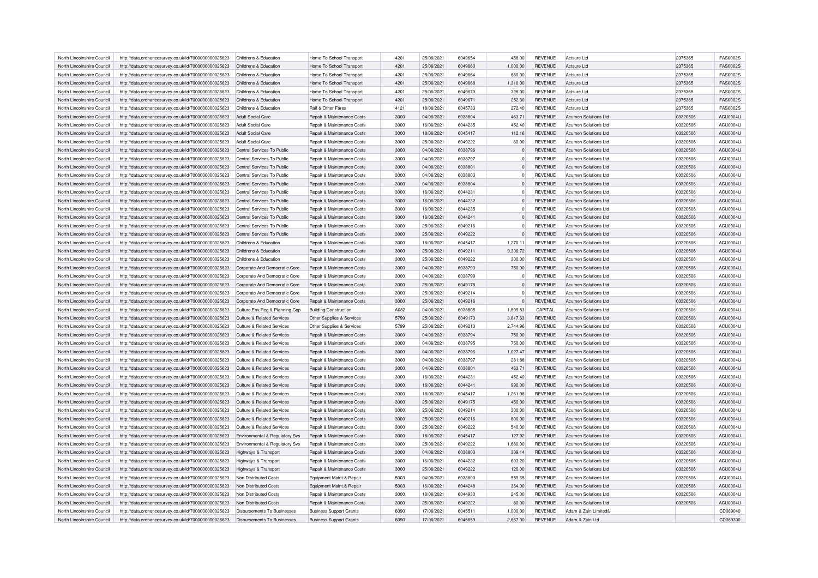| North Lincolnshire Council | http://data.ordnancesurvey.co.uk/id/7000000000025623 | Childrens & Education                     | Home To School Transport              | 4201 | 25/06/2021 | 6049654 | 458.00   | <b>REVENUE</b> | <b>Actsure Ltd</b>          | 2375365  | <b>FAS0002S</b> |
|----------------------------|------------------------------------------------------|-------------------------------------------|---------------------------------------|------|------------|---------|----------|----------------|-----------------------------|----------|-----------------|
| North Lincolnshire Council | http://data.ordnancesurvey.co.uk/id/7000000000025623 | Childrens & Education                     | Home To School Transport              | 4201 | 25/06/2021 | 6049660 | 1,000.00 | <b>REVENUE</b> | Actsure Ltd                 | 2375365  | <b>FAS0002S</b> |
| North Lincolnshire Council |                                                      | Childrens & Education                     |                                       | 4201 | 25/06/2021 | 6049664 | 680.00   | <b>REVENUE</b> | Actsure I to                | 2375365  | <b>FAS0002S</b> |
|                            | http://data.ordnancesurvey.co.uk/id/7000000000025623 |                                           | Home To School Transport              |      |            |         |          |                |                             |          |                 |
| North Lincolnshire Council | http://data.ordnancesurvey.co.uk/id/7000000000025623 | Childrens & Education                     | Home To School Transport              | 4201 | 25/06/2021 | 6049668 | 1,310.00 | <b>REVENUE</b> | <b>Actsure Ltd</b>          | 2375365  | <b>FAS0002S</b> |
| North Lincolnshire Council | http://data.ordnancesurvey.co.uk/id/7000000000025623 | Childrens & Education                     | Home To School Transport              | 4201 | 25/06/2021 | 6049670 | 328.00   | <b>REVENUE</b> | <b>Actsure Ltd</b>          | 2375365  | <b>FAS0002S</b> |
| North Lincolnshire Council | http://data.ordnancesurvey.co.uk/id/7000000000025623 | Childrens & Education                     | Home To School Transport              | 4201 | 25/06/2021 | 6049671 | 252.30   | <b>REVENUE</b> | Actsure I to                | 2375365  | <b>FAS0002S</b> |
| North Lincolnshire Council | http://data.ordnancesurvey.co.uk/id/7000000000025623 | Childrens & Education                     | Rail & Other Fares                    | 4121 | 18/06/2021 | 6045733 | 272.40   | <b>REVENUE</b> | <b>Actsure Ltd</b>          | 2375365  | <b>FAS0002S</b> |
| North Lincolnshire Council | http://data.ordnancesurvey.co.uk/id/7000000000025623 | Adult Social Care                         | Repair & Maintenance Costs            | 3000 | 04/06/2021 | 6038804 | 463.71   | <b>REVENUE</b> | Acumen Solutions Ltd        | 03320506 | <b>ACU0004U</b> |
| North Lincolnshire Council | http://data.ordnancesurvey.co.uk/id/7000000000025623 | Adult Social Care                         | Repair & Maintenance Costs            | 3000 | 16/06/2021 | 6044235 | 452.40   | <b>REVENUE</b> | <b>Acumen Solutions Ltd</b> | 03320506 | ACU0004U        |
| North Lincolnshire Council | http://data.ordnancesurvey.co.uk/id/7000000000025623 | Adult Social Care                         | Repair & Maintenance Costs            | 3000 | 18/06/2021 | 6045417 | 112.16   | <b>REVENUE</b> | <b>Acumen Solutions Ltd</b> | 03320506 | ACU0004U        |
| North Lincolnshire Council | http://data.ordnancesurvey.co.uk/id/7000000000025623 | Adult Social Care                         | Repair & Maintenance Costs            | 3000 | 25/06/2021 | 6049222 | 60.00    | <b>REVENUE</b> | <b>Acumen Solutions Ltd</b> | 03320506 | <b>ACU0004U</b> |
| North Lincolnshire Council | http://data.ordnancesurvey.co.uk/id/7000000000025623 | Central Services To Public                | Repair & Maintenance Costs            | 3000 | 04/06/2021 | 6038796 |          | <b>REVENUE</b> | <b>Acumen Solutions Ltd</b> | 03320506 | <b>ACU0004U</b> |
| North Lincolnshire Council | http://data.ordnancesurvey.co.uk/id/7000000000025623 | Central Services To Public                | Repair & Maintenance Costs            | 3000 | 04/06/2021 | 6038797 | n        | <b>REVENUE</b> | <b>Acumen Solutions Ltd</b> | 03320506 | ACU0004U        |
| North Lincolnshire Council | http://data.ordnancesurvey.co.uk/id/7000000000025623 | Central Services To Public                | Repair & Maintenance Costs            | 3000 | 04/06/2021 | 6038801 | $\Omega$ | <b>REVENUE</b> | <b>Acumen Solutions Ltd</b> | 03320506 | <b>ACU0004U</b> |
|                            |                                                      |                                           |                                       |      |            |         |          |                |                             |          |                 |
| North Lincolnshire Council | http://data.ordnancesurvey.co.uk/id/7000000000025623 | Central Services To Public                | Repair & Maintenance Costs            | 3000 | 04/06/2021 | 6038803 |          | <b>REVENUE</b> | <b>Acumen Solutions Ltd</b> | 03320506 | ACU0004U        |
| North Lincolnshire Council | http://data.ordnancesurvey.co.uk/id/7000000000025623 | Central Services To Public                | Repair & Maintenance Costs            | 3000 | 04/06/2021 | 6038804 |          | <b>REVENUE</b> | <b>Acumen Solutions Ltd</b> | 03320506 | ACU0004U        |
| North Lincolnshire Council | http://data.ordnancesurvey.co.uk/id/7000000000025623 | Central Services To Public                | <b>Benair &amp; Maintenance Costs</b> | 3000 | 16/06/2021 | 6044231 | $\Omega$ | <b>REVENUE</b> | Acumen Solutions Ltd        | 03320506 | <b>ACU0004U</b> |
| North Lincolnshire Council | http://data.ordnancesurvey.co.uk/id/7000000000025623 | Central Services To Public                | Repair & Maintenance Costs            | 3000 | 16/06/2021 | 6044232 |          | <b>REVENUE</b> | <b>Acumen Solutions Ltd</b> | 03320506 | <b>ACU0004U</b> |
| North Lincolnshire Council | http://data.ordnancesurvey.co.uk/id/7000000000025623 | Central Services To Public                | Repair & Maintenance Costs            | 3000 | 16/06/2021 | 6044235 |          | <b>REVENUE</b> | Acumen Solutions Ltd        | 03320506 | ACU0004U        |
| North Lincolnshire Council | http://data.ordnancesurvey.co.uk/id/7000000000025623 | Central Services To Public                | <b>Benair &amp; Maintenance Costs</b> | 3000 | 16/06/2021 | 6044241 | $\Omega$ | <b>REVENUE</b> | <b>Acumen Solutions Ltd</b> | 03320506 | ACU0004U        |
| North Lincolnshire Council | http://data.ordnancesurvey.co.uk/id/7000000000025623 | Central Services To Public                | Repair & Maintenance Costs            | 3000 | 25/06/2021 | 6049216 | $\Omega$ | <b>REVENUE</b> | <b>Acumen Solutions Ltd</b> | 03320506 | <b>ACU0004U</b> |
| North Lincolnshire Council | http://data.ordnancesurvey.co.uk/id/7000000000025623 | Central Services To Public                | Repair & Maintenance Costs            | 3000 | 25/06/2021 | 6049222 |          | <b>REVENUE</b> | <b>Acumen Solutions Ltd</b> | 03320506 | <b>ACU0004U</b> |
| North Lincolnshire Council | http://data.ordnancesurvey.co.uk/id/7000000000025623 | Childrens & Education                     | Repair & Maintenance Costs            | 3000 | 18/06/2021 | 6045417 | 1.270.11 | <b>REVENUE</b> | <b>Acumen Solutions Ltd</b> | 03320506 | ACU0004U        |
| North Lincolnshire Council | http://data.ordnancesurvey.co.uk/id/7000000000025623 | Childrens & Education                     | Repair & Maintenance Costs            | 3000 | 25/06/2021 | 6049211 | 9,306.72 | <b>REVENUE</b> | <b>Acumen Solutions Ltd</b> | 03320506 | <b>ACU0004U</b> |
| North Lincolnshire Council | http://data.ordnancesurvey.co.uk/id/7000000000025623 | Childrens & Education                     | Repair & Maintenance Costs            | 3000 | 25/06/2021 | 6049222 | 300.00   | <b>REVENUE</b> | <b>Acumen Solutions Ltd</b> | 03320506 | ACU0004U        |
| North Lincolnshire Council |                                                      | Corporate And Democratic Core             | <b>Benair &amp; Maintenance Costs</b> | 3000 | 04/06/2021 | 6038793 | 750.00   | <b>REVENUE</b> | <b>Acumen Solutions Ltd</b> | 03320506 | ACU0004U        |
|                            | http://data.ordnancesurvey.co.uk/id/7000000000025623 |                                           |                                       |      |            |         |          |                |                             |          |                 |
| North Lincolnshire Council | http://data.ordnancesurvey.co.uk/id/7000000000025623 | Corporate And Democratic Core             | Repair & Maintenance Costs            | 3000 | 04/06/2021 | 6038799 | $\Omega$ | <b>REVENUE</b> | <b>Acumen Solutions Ltd</b> | 03320506 | ACU0004U        |
| North Lincolnshire Council | http://data.ordnancesurvey.co.uk/id/7000000000025623 | Corporate And Democratic Core             | Repair & Maintenance Costs            | 3000 | 25/06/2021 | 6049175 |          | <b>REVENUE</b> | <b>Acumen Solutions Ltd</b> | 03320506 | <b>ACU0004U</b> |
| North Lincolnshire Council | http://data.ordnancesurvey.co.uk/id/7000000000025623 | Corporate And Democratic Core             | <b>Benair &amp; Maintenance Costs</b> | 3000 | 25/06/2021 | 6049214 | $\Omega$ | <b>REVENUE</b> | <b>Acumen Solutions Ltd</b> | 03320506 | ACU0004U        |
| North Lincolnshire Council | http://data.ordnancesurvey.co.uk/id/7000000000025623 | Corporate And Democratic Core             | Repair & Maintenance Costs            | 3000 | 25/06/2021 | 6049216 |          | <b>REVENUE</b> | <b>Acumen Solutions Ltd</b> | 03320506 | ACU0004U        |
| North Lincolnshire Council | http://data.ordnancesurvey.co.uk/id/7000000000025623 | Culture, Env, Reg & Planning Cap          | <b>Building/Construction</b>          | A082 | 04/06/2021 | 6038805 | 1,699.83 | CAPITAL        | <b>Acumen Solutions Ltd</b> | 03320506 | ACU0004U        |
| North Lincolnshire Council | http://data.ordnancesurvey.co.uk/id/7000000000025623 | Culture & Related Services                | Other Supplies & Services             | 5799 | 25/06/2021 | 6049173 | 3.817.63 | <b>REVENUE</b> | <b>Acumen Solutions Ltd</b> | 03320506 | ACU0004U        |
| North Lincolnshire Council | http://data.ordnancesurvey.co.uk/id/7000000000025623 | Culture & Related Services                | Other Supplies & Services             | 5799 | 25/06/2021 | 6049213 | 2,744.96 | <b>REVENUE</b> | <b>Acumen Solutions Ltd</b> | 03320506 | ACU0004U        |
| North Lincolnshire Council | http://data.ordnancesurvey.co.uk/id/7000000000025623 | Culture & Related Services                | Repair & Maintenance Costs            | 3000 | 04/06/2021 | 6038794 | 750.00   | <b>REVENUE</b> | <b>Acumen Solutions Ltd</b> | 03320506 | <b>ACU0004U</b> |
| North Lincolnshire Council | http://data.ordnancesurvey.co.uk/id/7000000000025623 | <b>Culture &amp; Related Services</b>     | Repair & Maintenance Costs            | 3000 | 04/06/2021 | 6038795 | 750.00   | <b>REVENUE</b> | <b>Acumen Solutions Ltd</b> | 03320506 | ACU0004U        |
| North Lincolnshire Council | http://data.ordnancesurvey.co.uk/id/7000000000025623 | Culture & Related Services                | Repair & Maintenance Costs            | 3000 | 04/06/2021 | 6038796 | 1,027.47 | <b>REVENUE</b> | Acumen Solutions Ltd        | 03320506 | ACU0004U        |
| North Lincolnshire Council | http://data.ordnancesurvey.co.uk/id/7000000000025623 | <b>Culture &amp; Related Services</b>     | Repair & Maintenance Costs            | 3000 | 04/06/2021 | 6038797 | 281.88   | <b>REVENUE</b> | <b>Acumen Solutions Ltd</b> | 03320506 | ACU0004U        |
| North Lincolnshire Council |                                                      | Culture & Related Services                | Repair & Maintenance Costs            | 3000 | 04/06/2021 | 6038801 | 463.71   | <b>REVENUE</b> | <b>Acumen Solutions Ltd</b> | 03320506 | <b>ACU0004U</b> |
|                            | http://data.ordnancesurvey.co.uk/id/7000000000025623 |                                           |                                       | 3000 |            | 6044231 |          |                |                             |          |                 |
| North Lincolnshire Council | http://data.ordnancesurvey.co.uk/id/7000000000025623 | Culture & Related Services                | Repair & Maintenance Costs            |      | 16/06/2021 |         | 452.40   | <b>REVENUE</b> | <b>Acumen Solutions Ltd</b> | 03320506 | <b>ACU0004U</b> |
| North Lincolnshire Council | http://data.ordnancesurvey.co.uk/id/7000000000025623 | Culture & Related Services                | Repair & Maintenance Costs            | 3000 | 16/06/2021 | 6044241 | 990.00   | <b>REVENUE</b> | <b>Acumen Solutions Ltd</b> | 03320506 | <b>ACU0004U</b> |
| North Lincolnshire Council | http://data.ordnancesurvey.co.uk/id/7000000000025623 | Culture & Related Services                | Repair & Maintenance Costs            | 3000 | 18/06/2021 | 6045417 | 1,261.98 | <b>REVENUE</b> | <b>Acumen Solutions Ltd</b> | 03320506 | <b>ACU0004U</b> |
| North Lincolnshire Council | http://data.ordnancesurvey.co.uk/id/7000000000025623 | Culture & Related Services                | Repair & Maintenance Costs            | 3000 | 25/06/2021 | 6049175 | 450.00   | <b>REVENUE</b> | Acumen Solutions Ltd        | 03320506 | ACU0004U        |
| North Lincolnshire Council | http://data.ordnancesurvey.co.uk/id/7000000000025623 | Culture & Related Services                | Repair & Maintenance Costs            | 3000 | 25/06/2021 | 6049214 | 300.00   | <b>REVENUE</b> | <b>Acumen Solutions Ltd</b> | 03320506 | <b>ACU0004U</b> |
| North Lincolnshire Council | http://data.ordnancesurvey.co.uk/id/7000000000025623 | Culture & Related Services                | Repair & Maintenance Costs            | 3000 | 25/06/2021 | 6049216 | 600.00   | <b>REVENUE</b> | <b>Acumen Solutions Ltd</b> | 03320506 | <b>ACU0004U</b> |
| North Lincolnshire Council | http://data.ordnancesurvey.co.uk/id/7000000000025623 | Culture & Related Services                | Repair & Maintenance Costs            | 3000 | 25/06/2021 | 6049222 | 540.00   | <b>REVENUE</b> | Acumen Solutions Ltd        | 03320506 | ACU0004U        |
| North Lincolnshire Council | http://data.ordnancesurvey.co.uk/id/7000000000025623 | <b>Environmental &amp; Regulatory Svs</b> | Repair & Maintenance Costs            | 3000 | 18/06/2021 | 6045417 | 127.92   | <b>REVENUE</b> | <b>Acumen Solutions Ltd</b> | 03320506 | <b>ACU0004U</b> |
| North Lincolnshire Council | http://data.ordnancesurvey.co.uk/id/7000000000025623 | Environmental & Regulatory Svs            | Repair & Maintenance Costs            | 3000 | 25/06/2021 | 6049222 | 1,680.00 | <b>REVENUE</b> | Acumen Solutions Ltd        | 03320506 | <b>ACU0004U</b> |
| North Lincolnshire Council | http://data.ordnancesurvey.co.uk/id/7000000000025623 | Highways & Transport                      | Repair & Maintenance Costs            | 3000 | 04/06/2021 | 6038803 | 309.14   | <b>REVENUE</b> | Acumen Solutions Ltd        | 03320506 | ACU0004U        |
| North Lincolnshire Council | http://data.ordnancesurvey.co.uk/id/7000000000025623 | Highways & Transport                      | Repair & Maintenance Costs            | 3000 | 16/06/2021 | 6044232 | 603.20   | <b>REVENUE</b> | <b>Acumen Solutions Ltd</b> | 03320506 | <b>ACU0004U</b> |
| North Lincolnshire Council | http://data.ordnancesurvey.co.uk/id/7000000000025623 | Highways & Transport                      | Repair & Maintenance Costs            | 3000 | 25/06/2021 | 6049222 | 120.00   | <b>REVENUE</b> | Acumen Solutions Ltd        | 03320506 | <b>ACU0004U</b> |
| North Lincolnshire Council | http://data.ordnancesurvey.co.uk/id/7000000000025623 | Non Distributed Costs                     | Equipment Maint.& Repair              | 5003 | 04/06/2021 | 6038800 | 559.65   | <b>REVENUE</b> | <b>Acumen Solutions Ltd</b> | 03320506 | ACU0004U        |
| North Lincolnshire Council | http://data.ordnancesurvey.co.uk/id/7000000000025623 | Non Distributed Costs                     | Equipment Maint.& Repair              | 5003 | 16/06/2021 | 6044248 | 364.00   | <b>REVENUE</b> | <b>Acumen Solutions Ltd</b> | 03320506 | ACU0004U        |
| North Lincolnshire Council |                                                      | Non Distributed Costs                     |                                       | 3000 | 18/06/2021 | 6044930 | 245.00   | <b>REVENUE</b> | <b>Acumen Solutions Ltd</b> | 03320506 | <b>ACU0004U</b> |
|                            | http://data.ordnancesurvey.co.uk/id/7000000000025623 |                                           | Repair & Maintenance Costs            |      |            |         |          |                |                             |          |                 |
| North Lincolnshire Council | http://data.ordnancesurvey.co.uk/id/7000000000025623 | Non Distributed Costs                     | Repair & Maintenance Costs            | 3000 | 25/06/2021 | 6049222 | 60.00    | <b>REVENUE</b> | <b>Acumen Solutions Ltd</b> | 03320506 | <b>ACU0004U</b> |
| North Lincolnshire Council | http://data.ordnancesurvey.co.uk/id/7000000000025623 | Disbursements To Businesses               | <b>Business Support Grants</b>        | 6090 | 17/06/2021 | 6045511 | 1.000.00 | <b>REVENUE</b> | Adam & Zain Limitedâ        |          | CD069040        |
| North Lincolnshire Council | http://data.ordnancesurvey.co.uk/id/7000000000025623 | Disbursements To Businesses               | <b>Business Support Grants</b>        | 6090 | 17/06/2021 | 6045659 | 2.667.00 | <b>REVENUE</b> | Adam & Zain I td            |          | CD069300        |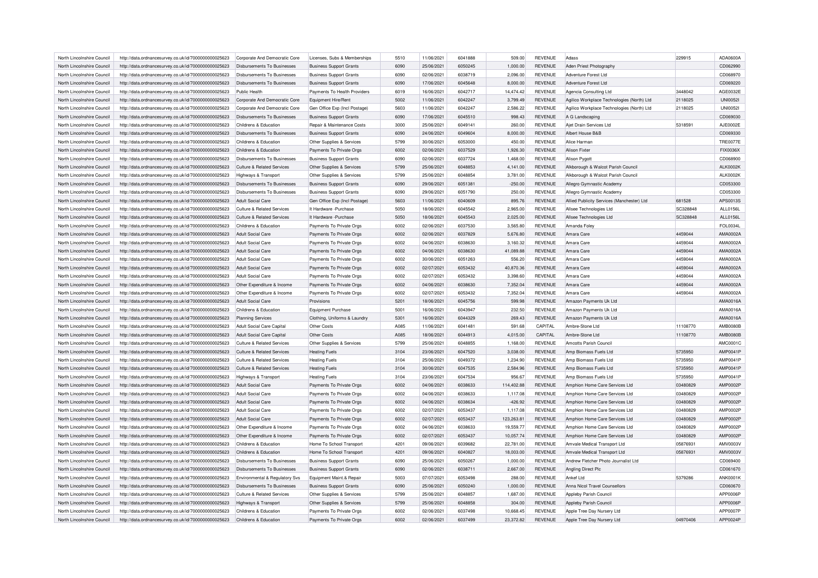| North Lincolnshire Council | http://data.ordnancesurvey.co.uk/id/7000000000025623 | Corporate And Democratic Core      | Licenses, Subs & Memberships   | 5510        | 11/06/2021 | 6041888 | 509.00     | <b>REVENUE</b> | Adass                                      | 229915   | ADA0600A        |
|----------------------------|------------------------------------------------------|------------------------------------|--------------------------------|-------------|------------|---------|------------|----------------|--------------------------------------------|----------|-----------------|
| North Lincolnshire Council | http://data.ordnancesurvey.co.uk/id/7000000000025623 | Disbursements To Businesses        | <b>Business Support Grants</b> | 6090        | 25/06/2021 | 6050245 | 1,000.00   | <b>REVENUE</b> | Aden Priest Photography                    |          | CD062990        |
| North Lincolnshire Council | http://data.ordnancesurvey.co.uk/id/7000000000025623 | Disbursements To Businesses        | <b>Business Support Grants</b> | 6090        | 02/06/2021 | 6038719 | 2.096.00   | <b>REVENUE</b> | Adventure Forest Ltd                       |          | CD068970        |
| North Lincolnshire Council | http://data.ordnancesurvey.co.uk/id/7000000000025623 | Disbursements To Businesses        | <b>Business Support Grants</b> | 6090        | 17/06/2021 | 6045648 | 8,000.00   | <b>REVENUE</b> | Adventure Forest Ltd                       |          | CD069220        |
| North Lincolnshire Council | http://data.ordnancesurvey.co.uk/id/7000000000025623 | Public Health                      | Payments To Health Providers   | 6019        | 16/06/2021 | 6042717 | 14,474.42  | <b>REVENUE</b> | Agencia Consulting Ltd                     | 3448042  | AGE0032E        |
| North Lincolnshire Council | http://data.ordnancesurvey.co.uk/id/7000000000025623 | Corporate And Democratic Core      | Equipment Hire/Rent            | 5002        | 11/06/2021 | 6042247 | 3,799.49   | <b>REVENUE</b> | Agilico Workplace Technologies (North) Ltd | 2118025  | <b>UNI00521</b> |
| North Lincolnshire Council | http://data.ordnancesurvey.co.uk/id/7000000000025623 | Corporate And Democratic Core      | Gen Office Exp (Incl Postage)  | 5603        | 11/06/2021 | 6042247 | 2,586.22   | <b>REVENUE</b> | Agilico Workplace Technologies (North) Ltd | 2118025  | <b>UNI0052I</b> |
| North Lincolnshire Council | http://data.ordnancesurvey.co.uk/id/7000000000025623 | Disbursements To Businesses        | <b>Business Support Grants</b> | 6090        | 17/06/2021 | 6045510 | 998.43     | <b>REVENUE</b> | A G Landscaping                            |          | CD069030        |
| North Lincolnshire Council | http://data.ordnancesurvey.co.uk/id/7000000000025623 | Childrens & Education              | Repair & Maintenance Costs     | 3000        | 25/06/2021 | 6049141 | 260.00     | <b>REVENUE</b> | Ajet Drain Services Ltd                    | 5318591  | AJE0002E        |
| North Lincolnshire Council | http://data.ordnancesurvey.co.uk/id/7000000000025623 | Disbursements To Businesses        | <b>Business Support Grants</b> | 6090        | 24/06/2021 | 6049604 | 8,000.00   | <b>REVENUE</b> | Albert House B&B                           |          | CD069330        |
| North Lincolnshire Council | http://data.ordnancesurvey.co.uk/id/7000000000025623 | Childrens & Education              | Other Supplies & Services      | 5799        | 30/06/2021 | 6053000 | 450.00     | <b>REVENUE</b> | Alice Harmar                               |          | <b>TRE0077E</b> |
| North Lincolnshire Council | http://data.ordnancesurvey.co.uk/id/7000000000025623 | Childrens & Education              | Payments To Private Orgs       | 6002        | 02/06/2021 | 6037529 | 1,926.30   | <b>REVENUE</b> | <b>Alison Fixter</b>                       |          | FIX0036X        |
| North Lincolnshire Council | http://data.ordnancesurvey.co.uk/id/7000000000025623 | Disbursements To Businesses        | <b>Business Support Grants</b> | 6090        | 02/06/2021 | 6037724 | 1,468.00   | <b>REVENUE</b> | <b>Alison Pygott</b>                       |          | CD068900        |
|                            |                                                      |                                    |                                | 5799        | 25/06/2021 | 6048853 |            |                |                                            |          | <b>ALK0002K</b> |
| North Lincolnshire Council | http://data.ordnancesurvey.co.uk/id/7000000000025623 | Culture & Related Services         | Other Supplies & Services      |             |            |         | 4,141.00   | <b>REVENUE</b> | Alkborough & Walcot Parish Council         |          |                 |
| North Lincolnshire Council | http://data.ordnancesurvey.co.uk/id/7000000000025623 | Highways & Transport               | Other Supplies & Services      | 5799        | 25/06/2021 | 6048854 | 3,781.00   | <b>REVENUE</b> | Alkborough & Walcot Parish Council         |          | <b>ALK0002K</b> |
| North Lincolnshire Council | http://data.ordnancesurvey.co.uk/id/7000000000025623 | Disbursements To Businesses        | <b>Business Support Grants</b> | 6090        | 29/06/2021 | 6051381 | $-250.00$  | REVENUE        | Allegro Gymnastic Academy                  |          | CD053300        |
| North Lincolnshire Council | http://data.ordnancesurvey.co.uk/id/7000000000025623 | Disbursements To Businesses        | <b>Business Support Grants</b> | 6090        | 29/06/2021 | 6051790 | 250.00     | <b>REVENUE</b> | Allegro Gymnastic Academy                  |          | CD053300        |
| North Lincolnshire Council | http://data.ordnancesurvey.co.uk/id/7000000000025623 | Adult Social Care                  | Gen Office Exp (Incl Postage)  | 5603        | 11/06/2021 | 6040609 | 895.76     | <b>REVENUE</b> | Allied Publicity Services (Manchester) Ltd | 681528   | APS0013S        |
| North Lincolnshire Council | http://data.ordnancesurvey.co.uk/id/7000000000025623 | Culture & Related Services         | It Hardware - Purchase         | 5050        | 18/06/2021 | 6045542 | 2,965.00   | <b>REVENUE</b> | Allsee Technologies Ltd                    | SC328848 | ALL0156L        |
| North Lincolnshire Council | http://data.ordnancesurvey.co.uk/id/7000000000025623 | Culture & Related Services         | It Hardware - Purchase         | 5050        | 18/06/2021 | 6045543 | 2,025.00   | <b>REVENUE</b> | Allsee Technologies Ltd                    | SC328848 | ALL0156L        |
| North Lincolnshire Council | http://data.ordnancesurvey.co.uk/id/7000000000025623 | Childrens & Education              | Payments To Private Orgs       | 6002        | 02/06/2021 | 6037530 | 3,565.80   | <b>REVENUE</b> | Amanda Foley                               |          | FOL0034L        |
| North Lincolnshire Council | http://data.ordnancesurvey.co.uk/id/7000000000025623 | Adult Social Care                  | Payments To Private Orgs       | 6002        | 02/06/2021 | 6037829 | 5,676.80   | <b>REVENUE</b> | Amara Care                                 | 4459044  | AMA0002A        |
| North Lincolnshire Council | http://data.ordnancesurvey.co.uk/id/7000000000025623 | Adult Social Care                  | Payments To Private Orgs       | 6002        | 04/06/2021 | 6038630 | 3,160.32   | <b>REVENUE</b> | Amara Care                                 | 4459044  | AMA0002A        |
| North Lincolnshire Council | http://data.ordnancesurvey.co.uk/id/7000000000025623 | Adult Social Care                  | Payments To Private Orgs       | 6002        | 04/06/2021 | 6038630 | 41,089.88  | <b>REVENUE</b> | Amara Care                                 | 4459044  | AMA0002A        |
| North Lincolnshire Council | http://data.ordnancesurvey.co.uk/id/7000000000025623 | <b>Adult Social Care</b>           | Payments To Private Orgs       | 6002        | 30/06/2021 | 6051263 | 556.20     | <b>REVENUE</b> | Amara Care                                 | 4459044  | AMA0002A        |
| North Lincolnshire Council | http://data.ordnancesurvey.co.uk/id/7000000000025623 | Adult Social Care                  | Payments To Private Orgs       | 6002        | 02/07/2021 | 6053432 | 40,870.36  | <b>REVENUE</b> | Amara Care                                 | 4459044  | AMA0002A        |
| North Lincolnshire Council | http://data.ordnancesurvey.co.uk/id/7000000000025623 | Adult Social Care                  | Payments To Private Orgs       | 6002        | 02/07/2021 | 6053432 | 3,398.60   | <b>REVENUE</b> | Amara Care                                 | 4459044  | AMA0002A        |
| North Lincolnshire Council | http://data.ordnancesurvey.co.uk/id/7000000000025623 | Other Expenditure & Income         | Payments To Private Orgs       | 6002        | 04/06/2021 | 6038630 | 7,352.04   | <b>REVENUE</b> | Amara Care                                 | 4459044  | AMA0002A        |
| North Lincolnshire Council | http://data.ordnancesurvey.co.uk/id/7000000000025623 | Other Expenditure & Income         | Payments To Private Orgs       | 6002        | 02/07/2021 | 6053432 | 7.352.04   | <b>REVENUE</b> | Amara Care                                 | 4459044  | AMA0002A        |
| North Lincolnshire Council | http://data.ordnancesurvey.co.uk/id/7000000000025623 | Adult Social Care                  | Provisions                     | 5201        | 18/06/2021 | 6045756 | 599.98     | <b>REVENUE</b> | Amazon Payments Uk Ltd                     |          | AMA0016A        |
| North Lincolnshire Council | http://data.ordnancesurvey.co.uk/id/7000000000025623 | Childrens & Education              | <b>Equipment Purchase</b>      | 5001        | 16/06/2021 | 6043947 | 232.50     | <b>REVENUE</b> | Amazon Payments Uk Ltd                     |          | AMA0016A        |
| North Lincolnshire Council | http://data.ordnancesurvey.co.uk/id/7000000000025623 | Planning Services                  | Clothing, Uniforms & Laundry   | 5301        | 16/06/2021 | 6044329 | 269.43     | <b>REVENUE</b> | Amazon Payments Uk Ltd                     |          | AMA0016A        |
| North Lincolnshire Council | http://data.ordnancesurvey.co.uk/id/7000000000025623 | Adult Social Care Capital          | Other Costs                    | <b>A085</b> | 11/06/2021 | 604148  | 591.68     | CAPITAL        | Ambre-Stone Ltd                            | 11108770 | <b>AMB0080E</b> |
| North Lincolnshire Council | http://data.ordnancesurvey.co.uk/id/7000000000025623 | Adult Social Care Capital          | Other Costs                    | A085        | 18/06/2021 | 6044913 | 4,015.00   | CAPITAL        | Ambre-Stone Ltd                            | 11108770 | <b>AMB0080E</b> |
| North Lincolnshire Council | http://data.ordnancesurvey.co.uk/id/7000000000025623 | Culture & Related Services         |                                | 5799        | 25/06/2021 | 6048855 | 1,168.00   | <b>REVENUE</b> | Amcotts Parish Council                     |          | AMC0001C        |
|                            |                                                      |                                    | Other Supplies & Services      | 3104        |            | 6047520 |            |                |                                            |          |                 |
| North Lincolnshire Council | http://data.ordnancesurvey.co.uk/id/7000000000025623 | Culture & Related Services         | <b>Heating Fuels</b>           |             | 23/06/2021 |         | 3,038.00   | <b>REVENUE</b> | Amp Biomass Fuels Ltd                      | 5735950  | <b>AMP0041P</b> |
| North Lincolnshire Council | http://data.ordnancesurvey.co.uk/id/7000000000025623 | Culture & Related Services         | <b>Heating Fuels</b>           | 3104        | 25/06/2021 | 6049372 | 1,234.90   | <b>REVENUE</b> | Amp Biomass Fuels Ltd                      | 5735950  | <b>AMP0041P</b> |
| North Lincolnshire Council | http://data.ordnancesurvey.co.uk/id/7000000000025623 | Culture & Related Services         | <b>Heating Fuels</b>           | 3104        | 30/06/2021 | 6047535 | 2,584.96   | <b>REVENUE</b> | Amp Biomass Fuels Ltd                      | 5735950  | <b>AMP0041P</b> |
| North Lincolnshire Council | http://data.ordnancesurvey.co.uk/id/7000000000025623 | Highways & Transport               | <b>Heating Fuels</b>           | 3104        | 23/06/2021 | 6047534 | 956.67     | <b>REVENUE</b> | Amp Biomass Fuels Ltd                      | 5735950  | <b>AMP0041P</b> |
| North Lincolnshire Council | http://data.ordnancesurvey.co.uk/id/7000000000025623 | Adult Social Care                  | Payments To Private Orgs       | 6002        | 04/06/2021 | 6038633 | 114,402.88 | <b>REVENUE</b> | Amphion Home Care Services Ltd             | 03480829 | <b>AMP0002F</b> |
| North Lincolnshire Council | http://data.ordnancesurvey.co.uk/id/7000000000025623 | Adult Social Care                  | Payments To Private Orgs       | 6002        | 04/06/2021 | 6038633 | 1,117.08   | <b>REVENUE</b> | Amphion Home Care Services Ltd             | 03480829 | AMP0002P        |
| North Lincolnshire Council | http://data.ordnancesurvey.co.uk/id/7000000000025623 | <b>Adult Social Care</b>           | Payments To Private Orgs       | 6002        | 04/06/2021 | 6038634 | $-426.92$  | <b>REVENUE</b> | Amphion Home Care Services Ltd             | 03480829 | AMP0002P        |
| North Lincolnshire Council | http://data.ordnancesurvey.co.uk/id/7000000000025623 | <b>Adult Social Care</b>           | Payments To Private Orgs       | 6002        | 02/07/2021 | 6053437 | 1,117.08   | <b>REVENUE</b> | Amphion Home Care Services Ltd             | 03480829 | <b>AMP0002F</b> |
| North Lincolnshire Council | http://data.ordnancesurvey.co.uk/id/7000000000025623 | Adult Social Care                  | Payments To Private Orgs       | 6002        | 02/07/2021 | 6053437 | 123,263.81 | <b>REVENUE</b> | Amphion Home Care Services Ltd             | 03480829 | AMP0002P        |
| North Lincolnshire Council | http://data.ordnancesurvey.co.uk/id/7000000000025623 | Other Expenditure & Income         | Payments To Private Orgs       | 6002        | 04/06/2021 | 6038633 | 19,559.77  | REVENUE        | Amphion Home Care Services Ltd             | 03480829 | AMP0002F        |
| North Lincolnshire Council | http://data.ordnancesurvey.co.uk/id/7000000000025623 | Other Expenditure & Income         | Payments To Private Orgs       | 6002        | 02/07/2021 | 6053437 | 10,057.74  | <b>REVENUE</b> | Amphion Home Care Services Ltd             | 03480829 | <b>AMP0002F</b> |
| North Lincolnshire Council | http://data.ordnancesurvey.co.uk/id/7000000000025623 | Childrens & Education              | Home To School Transport       | 4201        | 09/06/2021 | 6039682 | 22,781.00  | <b>REVENUE</b> | Amvale Medical Transport Ltd               | 05876931 | AMV0003V        |
| North Lincolnshire Council | http://data.ordnancesurvey.co.uk/id/7000000000025623 | Childrens & Education              | Home To School Transport       | 4201        | 09/06/2021 | 6040827 | 18,003.00  | <b>REVENUE</b> | Amvale Medical Transport Ltd               | 05876931 | AMV0003\        |
| North Lincolnshire Council | http://data.ordnancesurvey.co.uk/id/7000000000025623 | Disbursements To Businesses        | <b>Business Support Grants</b> | 6090        | 25/06/2021 | 6050267 | 1,000.00   | <b>REVENUE</b> | Andrew Fletcher Photo Journalist Ltd       |          | CD069400        |
| North Lincolnshire Council | http://data.ordnancesurvey.co.uk/id/7000000000025623 | <b>Disbursements To Businesses</b> | <b>Business Support Grants</b> | 6090        | 02/06/2021 | 6038711 | 2,667.00   | <b>REVENUE</b> | Angling Direct Plc                         |          | CD061670        |
| North Lincolnshire Council | http://data.ordnancesurvey.co.uk/id/7000000000025623 | Environmental & Regulatory Svs     | Equipment Maint.& Repair       | 5003        | 07/07/2021 | 6053498 | 288.00     | <b>REVENUE</b> | Ankef Ltd                                  | 5379286  | ANK0001K        |
| North Lincolnshire Council | http://data.ordnancesurvey.co.uk/id/7000000000025623 | Disbursements To Businesses        | <b>Business Support Grants</b> | 6090        | 25/06/2021 | 6050240 | 1,000.00   | <b>REVENUE</b> | Anna Nicol Travel Counsellors              |          | CD060670        |
| North Lincolnshire Council | http://data.ordnancesurvey.co.uk/id/7000000000025623 | Culture & Related Services         | Other Supplies & Services      | 5799        | 25/06/2021 | 6048857 | 1,687.00   | <b>REVENUE</b> | Appleby Parish Council                     |          | APP0006P        |
| North Lincolnshire Council | http://data.ordnancesurvey.co.uk/id/7000000000025623 | Highways & Transport               | Other Supplies & Services      | 5799        | 25/06/2021 | 6048858 | 304.00     | <b>REVENUE</b> | Appleby Parish Council                     |          | APP0006P        |
| North Lincolnshire Council | http://data.ordnancesurvey.co.uk/id/7000000000025623 | Childrens & Education              | Payments To Private Orgs       | 6002        | 02/06/2021 | 6037498 | 10.668.45  | <b>REVENUE</b> | Apple Tree Day Nursery Ltd                 |          | APP0007P        |
| North Lincolnshire Council | http://data.ordnancesurvey.co.uk/id/7000000000025623 | Childrens & Education              | Payments To Private Orgs       | 6002        | 02/06/2021 | 6037499 | 23.372.82  | <b>REVENUE</b> | Apple Tree Day Nursery Ltd                 | 04970406 | APP0024P        |
|                            |                                                      |                                    |                                |             |            |         |            |                |                                            |          |                 |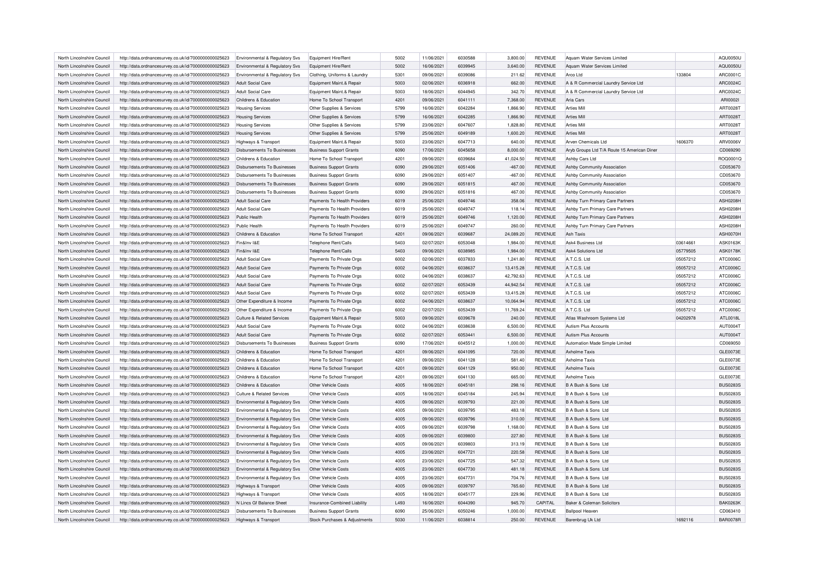| North Lincolnshire Council                               | http://data.ordnancesurvey.co.uk/id/7000000000025623 | Environmental & Regulatory Svs            | Equipment Hire/Rent            | 5002 | 11/06/2021 | 6030588            | 3,800.00  | <b>REVENUE</b> | Aquam Water Services Limited                |          | AQU0050U        |
|----------------------------------------------------------|------------------------------------------------------|-------------------------------------------|--------------------------------|------|------------|--------------------|-----------|----------------|---------------------------------------------|----------|-----------------|
|                                                          |                                                      |                                           |                                |      | 16/06/2021 |                    |           |                |                                             |          | AQU0050U        |
| North Lincolnshire Council<br>North Lincolnshire Council | http://data.ordnancesurvey.co.uk/id/7000000000025623 | Environmental & Regulatory Svs            | Equipment Hire/Rent            | 5002 |            | 6039945<br>6039086 | 3,640.00  | <b>REVENUE</b> | Aquam Water Services Limited<br>Arco I td   |          |                 |
|                                                          | http://data.ordnancesurvey.co.uk/id/7000000000025623 | Environmental & Regulatory Svs            | Clothing, Uniforms & Laundry   | 5301 | 09/06/2021 |                    | 211.62    | <b>REVENUE</b> |                                             | 133804   | ARC0001C        |
| North Lincolnshire Council                               | http://data.ordnancesurvey.co.uk/id/7000000000025623 | <b>Adult Social Care</b>                  | Equipment Maint.& Repair       | 5003 | 02/06/2021 | 6036918            | 662.00    | <b>REVENUE</b> | A & R Commercial Laundry Service Ltd        |          | ARC0024C        |
| North Lincolnshire Council                               | http://data.ordnancesurvey.co.uk/id/7000000000025623 | <b>Adult Social Care</b>                  | Equipment Maint.& Repair       | 5003 | 18/06/2021 | 6044945            | 342.70    | <b>REVENUE</b> | A & R Commercial Laundry Service Ltd        |          | ARC0024C        |
| North Lincolnshire Council                               | http://data.ordnancesurvey.co.uk/id/7000000000025623 | Childrens & Education                     | Home To School Transport       | 4201 | 09/06/2021 | 6041111            | 7,368.00  | <b>REVENUE</b> | Aria Cars                                   |          | ARI00021        |
| North Lincolnshire Council                               | http://data.ordnancesurvey.co.uk/id/7000000000025623 | <b>Housing Services</b>                   | Other Supplies & Services      | 5799 | 16/06/2021 | 6042284            | 1,866.90  | <b>REVENUE</b> | <b>Arties Mill</b>                          |          | ART0028T        |
| North Lincolnshire Council                               | http://data.ordnancesurvey.co.uk/id/7000000000025623 | <b>Housing Services</b>                   | Other Supplies & Services      | 5799 | 16/06/2021 | 6042285            | 1,866.90  | <b>REVENUE</b> | <b>Arties Mill</b>                          |          | ART0028T        |
| North Lincolnshire Council                               | http://data.ordnancesurvey.co.uk/id/7000000000025623 | <b>Housing Services</b>                   | Other Supplies & Services      | 5799 | 23/06/2021 | 6047607            | 1,828.80  | <b>REVENUE</b> | <b>Arties Mill</b>                          |          | ART0028T        |
| North Lincolnshire Council                               | http://data.ordnancesurvey.co.uk/id/7000000000025623 | <b>Housing Services</b>                   | Other Supplies & Services      | 5799 | 25/06/2021 | 6049189            | 1,600.20  | <b>REVENUE</b> | <b>Arties Mill</b>                          |          | ART0028T        |
| North Lincolnshire Council                               | http://data.ordnancesurvey.co.uk/id/7000000000025623 | Highways & Transport                      | Equipment Maint.& Repair       | 5003 | 23/06/2021 | 6047713            | 640.00    | <b>REVENUE</b> | Arven Chemicals I td                        | 1606370  | ARV0006V        |
| North Lincolnshire Council                               | http://data.ordnancesurvey.co.uk/id/7000000000025623 | Disbursements To Businesses               | <b>Business Support Grants</b> | 6090 | 17/06/2021 | 6045658            | 8,000.00  | <b>REVENUE</b> | Aryb Groups Ltd T/A Route 15 American Diner |          | CD069290        |
| North Lincolnshire Council                               | http://data.ordnancesurvey.co.uk/id/7000000000025623 | Childrens & Education                     | Home To School Transport       | 4201 | 09/06/2021 | 6039684            | 41,024.50 | <b>REVENUE</b> | Ashby Cars Ltd                              |          | ROQ0001C        |
| North Lincolnshire Council                               | http://data.ordnancesurvey.co.uk/id/7000000000025623 | <b>Disbursements To Businesses</b>        | <b>Business Support Grants</b> | 6090 | 29/06/2021 | 6051406            | $-467.00$ | <b>REVENUE</b> | Ashby Community Association                 |          | CD053670        |
| North Lincolnshire Council                               | http://data.ordnancesurvey.co.uk/id/7000000000025623 | <b>Disbursements To Businesses</b>        | <b>Business Support Grants</b> | 6090 | 29/06/2021 | 6051407            | $-467.00$ | <b>REVENUE</b> | Ashby Community Association                 |          | CD053670        |
| North Lincolnshire Council                               | http://data.ordnancesurvey.co.uk/id/7000000000025623 | Disbursements To Businesses               | <b>Business Support Grants</b> | 6090 | 29/06/2021 | 6051815            | 467.00    | <b>REVENUE</b> | Ashby Community Association                 |          | CD053670        |
| North Lincolnshire Council                               | http://data.ordnancesurvey.co.uk/id/7000000000025623 | <b>Disbursements To Businesses</b>        | <b>Business Support Grants</b> | 6090 | 29/06/2021 | 6051816            | 467.00    | <b>REVENUE</b> | Ashby Community Association                 |          | CD053670        |
| North Lincolnshire Council                               | http://data.ordnancesurvey.co.uk/id/7000000000025623 | <b>Adult Social Care</b>                  | Payments To Health Providers   | 6019 | 25/06/2021 | 6049746            | 358.06    | <b>REVENUE</b> | Ashby Turn Primary Care Partners            |          | <b>ASH0208H</b> |
|                                                          |                                                      | Adult Social Care                         |                                |      |            |                    |           |                |                                             |          |                 |
| North Lincolnshire Council                               | http://data.ordnancesurvey.co.uk/id/7000000000025623 |                                           | Payments To Health Providers   | 6019 | 25/06/2021 | 6049747            | 118.14    | <b>REVENUE</b> | Ashby Turn Primary Care Partners            |          | ASH0208H        |
| North Lincolnshire Council                               | http://data.ordnancesurvey.co.uk/id/7000000000025623 | Public Health                             | Payments To Health Providers   | 6019 | 25/06/2021 | 6049746            | 1,120.00  | <b>REVENUE</b> | Ashby Turn Primary Care Partners            |          | <b>ASH0208H</b> |
| North Lincolnshire Council                               | http://data.ordnancesurvey.co.uk/id/7000000000025623 | Public Health                             | Payments To Health Providers   | 6019 | 25/06/2021 | 6049747            | 260.00    | <b>REVENUE</b> | Ashby Turn Primary Care Partners            |          | <b>ASH0208H</b> |
| North Lincolnshire Council                               | http://data.ordnancesurvey.co.uk/id/7000000000025623 | Childrens & Education                     | Home To School Transport       | 4201 | 09/06/2021 | 6039687            | 24,089.20 | <b>REVENUE</b> | Ash Taxis                                   |          | ASH0070H        |
| North Lincolnshire Council                               | http://data.ordnancesurvey.co.uk/id/7000000000025623 | Fin&Inv I&E                               | Telephone Rent/Calls           | 5403 | 02/07/2021 | 6053048            | 1.984.00  | <b>REVENUE</b> | Ask4 Business Ltd                           | 03614661 | <b>ASK0163K</b> |
| North Lincolnshire Council                               | http://data.ordnancesurvey.co.uk/id/7000000000025623 | Fin&Inv I&E                               | <b>Telephone Rent/Calls</b>    | 5403 | 09/06/2021 | 6038985            | 1,984.00  | <b>REVENUE</b> | Ask4 Solutions Ltd                          | 05779505 | <b>ASK0178K</b> |
| North Lincolnshire Council                               | http://data.ordnancesurvey.co.uk/id/7000000000025623 | <b>Adult Social Care</b>                  | Payments To Private Orgs       | 6002 | 02/06/2021 | 6037833            | 1,241.80  | <b>REVENUE</b> | A.T.C.S. Ltd                                | 05057212 | ATC0006C        |
| North Lincolnshire Council                               | http://data.ordnancesurvey.co.uk/id/7000000000025623 | Adult Social Care                         | Payments To Private Orgs       | 6002 | 04/06/2021 | 6038637            | 13.415.28 | <b>REVENUE</b> | A.T.C.S. Ltd                                | 05057212 | ATC0006C        |
| North Lincolnshire Council                               | http://data.ordnancesurvey.co.uk/id/7000000000025623 | Adult Social Care                         | Payments To Private Orgs       | 6002 | 04/06/2021 | 6038637            | 42,792.63 | <b>REVENUE</b> | A.T.C.S. Ltd                                | 05057212 | ATC0006C        |
| North Lincolnshire Council                               | http://data.ordnancesurvey.co.uk/id/7000000000025623 | <b>Adult Social Care</b>                  | Payments To Private Orgs       | 6002 | 02/07/2021 | 6053439            | 44,942.54 | <b>REVENUE</b> | A.T.C.S. Ltd                                | 05057212 | ATC0006C        |
| North Lincolnshire Council                               | http://data.ordnancesurvey.co.uk/id/7000000000025623 | Adult Social Care                         | Payments To Private Orgs       | 6002 | 02/07/2021 | 6053439            | 13,415.28 | <b>REVENUE</b> | A.T.C.S. Ltd                                | 05057212 | ATC0006C        |
| North Lincolnshire Council                               | http://data.ordnancesurvey.co.uk/id/7000000000025623 | Other Expenditure & Income                | Payments To Private Orgs       | 6002 | 04/06/2021 | 6038637            | 10,064.94 | <b>REVENUE</b> | A.T.C.S. Ltd                                | 05057212 | ATC0006C        |
| North Lincolnshire Council                               | http://data.ordnancesurvey.co.uk/id/7000000000025623 | Other Expenditure & Income                | Payments To Private Orgs       | 6002 | 02/07/2021 | 6053439            | 11,769.24 | <b>REVENUE</b> | A.T.C.S. Ltd                                | 05057212 | ATC0006C        |
| North Lincolnshire Council                               | http://data.ordnancesurvey.co.uk/id/7000000000025623 | Culture & Related Services                | Equipment Maint.& Repair       | 5003 | 09/06/2021 | 6039678            | 240.00    | <b>REVENUE</b> | Atlas Washroom Systems Ltd                  | 04202978 | ATL0018L        |
| North Lincolnshire Council                               | http://data.ordnancesurvey.co.uk/id/7000000000025623 | <b>Adult Social Care</b>                  | Payments To Private Orgs       | 6002 | 04/06/2021 | 6038638            | 6,500.00  | <b>REVENUE</b> | <b>Autism Plus Accounts</b>                 |          | <b>AUT0004T</b> |
| North Lincolnshire Council                               | http://data.ordnancesurvey.co.uk/id/7000000000025623 | <b>Adult Social Care</b>                  | Payments To Private Orgs       | 6002 | 02/07/2021 | 6053441            | 6,500.00  | <b>REVENUE</b> | <b>Autism Plus Accounts</b>                 |          | <b>AUT0004T</b> |
| North Lincolnshire Council                               | http://data.ordnancesurvey.co.uk/id/7000000000025623 | <b>Disbursements To Businesses</b>        | <b>Business Support Grants</b> | 6090 | 17/06/2021 | 6045512            | 1,000.00  | <b>REVENUE</b> | Automation Made Simple Limited              |          | CD069050        |
|                                                          |                                                      |                                           |                                |      |            |                    |           |                |                                             |          |                 |
| North Lincolnshire Council                               | http://data.ordnancesurvey.co.uk/id/7000000000025623 | Childrens & Education                     | Home To School Transport       | 4201 | 09/06/2021 | 6041095            | 720.00    | <b>REVENUE</b> | <b>Axholme Taxis</b>                        |          | GLE0073E        |
| North Lincolnshire Council                               | http://data.ordnancesurvey.co.uk/id/7000000000025623 | Childrens & Education                     | Home To School Transport       | 4201 | 09/06/2021 | 6041128            | 581.40    | <b>REVENUE</b> | <b>Axholme Taxis</b>                        |          | GLE0073E        |
| North Lincolnshire Council                               | http://data.ordnancesurvey.co.uk/id/7000000000025623 | Childrens & Education                     | Home To School Transport       | 4201 | 09/06/2021 | 6041129            | 950.00    | <b>REVENUE</b> | <b>Axholme Taxis</b>                        |          | GLE0073E        |
| North Lincolnshire Council                               | http://data.ordnancesurvey.co.uk/id/7000000000025623 | Childrens & Education                     | Home To School Transport       | 4201 | 09/06/2021 | 6041130            | 665.00    | <b>REVENUE</b> | <b>Axholme Taxis</b>                        |          | GLE0073E        |
| North Lincolnshire Council                               | http://data.ordnancesurvey.co.uk/id/7000000000025623 | Childrens & Education                     | Other Vehicle Costs            | 4005 | 18/06/2021 | 6045181            | 298.16    | <b>REVENUE</b> | B A Bush & Sons Ltd                         |          | <b>BUS0283S</b> |
| North Lincolnshire Council                               | http://data.ordnancesurvey.co.uk/id/7000000000025623 | <b>Culture &amp; Related Services</b>     | Other Vehicle Costs            | 4005 | 18/06/2021 | 6045184            | 245.94    | <b>REVENUE</b> | B A Bush & Sons Ltd                         |          | <b>BUS0283S</b> |
| North Lincolnshire Council                               | http://data.ordnancesurvey.co.uk/id/7000000000025623 | Environmental & Regulatory Svs            | Other Vehicle Costs            | 4005 | 09/06/2021 | 6039793            | 221.00    | <b>REVENUE</b> | B A Bush & Sons Ltd                         |          | <b>BUS0283S</b> |
| North Lincolnshire Council                               | http://data.ordnancesurvey.co.uk/id/7000000000025623 | Environmental & Regulatory Svs            | Other Vehicle Costs            | 4005 | 09/06/2021 | 6039795            | 483.18    | <b>REVENUE</b> | B A Bush & Sons Ltd                         |          | <b>BUS0283S</b> |
| North Lincolnshire Council                               | http://data.ordnancesurvey.co.uk/id/7000000000025623 | Environmental & Regulatory Svs            | Other Vehicle Costs            | 4005 | 09/06/2021 | 6039796            | 310.00    | <b>REVENUE</b> | B A Bush & Sons Ltd                         |          | <b>BUS0283S</b> |
| North Lincolnshire Council                               | http://data.ordnancesurvey.co.uk/id/7000000000025623 | Environmental & Regulatory Svs            | Other Vehicle Costs            | 4005 | 09/06/2021 | 6039798            | 1,168.00  | <b>REVENUE</b> | B A Bush & Sons Ltd                         |          | <b>BUS0283S</b> |
| North Lincolnshire Council                               | http://data.ordnancesurvey.co.uk/id/7000000000025623 | <b>Environmental &amp; Regulatory Svs</b> | Other Vehicle Costs            | 4005 | 09/06/2021 | 6039800            | 227.80    | <b>REVENUE</b> | B A Bush & Sons Ltd                         |          | <b>BUS0283S</b> |
| North Lincolnshire Council                               | http://data.ordnancesurvey.co.uk/id/7000000000025623 | Environmental & Regulatory Svs            | Other Vehicle Costs            | 4005 | 09/06/2021 | 6039803            | 313.19    | <b>REVENUE</b> | B A Bush & Sons Ltd                         |          | <b>BUS0283S</b> |
| North Lincolnshire Council                               | http://data.ordnancesurvey.co.uk/id/7000000000025623 | Environmental & Regulatory Svs            | Other Vehicle Costs            | 4005 | 23/06/2021 | 6047721            | 220.58    | <b>REVENUE</b> | B A Bush & Sons Ltd                         |          | <b>BUS0283S</b> |
| North Lincolnshire Council                               | http://data.ordnancesurvey.co.uk/id/7000000000025623 | Environmental & Regulatory Svs            | Other Vehicle Costs            | 4005 | 23/06/2021 | 6047725            | 547.32    | <b>REVENUE</b> | B A Bush & Sons Ltd                         |          | <b>BUS0283S</b> |
| North Lincolnshire Council                               | http://data.ordnancesurvey.co.uk/id/7000000000025623 |                                           | Other Vehicle Costs            | 4005 | 23/06/2021 | 6047730            | 481.18    | <b>REVENUE</b> | B A Bush & Sons Ltd                         |          | <b>BUS0283S</b> |
|                                                          |                                                      | Environmental & Regulatory Svs            |                                | 4005 |            |                    |           |                |                                             |          |                 |
| North Lincolnshire Council                               | http://data.ordnancesurvey.co.uk/id/7000000000025623 | Environmental & Regulatory Svs            | Other Vehicle Costs            |      | 23/06/2021 | 6047731            | 704.76    | <b>REVENUE</b> | B A Bush & Sons Ltd                         |          | <b>BUS0283S</b> |
| North Lincolnshire Council                               | http://data.ordnancesurvey.co.uk/id/7000000000025623 | <b>Highways &amp; Transport</b>           | Other Vehicle Costs            | 4005 | 09/06/2021 | 6039797            | 765.60    | <b>REVENUE</b> | B A Bush & Sons Ltd                         |          | <b>BUS0283S</b> |
| North Lincolnshire Council                               | http://data.ordnancesurvey.co.uk/id/7000000000025623 | Highways & Transport                      | Other Vehicle Costs            | 4005 | 18/06/2021 | 6045177            | 229.96    | <b>REVENUE</b> | B A Bush & Sons Ltd                         |          | <b>BUS0283S</b> |
| North Lincolnshire Council                               | http://data.ordnancesurvey.co.uk/id/7000000000025623 | N Lincs Gf Balance Sheet                  | Insurance-Combined Liability   | L493 | 16/06/2021 | 6044390            | 945.70    | CAPITAL        | Baker & Coleman Solicitors                  |          | <b>BAK0263K</b> |
| North Lincolnshire Council                               | http://data.ordnancesurvey.co.uk/id/7000000000025623 | Disbursements To Businesses               | <b>Business Support Grants</b> | 6090 | 25/06/2021 | 6050246            | 1.000.00  | <b>REVENUE</b> | <b>Ballpool Heaver</b>                      |          | CD063410        |
| North Lincolnshire Council                               | http://data.ordnancesurvey.co.uk/id/7000000000025623 | Highways & Transport                      | Stock Purchases & Adiustments  | 5030 | 11/06/2021 | 6038814            | 250.00    | <b>REVENUE</b> | Barenbrug Uk Ltd                            | 1692116  | <b>BAR0078R</b> |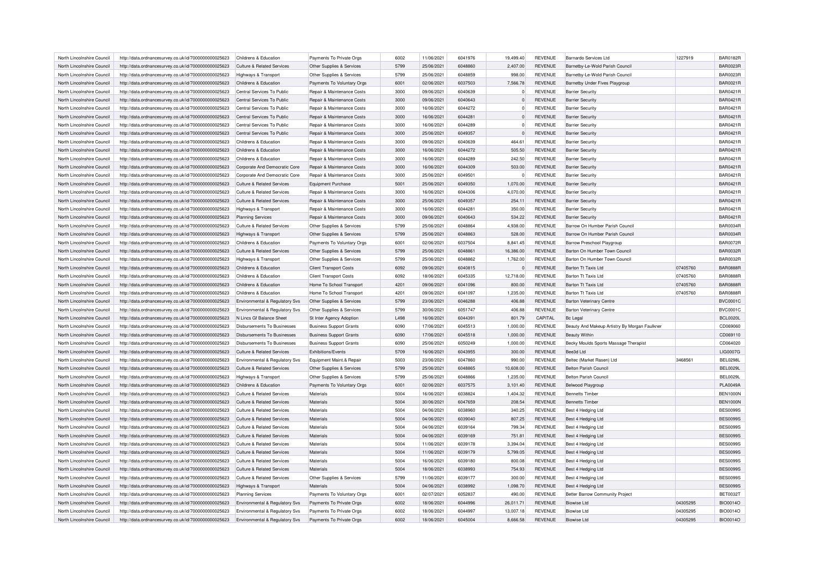| North Lincolnshire Council | http://data.ordnancesurvey.co.uk/id/7000000000025623 | Childrens & Education                 | Payments To Private Orgs       | 6002 | 11/06/2021 | 6041976 | 19,499.40      | <b>REVENUE</b> | Barnardo Services Ltd                         | 1227919  | <b>BAR0182R</b> |
|----------------------------|------------------------------------------------------|---------------------------------------|--------------------------------|------|------------|---------|----------------|----------------|-----------------------------------------------|----------|-----------------|
| North Lincolnshire Council | http://data.ordnancesurvey.co.uk/id/7000000000025623 | <b>Culture &amp; Related Services</b> | Other Supplies & Services      | 5799 | 25/06/2021 | 6048860 | 2,407.00       | <b>REVENUE</b> | Barnetby-Le-Wold Parish Council               |          | <b>BAR0023R</b> |
| North Lincolnshire Council | http://data.ordnancesurvey.co.uk/id/7000000000025623 | Highways & Transport                  | Other Supplies & Services      | 5799 | 25/06/2021 | 6048859 | 998.00         | <b>REVENUE</b> | Barnetby-Le-Wold Parish Council               |          | <b>BAR0023R</b> |
| North Lincolnshire Council | http://data.ordnancesurvey.co.uk/id/7000000000025623 | Childrens & Education                 | Payments To Voluntary Orgs     | 6001 | 02/06/2021 | 6037503 | 7,566.78       | <b>REVENUE</b> | Barnetby Under Fives Playgroup                |          | <b>BAR0021R</b> |
| North Lincolnshire Council | http://data.ordnancesurvey.co.uk/id/7000000000025623 | Central Services To Public            | Repair & Maintenance Costs     | 3000 | 09/06/2021 | 6040639 | $\overline{0}$ | <b>REVENUE</b> | <b>Barrier Security</b>                       |          | BAR0421R        |
| North Lincolnshire Council | http://data.ordnancesurvey.co.uk/id/7000000000025623 | Central Services To Public            | Repair & Maintenance Costs     | 3000 | 09/06/2021 | 6040643 | $\Omega$       | <b>REVENUE</b> | <b>Barrier Security</b>                       |          | <b>BAR0421R</b> |
| North Lincolnshire Council | http://data.ordnancesurvey.co.uk/id/7000000000025623 | Central Services To Public            | Repair & Maintenance Costs     | 3000 | 16/06/2021 | 6044272 | $\Omega$       | <b>REVENUE</b> | <b>Barrier Security</b>                       |          | <b>BAR0421R</b> |
| North Lincolnshire Council | http://data.ordnancesurvey.co.uk/id/7000000000025623 | Central Services To Public            | Repair & Maintenance Costs     | 3000 | 16/06/2021 | 6044281 | $\overline{0}$ | <b>REVENUE</b> | <b>Barrier Security</b>                       |          | <b>BAR0421R</b> |
| North Lincolnshire Council | http://data.ordnancesurvey.co.uk/id/7000000000025623 | Central Services To Public            | Repair & Maintenance Costs     | 3000 | 16/06/2021 | 6044289 | $\Omega$       | <b>REVENUE</b> | <b>Barrier Security</b>                       |          | <b>BAR0421R</b> |
| North Lincolnshire Council | http://data.ordnancesurvey.co.uk/id/7000000000025623 | Central Services To Public            | Repair & Maintenance Costs     | 3000 | 25/06/2021 | 6049357 | $\Omega$       | <b>REVENUE</b> | <b>Barrier Security</b>                       |          | <b>BAR0421R</b> |
| North Lincolnshire Council | http://data.ordnancesurvey.co.uk/id/7000000000025623 | Childrens & Education                 | Repair & Maintenance Costs     | 3000 | 09/06/2021 | 6040639 | 464.61         | <b>REVENUE</b> | <b>Barrier Security</b>                       |          | BAR0421R        |
| North Lincolnshire Council | http://data.ordnancesurvey.co.uk/id/7000000000025623 | Childrens & Education                 | Repair & Maintenance Costs     | 3000 | 16/06/2021 | 6044272 | 505.50         | <b>REVENUE</b> | <b>Barrier Security</b>                       |          | <b>BAR0421R</b> |
| North Lincolnshire Council | http://data.ordnancesurvey.co.uk/id/7000000000025623 | Childrens & Education                 | Repair & Maintenance Costs     | 3000 | 16/06/2021 | 6044289 | 242.50         | <b>REVENUE</b> | <b>Barrier Security</b>                       |          | <b>BAR0421R</b> |
| North Lincolnshire Council | http://data.ordnancesurvey.co.uk/id/7000000000025623 | Corporate And Democratic Core         | Repair & Maintenance Costs     | 3000 | 16/06/2021 | 6044309 | 503.00         | <b>REVENUE</b> | <b>Barrier Security</b>                       |          | <b>BAR0421R</b> |
| North Lincolnshire Council | http://data.ordnancesurvey.co.uk/id/7000000000025623 | Corporate And Democratic Core         | Repair & Maintenance Costs     | 3000 | 25/06/2021 | 6049501 | $\Omega$       | <b>REVENUE</b> | <b>Barrier Security</b>                       |          | <b>BAR0421R</b> |
| North Lincolnshire Council | http://data.ordnancesurvey.co.uk/id/7000000000025623 | Culture & Related Services            | <b>Equipment Purchase</b>      | 5001 | 25/06/2021 | 6049350 | 1,070.00       | REVENUE        | <b>Barrier Security</b>                       |          | <b>BAR0421R</b> |
|                            |                                                      |                                       |                                |      | 16/06/2021 | 6044306 |                |                |                                               |          | <b>BAR0421R</b> |
| North Lincolnshire Council | http://data.ordnancesurvey.co.uk/id/7000000000025623 | Culture & Related Services            | Repair & Maintenance Costs     | 3000 |            |         | 4,070.00       | <b>REVENUE</b> | <b>Barrier Security</b>                       |          |                 |
| North Lincolnshire Council | http://data.ordnancesurvey.co.uk/id/7000000000025623 | Culture & Related Services            | Repair & Maintenance Costs     | 3000 | 25/06/2021 | 6049357 | 254.11         | <b>REVENUE</b> | <b>Barrier Security</b>                       |          | <b>BAR0421R</b> |
| North Lincolnshire Council | http://data.ordnancesurvey.co.uk/id/7000000000025623 | Highways & Transport                  | Repair & Maintenance Costs     | 3000 | 16/06/2021 | 6044281 | 350.00         | <b>REVENUE</b> | <b>Barrier Security</b>                       |          | <b>BAR0421R</b> |
| North Lincolnshire Council | http://data.ordnancesurvey.co.uk/id/7000000000025623 | <b>Planning Services</b>              | Repair & Maintenance Costs     | 3000 | 09/06/2021 | 6040643 | 534.22         | <b>REVENUE</b> | <b>Barrier Security</b>                       |          | <b>BAR0421R</b> |
| North Lincolnshire Council | http://data.ordnancesurvey.co.uk/id/7000000000025623 | Culture & Related Services            | Other Supplies & Services      | 5799 | 25/06/2021 | 6048864 | 4,938.00       | <b>REVENUE</b> | Barrow On Humber Parish Council               |          | <b>BAR0034R</b> |
| North Lincolnshire Council | http://data.ordnancesurvey.co.uk/id/7000000000025623 | Highways & Transport                  | Other Supplies & Services      | 5799 | 25/06/2021 | 6048863 | 528.00         | <b>REVENUE</b> | Barrow On Humber Parish Council               |          | <b>BAR0034R</b> |
| North Lincolnshire Council | http://data.ordnancesurvey.co.uk/id/7000000000025623 | Childrens & Education                 | Payments To Voluntary Orgs     | 6001 | 02/06/2021 | 6037504 | 8,841.45       | <b>REVENUE</b> | <b>Barrow Preschool Playgroup</b>             |          | <b>BAR0072R</b> |
| North Lincolnshire Council | http://data.ordnancesurvey.co.uk/id/7000000000025623 | Culture & Related Services            | Other Supplies & Services      | 5799 | 25/06/2021 | 6048861 | 16,386.00      | <b>REVENUE</b> | Barton On Humber Town Council                 |          | <b>BAR0032R</b> |
| North Lincolnshire Council | http://data.ordnancesurvey.co.uk/id/7000000000025623 | Highways & Transport                  | Other Supplies & Services      | 5799 | 25/06/2021 | 6048862 | 1,762.00       | <b>REVENUE</b> | Barton On Humber Town Council                 |          | <b>BAR0032F</b> |
| North Lincolnshire Council | http://data.ordnancesurvey.co.uk/id/7000000000025623 | Childrens & Education                 | <b>Client Transport Costs</b>  | 6092 | 09/06/2021 | 6040815 | $\Omega$       | <b>REVENUE</b> | Barton Tt Taxis Ltd                           | 07405760 | <b>BAR0888R</b> |
| North Lincolnshire Council | http://data.ordnancesurvey.co.uk/id/7000000000025623 | Childrens & Education                 | <b>Client Transport Costs</b>  | 6092 | 18/06/2021 | 6045335 | 12,718.00      | <b>REVENUE</b> | <b>Barton Tt Taxis Ltd</b>                    | 07405760 | <b>BAR0888F</b> |
| North Lincolnshire Council | http://data.ordnancesurvey.co.uk/id/7000000000025623 | Childrens & Education                 | Home To School Transport       | 4201 | 09/06/2021 | 6041096 | 800.00         | <b>REVENUE</b> | Barton Tt Taxis Ltd                           | 07405760 | <b>BAR0888F</b> |
| North Lincolnshire Council | http://data.ordnancesurvey.co.uk/id/7000000000025623 | Childrens & Education                 | Home To School Transport       | 4201 | 09/06/2021 | 6041097 | 1,235.00       | <b>REVENUE</b> | Barton Tt Taxis Ltd                           | 07405760 | <b>BAR0888R</b> |
| North Lincolnshire Council | http://data.ordnancesurvey.co.uk/id/7000000000025623 | Environmental & Regulatory Svs        | Other Supplies & Services      | 5799 | 23/06/2021 | 6046288 | 406.88         | <b>REVENUE</b> | <b>Barton Veterinary Centre</b>               |          | <b>BVC0001C</b> |
| North Lincolnshire Council | http://data.ordnancesurvey.co.uk/id/7000000000025623 | Environmental & Regulatory Svs        | Other Supplies & Services      | 5799 | 30/06/2021 | 6051747 | 406.88         | <b>REVENUE</b> | <b>Barton Veterinary Centre</b>               |          | <b>BVC00010</b> |
| North Lincolnshire Council | http://data.ordnancesurvey.co.uk/id/7000000000025623 | N Lincs Gf Balance Sheet              | St Inter Agency Adoption       | L498 | 16/06/2021 | 6044391 | 801.79         | CAPITAL        | <b>Bc</b> Legal                               |          | <b>BCL0020L</b> |
| North Lincolnshire Council | http://data.ordnancesurvey.co.uk/id/7000000000025623 | Disbursements To Businesses           | <b>Business Support Grants</b> | 6090 | 17/06/2021 | 6045513 | 1,000.00       | <b>REVENUE</b> | Beauty And Makeup Artistry By Morgan Faulkner |          | CD069060        |
| North Lincolnshire Council | http://data.ordnancesurvey.co.uk/id/7000000000025623 | <b>Disbursements To Businesses</b>    | <b>Business Support Grants</b> | 6090 | 17/06/2021 | 6045518 | 1,000.00       | <b>REVENUE</b> | <b>Beauty Within</b>                          |          | CD069110        |
| North Lincolnshire Council | http://data.ordnancesurvey.co.uk/id/7000000000025623 | Disbursements To Businesses           | <b>Business Support Grants</b> | 6090 | 25/06/2021 | 6050249 | 1,000.00       | <b>REVENUE</b> | Becky Moulds Sports Massage Therapist         |          | CD064020        |
| North Lincolnshire Council | http://data.ordnancesurvey.co.uk/id/7000000000025623 | <b>Culture &amp; Related Services</b> | Exhibitions/Events             | 5709 | 16/06/2021 | 6043955 | 300.00         | <b>REVENUE</b> | Bee3d Ltd                                     |          | LIG0007G        |
| North Lincolnshire Council | http://data.ordnancesurvey.co.uk/id/7000000000025623 | Environmental & Regulatory Svs        | Equipment Maint.& Repair       | 5003 | 23/06/2021 | 6047860 | 990.00         | <b>REVENUE</b> | Beltec (Market Rasen) Ltd                     | 3468561  | <b>BEL0298L</b> |
| North Lincolnshire Council | http://data.ordnancesurvey.co.uk/id/7000000000025623 | Culture & Related Services            | Other Supplies & Services      | 5799 | 25/06/2021 | 6048865 | 10,608.00      | <b>REVENUE</b> | <b>Belton Parish Council</b>                  |          | <b>BEL0029L</b> |
| North Lincolnshire Council | http://data.ordnancesurvey.co.uk/id/7000000000025623 | Highways & Transport                  | Other Supplies & Services      | 5799 | 25/06/2021 | 6048866 | 1,235.00       | <b>REVENUE</b> | <b>Belton Parish Council</b>                  |          | <b>BEL0029L</b> |
| North Lincolnshire Council | http://data.ordnancesurvey.co.uk/id/7000000000025623 | Childrens & Education                 | Payments To Voluntary Orgs     | 6001 | 02/06/2021 | 6037575 | 3,101.40       | <b>REVENUE</b> | <b>Belwood Playgroup</b>                      |          | <b>PLA0049A</b> |
| North Lincolnshire Council | http://data.ordnancesurvey.co.uk/id/7000000000025623 | Culture & Related Services            | Materials                      | 5004 | 16/06/2021 | 6038824 | 1,404.32       | <b>REVENUE</b> | <b>Bennetts Timber</b>                        |          | <b>BEN1000N</b> |
| North Lincolnshire Council | http://data.ordnancesurvey.co.uk/id/7000000000025623 | Culture & Related Services            | Materials                      | 5004 | 30/06/2021 | 6047659 | 208.54         | <b>REVENUE</b> | <b>Bennetts Timber</b>                        |          | <b>BEN1000N</b> |
| North Lincolnshire Council | http://data.ordnancesurvey.co.uk/id/7000000000025623 | Culture & Related Services            | Materials                      | 5004 | 04/06/2021 | 6038960 | 340.25         | <b>REVENUE</b> | Best 4 Hedging Ltd                            |          | <b>BES0099S</b> |
| North Lincolnshire Council | http://data.ordnancesurvey.co.uk/id/7000000000025623 | Culture & Related Services            | Materials                      | 5004 | 04/06/2021 | 6039040 | 807.25         | <b>REVENUE</b> | Best 4 Hedging Ltd                            |          | <b>BES0099S</b> |
| North Lincolnshire Council | http://data.ordnancesurvey.co.uk/id/7000000000025623 | Culture & Related Services            | Materials                      | 5004 | 04/06/2021 | 6039164 | 799.34         | <b>REVENUE</b> | Best 4 Hedging Ltd                            |          | <b>BES00999</b> |
| North Lincolnshire Council | http://data.ordnancesurvey.co.uk/id/7000000000025623 | Culture & Related Services            | Materials                      | 5004 | 04/06/2021 | 6039169 | 751.81         | <b>REVENUE</b> | Best 4 Hedging Ltd                            |          | <b>BES0099S</b> |
| North Lincolnshire Council | http://data.ordnancesurvey.co.uk/id/7000000000025623 | Culture & Related Services            | Materials                      | 5004 | 11/06/2021 | 6039178 | 3,394.04       | <b>REVENUE</b> | Best 4 Hedging Ltd                            |          | <b>BES0099S</b> |
| North Lincolnshire Council | http://data.ordnancesurvey.co.uk/id/7000000000025623 | Culture & Related Services            | Materials                      | 5004 | 11/06/2021 | 6039179 | 5,799.05       | <b>REVENUE</b> | Best 4 Hedging Ltd                            |          | <b>BES00999</b> |
| North Lincolnshire Council | http://data.ordnancesurvey.co.uk/id/7000000000025623 | Culture & Related Services            | Materials                      | 5004 | 16/06/2021 | 6039180 | 800.08         | <b>REVENUE</b> | Best 4 Hedging Ltd                            |          | <b>BES0099S</b> |
| North Lincolnshire Council | http://data.ordnancesurvey.co.uk/id/7000000000025623 | Culture & Related Services            | Materials                      | 5004 | 18/06/2021 | 6038993 | 754.93         | <b>REVENUE</b> | Best 4 Hedging Ltd                            |          | <b>BES0099S</b> |
| North Lincolnshire Council | http://data.ordnancesurvey.co.uk/id/7000000000025623 | Culture & Related Services            | Other Supplies & Services      | 5799 | 11/06/2021 | 6039177 | 300.00         | <b>REVENUE</b> | Best 4 Hedging Ltd                            |          | <b>BES00999</b> |
| North Lincolnshire Council | http://data.ordnancesurvey.co.uk/id/7000000000025623 | Highways & Transport                  | Materials                      | 5004 | 04/06/2021 | 6038992 | 1,098.70       | <b>REVENUE</b> | Best 4 Hedging Ltd                            |          | <b>BES00999</b> |
| North Lincolnshire Council | http://data.ordnancesurvey.co.uk/id/7000000000025623 | <b>Planning Services</b>              | Payments To Voluntary Orgs     | 6001 | 02/07/2021 | 6052837 | 490.00         | <b>REVENUE</b> | Better Barrow Community Project               |          | <b>BET0032T</b> |
| North Lincolnshire Council | http://data.ordnancesurvey.co.uk/id/7000000000025623 | Environmental & Regulatory Svs        | Payments To Private Orgs       | 6002 | 18/06/2021 | 6044996 | 26,011.71      | <b>REVENUE</b> | <b>Biowise Ltd</b>                            | 04305295 | <b>BIO0014C</b> |
| North Lincolnshire Council | http://data.ordnancesurvey.co.uk/id/7000000000025623 | Environmental & Regulatory Svs        | Payments To Private Orgs       | 6002 | 18/06/2021 | 6044997 | 13.007.18      | <b>REVENUE</b> | <b>Biowise I td</b>                           | 04305295 | <b>BIO0014C</b> |
| North Lincolnshire Council | http://data.ordnancesurvey.co.uk/id/7000000000025623 | Environmental & Regulatory Svs        | Payments To Private Orgs       | 6002 | 18/06/2021 | 6045004 | 8.666.58       | <b>REVENUE</b> | <b>Biowise Ltd</b>                            | 04305295 | <b>BIO0014O</b> |
|                            |                                                      |                                       |                                |      |            |         |                |                |                                               |          |                 |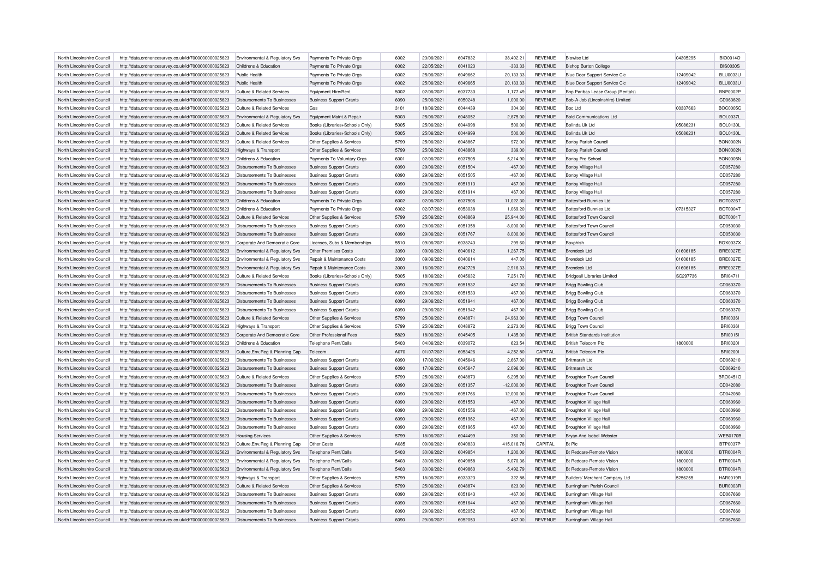| North Lincolnshire Council | http://data.ordnancesurvey.co.uk/id/7000000000025623 | Environmental & Regulatory Svs        | Payments To Private Orgs       | 6002 | 23/06/2021 | 6047832 | 38,402.21    | <b>REVENUE</b> | <b>Biowise Ltd</b>                   | 04305295 | <b>BIO0014O</b> |
|----------------------------|------------------------------------------------------|---------------------------------------|--------------------------------|------|------------|---------|--------------|----------------|--------------------------------------|----------|-----------------|
| North Lincolnshire Council | http://data.ordnancesurvey.co.uk/id/7000000000025623 | Childrens & Education                 | Payments To Private Orgs       | 6002 | 22/05/2021 | 6041023 | $-333.33$    | <b>REVENUE</b> | <b>Bishop Burton College</b>         |          | <b>BIS0030S</b> |
| North Lincolnshire Council | http://data.ordnancesurvey.co.uk/id/7000000000025623 | Public Health                         | Payments To Private Orgs       | 6002 | 25/06/2021 | 6049662 | 20,133.33    | <b>REVENUE</b> | Blue Door Support Service Cic        | 12409042 | <b>BLU0033U</b> |
| North Lincolnshire Council | http://data.ordnancesurvey.co.uk/id/7000000000025623 | Public Health                         | Payments To Private Orgs       | 6002 | 25/06/2021 | 6049665 | 20,133.33    | <b>REVENUE</b> | Blue Door Support Service Cic        | 12409042 | <b>BLU0033U</b> |
| North Lincolnshire Council | http://data.ordnancesurvey.co.uk/id/7000000000025623 | <b>Culture &amp; Related Services</b> | Equipment Hire/Rent            | 5002 | 02/06/2021 | 6037730 | 1,177.49     | <b>REVENUE</b> | Bnp Paribas Lease Group (Rentals)    |          | <b>BNP0002F</b> |
| North Lincolnshire Council | http://data.ordnancesurvey.co.uk/id/7000000000025623 | Disbursements To Businesses           | <b>Business Support Grants</b> | 6090 | 25/06/2021 | 6050248 | 1,000.00     | <b>REVENUE</b> | Bob-A-Job (Lincolnshire) Limited     |          | CD063820        |
| North Lincolnshire Council | http://data.ordnancesurvey.co.uk/id/7000000000025623 | Culture & Related Services            | Gas                            | 3101 | 18/06/2021 | 6044439 | 304.30       | <b>REVENUE</b> | Boc I td                             | 00337663 | <b>BOC0005C</b> |
| North Lincolnshire Council | http://data.ordnancesurvey.co.uk/id/7000000000025623 | Environmental & Regulatory Svs        | Equipment Maint.& Repair       | 5003 | 25/06/2021 | 6048052 | 2,875.00     | <b>REVENUE</b> | <b>Bold Communications Ltd</b>       |          | <b>BOL0037L</b> |
| North Lincolnshire Council | http://data.ordnancesurvey.co.uk/id/7000000000025623 | Culture & Related Services            | Books (Libraries+Schools Only) | 5005 | 25/06/2021 | 6044998 | 500.00       | <b>REVENUE</b> | Bolinda Uk Ltd                       | 05086231 | <b>BOL0130L</b> |
| North Lincolnshire Council | http://data.ordnancesurvey.co.uk/id/7000000000025623 | Culture & Related Services            | Books (Libraries+Schools Only) | 5005 | 25/06/2021 | 6044999 | 500.00       | <b>REVENUE</b> | Bolinda Uk Ltd                       | 05086231 | <b>BOL0130L</b> |
| North Lincolnshire Council | http://data.ordnancesurvey.co.uk/id/7000000000025623 | <b>Culture &amp; Related Services</b> | Other Supplies & Services      | 5799 | 25/06/2021 | 6048867 | 972.00       | <b>REVENUE</b> | <b>Bonby Parish Council</b>          |          | <b>BON0002N</b> |
| North Lincolnshire Council | http://data.ordnancesurvey.co.uk/id/7000000000025623 | Highways & Transport                  | Other Supplies & Services      | 5799 | 25/06/2021 | 6048868 | 339.00       | <b>REVENUE</b> | <b>Bonby Parish Council</b>          |          | <b>BON0002N</b> |
| North Lincolnshire Council | http://data.ordnancesurvey.co.uk/id/7000000000025623 | Childrens & Education                 | Payments To Voluntary Orgs     | 6001 | 02/06/2021 | 6037505 | 5,214.90     | <b>REVENUE</b> | Bonby Pre-School                     |          | <b>BON0005N</b> |
| North Lincolnshire Council | http://data.ordnancesurvey.co.uk/id/7000000000025623 | Disbursements To Businesses           | <b>Business Support Grants</b> | 6090 | 29/06/2021 | 6051504 | $-467.00$    | <b>REVENUE</b> | Bonby Village Hall                   |          | CD057280        |
|                            |                                                      |                                       |                                |      |            |         |              |                |                                      |          |                 |
| North Lincolnshire Council | http://data.ordnancesurvey.co.uk/id/7000000000025623 | Disbursements To Businesses           | <b>Business Support Grants</b> | 6090 | 29/06/2021 | 6051505 | $-467.00$    | <b>REVENUE</b> | Bonby Village Hall                   |          | CD057280        |
| North Lincolnshire Council | http://data.ordnancesurvey.co.uk/id/7000000000025623 | Disbursements To Businesses           | <b>Business Support Grants</b> | 6090 | 29/06/2021 | 6051913 | 467.00       | <b>REVENUE</b> | Bonby Village Hall                   |          | CD057280        |
| North Lincolnshire Council | http://data.ordnancesurvey.co.uk/id/7000000000025623 | <b>Disbursements To Businesses</b>    | <b>Business Support Grants</b> | 6090 | 29/06/2021 | 6051914 | 467.00       | <b>REVENUE</b> | <b>Bonby Village Hall</b>            |          | CD057280        |
| North Lincolnshire Council | http://data.ordnancesurvey.co.uk/id/7000000000025623 | Childrens & Education                 | Payments To Private Orgs       | 6002 | 02/06/2021 | 6037506 | 11,022.30    | <b>REVENUE</b> | <b>Bottesford Bunnies Ltd</b>        |          | <b>BOT0226T</b> |
| North Lincolnshire Council | http://data.ordnancesurvey.co.uk/id/7000000000025623 | Childrens & Education                 | Payments To Private Orgs       | 6002 | 02/07/2021 | 6053038 | 1,069.20     | <b>REVENUE</b> | <b>Bottesford Bunnies Ltd</b>        | 07315327 | <b>BOT0004T</b> |
| North Lincolnshire Council | http://data.ordnancesurvey.co.uk/id/7000000000025623 | <b>Culture &amp; Related Services</b> | Other Supplies & Services      | 5799 | 25/06/2021 | 6048869 | 25,944.00    | <b>REVENUE</b> | <b>Bottesford Town Council</b>       |          | BOT0001T        |
| North Lincolnshire Council | http://data.ordnancesurvey.co.uk/id/7000000000025623 | Disbursements To Businesses           | <b>Business Support Grants</b> | 6090 | 29/06/2021 | 6051358 | $-8,000.00$  | <b>REVENUE</b> | <b>Bottesford Town Council</b>       |          | CD050030        |
| North Lincolnshire Council | http://data.ordnancesurvey.co.uk/id/7000000000025623 | <b>Disbursements To Businesses</b>    | <b>Business Support Grants</b> | 6090 | 29/06/2021 | 6051767 | 8,000.00     | <b>REVENUE</b> | <b>Bottesford Town Council</b>       |          | CD050030        |
| North Lincolnshire Council | http://data.ordnancesurvey.co.uk/id/7000000000025623 | Corporate And Democratic Core         | Licenses, Subs & Memberships   | 5510 | 09/06/2021 | 6038243 | 299.60       | <b>REVENUE</b> | Boxphish                             |          | BOX0037>        |
| North Lincolnshire Council | http://data.ordnancesurvey.co.uk/id/7000000000025623 | Environmental & Regulatory Svs        | <b>Other Premises Costs</b>    | 3390 | 09/06/2021 | 6040612 | 1,267.75     | <b>REVENUE</b> | <b>Brendeck Ltd</b>                  | 01606185 | <b>BRE0027E</b> |
| North Lincolnshire Council | http://data.ordnancesurvey.co.uk/id/7000000000025623 | Environmental & Regulatory Svs        | Repair & Maintenance Costs     | 3000 | 09/06/2021 | 6040614 | 447.00       | <b>REVENUE</b> | <b>Brendeck Ltd</b>                  | 01606185 | <b>BRE0027E</b> |
| North Lincolnshire Council | http://data.ordnancesurvey.co.uk/id/7000000000025623 | Environmental & Regulatory Svs        | Repair & Maintenance Costs     | 3000 | 16/06/2021 | 6042728 | 2,916.33     | <b>REVENUE</b> | Brendeck I td                        | 01606185 | <b>BRE0027E</b> |
| North Lincolnshire Council | http://data.ordnancesurvey.co.uk/id/7000000000025623 | <b>Culture &amp; Related Services</b> | Books (Libraries+Schools Only) | 5005 | 18/06/2021 | 6045632 | 7,251.70     | <b>REVENUE</b> | <b>Bridgeall Libraries Limited</b>   | SC297736 | <b>BRI04711</b> |
| North Lincolnshire Council | http://data.ordnancesurvey.co.uk/id/7000000000025623 | Disbursements To Businesses           | <b>Business Support Grants</b> | 6090 | 29/06/2021 | 6051532 | $-467.00$    | <b>REVENUE</b> | <b>Brigg Bowling Club</b>            |          | CD060370        |
| North Lincolnshire Council | http://data.ordnancesurvey.co.uk/id/7000000000025623 | Disbursements To Businesses           | <b>Business Support Grants</b> | 6090 | 29/06/2021 | 6051533 | $-467.00$    | <b>REVENUE</b> | <b>Brigg Bowling Club</b>            |          | CD060370        |
| North Lincolnshire Council | http://data.ordnancesurvey.co.uk/id/7000000000025623 | Disbursements To Businesses           | <b>Business Support Grants</b> | 6090 | 29/06/2021 | 6051941 | 467.00       | <b>REVENUE</b> | <b>Brigg Bowling Club</b>            |          | CD060370        |
| North Lincolnshire Council | http://data.ordnancesurvey.co.uk/id/7000000000025623 | Disbursements To Businesses           | <b>Business Support Grants</b> | 6090 | 29/06/2021 | 6051942 | 467.00       | <b>REVENUE</b> | <b>Brigg Bowling Club</b>            |          | CD060370        |
| North Lincolnshire Council | http://data.ordnancesurvey.co.uk/id/7000000000025623 | <b>Culture &amp; Related Services</b> | Other Supplies & Services      | 5799 | 25/06/2021 | 6048871 | 24,963.00    | <b>REVENUE</b> | <b>Brigg Town Council</b>            |          | <b>BRI0036I</b> |
| North Lincolnshire Council | http://data.ordnancesurvey.co.uk/id/7000000000025623 | Highways & Transport                  | Other Supplies & Services      | 5799 | 25/06/2021 | 6048872 | 2,273.00     | <b>REVENUE</b> | <b>Brigg Town Council</b>            |          | <b>BRI00361</b> |
| North Lincolnshire Council |                                                      |                                       | Other Professional Fees        | 5829 | 18/06/2021 | 6045405 | 1,435.00     | <b>REVENUE</b> |                                      |          | <b>BRI0015I</b> |
|                            | http://data.ordnancesurvey.co.uk/id/7000000000025623 | Corporate And Democratic Core         |                                |      |            |         |              |                | <b>British Standards Institution</b> |          |                 |
| North Lincolnshire Council | http://data.ordnancesurvey.co.uk/id/7000000000025623 | Childrens & Education                 | Telephone Rent/Calls           | 5403 | 04/06/2021 | 6039072 | 623.54       | <b>REVENUE</b> | <b>British Telecom Plc</b>           | 1800000  | <b>BRI0020I</b> |
| North Lincolnshire Council | http://data.ordnancesurvey.co.uk/id/7000000000025623 | Culture, Env, Reg & Planning Cap      | Telecom                        | A070 | 01/07/2021 | 6053426 | 4.252.80     | CAPITAL        | <b>British Telecom Plc</b>           |          | <b>BRI02001</b> |
| North Lincolnshire Council | http://data.ordnancesurvey.co.uk/id/7000000000025623 | Disbursements To Businesses           | <b>Business Support Grants</b> | 6090 | 17/06/2021 | 6045646 | 2,667.00     | <b>REVENUE</b> | <b>Britmarsh Ltd</b>                 |          | CD069210        |
| North Lincolnshire Council | http://data.ordnancesurvey.co.uk/id/7000000000025623 | <b>Disbursements To Businesses</b>    | <b>Business Support Grants</b> | 6090 | 17/06/2021 | 6045647 | 2,096.00     | <b>REVENUE</b> | <b>Britmarsh Ltd</b>                 |          | CD069210        |
| North Lincolnshire Council | http://data.ordnancesurvey.co.uk/id/7000000000025623 | <b>Culture &amp; Related Services</b> | Other Supplies & Services      | 5799 | 25/06/2021 | 6048873 | 6,295.00     | <b>REVENUE</b> | <b>Broughton Town Council</b>        |          | BRO0451C        |
| North Lincolnshire Council | http://data.ordnancesurvey.co.uk/id/7000000000025623 | <b>Disbursements To Businesses</b>    | <b>Business Support Grants</b> | 6090 | 29/06/2021 | 6051357 | $-12,000.00$ | <b>REVENUE</b> | <b>Broughton Town Council</b>        |          | CD042080        |
| North Lincolnshire Council | http://data.ordnancesurvey.co.uk/id/7000000000025623 | <b>Disbursements To Businesses</b>    | <b>Business Support Grants</b> | 6090 | 29/06/2021 | 6051766 | 12,000.00    | <b>REVENUE</b> | <b>Broughton Town Council</b>        |          | CD042080        |
| North Lincolnshire Council | http://data.ordnancesurvey.co.uk/id/7000000000025623 | <b>Disbursements To Businesses</b>    | <b>Business Support Grants</b> | 6090 | 29/06/2021 | 6051553 | $-467.00$    | <b>REVENUE</b> | Broughton Village Hall               |          | CD060960        |
| North Lincolnshire Council | http://data.ordnancesurvey.co.uk/id/7000000000025623 | Disbursements To Businesses           | <b>Business Support Grants</b> | 6090 | 29/06/2021 | 6051556 | $-467.00$    | <b>REVENUE</b> | <b>Broughton Village Hall</b>        |          | CD060960        |
| North Lincolnshire Council | http://data.ordnancesurvey.co.uk/id/7000000000025623 | <b>Disbursements To Businesses</b>    | <b>Business Support Grants</b> | 6090 | 29/06/2021 | 6051962 | 467.00       | <b>REVENUE</b> | <b>Broughton Village Hall</b>        |          | CD060960        |
| North Lincolnshire Council | http://data.ordnancesurvey.co.uk/id/7000000000025623 | Disbursements To Businesses           | <b>Business Support Grants</b> | 6090 | 29/06/2021 | 6051965 | 467.00       | <b>REVENUE</b> | Broughton Village Hall               |          | CD060960        |
| North Lincolnshire Council | http://data.ordnancesurvey.co.uk/id/7000000000025623 | <b>Housing Services</b>               | Other Supplies & Services      | 5799 | 18/06/2021 | 6044499 | 350.00       | <b>REVENUE</b> | Bryan And Isobel Webster             |          | <b>WEB0170B</b> |
| North Lincolnshire Council | http://data.ordnancesurvey.co.uk/id/7000000000025623 | Culture, Env, Reg & Planning Cap      | Other Costs                    | A085 | 09/06/2021 | 6040833 | 415,016.78   | CAPITAL        | <b>Bt Plc</b>                        |          | <b>BTP0037P</b> |
| North Lincolnshire Council | http://data.ordnancesurvey.co.uk/id/7000000000025623 | Environmental & Regulatory Svs        | Telephone Rent/Calls           | 5403 | 30/06/2021 | 6049854 | 1,200.00     | <b>REVENUE</b> | <b>Bt Redcare-Remote Vision</b>      | 1800000  | BTR0004F        |
| North Lincolnshire Council | http://data.ordnancesurvey.co.uk/id/7000000000025623 | Environmental & Regulatory Svs        | Telephone Rent/Calls           | 5403 | 30/06/2021 | 6049858 | 5,070.36     | <b>REVENUE</b> | Bt Redcare-Remote Vision             | 1800000  | BTR0004F        |
| North Lincolnshire Council | http://data.ordnancesurvey.co.uk/id/7000000000025623 | Environmental & Regulatory Svs        | Telephone Rent/Calls           | 5403 | 30/06/2021 | 6049860 | $-5,492.79$  | <b>REVENUE</b> | Bt Redcare-Remote Vision             | 1800000  | <b>BTR0004R</b> |
| North Lincolnshire Council | http://data.ordnancesurvey.co.uk/id/7000000000025623 | Highways & Transport                  | Other Supplies & Services      | 5799 | 18/06/2021 | 6033323 | 322.88       | <b>REVENUE</b> | Builders' Merchant Company Ltd       | 5256255  | <b>HAR0019R</b> |
| North Lincolnshire Council | http://data.ordnancesurvey.co.uk/id/7000000000025623 | Culture & Related Services            | Other Supplies & Services      | 5799 | 25/06/2021 | 6048874 | 823.00       | <b>REVENUE</b> | Burringham Parish Council            |          | <b>BUR0003F</b> |
| North Lincolnshire Council | http://data.ordnancesurvey.co.uk/id/7000000000025623 | <b>Disbursements To Businesses</b>    | <b>Business Support Grants</b> | 6090 | 29/06/2021 | 6051643 | $-467.00$    | <b>REVENUE</b> | Burringham Village Hall              |          | CD067660        |
| North Lincolnshire Council | http://data.ordnancesurvey.co.uk/id/7000000000025623 | Disbursements To Businesses           | <b>Business Support Grants</b> | 6090 | 29/06/2021 | 6051644 | $-467.00$    | <b>REVENUE</b> | Burringham Village Hall              |          | CD067660        |
|                            |                                                      |                                       |                                | 6090 | 29/06/2021 | 6052052 | 467.00       |                |                                      |          | CD067660        |
| North Lincolnshire Council | http://data.ordnancesurvey.co.uk/id/7000000000025623 | <b>Disbursements To Businesses</b>    | <b>Business Support Grants</b> |      |            |         |              | <b>REVENUE</b> | Burringham Village Hall              |          |                 |
| North Lincolnshire Council | http://data.ordnancesurvey.co.uk/id/7000000000025623 | Disbursements To Businesses           | <b>Business Support Grants</b> | 6090 | 29/06/2021 | 6052053 | 467.00       | <b>REVENUE</b> | Burringham Village Hall              |          | CD067660        |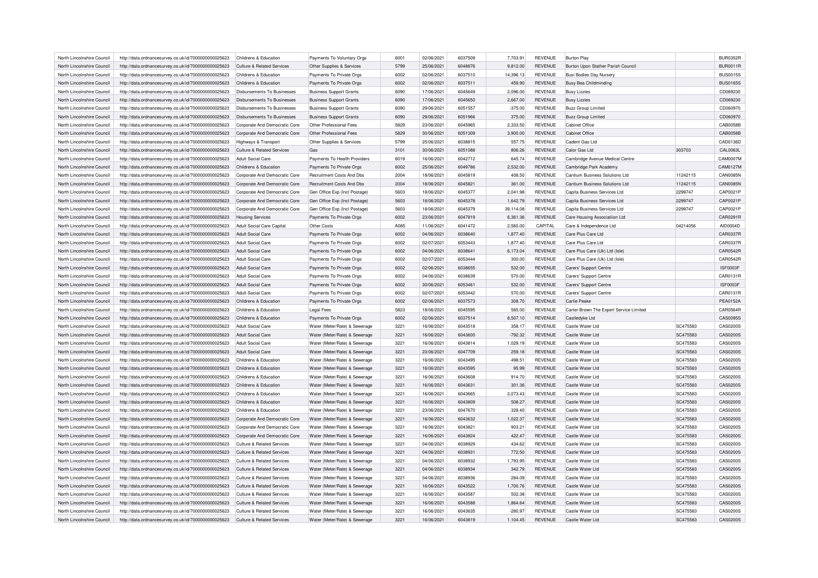| North Lincolnshire Council | http://data.ordnancesurvey.co.uk/id/7000000000025623 | Childrens & Education                 | Payments To Voluntary Orgs       | 6001 | 02/06/2021 | 6037509 | 7,703.91  | <b>REVENUE</b> | <b>Burton Play</b>                      |          | <b>BUR0352R</b> |
|----------------------------|------------------------------------------------------|---------------------------------------|----------------------------------|------|------------|---------|-----------|----------------|-----------------------------------------|----------|-----------------|
| North Lincolnshire Council | http://data.ordnancesurvey.co.uk/id/7000000000025623 | Culture & Related Services            | Other Supplies & Services        | 5799 | 25/06/2021 | 6048876 | 9,812.00  | <b>REVENUE</b> | Burton Upon Stather Parish Council      |          | <b>BUR0011R</b> |
| North Lincolnshire Council | http://data.ordnancesurvey.co.uk/id/7000000000025623 | Childrens & Education                 | Payments To Private Orgs         | 6002 | 02/06/2021 | 6037510 | 14,396.13 | <b>REVENUE</b> | <b>Busi Bodies Day Nursery</b>          |          | <b>BUS0015S</b> |
| North Lincolnshire Council | http://data.ordnancesurvey.co.uk/id/7000000000025623 | Childrens & Education                 | Payments To Private Orgs         | 6002 | 02/06/2021 | 6037511 | 459.90    | <b>REVENUE</b> | <b>Busy Bea Childminding</b>            |          | <b>BUS0165S</b> |
|                            |                                                      |                                       |                                  | 6090 | 17/06/2021 | 6045649 |           | <b>REVENUE</b> |                                         |          | CD069230        |
| North Lincolnshire Council | http://data.ordnancesurvey.co.uk/id/7000000000025623 | <b>Disbursements To Businesses</b>    | <b>Business Support Grants</b>   |      |            |         | 2,096.00  |                | <b>Busy Lizzies</b>                     |          |                 |
| North Lincolnshire Council | http://data.ordnancesurvey.co.uk/id/7000000000025623 | Disbursements To Businesses           | <b>Business Support Grants</b>   | 6090 | 17/06/2021 | 6045650 | 2,667.00  | <b>REVENUE</b> | <b>Busy Lizzies</b>                     |          | CD069230        |
| North Lincolnshire Council | http://data.ordnancesurvey.co.uk/id/7000000000025623 | Disbursements To Businesses           | <b>Business Support Grants</b>   | 6090 | 29/06/2021 | 6051557 | $-375.00$ | <b>REVENUE</b> | <b>Buzz Group Limited</b>               |          | CD060970        |
| North Lincolnshire Council | http://data.ordnancesurvey.co.uk/id/7000000000025623 | Disbursements To Businesses           | <b>Business Support Grants</b>   | 6090 | 29/06/2021 | 6051966 | 375.00    | <b>REVENUE</b> | <b>Buzz Group Limited</b>               |          | CD060970        |
| North Lincolnshire Council | http://data.ordnancesurvey.co.uk/id/7000000000025623 | Corporate And Democratic Core         | Other Professional Fees          | 5829 | 23/06/2021 | 6045965 | 2.333.50  | <b>REVENUE</b> | Cabinet Office                          |          | CAB0058B        |
| North Lincolnshire Council | http://data.ordnancesurvey.co.uk/id/7000000000025623 | Corporate And Democratic Core         | Other Professional Fees          | 5829 | 30/06/2021 | 6051309 | 3,900.00  | <b>REVENUE</b> | Cabinet Office                          |          | CAB0058B        |
| North Lincolnshire Council | http://data.ordnancesurvey.co.uk/id/7000000000025623 | Highways & Transport                  | Other Supplies & Services        | 5799 | 25/06/2021 | 6038815 | 557.75    | <b>REVENUE</b> | Cadent Gas Ltd                          |          | CAD0136D        |
| North Lincolnshire Council | http://data.ordnancesurvey.co.uk/id/7000000000025623 | Culture & Related Services            | Gas                              | 3101 | 30/06/2021 | 6051088 | 806.26    | <b>REVENUE</b> | Calor Gas Ltd                           | 303703   | <b>CAL0063L</b> |
| North Lincolnshire Council | http://data.ordnancesurvey.co.uk/id/7000000000025623 | <b>Adult Social Care</b>              | Payments To Health Providers     | 6019 | 16/06/2021 | 6042712 | 645.74    | <b>REVENUE</b> | Cambridge Avenue Medical Centre         |          | CAM0007M        |
| North Lincolnshire Council | http://data.ordnancesurvey.co.uk/id/7000000000025623 | Childrens & Education                 | Payments To Private Orgs         | 6002 | 25/06/2021 | 6049786 | 2,532.00  | <b>REVENUE</b> | Cambridge Park Academy                  |          | CAM0127M        |
| North Lincolnshire Council | http://data.ordnancesurvey.co.uk/id/7000000000025623 | Corporate And Democratic Core         | <b>Recruitment Costs And Dbs</b> | 2004 | 18/06/2021 | 6045819 | 408.50    | <b>REVENUE</b> | Cantium Business Solutions Ltd          | 11242115 | <b>CAN0085N</b> |
| North Lincolnshire Council | http://data.ordnancesurvey.co.uk/id/7000000000025623 | Corporate And Democratic Core         | <b>Recruitment Costs And Dbs</b> | 2004 | 18/06/2021 | 6045821 | 361.00    | <b>REVENUE</b> | Cantium Business Solutions Ltd          | 11242115 | <b>CAN0085N</b> |
| North Lincolnshire Council | http://data.ordnancesurvey.co.uk/id/7000000000025623 | Corporate And Democratic Core         | Gen Office Exp (Incl Postage)    | 5603 | 18/06/2021 | 6045377 | 2,041.98  | <b>REVENUE</b> | Capita Business Services Ltd            | 2299747  | CAP0021P        |
| North Lincolnshire Council | http://data.ordnancesurvey.co.uk/id/7000000000025623 | Corporate And Democratic Core         | Gen Office Exp (Incl Postage)    | 5603 | 18/06/2021 | 6045378 | 1,642.79  | <b>REVENUE</b> | Capita Business Services Ltd            | 2299747  | CAP0021P        |
| North Lincolnshire Council | http://data.ordnancesurvey.co.uk/id/7000000000025623 | Corporate And Democratic Core         | Gen Office Exp (Incl Postage)    | 5603 | 18/06/2021 | 6045379 | 39,114.08 | <b>REVENUE</b> | Capita Business Services Ltd            | 2299747  | CAP0021P        |
| North Lincolnshire Council | http://data.ordnancesurvey.co.uk/id/7000000000025623 | <b>Housing Services</b>               | Payments To Private Orgs         | 6002 | 23/06/2021 | 6047819 | 6,361.36  | <b>REVENUE</b> | Care Housing Associatiion Ltd           |          | CAR0291R        |
| North Lincolnshire Council |                                                      |                                       |                                  | A085 | 11/06/2021 | 6041472 |           | CAPITAL        |                                         |          | AID0004D        |
|                            | http://data.ordnancesurvey.co.uk/id/7000000000025623 | Adult Social Care Capital             | Other Costs                      |      |            |         | 2,560.00  |                | Care & Independence Ltd                 | 04214056 |                 |
| North Lincolnshire Council | http://data.ordnancesurvey.co.uk/id/7000000000025623 | <b>Adult Social Care</b>              | Payments To Private Orgs         | 6002 | 04/06/2021 | 6038640 | 1,877.40  | <b>REVENUE</b> | Care Plus Care Ltd                      |          | CAR0337R        |
| North Lincolnshire Council | http://data.ordnancesurvey.co.uk/id/7000000000025623 | <b>Adult Social Care</b>              | Payments To Private Orgs         | 6002 | 02/07/2021 | 6053443 | 1,877.40  | <b>REVENUE</b> | Care Plus Care I td                     |          | CAR0337R        |
| North Lincolnshire Council | http://data.ordnancesurvey.co.uk/id/7000000000025623 | Adult Social Care                     | Payments To Private Orgs         | 6002 | 04/06/2021 | 6038641 | 6,173.04  | <b>REVENUE</b> | Care Plus Care (Uk) Ltd (Isle)          |          | CAR0542R        |
| North Lincolnshire Council | http://data.ordnancesurvey.co.uk/id/7000000000025623 | <b>Adult Social Care</b>              | Payments To Private Orgs         | 6002 | 02/07/2021 | 6053444 | 300.00    | <b>REVENUE</b> | Care Plus Care (Uk) Ltd (Isle)          |          | CAR0542R        |
| North Lincolnshire Council | http://data.ordnancesurvey.co.uk/id/7000000000025623 | Adult Social Care                     | Payments To Private Orgs         | 6002 | 02/06/2021 | 6038655 | 532.00    | <b>REVENUE</b> | Carers' Support Centre                  |          | <b>ISF0003F</b> |
| North Lincolnshire Council | http://data.ordnancesurvey.co.uk/id/7000000000025623 | Adult Social Care                     | Payments To Private Orgs         | 6002 | 04/06/2021 | 6038639 | 570.00    | <b>REVENUE</b> | Carers' Support Centre                  |          | CAR0131R        |
| North Lincolnshire Council | http://data.ordnancesurvey.co.uk/id/7000000000025623 | Adult Social Care                     | Payments To Private Orgs         | 6002 | 30/06/2021 | 6053461 | 532.00    | <b>REVENUE</b> | Carers' Support Centre                  |          | <b>ISF0003F</b> |
| North Lincolnshire Council | http://data.ordnancesurvey.co.uk/id/7000000000025623 | Adult Social Care                     | Payments To Private Orgs         | 6002 | 02/07/2021 | 6053442 | 570.00    | <b>REVENUE</b> | Carers' Support Centre                  |          | CAR0131R        |
| North Lincolnshire Council | http://data.ordnancesurvey.co.uk/id/7000000000025623 | Childrens & Education                 | Payments To Private Orgs         | 6002 | 02/06/2021 | 6037573 | 308.70    | <b>REVENUE</b> | Carlie Peake                            |          | <b>PEA0152A</b> |
| North Lincolnshire Council | http://data.ordnancesurvey.co.uk/id/7000000000025623 | Childrens & Education                 | <b>Legal Fees</b>                | 5823 | 18/06/2021 | 6045595 | 585.00    | <b>REVENUE</b> | Carter Brown The Expert Service Limited |          | CAR0564R        |
| North Lincolnshire Council | http://data.ordnancesurvey.co.uk/id/7000000000025623 | Childrens & Education                 | Payments To Private Orgs         | 6002 | 02/06/2021 | 6037514 | 8,507.10  | <b>REVENUE</b> | Castledyke Ltd                          |          | CAS0095S        |
| North Lincolnshire Council | http://data.ordnancesurvey.co.uk/id/7000000000025623 | Adult Social Care                     | Water (Meter/Rate) & Sewerage    | 3221 | 16/06/2021 | 6043518 | 358.17    | <b>REVENUE</b> | Castle Water Ltd                        | SC475583 | CAS0200S        |
| North Lincolnshire Council | http://data.ordnancesurvey.co.uk/id/7000000000025623 | Adult Social Care                     | Water (Meter/Rate) & Sewerage    | 3221 | 16/06/2021 | 6043600 | $-792.32$ | <b>REVENUE</b> | Castle Water I td                       | SC475583 | CAS0200S        |
| North Lincolnshire Council | http://data.ordnancesurvey.co.uk/id/7000000000025623 | <b>Adult Social Care</b>              | Water (Meter/Rate) & Sewerage    | 3221 | 16/06/2021 | 6043814 | 1,029.19  | <b>REVENUE</b> | Castle Water Ltd                        | SC475583 | CAS0200S        |
| North Lincolnshire Council | http://data.ordnancesurvey.co.uk/id/7000000000025623 | Adult Social Care                     | Water (Meter/Rate) & Sewerage    | 3221 | 23/06/2021 | 6047709 | 259.18    | <b>REVENUE</b> | Castle Water Ltd                        | SC475583 | CAS0200S        |
|                            |                                                      |                                       |                                  | 3221 |            | 6043495 |           |                |                                         |          |                 |
| North Lincolnshire Council | http://data.ordnancesurvey.co.uk/id/7000000000025623 | Childrens & Education                 | Water (Meter/Rate) & Sewerage    |      | 16/06/2021 |         | 498.51    | <b>REVENUE</b> | Castle Water Ltd                        | SC475583 | CAS0200S        |
| North Lincolnshire Council | http://data.ordnancesurvey.co.uk/id/7000000000025623 | Childrens & Education                 | Water (Meter/Rate) & Sewerage    | 3221 | 16/06/2021 | 6043595 | 95.99     | <b>REVENUE</b> | Castle Water Ltd                        | SC475583 | CAS0200S        |
| North Lincolnshire Council | http://data.ordnancesurvey.co.uk/id/7000000000025623 | Childrens & Education                 | Water (Meter/Rate) & Sewerage    | 3221 | 16/06/2021 | 6043608 | 914.70    | <b>REVENUE</b> | Castle Water Ltd                        | SC475583 | CAS0200S        |
| North Lincolnshire Council | http://data.ordnancesurvey.co.uk/id/7000000000025623 | Childrens & Education                 | Water (Meter/Rate) & Sewerage    | 3221 | 16/06/2021 | 6043631 | 301.36    | <b>REVENUE</b> | Castle Water Ltd                        | SC475583 | CAS0200S        |
| North Lincolnshire Council | http://data.ordnancesurvey.co.uk/id/7000000000025623 | Childrens & Education                 | Water (Meter/Rate) & Sewerage    | 3221 | 16/06/2021 | 6043665 | 2,073.43  | <b>REVENUE</b> | Castle Water Ltd                        | SC475583 | CAS0200S        |
| North Lincolnshire Council | http://data.ordnancesurvey.co.uk/id/7000000000025623 | Childrens & Education                 | Water (Meter/Rate) & Sewerage    | 3221 | 16/06/2021 | 6043809 | 508.27    | <b>REVENUE</b> | Castle Water Ltd                        | SC475583 | CAS0200S        |
| North Lincolnshire Council | http://data.ordnancesurvey.co.uk/id/7000000000025623 | Childrens & Education                 | Water (Meter/Rate) & Sewerage    | 3221 | 23/06/2021 | 6047670 | 328.40    | <b>REVENUE</b> | Castle Water I td                       | SC475583 | CAS0200S        |
| North Lincolnshire Council | http://data.ordnancesurvey.co.uk/id/7000000000025623 | Corporate And Democratic Core         | Water (Meter/Rate) & Sewerage    | 3221 | 16/06/2021 | 6043632 | 1,022.37  | <b>REVENUE</b> | Castle Water Ltd                        | SC475583 | CAS0200S        |
| North Lincolnshire Council | http://data.ordnancesurvey.co.uk/id/7000000000025623 | Corporate And Democratic Core         | Water (Meter/Rate) & Sewerage    | 3221 | 16/06/2021 | 6043821 | 903.21    | <b>REVENUE</b> | Castle Water Ltd                        | SC475583 | CAS0200S        |
| North Lincolnshire Council | http://data.ordnancesurvey.co.uk/id/7000000000025623 | Corporate And Democratic Core         | Water (Meter/Rate) & Sewerage    | 3221 | 16/06/2021 | 6043824 | 422.47    | <b>REVENUE</b> | Castle Water Ltd                        | SC475583 | CAS0200S        |
| North Lincolnshire Council | http://data.ordnancesurvey.co.uk/id/7000000000025623 | <b>Culture &amp; Related Services</b> | Water (Meter/Rate) & Sewerage    | 3221 | 04/06/2021 | 6038929 | 434.62    | <b>REVENUE</b> | Castle Water Ltd                        | SC475583 | CAS0200S        |
| North Lincolnshire Council | http://data.ordnancesurvey.co.uk/id/7000000000025623 | Culture & Related Services            | Water (Meter/Rate) & Sewerage    | 3221 | 04/06/2021 | 6038931 | 772.50    | <b>REVENUE</b> | Castle Water Ltd                        | SC475583 | CAS0200S        |
| North Lincolnshire Council | http://data.ordnancesurvey.co.uk/id/7000000000025623 | <b>Culture &amp; Related Services</b> | Water (Meter/Rate) & Sewerage    | 3221 | 04/06/2021 | 6038932 | 1,793.95  | <b>REVENUE</b> | Castle Water Ltd                        | SC475583 | CAS0200S        |
| North Lincolnshire Council | http://data.ordnancesurvey.co.uk/id/7000000000025623 | Culture & Related Services            | Water (Meter/Rate) & Sewerage    | 3221 | 04/06/2021 | 6038934 | 342.79    | <b>REVENUE</b> | Castle Water Ltd                        | SC475583 | CAS0200S        |
| North Lincolnshire Council | http://data.ordnancesurvey.co.uk/id/7000000000025623 | Culture & Related Services            | Water (Meter/Rate) & Sewerage    | 3221 | 04/06/2021 | 6038936 | 284.09    | <b>REVENUE</b> | Castle Water Ltd                        | SC475583 | CAS0200S        |
|                            |                                                      |                                       |                                  |      |            |         |           |                |                                         |          |                 |
| North Lincolnshire Council | http://data.ordnancesurvey.co.uk/id/7000000000025623 | Culture & Related Services            | Water (Meter/Rate) & Sewerage    | 3221 | 16/06/2021 | 6043522 | 1,700.76  | <b>REVENUE</b> | Castle Water Ltd                        | SC475583 | CAS0200S        |
| North Lincolnshire Council | http://data.ordnancesurvey.co.uk/id/7000000000025623 | <b>Culture &amp; Related Services</b> | Water (Meter/Rate) & Sewerage    | 3221 | 16/06/2021 | 6043587 | 502.38    | <b>REVENUE</b> | Castle Water Ltd                        | SC475583 | CAS0200S        |
| North Lincolnshire Council | http://data.ordnancesurvey.co.uk/id/7000000000025623 | Culture & Related Services            | Water (Meter/Rate) & Sewerage    | 3221 | 16/06/2021 | 6043588 | 1.864.64  | <b>REVENUE</b> | Castle Water Ltd                        | SC475583 | CAS0200S        |
| North Lincolnshire Council | http://data.ordnancesurvey.co.uk/id/7000000000025623 | Culture & Related Services            | Water (Meter/Rate) & Sewerage    | 3221 | 16/06/2021 | 6043635 | $-280.97$ | <b>REVENUE</b> | Castle Water I td                       | SC475583 | CAS0200S        |
| North Lincolnshire Council | http://data.ordnancesurvey.co.uk/id/7000000000025623 | Culture & Related Services            | Water (Meter/Rate) & Sewerage    | 3221 | 16/06/2021 | 6043819 | 1,104.45  | <b>REVENUE</b> | Castle Water Ltd                        | SC475583 | CAS0200S        |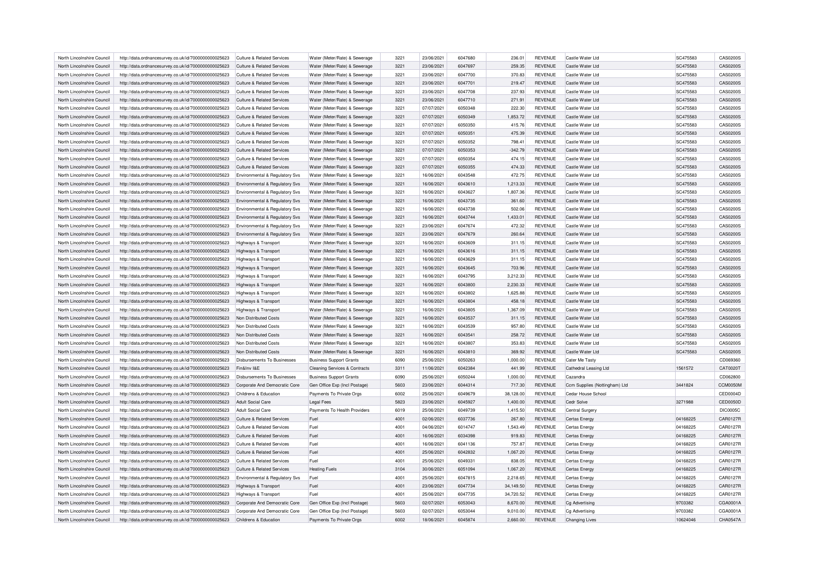| North Lincolnshire Council | http://data.ordnancesurvey.co.uk/id/7000000000025623 | Culture & Related Services            | Water (Meter/Rate) & Sewerage            | 3221         | 23/06/2021 | 6047680            | 236.01           | <b>REVENUE</b>                   | Castle Water Ltd                     | SC475583 | CAS0200S        |
|----------------------------|------------------------------------------------------|---------------------------------------|------------------------------------------|--------------|------------|--------------------|------------------|----------------------------------|--------------------------------------|----------|-----------------|
| North Lincolnshire Council | http://data.ordnancesurvey.co.uk/id/7000000000025623 | <b>Culture &amp; Related Services</b> | Water (Meter/Rate) & Sewerage            | 3221         | 23/06/2021 | 6047697            | 259.35           | <b>REVENUE</b>                   | Castle Water Ltd                     | SC475583 | CAS0200S        |
| North Lincolnshire Council | http://data.ordnancesurvey.co.uk/id/7000000000025623 | Culture & Related Services            | Water (Meter/Rate) & Sewerage            | 3221         | 23/06/2021 | 6047700            | 370.83           | <b>REVENUE</b>                   | Castle Water Ltd                     | SC475583 | CAS0200S        |
| North Lincolnshire Council | http://data.ordnancesurvey.co.uk/id/7000000000025623 | <b>Culture &amp; Related Services</b> | Water (Meter/Rate) & Sewerage            | 3221         | 23/06/2021 | 6047701            | 219.47           | <b>REVENUE</b>                   | Castle Water Ltd                     | SC475583 | CAS0200S        |
| North Lincolnshire Council | http://data.ordnancesurvey.co.uk/id/7000000000025623 | <b>Culture &amp; Related Services</b> | Water (Meter/Rate) & Sewerage            | 3221         | 23/06/2021 | 6047708            | 237.93           | <b>REVENUE</b>                   | Castle Water Ltd                     | SC475583 | CAS0200S        |
| North Lincolnshire Council | http://data.ordnancesurvey.co.uk/id/7000000000025623 | <b>Culture &amp; Related Services</b> | Water (Meter/Rate) & Sewerage            | 3221         | 23/06/2021 | 6047710            | 271.91           | <b>REVENUE</b>                   | Castle Water Ltd                     | SC475583 | CAS0200S        |
|                            |                                                      |                                       |                                          | 3221         |            |                    |                  | <b>REVENUE</b>                   |                                      |          | CAS0200S        |
| North Lincolnshire Council | http://data.ordnancesurvey.co.uk/id/7000000000025623 | Culture & Related Services            | Water (Meter/Rate) & Sewerage            | 3221         | 07/07/2021 | 6050348<br>6050349 | 222.30           |                                  | Castle Water Ltd<br>Castle Water Ltd | SC475583 |                 |
| North Lincolnshire Council | http://data.ordnancesurvey.co.uk/id/7000000000025623 | <b>Culture &amp; Related Services</b> | Water (Meter/Rate) & Sewerage            |              | 07/07/2021 |                    | 1,853.72         | <b>REVENUE</b>                   |                                      | SC475583 | CAS0200S        |
| North Lincolnshire Council | http://data.ordnancesurvey.co.uk/id/7000000000025623 | Culture & Related Services            | Water (Meter/Rate) & Sewerage            | 3221         | 07/07/2021 | 6050350            | 415.76           | <b>REVENUE</b>                   | Castle Water Ltd                     | SC475583 | CAS0200S        |
| North Lincolnshire Council | http://data.ordnancesurvey.co.uk/id/7000000000025623 | Culture & Related Services            | Water (Meter/Rate) & Sewerage            | 3221         | 07/07/2021 | 6050351            | 475.39           | <b>REVENUE</b>                   | Castle Water Ltd                     | SC475583 | CAS0200S        |
| North Lincolnshire Council | http://data.ordnancesurvey.co.uk/id/7000000000025623 | Culture & Related Services            | Water (Meter/Rate) & Sewerage            | 3221         | 07/07/2021 | 6050352            | 798.41           | <b>REVENUE</b>                   | Castle Water Ltd                     | SC475583 | CAS0200S        |
| North Lincolnshire Council | http://data.ordnancesurvey.co.uk/id/7000000000025623 | Culture & Related Services            | Water (Meter/Rate) & Sewerage            | 3221         | 07/07/2021 | 6050353            | $-342.79$        | <b>REVENUE</b>                   | Castle Water Ltd                     | SC475583 | CAS0200S        |
| North Lincolnshire Council | http://data.ordnancesurvey.co.uk/id/7000000000025623 | <b>Culture &amp; Related Services</b> | Water (Meter/Rate) & Sewerage            | 3221         | 07/07/2021 | 6050354            | 474.15           | <b>REVENUE</b>                   | Castle Water Ltd                     | SC475583 | CAS0200S        |
| North Lincolnshire Council | http://data.ordnancesurvey.co.uk/id/7000000000025623 | Culture & Related Services            | Water (Meter/Rate) & Sewerage            | 3221         | 07/07/2021 | 6050355            | 474.33           | <b>REVENUE</b>                   | Castle Water Ltd                     | SC475583 | CAS0200S        |
| North Lincolnshire Council | http://data.ordnancesurvey.co.uk/id/7000000000025623 | Environmental & Regulatory Svs        | Water (Meter/Rate) & Sewerage            | 3221         | 16/06/2021 | 6043548            | 472.75           | <b>REVENUE</b>                   | Castle Water Ltd                     | SC475583 | CAS0200S        |
| North Lincolnshire Council | http://data.ordnancesurvey.co.uk/id/7000000000025623 | Environmental & Regulatory Svs        | Water (Meter/Rate) & Sewerage            | 3221         | 16/06/2021 | 6043610            | 1,213.33         | <b>REVENUE</b>                   | Castle Water Ltd                     | SC475583 | CAS0200S        |
| North Lincolnshire Council | http://data.ordnancesurvey.co.uk/id/7000000000025623 | Environmental & Regulatory Svs        | Water (Meter/Rate) & Sewerage            | 3221         | 16/06/2021 | 6043627            | 1,807.36         | <b>REVENUE</b>                   | Castle Water Ltd                     | SC475583 | CAS0200S        |
| North Lincolnshire Council | http://data.ordnancesurvey.co.uk/id/7000000000025623 | Environmental & Regulatory Svs        | Water (Meter/Rate) & Sewerage            | 3221         | 16/06/2021 | 6043735            | 361.60           | <b>REVENUE</b>                   | Castle Water Ltd                     | SC475583 | CAS0200S        |
| North Lincolnshire Council | http://data.ordnancesurvey.co.uk/id/7000000000025623 | Environmental & Regulatory Svs        | Water (Meter/Rate) & Sewerage            | 3221         | 16/06/2021 | 6043738            | 502.06           | <b>REVENUE</b>                   | Castle Water Ltd                     | SC475583 | CAS0200S        |
| North Lincolnshire Council | http://data.ordnancesurvey.co.uk/id/7000000000025623 | Environmental & Regulatory Svs        | Water (Meter/Rate) & Sewerage            | 3221         | 16/06/2021 | 6043744            | 1,433.01         | <b>REVENUE</b>                   | Castle Water Ltd                     | SC475583 | CAS0200S        |
| North Lincolnshire Council | http://data.ordnancesurvey.co.uk/id/7000000000025623 | Environmental & Regulatory Svs        | Water (Meter/Rate) & Sewerage            | 3221         | 23/06/2021 | 6047674            | 472.32           | <b>REVENUE</b>                   | Castle Water Ltd                     | SC475583 | CAS0200S        |
| North Lincolnshire Council | http://data.ordnancesurvey.co.uk/id/7000000000025623 | Environmental & Regulatory Svs        | Water (Meter/Rate) & Sewerage            | 3221         | 23/06/2021 | 6047679            | 260.64           | <b>REVENUE</b>                   | Castle Water Ltd                     | SC475583 | CAS0200S        |
| North Lincolnshire Council | http://data.ordnancesurvey.co.uk/id/7000000000025623 | Highways & Transport                  | Water (Meter/Rate) & Sewerage            | 3221         | 16/06/2021 | 6043609            | 311.15           | <b>REVENUE</b>                   | Castle Water I td                    | SC475583 | CAS0200S        |
| North Lincolnshire Council | http://data.ordnancesurvey.co.uk/id/7000000000025623 | Highways & Transport                  | Water (Meter/Rate) & Sewerage            | 3221         | 16/06/2021 | 6043616            | 311.15           | <b>REVENUE</b>                   | Castle Water Ltd                     | SC475583 | CAS0200S        |
|                            |                                                      |                                       |                                          |              | 16/06/2021 | 6043629            |                  |                                  |                                      | SC475583 | CAS0200S        |
| North Lincolnshire Council | http://data.ordnancesurvey.co.uk/id/7000000000025623 | Highways & Transport                  | Water (Meter/Rate) & Sewerage            | 3221<br>3221 | 16/06/2021 | 6043645            | 311.15<br>703.96 | <b>REVENUE</b><br><b>REVENUE</b> | Castle Water Ltd<br>Castle Water Ltd | SC475583 | CAS0200S        |
| North Lincolnshire Council | http://data.ordnancesurvey.co.uk/id/7000000000025623 | Highways & Transport                  | Water (Meter/Rate) & Sewerage            |              |            |                    |                  |                                  |                                      |          |                 |
| North Lincolnshire Council | http://data.ordnancesurvey.co.uk/id/7000000000025623 | Highways & Transport                  | Water (Meter/Rate) & Sewerage            | 3221         | 16/06/2021 | 6043795            | 3,212.33         | <b>REVENUE</b>                   | Castle Water Ltd                     | SC475583 | CAS0200S        |
| North Lincolnshire Council | http://data.ordnancesurvey.co.uk/id/7000000000025623 | Highways & Transport                  | Water (Meter/Rate) & Sewerage            | 3221         | 16/06/2021 | 6043800            | 2,230.33         | <b>REVENUE</b>                   | Castle Water Ltd                     | SC475583 | CAS0200S        |
| North Lincolnshire Council | http://data.ordnancesurvey.co.uk/id/7000000000025623 | <b>Highways &amp; Transport</b>       | Water (Meter/Rate) & Sewerage            | 3221         | 16/06/2021 | 6043802            | 1,625.88         | <b>REVENUE</b>                   | Castle Water Ltd                     | SC475583 | CAS0200S        |
| North Lincolnshire Council | http://data.ordnancesurvey.co.uk/id/7000000000025623 | Highways & Transport                  | Water (Meter/Rate) & Sewerage            | 3221         | 16/06/2021 | 6043804            | 458.18           | <b>REVENUE</b>                   | Castle Water Ltd                     | SC475583 | CAS0200S        |
| North Lincolnshire Council | http://data.ordnancesurvey.co.uk/id/7000000000025623 | Highways & Transport                  | Water (Meter/Rate) & Sewerage            | 3221         | 16/06/2021 | 6043805            | 1,367.09         | <b>REVENUE</b>                   | Castle Water Ltd                     | SC475583 | CAS0200S        |
| North Lincolnshire Council | http://data.ordnancesurvey.co.uk/id/7000000000025623 | Non Distributed Costs                 | Water (Meter/Rate) & Sewerage            | 3221         | 16/06/2021 | 6043537            | 311.15           | <b>REVENUE</b>                   | Castle Water Ltd                     | SC475583 | CAS0200S        |
| North Lincolnshire Council | http://data.ordnancesurvey.co.uk/id/7000000000025623 | Non Distributed Costs                 | Water (Meter/Rate) & Sewerage            | 3221         | 16/06/2021 | 6043539            | 957.80           | <b>REVENUE</b>                   | Castle Water Ltd                     | SC475583 | CAS0200S        |
| North Lincolnshire Council | http://data.ordnancesurvey.co.uk/id/7000000000025623 | Non Distributed Costs                 | Water (Meter/Rate) & Sewerage            | 3221         | 16/06/2021 | 6043541            | 258.72           | <b>REVENUE</b>                   | Castle Water Ltd                     | SC475583 | CAS0200S        |
| North Lincolnshire Council | http://data.ordnancesurvey.co.uk/id/7000000000025623 | Non Distributed Costs                 | Water (Meter/Rate) & Sewerage            | 3221         | 16/06/2021 | 6043807            | 353.83           | <b>REVENUE</b>                   | Castle Water Ltd                     | SC475583 | CAS0200S        |
| North Lincolnshire Council | http://data.ordnancesurvey.co.uk/id/7000000000025623 | Non Distributed Costs                 | Water (Meter/Rate) & Sewerage            | 3221         | 16/06/2021 | 6043810            | 369.92           | <b>REVENUE</b>                   | Castle Water Ltd                     | SC475583 | CAS0200S        |
| North Lincolnshire Council | http://data.ordnancesurvey.co.uk/id/7000000000025623 | Disbursements To Businesses           | <b>Business Support Grants</b>           | 6090         | 25/06/2021 | 6050263            | 1,000.00         | <b>REVENUE</b>                   | Cater Me Tasty                       |          | CD069360        |
| North Lincolnshire Council | http://data.ordnancesurvey.co.uk/id/7000000000025623 | Fin&Inv I&F                           | <b>Cleaning Services &amp; Contracts</b> | 3311         | 11/06/2021 | 6042384            | 441.99           | <b>REVENUE</b>                   | Cathedral Leasing Ltd                | 1561572  | CAT0020T        |
| North Lincolnshire Council | http://data.ordnancesurvey.co.uk/id/7000000000025623 | Disbursements To Businesses           | <b>Business Support Grants</b>           | 6090         | 25/06/2021 | 6050244            | 1,000.00         | <b>REVENUE</b>                   | Cazandra                             |          | CD062800        |
| North Lincolnshire Council | http://data.ordnancesurvey.co.uk/id/7000000000025623 | Corporate And Democratic Core         | Gen Office Exp (Incl Postage)            | 5603         | 23/06/2021 | 6044314            | 717.30           | <b>REVENUE</b>                   | Ccm Supplies (Nottingham) Ltd        | 3441824  | CCM0050M        |
| North Lincolnshire Council | http://data.ordnancesurvey.co.uk/id/7000000000025623 | Childrens & Education                 | Payments To Private Orgs                 | 6002         | 25/06/2021 | 6049679            | 38,128.00        | <b>REVENUE</b>                   | Cedar House School                   |          | CED0004D        |
| North Lincolnshire Council | http://data.ordnancesurvey.co.uk/id/7000000000025623 | <b>Adult Social Care</b>              | <b>Legal Fees</b>                        | 5823         | 23/06/2021 | 6045927            | 1,400.00         | <b>REVENUE</b>                   | Cedr Solve                           | 3271988  | CED0050D        |
| North Lincolnshire Council | http://data.ordnancesurvey.co.uk/id/7000000000025623 | <b>Adult Social Care</b>              | Payments To Health Providers             | 6019         | 25/06/2021 | 6049739            | 1,415.50         | <b>REVENUE</b>                   | Central Surgery                      |          | <b>DIC0005C</b> |
| North Lincolnshire Council | http://data.ordnancesurvey.co.uk/id/7000000000025623 | Culture & Related Services            | Fuel                                     | 4001         | 02/06/2021 | 6037736            | 267.80           | <b>REVENUE</b>                   | Certas Energy                        | 04168225 | <b>CAR0127R</b> |
| North Lincolnshire Council | http://data.ordnancesurvey.co.uk/id/7000000000025623 | Culture & Related Services            | Fuel                                     | 4001         | 04/06/2021 | 6014747            | 1.543.49         | <b>REVENUE</b>                   | Certas Energy                        | 04168225 | CAR0127R        |
| North Lincolnshire Council |                                                      | Culture & Related Services            |                                          | 4001         | 16/06/2021 | 6034398            | 919.83           | <b>REVENUE</b>                   |                                      | 04168225 | CAR0127R        |
|                            | http://data.ordnancesurvey.co.uk/id/7000000000025623 |                                       | Fuel                                     |              |            |                    |                  |                                  | Certas Energy                        |          |                 |
| North Lincolnshire Council | http://data.ordnancesurvey.co.uk/id/7000000000025623 | Culture & Related Services            | Fuel                                     | 4001         | 16/06/2021 | 6041136            | 757.87           | <b>REVENUE</b>                   | Certas Energy                        | 04168225 | CAR0127R        |
| North Lincolnshire Council | http://data.ordnancesurvey.co.uk/id/7000000000025623 | Culture & Related Services            | Fuel                                     | 4001         | 25/06/2021 | 6042832            | 1.067.20         | <b>REVENUE</b>                   | Certas Energy                        | 04168225 | CAR0127R        |
| North Lincolnshire Council | http://data.ordnancesurvey.co.uk/id/7000000000025623 | Culture & Related Services            | Fuel                                     | 4001         | 25/06/2021 | 6049331            | 838.05           | <b>REVENUE</b>                   | Certas Energy                        | 04168225 | CAR0127R        |
| North Lincolnshire Council | http://data.ordnancesurvey.co.uk/id/7000000000025623 | <b>Culture &amp; Related Services</b> | <b>Heating Fuels</b>                     | 3104         | 30/06/2021 | 6051094            | 1,067.20         | <b>REVENUE</b>                   | Certas Energy                        | 04168225 | CAR0127R        |
| North Lincolnshire Council | http://data.ordnancesurvey.co.uk/id/7000000000025623 | Environmental & Regulatory Svs        | Fuel                                     | 4001         | 25/06/2021 | 6047815            | 2.218.65         | <b>REVENUE</b>                   | Certas Energy                        | 04168225 | CAR0127R        |
| North Lincolnshire Council | http://data.ordnancesurvey.co.uk/id/7000000000025623 | Highways & Transport                  | Fuel                                     | 4001         | 23/06/2021 | 6047734            | 34,149.50        | <b>REVENUE</b>                   | Certas Energy                        | 04168225 | CAR0127R        |
| North Lincolnshire Council | http://data.ordnancesurvey.co.uk/id/7000000000025623 | Highways & Transport                  | Fuel                                     | 4001         | 25/06/2021 | 6047735            | 34,720.52        | <b>REVENUE</b>                   | Certas Energy                        | 04168225 | CAR0127R        |
| North Lincolnshire Council | http://data.ordnancesurvey.co.uk/id/7000000000025623 | Corporate And Democratic Core         | Gen Office Exp (Incl Postage)            | 5603         | 02/07/2021 | 6053043            | 8.670.00         | <b>REVENUE</b>                   | Cg Advertising                       | 9703382  | CGA0001A        |
| North Lincolnshire Council | http://data.ordnancesurvey.co.uk/id/7000000000025623 | Corporate And Democratic Core         | Gen Office Exp (Incl Postage)            | 5603         | 02/07/2021 | 6053044            | 9,010.00         | <b>REVENUE</b>                   | Cg Advertising                       | 9703382  | CGA0001A        |
| North Lincolnshire Council | http://data.ordnancesurvey.co.uk/id/7000000000025623 | Childrens & Education                 | Payments To Private Orgs                 | 6002         | 18/06/2021 | 6045874            | 2,660.00         | <b>REVENUE</b>                   | Changing Lives                       | 10624046 | CHA0547A        |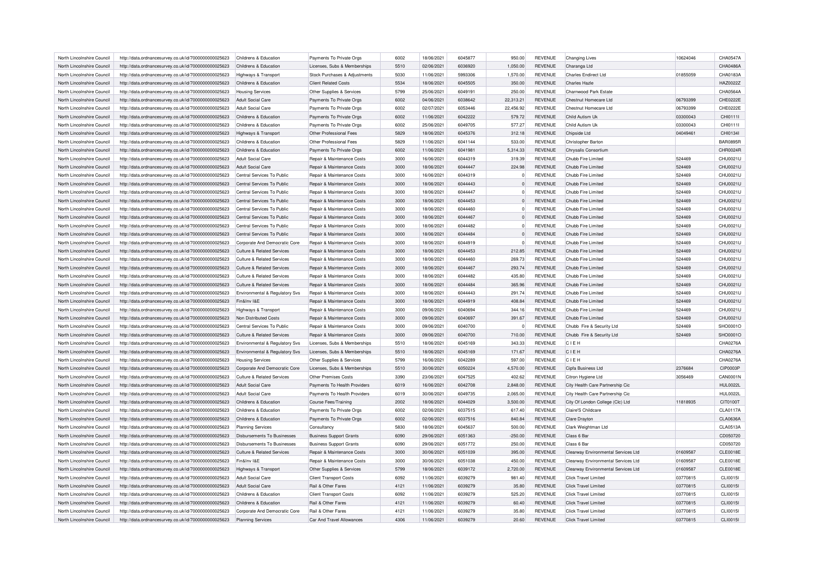| North Lincolnshire Council | http://data.ordnancesurvey.co.uk/id/7000000000025623 | Childrens & Education          | Payments To Private Orgs              | 6002 | 18/06/2021 | 6045877 | 950.00    | <b>REVENUE</b> | <b>Changing Lives</b>               | 10624046 | CHA0547A        |
|----------------------------|------------------------------------------------------|--------------------------------|---------------------------------------|------|------------|---------|-----------|----------------|-------------------------------------|----------|-----------------|
| North Lincolnshire Council | http://data.ordnancesurvey.co.uk/id/7000000000025623 | Childrens & Education          | Licenses, Subs & Memberships          | 5510 | 02/06/2021 | 6036920 | 1,050.00  | REVENUE        | Charanga Ltd                        |          | CHA0486A        |
| North Lincolnshire Council | http://data.ordnancesurvey.co.uk/id/7000000000025623 | Highways & Transport           | Stock Purchases & Adjustments         | 5030 | 11/06/2021 | 5993306 | 1,570.00  | REVENUE        | <b>Charles Endirect Ltd</b>         | 01855059 | CHA0183A        |
| North Lincolnshire Council | http://data.ordnancesurvey.co.uk/id/7000000000025623 | Childrens & Education          | <b>Client Related Costs</b>           | 5534 | 18/06/2021 | 6045505 | 350.00    | <b>REVENUE</b> | Charles Hazle                       |          | HAZ0022Z        |
| North Lincolnshire Council | http://data.ordnancesurvey.co.uk/id/7000000000025623 | <b>Housing Services</b>        | Other Supplies & Services             | 5799 | 25/06/2021 | 6049191 | 250.00    | <b>REVENUE</b> | Charnwood Park Estate               |          | CHA0564A        |
| North Lincolnshire Council | http://data.ordnancesurvey.co.uk/id/7000000000025623 | Adult Social Care              | Payments To Private Orgs              | 6002 | 04/06/2021 | 6038642 | 22,313.21 | REVENUE        | Chestnut Homecare Ltd               | 06793399 | CHE0222E        |
| North Lincolnshire Council | http://data.ordnancesurvey.co.uk/id/7000000000025623 | Adult Social Care              | Payments To Private Orgs              | 6002 | 02/07/2021 | 6053446 | 22,456.92 | <b>REVENUE</b> | Chestnut Homecare Ltd               | 06793399 | CHE0222E        |
| North Lincolnshire Council | http://data.ordnancesurvey.co.uk/id/7000000000025623 | Childrens & Education          | Payments To Private Orgs              | 6002 | 11/06/2021 | 6042222 | 579.72    | <b>REVENUE</b> | Child Autism Uk                     | 03300043 | CHI01111        |
| North Lincolnshire Council | http://data.ordnancesurvey.co.uk/id/7000000000025623 | Childrens & Education          | Payments To Private Orgs              | 6002 | 25/06/2021 | 6049705 | 577.27    | <b>REVENUE</b> | Child Autism Uk                     | 03300043 | CHI0111         |
| North Lincolnshire Council | http://data.ordnancesurvey.co.uk/id/7000000000025623 | Highways & Transport           | Other Professional Fees               | 5829 | 18/06/2021 | 6045376 | 312.18    | <b>REVENUE</b> | Chipside Ltd                        | 04049461 | CHI01341        |
| North Lincolnshire Council | http://data.ordnancesurvey.co.uk/id/7000000000025623 | Childrens & Education          | Other Professional Fees               | 5829 | 11/06/2021 | 6041144 | 533.00    | <b>REVENUE</b> | Christopher Barton                  |          | <b>BAR0895R</b> |
| North Lincolnshire Council | http://data.ordnancesurvey.co.uk/id/7000000000025623 | Childrens & Education          | Payments To Private Orgs              | 6002 | 11/06/2021 | 6041981 | 5,314.33  | REVENUE        | Chrysalis Consortium                |          | CHR0024F        |
| North Lincolnshire Council | http://data.ordnancesurvey.co.uk/id/7000000000025623 | <b>Adult Social Care</b>       | Repair & Maintenance Costs            | 3000 | 16/06/2021 | 6044319 | 319.39    | <b>REVENUE</b> | Chubb Fire Limited                  | 524469   | CHU0021U        |
| North Lincolnshire Council | http://data.ordnancesurvey.co.uk/id/7000000000025623 | Adult Social Care              | Repair & Maintenance Costs            | 3000 | 18/06/2021 | 6044447 | 224.98    | REVENUE        | Chubb Fire Limited                  | 524469   | CHU0021U        |
| North Lincolnshire Council | http://data.ordnancesurvey.co.uk/id/7000000000025623 | Central Services To Public     | Repair & Maintenance Costs            | 3000 | 16/06/2021 | 6044319 |           | <b>REVENUE</b> | Chubb Fire Limited                  | 524469   | CHU0021U        |
| North Lincolnshire Council | http://data.ordnancesurvey.co.uk/id/7000000000025623 | Central Services To Public     | Repair & Maintenance Costs            | 3000 | 18/06/2021 | 6044443 |           | <b>REVENUE</b> | Chubb Fire Limited                  | 524469   | CHU0021U        |
| North Lincolnshire Council | http://data.ordnancesurvey.co.uk/id/7000000000025623 | Central Services To Public     | Repair & Maintenance Costs            | 3000 | 18/06/2021 | 6044447 | $\Omega$  | <b>REVENUE</b> | Chubb Fire Limited                  | 524469   | CHU0021U        |
| North Lincolnshire Council | http://data.ordnancesurvey.co.uk/id/7000000000025623 | Central Services To Public     | Repair & Maintenance Costs            | 3000 | 18/06/2021 | 6044453 |           | <b>REVENUE</b> | Chubb Fire Limited                  | 524469   | CHU0021U        |
| North Lincolnshire Council | http://data.ordnancesurvey.co.uk/id/7000000000025623 | Central Services To Public     | Repair & Maintenance Costs            | 3000 | 18/06/2021 | 6044460 |           | <b>REVENUE</b> | Chubb Fire Limited                  | 524469   | CHU0021U        |
| North Lincolnshire Council |                                                      | Central Services To Public     | Repair & Maintenance Costs            | 3000 | 18/06/2021 | 6044467 | $\Omega$  | <b>REVENUE</b> | Chubb Fire Limited                  | 524469   | CHU0021U        |
|                            | http://data.ordnancesurvey.co.uk/id/7000000000025623 |                                |                                       | 3000 |            | 6044482 | $\Omega$  |                |                                     |          |                 |
| North Lincolnshire Council | http://data.ordnancesurvey.co.uk/id/7000000000025623 | Central Services To Public     | Repair & Maintenance Costs            |      | 18/06/2021 |         |           | REVENUE        | Chubb Fire Limited                  | 524469   | CHU0021U        |
| North Lincolnshire Council | http://data.ordnancesurvey.co.uk/id/7000000000025623 | Central Services To Public     | Repair & Maintenance Costs            | 3000 | 18/06/2021 | 6044484 | Ò         | <b>REVENUE</b> | Chubb Fire Limited                  | 524469   | CHU0021U        |
| North Lincolnshire Council | http://data.ordnancesurvey.co.uk/id/7000000000025623 | Cornorate And Democratic Core  | <b>Repair &amp; Maintenance Costs</b> | 3000 | 18/06/2021 | 6044919 | $\Omega$  | <b>REVENUE</b> | Chubb Fire Limited                  | 524469   | CHU0021U        |
| North Lincolnshire Council | http://data.ordnancesurvey.co.uk/id/7000000000025623 | Culture & Related Services     | Repair & Maintenance Costs            | 3000 | 18/06/2021 | 6044453 | 212.85    | REVENUE        | Chubb Fire Limited                  | 524469   | CHU0021U        |
| North Lincolnshire Council | http://data.ordnancesurvey.co.uk/id/7000000000025623 | Culture & Related Services     | Repair & Maintenance Costs            | 3000 | 18/06/2021 | 6044460 | 269.73    | <b>REVENUE</b> | Chubb Fire Limited                  | 524469   | CHU0021U        |
| North Lincolnshire Council | http://data.ordnancesurvey.co.uk/id/7000000000025623 | Culture & Related Services     | <b>Benair &amp; Maintenance Costs</b> | 3000 | 18/06/2021 | 6044467 | 293.74    | <b>REVENUE</b> | Chubb Fire Limited                  | 524469   | CHU0021U        |
| North Lincolnshire Council | http://data.ordnancesurvey.co.uk/id/7000000000025623 | Culture & Related Services     | Repair & Maintenance Costs            | 3000 | 18/06/2021 | 6044482 | 435.80    | <b>REVENUE</b> | Chubb Fire Limited                  | 524469   | CHU0021U        |
| North Lincolnshire Council | http://data.ordnancesurvey.co.uk/id/7000000000025623 | Culture & Related Services     | Repair & Maintenance Costs            | 3000 | 18/06/2021 | 6044484 | 365.96    | <b>REVENUE</b> | Chubb Fire Limited                  | 524469   | CHU0021U        |
| North Lincolnshire Council | http://data.ordnancesurvey.co.uk/id/7000000000025623 | Environmental & Regulatory Svs | Repair & Maintenance Costs            | 3000 | 18/06/2021 | 6044443 | 291.74    | <b>REVENUE</b> | Chubb Fire Limited                  | 524469   | CHU0021U        |
| North Lincolnshire Council | http://data.ordnancesurvey.co.uk/id/7000000000025623 | Fin&Inv I&E                    | Repair & Maintenance Costs            | 3000 | 18/06/2021 | 6044919 | 408.84    | <b>REVENUE</b> | Chubb Fire Limited                  | 524469   | CHU0021U        |
| North Lincolnshire Council | http://data.ordnancesurvey.co.uk/id/7000000000025623 | Highways & Transport           | Repair & Maintenance Costs            | 3000 | 09/06/2021 | 6040694 | 344.16    | <b>REVENUE</b> | Chubb Fire Limited                  | 524469   | CHU0021U        |
| North Lincolnshire Council | http://data.ordnancesurvey.co.uk/id/7000000000025623 | Non Distributed Costs          | Repair & Maintenance Costs            | 3000 | 09/06/2021 | 6040697 | 391.67    | <b>REVENUE</b> | Chubb Fire Limited                  | 524469   | CHU0021U        |
| North Lincolnshire Council | http://data.ordnancesurvey.co.uk/id/7000000000025623 | Central Services To Public     | Repair & Maintenance Costs            | 3000 | 09/06/2021 | 6040700 |           | <b>REVENUE</b> | Chubb Fire & Security Ltd           | 524469   | SHO0001O        |
| North Lincolnshire Council | http://data.ordnancesurvey.co.uk/id/7000000000025623 | Culture & Related Services     | Repair & Maintenance Costs            | 3000 | 09/06/2021 | 6040700 | 710.00    | REVENUE        | Chubb Fire & Security Ltd           | 524469   | SHO0001O        |
| North Lincolnshire Council | http://data.ordnancesurvey.co.uk/id/7000000000025623 | Environmental & Regulatory Svs | Licenses, Subs & Memberships          | 5510 | 18/06/2021 | 6045169 | 343.33    | <b>REVENUE</b> | CIEH                                |          | CHA0276A        |
| North Lincolnshire Council | http://data.ordnancesurvey.co.uk/id/7000000000025623 | Environmental & Regulatory Svs | Licenses, Subs & Memberships          | 5510 | 18/06/2021 | 6045169 | 171.67    | <b>REVENUE</b> | CIEH                                |          | CHA0276A        |
| North Lincolnshire Council | http://data.ordnancesurvey.co.uk/id/7000000000025623 | <b>Housing Services</b>        | Other Supplies & Services             | 5799 | 16/06/2021 | 6042289 | 597.00    | <b>REVENUE</b> | CIEH                                |          | CHA0276A        |
| North Lincolnshire Council | http://data.ordnancesurvey.co.uk/id/7000000000025623 | Corporate And Democratic Core  | Licenses, Subs & Memberships          | 5510 | 30/06/2021 | 6050224 | 4,570.00  | <b>REVENUE</b> | Cipfa Business Ltd                  | 2376684  | CIP0003P        |
| North Lincolnshire Council | http://data.ordnancesurvey.co.uk/id/7000000000025623 | Culture & Related Services     | <b>Other Premises Costs</b>           | 3390 | 23/06/2021 | 6047525 | 402.62    | <b>REVENUE</b> | Citron Hygiene Ltd                  | 3056469  | <b>CAN0001N</b> |
| North Lincolnshire Council | http://data.ordnancesurvey.co.uk/id/7000000000025623 | <b>Adult Social Care</b>       | Payments To Health Providers          | 6019 | 16/06/2021 | 6042708 | 2,848.00  | <b>REVENUE</b> | City Health Care Partnership Cic    |          | <b>HUL0022L</b> |
| North Lincolnshire Council | http://data.ordnancesurvey.co.uk/id/7000000000025623 | Adult Social Care              | Payments To Health Providers          | 6019 | 30/06/2021 | 6049735 | 2.065.00  | <b>REVENUE</b> | City Health Care Partnership Cic    |          | <b>HUL0022L</b> |
| North Lincolnshire Council | http://data.ordnancesurvey.co.uk/id/7000000000025623 | Childrens & Education          | <b>Course Fees/Training</b>           | 2002 | 18/06/2021 | 6044029 | 3,500.00  | REVENUE        | City Of London College (Clc) Ltd    | 11818935 | CIT0100T        |
| North Lincolnshire Council | http://data.ordnancesurvey.co.uk/id/7000000000025623 | Childrens & Education          | Payments To Private Orgs              | 6002 | 02/06/2021 | 6037515 | 617.40    | <b>REVENUE</b> | Claire'S Childcare                  |          | <b>CLA0117A</b> |
| North Lincolnshire Council | http://data.ordnancesurvey.co.uk/id/7000000000025623 | Childrens & Education          | Payments To Private Orgs              | 6002 | 02/06/2021 | 6037516 | 840.84    | <b>REVENUE</b> | Clare Dravton                       |          | <b>CLA0636A</b> |
| North Lincolnshire Council | http://data.ordnancesurvey.co.uk/id/7000000000025623 | <b>Planning Services</b>       | Consultancy                           | 5830 | 18/06/2021 | 6045637 | 500.00    | <b>REVENUE</b> | Clark Weightman Ltd                 |          | <b>CLA0513A</b> |
| North Lincolnshire Council | http://data.ordnancesurvey.co.uk/id/7000000000025623 | Disbursements To Businesses    | <b>Business Support Grants</b>        | 6090 | 29/06/2021 | 6051363 | $-250.00$ | REVENUE        | Class 6 Bar                         |          | CD050720        |
| North Lincolnshire Council | http://data.ordnancesurvey.co.uk/id/7000000000025623 | Disbursements To Businesses    | <b>Business Support Grants</b>        | 6090 | 29/06/2021 | 6051772 | 250.00    | <b>REVENUE</b> | Class 6 Bar                         |          | CD050720        |
| North Lincolnshire Council | http://data.ordnancesurvey.co.uk/id/7000000000025623 | Culture & Related Services     | Repair & Maintenance Costs            | 3000 | 30/06/2021 | 6051039 | 395.00    | <b>REVENUE</b> | Clearway Environmental Services Ltd | 01609587 | <b>CLE0018E</b> |
| North Lincolnshire Council | http://data.ordnancesurvey.co.uk/id/7000000000025623 | Fin&Inv I&E                    | Repair & Maintenance Costs            | 3000 | 30/06/2021 | 6051038 | 450.00    | <b>REVENUE</b> | Clearway Environmental Services Ltd | 01609587 | CLE0018E        |
| North Lincolnshire Council | http://data.ordnancesurvey.co.uk/id/7000000000025623 | Highways & Transport           | Other Supplies & Services             | 5799 | 18/06/2021 | 6039172 | 2,720.00  | REVENUE        | Clearway Environmental Services Ltd | 01609587 | <b>CLE0018E</b> |
| North Lincolnshire Council | http://data.ordnancesurvey.co.uk/id/7000000000025623 | Adult Social Care              | <b>Client Transport Costs</b>         | 6092 | 11/06/2021 | 6039279 | 981.40    | <b>REVENUE</b> | <b>Click Travel Limited</b>         | 03770815 | <b>CLI0015I</b> |
| North Lincolnshire Council | http://data.ordnancesurvey.co.uk/id/7000000000025623 | Adult Social Care              | Rail & Other Fares                    | 4121 | 11/06/2021 | 6039279 | 35.80     | REVENUE        | <b>Click Travel Limited</b>         | 03770815 | CLI0015I        |
| North Lincolnshire Council | http://data.ordnancesurvey.co.uk/id/7000000000025623 | Childrens & Education          | <b>Client Transport Costs</b>         | 6092 | 11/06/2021 | 6039279 | 525.20    | <b>REVENUE</b> | <b>Click Travel Limited</b>         | 03770815 | CLI0015I        |
| North Lincolnshire Council | http://data.ordnancesurvey.co.uk/id/7000000000025623 | Childrens & Education          | Rail & Other Fares                    | 4121 | 11/06/2021 | 6039279 | 60.40     | <b>REVENUE</b> | <b>Click Travel Limited</b>         | 03770815 | <b>CLI0015I</b> |
| North Lincolnshire Council | http://data.ordnancesurvey.co.uk/id/7000000000025623 | Corporate And Democratic Core  | Rail & Other Fares                    | 4121 | 11/06/2021 | 6039279 | 35.80     | <b>REVENUE</b> | <b>Click Travel Limited</b>         | 03770815 | CLI0015I        |
|                            | http://data.ordnancesurvey.co.uk/id/7000000000025623 |                                |                                       | 4306 | 11/06/2021 | 6039279 | 20.60     | <b>REVENUE</b> |                                     | 03770815 | CLI0015I        |
| North Lincolnshire Council |                                                      | <b>Planning Services</b>       | Car And Travel Allowances             |      |            |         |           |                | <b>Click Travel Limited</b>         |          |                 |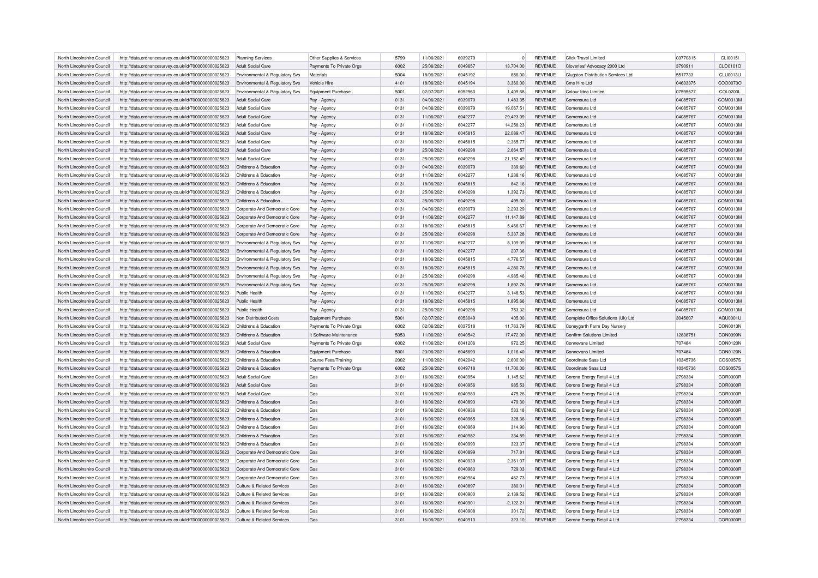| North Lincolnshire Council | http://data.ordnancesurvey.co.uk/id/7000000000025623                                                         | <b>Planning Services</b>              | Other Supplies & Services | 5799 | 11/06/2021 | 6039279 |             | <b>REVENUE</b> | <b>Click Travel Limited</b>               | 03770815 | CLI0015I        |
|----------------------------|--------------------------------------------------------------------------------------------------------------|---------------------------------------|---------------------------|------|------------|---------|-------------|----------------|-------------------------------------------|----------|-----------------|
| North Lincolnshire Council | http://data.ordnancesurvey.co.uk/id/7000000000025623                                                         | Adult Social Care                     | Payments To Private Orgs  | 6002 | 25/06/2021 | 6049657 | 13,704.00   | <b>REVENUE</b> | Cloverleaf Advocacy 2000 Ltd              | 3790911  | CLO0101O        |
| North Lincolnshire Council | http://data.ordnancesurvey.co.uk/id/7000000000025623                                                         | Environmental & Regulatory Svs        | Materials                 | 5004 | 18/06/2021 | 6045192 | 856.00      | <b>REVENUE</b> | <b>Clugston Distribution Services Ltd</b> | 5517733  | <b>CLU0013U</b> |
| North Lincolnshire Council | http://data.ordnancesurvey.co.uk/id/7000000000025623                                                         | Environmental & Regulatory Svs        | Vehicle Hire              | 4101 | 18/06/2021 | 6045194 | 3,360.00    | <b>REVENUE</b> | Cms Hire Ltd                              | 04633375 | COO0073C        |
| North Lincolnshire Council | http://data.ordnancesurvey.co.uk/id/7000000000025623                                                         | Environmental & Regulatory Svs        | <b>Equipment Purchase</b> | 5001 | 02/07/2021 | 6052960 | 1,409.68    | <b>REVENUE</b> | Colour Idea Limited                       | 07595577 | COL0200L        |
| North Lincolnshire Council |                                                                                                              | <b>Adult Social Care</b>              |                           | 0131 | 04/06/2021 | 6039079 | 1,483.35    | <b>REVENUE</b> | Comensura I td                            | 04085767 | COM0313M        |
| North Lincolnshire Council | http://data.ordnancesurvey.co.uk/id/7000000000025623<br>http://data.ordnancesurvey.co.uk/id/7000000000025623 | <b>Adult Social Care</b>              | Pay - Agency              | 0131 | 04/06/2021 | 6039079 | 19,067.51   | <b>REVENUE</b> | Comensura Ltd                             | 04085767 | COM0313M        |
|                            |                                                                                                              |                                       | Pay - Agency              |      |            |         |             |                |                                           |          |                 |
| North Lincolnshire Council | http://data.ordnancesurvey.co.uk/id/7000000000025623                                                         | Adult Social Care                     | Pay - Agency              | 0131 | 11/06/2021 | 6042277 | 29,423.09   | <b>REVENUE</b> | Comensura Ltd                             | 04085767 | COM0313M        |
| North Lincolnshire Council | http://data.ordnancesurvey.co.uk/id/7000000000025623                                                         | Adult Social Care                     | Pay - Agency              | 0131 | 11/06/2021 | 6042277 | 14,258.23   | <b>REVENUE</b> | Comensura Ltd                             | 04085767 | COM0313M        |
| North Lincolnshire Council | http://data.ordnancesurvey.co.uk/id/7000000000025623                                                         | <b>Adult Social Care</b>              | Pay - Agency              | 0131 | 18/06/2021 | 6045815 | 22,089.47   | <b>REVENUE</b> | Comensura Ltd                             | 04085767 | COM0313M        |
| North Lincolnshire Council | http://data.ordnancesurvey.co.uk/id/7000000000025623                                                         | <b>Adult Social Care</b>              | Pay - Agency              | 0131 | 18/06/2021 | 6045815 | 2,365.77    | <b>REVENUE</b> | Comensura I td                            | 04085767 | COM0313M        |
| North Lincolnshire Council | http://data.ordnancesurvey.co.uk/id/7000000000025623                                                         | Adult Social Care                     | Pay - Agency              | 0131 | 25/06/2021 | 6049298 | 2,664.57    | <b>REVENUE</b> | Comensura Ltd                             | 04085767 | COM0313M        |
| North Lincolnshire Council | http://data.ordnancesurvey.co.uk/id/7000000000025623                                                         | <b>Adult Social Care</b>              | Pay - Agency              | 0131 | 25/06/2021 | 6049298 | 21,152.49   | <b>REVENUE</b> | Comensura Ltd                             | 04085767 | COM0313M        |
| North Lincolnshire Council | http://data.ordnancesurvey.co.uk/id/7000000000025623                                                         | Childrens & Education                 | Pay - Agency              | 0131 | 04/06/2021 | 6039079 | 339.60      | <b>REVENUE</b> | Comensura Ltd                             | 04085767 | COM0313M        |
| North Lincolnshire Council | http://data.ordnancesurvey.co.uk/id/7000000000025623                                                         | Childrens & Education                 | Pay - Agency              | 0131 | 11/06/2021 | 6042277 | 1.238.1     | <b>REVENUE</b> | Comensura Ltd                             | 04085767 | COM0313M        |
| North Lincolnshire Council | http://data.ordnancesurvey.co.uk/id/7000000000025623                                                         | Childrens & Education                 | Pay - Agency              | 0131 | 18/06/2021 | 6045815 | 842.16      | <b>REVENUE</b> | Comensura I td                            | 04085767 | COM0313M        |
| North Lincolnshire Council | http://data.ordnancesurvey.co.uk/id/7000000000025623                                                         | Childrens & Education                 | Pay - Agency              | 0131 | 25/06/2021 | 6049298 | 1,392.73    | <b>REVENUE</b> | Comensura I td                            | 04085767 | COM0313M        |
| North Lincolnshire Council | http://data.ordnancesurvey.co.uk/id/7000000000025623                                                         | Childrens & Education                 | Pay - Agency              | 0131 | 25/06/2021 | 6049298 | 495.00      | <b>REVENUE</b> | Comensura Ltd                             | 04085767 | COM0313M        |
| North Lincolnshire Council | http://data.ordnancesurvey.co.uk/id/7000000000025623                                                         | Corporate And Democratic Core         | Pay - Agency              | 0131 | 04/06/2021 | 6039079 | 2,293.29    | <b>REVENUE</b> | Comensura I td                            | 04085767 | COM0313M        |
| North Lincolnshire Council | http://data.ordnancesurvey.co.uk/id/7000000000025623                                                         | Corporate And Democratic Core         | Pay - Agency              | 0131 | 11/06/2021 | 6042277 | 11.147.89   | <b>REVENUE</b> | Comensura I td                            | 04085767 | COM0313M        |
| North Lincolnshire Council | http://data.ordnancesurvey.co.uk/id/7000000000025623                                                         | Corporate And Democratic Core         | Pay - Agency              | 0131 | 18/06/2021 | 6045815 | 5,466.67    | <b>REVENUE</b> | Comensura Ltd                             | 04085767 | COM0313M        |
| North Lincolnshire Council | http://data.ordnancesurvey.co.uk/id/7000000000025623                                                         | Corporate And Democratic Core         | Pay - Agency              | 0131 | 25/06/2021 | 6049298 | 5,337.28    | <b>REVENUE</b> | Comensura Ltd                             | 04085767 | COM0313M        |
| North Lincolnshire Council | http://data.ordnancesurvey.co.uk/id/7000000000025623                                                         | Environmental & Regulatory Svs        |                           | 0131 | 11/06/2021 | 6042277 | 8,109.09    | <b>REVENUE</b> | Comensura I td                            | 04085767 | COM0313M        |
|                            |                                                                                                              |                                       | Pay - Agency              |      |            |         |             |                |                                           |          |                 |
| North Lincolnshire Council | http://data.ordnancesurvey.co.uk/id/7000000000025623                                                         | Environmental & Regulatory Svs        | Pay - Agency              | 0131 | 11/06/2021 | 6042277 | 207.36      | <b>REVENUE</b> | Comensura Ltd                             | 04085767 | COM0313M        |
| North Lincolnshire Council | http://data.ordnancesurvey.co.uk/id/7000000000025623                                                         | Environmental & Regulatory Svs        | Pay - Agency              | 0131 | 18/06/2021 | 6045815 | 4,776.57    | <b>REVENUE</b> | Comensura Ltd                             | 04085767 | COM0313M        |
| North Lincolnshire Council | http://data.ordnancesurvey.co.uk/id/7000000000025623                                                         | Environmental & Regulatory Svs        | Pay - Agency              | 0131 | 18/06/2021 | 6045815 | 4.280.76    | <b>REVENUE</b> | Comensura Ltd                             | 04085767 | COM0313M        |
| North Lincolnshire Council | http://data.ordnancesurvey.co.uk/id/7000000000025623                                                         | Environmental & Regulatory Svs        | Pay - Agency              | 0131 | 25/06/2021 | 6049298 | 4,985.46    | <b>REVENUE</b> | Comensura Ltd                             | 04085767 | COM0313M        |
| North Lincolnshire Council | http://data.ordnancesurvey.co.uk/id/7000000000025623                                                         | Environmental & Regulatory Svs        | Pay - Agency              | 0131 | 25/06/2021 | 6049298 | 1,892.76    | <b>REVENUE</b> | Comensura Ltd                             | 04085767 | COM0313M        |
| North Lincolnshire Council | http://data.ordnancesurvey.co.uk/id/7000000000025623                                                         | <b>Public Health</b>                  | Pay - Agency              | 0131 | 11/06/2021 | 6042277 | 3.148.53    | <b>REVENUE</b> | Comensura Ltd                             | 04085767 | COM0313M        |
| North Lincolnshire Council | http://data.ordnancesurvey.co.uk/id/7000000000025623                                                         | Public Health                         | Pay - Agency              | 0131 | 18/06/2021 | 6045815 | 1,895.66    | <b>REVENUE</b> | Comensura Ltd                             | 04085767 | COM0313M        |
| North Lincolnshire Council | http://data.ordnancesurvey.co.uk/id/7000000000025623                                                         | <b>Public Health</b>                  | Pay - Agency              | 0131 | 25/06/2021 | 6049298 | 753.32      | <b>REVENUE</b> | Comensura Ltd                             | 04085767 | COM0313M        |
| North Lincolnshire Council | http://data.ordnancesurvey.co.uk/id/7000000000025623                                                         | Non Distributed Costs                 | <b>Equipment Purchase</b> | 5001 | 02/07/2021 | 6053049 | 405.00      | <b>REVENUE</b> | Complete Office Solutions (Uk) Ltd        | 3045607  | AQU0001U        |
| North Lincolnshire Council | http://data.ordnancesurvey.co.uk/id/7000000000025623                                                         | Childrens & Education                 | Payments To Private Orgs  | 6002 | 02/06/2021 | 6037518 | 11,763.79   | <b>REVENUE</b> | Coneygarth Farm Day Nursery               |          | CON0013N        |
| North Lincolnshire Council | http://data.ordnancesurvey.co.uk/id/7000000000025623                                                         | Childrens & Education                 | It Software-Maintenance   | 5053 | 11/06/2021 | 6040542 | 17,472.00   | <b>REVENUE</b> | Confirm Solutions Limited                 | 12838751 | CON0399N        |
| North Lincolnshire Council | http://data.ordnancesurvey.co.uk/id/7000000000025623                                                         | <b>Adult Social Care</b>              | Payments To Private Orgs  | 6002 | 11/06/2021 | 6041206 | 972.25      | <b>REVENUE</b> | <b>Connevans Limited</b>                  | 707484   | CON0120N        |
| North Lincolnshire Council | http://data.ordnancesurvey.co.uk/id/7000000000025623                                                         | Childrens & Education                 | <b>Equipment Purchase</b> | 5001 | 23/06/2021 | 6045693 | 1,016.40    | <b>REVENUE</b> | Connevans Limited                         | 707484   | CON0120N        |
| North Lincolnshire Council | http://data.ordnancesurvey.co.uk/id/7000000000025623                                                         | Childrens & Education                 | Course Fees/Training      | 2002 | 11/06/2021 | 6042042 | 2,600.00    | <b>REVENUE</b> | Coordinate Saas Ltd                       | 10345736 | COS0057S        |
| North Lincolnshire Council | http://data.ordnancesurvey.co.uk/id/7000000000025623                                                         | Childrens & Education                 | Payments To Private Orgs  | 6002 | 25/06/2021 | 6049718 | 11,700.00   | <b>REVENUE</b> | Coordinate Saas Ltd                       | 10345736 | COS0057S        |
| North Lincolnshire Council | http://data.ordnancesurvey.co.uk/id/7000000000025623                                                         | Adult Social Care                     | Gas                       | 3101 | 16/06/2021 | 6040954 | 1,145.62    | <b>REVENUE</b> | Corona Energy Retail 4 Ltd                | 2798334  | COR0300R        |
| North Lincolnshire Council | http://data.ordnancesurvey.co.uk/id/7000000000025623                                                         | <b>Adult Social Care</b>              | Gas                       | 3101 | 16/06/2021 | 6040956 | 985.53      | <b>REVENUE</b> | Corona Energy Retail 4 Ltd                | 2798334  | COR0300R        |
|                            |                                                                                                              |                                       |                           | 3101 |            |         |             |                |                                           |          | COR0300R        |
| North Lincolnshire Council | http://data.ordnancesurvey.co.uk/id/7000000000025623                                                         | Adult Social Care                     | Gas                       |      | 16/06/2021 | 6040980 | 475.26      | <b>REVENUE</b> | Corona Energy Retail 4 Ltd                | 2798334  |                 |
| North Lincolnshire Council | http://data.ordnancesurvey.co.uk/id/7000000000025623                                                         | Childrens & Education                 | Gas                       | 3101 | 16/06/2021 | 6040893 | 479.30      | <b>REVENUE</b> | Corona Energy Retail 4 Ltd                | 2798334  | COR0300R        |
| North Lincolnshire Council | http://data.ordnancesurvey.co.uk/id/7000000000025623                                                         | Childrens & Education                 | Gas                       | 3101 | 16/06/2021 | 6040936 | 533.18      | <b>REVENUE</b> | Corona Energy Retail 4 Ltd                | 2798334  | COR0300R        |
| North Lincolnshire Council | http://data.ordnancesurvey.co.uk/id/7000000000025623                                                         | Childrens & Education                 | Gas                       | 3101 | 16/06/2021 | 6040965 | 328.36      | <b>REVENUE</b> | Corona Energy Retail 4 Ltd                | 2798334  | COR0300R        |
| North Lincolnshire Council | http://data.ordnancesurvey.co.uk/id/7000000000025623                                                         | Childrens & Education                 | Gas                       | 3101 | 16/06/2021 | 6040969 | 314.90      | <b>REVENUE</b> | Corona Energy Retail 4 Ltd                | 2798334  | COR0300R        |
| North Lincolnshire Council | http://data.ordnancesurvey.co.uk/id/7000000000025623                                                         | Childrens & Education                 | Gas                       | 3101 | 16/06/2021 | 6040982 | 334.89      | <b>REVENUE</b> | Corona Energy Retail 4 Ltd                | 2798334  | COR0300R        |
| North Lincolnshire Council | http://data.ordnancesurvey.co.uk/id/7000000000025623                                                         | Childrens & Education                 | Gas                       | 3101 | 16/06/2021 | 6040990 | 323.37      | <b>REVENUE</b> | Corona Energy Retail 4 Ltd                | 2798334  | COR0300R        |
| North Lincolnshire Council | http://data.ordnancesurvey.co.uk/id/7000000000025623                                                         | Corporate And Democratic Core         | Gas                       | 3101 | 16/06/2021 | 6040899 | 717.81      | <b>REVENUE</b> | Corona Energy Retail 4 Ltd                | 2798334  | COR0300R        |
| North Lincolnshire Council | http://data.ordnancesurvey.co.uk/id/7000000000025623                                                         | Corporate And Democratic Core         | Gas                       | 3101 | 16/06/2021 | 6040939 | 2,361.07    | <b>REVENUE</b> | Corona Energy Retail 4 Ltd                | 2798334  | COR0300R        |
| North Lincolnshire Council | http://data.ordnancesurvey.co.uk/id/7000000000025623                                                         | Corporate And Democratic Core         | Gas                       | 3101 | 16/06/2021 | 6040960 | 729.03      | <b>REVENUE</b> | Corona Energy Retail 4 Ltd                | 2798334  | COR0300R        |
| North Lincolnshire Council | http://data.ordnancesurvey.co.uk/id/7000000000025623                                                         | Corporate And Democratic Core         | Gas                       | 3101 | 16/06/2021 | 6040984 | 462.73      | <b>REVENUE</b> | Corona Energy Retail 4 Ltd                | 2798334  | COR0300R        |
| North Lincolnshire Council | http://data.ordnancesurvey.co.uk/id/7000000000025623                                                         | <b>Culture &amp; Related Services</b> | Gas                       | 3101 | 16/06/2021 | 6040897 | 380.01      | <b>REVENUE</b> | Corona Energy Retail 4 Ltd                | 2798334  | COR0300R        |
| North Lincolnshire Council | http://data.ordnancesurvey.co.uk/id/7000000000025623                                                         | Culture & Related Services            | Gas                       | 3101 | 16/06/2021 | 6040900 | 2,139.52    | <b>REVENUE</b> | Corona Energy Retail 4 Ltd                | 2798334  | COR0300R        |
| North Lincolnshire Council | http://data.ordnancesurvey.co.uk/id/7000000000025623                                                         | Culture & Related Services            | Gas                       | 3101 | 16/06/2021 | 6040901 | $-2,122.21$ | <b>REVENUE</b> | Corona Energy Retail 4 Ltd                | 2798334  | COR0300R        |
| North Lincolnshire Council | http://data.ordnancesurvey.co.uk/id/7000000000025623                                                         | Culture & Related Services            | Gas                       | 3101 | 16/06/2021 | 6040908 | 301.72      | <b>REVENUE</b> | Corona Energy Retail 4 Ltd                | 2798334  | COR0300R        |
| North Lincolnshire Council | http://data.ordnancesurvey.co.uk/id/7000000000025623                                                         | Culture & Related Services            | Gas                       | 3101 | 16/06/2021 | 6040910 | 323.10      | <b>REVENUE</b> | Corona Energy Retail 4 Ltd                | 2798334  | COR0300R        |
|                            |                                                                                                              |                                       |                           |      |            |         |             |                |                                           |          |                 |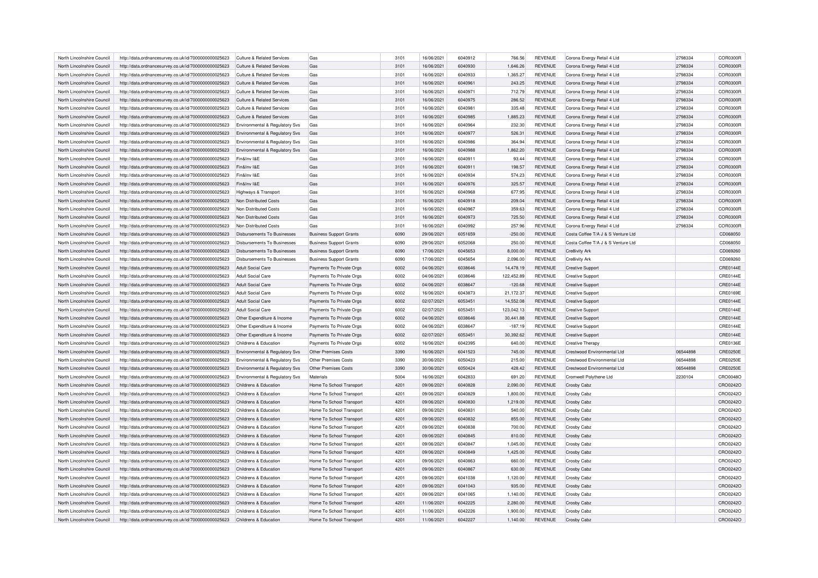| North Lincolnshire Council | http://data.ordnancesurvey.co.uk/id/7000000000025623 | Culture & Related Services                | Gas                            | 3101 | 16/06/2021               | 6040912 | 766.56             | <b>REVENUE</b>                   | Corona Energy Retail 4 Ltd         | 2798334  | COR0300R             |
|----------------------------|------------------------------------------------------|-------------------------------------------|--------------------------------|------|--------------------------|---------|--------------------|----------------------------------|------------------------------------|----------|----------------------|
| North Lincolnshire Council | http://data.ordnancesurvey.co.uk/id/7000000000025623 | Culture & Related Services                | Gas                            | 3101 | 16/06/2021               | 6040930 | 1,646.26           | <b>REVENUE</b>                   | Corona Energy Retail 4 Ltd         | 2798334  | COR0300R             |
| North Lincolnshire Council | http://data.ordnancesurvey.co.uk/id/7000000000025623 | Culture & Related Services                | Gas                            | 3101 | 16/06/2021               | 6040933 | 1.365.27           | <b>REVENUE</b>                   | Corona Energy Retail 4 Ltd         | 2798334  | COR0300R             |
| North Lincolnshire Council | http://data.ordnancesurvey.co.uk/id/7000000000025623 | Culture & Related Services                | Gas                            | 3101 | 16/06/2021               | 6040961 | 243.25             | <b>REVENUE</b>                   | Corona Energy Retail 4 Ltd         | 2798334  | COR0300R             |
| North Lincolnshire Council | http://data.ordnancesurvey.co.uk/id/7000000000025623 | Culture & Related Services                | Gas                            | 3101 | 16/06/2021               | 6040971 | 712.79             | <b>REVENUE</b>                   | Corona Energy Retail 4 Ltd         | 2798334  | COR0300R             |
| North Lincolnshire Council | http://data.ordnancesurvey.co.uk/id/7000000000025623 | Culture & Related Services                | Gas                            | 3101 | 16/06/2021               | 6040975 | 286.52             | <b>REVENUE</b>                   | Corona Energy Retail 4 Ltd         | 2798334  | COR0300R             |
| North Lincolnshire Council | http://data.ordnancesurvey.co.uk/id/7000000000025623 | Culture & Related Services                | Gas                            | 3101 | 16/06/2021               | 6040981 | 335.48             | <b>REVENUE</b>                   | Corona Energy Retail 4 Ltd         | 2798334  | COR0300R             |
| North Lincolnshire Council | http://data.ordnancesurvey.co.uk/id/7000000000025623 | Culture & Related Services                | Gas                            | 3101 | 16/06/2021               | 6040985 | 1,885.23           | <b>REVENUE</b>                   | Corona Energy Retail 4 Ltd         | 2798334  | COR0300R             |
| North Lincolnshire Council | http://data.ordnancesurvey.co.uk/id/7000000000025623 | Environmental & Regulatory Svs            | Gas                            | 3101 | 16/06/2021               | 6040964 | 232.30             | <b>REVENUE</b>                   | Corona Energy Retail 4 Ltd         | 2798334  | COR0300R             |
| North Lincolnshire Council | http://data.ordnancesurvey.co.uk/id/7000000000025623 | <b>Environmental &amp; Regulatory Svs</b> | Gas                            | 3101 | 16/06/2021               | 6040977 | 526.31             | <b>REVENUE</b>                   | Corona Energy Retail 4 Ltd         | 2798334  | COR0300R             |
| North Lincolnshire Council | http://data.ordnancesurvey.co.uk/id/7000000000025623 | <b>Environmental &amp; Regulatory Svs</b> | Gas                            | 3101 | 16/06/2021               | 6040986 | 364.94             | <b>REVENUE</b>                   | Corona Energy Retail 4 Ltd         | 2798334  | COR0300R             |
| North Lincolnshire Council |                                                      |                                           | Gas                            | 3101 | 16/06/2021               | 6040988 | 1,862.20           | <b>REVENUE</b>                   | Corona Energy Retail 4 Ltd         | 2798334  | COR0300R             |
|                            | http://data.ordnancesurvey.co.uk/id/7000000000025623 | Environmental & Regulatory Svs            |                                |      |                          |         |                    |                                  |                                    |          |                      |
| North Lincolnshire Council | http://data.ordnancesurvey.co.uk/id/7000000000025623 | Fin&Inv I&E                               | Gas                            | 3101 | 16/06/2021               | 6040911 | 93.44              | <b>REVENUE</b>                   | Corona Energy Retail 4 Ltd         | 2798334  | COR0300R             |
| North Lincolnshire Council | http://data.ordnancesurvey.co.uk/id/7000000000025623 | Fin&Inv I&E                               | Gas                            | 3101 | 16/06/2021               | 6040911 | 198.57             | <b>REVENUE</b>                   | Corona Energy Retail 4 Ltd         | 2798334  | COR0300R             |
| North Lincolnshire Council | http://data.ordnancesurvey.co.uk/id/7000000000025623 | Fin&Inv I&E                               | Gas                            | 3101 | 16/06/2021               | 6040934 | 574.23             | <b>REVENUE</b>                   | Corona Energy Retail 4 Ltd         | 2798334  | COR0300R             |
| North Lincolnshire Council | http://data.ordnancesurvey.co.uk/id/7000000000025623 | Fin&Inv I&F                               | Gas                            | 3101 | 16/06/2021               | 6040976 | 325.57             | <b>REVENUE</b>                   | Corona Energy Retail 4 Ltd         | 2798334  | COR0300R             |
| North Lincolnshire Council | http://data.ordnancesurvey.co.uk/id/7000000000025623 | Highways & Transport                      | Gas                            | 3101 | 16/06/2021               | 6040968 | 677.95             | <b>REVENUE</b>                   | Corona Energy Retail 4 I td        | 2798334  | COR0300R             |
| North Lincolnshire Council | http://data.ordnancesurvey.co.uk/id/7000000000025623 | Non Distributed Costs                     | Gas                            | 3101 | 16/06/2021               | 6040918 | 209.04             | <b>REVENUE</b>                   | Corona Energy Retail 4 Ltd         | 2798334  | COR0300R             |
| North Lincolnshire Council | http://data.ordnancesurvey.co.uk/id/7000000000025623 | Non Distributed Costs                     | Gas                            | 3101 | 16/06/2021               | 6040967 | 359.63             | <b>REVENUE</b>                   | Corona Energy Retail 4 Ltd         | 2798334  | COR0300R             |
| North Lincolnshire Council | http://data.ordnancesurvey.co.uk/id/7000000000025623 | Non Distributed Costs                     | Gas                            | 3101 | 16/06/2021               | 6040973 | 725.50             | <b>REVENUE</b>                   | Corona Energy Retail 4 Ltd         | 2798334  | COR0300R             |
| North Lincolnshire Council | http://data.ordnancesurvey.co.uk/id/7000000000025623 | Non Distributed Costs                     | Gas                            | 3101 | 16/06/2021               | 6040992 | 257.96             | <b>REVENUE</b>                   | Corona Energy Retail 4 Ltd         | 2798334  | COR0300R             |
| North Lincolnshire Council | http://data.ordnancesurvey.co.uk/id/7000000000025623 | Disbursements To Businesses               | <b>Business Support Grants</b> | 6090 | 29/06/2021               | 6051659 | $-250.00$          | <b>REVENUE</b>                   | Costa Coffee T/A J & S Venture Ltd |          | CD068050             |
| North Lincolnshire Council | http://data.ordnancesurvey.co.uk/id/7000000000025623 | Disbursements To Businesses               | <b>Business Support Grants</b> | 6090 | 29/06/2021               | 6052068 | 250.00             | <b>REVENUE</b>                   | Costa Coffee T/A J & S Venture Ltd |          | CD068050             |
| North Lincolnshire Council | http://data.ordnancesurvey.co.uk/id/7000000000025623 | <b>Disbursements To Businesses</b>        | <b>Business Support Grants</b> | 6090 | 17/06/2021               | 6045653 | 8,000.00           | <b>REVENUE</b>                   | Cre8ivity Ark                      |          | CD069260             |
| North Lincolnshire Council | http://data.ordnancesurvey.co.uk/id/7000000000025623 | <b>Disbursements To Businesses</b>        | <b>Business Support Grants</b> | 6090 | 17/06/2021               | 6045654 | 2,096.00           | <b>REVENUE</b>                   | Cre8ivity Ark                      |          | CD069260             |
| North Lincolnshire Council | http://data.ordnancesurvey.co.uk/id/7000000000025623 | Adult Social Care                         | Payments To Private Orgs       | 6002 | 04/06/2021               | 6038646 | 14,478.19          | <b>REVENUE</b>                   | <b>Creative Support</b>            |          | <b>CRE0144E</b>      |
| North Lincolnshire Council | http://data.ordnancesurvey.co.uk/id/7000000000025623 | Adult Social Care                         | Payments To Private Orgs       | 6002 | 04/06/2021               | 6038646 | 122,452.89         | <b>REVENUE</b>                   | <b>Creative Support</b>            |          | <b>CRE0144E</b>      |
| North Lincolnshire Council | http://data.ordnancesurvey.co.uk/id/7000000000025623 | <b>Adult Social Care</b>                  | Payments To Private Orgs       | 6002 | 04/06/2021               | 6038647 | $-120.68$          | <b>REVENUE</b>                   | <b>Creative Support</b>            |          | CRE0144E             |
| North Lincolnshire Council | http://data.ordnancesurvey.co.uk/id/7000000000025623 | Adult Social Care                         | Payments To Private Orgs       | 6002 | 16/06/2021               | 6043873 | 21,172.37          | <b>REVENUE</b>                   | <b>Creative Support</b>            |          | CRE0169E             |
| North Lincolnshire Council |                                                      | Adult Social Care                         |                                | 6002 | 02/07/2021               | 6053451 | 14,552.08          | <b>REVENUE</b>                   |                                    |          | <b>CRE0144E</b>      |
|                            | http://data.ordnancesurvey.co.uk/id/7000000000025623 |                                           | Payments To Private Orgs       |      |                          |         |                    |                                  | <b>Creative Support</b>            |          |                      |
| North Lincolnshire Council | http://data.ordnancesurvey.co.uk/id/7000000000025623 | Adult Social Care                         | Payments To Private Orgs       | 6002 | 02/07/2021               | 6053451 | 123,042.13         | <b>REVENUE</b>                   | <b>Creative Support</b>            |          | CRE0144E             |
| North Lincolnshire Council | http://data.ordnancesurvey.co.uk/id/7000000000025623 | Other Expenditure & Income                | Payments To Private Orgs       | 6002 | 04/06/2021               | 6038646 | 30.441.88          | <b>REVENUE</b>                   | Creative Support                   |          | <b>CRE0144E</b>      |
| North Lincolnshire Council | http://data.ordnancesurvey.co.uk/id/7000000000025623 | Other Expenditure & Income                | Payments To Private Orgs       | 6002 | 04/06/2021               | 6038647 | $-187.19$          | <b>REVENUE</b>                   | <b>Creative Support</b>            |          | <b>CRE0144E</b>      |
| North Lincolnshire Council | http://data.ordnancesurvey.co.uk/id/7000000000025623 | Other Expenditure & Income                | Payments To Private Orgs       | 6002 | 02/07/2021               | 6053451 | 30,392.62          | <b>REVENUE</b>                   | <b>Creative Support</b>            |          | <b>CRE0144E</b>      |
| North Lincolnshire Council | http://data.ordnancesurvey.co.uk/id/7000000000025623 | Childrens & Education                     | Payments To Private Orgs       | 6002 | 16/06/2021               | 6042395 | 640.00             | <b>REVENUE</b>                   | <b>Creative Therapy</b>            |          | <b>CRE0136E</b>      |
| North Lincolnshire Council | http://data.ordnancesurvey.co.uk/id/7000000000025623 | Environmental & Regulatory Svs            | Other Premises Costs           | 3390 | 16/06/2021               | 6041523 | 745.00             | <b>REVENUE</b>                   | Crestwood Environmental Ltd        | 06544898 | <b>CRE0250E</b>      |
| North Lincolnshire Council | http://data.ordnancesurvey.co.uk/id/7000000000025623 | Environmental & Regulatory Svs            | Other Premises Costs           | 3390 | 30/06/2021               | 6050423 | 215.00             | <b>REVENUE</b>                   | Crestwood Environmental Ltd        | 06544898 | <b>CRE0250E</b>      |
| North Lincolnshire Council | http://data.ordnancesurvey.co.uk/id/7000000000025623 | Environmental & Regulatory Svs            | <b>Other Premises Costs</b>    | 3390 | 30/06/2021               | 6050424 | 428.42             | <b>REVENUE</b>                   | <b>Crestwood Environmental Ltd</b> | 06544898 | <b>CRE0250E</b>      |
| North Lincolnshire Council | http://data.ordnancesurvey.co.uk/id/7000000000025623 | Environmental & Regulatory Svs            | Materials                      | 5004 | 16/06/2021               | 6042833 | 691.20             | <b>REVENUE</b>                   | Cromwell Polythene Ltd             | 2230104  | CRO0048C             |
| North Lincolnshire Council | http://data.ordnancesurvey.co.uk/id/7000000000025623 | Childrens & Education                     | Home To School Transport       | 4201 | 09/06/2021               | 6040828 | 2,090.00           | <b>REVENUE</b>                   | Crosby Cabz                        |          | CRO0242O             |
| North Lincolnshire Council | http://data.ordnancesurvey.co.uk/id/7000000000025623 | Childrens & Education                     | Home To School Transport       | 4201 | 09/06/2021               | 6040829 | 1,800.00           | <b>REVENUE</b>                   | Crosby Cabz                        |          | CRO0242O             |
| North Lincolnshire Council | http://data.ordnancesurvey.co.uk/id/7000000000025623 | Childrens & Education                     | Home To School Transport       | 4201 | 09/06/2021               | 6040830 | 1,219.00           | <b>REVENUE</b>                   | Crosby Cabz                        |          | CRO0242C             |
| North Lincolnshire Council | http://data.ordnancesurvey.co.uk/id/7000000000025623 | Childrens & Education                     | Home To School Transport       | 4201 | 09/06/2021               | 604083  | 540.00             | <b>REVENUE</b>                   | Crosby Cabz                        |          | CRO0242C             |
| North Lincolnshire Council | http://data.ordnancesurvey.co.uk/id/7000000000025623 | Childrens & Education                     | Home To School Transport       | 4201 | 09/06/2021               | 6040832 | 855.00             | <b>REVENUE</b>                   | Crosby Cabz                        |          | CRO0242C             |
| North Lincolnshire Council | http://data.ordnancesurvey.co.uk/id/7000000000025623 | Childrens & Education                     | Home To School Transport       | 4201 | 09/06/2021               | 6040838 | 700.00             | <b>REVENUE</b>                   | Crosby Cabz                        |          | CRO0242C             |
| North Lincolnshire Council | http://data.ordnancesurvey.co.uk/id/7000000000025623 | Childrens & Education                     | Home To School Transport       | 4201 | 09/06/2021               | 6040845 | 810.00             | <b>REVENUE</b>                   | Crosby Cabz                        |          | CRO0242O             |
| North Lincolnshire Council | http://data.ordnancesurvey.co.uk/id/7000000000025623 | Childrens & Education                     | Home To School Transport       | 4201 | 09/06/2021               | 6040847 | 1,045.00           | <b>REVENUE</b>                   | Crosby Cabz                        |          | CRO0242O             |
| North Lincolnshire Council | http://data.ordnancesurvey.co.uk/id/7000000000025623 | Childrens & Education                     | Home To School Transport       | 4201 | 09/06/2021               | 6040849 | 1,425.00           | <b>REVENUE</b>                   | Crosby Cabz                        |          | CRO0242C             |
| North Lincolnshire Council | http://data.ordnancesurvey.co.uk/id/7000000000025623 | Childrens & Education                     | Home To School Transport       | 4201 | 09/06/2021               | 6040863 | 660.00             | <b>REVENUE</b>                   | Crosby Cabz                        |          | CRO0242C             |
| North Lincolnshire Council | http://data.ordnancesurvey.co.uk/id/7000000000025623 | Childrens & Education                     | Home To School Transport       | 4201 | 09/06/2021               | 6040867 | 630.00             | <b>REVENUE</b>                   | Crosby Cabz                        |          | CRO0242O             |
| North Lincolnshire Council |                                                      | Childrens & Education                     |                                | 4201 |                          | 6041038 |                    |                                  |                                    |          |                      |
|                            | http://data.ordnancesurvey.co.uk/id/7000000000025623 | Childrens & Education                     | Home To School Transport       | 4201 | 09/06/2021<br>09/06/2021 | 6041043 | 1,120.00<br>935.00 | <b>REVENUE</b><br><b>REVENUE</b> | Crosby Cabz                        |          | CRO0242C<br>CRO0242O |
| North Lincolnshire Council | http://data.ordnancesurvey.co.uk/id/7000000000025623 |                                           | Home To School Transport       |      |                          |         |                    |                                  | Crosby Cabz                        |          |                      |
| North Lincolnshire Council | http://data.ordnancesurvey.co.uk/id/7000000000025623 | Childrens & Education                     | Home To School Transport       | 4201 | 09/06/2021               | 6041065 | 1,140.00           | <b>REVENUE</b>                   | Crosby Cabz                        |          | CRO0242C             |
| North Lincolnshire Council | http://data.ordnancesurvey.co.uk/id/7000000000025623 | Childrens & Education                     | Home To School Transport       | 4201 | 11/06/2021               | 6042225 | 2,280.00           | <b>REVENUE</b>                   | Crosby Cabz                        |          | CRO0242C             |
| North Lincolnshire Council | http://data.ordnancesurvey.co.uk/id/7000000000025623 | Childrens & Education                     | Home To School Transport       | 4201 | 11/06/2021               | 6042226 | 1.900.00           | <b>REVENUE</b>                   | Crosby Cabz                        |          | CRO0242C             |
| North Lincolnshire Council | http://data.ordnancesurvey.co.uk/id/7000000000025623 | Childrens & Education                     | Home To School Transport       | 4201 | 11/06/2021               | 6042227 | 1.140.00           | <b>REVENUE</b>                   | Crosby Cabz                        |          | CRO0242O             |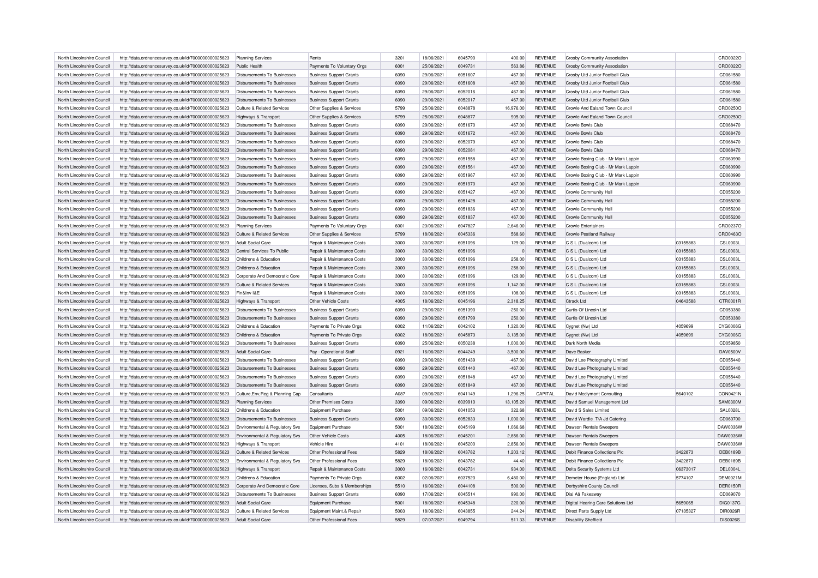| North Lincolnshire Council | http://data.ordnancesurvey.co.uk/id/7000000000025623                                                         | Planning Services                     | Rents                                                            | 3201         | 18/06/2021 | 6045790            | 400.00    | <b>REVENUE</b> | Crosby Community Association        |          | CRO0022O                    |
|----------------------------|--------------------------------------------------------------------------------------------------------------|---------------------------------------|------------------------------------------------------------------|--------------|------------|--------------------|-----------|----------------|-------------------------------------|----------|-----------------------------|
| North Lincolnshire Council | http://data.ordnancesurvey.co.uk/id/7000000000025623                                                         | Public Health                         | Payments To Voluntary Orgs                                       | 6001         | 25/06/2021 | 6049731            | 563.86    | <b>REVENUE</b> | Crosby Community Association        |          | CRO0022O                    |
| North Lincolnshire Council | http://data.ordnancesurvey.co.uk/id/7000000000025623                                                         | Disbursements To Businesses           | <b>Business Support Grants</b>                                   | 6090         | 29/06/2021 | 6051607            | $-467.00$ | <b>REVENUE</b> | Crosby Utd Junior Football Club     |          | CD061580                    |
| North Lincolnshire Council | http://data.ordnancesurvey.co.uk/id/7000000000025623                                                         | Disbursements To Businesses           | <b>Business Support Grants</b>                                   | 6090         | 29/06/2021 | 6051608            | $-467.00$ | <b>REVENUE</b> | Crosby Utd Junior Football Club     |          | CD061580                    |
| North Lincolnshire Council | http://data.ordnancesurvey.co.uk/id/7000000000025623                                                         | <b>Disbursements To Businesses</b>    | <b>Business Support Grants</b>                                   | 6090         | 29/06/2021 | 6052016            | 467.00    | <b>REVENUE</b> | Crosby Utd Junior Football Club     |          | CD061580                    |
| North Lincolnshire Council | http://data.ordnancesurvey.co.uk/id/7000000000025623                                                         | Disbursements To Businesses           | <b>Business Support Grants</b>                                   | 6090         | 29/06/2021 | 6052017            | 467.00    | <b>REVENUE</b> | Crosby Utd Junior Football Club     |          | CD061580                    |
| North Lincolnshire Council | http://data.ordnancesurvey.co.uk/id/7000000000025623                                                         | Culture & Related Services            | Other Supplies & Services                                        | 5799         | 25/06/2021 | 6048878            | 16,976.00 | <b>REVENUE</b> | Crowle And Ealand Town Council      |          | CRO0250C                    |
| North Lincolnshire Council | http://data.ordnancesurvey.co.uk/id/7000000000025623                                                         | Highways & Transport                  | Other Supplies & Services                                        | 5799         | 25/06/2021 | 6048877            | 905.00    | <b>REVENUE</b> | Crowle And Ealand Town Council      |          | CRO0250C                    |
| North Lincolnshire Council | http://data.ordnancesurvey.co.uk/id/7000000000025623                                                         | Disbursements To Businesses           | <b>Business Support Grants</b>                                   | 6090         | 29/06/2021 | 6051670            | $-467.00$ | <b>REVENUE</b> | Crowle Bowls Club                   |          | CD068470                    |
| North Lincolnshire Council | http://data.ordnancesurvey.co.uk/id/7000000000025623                                                         | Disbursements To Businesses           | <b>Business Support Grants</b>                                   | 6090         | 29/06/2021 | 6051672            | $-467.00$ | <b>REVENUE</b> | Crowle Bowls Club                   |          | CD068470                    |
| North Lincolnshire Council | http://data.ordnancesurvey.co.uk/id/7000000000025623                                                         | Disbursements To Businesses           | <b>Business Support Grants</b>                                   | 6090         | 29/06/2021 | 6052079            | 467.00    | <b>REVENUE</b> | Crowle Bowls Club                   |          | CD068470                    |
| North Lincolnshire Council | http://data.ordnancesurvey.co.uk/id/7000000000025623                                                         | Disbursements To Businesses           | <b>Business Support Grants</b>                                   | 6090         | 29/06/2021 | 6052081            | 467.00    | <b>REVENUE</b> | Crowle Bowls Club                   |          | CD068470                    |
| North Lincolnshire Council | http://data.ordnancesurvey.co.uk/id/7000000000025623                                                         | Disbursements To Businesses           | <b>Business Support Grants</b>                                   | 6090         | 29/06/2021 | 6051558            | $-467.00$ | <b>REVENUE</b> | Crowle Boxing Club - Mr Mark Lappin |          | CD060990                    |
| North Lincolnshire Council | http://data.ordnancesurvey.co.uk/id/7000000000025623                                                         | Disbursements To Businesses           | <b>Business Support Grants</b>                                   | 6090         | 29/06/2021 | 6051561            | $-467.00$ | <b>REVENUE</b> | Crowle Boxing Club - Mr Mark Lappin |          | CD060990                    |
| North Lincolnshire Council | http://data.ordnancesurvey.co.uk/id/7000000000025623                                                         | Disbursements To Businesses           | <b>Business Support Grants</b>                                   | 6090         | 29/06/2021 | 6051967            | 467.00    | <b>REVENUE</b> | Crowle Boxing Club - Mr Mark Lappin |          | CD060990                    |
| North Lincolnshire Council |                                                                                                              | Disbursements To Businesses           |                                                                  | 6090         | 29/06/2021 | 6051970            | 467.00    | <b>REVENUE</b> | Crowle Boxing Club - Mr Mark Lappin |          | CD060990                    |
| North Lincolnshire Council | http://data.ordnancesurvey.co.uk/id/7000000000025623<br>http://data.ordnancesurvey.co.uk/id/7000000000025623 | Disbursements To Businesses           | <b>Business Support Grants</b><br><b>Business Support Grants</b> | 6090         | 29/06/2021 | 6051427            |           | <b>REVENUE</b> | Crowle Community Hall               |          |                             |
|                            |                                                                                                              |                                       |                                                                  |              |            |                    | $-467.00$ |                |                                     |          | CD055200                    |
| North Lincolnshire Council | http://data.ordnancesurvey.co.uk/id/7000000000025623                                                         | Disbursements To Businesses           | <b>Business Support Grants</b>                                   | 6090         | 29/06/2021 | 6051428            | $-467.00$ | <b>REVENUE</b> | Crowle Community Hall               |          | CD055200                    |
| North Lincolnshire Council | http://data.ordnancesurvey.co.uk/id/7000000000025623                                                         | <b>Disbursements To Businesses</b>    | <b>Business Support Grants</b>                                   | 6090         | 29/06/2021 | 6051836            | 467.00    | <b>REVENUE</b> | Crowle Community Hall               |          | CD055200                    |
| North Lincolnshire Council | http://data.ordnancesurvey.co.uk/id/7000000000025623                                                         | Disbursements To Businesses           | <b>Business Support Grants</b>                                   | 6090         | 29/06/2021 | 6051837            | 467.00    | <b>REVENUE</b> | Crowle Community Hall               |          | CD055200                    |
| North Lincolnshire Council | http://data.ordnancesurvey.co.uk/id/7000000000025623                                                         | <b>Planning Services</b>              | Payments To Voluntary Orgs                                       | 6001         | 23/06/2021 | 6047827            | 2,646.00  | <b>REVENUE</b> | <b>Crowle Entertainers</b>          |          | CRO0237C                    |
| North Lincolnshire Council | http://data.ordnancesurvey.co.uk/id/7000000000025623                                                         | <b>Culture &amp; Related Services</b> | Other Supplies & Services                                        | 5799         | 18/06/2021 | 6045336            | 568.60    | <b>REVENUE</b> | <b>Crowle Peatland Railway</b>      |          | CRO0463C                    |
| North Lincolnshire Council | http://data.ordnancesurvey.co.uk/id/7000000000025623                                                         | <b>Adult Social Care</b>              | Repair & Maintenance Costs                                       | 3000         | 30/06/2021 | 6051096            | 129.00    | <b>REVENUE</b> | C S L (Dualcom) Ltd                 | 03155883 | <b>CSL0003L</b>             |
| North Lincolnshire Council | http://data.ordnancesurvey.co.uk/id/7000000000025623                                                         | Central Services To Public            | Repair & Maintenance Costs                                       | 3000         | 30/06/2021 | 6051096            | $\Omega$  | <b>REVENUE</b> | C S L (Dualcom) Ltd                 | 03155883 | <b>CSL0003L</b>             |
| North Lincolnshire Council | http://data.ordnancesurvey.co.uk/id/7000000000025623                                                         | Childrens & Education                 | Repair & Maintenance Costs                                       | 3000         | 30/06/2021 | 6051096            | 258.00    | <b>REVENUE</b> | C S L (Dualcom) Ltd                 | 03155883 | <b>CSL0003L</b>             |
| North Lincolnshire Council | http://data.ordnancesurvey.co.uk/id/7000000000025623                                                         | Childrens & Education                 | Repair & Maintenance Costs                                       | 3000         | 30/06/2021 | 6051096            | 258.00    | <b>REVENUE</b> | C S L (Dualcom) Ltd                 | 03155883 | <b>CSL0003L</b>             |
| North Lincolnshire Council | http://data.ordnancesurvey.co.uk/id/7000000000025623                                                         | Corporate And Democratic Core         | Repair & Maintenance Costs                                       | 3000         | 30/06/2021 | 6051096            | 129.00    | <b>REVENUE</b> | C S L (Dualcom) Ltd                 | 03155883 | <b>CSL0003L</b>             |
| North Lincolnshire Council | http://data.ordnancesurvey.co.uk/id/7000000000025623                                                         | <b>Culture &amp; Related Services</b> | Repair & Maintenance Costs                                       | 3000         | 30/06/2021 | 6051096            | 1,142.00  | <b>REVENUE</b> | C S L (Dualcom) Ltd                 | 03155883 | <b>CSL0003L</b>             |
| North Lincolnshire Council | http://data.ordnancesurvey.co.uk/id/7000000000025623                                                         | Fin&Inv I&F                           | Repair & Maintenance Costs                                       | 3000         | 30/06/2021 | 6051096            | 108.00    | <b>REVENUE</b> | C S L (Dualcom) Ltd                 | 03155883 | <b>CSL0003L</b>             |
| North Lincolnshire Council | http://data.ordnancesurvey.co.uk/id/7000000000025623                                                         | Highways & Transport                  | Other Vehicle Costs                                              | 4005         | 18/06/2021 | 6045196            | 2,318.25  | <b>REVENUE</b> | Ctrack Ltd                          | 04643588 | CTR0001F                    |
| North Lincolnshire Council | http://data.ordnancesurvey.co.uk/id/7000000000025623                                                         | Disbursements To Businesses           | <b>Business Support Grants</b>                                   | 6090         | 29/06/2021 | 6051390            | $-250.00$ | <b>REVENUE</b> | Curtis Of Lincoln Ltd               |          | CD053380                    |
| North Lincolnshire Council | http://data.ordnancesurvey.co.uk/id/7000000000025623                                                         | Disbursements To Businesses           | <b>Business Support Grants</b>                                   | 6090         | 29/06/2021 | 6051799            | 250.00    | <b>REVENUE</b> | Curtis Of Lincoln Ltd               |          | CD053380                    |
| North Lincolnshire Council | http://data.ordnancesurvey.co.uk/id/7000000000025623                                                         | Childrens & Education                 | Payments To Private Orgs                                         | 6002         | 11/06/2021 | 6042102            | 1,320.00  | <b>REVENUE</b> | Cygnet (Nw) Ltd                     | 4059699  | CYG0006G                    |
| North Lincolnshire Council | http://data.ordnancesurvey.co.uk/id/7000000000025623                                                         | Childrens & Education                 | Payments To Private Orgs                                         | 6002         | 18/06/2021 | 6045873            | 3,135.00  | <b>REVENUE</b> | Cygnet (Nw) Ltd                     | 4059699  | CYG0006G                    |
| North Lincolnshire Council | http://data.ordnancesurvey.co.uk/id/7000000000025623                                                         | Disbursements To Businesses           | <b>Business Support Grants</b>                                   | 6090         | 25/06/2021 | 6050238            | 1,000.00  | <b>REVENUE</b> | Dark North Media                    |          | CD059850                    |
| North Lincolnshire Council | http://data.ordnancesurvey.co.uk/id/7000000000025623                                                         | <b>Adult Social Care</b>              | Pay - Operational Staff                                          | 0921         | 16/06/2021 | 6044249            | 3,500.00  | <b>REVENUE</b> | Dave Basker                         |          | DAV0500V                    |
| North Lincolnshire Council | http://data.ordnancesurvey.co.uk/id/7000000000025623                                                         | Disbursements To Businesses           | <b>Business Support Grants</b>                                   | 6090         | 29/06/2021 | 6051439            | $-467.00$ | <b>REVENUE</b> | David Lee Photography Limited       |          | CD055440                    |
| North Lincolnshire Council | http://data.ordnancesurvey.co.uk/id/7000000000025623                                                         | Disbursements To Businesses           | <b>Business Support Grants</b>                                   | 6090         | 29/06/2021 | 6051440            | $-467.00$ | <b>REVENUE</b> | David Lee Photography Limited       |          | CD055440                    |
| North Lincolnshire Council |                                                                                                              | Disbursements To Businesses           |                                                                  | 6090         | 29/06/2021 | 6051848            | 467.00    | <b>REVENUE</b> | David Lee Photography Limited       |          | CD055440                    |
|                            | http://data.ordnancesurvey.co.uk/id/7000000000025623                                                         |                                       | <b>Business Support Grants</b>                                   | 6090         | 29/06/2021 | 6051849            | 467.00    | <b>REVENUE</b> | David Lee Photography Limited       |          | CD055440                    |
| North Lincolnshire Council | http://data.ordnancesurvey.co.uk/id/7000000000025623                                                         | Disbursements To Businesses           | <b>Business Support Grants</b>                                   |              |            |                    |           |                |                                     |          |                             |
| North Lincolnshire Council | http://data.ordnancesurvey.co.uk/id/7000000000025623                                                         | Culture, Env, Reg & Planning Cap      | Consultants<br>Other Premises Costs                              | A087<br>3390 | 09/06/2021 | 6041149<br>6039910 | 1,296.25  | CAPITAL        | David Mcclymont Consulting          | 5640102  | CON0421N<br><b>SAM0300M</b> |
| North Lincolnshire Council | http://data.ordnancesurvey.co.uk/id/7000000000025623                                                         | <b>Planning Services</b>              |                                                                  |              | 09/06/2021 |                    | 13,105.20 | <b>REVENUE</b> | David Samuel Management Ltd         |          |                             |
| North Lincolnshire Council | http://data.ordnancesurvey.co.uk/id/7000000000025623                                                         | Childrens & Education                 | <b>Equipment Purchase</b>                                        | 5001         | 09/06/2021 | 6041053            | 322.68    | <b>REVENUE</b> | David S Sales Limited               |          | <b>SAL0028L</b>             |
| North Lincolnshire Council | http://data.ordnancesurvey.co.uk/id/7000000000025623                                                         | <b>Disbursements To Businesses</b>    | <b>Business Support Grants</b>                                   | 6090         | 30/06/2021 | 6052833            | 1,000.00  | <b>REVENUE</b> | David Wardle T/A Jd Catering        |          | CD060700                    |
| North Lincolnshire Council | http://data.ordnancesurvey.co.uk/id/7000000000025623                                                         | Environmental & Regulatory Svs        | <b>Equipment Purchase</b>                                        | 5001         | 18/06/2021 | 6045199            | 1,066.68  | <b>REVENUE</b> | Dawson Rentals Sweepers             |          | DAW0036W                    |
| North Lincolnshire Council | http://data.ordnancesurvey.co.uk/id/7000000000025623                                                         | Environmental & Regulatory Svs        | Other Vehicle Costs                                              | 4005         | 18/06/2021 | 6045201            | 2,856.00  | <b>REVENUE</b> | Dawson Rentals Sweepers             |          | DAW0036W                    |
| North Lincolnshire Council | http://data.ordnancesurvey.co.uk/id/7000000000025623                                                         | <b>Highways &amp; Transport</b>       | Vehicle Hire                                                     | 4101         | 18/06/2021 | 6045200            | 2,856.00  | <b>REVENUE</b> | Dawson Rentals Sweepers             |          | DAW0036W                    |
| North Lincolnshire Council | http://data.ordnancesurvey.co.uk/id/7000000000025623                                                         | <b>Culture &amp; Related Services</b> | Other Professional Fees                                          | 5829         | 18/06/2021 | 6043782            | 1,203.12  | <b>REVENUE</b> | Debit Finance Collections Plc       | 3422873  | <b>DEB0189B</b>             |
| North Lincolnshire Council | http://data.ordnancesurvey.co.uk/id/7000000000025623                                                         | Environmental & Regulatory Svs        | Other Professional Fees                                          | 5829         | 18/06/2021 | 6043782            | 44.40     | <b>REVENUE</b> | Debit Finance Collections Plc       | 3422873  | DEB0189B                    |
| North Lincolnshire Council | http://data.ordnancesurvey.co.uk/id/7000000000025623                                                         | Highways & Transport                  | Repair & Maintenance Costs                                       | 3000         | 16/06/2021 | 6042731            | 934.00    | <b>REVENUE</b> | Delta Security Systems Ltd          | 06373017 | DEL0004L                    |
| North Lincolnshire Council | http://data.ordnancesurvey.co.uk/id/7000000000025623                                                         | Childrens & Education                 | Payments To Private Orgs                                         | 6002         | 02/06/2021 | 6037520            | 6,480.00  | <b>REVENUE</b> | Demeter House (England) Ltd         | 5774107  | <b>DEM0021N</b>             |
| North Lincolnshire Council | http://data.ordnancesurvey.co.uk/id/7000000000025623                                                         | Corporate And Democratic Core         | Licenses, Subs & Memberships                                     | 5510         | 16/06/2021 | 6044108            | 500.00    | <b>REVENUE</b> | Derbyshire County Council           |          | <b>DER0150F</b>             |
| North Lincolnshire Council | http://data.ordnancesurvey.co.uk/id/7000000000025623                                                         | <b>Disbursements To Businesses</b>    | <b>Business Support Grants</b>                                   | 6090         | 17/06/2021 | 6045514            | 990.00    | <b>REVENUE</b> | Dial Aâ Fakeaway                    |          | CD069070                    |
| North Lincolnshire Council | http://data.ordnancesurvey.co.uk/id/7000000000025623                                                         | Adult Social Care                     | Equipment Purchase                                               | 5001         | 18/06/2021 | 6045348            | 220.00    | <b>REVENUE</b> | Digital Hearing Care Solutions Ltd  | 5659065  | DIG0137G                    |
| North Lincolnshire Council | http://data.ordnancesurvey.co.uk/id/7000000000025623                                                         | Culture & Related Services            | Equipment Maint.& Repair                                         | 5003         | 18/06/2021 | 6043855            | 244.24    | <b>REVENUE</b> | Direct Parts Supply Ltd             | 07135327 | <b>DIR0026R</b>             |
| North Lincolnshire Council | http://data.ordnancesurvey.co.uk/id/7000000000025623                                                         | Adult Social Care                     | Other Professional Fees                                          | 5829         | 07/07/2021 | 6049794            | 511.33    | <b>REVENUE</b> | <b>Disability Sheffield</b>         |          | <b>DIS0026S</b>             |
|                            |                                                                                                              |                                       |                                                                  |              |            |                    |           |                |                                     |          |                             |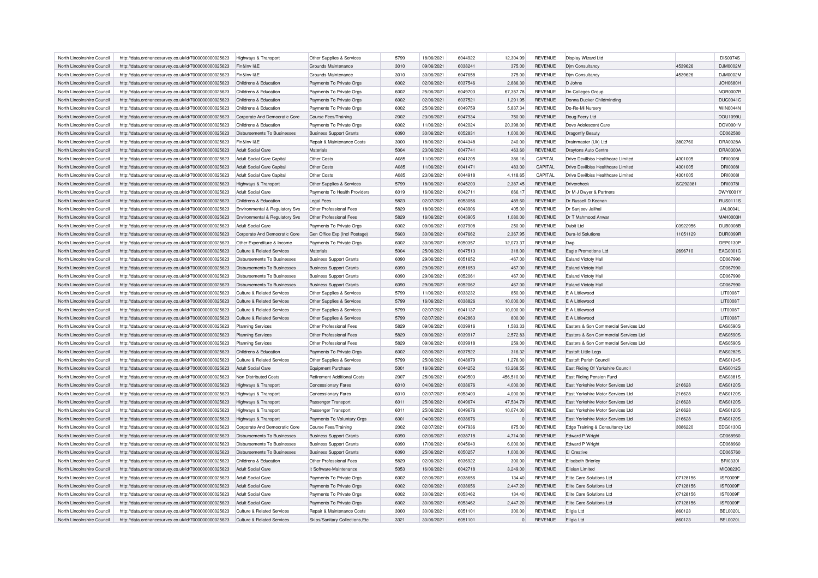| North Lincolnshire Council | http://data.ordnancesurvey.co.uk/id/7000000000025623 | Highways & Transport                  | Other Supplies & Services          | 5799 | 18/06/2021 | 6044922 | 12,304.99  | <b>REVENUE</b> | Display Wizard Ltd                    |          | <b>DIS0074S</b> |
|----------------------------|------------------------------------------------------|---------------------------------------|------------------------------------|------|------------|---------|------------|----------------|---------------------------------------|----------|-----------------|
| North Lincolnshire Council | http://data.ordnancesurvey.co.uk/id/7000000000025623 | Fin&Inv I&F                           | Grounds Maintenance                | 3010 | 09/06/2021 | 6038241 | 375.00     | <b>REVENUE</b> | Dim Consultancy                       | 4539626  | <b>DJM0002M</b> |
| North Lincolnshire Council | http://data.ordnancesurvey.co.uk/id/7000000000025623 | Fin&Inv I&E                           | Grounds Maintenance                | 3010 | 30/06/2021 | 6047658 | 375.00     | <b>REVENUE</b> | Djm Consultancy                       | 4539626  | DJM0002M        |
| North Lincolnshire Council | http://data.ordnancesurvey.co.uk/id/7000000000025623 | Childrens & Education                 | Payments To Private Orgs           | 6002 | 02/06/2021 | 6037546 | 2,886.30   | <b>REVENUE</b> | D <sub>Johns</sub>                    |          | JOH0680H        |
| North Lincolnshire Council | http://data.ordnancesurvey.co.uk/id/7000000000025623 | Childrens & Education                 | Payments To Private Orgs           | 6002 | 25/06/2021 | 6049703 | 67,357.78  | <b>REVENUE</b> | Dn Colleges Group                     |          | <b>NOR0007R</b> |
| North Lincolnshire Council | http://data.ordnancesurvey.co.uk/id/7000000000025623 | Childrens & Education                 | Payments To Private Orgs           | 6002 | 02/06/2021 | 6037521 | 1,291.95   | <b>REVENUE</b> | Donna Ducker Childminding             |          | <b>DUC0041C</b> |
| North Lincolnshire Council | http://data.ordnancesurvey.co.uk/id/7000000000025623 | Childrens & Education                 | Payments To Private Orgs           | 6002 | 25/06/2021 | 6049759 | 5,837.34   | <b>REVENUE</b> | Do-Re-Mi Nursery                      |          | WIN0044N        |
| North Lincolnshire Council | http://data.ordnancesurvey.co.uk/id/7000000000025623 | Corporate And Democratic Core         | <b>Course Fees/Training</b>        | 2002 | 23/06/2021 | 6047934 | 750.00     | <b>REVENUE</b> | Doug Feery Ltd                        |          | <b>DOU1099U</b> |
| North Lincolnshire Council | http://data.ordnancesurvey.co.uk/id/7000000000025623 | Childrens & Education                 | Payments To Private Orgs           | 6002 | 11/06/2021 | 6042024 | 20,398.00  | <b>REVENUE</b> | Dove Adolescent Care                  |          | DOV0001\        |
| North Lincolnshire Council | http://data.ordnancesurvey.co.uk/id/7000000000025623 | Disbursements To Businesses           | <b>Business Support Grants</b>     | 6090 | 30/06/2021 | 6052831 | 1,000.00   | <b>REVENUE</b> | Dragonfly Beauty                      |          | CD062580        |
| North Lincolnshire Council | http://data.ordnancesurvey.co.uk/id/7000000000025623 | Fin&Inv I&E                           | Repair & Maintenance Costs         | 3000 | 18/06/2021 | 6044348 | 240.00     | <b>REVENUE</b> | Drainmaster (Uk) Ltd                  | 3802760  | DRA0028A        |
| North Lincolnshire Council | http://data.ordnancesurvey.co.uk/id/7000000000025623 | Adult Social Care                     | Materials                          | 5004 | 23/06/2021 | 6047741 | 463.60     | <b>REVENUE</b> | Draytons Auto Centre                  |          | DRA0300A        |
| North Lincolnshire Council | http://data.ordnancesurvey.co.uk/id/7000000000025623 | Adult Social Care Capital             | Other Costs                        | A085 | 11/06/2021 | 6041205 | 386.16     | CAPITAL        | Drive Devilbiss Healthcare Limited    | 4301005  | <b>DRI0008I</b> |
| North Lincolnshire Council | http://data.ordnancesurvey.co.uk/id/7000000000025623 | Adult Social Care Capital             | Other Costs                        | A085 | 11/06/2021 | 6041471 | 483.00     | CAPITAL        | Drive Devilbiss Healthcare Limited    | 4301005  | <b>DRI0008I</b> |
|                            |                                                      |                                       | Other Costs                        | A085 |            | 6044918 |            | CAPITAL        | Drive Devilbiss Healthcare Limited    |          | <b>DRI00081</b> |
| North Lincolnshire Council | http://data.ordnancesurvey.co.uk/id/7000000000025623 | Adult Social Care Capital             |                                    |      | 23/06/2021 |         | 4,118.65   |                |                                       | 4301005  |                 |
| North Lincolnshire Council | http://data.ordnancesurvey.co.uk/id/7000000000025623 | Highways & Transport                  | Other Supplies & Services          | 5799 | 18/06/2021 | 6045203 | 2,387.45   | <b>REVENUE</b> | Drivercheck                           | SC292381 | DRI0078I        |
| North Lincolnshire Council | http://data.ordnancesurvey.co.uk/id/7000000000025623 | Adult Social Care                     | Payments To Health Providers       | 6019 | 16/06/2021 | 6042711 | 666.17     | <b>REVENUE</b> | Dr M J Dwyer & Partners               |          | DWY0001Y        |
| North Lincolnshire Council | http://data.ordnancesurvey.co.uk/id/7000000000025623 | Childrens & Education                 | <b>Legal Fees</b>                  | 5823 | 02/07/2021 | 6053056 | 489.60     | <b>REVENUE</b> | Dr Russell D Keenar                   |          | <b>RUS0111S</b> |
| North Lincolnshire Council | http://data.ordnancesurvey.co.uk/id/7000000000025623 | Environmental & Regulatory Svs        | Other Professional Fees            | 5829 | 18/06/2021 | 6043906 | 405.00     | <b>REVENUE</b> | Dr Sanieev Jalihal                    |          | <b>JAL0004L</b> |
| North Lincolnshire Council | http://data.ordnancesurvey.co.uk/id/7000000000025623 | Environmental & Regulatory Svs        | Other Professional Fees            | 5829 | 16/06/2021 | 6043905 | 1,080.00   | <b>REVENUE</b> | Dr T Mahmood Anwar                    |          | <b>MAH0003H</b> |
| North Lincolnshire Council | http://data.ordnancesurvey.co.uk/id/7000000000025623 | Adult Social Care                     | Payments To Private Orgs           | 6002 | 09/06/2021 | 6037908 | 250.00     | <b>REVENUE</b> | Dubit Ltd                             | 03922956 | <b>DUB0008B</b> |
| North Lincolnshire Council | http://data.ordnancesurvey.co.uk/id/7000000000025623 | Corporate And Democratic Core         | Gen Office Exp (Incl Postage)      | 5603 | 30/06/2021 | 6047662 | 2,367.95   | <b>REVENUE</b> | Dura-Id Solutions                     | 11051129 | DUR0099F        |
| North Lincolnshire Council | http://data.ordnancesurvey.co.uk/id/7000000000025623 | Other Expenditure & Income            | Payments To Private Orgs           | 6002 | 30/06/2021 | 6050357 | 12,073.37  | <b>REVENUE</b> | Dwp                                   |          | <b>DEP0130F</b> |
| North Lincolnshire Council | http://data.ordnancesurvey.co.uk/id/7000000000025623 | Culture & Related Services            | <b>Materials</b>                   | 5004 | 25/06/2021 | 6047513 | 318.00     | <b>REVENUE</b> | <b>Eagle Promotions Ltd</b>           | 2696710  | EAG0001G        |
| North Lincolnshire Council | http://data.ordnancesurvey.co.uk/id/7000000000025623 | Disbursements To Businesses           | <b>Business Support Grants</b>     | 6090 | 29/06/2021 | 6051652 | $-467.00$  | <b>REVENUE</b> | <b>Ealand Victoty Hall</b>            |          | CD067990        |
| North Lincolnshire Council | http://data.ordnancesurvey.co.uk/id/7000000000025623 | Disbursements To Businesses           | <b>Business Support Grants</b>     | 6090 | 29/06/2021 | 6051653 | $-467.00$  | <b>REVENUE</b> | <b>Ealand Victoty Hall</b>            |          | CD067990        |
| North Lincolnshire Council | http://data.ordnancesurvey.co.uk/id/7000000000025623 | Disbursements To Businesses           | <b>Business Support Grants</b>     | 6090 | 29/06/2021 | 605206  | 467.00     | <b>REVENUE</b> | Ealand Victoty Hall                   |          | CD067990        |
| North Lincolnshire Council | http://data.ordnancesurvey.co.uk/id/7000000000025623 | <b>Disbursements To Businesses</b>    | <b>Business Support Grants</b>     | 6090 | 29/06/2021 | 6052062 | 467.00     | <b>REVENUE</b> | <b>Ealand Victoty Hall</b>            |          | CD067990        |
| North Lincolnshire Council | http://data.ordnancesurvey.co.uk/id/7000000000025623 | Culture & Related Services            | Other Supplies & Services          | 5799 | 11/06/2021 | 6033232 | 850.00     | <b>REVENUE</b> | E A Littlewood                        |          | <b>LIT0008T</b> |
| North Lincolnshire Council | http://data.ordnancesurvey.co.uk/id/7000000000025623 | <b>Culture &amp; Related Services</b> | Other Supplies & Services          | 5799 | 16/06/2021 | 6038826 | 10,000.00  | <b>REVENUE</b> | F A Littlewood                        |          | LIT0008T        |
| North Lincolnshire Council | http://data.ordnancesurvey.co.uk/id/7000000000025623 | Culture & Related Services            | Other Supplies & Services          | 5799 | 02/07/2021 | 6041137 | 10,000.00  | <b>REVENUE</b> | E A Littlewood                        |          | <b>LIT0008T</b> |
| North Lincolnshire Council | http://data.ordnancesurvey.co.uk/id/7000000000025623 | Culture & Related Services            | Other Supplies & Services          | 5799 | 02/07/2021 | 6042863 | 800.00     | <b>REVENUE</b> | F A Littlewood                        |          | <b>LIT0008T</b> |
| North Lincolnshire Council | http://data.ordnancesurvey.co.uk/id/7000000000025623 | <b>Planning Services</b>              | Other Professional Fees            | 5829 | 09/06/2021 | 6039916 | 1,583.33   | <b>REVENUE</b> | Fasters & Son Commercial Services Ltd |          | <b>EAS0590S</b> |
| North Lincolnshire Council | http://data.ordnancesurvey.co.uk/id/7000000000025623 | <b>Planning Services</b>              | Other Professional Fees            | 5829 | 09/06/2021 | 6039917 | 2,572.83   | <b>REVENUE</b> | Easters & Son Commercial Services Ltd |          | EAS0590S        |
| North Lincolnshire Council | http://data.ordnancesurvey.co.uk/id/7000000000025623 | <b>Planning Services</b>              | Other Professional Fees            | 5829 | 09/06/2021 | 6039918 | 259.00     | <b>REVENUE</b> | Easters & Son Commercial Services Ltd |          | <b>EAS0590S</b> |
| North Lincolnshire Council | http://data.ordnancesurvey.co.uk/id/7000000000025623 | Childrens & Education                 | Payments To Private Orgs           | 6002 | 02/06/2021 | 6037522 | 316.32     | <b>REVENUE</b> | Eastoft Little Legs                   |          | EAS0282S        |
|                            |                                                      |                                       |                                    | 5799 | 25/06/2021 | 6048879 |            | <b>REVENUE</b> |                                       |          | EAS0124S        |
| North Lincolnshire Council | http://data.ordnancesurvey.co.uk/id/7000000000025623 | Culture & Related Services            | Other Supplies & Services          |      |            |         | 1,276.00   |                | Eastoft Parish Council                |          |                 |
| North Lincolnshire Council | http://data.ordnancesurvey.co.uk/id/7000000000025623 | Adult Social Care                     | <b>Equipment Purchase</b>          | 5001 | 16/06/2021 | 6044252 | 13,268.55  | <b>REVENUE</b> | East Riding Of Yorkshire Council      |          | EAS0012S        |
| North Lincolnshire Council | http://data.ordnancesurvey.co.uk/id/7000000000025623 | Non Distributed Costs                 | <b>Retirement Additional Costs</b> | 2007 | 25/06/2021 | 6049503 | 456,510.00 | <b>REVENUE</b> | East Riding Pension Fund              |          | EAS0381S        |
| North Lincolnshire Council | http://data.ordnancesurvey.co.uk/id/7000000000025623 | Highways & Transport                  | <b>Concessionary Fares</b>         | 6010 | 04/06/2021 | 6038676 | 4,000.00   | <b>REVENUE</b> | East Yorkshire Motor Services Ltd     | 216628   | EAS0120S        |
| North Lincolnshire Council | http://data.ordnancesurvey.co.uk/id/7000000000025623 | Highways & Transport                  | Concessionary Fares                | 6010 | 02/07/2021 | 6053403 | 4.000.00   | <b>REVENUE</b> | East Yorkshire Motor Services Ltd     | 216628   | EAS0120S        |
| North Lincolnshire Council | http://data.ordnancesurvey.co.uk/id/7000000000025623 | Highways & Transport                  | Passenger Transport                | 6011 | 25/06/2021 | 6049674 | 47,534.79  | <b>REVENUE</b> | East Yorkshire Motor Services Ltd     | 216628   | EAS0120S        |
| North Lincolnshire Council | http://data.ordnancesurvey.co.uk/id/7000000000025623 | Highways & Transport                  | Passenger Transport                | 6011 | 25/06/2021 | 6049676 | 10,074.00  | REVENUE        | East Yorkshire Motor Services Ltd     | 216628   | EAS0120S        |
| North Lincolnshire Council | http://data.ordnancesurvey.co.uk/id/7000000000025623 | Highways & Transport                  | Payments To Voluntary Orgs         | 6001 | 04/06/2021 | 6038676 | $\Omega$   | <b>REVENUE</b> | East Yorkshire Motor Services Ltd     | 216628   | EAS0120S        |
| North Lincolnshire Council | http://data.ordnancesurvey.co.uk/id/7000000000025623 | Corporate And Democratic Core         | Course Fees/Training               | 2002 | 02/07/2021 | 6047936 | 875.00     | <b>REVENUE</b> | Edge Training & Consultancy Ltd       | 3086220  | EDG0130G        |
| North Lincolnshire Council | http://data.ordnancesurvey.co.uk/id/7000000000025623 | <b>Disbursements To Businesses</b>    | <b>Business Support Grants</b>     | 6090 | 02/06/2021 | 6038718 | 4,714.00   | <b>REVENUE</b> | <b>Edward P Wright</b>                |          | CD068960        |
| North Lincolnshire Council | http://data.ordnancesurvey.co.uk/id/7000000000025623 | <b>Disbursements To Businesses</b>    | <b>Business Support Grants</b>     | 6090 | 17/06/2021 | 6045640 | 6,000.00   | <b>REVENUE</b> | <b>Edward P Wright</b>                |          | CD068960        |
| North Lincolnshire Council | http://data.ordnancesurvey.co.uk/id/7000000000025623 | Disbursements To Businesses           | <b>Business Support Grants</b>     | 6090 | 25/06/2021 | 6050257 | 1,000.00   | <b>REVENUE</b> | El Creative                           |          | CD065760        |
| North Lincolnshire Council | http://data.ordnancesurvey.co.uk/id/7000000000025623 | Childrens & Education                 | Other Professional Fees            | 5829 | 02/06/2021 | 6036922 | 300.00     | <b>REVENUE</b> | Elisabeth Brierley                    |          | <b>BRI0330I</b> |
| North Lincolnshire Council | http://data.ordnancesurvey.co.uk/id/7000000000025623 | Adult Social Care                     | It Software-Maintenance            | 5053 | 16/06/2021 | 6042718 | 3,249.00   | <b>REVENUE</b> | Elisian Limited                       |          | MIC0023C        |
| North Lincolnshire Council | http://data.ordnancesurvey.co.uk/id/7000000000025623 | Adult Social Care                     | Payments To Private Orgs           | 6002 | 02/06/2021 | 6038656 | 134.40     | <b>REVENUE</b> | Flite Care Solutions Ltd              | 07128156 | ISF0009F        |
| North Lincolnshire Council | http://data.ordnancesurvey.co.uk/id/7000000000025623 | Adult Social Care                     | Payments To Private Orgs           | 6002 | 02/06/2021 | 6038656 | 2,447.20   | <b>REVENUE</b> | Elite Care Solutions Ltd              | 07128156 | ISF0009F        |
| North Lincolnshire Council | http://data.ordnancesurvey.co.uk/id/7000000000025623 | Adult Social Care                     | Payments To Private Orgs           | 6002 | 30/06/2021 | 6053462 | 134.40     | <b>REVENUE</b> | Elite Care Solutions Ltd              | 07128156 | ISF0009F        |
| North Lincolnshire Council | http://data.ordnancesurvey.co.uk/id/7000000000025623 | <b>Adult Social Care</b>              | Payments To Private Orgs           | 6002 | 30/06/2021 | 6053462 | 2,447.20   | <b>REVENUE</b> | Elite Care Solutions Ltd              | 07128156 | ISF0009F        |
| North Lincolnshire Council | http://data.ordnancesurvey.co.uk/id/7000000000025623 | Culture & Related Services            | Repair & Maintenance Costs         | 3000 | 30/06/2021 | 6051101 | 300.00     | <b>REVENUE</b> | Ellgia Ltd                            | 860123   | <b>BEL0020L</b> |
| North Lincolnshire Council | http://data.ordnancesurvey.co.uk/id/7000000000025623 | Culture & Related Services            | Skips/Sanitary Collections, Etc    | 3321 | 30/06/2021 | 6051101 | $\Omega$   | <b>REVENUE</b> | Ellgia Ltd                            | 860123   | <b>BEL0020L</b> |
|                            |                                                      |                                       |                                    |      |            |         |            |                |                                       |          |                 |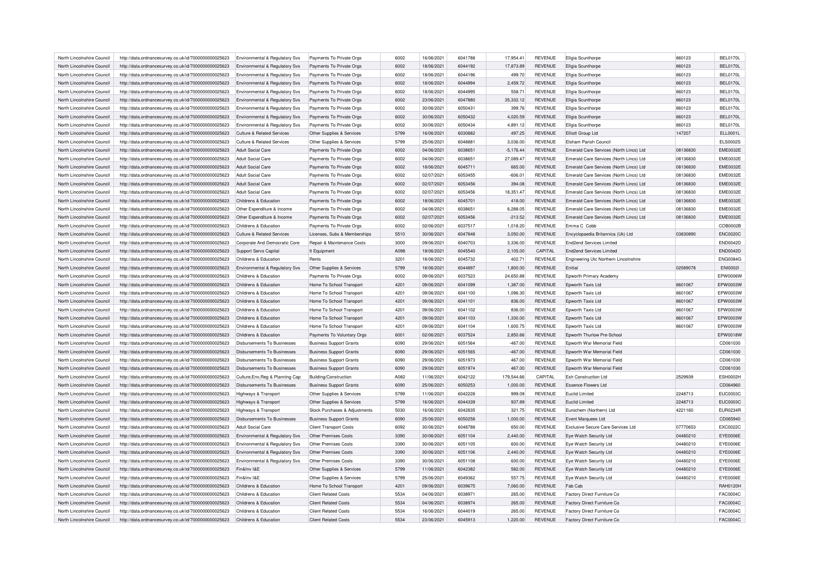| North Lincolnshire Council | http://data.ordnancesurvey.co.uk/id/7000000000025623 | Environmental & Regulatory Svs            | Payments To Private Orgs       | 6002 | 16/06/2021 | 6041788 | 17,954.41   | <b>REVENUE</b> | Ellgia Scunthorpe                       | 860123   | BEL0170L        |
|----------------------------|------------------------------------------------------|-------------------------------------------|--------------------------------|------|------------|---------|-------------|----------------|-----------------------------------------|----------|-----------------|
| North Lincolnshire Council | http://data.ordnancesurvey.co.uk/id/7000000000025623 | Environmental & Regulatory Svs            | Payments To Private Orgs       | 6002 | 18/06/2021 | 6044192 | 17,873.89   | <b>REVENUE</b> | Ellgia Scunthorpe                       | 860123   | <b>BEL0170L</b> |
| North Lincolnshire Council | http://data.ordnancesurvey.co.uk/id/7000000000025623 | Environmental & Regulatory Svs            | Payments To Private Orgs       | 6002 | 18/06/2021 | 6044196 | 499.70      | <b>REVENUE</b> | Ellgia Scunthorpe                       | 860123   | <b>BEL0170L</b> |
| North Lincolnshire Council | http://data.ordnancesurvey.co.uk/id/7000000000025623 | Environmental & Regulatory Svs            | Payments To Private Orgs       | 6002 | 18/06/2021 | 6044994 | 2,459.72    | <b>REVENUE</b> | Ellgia Scunthorpe                       | 860123   | <b>BEL0170L</b> |
| North Lincolnshire Council | http://data.ordnancesurvey.co.uk/id/7000000000025623 | Environmental & Regulatory Svs            | Payments To Private Orgs       | 6002 | 18/06/2021 | 6044995 | 558.71      | <b>REVENUE</b> | Ellgia Scunthorpe                       | 860123   | <b>BEL0170L</b> |
| North Lincolnshire Council | http://data.ordnancesurvey.co.uk/id/7000000000025623 | Environmental & Regulatory Svs            | Payments To Private Orgs       | 6002 | 23/06/2021 | 6047880 | 35,332.12   | <b>REVENUE</b> | Ellgia Scunthorpe                       | 860123   | <b>BEL0170L</b> |
| North Lincolnshire Council | http://data.ordnancesurvey.co.uk/id/7000000000025623 | Environmental & Regulatory Svs            | Payments To Private Orgs       | 6002 | 30/06/2021 | 6050431 | 399.76      | <b>REVENUE</b> | Ellgia Scunthorpe                       | 860123   | <b>BEL0170L</b> |
| North Lincolnshire Council | http://data.ordnancesurvey.co.uk/id/7000000000025623 | <b>Environmental &amp; Regulatory Svs</b> | Payments To Private Orgs       | 6002 | 30/06/2021 | 6050432 | 4,020.59    | <b>REVENUE</b> | Ellgia Scunthorpe                       | 860123   | <b>BEL0170L</b> |
| North Lincolnshire Council | http://data.ordnancesurvey.co.uk/id/7000000000025623 | Environmental & Regulatory Svs            | Payments To Private Orgs       | 6002 | 30/06/2021 | 6050434 | 4,891.12    | <b>REVENUE</b> | Ellgia Scunthorpe                       | 860123   | <b>BEL0170L</b> |
| North Lincolnshire Council | http://data.ordnancesurvey.co.uk/id/7000000000025623 | Culture & Related Services                | Other Supplies & Services      | 5799 | 16/06/2021 | 6030882 | 497.25      | <b>REVENUE</b> | Elliott Group Ltd                       | 147207   | ELL0001L        |
| North Lincolnshire Council | http://data.ordnancesurvey.co.uk/id/7000000000025623 | <b>Culture &amp; Related Services</b>     | Other Supplies & Services      | 5799 | 25/06/2021 | 6048881 | 3,036.00    | <b>REVENUE</b> | <b>Fisham Parish Council</b>            |          | <b>ELS0002S</b> |
| North Lincolnshire Council | http://data.ordnancesurvey.co.uk/id/7000000000025623 | <b>Adult Social Care</b>                  | Payments To Private Orgs       | 6002 | 04/06/2021 | 6038651 | $-5,176.44$ | <b>REVENUE</b> | Emerald Care Services (North Lincs) Ltd | 08136830 | <b>EME0032E</b> |
| North Lincolnshire Council | http://data.ordnancesurvey.co.uk/id/7000000000025623 | <b>Adult Social Care</b>                  | Payments To Private Orgs       | 6002 | 04/06/2021 | 6038651 | 27,089.47   | <b>REVENUE</b> | Emerald Care Services (North Lincs) Ltd | 08136830 | <b>EME0032E</b> |
| North Lincolnshire Council | http://data.ordnancesurvey.co.uk/id/7000000000025623 | Adult Social Care                         | Payments To Private Orgs       | 6002 | 18/06/2021 | 6045711 | 665.00      | <b>REVENUE</b> | Emerald Care Services (North Lincs) Ltd | 08136830 | <b>EME0032E</b> |
| North Lincolnshire Council | http://data.ordnancesurvey.co.uk/id/7000000000025623 | <b>Adult Social Care</b>                  | Payments To Private Orgs       | 6002 | 02/07/2021 | 6053455 | $-606.0$    | <b>REVENUE</b> | Emerald Care Services (North Lincs) Ltd | 08136830 | <b>EME0032E</b> |
|                            |                                                      |                                           |                                | 6002 | 02/07/2021 | 6053456 | 394.08      | <b>REVENUE</b> |                                         |          | <b>EME0032E</b> |
| North Lincolnshire Council | http://data.ordnancesurvey.co.uk/id/7000000000025623 | <b>Adult Social Care</b>                  | Payments To Private Orgs       |      |            |         |             |                | Emerald Care Services (North Lincs) Ltd | 08136830 |                 |
| North Lincolnshire Council | http://data.ordnancesurvey.co.uk/id/7000000000025623 | Adult Social Care                         | Payments To Private Orgs       | 6002 | 02/07/2021 | 6053456 | 18,351.47   | <b>REVENUE</b> | Emerald Care Services (North Lincs) Ltd | 08136830 | <b>EME0032E</b> |
| North Lincolnshire Council | http://data.ordnancesurvey.co.uk/id/7000000000025623 | Childrens & Education                     | Payments To Private Orgs       | 6002 | 18/06/2021 | 6045701 | 418.00      | <b>REVENUE</b> | Emerald Care Services (North Lincs) Ltd | 08136830 | <b>EME0032E</b> |
| North Lincolnshire Council | http://data.ordnancesurvey.co.uk/id/7000000000025623 | Other Expenditure & Income                | Payments To Private Orgs       | 6002 | 04/06/2021 | 6038651 | 6,288.05    | <b>REVENUE</b> | Emerald Care Services (North Lincs) Ltd | 08136830 | <b>EME0032E</b> |
| North Lincolnshire Council | http://data.ordnancesurvey.co.uk/id/7000000000025623 | Other Expenditure & Income                | Payments To Private Orgs       | 6002 | 02/07/2021 | 6053456 | $-213.52$   | <b>REVENUE</b> | Emerald Care Services (North Lincs) Ltd | 08136830 | <b>EME0032E</b> |
| North Lincolnshire Council | http://data.ordnancesurvey.co.uk/id/7000000000025623 | Childrens & Education                     | Payments To Private Orgs       | 6002 | 02/06/2021 | 6037517 | 1,018.20    | <b>REVENUE</b> | Emma C. Cobb                            |          | COB0002B        |
| North Lincolnshire Council | http://data.ordnancesurvey.co.uk/id/7000000000025623 | Culture & Related Services                | Licenses, Subs & Memberships   | 5510 | 30/06/2021 | 6047848 | 3,050.00    | <b>REVENUE</b> | Encyclopaedia Britannica (Uk) Ltd       | 03830890 | <b>ENC0020C</b> |
| North Lincolnshire Council | http://data.ordnancesurvey.co.uk/id/7000000000025623 | Corporate And Democratic Core             | Repair & Maintenance Costs     | 3000 | 09/06/2021 | 6040703 | 3.336.00    | <b>REVENUE</b> | <b>End2end Services Limited</b>         |          | <b>END0042D</b> |
| North Lincolnshire Council | http://data.ordnancesurvey.co.uk/id/7000000000025623 | <b>Support Servs Capital</b>              | It Equipment                   | A098 | 18/06/2021 | 6045540 | 2,105.00    | CAPITAL        | <b>End2end Services Limited</b>         |          | <b>END0042D</b> |
| North Lincolnshire Council | http://data.ordnancesurvey.co.uk/id/7000000000025623 | Childrens & Education                     | Rents                          | 3201 | 18/06/2021 | 6045732 | 402.71      | <b>REVENUE</b> | Engineering Utc Northern Lincolnshire   |          | <b>ENG0084G</b> |
| North Lincolnshire Council | http://data.ordnancesurvey.co.uk/id/7000000000025623 | Environmental & Regulatory Svs            | Other Supplies & Services      | 5799 | 18/06/2021 | 6044897 | 1.800.00    | <b>REVENUE</b> | Fnitial                                 | 02589078 | <b>ENI0002I</b> |
| North Lincolnshire Council | http://data.ordnancesurvey.co.uk/id/7000000000025623 | Childrens & Education                     | Payments To Private Orgs       | 6002 | 09/06/2021 | 6037523 | 24,650.88   | <b>REVENUE</b> | Epworth Primary Academy                 |          | EPW0006W        |
| North Lincolnshire Council | http://data.ordnancesurvey.co.uk/id/7000000000025623 | Childrens & Education                     | Home To School Transport       | 4201 | 09/06/2021 | 6041099 | 1,387.00    | <b>REVENUE</b> | Epworth Taxis Ltd                       | 8601067  | EPW0003W        |
| North Lincolnshire Council | http://data.ordnancesurvey.co.uk/id/7000000000025623 | Childrens & Education                     | Home To School Transport       | 4201 | 09/06/2021 | 6041100 | 1.096.30    | <b>REVENUE</b> | Epworth Taxis Ltd                       | 8601067  | EPW0003W        |
| North Lincolnshire Council | http://data.ordnancesurvey.co.uk/id/7000000000025623 | Childrens & Education                     | Home To School Transport       | 4201 | 09/06/2021 | 6041101 | 836.00      | <b>REVENUE</b> | Epworth Taxis Ltd                       | 8601067  | EPW0003W        |
| North Lincolnshire Council | http://data.ordnancesurvey.co.uk/id/7000000000025623 | Childrens & Education                     | Home To School Transport       | 4201 | 09/06/2021 | 6041102 | 836.00      | <b>REVENUE</b> | Epworth Taxis Ltd                       | 8601067  | EPW0003W        |
| North Lincolnshire Council | http://data.ordnancesurvey.co.uk/id/7000000000025623 | Childrens & Education                     | Home To School Transport       | 4201 | 09/06/2021 | 6041103 | 1.330.00    | <b>REVENUE</b> | Epworth Taxis Ltd                       | 8601067  | EPW0003W        |
| North Lincolnshire Council | http://data.ordnancesurvey.co.uk/id/7000000000025623 | Childrens & Education                     | Home To School Transport       | 4201 | 09/06/2021 | 6041104 | 1,600.75    | <b>REVENUE</b> | Epworth Taxis Ltd                       | 8601067  | EPW0003W        |
| North Lincolnshire Council | http://data.ordnancesurvey.co.uk/id/7000000000025623 | Childrens & Education                     | Payments To Voluntary Orgs     | 6001 | 02/06/2021 | 6037524 | 2,850.66    | <b>REVENUE</b> | Epworth Thurlow Pre-School              |          | EPW0018W        |
| North Lincolnshire Council | http://data.ordnancesurvey.co.uk/id/7000000000025623 | Disbursements To Businesses               | <b>Business Support Grants</b> | 6090 | 29/06/2021 | 6051564 | $-467.00$   | <b>REVENUE</b> | Epworth War Memorial Field              |          | CD061030        |
| North Lincolnshire Council |                                                      | Disbursements To Businesses               |                                | 6090 | 29/06/2021 | 6051565 | $-467.00$   | <b>REVENUE</b> | Epworth War Memorial Field              |          | CD061030        |
| North Lincolnshire Council | http://data.ordnancesurvey.co.uk/id/7000000000025623 | <b>Disbursements To Businesses</b>        | <b>Business Support Grants</b> | 6090 | 29/06/2021 | 6051973 | 467.00      | <b>REVENUE</b> | Epworth War Memorial Field              |          | CD061030        |
|                            | http://data.ordnancesurvey.co.uk/id/7000000000025623 |                                           | <b>Business Support Grants</b> |      |            |         |             |                |                                         |          |                 |
| North Lincolnshire Council | http://data.ordnancesurvey.co.uk/id/7000000000025623 | <b>Disbursements To Businesses</b>        | <b>Business Support Grants</b> | 6090 | 29/06/2021 | 6051974 | 467.00      | <b>REVENUE</b> | Epworth War Memorial Field              |          | CD061030        |
| North Lincolnshire Council | http://data.ordnancesurvey.co.uk/id/7000000000025623 | Culture, Env, Reg & Planning Cap          | Building/Construction          | A082 | 11/06/2021 | 6042122 | 179,544.66  | CAPITAL        | <b>Esh Construction Ltd</b>             | 2529939  | ESH0002H        |
| North Lincolnshire Council | http://data.ordnancesurvey.co.uk/id/7000000000025623 | <b>Disbursements To Businesses</b>        | <b>Business Support Grants</b> | 6090 | 25/06/2021 | 6050253 | 1,000.00    | <b>REVENUE</b> | <b>Essence Flowers Ltd</b>              |          | CD064960        |
| North Lincolnshire Council | http://data.ordnancesurvey.co.uk/id/7000000000025623 | Highways & Transport                      | Other Supplies & Services      | 5799 | 11/06/2021 | 6042228 | 999.09      | <b>REVENUE</b> | Fuclid Limited                          | 2248713  | <b>EUC0003C</b> |
| North Lincolnshire Council | http://data.ordnancesurvey.co.uk/id/7000000000025623 | Highways & Transport                      | Other Supplies & Services      | 5799 | 16/06/2021 | 6044339 | 937.89      | <b>REVENUE</b> | Fuclid Limited                          | 2248713  | EUC0003C        |
| North Lincolnshire Council | http://data.ordnancesurvey.co.uk/id/7000000000025623 | <b>Highways &amp; Transport</b>           | Stock Purchases & Adjustments  | 5030 | 16/06/2021 | 6042835 | 321.75      | <b>REVENUE</b> | Eurochem (Northern) Ltd                 | 4221160  | <b>EUR0234R</b> |
| North Lincolnshire Council | http://data.ordnancesurvey.co.uk/id/7000000000025623 | Disbursements To Businesses               | <b>Business Support Grants</b> | 6090 | 25/06/2021 | 6050258 | 1,000.00    | <b>REVENUE</b> | Event Marquees Ltd                      |          | CD065940        |
| North Lincolnshire Council | http://data.ordnancesurvey.co.uk/id/7000000000025623 | <b>Adult Social Care</b>                  | <b>Client Transport Costs</b>  | 6092 | 30/06/2021 | 6048788 | 650.00      | <b>REVENUE</b> | Exclusive Secure Care Services Ltd      | 07770653 | <b>EXC0022C</b> |
| North Lincolnshire Council | http://data.ordnancesurvey.co.uk/id/7000000000025623 | <b>Environmental &amp; Regulatory Svs</b> | <b>Other Premises Costs</b>    | 3390 | 30/06/2021 | 6051104 | 2,440.00    | <b>REVENUE</b> | Eye Watch Security Ltd                  | 04480210 | <b>EYE0006E</b> |
| North Lincolnshire Council | http://data.ordnancesurvey.co.uk/id/7000000000025623 | Environmental & Regulatory Svs            | Other Premises Costs           | 3390 | 30/06/2021 | 6051105 | 600.00      | <b>REVENUE</b> | Eye Watch Security Ltd                  | 04480210 | <b>EYE0006E</b> |
| North Lincolnshire Council | http://data.ordnancesurvey.co.uk/id/7000000000025623 | Environmental & Regulatory Svs            | Other Premises Costs           | 3390 | 30/06/2021 | 6051106 | 2,440.00    | <b>REVENUE</b> | Eye Watch Security Ltd                  | 04480210 | <b>EYE0006E</b> |
| North Lincolnshire Council | http://data.ordnancesurvey.co.uk/id/7000000000025623 | Environmental & Regulatory Svs            | Other Premises Costs           | 3390 | 30/06/2021 | 6051108 | 600.00      | <b>REVENUE</b> | Eye Watch Security Ltd                  | 04480210 | <b>EYE0006E</b> |
| North Lincolnshire Council | http://data.ordnancesurvey.co.uk/id/7000000000025623 | Fin&Inv I&F                               | Other Supplies & Services      | 5799 | 11/06/2021 | 6042382 | 582.00      | <b>REVENUE</b> | Eye Watch Security Ltd                  | 04480210 | <b>EYE0006E</b> |
| North Lincolnshire Council | http://data.ordnancesurvey.co.uk/id/7000000000025623 | Fin&Inv I&E                               | Other Supplies & Services      | 5799 | 25/06/2021 | 6049362 | 557.75      | <b>REVENUE</b> | Eye Watch Security Ltd                  | 04480210 | EYE0006E        |
| North Lincolnshire Council | http://data.ordnancesurvey.co.uk/id/7000000000025623 | Childrens & Education                     | Home To School Transport       | 4201 | 09/06/2021 | 6039675 | 7.060.00    | <b>REVENUE</b> | Fab Cab                                 |          | <b>RAH0120H</b> |
| North Lincolnshire Council | http://data.ordnancesurvey.co.uk/id/7000000000025623 | Childrens & Education                     | <b>Client Related Costs</b>    | 5534 | 04/06/2021 | 6038971 | 265.00      | <b>REVENUE</b> | Factory Direct Furniture Co             |          | <b>FAC0004C</b> |
| North Lincolnshire Council | http://data.ordnancesurvey.co.uk/id/7000000000025623 | Childrens & Education                     | <b>Client Related Costs</b>    | 5534 | 04/06/2021 | 6038974 | 265.00      | <b>REVENUE</b> | Factory Direct Furniture Co             |          | <b>FAC0004C</b> |
| North Lincolnshire Council | http://data.ordnancesurvey.co.uk/id/7000000000025623 | Childrens & Education                     | <b>Client Related Costs</b>    | 5534 | 16/06/2021 | 6044019 | 265.00      | <b>REVENUE</b> | Factory Direct Furniture Co             |          | FAC0004C        |
| North Lincolnshire Council | http://data.ordnancesurvey.co.uk/id/7000000000025623 | Childrens & Education                     | <b>Client Related Costs</b>    | 5534 | 23/06/2021 | 6045913 | 1.220.00    | <b>REVENUE</b> | Factory Direct Furniture Co.            |          | <b>FAC0004C</b> |
|                            |                                                      |                                           |                                |      |            |         |             |                |                                         |          |                 |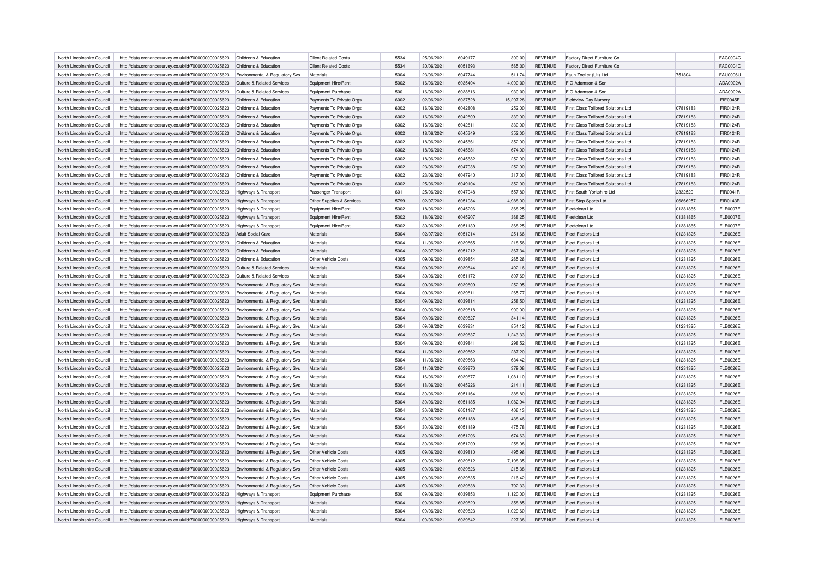| North Lincolnshire Council                               | http://data.ordnancesurvey.co.uk/id/7000000000025623                                                         | Childrens & Education                                            | <b>Client Related Costs</b> | 5534 | 25/06/2021               | 6049177 | 300.00           | <b>REVENUE</b>                   | Factory Direct Furniture Co                   |          | <b>FAC0004C</b> |
|----------------------------------------------------------|--------------------------------------------------------------------------------------------------------------|------------------------------------------------------------------|-----------------------------|------|--------------------------|---------|------------------|----------------------------------|-----------------------------------------------|----------|-----------------|
| North Lincolnshire Council                               | http://data.ordnancesurvey.co.uk/id/7000000000025623                                                         | Childrens & Education                                            | <b>Client Related Costs</b> | 5534 | 30/06/2021               | 6051693 | 565.00           | <b>REVENUE</b>                   | Factory Direct Furniture Co.                  |          | <b>FAC0004C</b> |
| North Lincolnshire Council                               | http://data.ordnancesurvey.co.uk/id/7000000000025623                                                         | Environmental & Regulatory Svs                                   | Materials                   | 5004 | 23/06/2021               | 6047744 | 511.74           | <b>REVENUE</b>                   | Faun Zoeller (Uk) Ltd                         | 751804   | <b>FAU0006U</b> |
| North Lincolnshire Council                               | http://data.ordnancesurvey.co.uk/id/7000000000025623                                                         | <b>Culture &amp; Related Services</b>                            | Equipment Hire/Rent         | 5002 | 16/06/2021               | 6035404 | 4,000.00         | <b>REVENUE</b>                   | F G Adamson & Son                             |          | ADA0002A        |
| North Lincolnshire Council                               | http://data.ordnancesurvey.co.uk/id/7000000000025623                                                         | Culture & Related Services                                       | <b>Equipment Purchase</b>   | 5001 | 16/06/2021               | 6038816 | 930.00           | <b>REVENUE</b>                   | F G Adamson & Son                             |          | ADA0002A        |
| North Lincolnshire Council                               | http://data.ordnancesurvey.co.uk/id/7000000000025623                                                         | Childrens & Education                                            | Payments To Private Orgs    | 6002 | 02/06/2021               | 6037528 | 15,297.28        | <b>REVENUE</b>                   | <b>Fieldview Day Nursery</b>                  |          | <b>FIE0045E</b> |
| North Lincolnshire Council                               | http://data.ordnancesurvey.co.uk/id/7000000000025623                                                         | Childrens & Education                                            | Payments To Private Orgs    | 6002 | 16/06/2021               | 6042808 | 252.00           | <b>REVENUE</b>                   | First Class Tailored Solutions Ltd            | 07819183 | FIR0124R        |
| North Lincolnshire Council                               | http://data.ordnancesurvey.co.uk/id/7000000000025623                                                         | Childrens & Education                                            | Payments To Private Orgs    | 6002 | 16/06/2021               | 6042809 | 339.00           | <b>REVENUE</b>                   | First Class Tailored Solutions Ltd            | 07819183 | FIR0124R        |
| North Lincolnshire Council                               | http://data.ordnancesurvey.co.uk/id/7000000000025623                                                         | Childrens & Education                                            | Payments To Private Orgs    | 6002 | 16/06/2021               | 6042811 | 330.00           | <b>REVENUE</b>                   | First Class Tailored Solutions Ltd            | 07819183 | FIR0124R        |
| North Lincolnshire Council                               | http://data.ordnancesurvey.co.uk/id/7000000000025623                                                         | Childrens & Education                                            | Payments To Private Orgs    | 6002 | 18/06/2021               | 6045349 | 352.00           | <b>REVENUE</b>                   | <b>First Class Tailored Solutions Ltd</b>     | 07819183 | FIR0124R        |
| North Lincolnshire Council                               | http://data.ordnancesurvey.co.uk/id/7000000000025623                                                         | Childrens & Education                                            | Payments To Private Orgs    | 6002 | 18/06/2021               | 6045661 | 352.00           | <b>REVENUE</b>                   | First Class Tailored Solutions Ltd            | 07819183 | FIR0124R        |
| North Lincolnshire Council                               | http://data.ordnancesurvey.co.uk/id/7000000000025623                                                         | Childrens & Education                                            | Payments To Private Orgs    | 6002 | 18/06/2021               | 6045681 | 674.00           | <b>REVENUE</b>                   | First Class Tailored Solutions Ltd            | 07819183 | FIR0124R        |
| North Lincolnshire Council                               |                                                                                                              |                                                                  |                             | 6002 |                          | 6045682 |                  | <b>REVENUE</b>                   | <b>First Class Tailored Solutions Ltd</b>     |          | FIR0124R        |
|                                                          | http://data.ordnancesurvey.co.uk/id/7000000000025623                                                         | Childrens & Education<br>Childrens & Education                   | Payments To Private Orgs    |      | 18/06/2021               |         | 252.00           |                                  |                                               | 07819183 |                 |
| North Lincolnshire Council                               | http://data.ordnancesurvey.co.uk/id/7000000000025623                                                         |                                                                  | Payments To Private Orgs    | 6002 | 23/06/2021               | 6047938 | 252.00           | <b>REVENUE</b>                   | First Class Tailored Solutions Ltd            | 07819183 | FIR0124R        |
| North Lincolnshire Council                               | http://data.ordnancesurvey.co.uk/id/7000000000025623                                                         | Childrens & Education                                            | Payments To Private Orgs    | 5002 | 23/06/2021               | 6047940 | 317.00           | <b>REVENUE</b>                   | First Class Tailored Solutions Ltd            | 07819183 | FIR0124R        |
| North Lincolnshire Council                               | http://data.ordnancesurvey.co.uk/id/7000000000025623                                                         | Childrens & Education                                            | Payments To Private Orgs    | 6002 | 25/06/2021               | 6049104 | 352.00           | <b>REVENUE</b>                   | First Class Tailored Solutions Ltd            | 07819183 | FIR0124R        |
| North Lincolnshire Council                               | http://data.ordnancesurvey.co.uk/id/7000000000025623                                                         | Highways & Transport                                             | Passenger Transport         | 6011 | 25/06/2021               | 6047948 | 557.80           | <b>REVENUE</b>                   | First South Yorkshire Ltd                     | 2332529  | FIR0041R        |
| North Lincolnshire Council                               | http://data.ordnancesurvey.co.uk/id/7000000000025623                                                         | Highways & Transport                                             | Other Supplies & Services   | 5799 | 02/07/2021               | 6051084 | 4,988.00         | <b>REVENUE</b>                   | <b>First Step Sports Ltd</b>                  | 06866257 | FIR0143R        |
| North Lincolnshire Council                               | http://data.ordnancesurvey.co.uk/id/7000000000025623                                                         | Highways & Transport                                             | Equipment Hire/Rent         | 5002 | 18/06/2021               | 6045206 | 368.25           | <b>REVENUE</b>                   | Fleetclean Ltd                                | 01381865 | <b>FLE0007E</b> |
| North Lincolnshire Council                               | http://data.ordnancesurvey.co.uk/id/7000000000025623                                                         | Highways & Transport                                             | Equipment Hire/Rent         | 5002 | 18/06/2021               | 6045207 | 368.25           | <b>REVENUE</b>                   | Fleetclean Ltd                                | 01381865 | <b>FLE0007E</b> |
| North Lincolnshire Council                               | http://data.ordnancesurvey.co.uk/id/7000000000025623                                                         | Highways & Transport                                             | Equipment Hire/Rent         | 5002 | 30/06/2021               | 6051139 | 368.25           | <b>REVENUE</b>                   | Fleetclean Ltd                                | 01381865 | <b>FLE0007E</b> |
| North Lincolnshire Council                               | http://data.ordnancesurvey.co.uk/id/7000000000025623                                                         | <b>Adult Social Care</b>                                         | Materials                   | 5004 | 02/07/2021               | 6051214 | 251.66           | <b>REVENUE</b>                   | Fleet Factors Ltd                             | 01231325 | <b>FLE0026E</b> |
| North Lincolnshire Council                               | http://data.ordnancesurvey.co.uk/id/7000000000025623                                                         | Childrens & Education                                            | Materials                   | 5004 | 11/06/2021               | 6039865 | 218.56           | <b>REVENUE</b>                   | Fleet Factors Ltd                             | 01231325 | <b>FLE0026E</b> |
| North Lincolnshire Council                               | http://data.ordnancesurvey.co.uk/id/7000000000025623                                                         | Childrens & Education                                            | Materials                   | 5004 | 02/07/2021               | 6051212 | 367.34           | <b>REVENUE</b>                   | Fleet Factors Ltd                             | 01231325 | <b>FLE0026E</b> |
| North Lincolnshire Council                               | http://data.ordnancesurvey.co.uk/id/7000000000025623                                                         | Childrens & Education                                            | Other Vehicle Costs         | 4005 | 09/06/2021               | 6039854 | 265.26           | <b>REVENUE</b>                   | Fleet Factors Ltd                             | 01231325 | <b>FLE0026E</b> |
| North Lincolnshire Council                               | http://data.ordnancesurvey.co.uk/id/7000000000025623                                                         | Culture & Related Services                                       | Materials                   | 5004 | 09/06/2021               | 6039844 | 492.16           | <b>REVENUE</b>                   | Fleet Factors Ltd                             | 01231325 | <b>FLE0026E</b> |
| North Lincolnshire Council                               | http://data.ordnancesurvey.co.uk/id/7000000000025623                                                         | Culture & Related Services                                       | Materials                   | 5004 | 30/06/2021               | 6051172 | 807.69           | <b>REVENUE</b>                   | Fleet Factors Ltd                             | 01231325 | <b>FLE0026E</b> |
| North Lincolnshire Council                               | http://data.ordnancesurvey.co.uk/id/7000000000025623                                                         | Environmental & Regulatory Svs                                   | Materials                   | 5004 | 09/06/2021               | 6039809 | 252.95           | <b>REVENUE</b>                   | <b>Fleet Factors Ltd</b>                      | 01231325 | <b>FLE0026E</b> |
| North Lincolnshire Council                               | http://data.ordnancesurvey.co.uk/id/7000000000025623                                                         | Environmental & Regulatory Svs                                   | Materials                   | 5004 | 09/06/2021               | 6039811 | 265.77           | <b>REVENUE</b>                   | Fleet Factors I td                            | 01231325 | <b>FLE0026E</b> |
| North Lincolnshire Council                               | http://data.ordnancesurvey.co.uk/id/7000000000025623                                                         | Environmental & Regulatory Svs                                   | Materials                   | 5004 | 09/06/2021               | 6039814 | 258.50           | <b>REVENUE</b>                   | Fleet Factors Ltd                             | 01231325 | <b>FLE0026E</b> |
| North Lincolnshire Council                               | http://data.ordnancesurvey.co.uk/id/7000000000025623                                                         | Environmental & Regulatory Svs                                   | Materials                   | 5004 | 09/06/2021               | 6039818 | 900.00           | <b>REVENUE</b>                   | <b>Fleet Factors Ltd</b>                      | 01231325 | <b>FLE0026E</b> |
| North Lincolnshire Council                               | http://data.ordnancesurvey.co.uk/id/7000000000025623                                                         | Environmental & Regulatory Svs                                   | Materials                   | 5004 | 09/06/2021               | 6039827 | 341.14           | <b>REVENUE</b>                   | Fleet Factors Ltd                             | 01231325 | <b>FLE0026E</b> |
| North Lincolnshire Council                               | http://data.ordnancesurvey.co.uk/id/7000000000025623                                                         | Environmental & Regulatory Svs                                   | Materials                   | 5004 | 09/06/2021               | 6039831 | 854.12           | <b>REVENUE</b>                   | Fleet Factors Ltd                             | 01231325 | <b>FLE0026E</b> |
| North Lincolnshire Council                               | http://data.ordnancesurvey.co.uk/id/7000000000025623                                                         | Environmental & Regulatory Svs                                   | Materials                   | 5004 | 09/06/2021               | 6039837 | 1,243.33         | <b>REVENUE</b>                   | <b>Fleet Factors Ltd</b>                      | 01231325 | <b>FLE0026E</b> |
| North Lincolnshire Council                               | http://data.ordnancesurvey.co.uk/id/7000000000025623                                                         | Environmental & Regulatory Svs                                   | Materials                   | 5004 | 09/06/2021               | 6039841 | 298.52           | <b>REVENUE</b>                   | Fleet Factors Ltd                             | 01231325 | <b>FLE0026E</b> |
| North Lincolnshire Council                               | http://data.ordnancesurvey.co.uk/id/7000000000025623                                                         | Environmental & Regulatory Svs                                   | Materials                   | 5004 | 11/06/2021               | 6039862 | 287.20           | <b>REVENUE</b>                   | Fleet Factors Ltd                             | 01231325 | <b>FLE0026E</b> |
| North Lincolnshire Council                               | http://data.ordnancesurvey.co.uk/id/7000000000025623                                                         | Environmental & Regulatory Svs                                   | Materials                   | 5004 | 11/06/2021               | 6039863 | 634.42           | <b>REVENUE</b>                   | <b>Fleet Factors Ltd</b>                      | 01231325 | <b>FLE0026E</b> |
| North Lincolnshire Council                               | http://data.ordnancesurvey.co.uk/id/7000000000025623                                                         | Environmental & Regulatory Svs                                   | Materials                   | 5004 | 11/06/2021               | 6039870 | 379.08           | <b>REVENUE</b>                   | Fleet Factors Ltd                             | 01231325 | <b>FLE0026E</b> |
| North Lincolnshire Council                               | http://data.ordnancesurvey.co.uk/id/7000000000025623                                                         | Environmental & Regulatory Svs                                   | Materials                   | 5004 | 16/06/2021               | 6039877 | 1,081.10         | <b>REVENUE</b>                   | <b>Fleet Factors Ltd</b>                      | 01231325 | <b>FLE0026E</b> |
| North Lincolnshire Council                               | http://data.ordnancesurvey.co.uk/id/7000000000025623                                                         | Environmental & Regulatory Svs                                   | Materials                   | 5004 | 18/06/2021               | 6045226 | 214.11           | <b>REVENUE</b>                   | <b>Fleet Factors Ltd</b>                      | 01231325 | <b>FLE0026E</b> |
| North Lincolnshire Council                               | http://data.ordnancesurvey.co.uk/id/7000000000025623                                                         | Environmental & Regulatory Svs                                   | Materials                   | 5004 | 30/06/2021               | 6051164 | 388.80           | <b>REVENUE</b>                   | Fleet Factors Ltd                             | 01231325 | <b>FLE0026E</b> |
| North Lincolnshire Council                               | http://data.ordnancesurvey.co.uk/id/7000000000025623                                                         | Environmental & Regulatory Svs                                   | Materials                   | 5004 | 30/06/2021               | 6051185 | 1,082.94         | <b>REVENUE</b>                   | Fleet Factors Ltd                             | 01231325 | <b>FLE0026E</b> |
|                                                          |                                                                                                              |                                                                  | Materials                   | 5004 |                          | 6051187 |                  |                                  |                                               | 01231325 | <b>FLE0026E</b> |
| North Lincolnshire Council<br>North Lincolnshire Council | http://data.ordnancesurvey.co.uk/id/7000000000025623<br>http://data.ordnancesurvey.co.uk/id/7000000000025623 | Environmental & Regulatory Svs<br>Environmental & Regulatory Svs | Materials                   | 5004 | 30/06/2021<br>30/06/2021 | 6051188 | 406.13<br>438.46 | <b>REVENUE</b><br><b>REVENUE</b> | <b>Fleet Factors Ltd</b><br>Fleet Factors Ltd | 01231325 | <b>FLE0026E</b> |
| North Lincolnshire Council                               |                                                                                                              |                                                                  | Materials                   | 5004 | 30/06/2021               | 6051189 | 475.78           | <b>REVENUE</b>                   | Fleet Factors Ltd                             |          | <b>FLE0026E</b> |
|                                                          | http://data.ordnancesurvey.co.uk/id/7000000000025623                                                         | Environmental & Regulatory Svs                                   |                             |      |                          |         |                  |                                  |                                               | 01231325 |                 |
| North Lincolnshire Council                               | http://data.ordnancesurvey.co.uk/id/7000000000025623                                                         | Environmental & Regulatory Svs                                   | Materials                   | 5004 | 30/06/2021               | 6051206 | 674.63           | <b>REVENUE</b>                   | <b>Fleet Factors Ltd</b>                      | 01231325 | <b>FLE0026E</b> |
| North Lincolnshire Council                               | http://data.ordnancesurvey.co.uk/id/7000000000025623                                                         | Environmental & Regulatory Svs                                   | Materials                   | 5004 | 30/06/2021               | 6051209 | 258.08           | <b>REVENUE</b>                   | Fleet Factors Ltd                             | 01231325 | <b>FLE0026E</b> |
| North Lincolnshire Council                               | http://data.ordnancesurvey.co.uk/id/7000000000025623                                                         | Environmental & Regulatory Svs                                   | Other Vehicle Costs         | 4005 | 09/06/2021               | 6039810 | 495.96           | <b>REVENUE</b>                   | Fleet Factors Ltd                             | 01231325 | <b>FLE0026E</b> |
| North Lincolnshire Council                               | http://data.ordnancesurvey.co.uk/id/7000000000025623                                                         | Environmental & Regulatory Svs                                   | Other Vehicle Costs         | 4005 | 09/06/2021               | 6039812 | 7,198.35         | <b>REVENUE</b>                   | <b>Fleet Factors Ltd</b>                      | 01231325 | <b>FLE0026E</b> |
| North Lincolnshire Council                               | http://data.ordnancesurvey.co.uk/id/7000000000025623                                                         | Environmental & Regulatory Svs                                   | Other Vehicle Costs         | 4005 | 09/06/2021               | 6039826 | 215.38           | <b>REVENUE</b>                   | <b>Fleet Factors Ltd</b>                      | 01231325 | <b>FLE0026E</b> |
| North Lincolnshire Council                               | http://data.ordnancesurvey.co.uk/id/7000000000025623                                                         | Environmental & Regulatory Svs                                   | Other Vehicle Costs         | 4005 | 09/06/2021               | 6039835 | 216.42           | <b>REVENUE</b>                   | <b>Fleet Factors Ltd</b>                      | 01231325 | <b>FLE0026E</b> |
| North Lincolnshire Council                               | http://data.ordnancesurvey.co.uk/id/7000000000025623                                                         | Environmental & Regulatory Svs                                   | <b>Other Vehicle Costs</b>  | 4005 | 09/06/2021               | 6039838 | 792.33           | <b>REVENUE</b>                   | <b>Fleet Factors Ltd</b>                      | 01231325 | <b>FLE0026E</b> |
| North Lincolnshire Council                               | http://data.ordnancesurvey.co.uk/id/7000000000025623                                                         | Highways & Transport                                             | <b>Equipment Purchase</b>   | 5001 | 09/06/2021               | 6039853 | 1,120.00         | <b>REVENUE</b>                   | <b>Fleet Factors Ltd</b>                      | 01231325 | <b>FLE0026E</b> |
| North Lincolnshire Council                               | http://data.ordnancesurvey.co.uk/id/7000000000025623                                                         | Highways & Transport                                             | Materials                   | 5004 | 09/06/2021               | 6039820 | 358.85           | <b>REVENUE</b>                   | Fleet Factors Ltd                             | 01231325 | <b>FLE0026E</b> |
| North Lincolnshire Council                               | http://data.ordnancesurvey.co.uk/id/7000000000025623                                                         | Highways & Transport                                             | Materials                   | 5004 | 09/06/2021               | 6039823 | 1.029.60         | <b>REVENUE</b>                   | Fleet Factors Ltd                             | 01231325 | <b>FLE0026E</b> |
| North Lincolnshire Council                               | http://data.ordnancesurvey.co.uk/id/7000000000025623                                                         | Highways & Transport                                             | Materials                   | 5004 | 09/06/2021               | 6039842 | 227.38           | <b>REVENUE</b>                   | <b>Fleet Factors Ltd</b>                      | 01231325 | <b>FLE0026E</b> |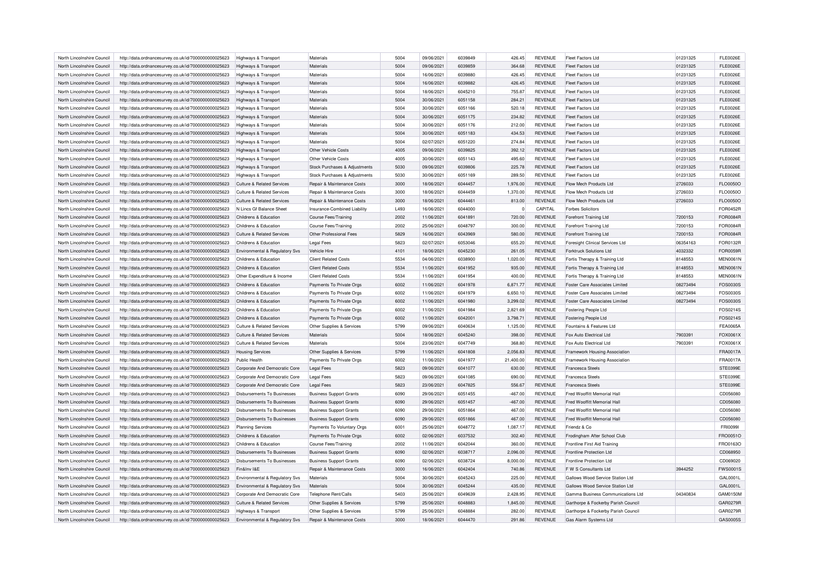| North Lincolnshire Council | http://data.ordnancesurvey.co.uk/id/7000000000025623                                                         | Highways & Transport                      | Materials                             | 5004 | 09/06/2021 | 6039849 | 426.45    | <b>REVENUE</b> | Fleet Factors Ltd                     | 01231325 | <b>FLE0026E</b> |
|----------------------------|--------------------------------------------------------------------------------------------------------------|-------------------------------------------|---------------------------------------|------|------------|---------|-----------|----------------|---------------------------------------|----------|-----------------|
| North Lincolnshire Council | http://data.ordnancesurvey.co.uk/id/7000000000025623                                                         | Highways & Transport                      | Materials                             | 5004 | 09/06/2021 | 6039859 | 364.68    | <b>REVENUE</b> | Fleet Factors Ltd                     | 01231325 | <b>FLE0026E</b> |
| North Lincolnshire Council |                                                                                                              |                                           | Materials                             | 5004 | 16/06/2021 | 6039880 | 426.45    | <b>REVENUE</b> | Fleet Factors Ltd                     | 01231325 | <b>FLE0026E</b> |
| North Lincolnshire Council | http://data.ordnancesurvey.co.uk/id/7000000000025623<br>http://data.ordnancesurvey.co.uk/id/7000000000025623 | Highways & Transport                      | Materials                             | 5004 | 16/06/2021 | 6039882 | 426.45    | <b>REVENUE</b> | Fleet Factors Ltd                     | 01231325 | <b>FLE0026E</b> |
|                            |                                                                                                              | Highways & Transport                      |                                       |      |            |         |           |                |                                       |          |                 |
| North Lincolnshire Council | http://data.ordnancesurvey.co.uk/id/7000000000025623                                                         | Highways & Transport                      | Materials                             | 5004 | 18/06/2021 | 6045210 | 755.87    | <b>REVENUE</b> | Fleet Factors Ltd                     | 01231325 | <b>FLE0026E</b> |
| North Lincolnshire Council | http://data.ordnancesurvey.co.uk/id/7000000000025623                                                         | Highways & Transport                      | Materials                             | 5004 | 30/06/2021 | 6051158 | 284.21    | <b>REVENUE</b> | Fleet Factors Ltd                     | 01231325 | <b>FLE0026E</b> |
| North Lincolnshire Council | http://data.ordnancesurvey.co.uk/id/7000000000025623                                                         | Highways & Transport                      | Materials                             | 5004 | 30/06/2021 | 6051166 | 520.18    | <b>REVENUE</b> | Fleet Factors Ltd                     | 01231325 | <b>FLE0026E</b> |
| North Lincolnshire Council | http://data.ordnancesurvey.co.uk/id/7000000000025623                                                         | Highways & Transport                      | Materials                             | 5004 | 30/06/2021 | 6051175 | 234.82    | <b>REVENUE</b> | Fleet Factors Ltd                     | 01231325 | <b>FLE0026E</b> |
| North Lincolnshire Council | http://data.ordnancesurvey.co.uk/id/7000000000025623                                                         | Highways & Transport                      | Materials                             | 5004 | 30/06/2021 | 6051176 | 212.00    | <b>REVENUE</b> | Fleet Factors Ltd                     | 01231325 | <b>FLE0026E</b> |
| North Lincolnshire Council | http://data.ordnancesurvey.co.uk/id/7000000000025623                                                         | Highways & Transport                      | Materials                             | 5004 | 30/06/2021 | 6051183 | 434.53    | <b>REVENUE</b> | Fleet Factors Ltd                     | 01231325 | <b>FLE0026E</b> |
| North Lincolnshire Council | http://data.ordnancesurvey.co.uk/id/7000000000025623                                                         | Highways & Transport                      | Materials                             | 5004 | 02/07/2021 | 6051220 | 274.84    | <b>REVENUE</b> | Fleet Factors Ltd                     | 01231325 | <b>FLE0026E</b> |
| North Lincolnshire Council | http://data.ordnancesurvey.co.uk/id/7000000000025623                                                         | Highways & Transport                      | Other Vehicle Costs                   | 4005 | 09/06/2021 | 6039825 | 392.12    | <b>REVENUE</b> | Fleet Factors Ltd                     | 01231325 | <b>FLE0026E</b> |
| North Lincolnshire Council | http://data.ordnancesurvey.co.uk/id/7000000000025623                                                         | <b>Highways &amp; Transport</b>           | <b>Other Vehicle Costs</b>            | 4005 | 30/06/2021 | 6051143 | 495.60    | <b>REVENUE</b> | Fleet Factors Ltd                     | 01231325 | <b>FLE0026E</b> |
| North Lincolnshire Council | http://data.ordnancesurvey.co.uk/id/7000000000025623                                                         | Highways & Transport                      | Stock Purchases & Adjustments         | 5030 | 09/06/2021 | 6039806 | 225.78    | <b>REVENUE</b> | Fleet Factors Ltd                     | 01231325 | <b>FLE0026E</b> |
| North Lincolnshire Council | http://data.ordnancesurvey.co.uk/id/7000000000025623                                                         | Highways & Transport                      | Stock Purchases & Adjustments         | 5030 | 30/06/2021 | 6051169 | 289.50    | <b>REVENUE</b> | Fleet Factors Ltd                     | 01231325 | <b>FLE0026E</b> |
| North Lincolnshire Council | http://data.ordnancesurvey.co.uk/id/7000000000025623                                                         | Culture & Related Services                | Repair & Maintenance Costs            | 3000 | 18/06/2021 | 6044457 | 1,976.00  | <b>REVENUE</b> | Flow Mech Products Ltd                | 2726033  | FLO0050O        |
| North Lincolnshire Council | http://data.ordnancesurvey.co.uk/id/7000000000025623                                                         | Culture & Related Services                | Repair & Maintenance Costs            | 3000 | 18/06/2021 | 6044459 | 1,370.00  | <b>REVENUE</b> | Flow Mech Products Ltd                | 2726033  | FLO0050O        |
| North Lincolnshire Council | http://data.ordnancesurvey.co.uk/id/7000000000025623                                                         | Culture & Related Services                | Repair & Maintenance Costs            | 3000 | 18/06/2021 | 6044461 | 813.00    | <b>REVENUE</b> | Flow Mech Products Ltd                | 2726033  | FLO0050O        |
| North Lincolnshire Council | http://data.ordnancesurvey.co.uk/id/7000000000025623                                                         | N Lincs Gf Balance Sheet                  | Insurance-Combined Liability          | L493 | 16/06/2021 | 6044000 |           | CAPITAL        | <b>Forbes Solicitors</b>              |          | FOR0452R        |
| North Lincolnshire Council |                                                                                                              | Childrens & Education                     |                                       | 2002 | 11/06/2021 | 6041891 | 720.00    | <b>REVENUE</b> |                                       | 7200153  | FOR0084R        |
|                            | http://data.ordnancesurvey.co.uk/id/7000000000025623                                                         |                                           | Course Fees/Training                  |      |            |         |           |                | Forefront Training Ltd                |          |                 |
| North Lincolnshire Council | http://data.ordnancesurvey.co.uk/id/7000000000025623                                                         | Childrens & Education                     | <b>Course Fees/Training</b>           | 2002 | 25/06/2021 | 6048797 | 300.00    | <b>REVENUE</b> | Forefront Training Ltd                | 7200153  | <b>FOR0084R</b> |
| North Lincolnshire Council | http://data.ordnancesurvey.co.uk/id/7000000000025623                                                         | Culture & Related Services                | Other Professional Fees               | 5829 | 16/06/2021 | 6043969 | 580.00    | <b>REVENUE</b> | Forefront Training Ltd                | 7200153  | FOR0084R        |
| North Lincolnshire Council | http://data.ordnancesurvey.co.uk/id/7000000000025623                                                         | Childrens & Education                     | <b>Legal Fees</b>                     | 5823 | 02/07/2021 | 6053046 | 655.20    | <b>REVENUE</b> | Foresight Clinical Services Ltd       | 06354163 | FOR0132R        |
| North Lincolnshire Council | http://data.ordnancesurvey.co.uk/id/7000000000025623                                                         | Environmental & Regulatory Svs            | Vehicle Hire                          | 4101 | 18/06/2021 | 6045230 | 261.05    | <b>REVENUE</b> | <b>Forktruck Solutions Ltd</b>        | 4032332  | FOR0059R        |
| North Lincolnshire Council | http://data.ordnancesurvey.co.uk/id/7000000000025623                                                         | Childrens & Education                     | <b>Client Related Costs</b>           | 5534 | 04/06/2021 | 6038900 | 1,020.00  | <b>REVENUE</b> | Fortis Therapy & Training Ltd         | 8148553  | <b>MEN0061N</b> |
| North Lincolnshire Council | http://data.ordnancesurvey.co.uk/id/7000000000025623                                                         | Childrens & Education                     | <b>Client Related Costs</b>           | 5534 | 11/06/2021 | 6041952 | 935.00    | <b>REVENUE</b> | Fortis Therapy & Training Ltd         | 8148553  | <b>MEN0061N</b> |
| North Lincolnshire Council | http://data.ordnancesurvey.co.uk/id/7000000000025623                                                         | Other Expenditure & Income                | <b>Client Related Costs</b>           | 5534 | 11/06/2021 | 6041954 | 400.00    | <b>REVENUE</b> | Fortis Therapy & Training Ltd         | 8148553  | <b>MEN0061N</b> |
| North Lincolnshire Council | http://data.ordnancesurvey.co.uk/id/7000000000025623                                                         | Childrens & Education                     | Payments To Private Orgs              | 6002 | 11/06/2021 | 6041978 | 6,871.77  | <b>REVENUE</b> | Foster Care Associates Limited        | 08273494 | FOS0030S        |
| North Lincolnshire Council | http://data.ordnancesurvey.co.uk/id/7000000000025623                                                         | Childrens & Education                     | Payments To Private Orgs              | 6002 | 11/06/2021 | 6041979 | 6.650.10  | <b>REVENUE</b> | <b>Foster Care Associates Limited</b> | 08273494 | FOS0030S        |
| North Lincolnshire Council | http://data.ordnancesurvey.co.uk/id/7000000000025623                                                         | Childrens & Education                     | Payments To Private Orgs              | 6002 | 11/06/2021 | 6041980 | 3,299.02  | <b>REVENUE</b> | Foster Care Associates Limited        | 08273494 | FOS0030S        |
| North Lincolnshire Council | http://data.ordnancesurvey.co.uk/id/7000000000025623                                                         | Childrens & Education                     | Payments To Private Orgs              | 6002 | 11/06/2021 | 6041984 | 2,821.69  | <b>REVENUE</b> | Fostering People Ltd                  |          | FOS0214S        |
| North Lincolnshire Council | http://data.ordnancesurvey.co.uk/id/7000000000025623                                                         | Childrens & Education                     | Payments To Private Orgs              | 6002 | 11/06/2021 | 6042001 | 3,798.71  | <b>REVENUE</b> | Fostering People Ltd                  |          | FOS0214S        |
| North Lincolnshire Council | http://data.ordnancesurvey.co.uk/id/7000000000025623                                                         | <b>Culture &amp; Related Services</b>     | Other Supplies & Services             | 5799 | 09/06/2021 | 6040634 | 1,125.00  | <b>REVENUE</b> | Fountains & Features Ltd              |          | <b>FEA0065A</b> |
| North Lincolnshire Council | http://data.ordnancesurvey.co.uk/id/7000000000025623                                                         | <b>Culture &amp; Related Services</b>     | Materials                             | 5004 | 18/06/2021 | 6045240 | 398.00    | <b>REVENUE</b> | Fox Auto Electrical Ltd               | 7903391  | FOX0061X        |
| North Lincolnshire Council | http://data.ordnancesurvey.co.uk/id/7000000000025623                                                         | <b>Culture &amp; Related Services</b>     | Materials                             | 5004 | 23/06/2021 | 6047749 | 368.80    | <b>REVENUE</b> | Fox Auto Electrical Ltd               | 7903391  | FOX0061X        |
|                            |                                                                                                              |                                           |                                       | 5799 |            | 6041808 |           |                |                                       |          |                 |
| North Lincolnshire Council | http://data.ordnancesurvey.co.uk/id/7000000000025623                                                         | <b>Housing Services</b>                   | Other Supplies & Services             |      | 11/06/2021 |         | 2,056.83  | <b>REVENUE</b> | Framework Housing Association         |          | <b>FRA0017A</b> |
| North Lincolnshire Council | http://data.ordnancesurvey.co.uk/id/7000000000025623                                                         | Public Health                             | Payments To Private Orgs              | 6002 | 11/06/2021 | 6041977 | 21,400.00 | <b>REVENUE</b> | Framework Housing Association         |          | <b>FRA0017A</b> |
| North Lincolnshire Council | http://data.ordnancesurvey.co.uk/id/7000000000025623                                                         | Corporate And Democratic Core             | <b>Legal Fees</b>                     | 5823 | 09/06/2021 | 6041077 | 630.00    | <b>REVENUE</b> | <b>Francesca Steels</b>               |          | STE0399E        |
| North Lincolnshire Council | http://data.ordnancesurvey.co.uk/id/7000000000025623                                                         | Corporate And Democratic Core             | <b>Legal Fees</b>                     | 5823 | 09/06/2021 | 6041085 | 690.00    | <b>REVENUE</b> | Francesca Steels                      |          | STE0399E        |
| North Lincolnshire Council | http://data.ordnancesurvey.co.uk/id/7000000000025623                                                         | Corporate And Democratic Core             | <b>Legal Fees</b>                     | 5823 | 23/06/2021 | 6047825 | 556.67    | <b>REVENUE</b> | <b>Francesca Steels</b>               |          | STE0399E        |
| North Lincolnshire Council | http://data.ordnancesurvey.co.uk/id/7000000000025623                                                         | Disbursements To Businesses               | <b>Business Support Grants</b>        | 6090 | 29/06/2021 | 6051455 | $-467.00$ | <b>REVENUE</b> | Fred Wooffitt Memorial Hall           |          | CD056080        |
| North Lincolnshire Council | http://data.ordnancesurvey.co.uk/id/7000000000025623                                                         | Disbursements To Businesses               | <b>Business Support Grants</b>        | 6090 | 29/06/2021 | 6051457 | $-467.00$ | <b>REVENUE</b> | Fred Wooffitt Memorial Hall           |          | CD056080        |
| North Lincolnshire Council | http://data.ordnancesurvey.co.uk/id/7000000000025623                                                         | <b>Disbursements To Businesses</b>        | <b>Business Support Grants</b>        | 6090 | 29/06/2021 | 6051864 | 467.00    | <b>REVENUE</b> | Fred Wooffitt Memorial Hall           |          | CD056080        |
| North Lincolnshire Council | http://data.ordnancesurvey.co.uk/id/7000000000025623                                                         | <b>Disbursements To Businesses</b>        | <b>Business Support Grants</b>        | 6090 | 29/06/2021 | 6051866 | 467.00    | <b>REVENUE</b> | Fred Wooffitt Memorial Hall           |          | CD056080        |
| North Lincolnshire Council | http://data.ordnancesurvey.co.uk/id/7000000000025623                                                         | <b>Planning Services</b>                  | Payments To Voluntary Orgs            | 6001 | 25/06/2021 | 6048772 | 1,087.17  | <b>REVENUE</b> | Friendz & Co                          |          | <b>FRI00991</b> |
| North Lincolnshire Council | http://data.ordnancesurvey.co.uk/id/7000000000025623                                                         | Childrens & Education                     | Payments To Private Orgs              | 6002 | 02/06/2021 | 6037532 | 302.40    | <b>REVENUE</b> | Frodingham After School Club          |          | FRO0051O        |
| North Lincolnshire Council | http://data.ordnancesurvey.co.uk/id/7000000000025623                                                         | Childrens & Education                     | <b>Course Fees/Training</b>           | 2002 | 11/06/2021 | 6042044 | 360.00    | <b>REVENUE</b> | Frontline First Aid Training          |          | FRO0163O        |
| North Lincolnshire Council | http://data.ordnancesurvey.co.uk/id/7000000000025623                                                         | Disbursements To Businesses               | <b>Business Support Grants</b>        | 6090 | 02/06/2021 | 6038717 | 2,096.00  | <b>REVENUE</b> | Frontline Protection I td             |          | CD068950        |
| North Lincolnshire Council | http://data.ordnancesurvey.co.uk/id/7000000000025623                                                         | Disbursements To Businesses               | <b>Business Support Grants</b>        | 6090 | 02/06/2021 | 6038724 | 8,000.00  | <b>REVENUE</b> | Frontline Protection Ltd              |          | CD069020        |
|                            |                                                                                                              | Fin&Inv I&F                               |                                       | 3000 | 16/06/2021 | 6042404 |           | <b>REVENUE</b> | F.W.S.Consultants Ltd.                | 3944252  | FWS0001S        |
| North Lincolnshire Council | http://data.ordnancesurvey.co.uk/id/7000000000025623                                                         |                                           | Repair & Maintenance Costs            |      |            |         | 740.86    |                |                                       |          |                 |
| North Lincolnshire Council | http://data.ordnancesurvey.co.uk/id/7000000000025623                                                         | Environmental & Regulatory Svs            | Materials                             | 5004 | 30/06/2021 | 6045243 | 225.00    | <b>REVENUE</b> | Gallows Wood Service Station Ltd      |          | GAL0001L        |
| North Lincolnshire Council | http://data.ordnancesurvey.co.uk/id/7000000000025623                                                         | Environmental & Regulatory Svs            | Materials                             | 5004 | 30/06/2021 | 6045244 | 435.00    | <b>REVENUE</b> | Gallows Wood Service Station Ltd      |          | GAL0001L        |
| North Lincolnshire Council | http://data.ordnancesurvey.co.uk/id/7000000000025623                                                         | Corporate And Democratic Core             | Telephone Rent/Calls                  | 5403 | 25/06/2021 | 6049639 | 2,428.95  | <b>REVENUE</b> | Gamma Business Communications Ltd     | 04340834 | GAM0150M        |
| North Lincolnshire Council | http://data.ordnancesurvey.co.uk/id/7000000000025623                                                         | Culture & Related Services                | Other Supplies & Services             | 5799 | 25/06/2021 | 6048883 | 1,845.00  | <b>REVENUE</b> | Garthorpe & Fockerby Parish Council   |          | GAR0279R        |
| North Lincolnshire Council | http://data.ordnancesurvey.co.uk/id/7000000000025623                                                         | <b>Highways &amp; Transport</b>           | Other Supplies & Services             | 5799 | 25/06/2021 | 6048884 | 282.00    | <b>REVENUE</b> | Garthorpe & Fockerby Parish Council   |          | GAR0279R        |
| North Lincolnshire Council | http://data.ordnancesurvey.co.uk/id/7000000000025623                                                         | <b>Environmental &amp; Regulatory Sys</b> | <b>Benair &amp; Maintenance Costs</b> | 3000 | 18/06/2021 | 6044470 | 291.86    | <b>REVENUE</b> | Gas Alarm Systems Ltd                 |          | GAS0005S        |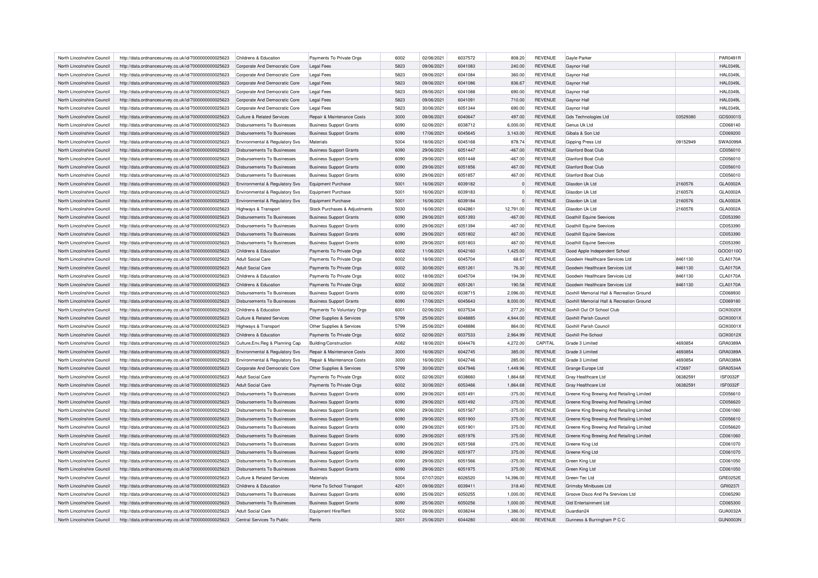| North Lincolnshire Council | http://data.ordnancesurvey.co.uk/id/7000000000025623 | Childrens & Education                     | Payments To Private Orgs              | 6002 | 02/06/2021 | 6037572 | 808.20    | <b>REVENUE</b>                   | Gayle Parker                              |          | PAR0491R        |
|----------------------------|------------------------------------------------------|-------------------------------------------|---------------------------------------|------|------------|---------|-----------|----------------------------------|-------------------------------------------|----------|-----------------|
| North Lincolnshire Council | http://data.ordnancesurvey.co.uk/id/7000000000025623 | Corporate And Democratic Core             | <b>Legal Fees</b>                     | 5823 | 09/06/2021 | 6041083 | 240.00    | <b>REVENUE</b>                   | Gaynor Hall                               |          | <b>HAL0349L</b> |
| North Lincolnshire Council | http://data.ordnancesurvey.co.uk/id/7000000000025623 | Corporate And Democratic Core             | <b>Legal Fees</b>                     | 5823 | 09/06/2021 | 6041084 | 360.00    | REVENUE                          | Gaynor Hall                               |          | <b>HAL0349L</b> |
| North Lincolnshire Council | http://data.ordnancesurvey.co.uk/id/7000000000025623 | Corporate And Democratic Core             | Legal Fees                            | 5823 | 09/06/2021 | 6041086 | 836.67    | <b>REVENUE</b>                   | Gaynor Hall                               |          | <b>HAL0349L</b> |
| North Lincolnshire Council | http://data.ordnancesurvey.co.uk/id/7000000000025623 | Corporate And Democratic Core             | <b>Legal Fees</b>                     | 5823 | 09/06/2021 | 6041088 | 690.00    | <b>REVENUE</b>                   | Gaynor Hall                               |          | <b>HAL0349L</b> |
| North Lincolnshire Council | http://data.ordnancesurvey.co.uk/id/7000000000025623 | Corporate And Democratic Core             | <b>Legal Fees</b>                     | 5823 | 09/06/2021 | 6041091 | 710.00    | <b>REVENUE</b>                   | Gaynor Hall                               |          | <b>HAL0349L</b> |
| North Lincolnshire Council | http://data.ordnancesurvey.co.uk/id/7000000000025623 | Corporate And Democratic Core             | Legal Fees                            | 5823 | 30/06/2021 | 6051344 | 690.00    | REVENUE                          | Gaynor Hall                               |          | <b>HAL0349L</b> |
| North Lincolnshire Council | http://data.ordnancesurvey.co.uk/id/7000000000025623 | Culture & Related Services                | <b>Benair &amp; Maintenance Costs</b> | 3000 | 09/06/2021 | 6040647 | 497.00    | <b>REVENUE</b>                   | <b>Gds Technologies Ltd</b>               | 03529380 | GDS0001S        |
| North Lincolnshire Council | http://data.ordnancesurvey.co.uk/id/7000000000025623 | Disbursements To Businesses               | <b>Business Support Grants</b>        | 6090 | 02/06/2021 | 6038712 | 6,000.00  | <b>REVENUE</b>                   | Genus Uk Ltd                              |          | CD068140        |
| North Lincolnshire Council | http://data.ordnancesurvey.co.uk/id/7000000000025623 | <b>Disbursements To Businesses</b>        | <b>Business Support Grants</b>        | 6090 | 17/06/2021 | 6045645 | 3,143.00  | <b>REVENUE</b>                   | Gibala & Son Ltd                          |          | CD069200        |
| North Lincolnshire Council | http://data.ordnancesurvey.co.uk/id/7000000000025623 | Environmental & Regulatory Svs            | Materials                             | 5004 | 18/06/2021 | 6045168 | 878.74    | <b>REVENUE</b>                   | Gipping Press Ltd                         | 09152949 | SWA0099A        |
| North Lincolnshire Council | http://data.ordnancesurvey.co.uk/id/7000000000025623 | <b>Disbursements To Businesses</b>        | <b>Business Support Grants</b>        | 6090 | 29/06/2021 | 6051447 | $-467.00$ | <b>REVENUE</b>                   | Glanford Boat Club                        |          | CD056010        |
| North Lincolnshire Council | http://data.ordnancesurvey.co.uk/id/7000000000025623 | <b>Disbursements To Businesses</b>        | <b>Business Support Grants</b>        | 6090 | 29/06/2021 | 6051448 | $-467.00$ | <b>REVENUE</b>                   | Glanford Boat Club                        |          | CD056010        |
| North Lincolnshire Council | http://data.ordnancesurvey.co.uk/id/7000000000025623 | Disbursements To Businesses               | <b>Business Support Grants</b>        | 6090 | 29/06/2021 | 6051856 | 467.00    | <b>REVENUE</b>                   | Glanford Boat Club                        |          | CD056010        |
| North Lincolnshire Council | http://data.ordnancesurvey.co.uk/id/7000000000025623 | Disbursements To Businesses               | <b>Business Support Grants</b>        | 6090 | 29/06/2021 | 6051857 | 467.00    | REVENUE                          | Glanford Boat Club                        |          | CD056010        |
|                            |                                                      |                                           |                                       | 5001 | 16/06/2021 | 6039182 |           |                                  | Glasdon Uk I td                           | 2160576  | GLA0002A        |
| North Lincolnshire Council | http://data.ordnancesurvey.co.uk/id/7000000000025623 | <b>Environmental &amp; Regulatory Svs</b> | <b>Equipment Purchase</b>             | 5001 | 16/06/2021 | 6039183 | $\Omega$  | <b>REVENUE</b><br><b>REVENUE</b> | Glasdon Uk I td                           |          | GLA0002A        |
| North Lincolnshire Council | http://data.ordnancesurvey.co.uk/id/7000000000025623 | Environmental & Regulatory Svs            | <b>Equipment Purchase</b>             |      |            |         |           |                                  |                                           | 2160576  |                 |
| North Lincolnshire Council | http://data.ordnancesurvey.co.uk/id/7000000000025623 | Environmental & Regulatory Svs            | <b>Equipment Purchase</b>             | 5001 | 16/06/2021 | 6039184 |           | <b>REVENUE</b>                   | Glasdon Uk Ltd                            | 2160576  | GLA0002A        |
| North Lincolnshire Council | http://data.ordnancesurvey.co.uk/id/7000000000025623 | Highways & Transport                      | Stock Purchases & Adjustments         | 5030 | 16/06/2021 | 6042861 | 12,791.00 | REVENUE                          | Glasdon Uk Ltd                            | 2160576  | GLA0002A        |
| North Lincolnshire Council | http://data.ordnancesurvey.co.uk/id/7000000000025623 | Disbursements To Businesses               | <b>Business Support Grants</b>        | 6090 | 29/06/2021 | 6051393 | $-467.00$ | <b>REVENUE</b>                   | <b>Goathill Equine Seevices</b>           |          | CD053390        |
| North Lincolnshire Council | http://data.ordnancesurvey.co.uk/id/7000000000025623 | <b>Disbursements To Businesses</b>        | <b>Business Support Grants</b>        | 6090 | 29/06/2021 | 6051394 | $-467.00$ | <b>REVENUE</b>                   | <b>Goathill Equine Seevices</b>           |          | CD053390        |
| North Lincolnshire Council | http://data.ordnancesurvey.co.uk/id/7000000000025623 | <b>Disbursements To Businesses</b>        | <b>Business Support Grants</b>        | 6090 | 29/06/2021 | 6051802 | 467.00    | <b>REVENUE</b>                   | <b>Goathill Equine Seevices</b>           |          | CD053390        |
| North Lincolnshire Council | http://data.ordnancesurvey.co.uk/id/7000000000025623 | <b>Disbursements To Businesses</b>        | <b>Business Support Grants</b>        | 6090 | 29/06/2021 | 6051803 | 467.00    | <b>REVENUE</b>                   | <b>Goathill Equine Seevices</b>           |          | CD053390        |
| North Lincolnshire Council | http://data.ordnancesurvey.co.uk/id/7000000000025623 | Childrens & Education                     | Payments To Private Orgs              | 6002 | 11/06/2021 | 6042160 | 1,425.00  | <b>REVENUE</b>                   | Good Apple Independent School             |          | GOO0110O        |
| North Lincolnshire Council | http://data.ordnancesurvey.co.uk/id/7000000000025623 | Adult Social Care                         | Payments To Private Orgs              | 6002 | 18/06/2021 | 6045704 | 68.67     | <b>REVENUE</b>                   | Goodwin Healthcare Services Ltd           | 8461130  | <b>CLA0170A</b> |
| North Lincolnshire Council | http://data.ordnancesurvey.co.uk/id/7000000000025623 | <b>Adult Social Care</b>                  | Payments To Private Orgs              | 6002 | 30/06/2021 | 6051261 | 76.30     | <b>REVENUE</b>                   | Goodwin Healthcare Services Ltd           | 8461130  | <b>CLA0170A</b> |
| North Lincolnshire Council | http://data.ordnancesurvey.co.uk/id/7000000000025623 | Childrens & Education                     | Payments To Private Orgs              | 6002 | 18/06/2021 | 6045704 | 194.39    | <b>REVENUE</b>                   | Goodwin Healthcare Services Ltd           | 8461130  | <b>CLA0170A</b> |
| North Lincolnshire Council | http://data.ordnancesurvey.co.uk/id/7000000000025623 | Childrens & Education                     | Payments To Private Orgs              | 6002 | 30/06/2021 | 6051261 | 190.58    | <b>REVENUE</b>                   | Goodwin Healthcare Services Ltd           | 8461130  | <b>CLA0170A</b> |
| North Lincolnshire Council | http://data.ordnancesurvey.co.uk/id/7000000000025623 | <b>Disbursements To Businesses</b>        | <b>Business Support Grants</b>        | 6090 | 02/06/2021 | 6038715 | 2,096.00  | <b>REVENUE</b>                   | Goxhill Memorial Hall & Recreation Ground |          | CD068930        |
| North Lincolnshire Council | http://data.ordnancesurvey.co.uk/id/7000000000025623 | Disbursements To Businesses               | <b>Business Support Grants</b>        | 6090 | 17/06/2021 | 6045643 | 8,000.00  | <b>REVENUE</b>                   | Goxhill Memorial Hall & Recreation Ground |          | CD069180        |
| North Lincolnshire Council | http://data.ordnancesurvey.co.uk/id/7000000000025623 | Childrens & Education                     | Payments To Voluntary Orgs            | 6001 | 02/06/2021 | 6037534 | 277.20    | <b>REVENUE</b>                   | Goxhill Out Of School Club                |          | GOX0020>        |
| North Lincolnshire Council | http://data.ordnancesurvey.co.uk/id/7000000000025623 | Culture & Related Services                | Other Supplies & Services             | 5799 | 25/06/2021 | 6048885 | 4,944.00  | <b>REVENUE</b>                   | Goxhill Parish Council                    |          | GOX0001X        |
| North Lincolnshire Council | http://data.ordnancesurvey.co.uk/id/7000000000025623 | Highways & Transport                      | Other Supplies & Services             | 5799 | 25/06/2021 | 6048886 | 864.00    | <b>REVENUE</b>                   | Goxhill Parish Council                    |          | GOX0001X        |
| North Lincolnshire Council | http://data.ordnancesurvey.co.uk/id/7000000000025623 | Childrens & Education                     | Payments To Private Orgs              | 6002 | 02/06/2021 | 6037533 | 2,964.99  | <b>REVENUE</b>                   | Goxhill Pre-Schoo                         |          | GOX0012X        |
| North Lincolnshire Council | http://data.ordnancesurvey.co.uk/id/7000000000025623 | Culture, Env, Reg & Planning Cap          | Building/Construction                 | A082 | 18/06/2021 | 6044476 | 4,272.00  | CAPITAL                          | Grade 3 Limited                           | 4693854  | GRA0389A        |
| North Lincolnshire Council | http://data.ordnancesurvey.co.uk/id/7000000000025623 | Environmental & Regulatory Svs            | Repair & Maintenance Costs            | 3000 | 16/06/2021 | 6042745 | 385.00    | <b>REVENUE</b>                   | Grade 3 Limited                           | 4693854  | GRA0389A        |
| North Lincolnshire Council | http://data.ordnancesurvey.co.uk/id/7000000000025623 | Environmental & Regulatory Svs            | Repair & Maintenance Costs            | 3000 | 16/06/2021 | 6042746 | 285.00    | <b>REVENUE</b>                   | Grade 3 Limited                           | 4693854  | GRA0389A        |
| North Lincolnshire Council | http://data.ordnancesurvey.co.uk/id/7000000000025623 | Corporate And Democratic Core             |                                       | 5799 | 30/06/2021 | 6047946 | 1,449.96  | <b>REVENUE</b>                   | Grange Europe Ltd                         | 472697   | GRA0534A        |
| North Lincolnshire Council |                                                      |                                           | Other Supplies & Services             | 6002 | 02/06/2021 | 6038660 |           | <b>REVENUE</b>                   |                                           | 06382591 | <b>ISF0032F</b> |
|                            | http://data.ordnancesurvey.co.uk/id/7000000000025623 | <b>Adult Social Care</b>                  | Payments To Private Orgs              |      |            |         | 1,864.68  |                                  | Gray Healthcare Ltd                       |          |                 |
| North Lincolnshire Council | http://data.ordnancesurvey.co.uk/id/7000000000025623 | <b>Adult Social Care</b>                  | Payments To Private Orgs              | 6002 | 30/06/2021 | 6053466 | 1,864.68  | <b>REVENUE</b>                   | Gray Healthcare Ltd                       | 06382591 | <b>ISF0032F</b> |
| North Lincolnshire Council | http://data.ordnancesurvey.co.uk/id/7000000000025623 | <b>Disbursements To Businesses</b>        | <b>Business Support Grants</b>        | 6090 | 29/06/2021 | 6051491 | $-375.00$ | <b>REVENUE</b>                   | Greene King Brewing And Retailing Limited |          | CD056610        |
| North Lincolnshire Council | http://data.ordnancesurvey.co.uk/id/7000000000025623 | <b>Disbursements To Businesses</b>        | <b>Business Support Grants</b>        | 6090 | 29/06/2021 | 6051492 | $-375.00$ | <b>REVENUE</b>                   | Greene King Brewing And Retailing Limited |          | CD056620        |
| North Lincolnshire Council | http://data.ordnancesurvey.co.uk/id/7000000000025623 | <b>Disbursements To Businesses</b>        | <b>Business Support Grants</b>        | 6090 | 29/06/2021 | 6051567 | $-375.00$ | <b>REVENUE</b>                   | Greene King Brewing And Retailing Limited |          | CD061060        |
| North Lincolnshire Council | http://data.ordnancesurvey.co.uk/id/7000000000025623 | <b>Disbursements To Businesses</b>        | <b>Business Support Grants</b>        | 6090 | 29/06/2021 | 6051900 | 375.00    | <b>REVENUE</b>                   | Greene King Brewing And Retailing Limited |          | CD056610        |
| North Lincolnshire Council | http://data.ordnancesurvey.co.uk/id/7000000000025623 | Disbursements To Businesses               | <b>Business Support Grants</b>        | 6090 | 29/06/2021 | 6051901 | 375.00    | <b>REVENUE</b>                   | Greene King Brewing And Retailing Limited |          | CD056620        |
| North Lincolnshire Council | http://data.ordnancesurvey.co.uk/id/7000000000025623 | Disbursements To Businesses               | <b>Business Support Grants</b>        | 6090 | 29/06/2021 | 6051976 | 375.00    | <b>REVENUE</b>                   | Greene King Brewing And Retailing Limited |          | CD061060        |
| North Lincolnshire Council | http://data.ordnancesurvey.co.uk/id/7000000000025623 | Disbursements To Businesses               | <b>Business Support Grants</b>        | 6090 | 29/06/2021 | 6051568 | $-375.00$ | <b>REVENUE</b>                   | Greene King Ltd                           |          | CD061070        |
| North Lincolnshire Council | http://data.ordnancesurvey.co.uk/id/7000000000025623 | Disbursements To Businesses               | <b>Business Support Grants</b>        | 6090 | 29/06/2021 | 6051977 | 375.00    | <b>REVENUE</b>                   | Greene King Ltd                           |          | CD061070        |
| North Lincolnshire Council | http://data.ordnancesurvey.co.uk/id/7000000000025623 | Disbursements To Businesses               | <b>Business Support Grants</b>        | 6090 | 29/06/2021 | 6051566 | $-375.00$ | <b>REVENUE</b>                   | Green King Ltd                            |          | CD061050        |
| North Lincolnshire Council | http://data.ordnancesurvey.co.uk/id/7000000000025623 | Disbursements To Businesses               | <b>Business Support Grants</b>        | 6090 | 29/06/2021 | 6051975 | 375.00    | <b>REVENUE</b>                   | Green King Ltd                            |          | CD061050        |
| North Lincolnshire Council | http://data.ordnancesurvey.co.uk/id/7000000000025623 | Culture & Related Services                | Materials                             | 5004 | 07/07/2021 | 6026520 | 14.396.00 | <b>REVENUE</b>                   | Green-Tec Ltd                             |          | GRE0252E        |
| North Lincolnshire Council | http://data.ordnancesurvey.co.uk/id/7000000000025623 | Childrens & Education                     | Home To School Transport              | 4201 | 09/06/2021 | 6039411 | 318.40    | <b>REVENUE</b>                   | <b>Grimsby Minibuses Ltd</b>              |          | GRI0237I        |
| North Lincolnshire Council | http://data.ordnancesurvey.co.uk/id/7000000000025623 | <b>Disbursements To Businesses</b>        | <b>Business Support Grants</b>        | 6090 | 25/06/2021 | 6050255 | 1,000.00  | <b>REVENUE</b>                   | Groove Disco And Pa Srervices Ltd         |          | CD065290        |
| North Lincolnshire Council | http://data.ordnancesurvey.co.uk/id/7000000000025623 | <b>Disbursements To Businesses</b>        | <b>Business Support Grants</b>        | 6090 | 25/06/2021 | 6050256 | 1.000.00  | <b>REVENUE</b>                   | <b>Gtd Entertainment Ltd</b>              |          | CD065300        |
| North Lincolnshire Council | http://data.ordnancesurvey.co.uk/id/7000000000025623 | Adult Social Care                         | Equipment Hire/Rent                   | 5002 | 09/06/2021 | 6038244 | 1,386.00  | <b>REVENUE</b>                   | Guardian24                                |          | GUA0032A        |
| North Lincolnshire Council | http://data.ordnancesurvey.co.uk/id/7000000000025623 | Central Services To Public                | Rents                                 | 3201 | 25/06/2021 | 6044280 | 400.00    | <b>REVENUE</b>                   | Gunness & Burringham P C C                |          | GUN0003N        |
|                            |                                                      |                                           |                                       |      |            |         |           |                                  |                                           |          |                 |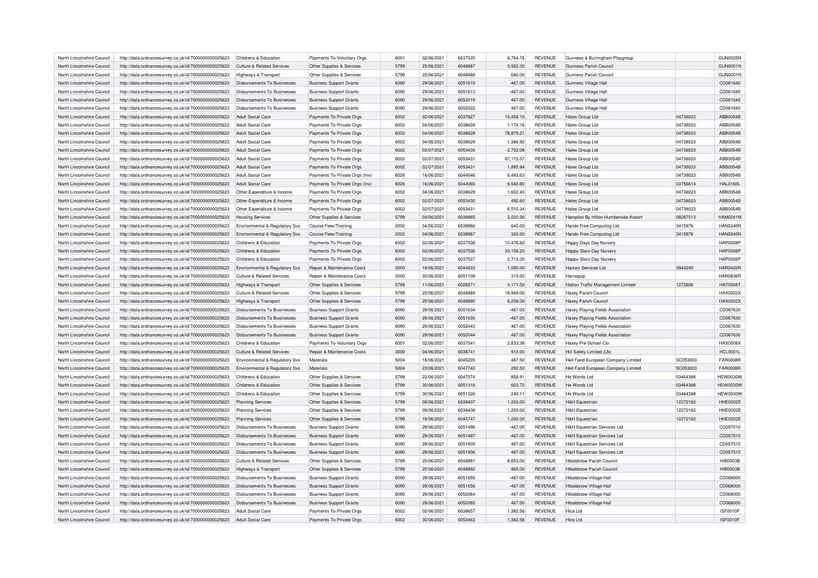| North Lincolnshire Council | http://data.ordnancesurvey.co.uk/id/7000000000025623 | Childrens & Education                 | Payments To Voluntary Orgs     | 6001 | 02/06/2021 | 6037535 | 6,764.76    | <b>REVENUE</b> | Gunness & Burringham Playgroup         |          | <b>GUN0025N</b> |
|----------------------------|------------------------------------------------------|---------------------------------------|--------------------------------|------|------------|---------|-------------|----------------|----------------------------------------|----------|-----------------|
| North Lincolnshire Council | http://data.ordnancesurvey.co.uk/id/7000000000025623 | <b>Culture &amp; Related Services</b> | Other Supplies & Services      | 5799 | 25/06/2021 | 6048887 | 5,562.00    | <b>REVENUE</b> | Gunness Parish Council                 |          | <b>GUN0001N</b> |
| North Lincolnshire Council | http://data.ordnancesurvey.co.uk/id/7000000000025623 | Highways & Transport                  | Other Supplies & Services      | 5799 | 25/06/2021 | 6048888 | 680.00      | <b>REVENUE</b> | Gunness Parish Council                 |          | <b>GUN0001N</b> |
| North Lincolnshire Council | http://data.ordnancesurvey.co.uk/id/7000000000025623 | Disbursements To Businesses           | <b>Business Support Grants</b> | 6090 | 29/06/2021 | 6051610 | $-467.00$   | <b>REVENUE</b> | Gunness Village Hall                   |          | CD061640        |
| North Lincolnshire Council | http://data.ordnancesurvey.co.uk/id/7000000000025623 | <b>Disbursements To Businesses</b>    | <b>Business Support Grants</b> | 6090 | 29/06/2021 | 6051613 | $-467.00$   | <b>REVENUE</b> | Gunness Village Hal                    |          | CD061640        |
| North Lincolnshire Council | http://data.ordnancesurvey.co.uk/id/7000000000025623 | Disbursements To Businesses           | <b>Business Support Grants</b> | 6090 | 29/06/2021 | 6052019 | 467.00      | <b>REVENUE</b> | Gunness Village Hall                   |          | CD061640        |
| North Lincolnshire Council | http://data.ordnancesurvey.co.uk/id/7000000000025623 | Disbursements To Businesses           | <b>Business Support Grants</b> | 6090 | 29/06/2021 | 6052022 | 467.00      | <b>REVENUE</b> | Gunness Village Hal                    |          | CD061640        |
| North Lincolnshire Council | http://data.ordnancesurvey.co.uk/id/7000000000025623 | <b>Adult Social Care</b>              | Payments To Private Orgs       | 6002 | 02/06/2021 | 6037827 | 14,458.10   | <b>REVENUE</b> | Hales Group Ltd                        | 04738023 | ABB0054B        |
| North Lincolnshire Council | http://data.ordnancesurvey.co.uk/id/7000000000025623 | Adult Social Care                     | Payments To Private Orgs       | 6002 | 04/06/2021 | 6038628 | 1,174.16    | <b>REVENUE</b> | <b>Hales Group Ltd</b>                 | 04738023 | ABB0054B        |
| North Lincolnshire Council | http://data.ordnancesurvey.co.uk/id/7000000000025623 | <b>Adult Social Care</b>              | Payments To Private Orgs       | 6002 | 04/06/2021 | 6038629 | 78,879.21   | <b>REVENUE</b> | Hales Group Ltd                        | 04738023 | ABB0054B        |
| North Lincolnshire Council | http://data.ordnancesurvey.co.uk/id/7000000000025623 | Adult Social Care                     | Payments To Private Orgs       | 6002 | 04/06/2021 | 6038629 | 1,386.92    | REVENUE        | <b>Hales Group Ltd</b>                 | 04738023 | ABB0054B        |
| North Lincolnshire Council | http://data.ordnancesurvey.co.uk/id/7000000000025623 | Adult Social Care                     | Payments To Private Orgs       | 6002 | 02/07/2021 | 6053430 | $-2,702.08$ | <b>REVENUE</b> | <b>Hales Group Ltd</b>                 | 04738023 | ABB0054B        |
| North Lincolnshire Council | http://data.ordnancesurvey.co.uk/id/7000000000025623 | Adult Social Care                     | Payments To Private Orgs       | 6002 | 02/07/2021 | 6053431 | 87,115.57   | <b>REVENUE</b> | Hales Group Ltd                        | 04738023 | ABB0054B        |
| North Lincolnshire Council | http://data.ordnancesurvey.co.uk/id/7000000000025623 | <b>Adult Social Care</b>              | Payments To Private Orgs       | 6002 | 02/07/2021 | 6053431 | 1,895.94    | <b>REVENUE</b> | Hales Group Ltd                        | 04738023 | ABB0054B        |
|                            |                                                      |                                       |                                | 6026 |            | 6044046 |             |                |                                        |          |                 |
| North Lincolnshire Council | http://data.ordnancesurvey.co.uk/id/7000000000025623 | Adult Social Care                     | Payments To Private Orgs (Inv) |      | 16/06/2021 |         | 6,493.63    | <b>REVENUE</b> | Hales Group Ltd                        | 04738023 | ABB0054B        |
| North Lincolnshire Council | http://data.ordnancesurvey.co.uk/id/7000000000025623 | <b>Adult Social Care</b>              | Payments To Private Orgs (Inv) | 6026 | 16/06/2021 | 6044060 | 6,540.80    | <b>REVENUE</b> | Hales Group Ltd                        | 03756814 | <b>HAL0160L</b> |
| North Lincolnshire Council | http://data.ordnancesurvey.co.uk/id/7000000000025623 | Other Expenditure & Income            | Payments To Private Orgs       | 6002 | 04/06/2021 | 6038629 | 1,602.40    | <b>REVENUE</b> | Hales Group Ltd                        | 04738023 | ABB0054B        |
| North Lincolnshire Council | http://data.ordnancesurvey.co.uk/id/7000000000025623 | Other Expenditure & Income            | Payments To Private Orgs       | 6002 | 02/07/2021 | 6053430 | 492.60      | <b>REVENUE</b> | Hales Group Ltd                        | 04738023 | ABB0054B        |
| North Lincolnshire Council | http://data.ordnancesurvey.co.uk/id/7000000000025623 | Other Expenditure & Income            | Payments To Private Orgs       | 6002 | 02/07/2021 | 6053431 | 6,510.34    | <b>REVENUE</b> | <b>Hales Group Ltd</b>                 | 04738023 | ABB0054B        |
| North Lincolnshire Council | http://data.ordnancesurvey.co.uk/id/7000000000025623 | <b>Housing Services</b>               | Other Supplies & Services      | 5799 | 04/06/2021 | 6038965 | 2,020.56    | <b>REVENUE</b> | Hampton By Hilton Humberside Airport   | 08287513 | <b>HAM0241M</b> |
| North Lincolnshire Council | http://data.ordnancesurvey.co.uk/id/7000000000025623 | Environmental & Regulatory Svs        | <b>Course Fees/Training</b>    | 2002 | 04/06/2021 | 6038966 | 640.00      | <b>REVENUE</b> | Hands Free Computing Ltd               | 3415976  | <b>HAN0240N</b> |
| North Lincolnshire Council | http://data.ordnancesurvey.co.uk/id/7000000000025623 | Environmental & Regulatory Svs        | <b>Course Fees/Training</b>    | 2002 | 04/06/2021 | 6038967 | 320.00      | <b>REVENUE</b> | Hands Free Computing Ltd               | 3415976  | <b>HAN0240N</b> |
| North Lincolnshire Council | http://data.ordnancesurvey.co.uk/id/7000000000025623 | Childrens & Education                 | Payments To Private Orgs       | 6002 | 02/06/2021 | 6037538 | 10,476.60   | <b>REVENUE</b> | <b>Happy Days Day Nursery</b>          |          | <b>HAP0008F</b> |
| North Lincolnshire Council | http://data.ordnancesurvey.co.uk/id/7000000000025623 | Childrens & Education                 | Payments To Private Orgs       | 6002 | 02/06/2021 | 6037536 | 33,156.20   | <b>REVENUE</b> | Happy Stars Day Nursery                |          | <b>HAP0006F</b> |
| North Lincolnshire Council | http://data.ordnancesurvey.co.uk/id/7000000000025623 | Childrens & Education                 | Payments To Private Orgs       | 6002 | 02/06/2021 | 6037537 | 2,713.20    | <b>REVENUE</b> | Happy Stars Day Nursery                |          | <b>HAP0006F</b> |
| North Lincolnshire Council | http://data.ordnancesurvey.co.uk/id/7000000000025623 | Environmental & Regulatory Svs        | Repair & Maintenance Costs     | 3000 | 18/06/2021 | 6044933 | 1,090.00    | <b>REVENUE</b> | Harcon Services Ltd                    | 3943245  | <b>HAR0420R</b> |
| North Lincolnshire Council | http://data.ordnancesurvey.co.uk/id/7000000000025623 | Culture & Related Services            | Repair & Maintenance Costs     | 3000 | 30/06/2021 | 6051109 | 315.00      | <b>REVENUE</b> | Harroquip                              |          | <b>HAR0836F</b> |
| North Lincolnshire Council | http://data.ordnancesurvey.co.uk/id/7000000000025623 | Highways & Transport                  | Other Supplies & Services      | 5799 | 11/06/2021 | 6026571 | 4,171.50    | <b>REVENUE</b> | Hatton Traffic Management Limited      | 1272806  | <b>HAT0008T</b> |
| North Lincolnshire Council | http://data.ordnancesurvey.co.uk/id/7000000000025623 | Culture & Related Services            | Other Supplies & Services      | 5799 | 25/06/2021 | 6048889 | 18,949.00   | <b>REVENUE</b> | Haxey Parish Council                   |          | HAX0002X        |
| North Lincolnshire Council | http://data.ordnancesurvey.co.uk/id/7000000000025623 | Highways & Transport                  | Other Supplies & Services      | 5799 | 25/06/2021 | 6048890 | 6,209.00    | <b>REVENUE</b> | Haxey Parish Council                   |          | HAX0002X        |
| North Lincolnshire Council | http://data.ordnancesurvey.co.uk/id/7000000000025623 | <b>Disbursements To Businesses</b>    | <b>Business Support Grants</b> | 6090 | 29/06/2021 | 6051634 | $-467.00$   | <b>REVENUE</b> | Haxey Playing Fields Association       |          | CD067630        |
| North Lincolnshire Council | http://data.ordnancesurvey.co.uk/id/7000000000025623 | <b>Disbursements To Businesses</b>    | <b>Business Support Grants</b> | 6090 | 29/06/2021 | 6051635 | $-467.00$   | <b>REVENUE</b> | Haxey Playing Fields Association       |          | CD067630        |
| North Lincolnshire Council | http://data.ordnancesurvey.co.uk/id/7000000000025623 | Disbursements To Businesses           | <b>Business Support Grants</b> | 6090 | 29/06/2021 | 6052043 | 467.00      | <b>REVENUE</b> | Haxey Playing Fields Association       |          | CD067630        |
| North Lincolnshire Council | http://data.ordnancesurvey.co.uk/id/7000000000025623 | Disbursements To Businesses           | <b>Business Support Grants</b> | 6090 | 29/06/2021 | 6052044 | 467.00      | <b>REVENUE</b> | Haxey Playing Fields Association       |          | CD067630        |
| North Lincolnshire Council | http://data.ordnancesurvey.co.uk/id/7000000000025623 | Childrens & Education                 | Payments To Voluntary Orgs     | 6001 | 02/06/2021 | 603754  | 2,833.38    | <b>REVENUE</b> | Haxey Pre-School Cio                   |          | HAX0008X        |
| North Lincolnshire Council | http://data.ordnancesurvey.co.uk/id/7000000000025623 | <b>Culture &amp; Related Services</b> | Repair & Maintenance Costs     | 3000 | 04/06/2021 | 6038741 | 910.00      | <b>REVENUE</b> | Hcl Safety Limited (Uk)                |          | <b>HCL0001L</b> |
|                            |                                                      |                                       |                                | 5004 | 18/06/2021 | 6045205 | 487.50      |                |                                        | SC053003 | <b>FAR0008F</b> |
| North Lincolnshire Council | http://data.ordnancesurvey.co.uk/id/7000000000025623 | Environmental & Regulatory Svs        | Materials                      |      |            |         |             | <b>REVENUE</b> | Heil Farid European Company Limited    |          |                 |
| North Lincolnshire Council | http://data.ordnancesurvey.co.uk/id/7000000000025623 | Environmental & Regulatory Svs        | Materials                      | 5004 | 23/06/2021 | 6047743 | 292.50      | <b>REVENUE</b> | Heil Farid European Company Limited    | SC053003 | <b>FAR0008R</b> |
| North Lincolnshire Council | http://data.ordnancesurvey.co.uk/id/7000000000025623 | Childrens & Education                 | Other Supplies & Services      | 5799 | 23/06/2021 | 6047574 | 858.91      | <b>REVENUE</b> | He Words Ltd                           | 03464388 | <b>HEW0030W</b> |
| North Lincolnshire Council | http://data.ordnancesurvey.co.uk/id/7000000000025623 | Childrens & Education                 | Other Supplies & Services      | 5799 | 30/06/2021 | 6051316 | 603.72      | <b>REVENUE</b> | He Words Ltd                           | 03464388 | <b>HEW0030W</b> |
| North Lincolnshire Council | http://data.ordnancesurvey.co.uk/id/7000000000025623 | Childrens & Education                 | Other Supplies & Services      | 5799 | 30/06/2021 | 6051326 | 240.11      | <b>REVENUE</b> | He Words Ltd                           | 03464388 | <b>HEW0030W</b> |
| North Lincolnshire Council | http://data.ordnancesurvey.co.uk/id/7000000000025623 | <b>Planning Services</b>              | Other Supplies & Services      | 5799 | 09/06/2021 | 6039407 | 1,200.00    | <b>REVENUE</b> | <b>H&amp;H Equestrian</b>              | 12272162 | HHE0002E        |
| North Lincolnshire Council | http://data.ordnancesurvey.co.uk/id/7000000000025623 | <b>Planning Services</b>              | Other Supplies & Services      | 5799 | 09/06/2021 | 6039408 | 1,200.00    | <b>REVENUE</b> | <b>H&amp;H Equestrian</b>              | 12272162 | HHE0002E        |
| North Lincolnshire Council | http://data.ordnancesurvey.co.uk/id/7000000000025623 | Planning Services                     | Other Supplies & Services      | 5799 | 18/06/2021 | 6045747 | 1,200.00    | <b>REVENUE</b> | <b>H&amp;H Equestriar</b>              | 12272162 | <b>HHE0002E</b> |
| North Lincolnshire Council | http://data.ordnancesurvey.co.uk/id/7000000000025623 | Disbursements To Businesses           | <b>Business Support Grants</b> | 6090 | 29/06/2021 | 6051496 | $-467.00$   | <b>REVENUE</b> | <b>H&amp;H Equestrian Services Ltd</b> |          | CD057010        |
| North Lincolnshire Council | http://data.ordnancesurvey.co.uk/id/7000000000025623 | <b>Disbursements To Businesses</b>    | <b>Business Support Grants</b> | 6090 | 29/06/2021 | 6051497 | $-467.00$   | <b>REVENUE</b> | <b>H&amp;H Equestrian Services Ltd</b> |          | CD057010        |
| North Lincolnshire Council | http://data.ordnancesurvey.co.uk/id/7000000000025623 | Disbursements To Businesses           | <b>Business Support Grants</b> | 6090 | 29/06/2021 | 6051905 | 467.00      | <b>REVENUE</b> | <b>H&amp;H Equestrian Services Ltd</b> |          | CD057010        |
| North Lincolnshire Council | http://data.ordnancesurvey.co.uk/id/7000000000025623 | Disbursements To Businesses           | <b>Business Support Grants</b> | 6090 | 29/06/2021 | 6051906 | 467.00      | <b>REVENUE</b> | <b>H&amp;H Equestrian Services Ltd</b> |          | CD057010        |
| North Lincolnshire Council | http://data.ordnancesurvey.co.uk/id/7000000000025623 | Culture & Related Services            | Other Supplies & Services      | 5799 | 25/06/2021 | 6048891 | 8,653.00    | <b>REVENUE</b> | <b>Hibaldstow Parish Council</b>       |          | <b>HIB0003B</b> |
| North Lincolnshire Council | http://data.ordnancesurvey.co.uk/id/7000000000025623 | Highways & Transport                  | Other Supplies & Services      | 5799 | 25/06/2021 | 6048892 | 965.00      | <b>REVENUE</b> | <b>Hibaldstow Parish Council</b>       |          | <b>HIB0003B</b> |
| North Lincolnshire Council | http://data.ordnancesurvey.co.uk/id/7000000000025623 | Disbursements To Businesses           | <b>Business Support Grants</b> | 6090 | 29/06/2021 | 6051655 | $-467.00$   | <b>REVENUE</b> | <b>Hibaldstow Village Hal</b>          |          | CD068000        |
| North Lincolnshire Council | http://data.ordnancesurvey.co.uk/id/7000000000025623 | <b>Disbursements To Businesses</b>    | <b>Business Support Grants</b> | 6090 | 29/06/2021 | 6051656 | $-467.00$   | <b>REVENUE</b> | <b>Hibaldstow Village Hall</b>         |          | CD068000        |
| North Lincolnshire Council | http://data.ordnancesurvey.co.uk/id/7000000000025623 | <b>Disbursements To Businesses</b>    | <b>Business Support Grants</b> | 6090 | 29/06/2021 | 6052064 | 467.00      | <b>REVENUE</b> | <b>Hibaldstow Village Hall</b>         |          | CD068000        |
| North Lincolnshire Council | http://data.ordnancesurvey.co.uk/id/7000000000025623 | <b>Disbursements To Businesses</b>    | <b>Business Support Grants</b> | 6090 | 29/06/2021 | 6052065 | 467.00      | <b>REVENUE</b> | <b>Hibaldstow Village Hall</b>         |          | CD068000        |
| North Lincolnshire Council | http://data.ordnancesurvey.co.uk/id/7000000000025623 | Adult Social Care                     | Payments To Private Orgs       | 6002 | 02/06/2021 | 6038657 | 1,382.56    | <b>REVENUE</b> | Hica I td                              |          | <b>ISF0010F</b> |
| North Lincolnshire Council | http://data.ordnancesurvey.co.uk/id/7000000000025623 | Adult Social Care                     | Payments To Private Orgs       | 6002 | 30/06/2021 | 6053463 | 1.382.56    | <b>REVENUE</b> | Hica I td                              |          | ISF0010F        |
|                            |                                                      |                                       |                                |      |            |         |             |                |                                        |          |                 |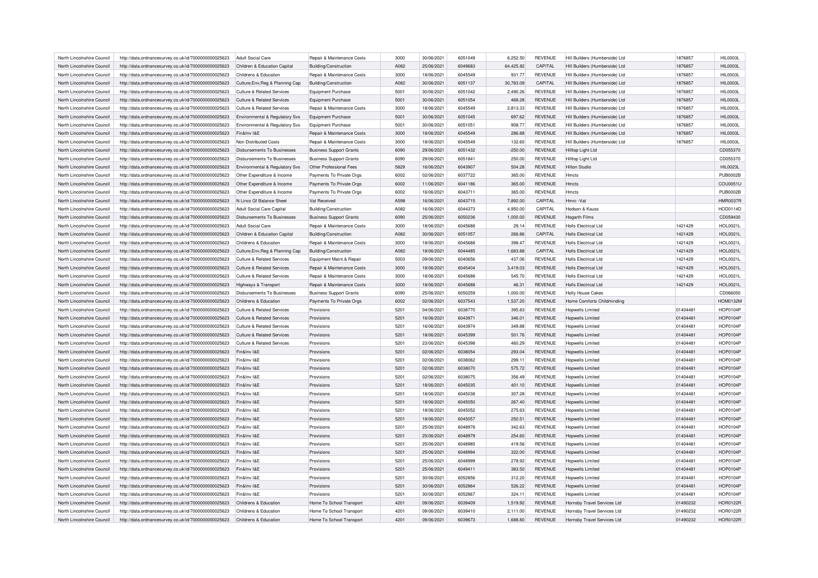| North Lincolnshire Council | http://data.ordnancesurvey.co.uk/id/7000000000025623 | Adult Social Care                     | Repair & Maintenance Costs            | 3000 | 30/06/2021 | 6051049 | 6,252.50  | <b>REVENUE</b> | Hill Builders (Humberside) Ltd | 1876857  | <b>HIL0003L</b> |
|----------------------------|------------------------------------------------------|---------------------------------------|---------------------------------------|------|------------|---------|-----------|----------------|--------------------------------|----------|-----------------|
| North Lincolnshire Council | http://data.ordnancesurvey.co.uk/id/7000000000025623 | Children & Education Capital          | Building/Construction                 | A082 | 25/06/2021 | 6049683 | 64,425.82 | CAPITAL        | Hill Builders (Humberside) Ltd | 1876857  | <b>HIL0003L</b> |
| North Lincolnshire Council | http://data.ordnancesurvey.co.uk/id/7000000000025623 | Childrens & Education                 | Repair & Maintenance Costs            | 3000 | 18/06/2021 | 6045549 | 931.77    | <b>REVENUE</b> | Hill Builders (Humberside) Ltd | 1876857  | <b>HIL0003L</b> |
| North Lincolnshire Council | http://data.ordnancesurvey.co.uk/id/7000000000025623 | Culture, Env, Reg & Planning Cap      | Building/Construction                 | A082 | 30/06/2021 | 6051137 | 30,783.09 | CAPITAL        | Hill Builders (Humberside) Ltd | 1876857  | <b>HIL0003L</b> |
| North Lincolnshire Council | http://data.ordnancesurvey.co.uk/id/7000000000025623 | <b>Culture &amp; Related Services</b> | Equipment Purchase                    | 5001 | 30/06/2021 | 6051042 | 2,490.26  | <b>REVENUE</b> | Hill Builders (Humberside) Ltd | 1876857  | HIL0003L        |
| North Lincolnshire Council | http://data.ordnancesurvey.co.uk/id/7000000000025623 | Culture & Related Services            | Equipment Purchase                    | 5001 | 30/06/2021 | 6051054 | 468.28    | <b>REVENUE</b> | Hill Builders (Humberside) Ltd | 1876857  | <b>HIL0003L</b> |
| North Lincolnshire Council | http://data.ordnancesurvey.co.uk/id/7000000000025623 | <b>Culture &amp; Related Services</b> | Repair & Maintenance Costs            | 3000 | 18/06/2021 | 6045549 | 2,813.33  | <b>REVENUE</b> | Hill Builders (Humberside) Ltd | 1876857  | HIL0003L        |
| North Lincolnshire Council | http://data.ordnancesurvey.co.uk/id/7000000000025623 | Environmental & Regulatory Svs        | <b>Equipment Purchase</b>             | 5001 | 30/06/2021 | 6051045 | 697.62    | <b>REVENUE</b> | Hill Builders (Humberside) Ltd | 1876857  | <b>HIL0003L</b> |
| North Lincolnshire Council | http://data.ordnancesurvey.co.uk/id/7000000000025623 | Environmental & Regulatory Svs        | Equipment Purchase                    | 5001 | 30/06/2021 | 6051051 | 908.77    | <b>REVENUE</b> | Hill Builders (Humberside) Ltd | 1876857  | <b>HIL0003L</b> |
| North Lincolnshire Council | http://data.ordnancesurvey.co.uk/id/7000000000025623 | Fin&Inv I&E                           | Repair & Maintenance Costs            | 3000 | 18/06/2021 | 6045549 | 286.88    | <b>REVENUE</b> | Hill Builders (Humberside) Ltd | 1876857  | <b>HIL0003L</b> |
| North Lincolnshire Council | http://data.ordnancesurvey.co.uk/id/7000000000025623 | Non Distributed Costs                 | Repair & Maintenance Costs            | 3000 | 18/06/2021 | 6045549 | 132.60    | <b>REVENUE</b> | Hill Builders (Humberside) Ltd | 1876857  | HIL0003L        |
| North Lincolnshire Council | http://data.ordnancesurvey.co.uk/id/7000000000025623 | Disbursements To Businesses           | <b>Business Support Grants</b>        | 6090 | 29/06/2021 | 6051432 | $-250.00$ | <b>REVENUE</b> | Hilltop Light Ltd              |          | CD055370        |
| North Lincolnshire Council | http://data.ordnancesurvey.co.uk/id/7000000000025623 | <b>Disbursements To Businesses</b>    | <b>Business Support Grants</b>        | 6090 | 29/06/2021 | 6051841 | 250.00    | <b>REVENUE</b> | Hilltop Light Ltd              |          | CD055370        |
|                            |                                                      |                                       |                                       | 5829 | 16/06/2021 | 6043907 |           |                |                                |          | <b>HIL0023L</b> |
| North Lincolnshire Council | http://data.ordnancesurvey.co.uk/id/7000000000025623 | Environmental & Regulatory Svs        | Other Professional Fees               |      |            |         | 504.28    | <b>REVENUE</b> | <b>Hilton Studio</b>           |          |                 |
| North Lincolnshire Council | http://data.ordnancesurvey.co.uk/id/7000000000025623 | Other Expenditure & Income            | Payments To Private Orgs              | 6002 | 02/06/2021 | 6037722 | 365.00    | REVENUE        | Hmcts                          |          | <b>PUB0002B</b> |
| North Lincolnshire Council | http://data.ordnancesurvey.co.uk/id/7000000000025623 | Other Expenditure & Income            | Payments To Private Orgs              | 6002 | 11/06/2021 | 6041186 | 365.00    | REVENUE        | Hmcts                          |          | COU0051L        |
| North Lincolnshire Council | http://data.ordnancesurvey.co.uk/id/7000000000025623 | Other Expenditure & Income            | Payments To Private Orgs              | 6002 | 16/06/2021 | 6043711 | 365.00    | <b>REVENUE</b> | <b>Hmcts</b>                   |          | <b>PUB0002B</b> |
| North Lincolnshire Council | http://data.ordnancesurvey.co.uk/id/7000000000025623 | N Lincs Gf Balance Sheet              | Vat Received                          | A598 | 16/06/2021 | 6043715 | 7,892.00  | CAPITAL        | Hmrc-Vat                       |          | <b>HMR0037F</b> |
| North Lincolnshire Council | http://data.ordnancesurvey.co.uk/id/7000000000025623 | Adult Social Care Capital             | <b>Building/Construction</b>          | A082 | 16/06/2021 | 6044373 | 4,950.00  | CAPITAL        | Hodson & Kauss                 |          | <b>HOD0114D</b> |
| North Lincolnshire Council | http://data.ordnancesurvey.co.uk/id/7000000000025623 | Disbursements To Businesses           | <b>Business Support Grants</b>        | 6090 | 25/06/2021 | 6050236 | 1.000.00  | <b>REVENUE</b> | <b>Hogarth Films</b>           |          | CD059430        |
| North Lincolnshire Council | http://data.ordnancesurvey.co.uk/id/7000000000025623 | Adult Social Care                     | Repair & Maintenance Costs            | 3000 | 18/06/2021 | 6045688 | 29.14     | <b>REVENUE</b> | <b>Holls Electrical Ltd</b>    | 1421429  | <b>HOL0021L</b> |
| North Lincolnshire Council | http://data.ordnancesurvey.co.uk/id/7000000000025623 | Children & Education Capital          | <b>Building/Construction</b>          | A082 | 30/06/2021 | 6051057 | 266.86    | CAPITAL        | <b>Holls Electrical Ltd</b>    | 1421429  | <b>HOL0021L</b> |
| North Lincolnshire Council | http://data.ordnancesurvey.co.uk/id/7000000000025623 | Childrens & Education                 | Repair & Maintenance Costs            | 3000 | 18/06/2021 | 6045688 | 398.47    | <b>REVENUE</b> | <b>Holls Electrical Ltd</b>    | 1421429  | <b>HOL0021L</b> |
| North Lincolnshire Council | http://data.ordnancesurvey.co.uk/id/7000000000025623 | Culture, Env, Reg & Planning Cap      | Building/Construction                 | A082 | 18/06/2021 | 6044485 | 1,683.88  | CAPITAL        | <b>Holls Electrical Ltd</b>    | 1421429  | <b>HOL0021L</b> |
| North Lincolnshire Council | http://data.ordnancesurvey.co.uk/id/7000000000025623 | Culture & Related Services            | Equipment Maint.& Repair              | 5003 | 09/06/2021 | 6040656 | 437.06    | <b>REVENUE</b> | <b>Holls Electrical Ltd</b>    | 1421429  | <b>HOL0021L</b> |
| North Lincolnshire Council | http://data.ordnancesurvey.co.uk/id/7000000000025623 | Culture & Related Services            | <b>Benair &amp; Maintenance Costs</b> | 3000 | 18/06/2021 | 6045404 | 3.419.03  | <b>REVENUE</b> | <b>Holls Electrical Ltd</b>    | 1421429  | <b>HOL0021L</b> |
| North Lincolnshire Council | http://data.ordnancesurvey.co.uk/id/7000000000025623 | Culture & Related Services            | Repair & Maintenance Costs            | 3000 | 18/06/2021 | 6045688 | 545.70    | <b>REVENUE</b> | <b>Holls Electrical Ltd</b>    | 1421429  | <b>HOL0021L</b> |
| North Lincolnshire Council | http://data.ordnancesurvey.co.uk/id/7000000000025623 | <b>Highways &amp; Transport</b>       | Repair & Maintenance Costs            | 3000 | 18/06/2021 | 6045688 | 46.31     | <b>REVENUE</b> | <b>Holls Electrical Ltd</b>    | 1421429  | <b>HOL0021L</b> |
| North Lincolnshire Council | http://data.ordnancesurvey.co.uk/id/7000000000025623 | Disbursements To Businesses           | <b>Business Support Grants</b>        | 6090 | 25/06/2021 | 6050259 | 1.000.00  | <b>REVENUE</b> | <b>Holly House Cakes</b>       |          | CD066050        |
| North Lincolnshire Council | http://data.ordnancesurvey.co.uk/id/7000000000025623 | Childrens & Education                 | Payments To Private Orgs              | 6002 | 02/06/2021 | 6037543 | 1,537.20  | <b>REVENUE</b> | Home Comforts Childminding     |          | HOM0132M        |
| North Lincolnshire Council | http://data.ordnancesurvey.co.uk/id/7000000000025623 | <b>Culture &amp; Related Services</b> | Provisions                            | 5201 | 04/06/2021 | 6038770 | 395.83    | <b>REVENUE</b> | Hoowells Limited               | 01404481 | <b>HOP0104P</b> |
| North Lincolnshire Council | http://data.ordnancesurvey.co.uk/id/7000000000025623 | Culture & Related Services            | Provisions                            | 5201 | 16/06/2021 | 6043971 | 346.01    | <b>REVENUE</b> | <b>Hopwells Limited</b>        | 01404481 | <b>HOP0104P</b> |
| North Lincolnshire Council | http://data.ordnancesurvey.co.uk/id/7000000000025623 | Culture & Related Services            | Provisions                            | 5201 | 16/06/2021 | 6043974 | 349.88    | <b>REVENUE</b> | <b>Hopwells Limited</b>        | 01404481 | <b>HOP0104P</b> |
| North Lincolnshire Council | http://data.ordnancesurvey.co.uk/id/7000000000025623 | <b>Culture &amp; Related Services</b> | Provisions                            | 5201 | 18/06/2021 | 6045399 | 501.76    | <b>REVENUE</b> | <b>Hopwells Limited</b>        | 01404481 | <b>HOP0104P</b> |
| North Lincolnshire Council | http://data.ordnancesurvey.co.uk/id/7000000000025623 | Culture & Related Services            | Provisions                            | 5201 | 23/06/2021 | 6045398 | 460.29    | <b>REVENUE</b> | <b>Hopwells Limited</b>        | 01404481 | <b>HOP0104P</b> |
|                            |                                                      |                                       |                                       | 5201 | 02/06/2021 | 6038054 |           |                |                                |          | <b>HOP0104P</b> |
| North Lincolnshire Council | http://data.ordnancesurvey.co.uk/id/7000000000025623 | Fin&Inv I&E                           | Provisions                            |      |            |         | 293.04    | <b>REVENUE</b> | <b>Hopwells Limited</b>        | 01404481 |                 |
| North Lincolnshire Council | http://data.ordnancesurvey.co.uk/id/7000000000025623 | Fin&Inv I&E                           | Provisions                            | 5201 | 02/06/2021 | 6038062 | 299.11    | <b>REVENUE</b> | <b>Hopwells Limited</b>        | 01404481 | <b>HOP0104P</b> |
| North Lincolnshire Council | http://data.ordnancesurvey.co.uk/id/7000000000025623 | Fin&Inv I&E                           | Provisions                            | 5201 | 02/06/2021 | 6038070 | 575.72    | <b>REVENUE</b> | <b>Hopwells Limited</b>        | 01404481 | <b>HOP0104P</b> |
| North Lincolnshire Council | http://data.ordnancesurvey.co.uk/id/7000000000025623 | Fin&Inv I&E                           | Provisions                            | 5201 | 02/06/2021 | 6038075 | 356.49    | <b>REVENUE</b> | <b>Hopwells Limited</b>        | 01404481 | <b>HOP0104P</b> |
| North Lincolnshire Council | http://data.ordnancesurvey.co.uk/id/7000000000025623 | Fin&Inv I&E                           | Provisions                            | 5201 | 18/06/2021 | 6045035 | 401.10    | REVENUE        | <b>Hopwells Limited</b>        | 01404481 | <b>HOP0104P</b> |
| North Lincolnshire Council | http://data.ordnancesurvey.co.uk/id/7000000000025623 | Fin&Inv I&E                           | Provisions                            | 5201 | 18/06/2021 | 6045038 | 307.28    | <b>REVENUE</b> | Hopwells Limited               | 01404481 | <b>HOP0104P</b> |
| North Lincolnshire Council | http://data.ordnancesurvey.co.uk/id/7000000000025623 | Fin&Inv I&E                           | Provisions                            | 5201 | 18/06/2021 | 6045050 | 267.40    | REVENUE        | <b>Hopwells Limited</b>        | 01404481 | <b>HOP0104P</b> |
| North Lincolnshire Council | http://data.ordnancesurvey.co.uk/id/7000000000025623 | Fin&Inv I&E                           | Provisions                            | 5201 | 18/06/2021 | 6045052 | 275.63    | <b>REVENUE</b> | <b>Hopwells Limited</b>        | 01404481 | <b>HOP0104P</b> |
| North Lincolnshire Council | http://data.ordnancesurvey.co.uk/id/7000000000025623 | Fin&Inv I&E                           | Provisions                            | 5201 | 18/06/2021 | 6045057 | 250.51    | <b>REVENUE</b> | <b>Hopwells Limited</b>        | 01404481 | <b>HOP0104P</b> |
| North Lincolnshire Council | http://data.ordnancesurvey.co.uk/id/7000000000025623 | Fin&Inv I&E                           | Provisions                            | 5201 | 25/06/2021 | 6048978 | 342.63    | REVENUE        | Hopwells Limited               | 01404481 | <b>HOP0104P</b> |
| North Lincolnshire Council | http://data.ordnancesurvey.co.uk/id/7000000000025623 | Fin&Inv I&F                           | Provisions                            | 5201 | 25/06/2021 | 6048979 | 254.60    | <b>REVENUE</b> | <b>Hopwells Limited</b>        | 01404481 | <b>HOP0104P</b> |
| North Lincolnshire Council | http://data.ordnancesurvey.co.uk/id/7000000000025623 | Fin&Inv I&F                           | Provisions                            | 5201 | 25/06/2021 | 6048985 | 419.56    | <b>REVENUE</b> | <b>Hopwells Limited</b>        | 01404481 | <b>HOP0104P</b> |
| North Lincolnshire Council | http://data.ordnancesurvey.co.uk/id/7000000000025623 | Fin&Inv I&E                           | Provisions                            | 5201 | 25/06/2021 | 6048994 | 322.00    | REVENUE        | <b>Hopwells Limited</b>        | 01404481 | <b>HOP0104P</b> |
| North Lincolnshire Council | http://data.ordnancesurvey.co.uk/id/7000000000025623 | Fin&Inv I&F                           | Provisions                            | 5201 | 25/06/2021 | 6048999 | 278.92    | <b>REVENUE</b> | <b>Hopwells Limited</b>        | 01404481 | <b>HOP0104P</b> |
| North Lincolnshire Council | http://data.ordnancesurvey.co.uk/id/7000000000025623 | Fin&Inv I&F                           | Provisions                            | 5201 | 25/06/2021 | 6049411 | 383.50    | <b>REVENUE</b> | <b>Hopwells Limited</b>        | 01404481 | <b>HOP0104P</b> |
| North Lincolnshire Council | http://data.ordnancesurvey.co.uk/id/7000000000025623 | Fin&Inv I&E                           | Provisions                            | 5201 | 30/06/2021 | 6052856 | 312.20    | <b>REVENUE</b> | Hopwells Limited               | 01404481 | <b>HOP0104P</b> |
| North Lincolnshire Council | http://data.ordnancesurvey.co.uk/id/7000000000025623 | Fin&Inv I&F                           | Provisions                            | 5201 | 30/06/2021 | 6052864 | 526.22    | <b>REVENUE</b> | <b>Hopwells Limited</b>        | 01404481 | <b>HOP0104P</b> |
| North Lincolnshire Council | http://data.ordnancesurvey.co.uk/id/7000000000025623 | Fin&Inv I&F                           | Provisions                            | 5201 | 30/06/2021 | 6052867 | 324.11    | <b>REVENUE</b> | Honwells I imited              | 01404481 | <b>HOP0104P</b> |
| North Lincolnshire Council | http://data.ordnancesurvey.co.uk/id/7000000000025623 | Childrens & Education                 | Home To School Transport              | 4201 | 09/06/2021 | 6039409 | 1,519.92  | <b>REVENUE</b> | Hornsby Travel Services Ltd    | 01490232 | <b>HOR0122F</b> |
| North Lincolnshire Council | http://data.ordnancesurvey.co.uk/id/7000000000025623 | Childrens & Education                 | Home To School Transport              | 4201 | 09/06/2021 | 6039410 | 2.111.00  | <b>REVENUE</b> | Hornsby Travel Services Ltd    | 01490232 | <b>HOR0122F</b> |
| North Lincolnshire Council | http://data.ordnancesurvey.co.uk/id/7000000000025623 | Childrens & Education                 | Home To School Transport              | 4201 | 09/06/2021 | 6039673 | 1.688.80  | <b>REVENUE</b> | Hornsby Travel Services Ltd    | 01490232 | <b>HOR0122R</b> |
|                            |                                                      |                                       |                                       |      |            |         |           |                |                                |          |                 |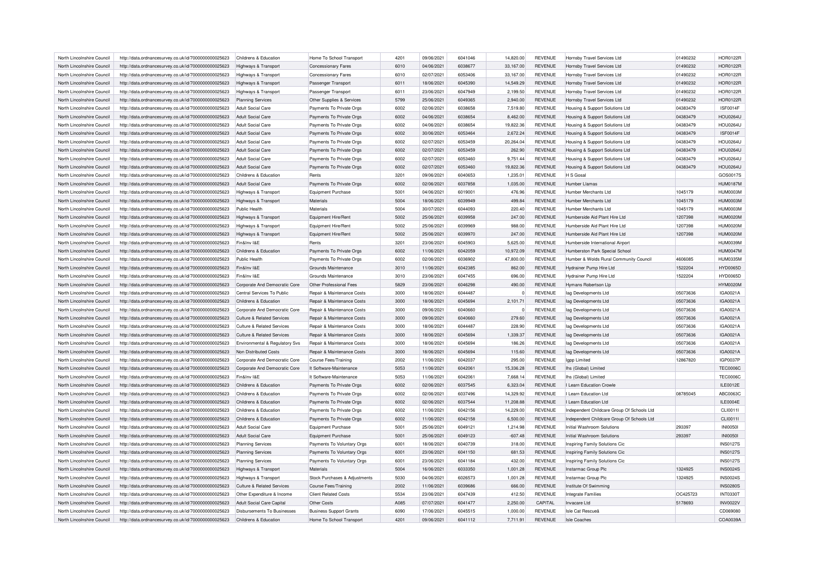| North Lincolnshire Council | http://data.ordnancesurvey.co.uk/id/7000000000025623 | Childrens & Education                 | Home To School Transport       | 4201 | 09/06/2021 | 6041046 | 14,820.00 | <b>REVENUE</b> | Hornsby Travel Services Ltd                | 01490232 | <b>HOR0122R</b> |
|----------------------------|------------------------------------------------------|---------------------------------------|--------------------------------|------|------------|---------|-----------|----------------|--------------------------------------------|----------|-----------------|
| North Lincolnshire Council | http://data.ordnancesurvey.co.uk/id/7000000000025623 | Highways & Transport                  | <b>Concessionary Fares</b>     | 6010 | 04/06/2021 | 6038677 | 33,167.00 | <b>REVENUE</b> | Hornsby Travel Services Ltd                | 01490232 | <b>HOR0122R</b> |
| North Lincolnshire Council | http://data.ordnancesurvey.co.uk/id/7000000000025623 | Highways & Transport                  | <b>Concessionary Fares</b>     | 6010 | 02/07/2021 | 6053406 | 33.167.00 | <b>REVENUE</b> | Hornsby Travel Services Ltd                | 01490232 | <b>HOR0122R</b> |
| North Lincolnshire Council | http://data.ordnancesurvey.co.uk/id/7000000000025623 | Highways & Transport                  | Passenger Transport            | 6011 | 18/06/2021 | 6045390 | 14,549.29 | <b>REVENUE</b> | Hornsby Travel Services Ltd                | 01490232 | <b>HOR0122R</b> |
| North Lincolnshire Council | http://data.ordnancesurvey.co.uk/id/7000000000025623 | Highways & Transport                  | Passenger Transport            | 6011 | 23/06/2021 | 6047949 | 2,199.50  | <b>REVENUE</b> | <b>Hornsby Travel Services Ltd</b>         | 01490232 | <b>HOR0122R</b> |
| North Lincolnshire Council | http://data.ordnancesurvey.co.uk/id/7000000000025623 | <b>Planning Services</b>              | Other Supplies & Services      | 5799 | 25/06/2021 | 6049365 | 2,940.00  | <b>REVENUE</b> | Hornsby Travel Services Ltd                | 01490232 | <b>HOR0122R</b> |
| North Lincolnshire Council | http://data.ordnancesurvey.co.uk/id/7000000000025623 | <b>Adult Social Care</b>              | Payments To Private Orgs       | 6002 | 02/06/2021 | 6038658 | 7,519.80  | <b>REVENUE</b> | Housing & Support Solutions Ltd            | 04383479 | <b>ISF0014F</b> |
| North Lincolnshire Council | http://data.ordnancesurvey.co.uk/id/7000000000025623 | Adult Social Care                     | Payments To Private Orgs       | 6002 | 04/06/2021 | 6038654 | 8,462.00  | <b>REVENUE</b> | Housing & Support Solutions Ltd            | 04383479 | <b>HOU0264U</b> |
| North Lincolnshire Council | http://data.ordnancesurvey.co.uk/id/7000000000025623 | Adult Social Care                     | Payments To Private Orgs       | 6002 | 04/06/2021 | 6038654 | 19,822.36 | <b>REVENUE</b> | Housing & Support Solutions Ltd            | 04383479 | <b>HOU0264U</b> |
| North Lincolnshire Council | http://data.ordnancesurvey.co.uk/id/7000000000025623 | Adult Social Care                     | Payments To Private Orgs       | 6002 | 30/06/2021 | 6053464 | 2,672.24  | <b>REVENUE</b> | Housing & Support Solutions Ltd            | 04383479 | <b>ISF0014F</b> |
| North Lincolnshire Council | http://data.ordnancesurvey.co.uk/id/7000000000025623 | <b>Adult Social Care</b>              | Payments To Private Orgs       | 6002 | 02/07/2021 | 6053459 | 20,264.04 | <b>REVENUE</b> | Housing & Support Solutions Ltd            | 04383479 | <b>HOU0264U</b> |
| North Lincolnshire Council | http://data.ordnancesurvey.co.uk/id/7000000000025623 | Adult Social Care                     | Payments To Private Orgs       | 6002 | 02/07/2021 | 6053459 | 262.90    | <b>REVENUE</b> | Housing & Support Solutions Ltd            | 04383479 | <b>HOU0264U</b> |
| North Lincolnshire Council | http://data.ordnancesurvey.co.uk/id/7000000000025623 | <b>Adult Social Care</b>              | Payments To Private Orgs       | 6002 | 02/07/2021 | 6053460 | 9,751.44  | <b>REVENUE</b> | Housing & Support Solutions Ltd            | 04383479 | <b>HOU0264U</b> |
| North Lincolnshire Council | http://data.ordnancesurvey.co.uk/id/7000000000025623 | Adult Social Care                     | Payments To Private Orgs       | 6002 | 02/07/2021 | 6053460 | 19,822.36 | <b>REVENUE</b> | Housing & Support Solutions Ltd            | 04383479 | <b>HOU0264U</b> |
| North Lincolnshire Council | http://data.ordnancesurvey.co.uk/id/7000000000025623 | Childrens & Education                 | Rents                          | 3201 | 09/06/2021 | 6040653 | 1,235.01  | <b>REVENUE</b> | H S Gosal                                  |          | GOS0017S        |
| North Lincolnshire Council | http://data.ordnancesurvey.co.uk/id/7000000000025623 | Adult Social Care                     | Payments To Private Orgs       | 6002 | 02/06/2021 | 6037858 | 1,035.00  | <b>REVENUE</b> | Humber I lamas                             |          | <b>HUM0187M</b> |
| North Lincolnshire Council | http://data.ordnancesurvey.co.uk/id/7000000000025623 | Highways & Transport                  | <b>Equipment Purchase</b>      | 5001 | 04/06/2021 | 6019001 | 476.96    | <b>REVENUE</b> | Humber Merchants Ltd                       | 1045179  | HUM0003M        |
| North Lincolnshire Council |                                                      |                                       | Materials                      | 5004 |            | 6039949 | 499.84    | <b>REVENUE</b> | Humber Merchants I td                      |          | <b>HUM0003N</b> |
|                            | http://data.ordnancesurvey.co.uk/id/7000000000025623 | Highways & Transport                  |                                |      | 18/06/2021 |         |           |                |                                            | 1045179  |                 |
| North Lincolnshire Council | http://data.ordnancesurvey.co.uk/id/7000000000025623 | Public Health                         | Materials                      | 5004 | 30/07/2021 | 6044093 | 220.40    | <b>REVENUE</b> | Humber Merchants Ltd                       | 1045179  | HUM0003M        |
| North Lincolnshire Council | http://data.ordnancesurvey.co.uk/id/7000000000025623 | Highways & Transport                  | Equipment Hire/Rent            | 5002 | 25/06/2021 | 6039958 | 247.00    | <b>REVENUE</b> | Humberside Aid Plant Hire Ltd              | 1207398  | <b>HUM0020M</b> |
| North Lincolnshire Council | http://data.ordnancesurvey.co.uk/id/7000000000025623 | Highways & Transport                  | Equipment Hire/Rent            | 5002 | 25/06/2021 | 6039969 | 988.00    | <b>REVENUE</b> | Humberside Aid Plant Hire I to             | 1207398  | <b>HUM0020M</b> |
| North Lincolnshire Council | http://data.ordnancesurvey.co.uk/id/7000000000025623 | Highways & Transport                  | Equipment Hire/Rent            | 5002 | 25/06/2021 | 6039970 | 247.00    | <b>REVENUE</b> | Humberside Aid Plant Hire Ltd              | 1207398  | <b>HUM0020M</b> |
| North Lincolnshire Council | http://data.ordnancesurvey.co.uk/id/7000000000025623 | Fin&Inv I&E                           | Rents                          | 3201 | 23/06/2021 | 6045903 | 5.625.00  | <b>REVENUE</b> | Humberside International Airport           |          | HUM0039M        |
| North Lincolnshire Council | http://data.ordnancesurvey.co.uk/id/7000000000025623 | Childrens & Education                 | Payments To Private Orgs       | 6002 | 11/06/2021 | 6042059 | 10,972.09 | <b>REVENUE</b> | Humberston Park Special School             |          | <b>HUM0047M</b> |
| North Lincolnshire Council | http://data.ordnancesurvey.co.uk/id/7000000000025623 | <b>Public Health</b>                  | Payments To Private Orgs       | 6002 | 02/06/2021 | 6036902 | 47,800.00 | <b>REVENUE</b> | Humber & Wolds Rural Community Council     | 4606085  | <b>HUM0335M</b> |
| North Lincolnshire Council | http://data.ordnancesurvey.co.uk/id/7000000000025623 | Fin&Inv I&E                           | Grounds Maintenance            | 3010 | 11/06/2021 | 6042385 | 862.00    | <b>REVENUE</b> | Hydrainer Pump Hire Ltd                    | 1522204  | <b>HYD0065D</b> |
| North Lincolnshire Council | http://data.ordnancesurvey.co.uk/id/7000000000025623 | Fin&Inv I&F                           | Grounds Maintenance            | 3010 | 23/06/2021 | 6047455 | 696.00    | <b>REVENUE</b> | Hydrainer Pump Hire Ltd                    | 1522204  | <b>HYD0065D</b> |
| North Lincolnshire Council | http://data.ordnancesurvey.co.uk/id/7000000000025623 | Corporate And Democratic Core         | Other Professional Fees        | 5829 | 23/06/2021 | 6046298 | 490.00    | <b>REVENUE</b> | Hymans Robertson Llp                       |          | <b>HYM0020M</b> |
| North Lincolnshire Council | http://data.ordnancesurvey.co.uk/id/7000000000025623 | Central Services To Public            | Repair & Maintenance Costs     | 3000 | 18/06/2021 | 6044487 | $\Omega$  | <b>REVENUE</b> | lag Developments Ltd                       | 05073636 | IGA0021A        |
| North Lincolnshire Council | http://data.ordnancesurvey.co.uk/id/7000000000025623 | Childrens & Education                 | Repair & Maintenance Costs     | 3000 | 18/06/2021 | 6045694 | 2,101.71  | <b>REVENUE</b> | lag Developments Ltd                       | 05073636 | IGA0021A        |
| North Lincolnshire Council | http://data.ordnancesurvey.co.uk/id/7000000000025623 | Corporate And Democratic Core         | Repair & Maintenance Costs     | 3000 | 09/06/2021 | 6040660 |           | <b>REVENUE</b> | lag Developments Ltd                       | 05073636 | IGA0021A        |
| North Lincolnshire Council | http://data.ordnancesurvey.co.uk/id/7000000000025623 | Culture & Related Services            | Repair & Maintenance Costs     | 3000 | 09/06/2021 | 6040660 | 279.60    | <b>REVENUE</b> | lag Developments Ltd                       | 05073636 | <b>IGA0021A</b> |
| North Lincolnshire Council | http://data.ordnancesurvey.co.uk/id/7000000000025623 | Culture & Related Services            | Repair & Maintenance Costs     | 3000 | 18/06/2021 | 6044487 | 228.90    | <b>REVENUE</b> | lag Developments Ltd                       | 05073636 | IGA0021A        |
| North Lincolnshire Council | http://data.ordnancesurvey.co.uk/id/7000000000025623 | <b>Culture &amp; Related Services</b> | Repair & Maintenance Costs     | 3000 | 18/06/2021 | 6045694 | 1,339.37  | <b>REVENUE</b> | lag Developments Ltd                       | 05073636 | IGA0021A        |
| North Lincolnshire Council | http://data.ordnancesurvey.co.uk/id/7000000000025623 | Environmental & Regulatory Svs        | Repair & Maintenance Costs     | 3000 | 18/06/2021 | 6045694 | 186.26    | <b>REVENUE</b> | lag Developments Ltd                       | 05073636 | IGA0021A        |
| North Lincolnshire Council | http://data.ordnancesurvey.co.uk/id/7000000000025623 | Non Distributed Costs                 | Repair & Maintenance Costs     | 3000 | 18/06/2021 | 6045694 | 115.60    | <b>REVENUE</b> | lag Developments Ltd                       | 05073636 | IGA0021A        |
| North Lincolnshire Council | http://data.ordnancesurvey.co.uk/id/7000000000025623 | Corporate And Democratic Core         | <b>Course Fees/Training</b>    | 2002 | 11/06/2021 | 6042037 | 295.00    | <b>REVENUE</b> | lapp Limited                               | 12867820 | IGP0037P        |
| North Lincolnshire Council |                                                      | Corporate And Democratic Core         | It Software-Maintenance        | 5053 | 11/06/2021 | 6042061 | 15,336.28 | <b>REVENUE</b> | Ihs (Global) Limited                       |          | <b>TEC0006C</b> |
|                            | http://data.ordnancesurvey.co.uk/id/7000000000025623 | Fin&Inv I&E                           |                                | 5053 | 11/06/2021 | 6042061 | 7,668.14  | <b>REVENUE</b> |                                            |          | <b>TEC0006C</b> |
| North Lincolnshire Council | http://data.ordnancesurvey.co.uk/id/7000000000025623 |                                       | It Software-Maintenance        |      |            |         |           |                | Ihs (Global) Limited                       |          |                 |
| North Lincolnshire Council | http://data.ordnancesurvey.co.uk/id/7000000000025623 | Childrens & Education                 | Payments To Private Orgs       | 6002 | 02/06/2021 | 6037545 | 6,323.04  | <b>REVENUE</b> | I Learn Education Crowle                   |          | ILE0012E        |
| North Lincolnshire Council | http://data.ordnancesurvey.co.uk/id/7000000000025623 | Childrens & Education                 | Payments To Private Orgs       | 6002 | 02/06/2021 | 6037496 | 14,329.92 | <b>REVENUE</b> | I Learn Education Ltd                      | 08785045 | ABC0063C        |
| North Lincolnshire Council | http://data.ordnancesurvey.co.uk/id/7000000000025623 | Childrens & Education                 | Payments To Private Orgs       | 6002 | 02/06/2021 | 6037544 | 11,208.88 | <b>REVENUE</b> | I Learn Education Ltd                      |          | ILE0004E        |
| North Lincolnshire Council | http://data.ordnancesurvey.co.uk/id/7000000000025623 | Childrens & Education                 | Payments To Private Orgs       | 6002 | 11/06/2021 | 6042156 | 14,229.00 | <b>REVENUE</b> | Independent Childcare Group Of Schools Ltd |          | CLI0011I        |
| North Lincolnshire Council | http://data.ordnancesurvey.co.uk/id/7000000000025623 | Childrens & Education                 | Payments To Private Orgs       | 6002 | 11/06/2021 | 6042158 | 6,500.00  | <b>REVENUE</b> | Independent Childcare Group Of Schools Ltd |          | CLI0011I        |
| North Lincolnshire Council | http://data.ordnancesurvey.co.uk/id/7000000000025623 | Adult Social Care                     | <b>Equipment Purchase</b>      | 5001 | 25/06/2021 | 6049121 | 1,214.98  | <b>REVENUE</b> | Initial Washroom Solutions                 | 293397   | <b>INI00501</b> |
| North Lincolnshire Council | http://data.ordnancesurvey.co.uk/id/7000000000025623 | <b>Adult Social Care</b>              | Equipment Purchase             | 5001 | 25/06/2021 | 6049123 | $-607.48$ | <b>REVENUE</b> | Initial Washroom Solutions                 | 293397   | <b>INI00501</b> |
| North Lincolnshire Council | http://data.ordnancesurvey.co.uk/id/7000000000025623 | Planning Services                     | Payments To Voluntary Orgs     | 6001 | 18/06/2021 | 6040739 | 318.00    | <b>REVENUE</b> | Inspiring Family Solutions Cic             |          | <b>INS0127S</b> |
| North Lincolnshire Council | http://data.ordnancesurvey.co.uk/id/7000000000025623 | <b>Planning Services</b>              | Payments To Voluntary Orgs     | 6001 | 23/06/2021 | 6041150 | 681.53    | <b>REVENUE</b> | Inspiring Family Solutions Cic             |          | <b>INS0127S</b> |
| North Lincolnshire Council | http://data.ordnancesurvey.co.uk/id/7000000000025623 | <b>Planning Services</b>              | Payments To Voluntary Orgs     | 6001 | 23/06/2021 | 6041184 | 432.00    | <b>REVENUE</b> | Inspiring Family Solutions Cic             |          | <b>INS0127S</b> |
| North Lincolnshire Council | http://data.ordnancesurvey.co.uk/id/7000000000025623 | Highways & Transport                  | Materials                      | 5004 | 16/06/2021 | 6033350 | 1,001.28  | <b>REVENUE</b> | Instarmac Group Plc                        | 1324925  | <b>INS0024S</b> |
| North Lincolnshire Council | http://data.ordnancesurvey.co.uk/id/7000000000025623 | Highways & Transport                  | Stock Purchases & Adjustments  | 5030 | 04/06/2021 | 6026573 | 1,001.28  | <b>REVENUE</b> | Instarmac Group Plc                        | 1324925  | <b>INS0024S</b> |
| North Lincolnshire Council | http://data.ordnancesurvey.co.uk/id/7000000000025623 | <b>Culture &amp; Related Services</b> | <b>Course Fees/Training</b>    | 2002 | 11/06/2021 | 6039686 | 666.00    | <b>REVENUE</b> | Institute Of Swimming                      |          | <b>INS0280S</b> |
| North Lincolnshire Council | http://data.ordnancesurvey.co.uk/id/7000000000025623 | Other Expenditure & Income            | <b>Client Related Costs</b>    | 5534 | 23/06/2021 | 6047439 | 412.50    | <b>REVENUE</b> | <b>Integrate Families</b>                  | OC425723 | <b>INT0330T</b> |
| North Lincolnshire Council | http://data.ordnancesurvey.co.uk/id/7000000000025623 | Adult Social Care Capital             | Other Costs                    | A085 | 07/07/2021 | 6041477 | 2,250.00  | CAPITAL        | Invacare Ltd                               | 5178693  | <b>INV0022V</b> |
| North Lincolnshire Council | http://data.ordnancesurvey.co.uk/id/7000000000025623 | Disbursements To Businesses           | <b>Business Support Grants</b> | 6090 | 17/06/2021 | 6045515 | 1.000.00  | <b>REVENUE</b> | <b>Isle Cat Rescues</b>                    |          | CD069080        |
| North Lincolnshire Council | http://data.ordnancesurvey.co.uk/id/7000000000025623 | Childrens & Education                 | Home To School Transport       | 4201 | 09/06/2021 | 6041112 | 7.711.91  | <b>REVENUE</b> | Isle Coaches                               |          | COA0039A        |
|                            |                                                      |                                       |                                |      |            |         |           |                |                                            |          |                 |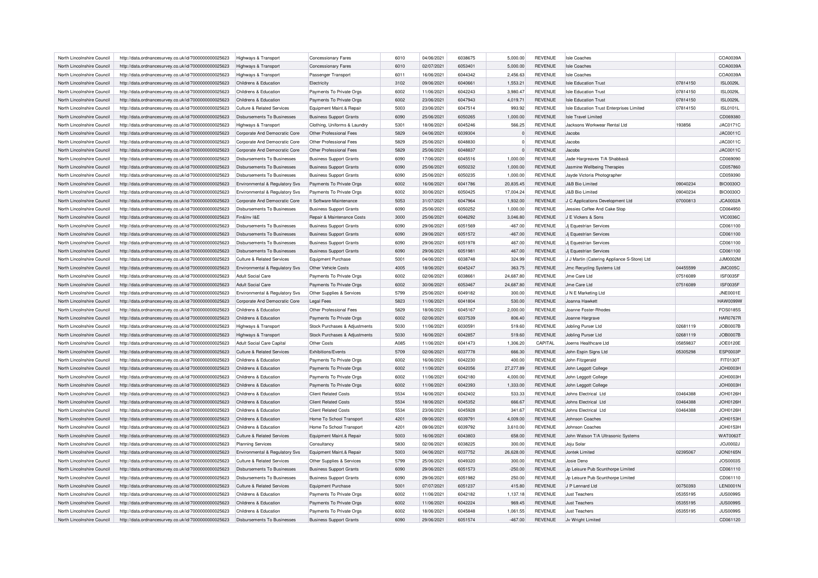| North Lincolnshire Council | http://data.ordnancesurvey.co.uk/id/7000000000025623 | Highways & Transport                      | <b>Concessionary Fares</b>     | 6010 | 04/06/2021 | 6038675 | 5.000.00  | <b>REVENUE</b> | <b>Isle Coaches</b>                         |          | COA0039A        |
|----------------------------|------------------------------------------------------|-------------------------------------------|--------------------------------|------|------------|---------|-----------|----------------|---------------------------------------------|----------|-----------------|
| North Lincolnshire Council | http://data.ordnancesurvey.co.uk/id/7000000000025623 | Highways & Transport                      | <b>Concessionary Fares</b>     | 6010 | 02/07/2021 | 6053401 | 5,000.00  | <b>REVENUE</b> | <b>Isle Coaches</b>                         |          | COA0039A        |
| North Lincolnshire Council | http://data.ordnancesurvey.co.uk/id/7000000000025623 | Highways & Transport                      | Passenger Transport            | 6011 | 16/06/2021 | 6044342 | 2,456.63  | <b>REVENUE</b> | <b>Isle Coaches</b>                         |          | COA0039A        |
| North Lincolnshire Council | http://data.ordnancesurvey.co.uk/id/7000000000025623 | Childrens & Education                     | Electricity                    | 3102 | 09/06/2021 | 6040661 | 1,553.21  | <b>REVENUE</b> | <b>Isle Education Trust</b>                 | 07814150 | <b>ISL0029L</b> |
| North Lincolnshire Council | http://data.ordnancesurvey.co.uk/id/7000000000025623 | Childrens & Education                     | Payments To Private Orgs       | 6002 | 11/06/2021 | 6042243 | 3,980.47  | <b>REVENUE</b> | <b>Isle Education Trust</b>                 | 07814150 | <b>ISL0029L</b> |
| North Lincolnshire Council | http://data.ordnancesurvey.co.uk/id/7000000000025623 | Childrens & Education                     | Payments To Private Orgs       | 6002 | 23/06/2021 | 6047943 | 4,019.71  | <b>REVENUE</b> | <b>Isle Education Trust</b>                 | 07814150 | <b>ISL0029L</b> |
| North Lincolnshire Council | http://data.ordnancesurvey.co.uk/id/7000000000025623 | <b>Culture &amp; Related Services</b>     | Equipment Maint.& Repair       | 5003 | 23/06/2021 | 6047514 | 993.92    | <b>REVENUE</b> | Isle Education Trust Enterprises Limited    | 07814150 | <b>ISL0101L</b> |
| North Lincolnshire Council | http://data.ordnancesurvey.co.uk/id/7000000000025623 | Disbursements To Businesses               | <b>Business Support Grants</b> | 6090 | 25/06/2021 | 6050265 | 1,000.00  | <b>REVENUE</b> | Isle Travel Limited                         |          | CD069380        |
| North Lincolnshire Council | http://data.ordnancesurvey.co.uk/id/7000000000025623 | Highways & Transport                      | Clothing, Uniforms & Laundry   | 5301 | 18/06/2021 | 6045246 | 566.25    | <b>REVENUE</b> | Jacksons Workwear Rental Ltd                | 193856   | JAC0171C        |
| North Lincolnshire Council | http://data.ordnancesurvey.co.uk/id/7000000000025623 | Corporate And Democratic Core             | Other Professional Fees        | 5829 | 04/06/2021 | 6039304 |           | <b>REVENUE</b> | Jacobs                                      |          | JAC0011C        |
| North Lincolnshire Council | http://data.ordnancesurvey.co.uk/id/7000000000025623 | Corporate And Democratic Core             | Other Professional Fees        | 5829 | 25/06/2021 | 6048830 | $\Omega$  | <b>REVENUE</b> | Jacobs                                      |          | JAC0011C        |
| North Lincolnshire Council | http://data.ordnancesurvey.co.uk/id/7000000000025623 | Corporate And Democratic Core             | Other Professional Fees        | 5829 | 25/06/2021 | 6048837 |           | <b>REVENUE</b> | Jacobs                                      |          | JAC0011C        |
| North Lincolnshire Council | http://data.ordnancesurvey.co.uk/id/7000000000025623 | <b>Disbursements To Businesses</b>        | <b>Business Support Grants</b> | 6090 | 17/06/2021 | 6045516 | 1,000.00  | <b>REVENUE</b> | Jade Hargreaves T/A Shabbasa                |          | CD069090        |
| North Lincolnshire Council | http://data.ordnancesurvey.co.uk/id/7000000000025623 | Disbursements To Businesses               | <b>Business Support Grants</b> | 6090 | 25/06/2021 | 6050232 | 1,000.00  | <b>REVENUE</b> | Jasmine Wellbeing Therapies                 |          | CD057860        |
| North Lincolnshire Council | http://data.ordnancesurvey.co.uk/id/7000000000025623 | <b>Disbursements To Businesses</b>        | <b>Business Support Grants</b> | 6090 | 25/06/2021 | 6050235 | 1,000.00  | <b>REVENUE</b> | Jayde Victoria Photographer                 |          | CD059390        |
| North Lincolnshire Council | http://data.ordnancesurvey.co.uk/id/7000000000025623 | <b>Environmental &amp; Regulatory Svs</b> | Payments To Private Orgs       | 6002 | 16/06/2021 | 6041786 | 20,835.45 | <b>REVENUE</b> | <b>J&amp;B Bio Limited</b>                  | 09040234 | <b>BIO0030O</b> |
| North Lincolnshire Council | http://data.ordnancesurvey.co.uk/id/7000000000025623 | Environmental & Regulatory Svs            | Payments To Private Orgs       | 6002 | 30/06/2021 | 6050425 | 17,004.24 | <b>REVENUE</b> | <b>J&amp;B Bio Limited</b>                  | 09040234 | <b>BIO0030O</b> |
| North Lincolnshire Council | http://data.ordnancesurvey.co.uk/id/7000000000025623 | Corporate And Democratic Core             | It Software-Maintenance        | 5053 | 31/07/2021 | 6047964 | 1,932.00  | <b>REVENUE</b> | J C Applications Development Ltd            | 07000813 | <b>JCA0002A</b> |
| North Lincolnshire Council | http://data.ordnancesurvey.co.uk/id/7000000000025623 | <b>Disbursements To Businesses</b>        | <b>Business Support Grants</b> | 6090 | 25/06/2021 | 6050252 | 1,000.00  | <b>REVENUE</b> | Jessies Coffee And Cake Stop                |          | CD064950        |
| North Lincolnshire Council | http://data.ordnancesurvey.co.uk/id/7000000000025623 | Fin&Inv I&F                               | Repair & Maintenance Costs     | 3000 | 25/06/2021 | 6046292 | 3,046.80  | <b>REVENUE</b> | J E Vickers & Sons                          |          | <b>VIC0036C</b> |
| North Lincolnshire Council | http://data.ordnancesurvey.co.uk/id/7000000000025623 | Disbursements To Businesses               | <b>Business Support Grants</b> | 6090 | 29/06/2021 | 6051569 | $-467.00$ | <b>REVENUE</b> | Jj Equestrian Services                      |          | CD061100        |
| North Lincolnshire Council | http://data.ordnancesurvey.co.uk/id/7000000000025623 | <b>Disbursements To Businesses</b>        | <b>Business Support Grants</b> | 6090 | 29/06/2021 | 6051572 | $-467.00$ | <b>REVENUE</b> | Ji Equestrian Services                      |          | CD061100        |
| North Lincolnshire Council |                                                      | Disbursements To Businesses               |                                | 6090 | 29/06/2021 | 6051978 | 467.00    | <b>REVENUE</b> | Ji Fouestrian Services                      |          | CD061100        |
|                            | http://data.ordnancesurvey.co.uk/id/7000000000025623 |                                           | <b>Business Support Grants</b> |      |            |         |           |                |                                             |          |                 |
| North Lincolnshire Council | http://data.ordnancesurvey.co.uk/id/7000000000025623 | Disbursements To Businesses               | <b>Business Support Grants</b> | 6090 | 29/06/2021 | 6051981 | 467.00    | <b>REVENUE</b> | Jj Equestrian Services                      |          | CD061100        |
| North Lincolnshire Council | http://data.ordnancesurvey.co.uk/id/7000000000025623 | Culture & Related Services                | <b>Equipment Purchase</b>      | 5001 | 04/06/2021 | 6038748 | 324.99    | <b>REVENUE</b> | J J Martin (Catering Appliance S-Store) Ltd |          | JJM0002M        |
| North Lincolnshire Council | http://data.ordnancesurvey.co.uk/id/7000000000025623 | Environmental & Regulatory Svs            | Other Vehicle Costs            | 4005 | 18/06/2021 | 6045247 | 363.75    | <b>REVENUE</b> | Jmc Recycling Systems Ltd                   | 04455599 | JMC005C         |
| North Lincolnshire Council | http://data.ordnancesurvey.co.uk/id/7000000000025623 | Adult Social Care                         | Payments To Private Orgs       | 6002 | 02/06/2021 | 6038661 | 24,687.80 | <b>REVENUE</b> | Jme Care Ltd                                | 07516089 | <b>ISF0035F</b> |
| North Lincolnshire Council | http://data.ordnancesurvey.co.uk/id/7000000000025623 | <b>Adult Social Care</b>                  | Payments To Private Orgs       | 6002 | 30/06/2021 | 6053467 | 24,687.80 | <b>REVENUE</b> | Jme Care Ltd                                | 07516089 | <b>ISF0035F</b> |
| North Lincolnshire Council | http://data.ordnancesurvey.co.uk/id/7000000000025623 | Environmental & Regulatory Svs            | Other Supplies & Services      | 5799 | 25/06/2021 | 6049182 | 300.00    | <b>REVENUE</b> | J N E Marketing Ltd                         |          | JNE0001E        |
| North Lincolnshire Council | http://data.ordnancesurvey.co.uk/id/7000000000025623 | Corporate And Democratic Core             | Legal Fees                     | 5823 | 11/06/2021 | 6041804 | 530.00    | <b>REVENUE</b> | Joanna Hawkett                              |          | <b>HAW0099W</b> |
| North Lincolnshire Council | http://data.ordnancesurvey.co.uk/id/7000000000025623 | Childrens & Education                     | Other Professional Fees        | 5829 | 18/06/2021 | 6045167 | 2,000.00  | <b>REVENUE</b> | Joanne Foster-Rhodes                        |          | FOS0185S        |
| North Lincolnshire Council | http://data.ordnancesurvey.co.uk/id/7000000000025623 | Childrens & Education                     | Payments To Private Orgs       | 6002 | 02/06/2021 | 6037539 | 806.40    | <b>REVENUE</b> | Joanne Hargrave                             |          | <b>HAR0767R</b> |
| North Lincolnshire Council | http://data.ordnancesurvey.co.uk/id/7000000000025623 | Highways & Transport                      | Stock Purchases & Adjustments  | 5030 | 11/06/2021 | 6030591 | 519.60    | <b>REVENUE</b> | Jobling Purser Ltd                          | 02681119 | <b>JOB0007B</b> |
| North Lincolnshire Council | http://data.ordnancesurvey.co.uk/id/7000000000025623 | Highways & Transport                      | Stock Purchases & Adjustments  | 5030 | 16/06/2021 | 6042857 | 519.60    | <b>REVENUE</b> | Jobling Purser Ltd                          | 02681119 | <b>JOB0007B</b> |
| North Lincolnshire Council | http://data.ordnancesurvey.co.uk/id/7000000000025623 | Adult Social Care Capital                 | Other Costs                    | A085 | 11/06/2021 | 6041473 | 1,306.20  | CAPITAL        | Joerns Healthcare Ltd                       | 05859837 | <b>JOE0120E</b> |
| North Lincolnshire Council | http://data.ordnancesurvey.co.uk/id/7000000000025623 | Culture & Related Services                | Exhibitions/Events             | 5709 | 02/06/2021 | 6037778 | 666.30    | <b>REVENUE</b> | John Espin Signs Ltd                        | 05305298 | ESP0003P        |
| North Lincolnshire Council | http://data.ordnancesurvey.co.uk/id/7000000000025623 | Childrens & Education                     | Payments To Private Orgs       | 6002 | 16/06/2021 | 6042230 | 400.00    | <b>REVENUE</b> | John Fitzgerald                             |          | FIT0130T        |
| North Lincolnshire Council | http://data.ordnancesurvey.co.uk/id/7000000000025623 | Childrens & Education                     | Payments To Private Orgs       | 6002 | 11/06/2021 | 6042056 | 27,277.89 | <b>REVENUE</b> | John Leggott College                        |          | JOH0003H        |
| North Lincolnshire Council | http://data.ordnancesurvey.co.uk/id/7000000000025623 | Childrens & Education                     | Payments To Private Orgs       | 6002 | 11/06/2021 | 6042180 | 4,000.00  | <b>REVENUE</b> | John Leggott College                        |          | JOH0003H        |
| North Lincolnshire Council | http://data.ordnancesurvey.co.uk/id/7000000000025623 | Childrens & Education                     | Payments To Private Orgs       | 6002 | 11/06/2021 | 6042393 | 1,333.00  | <b>REVENUE</b> | John Leggott College                        |          | JOH0003H        |
| North Lincolnshire Council | http://data.ordnancesurvey.co.uk/id/7000000000025623 | Childrens & Education                     | <b>Client Related Costs</b>    | 5534 | 16/06/2021 | 6042402 | 533.33    | <b>REVENUE</b> | Johns Electrical Ltd                        | 03464388 | JOH0126H        |
| North Lincolnshire Council | http://data.ordnancesurvey.co.uk/id/7000000000025623 | Childrens & Education                     | <b>Client Related Costs</b>    | 5534 | 18/06/2021 | 6045352 | 666.67    | <b>REVENUE</b> | Johns Electrical Ltd                        | 03464388 | <b>JOH0126H</b> |
| North Lincolnshire Council | http://data.ordnancesurvey.co.uk/id/7000000000025623 | Childrens & Education                     | <b>Client Related Costs</b>    | 5534 | 23/06/2021 | 6045928 | 341.67    | <b>REVENUE</b> | Johns Electrical Ltd                        | 03464388 | <b>JOH0126H</b> |
| North Lincolnshire Council | http://data.ordnancesurvey.co.uk/id/7000000000025623 | Childrens & Education                     | Home To School Transport       | 4201 | 09/06/2021 | 6039791 | 4,009.00  | <b>REVENUE</b> | Johnson Coaches                             |          | JOH0153H        |
| North Lincolnshire Council | http://data.ordnancesurvey.co.uk/id/7000000000025623 | Childrens & Education                     | Home To School Transport       | 4201 | 09/06/2021 | 6039792 | 3,610.00  | <b>REVENUE</b> | Johnson Coaches                             |          | <b>JOH0153H</b> |
| North Lincolnshire Council | http://data.ordnancesurvey.co.uk/id/7000000000025623 | Culture & Related Services                | Equipment Maint.& Repair       | 5003 | 16/06/2021 | 6043803 | 658.00    | <b>REVENUE</b> | John Watson T/A Ultrasonic Systems          |          | <b>WAT0063T</b> |
| North Lincolnshire Council | http://data.ordnancesurvey.co.uk/id/7000000000025623 | <b>Planning Services</b>                  | Consultancy                    | 5830 | 02/06/2021 | 6038225 | 300.00    | <b>REVENUE</b> | Joju Solar                                  |          | JOJ0002J        |
| North Lincolnshire Council | http://data.ordnancesurvey.co.uk/id/7000000000025623 | Environmental & Regulatory Svs            | Equipment Maint.& Repair       | 5003 | 04/06/2021 | 6037752 | 26,628.00 | <b>REVENUE</b> | Jontek Limited                              | 02395067 | <b>JON0165N</b> |
| North Lincolnshire Council | http://data.ordnancesurvey.co.uk/id/7000000000025623 | Culture & Related Services                | Other Supplies & Services      | 5799 | 25/06/2021 | 6049320 | 300.00    | <b>REVENUE</b> | Josie Deno                                  |          | JOS0003S        |
| North Lincolnshire Council | http://data.ordnancesurvey.co.uk/id/7000000000025623 | Disbursements To Businesses               | <b>Business Support Grants</b> | 6090 | 29/06/2021 | 6051573 | $-250.00$ | <b>REVENUE</b> | Jp Leisure Pub Scunthorpe Limited           |          | CD061110        |
| North Lincolnshire Council | http://data.ordnancesurvey.co.uk/id/7000000000025623 | Disbursements To Businesses               | <b>Business Support Grants</b> | 6090 | 29/06/2021 | 6051982 | 250.00    | <b>REVENUE</b> | Jo Leisure Pub Scunthorpe Limited           |          | CD061110        |
| North Lincolnshire Council | http://data.ordnancesurvey.co.uk/id/7000000000025623 | Culture & Related Services                | <b>Equipment Purchase</b>      | 5001 | 07/07/2021 | 6051237 | 415.80    | <b>REVENUE</b> | J P Lennard Ltd                             | 00750393 | <b>LEN0001N</b> |
| North Lincolnshire Council | http://data.ordnancesurvey.co.uk/id/7000000000025623 | Childrens & Education                     | Payments To Private Orgs       | 6002 | 11/06/2021 | 6042182 | 1,137.18  | <b>REVENUE</b> | <b>Just Teachers</b>                        | 05355195 | <b>JUS0099S</b> |
| North Lincolnshire Council | http://data.ordnancesurvey.co.uk/id/7000000000025623 | Childrens & Education                     | Payments To Private Orgs       | 6002 | 11/06/2021 | 6042224 | 969.45    | <b>REVENUE</b> | <b>Just Teachers</b>                        | 05355195 | <b>JUS0099S</b> |
| North Lincolnshire Council | http://data.ordnancesurvey.co.uk/id/7000000000025623 | Childrens & Education                     | Payments To Private Orgs       | 6002 | 18/06/2021 | 6045848 | 1.061.55  | <b>REVENUE</b> | Just Teachers                               | 05355195 | <b>JUS0099S</b> |
| North Lincolnshire Council | http://data.ordnancesurvey.co.uk/id/7000000000025623 | Disbursements To Businesses               | <b>Business Support Grants</b> | 6090 | 29/06/2021 | 6051574 | $-467.00$ | <b>REVENUE</b> | Jv Wright Limited                           |          | CD061120        |
|                            |                                                      |                                           |                                |      |            |         |           |                |                                             |          |                 |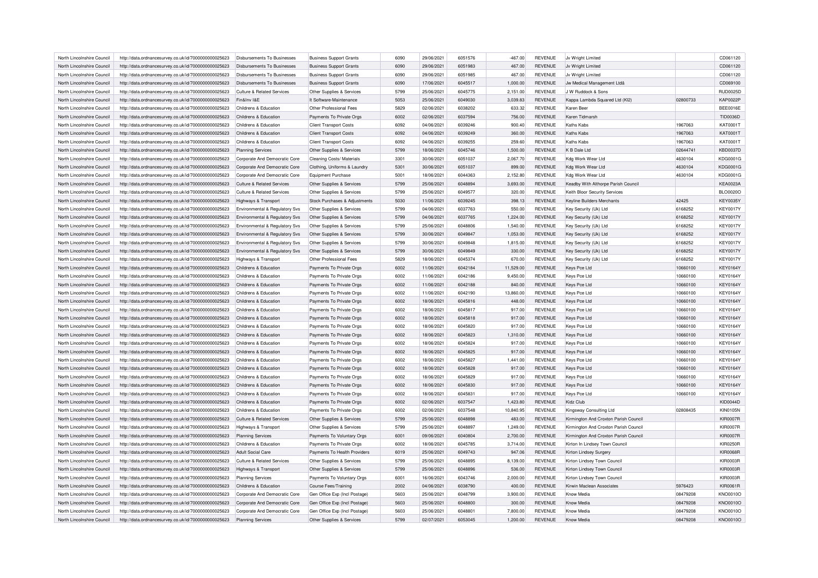| North Lincolnshire Council | http://data.ordnancesurvey.co.uk/id/7000000000025623 | Disbursements To Businesses               | <b>Business Support Grants</b> | 6090 | 29/06/2021 | 6051576 | $-467.00$ | <b>REVENUE</b> | Jv Wright Limited                     |          | CD061120        |
|----------------------------|------------------------------------------------------|-------------------------------------------|--------------------------------|------|------------|---------|-----------|----------------|---------------------------------------|----------|-----------------|
| North Lincolnshire Council | http://data.ordnancesurvey.co.uk/id/7000000000025623 | Disbursements To Businesses               | <b>Business Support Grants</b> | 6090 | 29/06/2021 | 6051983 | 467.00    | <b>REVENUE</b> | Jv Wright Limited                     |          | CD061120        |
| North Lincolnshire Council | http://data.ordnancesurvey.co.uk/id/7000000000025623 | Disbursements To Businesses               | <b>Business Support Grants</b> | 6090 | 29/06/2021 | 6051985 | 467.00    | <b>REVENUE</b> | Jv Wright Limited                     |          | CD061120        |
| North Lincolnshire Council | http://data.ordnancesurvey.co.uk/id/7000000000025623 | Disbursements To Businesses               | <b>Business Support Grants</b> | 6090 | 17/06/2021 | 6045517 | 1,000.00  | <b>REVENUE</b> | Jw Medical Management Ltdâ            |          | CD069100        |
| North Lincolnshire Council | http://data.ordnancesurvey.co.uk/id/7000000000025623 | Culture & Related Services                | Other Supplies & Services      | 5799 | 25/06/2021 | 6045775 | 2,151.00  | <b>REVENUE</b> | J W Ruddock & Sons                    |          | <b>RUD0025D</b> |
| North Lincolnshire Council | http://data.ordnancesurvey.co.uk/id/7000000000025623 | Fin&Inv I&F                               | It Software-Maintenance        | 5053 | 25/06/2021 | 6049030 | 3,039.83  | <b>REVENUE</b> | Kappa Lambda Squared Ltd (KI2)        | 02800733 | <b>KAP0022P</b> |
| North Lincolnshire Council | http://data.ordnancesurvey.co.uk/id/7000000000025623 | Childrens & Education                     | Other Professional Fees        | 5829 | 02/06/2021 | 6038202 | 633.32    | <b>REVENUE</b> | Karen Beer                            |          | <b>BEE0016E</b> |
| North Lincolnshire Council | http://data.ordnancesurvey.co.uk/id/7000000000025623 | Childrens & Education                     | Payments To Private Orgs       | 6002 | 02/06/2021 | 6037594 | 756.00    | <b>REVENUE</b> | Karen Tidmarsh                        |          | TID0036D        |
| North Lincolnshire Council | http://data.ordnancesurvey.co.uk/id/7000000000025623 | Childrens & Education                     | <b>Client Transport Costs</b>  | 6092 | 04/06/2021 | 6039246 | 900.40    | <b>REVENUE</b> | Kaths Kabs                            | 1967063  | <b>KAT0001T</b> |
| North Lincolnshire Council | http://data.ordnancesurvey.co.uk/id/7000000000025623 | Childrens & Education                     | <b>Client Transport Costs</b>  | 6092 | 04/06/2021 | 6039249 | 360.00    | <b>REVENUE</b> | Kaths Kabs                            | 1967063  | <b>KAT0001T</b> |
| North Lincolnshire Council | http://data.ordnancesurvey.co.uk/id/7000000000025623 | Childrens & Education                     | <b>Client Transport Costs</b>  | 6092 | 04/06/2021 | 6039255 | 259.60    | <b>REVENUE</b> | Kaths Kabs                            | 1967063  | KAT0001T        |
| North Lincolnshire Council | http://data.ordnancesurvey.co.uk/id/7000000000025623 | <b>Planning Services</b>                  | Other Supplies & Services      | 5799 | 18/06/2021 | 6045746 | 1,500.00  | <b>REVENUE</b> | K B Dale Ltd                          | 02644741 | <b>KBD0037D</b> |
|                            |                                                      |                                           |                                |      |            |         |           |                |                                       |          |                 |
| North Lincolnshire Council | http://data.ordnancesurvey.co.uk/id/7000000000025623 | Corporate And Democratic Core             | Cleaning Costs/ Materials      | 3301 | 30/06/2021 | 6051037 | 2,067.70  | <b>REVENUE</b> | Kdg Work Wear Ltd                     | 4630104  | KDG0001G        |
| North Lincolnshire Council | http://data.ordnancesurvey.co.uk/id/7000000000025623 | Corporate And Democratic Core             | Clothing, Uniforms & Laundry   | 5301 | 30/06/2021 | 6051037 | 899.00    | <b>REVENUE</b> | Kdg Work Wear Ltd                     | 4630104  | KDG0001G        |
| North Lincolnshire Council | http://data.ordnancesurvey.co.uk/id/7000000000025623 | Corporate And Democratic Core             | <b>Equipment Purchase</b>      | 5001 | 18/06/2021 | 6044363 | 2,152.80  | <b>REVENUE</b> | Kdg Work Wear Ltd                     | 4630104  | KDG0001G        |
| North Lincolnshire Council | http://data.ordnancesurvey.co.uk/id/7000000000025623 | <b>Culture &amp; Related Services</b>     | Other Supplies & Services      | 5799 | 25/06/2021 | 6048894 | 3,693.00  | <b>REVENUE</b> | Keadby With Althorpe Parish Council   |          | <b>KEA0023A</b> |
| North Lincolnshire Council | http://data.ordnancesurvey.co.uk/id/7000000000025623 | <b>Culture &amp; Related Services</b>     | Other Supplies & Services      | 5799 | 25/06/2021 | 6049577 | 320.00    | <b>REVENUE</b> | Keith Bloor Security Services         |          | BLO0020O        |
| North Lincolnshire Council | http://data.ordnancesurvey.co.uk/id/7000000000025623 | Highways & Transport                      | Stock Purchases & Adjustments  | 5030 | 11/06/2021 | 6039245 | 398.13    | <b>REVENUE</b> | <b>Keyline Builders Merchants</b>     | 42425    | <b>KEY0035Y</b> |
| North Lincolnshire Council | http://data.ordnancesurvey.co.uk/id/7000000000025623 | Environmental & Regulatory Svs            | Other Supplies & Services      | 5799 | 04/06/2021 | 6037763 | 550.00    | <b>REVENUE</b> | Key Security (Uk) Ltd                 | 6168252  | <b>KEY0017Y</b> |
| North Lincolnshire Council | http://data.ordnancesurvey.co.uk/id/7000000000025623 | Environmental & Regulatory Sys            | Other Supplies & Services      | 5799 | 04/06/2021 | 6037765 | 1,224.00  | <b>REVENUE</b> | Key Security (Uk) Ltd                 | 6168252  | <b>KEY0017Y</b> |
| North Lincolnshire Council | http://data.ordnancesurvey.co.uk/id/7000000000025623 | Environmental & Regulatory Svs            | Other Supplies & Services      | 5799 | 25/06/2021 | 6048806 | 1,540.00  | <b>REVENUE</b> | Key Security (Uk) Ltd                 | 6168252  | <b>KEY0017Y</b> |
| North Lincolnshire Council | http://data.ordnancesurvey.co.uk/id/7000000000025623 | Environmental & Regulatory Svs            | Other Supplies & Services      | 5799 | 30/06/2021 | 6049847 | 1,053.00  | <b>REVENUE</b> | Key Security (Uk) Ltd                 | 6168252  | <b>KEY0017Y</b> |
| North Lincolnshire Council | http://data.ordnancesurvey.co.uk/id/7000000000025623 | <b>Environmental &amp; Regulatory Svs</b> | Other Supplies & Services      | 5799 | 30/06/2021 | 6049848 | 1,815.00  | <b>REVENUE</b> | Key Security (Uk) Ltd                 | 6168252  | <b>KEY0017Y</b> |
| North Lincolnshire Council | http://data.ordnancesurvey.co.uk/id/7000000000025623 | Environmental & Regulatory Svs            | Other Supplies & Services      | 5799 | 30/06/2021 | 6049849 | 330.00    | <b>REVENUE</b> | Key Security (Uk) Ltd                 | 6168252  | <b>KEY0017Y</b> |
| North Lincolnshire Council | http://data.ordnancesurvey.co.uk/id/7000000000025623 | <b>Highways &amp; Transport</b>           | Other Professional Fees        | 5829 | 18/06/2021 | 6045374 | 670.00    | <b>REVENUE</b> | Key Security (Uk) Ltd                 | 6168252  | <b>KEY0017Y</b> |
| North Lincolnshire Council | http://data.ordnancesurvey.co.uk/id/7000000000025623 | Childrens & Education                     | Payments To Private Orgs       | 6002 | 11/06/2021 | 6042184 | 11,529.00 | <b>REVENUE</b> | Keys Pce Ltd                          | 10660100 | <b>KEY0164Y</b> |
| North Lincolnshire Council | http://data.ordnancesurvey.co.uk/id/7000000000025623 | Childrens & Education                     | Payments To Private Orgs       | 6002 | 11/06/2021 | 6042186 | 9,450.00  | <b>REVENUE</b> | Keys Pce Ltd                          | 10660100 | <b>KEY0164Y</b> |
| North Lincolnshire Council | http://data.ordnancesurvey.co.uk/id/7000000000025623 | Childrens & Education                     | Payments To Private Orgs       | 6002 | 11/06/2021 | 6042188 | 840.00    | <b>REVENUE</b> | Keys Pce Ltd                          | 10660100 | <b>KEY0164Y</b> |
| North Lincolnshire Council | http://data.ordnancesurvey.co.uk/id/7000000000025623 | Childrens & Education                     | Payments To Private Orgs       | 6002 | 11/06/2021 | 6042190 | 13,860.00 | <b>REVENUE</b> | Keys Pce Ltd                          | 10660100 | <b>KEY0164Y</b> |
| North Lincolnshire Council | http://data.ordnancesurvey.co.uk/id/7000000000025623 | Childrens & Education                     | Payments To Private Orgs       | 6002 | 18/06/2021 | 6045816 | 448.00    | <b>REVENUE</b> | Keys Pce Ltd                          | 10660100 | <b>KEY0164Y</b> |
| North Lincolnshire Council | http://data.ordnancesurvey.co.uk/id/7000000000025623 | Childrens & Education                     | Payments To Private Orgs       | 6002 | 18/06/2021 | 6045817 | 917.00    | <b>REVENUE</b> | Keys Pce Ltd                          | 10660100 | <b>KEY0164Y</b> |
| North Lincolnshire Council | http://data.ordnancesurvey.co.uk/id/7000000000025623 | Childrens & Education                     | Payments To Private Orgs       | 6002 | 18/06/2021 | 6045818 | 917.00    | <b>REVENUE</b> | Keys Pce Ltd                          | 10660100 | <b>KEY0164Y</b> |
| North Lincolnshire Council |                                                      | Childrens & Education                     |                                | 6002 | 18/06/2021 | 6045820 | 917.00    | <b>REVENUE</b> |                                       | 10660100 | <b>KEY0164Y</b> |
|                            | http://data.ordnancesurvey.co.uk/id/7000000000025623 |                                           | Payments To Private Orgs       |      |            |         |           |                | Keys Pce Ltd                          |          |                 |
| North Lincolnshire Council | http://data.ordnancesurvey.co.uk/id/7000000000025623 | Childrens & Education                     | Payments To Private Orgs       | 6002 | 18/06/2021 | 6045823 | 1,310.00  | <b>REVENUE</b> | Keys Pce Ltd                          | 10660100 | <b>KEY0164Y</b> |
| North Lincolnshire Council | http://data.ordnancesurvey.co.uk/id/7000000000025623 | Childrens & Education                     | Payments To Private Orgs       | 6002 | 18/06/2021 | 6045824 | 917.00    | <b>REVENUE</b> | Keys Pce Ltd                          | 10660100 | <b>KEY0164Y</b> |
| North Lincolnshire Council | http://data.ordnancesurvey.co.uk/id/7000000000025623 | Childrens & Education                     | Payments To Private Orgs       | 6002 | 18/06/2021 | 6045825 | 917.00    | <b>REVENUE</b> | Keys Pce Ltd                          | 10660100 | <b>KEY0164Y</b> |
| North Lincolnshire Council | http://data.ordnancesurvey.co.uk/id/7000000000025623 | Childrens & Education                     | Payments To Private Orgs       | 6002 | 18/06/2021 | 6045827 | 1,441.00  | <b>REVENUE</b> | Keys Pce Ltd                          | 10660100 | <b>KEY0164Y</b> |
| North Lincolnshire Council | http://data.ordnancesurvey.co.uk/id/7000000000025623 | Childrens & Education                     | Payments To Private Orgs       | 6002 | 18/06/2021 | 6045828 | 917.00    | <b>REVENUE</b> | Keys Pce Ltd                          | 10660100 | <b>KEY0164Y</b> |
| North Lincolnshire Council | http://data.ordnancesurvey.co.uk/id/7000000000025623 | Childrens & Education                     | Payments To Private Orgs       | 6002 | 18/06/2021 | 6045829 | 917.00    | <b>REVENUE</b> | Keys Pce Ltd                          | 10660100 | <b>KEY0164Y</b> |
| North Lincolnshire Council | http://data.ordnancesurvey.co.uk/id/7000000000025623 | Childrens & Education                     | Payments To Private Orgs       | 6002 | 18/06/2021 | 6045830 | 917.00    | <b>REVENUE</b> | Keys Pce Ltd                          | 10660100 | <b>KEY0164Y</b> |
| North Lincolnshire Council | http://data.ordnancesurvey.co.uk/id/7000000000025623 | Childrens & Education                     | Payments To Private Orgs       | 6002 | 18/06/2021 | 6045831 | 917.00    | <b>REVENUE</b> | Kevs Pce Ltd                          | 10660100 | <b>KEY0164Y</b> |
| North Lincolnshire Council | http://data.ordnancesurvey.co.uk/id/7000000000025623 | Childrens & Education                     | Payments To Private Orgs       | 6002 | 02/06/2021 | 6037547 | 1,423.80  | <b>REVENUE</b> | Kidz Club                             |          | <b>KID0044D</b> |
| North Lincolnshire Council | http://data.ordnancesurvey.co.uk/id/7000000000025623 | Childrens & Education                     | Payments To Private Orgs       | 6002 | 02/06/2021 | 6037548 | 10,840.95 | <b>REVENUE</b> | Kingsway Consulting Ltd               | 02808435 | <b>KIN0105N</b> |
| North Lincolnshire Council | http://data.ordnancesurvey.co.uk/id/7000000000025623 | <b>Culture &amp; Related Services</b>     | Other Supplies & Services      | 5799 | 25/06/2021 | 6048898 | 483.00    | <b>REVENUE</b> | Kirmington And Croxton Parish Council |          | <b>KIR0007R</b> |
| North Lincolnshire Council | http://data.ordnancesurvey.co.uk/id/7000000000025623 | Highways & Transport                      | Other Supplies & Services      | 5799 | 25/06/2021 | 6048897 | 1,249.00  | <b>REVENUE</b> | Kirmington And Croxton Parish Council |          | <b>KIR0007R</b> |
| North Lincolnshire Council | http://data.ordnancesurvey.co.uk/id/7000000000025623 | <b>Planning Services</b>                  | Payments To Voluntary Orgs     | 6001 | 09/06/2021 | 6040804 | 2,700.00  | <b>REVENUE</b> | Kirmington And Croxton Parish Council |          | <b>KIR0007R</b> |
| North Lincolnshire Council | http://data.ordnancesurvey.co.uk/id/7000000000025623 | Childrens & Education                     | Payments To Private Orgs       | 6002 | 18/06/2021 | 6045785 | 3,714.00  | <b>REVENUE</b> | Kirton In Lindsey Town Council        |          | <b>KIR0250R</b> |
| North Lincolnshire Council | http://data.ordnancesurvey.co.uk/id/7000000000025623 | <b>Adult Social Care</b>                  | Payments To Health Providers   | 6019 | 25/06/2021 | 6049743 | 947.06    | <b>REVENUE</b> | Kirton Lindsey Surgery                |          | <b>KIR0068R</b> |
| North Lincolnshire Council | http://data.ordnancesurvey.co.uk/id/7000000000025623 | <b>Culture &amp; Related Services</b>     | Other Supplies & Services      | 5799 | 25/06/2021 | 6048895 | 8,139.00  | <b>REVENUE</b> | Kirton Lindsey Town Council           |          | <b>KIR0003R</b> |
| North Lincolnshire Council | http://data.ordnancesurvey.co.uk/id/7000000000025623 | <b>Highways &amp; Transport</b>           | Other Supplies & Services      | 5799 | 25/06/2021 | 6048896 | 536.00    | <b>REVENUE</b> | Kirton Lindsey Town Council           |          | <b>KIR0003R</b> |
| North Lincolnshire Council | http://data.ordnancesurvey.co.uk/id/7000000000025623 | <b>Planning Services</b>                  | Payments To Voluntary Orgs     | 6001 | 16/06/2021 | 6043746 | 2,000.00  | <b>REVENUE</b> | Kirton Lindsey Town Council           |          | <b>KIR0003R</b> |
| North Lincolnshire Council | http://data.ordnancesurvey.co.uk/id/7000000000025623 | Childrens & Education                     | Course Fees/Training           | 2002 | 04/06/2021 | 6038790 | 400.00    | <b>REVENUE</b> | Kirwin Maclean Associates             | 5976423  | KIR0061R        |
| North Lincolnshire Council | http://data.ordnancesurvey.co.uk/id/7000000000025623 | Corporate And Democratic Core             | Gen Office Exp (Incl Postage)  | 5603 | 25/06/2021 | 6048799 | 3,900.00  | <b>REVENUE</b> | Know Media                            | 08479208 | KNO0010O        |
| North Lincolnshire Council | http://data.ordnancesurvey.co.uk/id/7000000000025623 | Corporate And Democratic Core             | Gen Office Exp (Incl Postage)  | 5603 | 25/06/2021 | 6048800 | 300.00    | <b>REVENUE</b> | Know Media                            | 08479208 | KNO0010O        |
| North Lincolnshire Council | http://data.ordnancesurvey.co.uk/id/7000000000025623 | Corporate And Democratic Core             | Gen Office Exp (Incl Postage)  | 5603 | 25/06/2021 | 6048801 | 7,800.00  | <b>REVENUE</b> | Know Media                            | 08479208 | KNO0010O        |
| North Lincolnshire Council | http://data.ordnancesurvey.co.uk/id/7000000000025623 | <b>Planning Services</b>                  | Other Supplies & Services      | 5799 | 02/07/2021 | 6053045 | 1,200.00  | <b>REVENUE</b> | Know Media                            | 08479208 | KNO0010O        |
|                            |                                                      |                                           |                                |      |            |         |           |                |                                       |          |                 |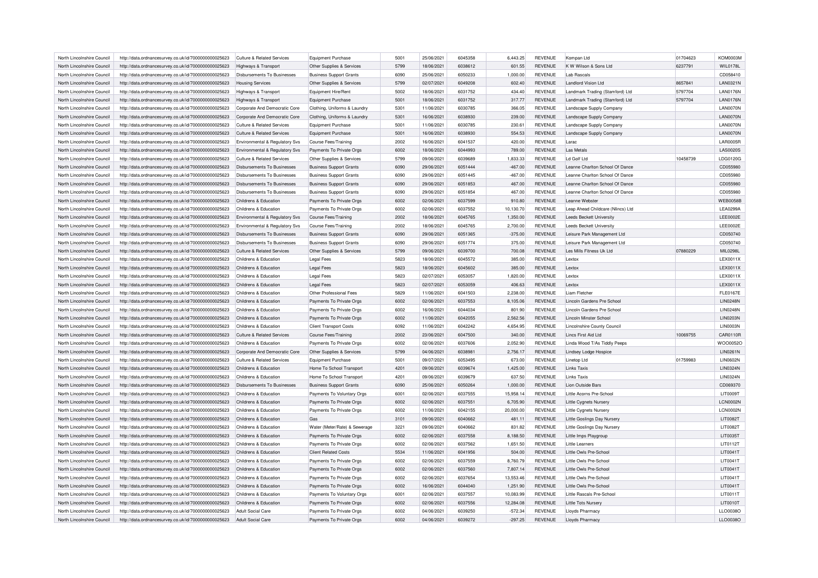| North Lincolnshire Council | http://data.ordnancesurvey.co.uk/id/7000000000025623 | Culture & Related Services            | <b>Equipment Purchase</b>      | 5001 | 25/06/2021 | 6045358 | 6,443.25  | <b>REVENUE</b> | Kompan Ltd                         | 01704623 | <b>KOM0003M</b> |
|----------------------------|------------------------------------------------------|---------------------------------------|--------------------------------|------|------------|---------|-----------|----------------|------------------------------------|----------|-----------------|
| North Lincolnshire Council | http://data.ordnancesurvey.co.uk/id/7000000000025623 | Highways & Transport                  | Other Supplies & Services      | 5799 | 18/06/2021 | 6038612 | 601.55    | <b>REVENUE</b> | K W Wilson & Sons Ltd              | 6237791  | <b>WIL0178L</b> |
| North Lincolnshire Council | http://data.ordnancesurvey.co.uk/id/7000000000025623 | Disbursements To Businesses           | <b>Business Support Grants</b> | 6090 | 25/06/2021 | 6050233 | 1.000.00  | <b>REVENUE</b> | Lah Rascals                        |          | CD058410        |
| North Lincolnshire Council | http://data.ordnancesurvey.co.uk/id/7000000000025623 | <b>Housing Services</b>               | Other Supplies & Services      | 5799 | 02/07/2021 | 6049208 | 602.40    | <b>REVENUE</b> | <b>Landlord Vision Ltd</b>         | 8657841  | <b>LAN0321N</b> |
| North Lincolnshire Council | http://data.ordnancesurvey.co.uk/id/7000000000025623 | <b>Highways &amp; Transport</b>       | Equipment Hire/Rent            | 5002 | 18/06/2021 | 6031752 | 434.40    | <b>REVENUE</b> | Landmark Trading (Stamford) Ltd    | 5797704  | <b>LAN0176N</b> |
| North Lincolnshire Council | http://data.ordnancesurvey.co.uk/id/7000000000025623 | Highways & Transport                  | Equipment Purchase             | 5001 | 18/06/2021 | 6031752 | 317.77    | <b>REVENUE</b> | Landmark Trading (Stamford) Ltd    | 5797704  | <b>LAN0176N</b> |
| North Lincolnshire Council | http://data.ordnancesurvey.co.uk/id/7000000000025623 | Corporate And Democratic Core         | Clothing, Uniforms & Laundry   | 5301 | 11/06/2021 | 6030785 | 366.05    | <b>REVENUE</b> | Landscape Supply Company           |          | LAN0070N        |
| North Lincolnshire Council | http://data.ordnancesurvey.co.uk/id/7000000000025623 | Corporate And Democratic Core         | Clothing, Uniforms & Laundry   | 5301 | 16/06/2021 | 6038930 | 239.00    | <b>REVENUE</b> | Landscape Supply Company           |          | LAN0070N        |
| North Lincolnshire Council | http://data.ordnancesurvey.co.uk/id/7000000000025623 | <b>Culture &amp; Related Services</b> | <b>Equipment Purchase</b>      | 5001 | 11/06/2021 | 6030785 | 230.61    | <b>REVENUE</b> | Landscape Supply Company           |          | LAN0070N        |
| North Lincolnshire Council | http://data.ordnancesurvey.co.uk/id/7000000000025623 | Culture & Related Services            | <b>Equipment Purchase</b>      | 5001 | 16/06/2021 | 6038930 | 554.53    | <b>REVENUE</b> | Landscape Supply Company           |          | LAN0070N        |
| North Lincolnshire Council | http://data.ordnancesurvey.co.uk/id/7000000000025623 | Environmental & Regulatory Svs        | <b>Course Fees/Training</b>    | 2002 | 16/06/2021 | 6041537 | 420.00    | <b>REVENUE</b> | I arac                             |          | LAR0005R        |
| North Lincolnshire Council | http://data.ordnancesurvey.co.uk/id/7000000000025623 | Environmental & Regulatory Svs        | Payments To Private Orgs       | 6002 | 18/06/2021 | 6044993 | 789.00    | <b>REVENUE</b> | Las Metals                         |          | <b>LAS0020S</b> |
| North Lincolnshire Council | http://data.ordnancesurvey.co.uk/id/7000000000025623 | Culture & Related Services            | Other Supplies & Services      | 5799 | 09/06/2021 | 6039689 | 1,833.33  | <b>REVENUE</b> | Ld Golf Ltd                        | 10458739 | LDG0120G        |
| North Lincolnshire Council | http://data.ordnancesurvey.co.uk/id/7000000000025623 | <b>Disbursements To Businesses</b>    | <b>Business Support Grants</b> | 6090 | 29/06/2021 | 6051444 | $-467.00$ | <b>REVENUE</b> | Leanne Charlton School Of Dance    |          | CD055980        |
|                            |                                                      |                                       |                                | 6090 |            | 6051445 |           |                |                                    |          |                 |
| North Lincolnshire Council | http://data.ordnancesurvey.co.uk/id/7000000000025623 | Disbursements To Businesses           | <b>Business Support Grants</b> |      | 29/06/2021 |         | $-467.00$ | <b>REVENUE</b> | Leanne Charlton School Of Dance    |          | CD055980        |
| North Lincolnshire Council | http://data.ordnancesurvey.co.uk/id/7000000000025623 | Disbursements To Businesses           | <b>Business Support Grants</b> | 6090 | 29/06/2021 | 6051853 | 467.00    | <b>REVENUE</b> | Leanne Charlton School Of Dance    |          | CD055980        |
| North Lincolnshire Council | http://data.ordnancesurvey.co.uk/id/7000000000025623 | <b>Disbursements To Businesses</b>    | <b>Business Support Grants</b> | 6090 | 29/06/2021 | 6051854 | 467.00    | <b>REVENUE</b> | Leanne Charlton School Of Dance    |          | CD055980        |
| North Lincolnshire Council | http://data.ordnancesurvey.co.uk/id/7000000000025623 | Childrens & Education                 | Payments To Private Orgs       | 6002 | 02/06/2021 | 6037599 | 910.80    | <b>REVENUE</b> | I eanne Webster                    |          | <b>WEB0058B</b> |
| North Lincolnshire Council | http://data.ordnancesurvey.co.uk/id/7000000000025623 | Childrens & Education                 | Payments To Private Orgs       | 6002 | 02/06/2021 | 6037552 | 10,130.70 | <b>REVENUE</b> | Leap Ahead Childcare (Nlincs) Ltd  |          | <b>LEA0299A</b> |
| North Lincolnshire Council | http://data.ordnancesurvey.co.uk/id/7000000000025623 | Environmental & Regulatory Svs        | <b>Course Fees/Training</b>    | 2002 | 18/06/2021 | 6045765 | 1,350.00  | <b>REVENUE</b> | <b>Leeds Beckett University</b>    |          | <b>LEE0002E</b> |
| North Lincolnshire Council | http://data.ordnancesurvey.co.uk/id/7000000000025623 | Environmental & Regulatory Svs        | <b>Course Fees/Training</b>    | 2002 | 18/06/2021 | 6045765 | 2,700.00  | <b>REVENUE</b> | <b>Leeds Beckett University</b>    |          | <b>LEE0002E</b> |
| North Lincolnshire Council | http://data.ordnancesurvey.co.uk/id/7000000000025623 | <b>Disbursements To Businesses</b>    | <b>Business Support Grants</b> | 6090 | 29/06/2021 | 6051365 | $-375.00$ | <b>REVENUE</b> | Leisure Park Management Ltd        |          | CD050740        |
| North Lincolnshire Council | http://data.ordnancesurvey.co.uk/id/7000000000025623 | <b>Disbursements To Businesses</b>    | <b>Business Support Grants</b> | 6090 | 29/06/2021 | 6051774 | 375.00    | <b>REVENUE</b> | Leisure Park Management Ltd        |          | CD050740        |
| North Lincolnshire Council | http://data.ordnancesurvey.co.uk/id/7000000000025623 | Culture & Related Services            | Other Supplies & Services      | 5799 | 09/06/2021 | 6039700 | 700.08    | <b>REVENUE</b> | Les Mills Fitness Uk Ltd           | 07880229 | MIL0298L        |
| North Lincolnshire Council | http://data.ordnancesurvey.co.uk/id/7000000000025623 | Childrens & Education                 | <b>Legal Fees</b>              | 5823 | 18/06/2021 | 6045572 | 385.00    | <b>REVENUE</b> | Lextox                             |          | LEX0011X        |
| North Lincolnshire Council | http://data.ordnancesurvey.co.uk/id/7000000000025623 | Childrens & Education                 | <b>Legal Fees</b>              | 5823 | 18/06/2021 | 6045602 | 385.00    | <b>REVENUE</b> | Lextox                             |          | LEX0011X        |
| North Lincolnshire Council | http://data.ordnancesurvey.co.uk/id/7000000000025623 | Childrens & Education                 | <b>Legal Fees</b>              | 5823 | 02/07/2021 | 6053057 | 1,820.00  | <b>REVENUE</b> | <b>Lextox</b>                      |          | LEX0011X        |
| North Lincolnshire Council | http://data.ordnancesurvey.co.uk/id/7000000000025623 | Childrens & Education                 | <b>Legal Fees</b>              | 5823 | 02/07/2021 | 6053059 | 406.63    | <b>REVENUE</b> | Lextox                             |          | LEX0011X        |
| North Lincolnshire Council | http://data.ordnancesurvey.co.uk/id/7000000000025623 | Childrens & Education                 | Other Professional Fees        | 5829 | 11/06/2021 | 6041503 | 2,238.00  | <b>REVENUE</b> | Liam Fletche                       |          | <b>FLE0167E</b> |
| North Lincolnshire Council | http://data.ordnancesurvey.co.uk/id/7000000000025623 | Childrens & Education                 | Payments To Private Orgs       | 6002 | 02/06/2021 | 6037553 | 8,105.06  | <b>REVENUE</b> | Lincoln Gardens Pre School         |          | <b>LIN0248N</b> |
| North Lincolnshire Council | http://data.ordnancesurvey.co.uk/id/7000000000025623 | Childrens & Education                 | Payments To Private Orgs       | 6002 | 16/06/2021 | 6044034 | 801.90    | <b>REVENUE</b> | Lincoln Gardens Pre School         |          | <b>LIN0248N</b> |
| North Lincolnshire Council | http://data.ordnancesurvey.co.uk/id/7000000000025623 | Childrens & Education                 | Payments To Private Orgs       | 6002 | 11/06/2021 | 6042055 | 2,562.56  | <b>REVENUE</b> | <b>Lincoln Minster School</b>      |          | LIN0203N        |
| North Lincolnshire Council | http://data.ordnancesurvey.co.uk/id/7000000000025623 | Childrens & Education                 | <b>Client Transport Costs</b>  | 6092 | 11/06/2021 | 6042242 | 4,654.95  | <b>REVENUE</b> | <b>Lincolnshire County Council</b> |          | <b>LIN0003N</b> |
| North Lincolnshire Council | http://data.ordnancesurvey.co.uk/id/7000000000025623 | Culture & Related Services            | <b>Course Fees/Training</b>    | 2002 | 23/06/2021 | 6047500 | 340.00    | <b>REVENUE</b> | Lincs First Aid Ltd                | 10069755 | CAR0110F        |
| North Lincolnshire Council | http://data.ordnancesurvey.co.uk/id/7000000000025623 | Childrens & Education                 | Payments To Private Orgs       | 6002 | 02/06/2021 | 6037606 | 2,052.90  | <b>REVENUE</b> | Linda Wood T/As Tiddly Peeps       |          | WOO0052O        |
| North Lincolnshire Council | http://data.ordnancesurvey.co.uk/id/7000000000025623 | Corporate And Democratic Core         | Other Supplies & Services      | 5799 | 04/06/2021 | 6038981 | 2,756.17  | <b>REVENUE</b> | Lindsey Lodge Hospice              |          | LIN0261N        |
|                            |                                                      |                                       |                                | 5001 | 09/07/2021 | 6053495 |           |                |                                    | 01759983 | LIN0602N        |
| North Lincolnshire Council | http://data.ordnancesurvey.co.uk/id/7000000000025623 | Culture & Related Services            | <b>Equipment Purchase</b>      |      |            |         | 673.00    | <b>REVENUE</b> | Linetop Ltd                        |          |                 |
| North Lincolnshire Council | http://data.ordnancesurvey.co.uk/id/7000000000025623 | Childrens & Education                 | Home To School Transport       | 4201 | 09/06/2021 | 6039674 | 1,425.00  | <b>REVENUE</b> | <b>Links Taxis</b>                 |          | LIN0324N        |
| North Lincolnshire Council | http://data.ordnancesurvey.co.uk/id/7000000000025623 | Childrens & Education                 | Home To School Transport       | 4201 | 09/06/2021 | 6039679 | 637.50    | <b>REVENUE</b> | <b>Links Taxis</b>                 |          | <b>LIN0324N</b> |
| North Lincolnshire Council | http://data.ordnancesurvey.co.uk/id/7000000000025623 | Disbursements To Businesses           | <b>Business Support Grants</b> | 6090 | 25/06/2021 | 6050264 | 1,000.00  | <b>REVENUE</b> | <b>Lion Outside Bars</b>           |          | CD069370        |
| North Lincolnshire Council | http://data.ordnancesurvey.co.uk/id/7000000000025623 | Childrens & Education                 | Payments To Voluntary Orgs     | 6001 | 02/06/2021 | 6037555 | 15.958.14 | <b>REVENUE</b> | Little Acorns Pre-School           |          | <b>LIT0009T</b> |
| North Lincolnshire Council | http://data.ordnancesurvey.co.uk/id/7000000000025623 | Childrens & Education                 | Payments To Private Orgs       | 6002 | 02/06/2021 | 603755  | 6,705.90  | <b>REVENUE</b> | Little Cygnets Nursery             |          | <b>LCN0002N</b> |
| North Lincolnshire Council | http://data.ordnancesurvey.co.uk/id/7000000000025623 | Childrens & Education                 | Payments To Private Orgs       | 6002 | 11/06/2021 | 6042155 | 20,000.00 | <b>REVENUE</b> | Little Cygnets Nursery             |          | LCN0002N        |
| North Lincolnshire Council | http://data.ordnancesurvey.co.uk/id/7000000000025623 | Childrens & Education                 | Gas                            | 3101 | 09/06/2021 | 6040662 | 481.11    | <b>REVENUE</b> | Little Goslings Day Nursery        |          | <b>LIT0082T</b> |
| North Lincolnshire Council | http://data.ordnancesurvey.co.uk/id/7000000000025623 | Childrens & Education                 | Water (Meter/Rate) & Sewerage  | 3221 | 09/06/2021 | 6040662 | 831.82    | <b>REVENUE</b> | Little Goslings Day Nursery        |          | LIT0082T        |
| North Lincolnshire Council | http://data.ordnancesurvey.co.uk/id/7000000000025623 | Childrens & Education                 | Payments To Private Orgs       | 6002 | 02/06/2021 | 6037558 | 8,188.50  | <b>REVENUE</b> | Little Imps Playgroup              |          | LIT0035T        |
| North Lincolnshire Council | http://data.ordnancesurvey.co.uk/id/7000000000025623 | Childrens & Education                 | Payments To Private Orgs       | 6002 | 02/06/2021 | 6037562 | 1,651.50  | <b>REVENUE</b> | <b>Little Learners</b>             |          | LIT0112T        |
| North Lincolnshire Council | http://data.ordnancesurvey.co.uk/id/7000000000025623 | Childrens & Education                 | <b>Client Related Costs</b>    | 5534 | 11/06/2021 | 6041956 | 504.00    | <b>REVENUE</b> | Little Owls Pre-School             |          | LIT0041T        |
| North Lincolnshire Council | http://data.ordnancesurvey.co.uk/id/7000000000025623 | Childrens & Education                 | Payments To Private Orgs       | 6002 | 02/06/2021 | 6037559 | 8,760.79  | <b>REVENUE</b> | Little Owls Pre-School             |          | LIT0041T        |
| North Lincolnshire Council | http://data.ordnancesurvey.co.uk/id/7000000000025623 | Childrens & Education                 | Payments To Private Orgs       | 6002 | 02/06/2021 | 6037560 | 7,807.14  | <b>REVENUE</b> | Little Owls Pre-School             |          | LIT0041T        |
| North Lincolnshire Council | http://data.ordnancesurvey.co.uk/id/7000000000025623 | Childrens & Education                 | Payments To Private Orgs       | 6002 | 02/06/2021 | 6037654 | 13.553.46 | <b>REVENUE</b> | Little Owls Pre-School             |          | LIT0041T        |
| North Lincolnshire Council | http://data.ordnancesurvey.co.uk/id/7000000000025623 | Childrens & Education                 | Payments To Private Orgs       | 6002 | 16/06/2021 | 6044040 | 1,251.90  | <b>REVENUE</b> | Little Owls Pre-School             |          | LIT0041T        |
| North Lincolnshire Council | http://data.ordnancesurvey.co.uk/id/7000000000025623 | Childrens & Education                 | Payments To Voluntary Orgs     | 6001 | 02/06/2021 | 6037557 | 10,083.99 | <b>REVENUE</b> | Little Rascals Pre-School          |          | LIT0011T        |
| North Lincolnshire Council | http://data.ordnancesurvey.co.uk/id/7000000000025623 | Childrens & Education                 | Payments To Private Orgs       | 6002 | 02/06/2021 | 6037556 | 12,284.08 | <b>REVENUE</b> | Little Tots Nursery                |          | LIT0010T        |
| North Lincolnshire Council | http://data.ordnancesurvey.co.uk/id/7000000000025623 | Adult Social Care                     | Payments To Private Orgs       | 6002 | 04/06/2021 | 6039250 | $-572.34$ | <b>REVENUE</b> | <b>Lloyds Pharmacy</b>             |          | LLO0038C        |
| North Lincolnshire Council | http://data.ordnancesurvey.co.uk/id/7000000000025623 | Adult Social Care                     | Payments To Private Orgs       | 6002 | 04/06/2021 | 6039272 | $-297.25$ | <b>REVENUE</b> | <b>Lloyds Pharmacy</b>             |          | LLO0038O        |
|                            |                                                      |                                       |                                |      |            |         |           |                |                                    |          |                 |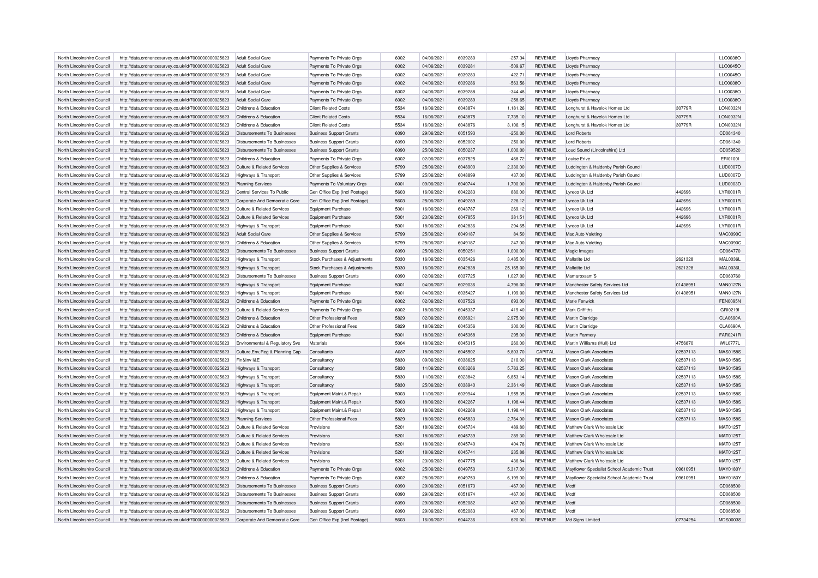| North Lincolnshire Council                               | http://data.ordnancesurvey.co.uk/id/7000000000025623 | Adult Social Care                                        | Payments To Private Orgs       | 6002             | 04/06/2021               | 6039280 | $-257.34$        | <b>REVENUE</b>                   | Lloyds Pharmacy                            |          | LLO0038O             |
|----------------------------------------------------------|------------------------------------------------------|----------------------------------------------------------|--------------------------------|------------------|--------------------------|---------|------------------|----------------------------------|--------------------------------------------|----------|----------------------|
| North Lincolnshire Council                               | http://data.ordnancesurvey.co.uk/id/7000000000025623 | Adult Social Care                                        | Payments To Private Orgs       | 6002             | 04/06/2021               | 6039281 | $-509.67$        | <b>REVENUE</b>                   | Lloyds Pharmacy                            |          | LLO0045O             |
| North Lincolnshire Council                               | http://data.ordnancesurvey.co.uk/id/7000000000025623 | Adult Social Care                                        | Payments To Private Orgs       | 6002             | 04/06/2021               | 6039283 | $-422.71$        | <b>REVENUE</b>                   | Lloyds Pharmacy                            |          | LLO0045O             |
| North Lincolnshire Council                               | http://data.ordnancesurvey.co.uk/id/7000000000025623 | <b>Adult Social Care</b>                                 | Payments To Private Orgs       | 6002             | 04/06/2021               | 6039286 | $-563.56$        | <b>REVENUE</b>                   | Lloyds Pharmacy                            |          | LLO0038O             |
| North Lincolnshire Council                               | http://data.ordnancesurvey.co.uk/id/7000000000025623 | Adult Social Care                                        | Payments To Private Orgs       | 6002             | 04/06/2021               | 6039288 | $-344.48$        | <b>REVENUE</b>                   | <b>Lloyds Pharmacy</b>                     |          | LLO0038O             |
| North Lincolnshire Council                               | http://data.ordnancesurvey.co.uk/id/7000000000025623 | Adult Social Care                                        | Payments To Private Orgs       | 6002             | 04/06/2021               | 6039289 | $-258.65$        | <b>REVENUE</b>                   | Lloyds Pharmacy                            |          | LLO0038O             |
| North Lincolnshire Council                               | http://data.ordnancesurvey.co.uk/id/7000000000025623 | Childrens & Education                                    | <b>Client Related Costs</b>    | 5534             | 16/06/2021               | 6043874 | 1,181.26         | <b>REVENUE</b>                   | Longhurst & Havelok Homes Ltd              | 30779R   | <b>LON0032N</b>      |
| North Lincolnshire Council                               | http://data.ordnancesurvey.co.uk/id/7000000000025623 | Childrens & Education                                    | <b>Client Related Costs</b>    | 5534             | 16/06/2021               | 6043875 | 7,735.10         | <b>REVENUE</b>                   | Longhurst & Havelok Homes Ltd              | 30779R   | <b>LON0032N</b>      |
| North Lincolnshire Council                               | http://data.ordnancesurvey.co.uk/id/7000000000025623 | Childrens & Education                                    | <b>Client Related Costs</b>    | 5534             | 16/06/2021               | 6043876 | 3,106.15         | <b>REVENUE</b>                   | Longhurst & Havelok Homes Ltd              | 30779R   | <b>LON0032N</b>      |
| North Lincolnshire Council                               | http://data.ordnancesurvey.co.uk/id/7000000000025623 | <b>Disbursements To Businesses</b>                       | <b>Business Support Grants</b> | 6090             | 29/06/2021               | 6051593 | $-250.00$        | <b>REVENUE</b>                   | <b>Lord Roberts</b>                        |          | CD061340             |
| North Lincolnshire Council                               | http://data.ordnancesurvey.co.uk/id/7000000000025623 | Disbursements To Businesses                              | <b>Business Support Grants</b> | 6090             | 29/06/2021               | 6052002 | 250.00           | <b>REVENUE</b>                   | <b>Lord Roberts</b>                        |          | CD061340             |
| North Lincolnshire Council                               | http://data.ordnancesurvey.co.uk/id/7000000000025623 | Disbursements To Businesses                              | <b>Business Support Grants</b> | 6090             | 25/06/2021               | 6050237 | 1,000.00         | <b>REVENUE</b>                   | Loud Sound (Lincolnshire) Ltd              |          | CD059520             |
| North Lincolnshire Council                               | http://data.ordnancesurvey.co.uk/id/7000000000025623 | Childrens & Education                                    | Payments To Private Orgs       | 6002             | 02/06/2021               | 6037525 | 468.72           | <b>REVENUE</b>                   | Louise Erive                               |          | ERI01001             |
| North Lincolnshire Council                               | http://data.ordnancesurvey.co.uk/id/7000000000025623 | <b>Culture &amp; Related Services</b>                    | Other Supplies & Services      | 5799             | 25/06/2021               | 6048900 | 2,330.00         | <b>REVENUE</b>                   | Luddington & Haldenby Parish Council       |          | <b>LUD0007D</b>      |
| North Lincolnshire Council                               | http://data.ordnancesurvey.co.uk/id/7000000000025623 | Highways & Transport                                     | Other Supplies & Services      | 5799             | 25/06/2021               | 6048899 | 437.00           | REVENUE                          | Luddington & Haldenby Parish Council       |          | LUD0007D             |
| North Lincolnshire Council                               | http://data.ordnancesurvey.co.uk/id/7000000000025623 | <b>Planning Services</b>                                 | Payments To Voluntary Orgs     | 6001             | 09/06/2021               | 6040744 | 1,700.00         | <b>REVENUE</b>                   | Luddington & Haldenby Parish Council       |          | LUD0003D             |
| North Lincolnshire Council                               | http://data.ordnancesurvey.co.uk/id/7000000000025623 | Central Services To Public                               | Gen Office Exp (Incl Postage)  | 5603             | 16/06/2021               | 6042283 | 880.00           | <b>REVENUE</b>                   | I vreco Uk I to                            | 442696   | <b>LYR0001R</b>      |
| North Lincolnshire Council                               | http://data.ordnancesurvey.co.uk/id/7000000000025623 | Corporate And Democratic Core                            | Gen Office Exp (Incl Postage)  | 5603             | 25/06/2021               | 6049289 | 226.12           | <b>REVENUE</b>                   | Lyreco Uk Ltd                              | 442696   | LYR0001R             |
|                                                          |                                                      |                                                          |                                | 5001             | 16/06/2021               | 6043787 | 269.12           | <b>REVENUE</b>                   |                                            | 442696   | LYR0001R             |
| North Lincolnshire Council<br>North Lincolnshire Council | http://data.ordnancesurvey.co.uk/id/7000000000025623 | Culture & Related Services<br>Culture & Related Services | <b>Equipment Purchase</b>      | 5001             | 23/06/2021               | 6047855 | 381.51           | <b>REVENUE</b>                   | Lyreco Uk Ltd<br>I vreco Uk I to           | 442696   | LYR0001R             |
|                                                          | http://data.ordnancesurvey.co.uk/id/7000000000025623 |                                                          | <b>Equipment Purchase</b>      | 5001             |                          | 6042836 |                  |                                  |                                            |          |                      |
| North Lincolnshire Council                               | http://data.ordnancesurvey.co.uk/id/7000000000025623 | Highways & Transport                                     | Equipment Purchase             |                  | 18/06/2021               |         | 294.65           | <b>REVENUE</b>                   | Lyreco Uk Ltd                              | 442696   | <b>LYR0001R</b>      |
| North Lincolnshire Council                               | http://data.ordnancesurvey.co.uk/id/7000000000025623 | Adult Social Care                                        | Other Supplies & Services      | 5799             | 25/06/2021               | 6049187 | 84.50            | <b>REVENUE</b>                   | Mac Auto Valeting                          |          | <b>MAC0090C</b>      |
| North Lincolnshire Council                               | http://data.ordnancesurvey.co.uk/id/7000000000025623 | Childrens & Education                                    | Other Supplies & Services      | 5799             | 25/06/2021               | 6049187 | 247.00           | <b>REVENUE</b>                   | Mac Auto Valeting                          |          | <b>MAC0090C</b>      |
| North Lincolnshire Council                               | http://data.ordnancesurvey.co.uk/id/7000000000025623 | Disbursements To Businesses                              | <b>Business Support Grants</b> | 6090             | 25/06/2021               | 6050251 | 1,000.00         | <b>REVENUE</b>                   | Magic Images                               |          | CD064770             |
| North Lincolnshire Council                               | http://data.ordnancesurvey.co.uk/id/7000000000025623 | Highways & Transport                                     | Stock Purchases & Adjustments  | 5030             | 16/06/2021               | 6035426 | 3,485.00         | <b>REVENUE</b>                   | Mallatite Ltd                              | 2621328  | <b>MAL0036L</b>      |
| North Lincolnshire Council                               | http://data.ordnancesurvey.co.uk/id/7000000000025623 | Highways & Transport                                     | Stock Purchases & Adjustments  | 5030             | 16/06/2021               | 6042838 | 25,165.00        | <b>REVENUE</b>                   | Mallatite Ltd                              | 2621328  | <b>MAL0036L</b>      |
| North Lincolnshire Council                               | http://data.ordnancesurvey.co.uk/id/7000000000025623 | Disbursements To Businesses                              | <b>Business Support Grants</b> | 6090             | 02/06/2021               | 6037725 | 1,027.00         | <b>REVENUE</b>                   | Mamaroxsam'S                               |          | CD060760             |
| North Lincolnshire Council                               | http://data.ordnancesurvey.co.uk/id/7000000000025623 | Highways & Transport                                     | <b>Equipment Purchase</b>      | 5001             | 04/06/2021               | 6029036 | 4,796.00         | <b>REVENUE</b>                   | Manchester Safety Services Ltd             | 01438951 | <b>MAN0127N</b>      |
| North Lincolnshire Council                               | http://data.ordnancesurvey.co.uk/id/7000000000025623 | Highways & Transport                                     | Foujoment Purchase             | 5001             | 04/06/2021               | 6035427 | 1,199.00         | <b>REVENUE</b>                   | Manchester Safety Services Ltd             | 01438951 | MAN0127N             |
| North Lincolnshire Council                               | http://data.ordnancesurvey.co.uk/id/7000000000025623 | Childrens & Education                                    | Payments To Private Orgs       | 6002             | 02/06/2021               | 6037526 | 693.00           | <b>REVENUE</b>                   | Marie Fenwick                              |          | <b>FEN0095N</b>      |
| North Lincolnshire Council                               | http://data.ordnancesurvey.co.uk/id/7000000000025623 | Culture & Related Services                               | Payments To Private Orgs       | 6002             | 18/06/2021               | 6045337 | 419.40           | <b>REVENUE</b>                   | Mark Griffiths                             |          | GRI0219I             |
| North Lincolnshire Council                               | http://data.ordnancesurvey.co.uk/id/7000000000025623 | Childrens & Education                                    | Other Professional Fees        | 5829             | 02/06/2021               | 6036921 | 2,975.00         | <b>REVENUE</b>                   | Martin Clarridge                           |          | <b>CLA0690A</b>      |
| North Lincolnshire Council                               | http://data.ordnancesurvey.co.uk/id/7000000000025623 | Childrens & Education                                    | Other Professional Fees        | 5829             | 18/06/2021               | 6045356 | 300.00           | <b>REVENUE</b>                   | Martin Clarridge                           |          | <b>CLA0690A</b>      |
| North Lincolnshire Council                               | http://data.ordnancesurvey.co.uk/id/7000000000025623 | Childrens & Education                                    | <b>Equipment Purchase</b>      | 5001             | 18/06/2021               | 6045368 | 295.00           | <b>REVENUE</b>                   | Martin Farmen                              |          | FAR0241R             |
| North Lincolnshire Council                               | http://data.ordnancesurvey.co.uk/id/7000000000025623 | Environmental & Regulatory Svs                           | Materials                      | 5004             | 18/06/2021               | 6045315 | 260.00           | <b>REVENUE</b>                   | Martin Williams (Hull) Ltd                 | 4756870  | WIL0777L             |
| North Lincolnshire Council                               | http://data.ordnancesurvey.co.uk/id/7000000000025623 | Culture, Env, Reg & Planning Cap                         | Consultants                    | A087             | 18/06/2021               | 6045502 | 5,803.70         | CAPITAL                          | Mason Clark Associates                     | 02537113 | MAS0158S             |
| North Lincolnshire Council                               | http://data.ordnancesurvey.co.uk/id/7000000000025623 | Fin&Inv I&E                                              | Consultancy                    | 5830             | 09/06/2021               | 6038625 | 210.00           | <b>REVENUE</b>                   | <b>Mason Clark Associates</b>              | 02537113 | <b>MAS0158S</b>      |
| North Lincolnshire Council                               | http://data.ordnancesurvey.co.uk/id/7000000000025623 | Highways & Transport                                     | Consultancy                    | 5830             | 11/06/2021               | 6003266 | 5,783.25         | <b>REVENUE</b>                   | <b>Mason Clark Associates</b>              | 02537113 | <b>MAS0158S</b>      |
| North Lincolnshire Council                               | http://data.ordnancesurvey.co.uk/id/7000000000025623 | <b>Highways &amp; Transport</b>                          | Consultancy                    | 5830             | 11/06/2021               | 6023842 | 6,853.14         | <b>REVENUE</b>                   | Mason Clark Associates                     | 02537113 | MAS0158S             |
| North Lincolnshire Council                               | http://data.ordnancesurvey.co.uk/id/7000000000025623 | Highways & Transport                                     | Consultancy                    | 5830             | 25/06/2021               | 6038940 | 2,361.49         | <b>REVENUE</b>                   | <b>Mason Clark Associates</b>              | 02537113 | <b>MAS0158S</b>      |
| North Lincolnshire Council                               | http://data.ordnancesurvey.co.uk/id/7000000000025623 | Highways & Transport                                     | Equipment Maint.& Repair       | 5003             | 11/06/2021               | 6039944 | 1,955.35         | <b>REVENUE</b>                   | <b>Mason Clark Associates</b>              | 02537113 | MAS0158S             |
| North Lincolnshire Council                               | http://data.ordnancesurvey.co.uk/id/7000000000025623 | Highways & Transport                                     | Equipment Maint.& Repair       | 5003             | 18/06/2021               | 6042267 | 1,198.44         | <b>REVENUE</b>                   | Mason Clark Associates                     | 02537113 | MAS0158S             |
| North Lincolnshire Council                               | http://data.ordnancesurvey.co.uk/id/7000000000025623 | Highways & Transport                                     | Equipment Maint.& Repair       | 5003             | 18/06/2021               | 6042268 | 1,198.44         | <b>REVENUE</b>                   | <b>Mason Clark Associates</b>              | 02537113 | <b>MAS0158S</b>      |
| North Lincolnshire Council                               | http://data.ordnancesurvey.co.uk/id/7000000000025623 | <b>Planning Services</b>                                 | Other Professional Fees        | 5829             | 18/06/2021               | 6045833 | 2,764.00         | <b>REVENUE</b>                   | <b>Mason Clark Associates</b>              | 02537113 | <b>MAS0158S</b>      |
| North Lincolnshire Council                               | http://data.ordnancesurvey.co.uk/id/7000000000025623 | Culture & Related Services                               | Provisions                     | 5201             | 18/06/2021               | 6045734 | 489.80           | REVENUE                          | Matthew Clark Wholesale I td               |          | MAT0125T             |
| North Lincolnshire Council                               | http://data.ordnancesurvey.co.uk/id/7000000000025623 | <b>Culture &amp; Related Services</b>                    | Provisions                     | 5201             | 18/06/2021               | 6045739 | 289.30           | <b>REVENUE</b>                   | Matthew Clark Wholesale I td               |          | MAT0125T             |
| North Lincolnshire Council                               | http://data.ordnancesurvey.co.uk/id/7000000000025623 | Culture & Related Services                               | Provisions                     | 5201             | 18/06/2021               | 6045740 | 404.78           | <b>REVENUE</b>                   | Matthew Clark Wholesale I td               |          | MAT0125T             |
| North Lincolnshire Council                               | http://data.ordnancesurvey.co.uk/id/7000000000025623 | Culture & Related Services                               | Provisions                     | 5201             | 18/06/2021               | 6045741 | 235.88           | <b>REVENUE</b>                   | Matthew Clark Wholesale I td               |          | MAT0125T             |
| North Lincolnshire Council                               | http://data.ordnancesurvey.co.uk/id/7000000000025623 | Culture & Related Services                               | Provisions                     | 520 <sup>1</sup> | 23/06/2021               | 6047775 | 436.84           | <b>REVENUE</b>                   | Matthew Clark Wholesale Ltd                |          | MAT0125T             |
| North Lincolnshire Council                               | http://data.ordnancesurvey.co.uk/id/7000000000025623 | Childrens & Education                                    | Payments To Private Orgs       | 6002             | 25/06/2021               | 6049750 | 5,317.00         | <b>REVENUE</b>                   | Mayflower Specialist School Academic Trust | 09610951 | MAY0180Y             |
| North Lincolnshire Council                               | http://data.ordnancesurvey.co.uk/id/7000000000025623 | Childrens & Education                                    | Payments To Private Orgs       | 6002             | 25/06/2021               | 6049753 | 6,199.00         | REVENUE                          | Mayflower Specialist School Academic Trust | 09610951 | MAY0180Y             |
| North Lincolnshire Council                               | http://data.ordnancesurvey.co.uk/id/7000000000025623 | Disbursements To Businesses                              | <b>Business Support Grants</b> | 6090             | 29/06/2021               | 6051673 | $-467.00$        | <b>REVENUE</b>                   | Mcdf                                       |          | CD068500             |
| North Lincolnshire Council                               | http://data.ordnancesurvey.co.uk/id/7000000000025623 | Disbursements To Businesses                              |                                | 6090             | 29/06/2021               | 6051674 | $-467.00$        | <b>REVENUE</b>                   | Mcdf                                       |          | CD068500             |
| North Lincolnshire Council                               |                                                      | Disbursements To Businesses                              | <b>Business Support Grants</b> | 6090             |                          | 6052082 |                  |                                  | Mcdf                                       |          |                      |
| North Lincolnshire Council                               | http://data.ordnancesurvey.co.uk/id/7000000000025623 | Disbursements To Businesses                              | <b>Business Support Grants</b> | 6090             | 29/06/2021<br>29/06/2021 | 6052083 | 467.00<br>467.00 | <b>REVENUE</b><br><b>REVENUE</b> | Mcdf                                       |          | CD068500<br>CD068500 |
|                                                          | http://data.ordnancesurvey.co.uk/id/7000000000025623 |                                                          | <b>Business Support Grants</b> |                  |                          |         |                  |                                  |                                            |          |                      |
| North Lincolnshire Council                               | http://data.ordnancesurvey.co.uk/id/7000000000025623 | Cornorate And Democratic Core                            | Gen Office Exp (Incl Postage)  | 5603             | 16/06/2021               | 6044236 | 620.00           | <b>REVENUE</b>                   | Md Signs Limited                           | 07734254 | <b>MDS0003S</b>      |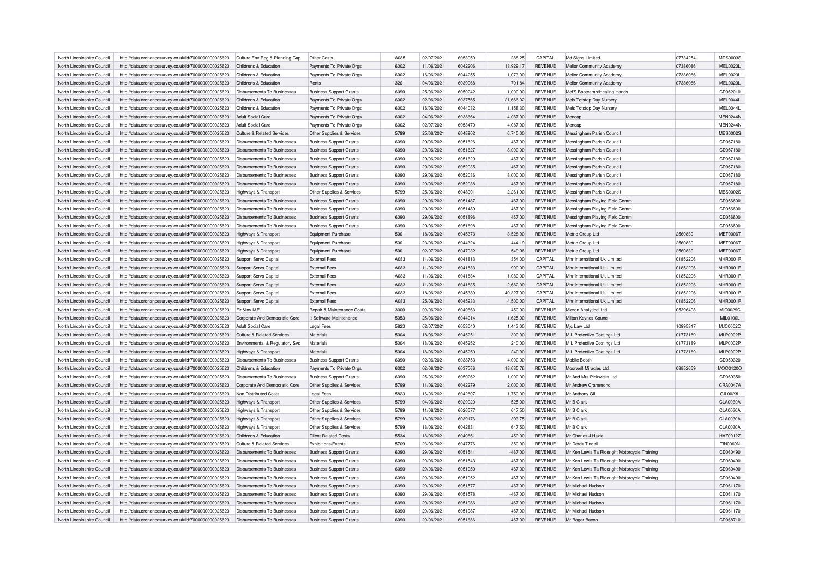| North Lincolnshire Council | http://data.ordnancesurvey.co.uk/id/7000000000025623 | Culture, Env, Reg & Planning Cap   | Other Costs                    | A085 | 02/07/2021 | 6053050 | 288.25      | CAPITAL        | Md Signs Limited                              | 07734254 | <b>MDS0003S</b> |
|----------------------------|------------------------------------------------------|------------------------------------|--------------------------------|------|------------|---------|-------------|----------------|-----------------------------------------------|----------|-----------------|
| North Lincolnshire Council | http://data.ordnancesurvey.co.uk/id/7000000000025623 | Childrens & Education              | Payments To Private Orgs       | 6002 | 11/06/2021 | 6042206 | 13,929.17   | <b>REVENUE</b> | Melior Community Academy                      | 07386086 | MEL0023L        |
| North Lincolnshire Council | http://data.ordnancesurvey.co.uk/id/7000000000025623 | Childrens & Education              | Payments To Private Orgs       | 6002 | 16/06/2021 | 6044255 | 1,073.00    | <b>REVENUE</b> | Melior Community Academy                      | 07386086 | MEL0023L        |
| North Lincolnshire Council | http://data.ordnancesurvey.co.uk/id/7000000000025623 | Childrens & Education              | Rents                          | 3201 | 04/06/2021 | 6039068 | 791.84      | <b>REVENUE</b> | Melior Community Academy                      | 07386086 | MEL0023L        |
| North Lincolnshire Council | http://data.ordnancesurvey.co.uk/id/7000000000025623 | <b>Disbursements To Businesses</b> | <b>Business Support Grants</b> | 6090 | 25/06/2021 | 6050242 | 1,000.00    | <b>REVENUE</b> | Mel'S Bootcamp/Healing Hands                  |          | CD062010        |
| North Lincolnshire Council | http://data.ordnancesurvey.co.uk/id/7000000000025623 | Childrens & Education              | Payments To Private Orgs       | 6002 | 02/06/2021 | 6037565 | 21,666.02   | <b>REVENUE</b> | Mels Totstop Day Nurser                       |          | MEL0044L        |
| North Lincolnshire Council | http://data.ordnancesurvey.co.uk/id/7000000000025623 | Childrens & Education              | Payments To Private Orgs       | 6002 | 16/06/2021 | 6044032 | 1,158.30    | <b>REVENUE</b> | Mels Totstop Day Nursery                      |          | MEL0044L        |
| North Lincolnshire Council | http://data.ordnancesurvey.co.uk/id/7000000000025623 | Adult Social Care                  | Payments To Private Orgs       | 6002 | 04/06/2021 | 6038664 | 4,087.00    | <b>REVENUE</b> | Mencan                                        |          | <b>MEN0244N</b> |
| North Lincolnshire Council | http://data.ordnancesurvey.co.uk/id/7000000000025623 | Adult Social Care                  | Payments To Private Orgs       | 6002 | 02/07/2021 | 6053470 | 4,087.00    | <b>REVENUE</b> | Mencan                                        |          | <b>MEN0244N</b> |
| North Lincolnshire Council | http://data.ordnancesurvey.co.uk/id/7000000000025623 | Culture & Related Services         | Other Supplies & Services      | 5799 | 25/06/2021 | 6048902 | 6,745.00    | <b>REVENUE</b> | Messingham Parish Council                     |          | <b>MES00025</b> |
| North Lincolnshire Council | http://data.ordnancesurvey.co.uk/id/7000000000025623 | Disbursements To Businesses        | <b>Business Support Grants</b> | 6090 | 29/06/2021 | 6051626 | $-467.00$   | <b>REVENUE</b> | Messingham Parish Council                     |          | CD067180        |
| North Lincolnshire Council | http://data.ordnancesurvey.co.uk/id/7000000000025623 | Disbursements To Businesses        | <b>Business Support Grants</b> | 6090 | 29/06/2021 | 6051627 | $-8,000.00$ | <b>REVENUE</b> | Messingham Parish Council                     |          | CD067180        |
| North Lincolnshire Council | http://data.ordnancesurvey.co.uk/id/7000000000025623 | Disbursements To Businesses        | <b>Business Support Grants</b> | 6090 | 29/06/2021 | 6051629 | $-467.00$   | <b>REVENUE</b> | Messingham Parish Council                     |          | CD067180        |
| North Lincolnshire Council | http://data.ordnancesurvey.co.uk/id/7000000000025623 | Disbursements To Businesses        | <b>Business Support Grants</b> | 6090 | 29/06/2021 | 6052035 | 467.00      | <b>REVENUE</b> | Messingham Parish Council                     |          | CD067180        |
|                            |                                                      |                                    |                                | 6090 |            | 6052036 |             |                |                                               |          |                 |
| North Lincolnshire Council | http://data.ordnancesurvey.co.uk/id/7000000000025623 | Disbursements To Businesses        | <b>Business Support Grants</b> |      | 29/06/2021 |         | 8,000.00    | <b>REVENUE</b> | Messingham Parish Council                     |          | CD067180        |
| North Lincolnshire Council | http://data.ordnancesurvey.co.uk/id/7000000000025623 | <b>Disbursements To Businesses</b> | <b>Business Support Grants</b> | 6090 | 29/06/2021 | 6052038 | 467.00      | <b>REVENUE</b> | Messingham Parish Council                     |          | CD067180        |
| North Lincolnshire Council | http://data.ordnancesurvey.co.uk/id/7000000000025623 | <b>Highways &amp; Transport</b>    | Other Supplies & Services      | 5799 | 25/06/2021 | 6048901 | 2,261.00    | <b>REVENUE</b> | Messingham Parish Council                     |          | <b>MES0002S</b> |
| North Lincolnshire Council | http://data.ordnancesurvey.co.uk/id/7000000000025623 | Disbursements To Businesses        | <b>Business Support Grants</b> | 6090 | 29/06/2021 | 6051487 | $-467.00$   | <b>REVENUE</b> | Messingham Playing Field Comm                 |          | CD056600        |
| North Lincolnshire Council | http://data.ordnancesurvey.co.uk/id/7000000000025623 | Disbursements To Businesses        | <b>Business Support Grants</b> | 6090 | 29/06/2021 | 6051489 | $-467.00$   | <b>REVENUE</b> | Messingham Playing Field Comm                 |          | CD056600        |
| North Lincolnshire Council | http://data.ordnancesurvey.co.uk/id/7000000000025623 | <b>Disbursements To Businesses</b> | <b>Business Support Grants</b> | 6090 | 29/06/2021 | 6051896 | 467.00      | <b>REVENUE</b> | Messingham Playing Field Comm                 |          | CD056600        |
| North Lincolnshire Council | http://data.ordnancesurvey.co.uk/id/7000000000025623 | Disbursements To Businesses        | <b>Business Support Grants</b> | 6090 | 29/06/2021 | 6051898 | 467.00      | <b>REVENUE</b> | Messingham Playing Field Comm                 |          | CD056600        |
| North Lincolnshire Council | http://data.ordnancesurvey.co.uk/id/7000000000025623 | <b>Highways &amp; Transport</b>    | <b>Equipment Purchase</b>      | 5001 | 18/06/2021 | 6045373 | 3,528.00    | <b>REVENUE</b> | Metric Group Ltd                              | 2560839  | <b>MET0006T</b> |
| North Lincolnshire Council | http://data.ordnancesurvey.co.uk/id/7000000000025623 | <b>Highways &amp; Transport</b>    | <b>Equipment Purchase</b>      | 5001 | 23/06/2021 | 6044324 | 444.19      | <b>REVENUE</b> | Metric Group Ltd                              | 2560839  | <b>MET0006T</b> |
| North Lincolnshire Council | http://data.ordnancesurvey.co.uk/id/7000000000025623 | Highways & Transport               | Equipment Purchase             | 5001 | 02/07/2021 | 6047932 | 549.06      | <b>REVENUE</b> | Metric Group Ltd                              | 2560839  | <b>MET0006T</b> |
| North Lincolnshire Council | http://data.ordnancesurvey.co.uk/id/7000000000025623 | Support Servs Capital              | <b>External Fees</b>           | A083 | 11/06/2021 | 6041813 | 354.00      | CAPITAL        | Mhr International Uk Limited                  | 01852206 | <b>MHR0001R</b> |
| North Lincolnshire Council | http://data.ordnancesurvey.co.uk/id/7000000000025623 | Support Servs Capital              | <b>External Fees</b>           | A083 | 11/06/2021 | 6041833 | 990.00      | CAPITAL        | Mhr International Uk Limited                  | 01852206 | <b>MHR0001R</b> |
| North Lincolnshire Council | http://data.ordnancesurvey.co.uk/id/7000000000025623 | Support Servs Capital              | <b>External Fees</b>           | A083 | 11/06/2021 | 6041834 | 1,080.00    | CAPITAL        | Mhr International Uk Limited                  | 01852206 | <b>MHR0001R</b> |
| North Lincolnshire Council | http://data.ordnancesurvey.co.uk/id/7000000000025623 | Support Servs Capital              | <b>External Fees</b>           | A083 | 11/06/2021 | 6041835 | 2,682.00    | CAPITAL        | Mhr International Uk Limited                  | 01852206 | <b>MHR0001R</b> |
| North Lincolnshire Council | http://data.ordnancesurvey.co.uk/id/7000000000025623 | Support Servs Capital              | <b>External Fees</b>           | A083 | 18/06/2021 | 6045389 | 40,327.00   | CAPITAL        | Mhr International Uk Limited                  | 01852206 | <b>MHR0001R</b> |
| North Lincolnshire Council | http://data.ordnancesurvey.co.uk/id/7000000000025623 | Support Servs Capital              | <b>External Fees</b>           | A083 | 25/06/2021 | 6045933 | 4,500.00    | CAPITAL        | Mhr International Uk Limited                  | 01852206 | <b>MHR0001R</b> |
| North Lincolnshire Council | http://data.ordnancesurvey.co.uk/id/7000000000025623 | Fin&Inv I&E                        | Repair & Maintenance Costs     | 3000 | 09/06/2021 | 6040663 | 450.00      | <b>REVENUE</b> | Micron Analytical Ltd                         | 05396498 | MIC0029C        |
| North Lincolnshire Council | http://data.ordnancesurvey.co.uk/id/7000000000025623 | Corporate And Democratic Core      | It Software-Maintenance        | 5053 | 25/06/2021 | 6044014 | 1,625.00    | <b>REVENUE</b> | Milton Keynes Council                         |          | <b>MIL0100L</b> |
| North Lincolnshire Council | http://data.ordnancesurvey.co.uk/id/7000000000025623 | <b>Adult Social Care</b>           | <b>Legal Fees</b>              | 5823 | 02/07/2021 | 6053040 | 1,443.00    | <b>REVENUE</b> | Mic Law Ltd                                   | 10995817 | <b>MJC0002C</b> |
|                            |                                                      |                                    |                                | 5004 |            | 604525  |             |                |                                               | 01773189 | <b>MLP0002F</b> |
| North Lincolnshire Council | http://data.ordnancesurvey.co.uk/id/7000000000025623 | Culture & Related Services         | Materials                      |      | 18/06/2021 |         | 300.00      | <b>REVENUE</b> | M L Protective Coatings Ltd                   |          |                 |
| North Lincolnshire Council | http://data.ordnancesurvey.co.uk/id/7000000000025623 | Environmental & Regulatory Svs     | Materials                      | 5004 | 18/06/2021 | 6045252 | 240.00      | <b>REVENUE</b> | M L Protective Coatings Ltd                   | 01773189 | <b>MLP0002P</b> |
| North Lincolnshire Council | http://data.ordnancesurvey.co.uk/id/7000000000025623 | Highways & Transport               | Materials                      | 5004 | 18/06/2021 | 6045250 | 240.00      | <b>REVENUE</b> | M L Protective Coatings Ltd                   | 01773189 | <b>MLP0002P</b> |
| North Lincolnshire Council | http://data.ordnancesurvey.co.uk/id/7000000000025623 | Disbursements To Businesses        | <b>Business Support Grants</b> | 6090 | 02/06/2021 | 6038753 | 4,000.00    | <b>REVENUE</b> | Mobile Booth                                  |          | CD050320        |
| North Lincolnshire Council | http://data.ordnancesurvey.co.uk/id/7000000000025623 | Childrens & Education              | Payments To Private Orgs       | 6002 | 02/06/2021 | 6037566 | 18,085.76   | <b>REVENUE</b> | Moorwell Miracles Ltd                         | 08852659 | MOO0120O        |
| North Lincolnshire Council | http://data.ordnancesurvey.co.uk/id/7000000000025623 | <b>Disbursements To Businesses</b> | <b>Business Support Grants</b> | 6090 | 25/06/2021 | 6050262 | 1,000.00    | <b>REVENUE</b> | Mr And Mrs Pickwicks Ltd                      |          | CD069350        |
| North Lincolnshire Council | http://data.ordnancesurvey.co.uk/id/7000000000025623 | Corporate And Democratic Core      | Other Supplies & Services      | 5799 | 11/06/2021 | 6042279 | 2,000.00    | <b>REVENUE</b> | Mr Andrew Crammond                            |          | CRA0047A        |
| North Lincolnshire Council | http://data.ordnancesurvey.co.uk/id/7000000000025623 | Non Distributed Costs              | <b>Legal Fees</b>              | 5823 | 16/06/2021 | 6042807 | 1,750.00    | <b>REVENUE</b> | Mr Anthony Gill                               |          | GIL0023L        |
| North Lincolnshire Council | http://data.ordnancesurvey.co.uk/id/7000000000025623 | Highways & Transport               | Other Supplies & Services      | 5799 | 04/06/2021 | 6029020 | 525.00      | <b>REVENUE</b> | Mr B Clark                                    |          | <b>CLA0030A</b> |
| North Lincolnshire Council | http://data.ordnancesurvey.co.uk/id/7000000000025623 | Highways & Transport               | Other Supplies & Services      | 5799 | 11/06/2021 | 6026577 | 647.50      | <b>REVENUE</b> | Mr B Clark                                    |          | <b>CLA0030A</b> |
| North Lincolnshire Council | http://data.ordnancesurvey.co.uk/id/7000000000025623 | Highways & Transport               | Other Supplies & Services      | 5799 | 18/06/2021 | 6039176 | 393.75      | <b>REVENUE</b> | Mr B Clark                                    |          | <b>CLA0030A</b> |
| North Lincolnshire Council | http://data.ordnancesurvey.co.uk/id/7000000000025623 | Highways & Transport               | Other Supplies & Services      | 5799 | 18/06/2021 | 6042831 | 647.50      | <b>REVENUE</b> | Mr B Clark                                    |          | <b>CLA0030A</b> |
| North Lincolnshire Council | http://data.ordnancesurvey.co.uk/id/7000000000025623 | Childrens & Education              | <b>Client Related Costs</b>    | 5534 | 18/06/2021 | 6040861 | 450.00      | <b>REVENUE</b> | Mr Charles J Hazle                            |          | HAZ0012Z        |
| North Lincolnshire Council | http://data.ordnancesurvey.co.uk/id/7000000000025623 | Culture & Related Services         | Exhibitions/Events             | 5709 | 23/06/2021 | 6047776 | 350.00      | <b>REVENUE</b> | Mr Derek Tindall                              |          | <b>TIN0069N</b> |
| North Lincolnshire Council | http://data.ordnancesurvey.co.uk/id/7000000000025623 | Disbursements To Businesses        | <b>Business Support Grants</b> | 6090 | 29/06/2021 | 6051541 | $-467.00$   | <b>REVENUE</b> | Mr Ken Lewis Ta Rideright Motorcycle Training |          | CD060490        |
| North Lincolnshire Council | http://data.ordnancesurvey.co.uk/id/7000000000025623 | Disbursements To Businesses        | <b>Business Support Grants</b> | 6090 | 29/06/2021 | 6051543 | $-467.00$   | <b>REVENUE</b> | Mr Ken Lewis Ta Rideright Motorcycle Training |          | CD060490        |
| North Lincolnshire Council | http://data.ordnancesurvey.co.uk/id/7000000000025623 | Disbursements To Businesses        | <b>Business Support Grants</b> | 6090 | 29/06/2021 | 6051950 | 467.00      | <b>REVENUE</b> | Mr Ken Lewis Ta Rideright Motorcycle Training |          | CD060490        |
| North Lincolnshire Council | http://data.ordnancesurvey.co.uk/id/7000000000025623 | Disbursements To Businesses        | <b>Business Support Grants</b> | 6090 | 29/06/2021 | 6051952 | 467.00      | <b>REVENUE</b> | Mr Ken Lewis Ta Rideright Motorcycle Training |          | CD060490        |
| North Lincolnshire Council | http://data.ordnancesurvey.co.uk/id/7000000000025623 | Disbursements To Businesses        | <b>Business Support Grants</b> | 6090 | 29/06/2021 | 6051577 | $-467.00$   | <b>REVENUE</b> | Mr Michael Hudson                             |          | CD061170        |
| North Lincolnshire Council | http://data.ordnancesurvey.co.uk/id/7000000000025623 | Disbursements To Businesses        | <b>Business Support Grants</b> | 6090 | 29/06/2021 | 6051578 | $-467.00$   | <b>REVENUE</b> | Mr Michael Hudson                             |          | CD061170        |
| North Lincolnshire Council | http://data.ordnancesurvey.co.uk/id/7000000000025623 | Disbursements To Businesses        | <b>Business Support Grants</b> | 6090 | 29/06/2021 | 6051986 | 467.00      | <b>REVENUE</b> | Mr Michael Hudson                             |          | CD061170        |
|                            |                                                      |                                    |                                | 6090 | 29/06/2021 | 6051987 | 467.00      | <b>REVENUE</b> |                                               |          | CD061170        |
| North Lincolnshire Council | http://data.ordnancesurvey.co.uk/id/7000000000025623 | Disbursements To Businesses        | <b>Business Support Grants</b> |      |            |         |             |                | Mr Michael Hudson                             |          |                 |
| North Lincolnshire Council | http://data.ordnancesurvey.co.uk/id/7000000000025623 | Disbursements To Businesses        | <b>Business Support Grants</b> | 6090 | 29/06/2021 | 6051686 | $-467.00$   | <b>REVENUE</b> | Mr Roger Bacon                                |          | CD068710        |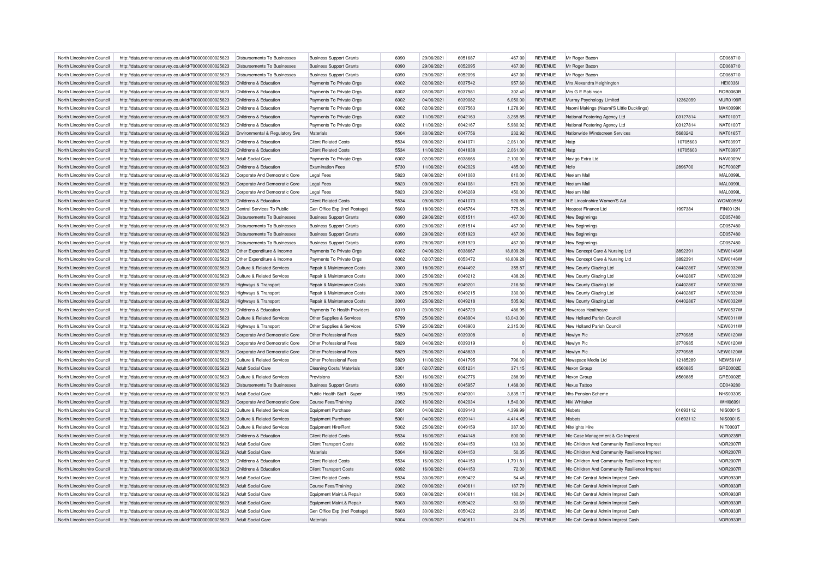| North Lincolnshire Council | http://data.ordnancesurvey.co.uk/id/7000000000025623 | Disbursements To Businesses                | <b>Business Support Grants</b>                      | 6090 | 29/06/2021 | 6051687 | $-467.00$          | <b>REVENUE</b> | Mr Roger Bacon                                |          | CD068710        |
|----------------------------|------------------------------------------------------|--------------------------------------------|-----------------------------------------------------|------|------------|---------|--------------------|----------------|-----------------------------------------------|----------|-----------------|
| North Lincolnshire Council | http://data.ordnancesurvey.co.uk/id/7000000000025623 | Disbursements To Businesses                | <b>Business Support Grants</b>                      | 6090 | 29/06/2021 | 6052095 | 467.00             | REVENUE        | Mr Roger Bacon                                |          | CD068710        |
| North Lincolnshire Council | http://data.ordnancesurvey.co.uk/id/7000000000025623 | Disbursements To Businesses                | <b>Business Support Grants</b>                      | 6090 | 29/06/2021 | 6052096 | 467.00             | <b>REVENUE</b> | Mr Roger Bacon                                |          | CD068710        |
| North Lincolnshire Council | http://data.ordnancesurvey.co.uk/id/7000000000025623 | Childrens & Education                      | Payments To Private Orgs                            | 6002 | 02/06/2021 | 6037542 | 957.60             | <b>REVENUE</b> | Mrs Alexandra Heighington                     |          | <b>HEI0036I</b> |
| North Lincolnshire Council | http://data.ordnancesurvey.co.uk/id/7000000000025623 | Childrens & Education                      | Payments To Private Orgs                            | 6002 | 02/06/2021 | 6037581 | 302.40             | <b>REVENUE</b> | Mrs G E Robinson                              |          | ROB0063B        |
| North Lincolnshire Council | http://data.ordnancesurvey.co.uk/id/7000000000025623 | Childrens & Education                      | Payments To Private Orgs                            | 6002 | 04/06/2021 | 6039082 | 6,050.00           | <b>REVENUE</b> | Murray Psychology Limited                     | 12362099 | <b>MUR0199R</b> |
| North Lincolnshire Council | http://data.ordnancesurvey.co.uk/id/7000000000025623 | Childrens & Education                      | Payments To Private Orgs                            | 6002 | 02/06/2021 | 6037563 | 1,278.90           | <b>REVENUE</b> | Naomi Makings (Naomi'S Little Ducklings)      |          | <b>MAK0099K</b> |
| North Lincolnshire Council | http://data.ordnancesurvey.co.uk/id/7000000000025623 | Childrens & Education                      | Payments To Private Orgs                            | 6002 | 11/06/2021 | 6042163 | 3,265.85           | <b>REVENUE</b> | National Fostering Agency Ltd                 | 03127814 | <b>NAT0100T</b> |
| North Lincolnshire Council | http://data.ordnancesurvey.co.uk/id/7000000000025623 | Childrens & Education                      | Payments To Private Orgs                            | 6002 | 11/06/2021 | 6042167 | 5,980.92           | <b>REVENUE</b> | National Fostering Agency Ltd                 | 03127814 | <b>NAT0100T</b> |
| North Lincolnshire Council | http://data.ordnancesurvey.co.uk/id/7000000000025623 | Environmental & Regulatory Svs             | Materials                                           | 5004 | 30/06/2021 | 6047756 | 232.92             | <b>REVENUE</b> | Nationwide Windscreen Services                | 5683242  | NAT0165T        |
| North Lincolnshire Council | http://data.ordnancesurvey.co.uk/id/7000000000025623 | Childrens & Education                      | <b>Client Related Costs</b>                         | 5534 | 09/06/2021 | 6041071 | 2,061.00           | <b>REVENUE</b> | Natp                                          | 10705603 | <b>NAT0399T</b> |
| North Lincolnshire Council | http://data.ordnancesurvey.co.uk/id/7000000000025623 | Childrens & Education                      | <b>Client Related Costs</b>                         | 5534 | 11/06/2021 | 6041838 | 2,061.00           | REVENUE        | Natp                                          | 10705603 | <b>NAT0399T</b> |
|                            |                                                      |                                            |                                                     | 6002 | 02/06/2021 | 6038666 |                    | <b>REVENUE</b> |                                               |          | NAV0009V        |
| North Lincolnshire Council | http://data.ordnancesurvey.co.uk/id/7000000000025623 | Adult Social Care<br>Childrens & Education | Payments To Private Orgs<br><b>Examination Fees</b> | 5730 | 11/06/2021 | 6042026 | 2,100.00<br>485.00 | REVENUE        | Navigo Extra Ltd<br>Ncfe                      | 2896700  | NCF0002F        |
| North Lincolnshire Council | http://data.ordnancesurvey.co.uk/id/7000000000025623 |                                            |                                                     |      |            |         |                    |                |                                               |          |                 |
| North Lincolnshire Council | http://data.ordnancesurvey.co.uk/id/7000000000025623 | Corporate And Democratic Core              | <b>Legal Fees</b>                                   | 5823 | 09/06/2021 | 6041080 | 610.00             | <b>REVENUE</b> | Neelam Mal                                    |          | <b>MAL0099L</b> |
| North Lincolnshire Council | http://data.ordnancesurvey.co.uk/id/7000000000025623 | Corporate And Democratic Core              | <b>Legal Fees</b>                                   | 5823 | 09/06/2021 | 6041081 | 570.00             | <b>REVENUE</b> | Neelam Mall                                   |          | <b>MAL0099L</b> |
| North Lincolnshire Council | http://data.ordnancesurvey.co.uk/id/7000000000025623 | Corporate And Democratic Core              | <b>Legal Fees</b>                                   | 5823 | 23/06/2021 | 6046289 | 450.00             | <b>REVENUE</b> | Neelam Mall                                   |          | <b>MAL0099L</b> |
| North Lincolnshire Council | http://data.ordnancesurvey.co.uk/id/7000000000025623 | Childrens & Education                      | <b>Client Related Costs</b>                         | 5534 | 09/06/2021 | 6041070 | 920.85             | <b>REVENUE</b> | N E Lincolnshire Women'S Aid                  |          | <b>WOM0055M</b> |
| North Lincolnshire Council | http://data.ordnancesurvey.co.uk/id/7000000000025623 | Central Services To Public                 | Gen Office Exp (Incl Postage)                       | 5603 | 18/06/2021 | 6045764 | 775.26             | <b>REVENUE</b> | Neopost Finance Ltd                           | 1997384  | <b>FIN0012N</b> |
| North Lincolnshire Council | http://data.ordnancesurvey.co.uk/id/7000000000025623 | <b>Disbursements To Businesses</b>         | <b>Business Support Grants</b>                      | 6090 | 29/06/2021 | 6051511 | $-467.00$          | REVENUE        | New Beginnings                                |          | CD057480        |
| North Lincolnshire Council | http://data.ordnancesurvey.co.uk/id/7000000000025623 | <b>Disbursements To Businesses</b>         | <b>Business Support Grants</b>                      | 6090 | 29/06/2021 | 6051514 | $-467.00$          | <b>REVENUE</b> | New Beginnings                                |          | CD057480        |
| North Lincolnshire Council | http://data.ordnancesurvey.co.uk/id/7000000000025623 | <b>Disbursements To Businesses</b>         | <b>Business Support Grants</b>                      | 6090 | 29/06/2021 | 6051920 | 467.00             | REVENUE        | New Beginnings                                |          | CD057480        |
| North Lincolnshire Council | http://data.ordnancesurvey.co.uk/id/7000000000025623 | Disbursements To Businesses                | <b>Business Support Grants</b>                      | 6090 | 29/06/2021 | 6051923 | 467.00             | <b>REVENUE</b> | New Beginnings                                |          | CD057480        |
| North Lincolnshire Council | http://data.ordnancesurvey.co.uk/id/7000000000025623 | Other Expenditure & Income                 | Payments To Private Orgs                            | 6002 | 04/06/2021 | 6038667 | 18,809.28          | <b>REVENUE</b> | New Concept Care & Nursing Ltd                | 3892391  | <b>NEW0146W</b> |
| North Lincolnshire Council | http://data.ordnancesurvey.co.uk/id/7000000000025623 | Other Expenditure & Income                 | Payments To Private Orgs                            | 6002 | 02/07/2021 | 6053472 | 18,809.28          | <b>REVENUE</b> | New Concept Care & Nursing Ltd                | 3892391  | <b>NEW0146W</b> |
| North Lincolnshire Council | http://data.ordnancesurvey.co.uk/id/7000000000025623 | Culture & Related Services                 | Repair & Maintenance Costs                          | 3000 | 18/06/2021 | 6044492 | 355.87             | <b>REVENUE</b> | New County Glazing Ltd                        | 04402867 | <b>NEW0032W</b> |
| North Lincolnshire Council | http://data.ordnancesurvey.co.uk/id/7000000000025623 | Culture & Related Services                 | Repair & Maintenance Costs                          | 3000 | 25/06/2021 | 6049212 | 438.26             | <b>REVENUE</b> | New County Glazing Ltd                        | 04402867 | <b>NEW0032W</b> |
| North Lincolnshire Council | http://data.ordnancesurvey.co.uk/id/7000000000025623 | Highways & Transport                       | Repair & Maintenance Costs                          | 3000 | 25/06/2021 | 6049201 | 216.50             | <b>REVENUE</b> | New County Glazing Ltd                        | 04402867 | <b>NEW0032W</b> |
| North Lincolnshire Council | http://data.ordnancesurvey.co.uk/id/7000000000025623 | Highways & Transport                       | Repair & Maintenance Costs                          | 3000 | 25/06/2021 | 6049215 | 330.00             | <b>REVENUE</b> | New County Glazing Ltd                        | 04402867 | <b>NEW0032W</b> |
| North Lincolnshire Council | http://data.ordnancesurvey.co.uk/id/7000000000025623 | Highways & Transport                       | Repair & Maintenance Costs                          | 3000 | 25/06/2021 | 6049218 | 505.92             | <b>REVENUE</b> | New County Glazing Ltd                        | 04402867 | <b>NEW0032W</b> |
|                            |                                                      |                                            |                                                     | 6019 |            |         |                    |                |                                               |          | <b>NEW0537W</b> |
| North Lincolnshire Council | http://data.ordnancesurvey.co.uk/id/7000000000025623 | Childrens & Education                      | Payments To Health Providers                        |      | 23/06/2021 | 6045720 | 486.95             | <b>REVENUE</b> | Newcross Healthcare                           |          |                 |
| North Lincolnshire Council | http://data.ordnancesurvey.co.uk/id/7000000000025623 | Culture & Related Services                 | Other Supplies & Services                           | 5799 | 25/06/2021 | 6048904 | 13,043.00          | <b>REVENUE</b> | New Holland Parish Council                    |          | <b>NEW0011W</b> |
| North Lincolnshire Council | http://data.ordnancesurvey.co.uk/id/7000000000025623 | Highways & Transport                       | Other Supplies & Services                           | 5799 | 25/06/2021 | 6048903 | 2,315.00           | <b>REVENUE</b> | New Holland Parish Counci                     |          | NEW0011W        |
| North Lincolnshire Council | http://data.ordnancesurvey.co.uk/id/7000000000025623 | Corporate And Democratic Core              | Other Professional Fees                             | 5829 | 04/06/2021 | 6039308 | $\Omega$           | <b>REVENUE</b> | Newlyn Plc                                    | 3770985  | <b>NEW0120W</b> |
| North Lincolnshire Council | http://data.ordnancesurvey.co.uk/id/7000000000025623 | Corporate And Democratic Core              | Other Professional Fees                             | 5829 | 04/06/2021 | 6039319 | $\Omega$           | <b>REVENUE</b> | Newlyn Plc                                    | 3770985  | <b>NEW0120W</b> |
| North Lincolnshire Council | http://data.ordnancesurvey.co.uk/id/7000000000025623 | Corporate And Democratic Core              | Other Professional Fees                             | 5829 | 25/06/2021 | 6048839 |                    | REVENUE        | Newlyn Plc                                    | 3770985  | <b>NEW0120W</b> |
| North Lincolnshire Council | http://data.ordnancesurvey.co.uk/id/7000000000025623 | Culture & Related Services                 | Other Professional Fees                             | 5829 | 11/06/2021 | 6041795 | 796.00             | <b>REVENUE</b> | Newspace Media Ltd                            | 12185289 | <b>NEW561W</b>  |
| North Lincolnshire Council | http://data.ordnancesurvey.co.uk/id/7000000000025623 | Adult Social Care                          | Cleaning Costs/ Materials                           | 3301 | 02/07/2021 | 6051231 | 371.15             | <b>REVENUE</b> | Nexon Group                                   | 8560885  | GRE0002E        |
| North Lincolnshire Council | http://data.ordnancesurvey.co.uk/id/7000000000025623 | Culture & Related Services                 | Provisions                                          | 5201 | 16/06/2021 | 6042776 | 288.99             | <b>REVENUE</b> | Nexon Group                                   | 8560885  | GRE0002E        |
| North Lincolnshire Council | http://data.ordnancesurvey.co.uk/id/7000000000025623 | Disbursements To Businesses                | <b>Business Support Grants</b>                      | 6090 | 18/06/2021 | 6045957 | 1,468.00           | <b>REVENUE</b> | <b>Nexus Tattoc</b>                           |          | CD049280        |
| North Lincolnshire Council | http://data.ordnancesurvey.co.uk/id/7000000000025623 | <b>Adult Social Care</b>                   | Public Health Staff - Super                         | 1553 | 25/06/2021 | 6049301 | 3.835.17           | <b>REVENUE</b> | Nhs Pension Scheme                            |          | <b>NHS0030S</b> |
| North Lincolnshire Council | http://data.ordnancesurvey.co.uk/id/7000000000025623 | Corporate And Democratic Core              | Course Fees/Training                                | 2002 | 16/06/2021 | 6042034 | 1,540.00           | <b>REVENUE</b> | Niki Whitaker                                 |          | <b>WHI0699I</b> |
| North Lincolnshire Council | http://data.ordnancesurvey.co.uk/id/7000000000025623 | Culture & Related Services                 | <b>Equipment Purchase</b>                           | 5001 | 04/06/2021 | 6039140 | 4,399.99           | <b>REVENUE</b> | Nisbets                                       | 01693112 | <b>NIS0001S</b> |
| North Lincolnshire Council | http://data.ordnancesurvey.co.uk/id/7000000000025623 | Culture & Related Services                 | Equipment Purchase                                  | 5001 | 04/06/2021 | 6039141 | 4,414.45           | REVENUE        | Nisbets                                       | 01693112 | <b>NIS0001S</b> |
| North Lincolnshire Council | http://data.ordnancesurvey.co.uk/id/7000000000025623 | Culture & Related Services                 | Equipment Hire/Rent                                 | 5002 | 25/06/2021 | 6049159 | 387.00             | <b>REVENUE</b> | Nitelights Hire                               |          | <b>NIT0003T</b> |
| North Lincolnshire Council | http://data.ordnancesurvey.co.uk/id/7000000000025623 | Childrens & Education                      | <b>Client Related Costs</b>                         | 5534 | 16/06/2021 | 6044148 | 800.00             | REVENUE        | NIc-Case Management & Cic Imprest             |          | <b>NOR0235F</b> |
| North Lincolnshire Council | http://data.ordnancesurvey.co.uk/id/7000000000025623 | Adult Social Care                          | <b>Client Transport Costs</b>                       | 6092 | 16/06/2021 | 6044150 | 133.30             | <b>REVENUE</b> | Nic-Children And Community Resilience Imprest |          | <b>NOR2007F</b> |
| North Lincolnshire Council | http://data.ordnancesurvey.co.uk/id/7000000000025623 | Adult Social Care                          | Materials                                           | 5004 | 16/06/2021 | 6044150 | 50.35              | <b>REVENUE</b> | NIc-Children And Community Resilience Imprest |          | <b>NOR2007F</b> |
|                            |                                                      |                                            |                                                     |      |            |         |                    |                |                                               |          |                 |
| North Lincolnshire Council | http://data.ordnancesurvey.co.uk/id/7000000000025623 | Childrens & Education                      | <b>Client Related Costs</b>                         | 5534 | 16/06/2021 | 6044150 | 1,791.81           | <b>REVENUE</b> | Nic-Children And Community Resilience Imprest |          | <b>NOR2007F</b> |
| North Lincolnshire Council | http://data.ordnancesurvey.co.uk/id/7000000000025623 | Childrens & Education                      | <b>Client Transport Costs</b>                       | 6092 | 16/06/2021 | 6044150 | 72.00              | REVENUE        | NIc-Children And Community Resilience Imprest |          | <b>NOR2007F</b> |
| North Lincolnshire Council | http://data.ordnancesurvey.co.uk/id/7000000000025623 | Adult Social Care                          | <b>Client Related Costs</b>                         | 5534 | 30/06/2021 | 6050422 | 54.48              | <b>REVENUE</b> | Nic-Csh Central Admin Imprest Cash            |          | NOR0933F        |
| North Lincolnshire Council | http://data.ordnancesurvey.co.uk/id/7000000000025623 | Adult Social Care                          | Course Fees/Training                                | 2002 | 09/06/2021 | 6040611 | 187.79             | <b>REVENUE</b> | NIc-Csh Central Admin Imprest Cash            |          | NOR0933F        |
| North Lincolnshire Council | http://data.ordnancesurvey.co.uk/id/7000000000025623 | Adult Social Care                          | Equipment Maint.& Repair                            | 5003 | 09/06/2021 | 6040611 | 180.24             | <b>REVENUE</b> | NIc-Csh Central Admin Imprest Cash            |          | NOR0933F        |
| North Lincolnshire Council | http://data.ordnancesurvey.co.uk/id/7000000000025623 | Adult Social Care                          | Equipment Maint.& Repair                            | 5003 | 30/06/2021 | 6050422 | $-53.69$           | <b>REVENUE</b> | NIc-Csh Central Admin Imprest Cash            |          | NOR0933F        |
| North Lincolnshire Council | http://data.ordnancesurvey.co.uk/id/7000000000025623 | Adult Social Care                          | Gen Office Exp (Incl Postage)                       | 5603 | 30/06/2021 | 6050422 | 23.65              | <b>REVENUE</b> | NIc-Csh Central Admin Imprest Cash            |          | NOR0933F        |
| North Lincolnshire Council | http://data.ordnancesurvey.co.uk/id/7000000000025623 | Adult Social Care                          | <b>Materials</b>                                    | 5004 | 09/06/2021 | 6040611 | 24.75              | <b>REVENUE</b> | Nic-Csh Central Admin Imprest Cash            |          | NOR0933R        |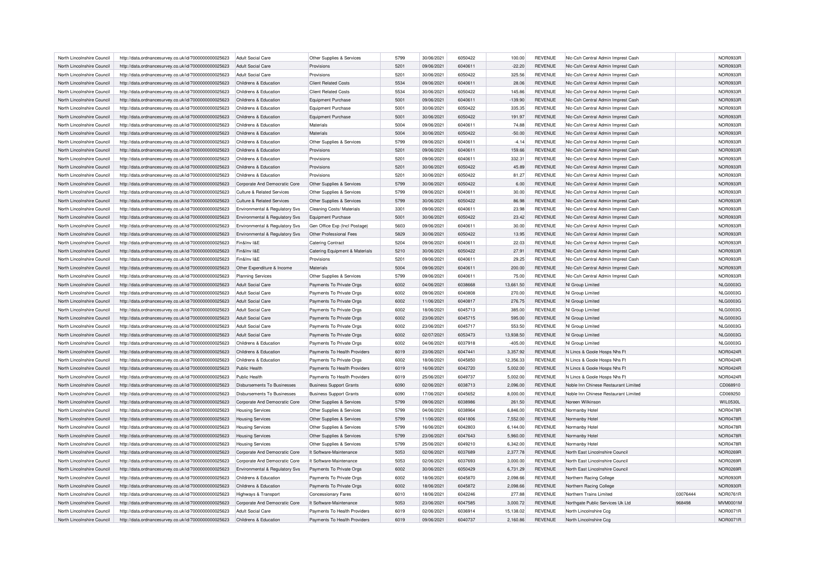| North Lincolnshire Council | http://data.ordnancesurvey.co.uk/id/7000000000025623 | Adult Social Care                     | Other Supplies & Services      | 5799 | 30/06/2021 | 6050422            | 100.00    | REVENUE        | NIc-Csh Central Admin Imprest Cash   |          | NOR0933R        |
|----------------------------|------------------------------------------------------|---------------------------------------|--------------------------------|------|------------|--------------------|-----------|----------------|--------------------------------------|----------|-----------------|
| North Lincolnshire Council | http://data.ordnancesurvey.co.uk/id/7000000000025623 | <b>Adult Social Care</b>              | Provisions                     | 5201 | 09/06/2021 | 6040611            | $-22.20$  | <b>REVENUE</b> | Nic-Csh Central Admin Imprest Cash   |          | NOR0933R        |
| North Lincolnshire Council | http://data.ordnancesurvey.co.uk/id/7000000000025623 | Adult Social Care                     | Provisions                     | 5201 | 30/06/2021 | 6050422            | 325.56    | <b>REVENUE</b> | Nic-Csh Central Admin Imprest Cash   |          | <b>NOR0933R</b> |
| North Lincolnshire Council | http://data.ordnancesurvey.co.uk/id/7000000000025623 | Childrens & Education                 | <b>Client Related Costs</b>    | 5534 | 09/06/2021 | 6040611            | 28.06     | <b>REVENUE</b> | NIc-Csh Central Admin Imprest Cash   |          | NOR0933F        |
| North Lincolnshire Council | http://data.ordnancesurvey.co.uk/id/7000000000025623 | Childrens & Education                 | <b>Client Related Costs</b>    | 5534 | 30/06/2021 | 6050422            | 145.86    | <b>REVENUE</b> | Nic-Csh Central Admin Imprest Cash   |          | NOR0933F        |
| North Lincolnshire Council | http://data.ordnancesurvey.co.uk/id/7000000000025623 | Childrens & Education                 | Equipment Purchase             | 5001 | 09/06/2021 | 6040611            | $-139.90$ | <b>REVENUE</b> | Nic-Csh Central Admin Imprest Cash   |          | NOR0933R        |
| North Lincolnshire Council | http://data.ordnancesurvey.co.uk/id/7000000000025623 | Childrens & Education                 | <b>Equipment Purchase</b>      | 5001 | 30/06/2021 | 6050422            | 335.35    | REVENUE        | NIc-Csh Central Admin Imprest Cash   |          | NOR0933F        |
| North Lincolnshire Council | http://data.ordnancesurvey.co.uk/id/7000000000025623 | Childrens & Education                 | <b>Equipment Purchase</b>      | 5001 | 30/06/2021 | 6050422            | 191.97    | <b>REVENUE</b> | Nic-Csh Central Admin Imprest Cash   |          | NOR0933F        |
| North Lincolnshire Council | http://data.ordnancesurvey.co.uk/id/7000000000025623 | Childrens & Education                 | Materials                      | 5004 | 09/06/2021 | 6040611            | 74.88     | <b>REVENUE</b> | Nic-Csh Central Admin Imprest Cash   |          | NOR0933R        |
| North Lincolnshire Council | http://data.ordnancesurvey.co.uk/id/7000000000025623 | Childrens & Education                 | Materials                      | 5004 | 30/06/2021 | 6050422            | $-50.00$  | <b>REVENUE</b> | NIc-Csh Central Admin Imprest Cash   |          | NOR0933F        |
| North Lincolnshire Council | http://data.ordnancesurvey.co.uk/id/7000000000025623 | Childrens & Education                 | Other Supplies & Services      | 5799 | 09/06/2021 | 6040611            | $-4.14$   | <b>REVENUE</b> | Nic-Csh Central Admin Imprest Cash   |          | NOR0933F        |
| North Lincolnshire Council | http://data.ordnancesurvey.co.uk/id/7000000000025623 | Childrens & Education                 | Provisions                     | 5201 | 09/06/2021 | 6040611            | 159.66    | <b>REVENUE</b> | Nic-Csh Central Admin Imprest Cash   |          | NOR0933R        |
|                            |                                                      |                                       |                                | 5201 |            |                    |           |                |                                      |          | NOR0933F        |
| North Lincolnshire Council | http://data.ordnancesurvey.co.uk/id/7000000000025623 | Childrens & Education                 | Provisions                     |      | 09/06/2021 | 6040611            | 332.31    | <b>REVENUE</b> | NIc-Csh Central Admin Imprest Cash   |          |                 |
| North Lincolnshire Council | http://data.ordnancesurvey.co.uk/id/7000000000025623 | Childrens & Education                 | Provisions                     | 5201 | 30/06/2021 | 6050422            | 45.89     | <b>REVENUE</b> | Nic-Csh Central Admin Imprest Cash   |          | <b>NOR0933R</b> |
| North Lincolnshire Council | http://data.ordnancesurvey.co.uk/id/7000000000025623 | Childrens & Education                 | Provisions                     | 5201 | 30/06/2021 | 6050422            | 81.27     | REVENUE        | Nic-Csh Central Admin Imprest Cash   |          | <b>NOR0933R</b> |
| North Lincolnshire Council | http://data.ordnancesurvey.co.uk/id/7000000000025623 | Corporate And Democratic Core         | Other Supplies & Services      | 5799 | 30/06/2021 | 6050422            | 6.00      | <b>REVENUE</b> | Nic-Csh Central Admin Imprest Cash   |          | NOR0933F        |
| North Lincolnshire Council | http://data.ordnancesurvey.co.uk/id/7000000000025623 | <b>Culture &amp; Related Services</b> | Other Supplies & Services      | 5799 | 09/06/2021 | 6040611            | 30.00     | <b>REVENUE</b> | NIc-Csh Central Admin Imprest Cash   |          | NOR0933R        |
| North Lincolnshire Council | http://data.ordnancesurvey.co.uk/id/7000000000025623 | Culture & Related Services            | Other Supplies & Services      | 5799 | 30/06/2021 | 6050422            | 86.98     | <b>REVENUE</b> | Nic-Csh Central Admin Imprest Cash   |          | NOR0933R        |
| North Lincolnshire Council | http://data.ordnancesurvey.co.uk/id/7000000000025623 | Environmental & Regulatory Svs        | Cleaning Costs/ Materials      | 3301 | 09/06/2021 | 6040611            | 23.98     | <b>REVENUE</b> | NIc-Csh Central Admin Imprest Cash   |          | NOR0933F        |
| North Lincolnshire Council | http://data.ordnancesurvey.co.uk/id/7000000000025623 | Environmental & Regulatory Svs        | <b>Equipment Purchase</b>      | 5001 | 30/06/2021 | 6050422            | 23.42     | <b>REVENUE</b> | Nic-Csh Central Admin Imprest Cash   |          | NOR0933R        |
| North Lincolnshire Council | http://data.ordnancesurvey.co.uk/id/7000000000025623 | Environmental & Regulatory Svs        | Gen Office Exp (Incl Postage)  | 5603 | 09/06/2021 | 6040611            | 30.00     | <b>REVENUE</b> | NIc-Csh Central Admin Imprest Cash   |          | NOR0933F        |
| North Lincolnshire Council | http://data.ordnancesurvey.co.uk/id/7000000000025623 | Environmental & Regulatory Svs        | Other Professional Fees        | 5829 | 30/06/2021 | 6050422            | 13.95     | <b>REVENUE</b> | NIc-Csh Central Admin Imprest Cash   |          | NOR0933F        |
| North Lincolnshire Council | http://data.ordnancesurvey.co.uk/id/7000000000025623 | Fin&Inv I&E                           | <b>Catering Contract</b>       | 5204 | 09/06/2021 | 6040611            | 22.03     | <b>REVENUE</b> | NIc-Csh Central Admin Imprest Cash   |          | NOR0933R        |
| North Lincolnshire Council | http://data.ordnancesurvey.co.uk/id/7000000000025623 | Fin&Inv I&E                           | Catering Equipment & Materials | 5210 | 30/06/2021 | 6050422            | 27.91     | <b>REVENUE</b> | NIc-Csh Central Admin Imprest Cash   |          | NOR0933F        |
| North Lincolnshire Council | http://data.ordnancesurvey.co.uk/id/7000000000025623 | Fin&Inv I&E                           | Provisions                     | 5201 | 09/06/2021 | 6040611            | 29.25     | <b>REVENUE</b> | NIc-Csh Central Admin Imprest Cash   |          | <b>NOR0933F</b> |
| North Lincolnshire Council | http://data.ordnancesurvey.co.uk/id/7000000000025623 | Other Expenditure & Income            | Materials                      | 5004 | 09/06/2021 | 6040611            | 200.00    | <b>REVENUE</b> | Nic-Csh Central Admin Imprest Cash   |          | NOR0933R        |
| North Lincolnshire Council | http://data.ordnancesurvey.co.uk/id/7000000000025623 | <b>Planning Services</b>              | Other Supplies & Services      | 5799 | 09/06/2021 | 6040611            | 75.00     | <b>REVENUE</b> | NIc-Csh Central Admin Imprest Cash   |          | <b>NOR0933R</b> |
| North Lincolnshire Council | http://data.ordnancesurvey.co.uk/id/7000000000025623 | <b>Adult Social Care</b>              | Payments To Private Orgs       | 6002 | 04/06/2021 | 6038668            | 13,661.50 | <b>REVENUE</b> | NI Group Limited                     |          | <b>NLG0003G</b> |
| North Lincolnshire Council | http://data.ordnancesurvey.co.uk/id/7000000000025623 | <b>Adult Social Care</b>              | Payments To Private Orgs       | 6002 | 09/06/2021 | 6040808            | 270.00    | <b>REVENUE</b> | NI Group Limited                     |          | <b>NLG0003G</b> |
| North Lincolnshire Council | http://data.ordnancesurvey.co.uk/id/7000000000025623 | Adult Social Care                     | Payments To Private Orgs       | 6002 | 11/06/2021 | 6040817            | 276.75    | <b>REVENUE</b> | NI Group Limited                     |          | <b>NLG0003G</b> |
| North Lincolnshire Council | http://data.ordnancesurvey.co.uk/id/7000000000025623 | Adult Social Care                     | Payments To Private Orgs       | 6002 | 18/06/2021 | 6045713            | 385.00    | <b>REVENUE</b> | NI Group Limited                     |          | <b>NLG0003G</b> |
| North Lincolnshire Council | http://data.ordnancesurvey.co.uk/id/7000000000025623 | <b>Adult Social Care</b>              | Payments To Private Orgs       | 6002 | 23/06/2021 | 6045715            | 595.00    | <b>REVENUE</b> | NI Group Limited                     |          | <b>NLG0003G</b> |
| North Lincolnshire Council | http://data.ordnancesurvey.co.uk/id/7000000000025623 | Adult Social Care                     | Payments To Private Orgs       | 6002 | 23/06/2021 | 6045717            | 553.50    | <b>REVENUE</b> | NI Group Limited                     |          | <b>NLG0003G</b> |
| North Lincolnshire Council | http://data.ordnancesurvey.co.uk/id/7000000000025623 | <b>Adult Social Care</b>              | Payments To Private Orgs       | 6002 | 02/07/2021 | 6053473            | 13,938.50 | <b>REVENUE</b> | NI Group Limited                     |          | <b>NLG0003G</b> |
| North Lincolnshire Council | http://data.ordnancesurvey.co.uk/id/7000000000025623 | Childrens & Education                 | Payments To Private Orgs       | 6002 | 04/06/2021 | 6037918            | $-405.00$ | <b>REVENUE</b> | NI Group Limited                     |          | <b>NLG0003G</b> |
| North Lincolnshire Council | http://data.ordnancesurvey.co.uk/id/7000000000025623 | Childrens & Education                 | Payments To Health Providers   | 6019 | 23/06/2021 | 6047441            | 3,357.92  | <b>REVENUE</b> | N Lincs & Goole Hosps Nhs Ft         |          | NOR0424F        |
| North Lincolnshire Council | http://data.ordnancesurvey.co.uk/id/7000000000025623 | Childrens & Education                 | Payments To Private Orgs       | 6002 | 18/06/2021 | 6045850            | 12,356.33 | <b>REVENUE</b> | N Lincs & Goole Hosps Nhs Ft         |          | NOR0424F        |
| North Lincolnshire Council | http://data.ordnancesurvey.co.uk/id/7000000000025623 | Public Health                         | Payments To Health Providers   | 6019 | 16/06/2021 | 6042720            | 5,002.00  | <b>REVENUE</b> | N Lincs & Goole Hosps Nhs Ft         |          | <b>NOR0424R</b> |
|                            |                                                      |                                       |                                |      |            |                    |           |                |                                      |          |                 |
| North Lincolnshire Council | http://data.ordnancesurvey.co.uk/id/7000000000025623 | Public Health                         | Payments To Health Providers   | 6019 | 25/06/2021 | 6049737<br>6038713 | 5,002.00  | <b>REVENUE</b> | N Lincs & Goole Hosps Nhs Ft         |          | NOR0424F        |
| North Lincolnshire Council | http://data.ordnancesurvey.co.uk/id/7000000000025623 | Disbursements To Businesses           | <b>Business Support Grants</b> | 6090 | 02/06/2021 |                    | 2,096.00  | <b>REVENUE</b> | Noble Inn Chinese Restaurant Limited |          | CD068910        |
| North Lincolnshire Council | http://data.ordnancesurvey.co.uk/id/7000000000025623 | Disbursements To Businesses           | <b>Business Support Grants</b> | 6090 | 17/06/2021 | 6045652            | 8,000.00  | <b>REVENUE</b> | Noble Inn Chinese Restaurant Limited |          | CD069250        |
| North Lincolnshire Council | http://data.ordnancesurvey.co.uk/id/7000000000025623 | Corporate And Democratic Core         | Other Supplies & Services      | 5799 | 09/06/2021 | 6038986            | 261.50    | <b>REVENUE</b> | Noreen Wilkinson                     |          | <b>WIL0530L</b> |
| North Lincolnshire Council | http://data.ordnancesurvey.co.uk/id/7000000000025623 | <b>Housing Services</b>               | Other Supplies & Services      | 5799 | 04/06/2021 | 6038964            | 6,846.00  | <b>REVENUE</b> | Normanby Hotel                       |          | <b>NOR0478R</b> |
| North Lincolnshire Council | http://data.ordnancesurvey.co.uk/id/7000000000025623 | <b>Housing Services</b>               | Other Supplies & Services      | 5799 | 11/06/2021 | 6041806            | 7,552.00  | <b>REVENUE</b> | Normanby Hotel                       |          | <b>NOR0478R</b> |
| North Lincolnshire Council | http://data.ordnancesurvey.co.uk/id/7000000000025623 | <b>Housing Services</b>               | Other Supplies & Services      | 5799 | 16/06/2021 | 6042803            | 6,144.00  | <b>REVENUE</b> | Normanby Hotel                       |          | NOR0478F        |
| North Lincolnshire Council | http://data.ordnancesurvey.co.uk/id/7000000000025623 | <b>Housing Services</b>               | Other Supplies & Services      | 5799 | 23/06/2021 | 6047643            | 5,960.00  | <b>REVENUE</b> | Normanby Hotel                       |          | <b>NOR0478R</b> |
| North Lincolnshire Council | http://data.ordnancesurvey.co.uk/id/7000000000025623 | <b>Housing Services</b>               | Other Supplies & Services      | 5799 | 25/06/2021 | 6049210            | 6,342.00  | <b>REVENUE</b> | Normanby Hotel                       |          | <b>NOR0478R</b> |
| North Lincolnshire Council | http://data.ordnancesurvey.co.uk/id/7000000000025623 | Corporate And Democratic Core         | It Software-Maintenance        | 5053 | 02/06/2021 | 6037689            | 2,377.78  | <b>REVENUE</b> | North East Lincolnshire Council      |          | <b>NOR0269F</b> |
| North Lincolnshire Council | http://data.ordnancesurvey.co.uk/id/7000000000025623 | Corporate And Democratic Core         | It Software-Maintenance        | 5053 | 02/06/2021 | 6037693            | 3,000.00  | <b>REVENUE</b> | North East Lincolnshire Council      |          | <b>NOR0269F</b> |
| North Lincolnshire Council | http://data.ordnancesurvey.co.uk/id/7000000000025623 | Environmental & Regulatory Svs        | Payments To Private Orgs       | 6002 | 30/06/2021 | 6050429            | 6,731.29  | <b>REVENUE</b> | North East Lincolnshire Council      |          | <b>NOR0269F</b> |
| North Lincolnshire Council | http://data.ordnancesurvey.co.uk/id/7000000000025623 | Childrens & Education                 | Payments To Private Orgs       | 6002 | 18/06/2021 | 6045870            | 2,098.66  | REVENUE        | Northern Racing College              |          | NOR0930F        |
| North Lincolnshire Council | http://data.ordnancesurvey.co.uk/id/7000000000025623 | Childrens & Education                 | Payments To Private Orgs       | 6002 | 18/06/2021 | 6045872            | 2,098.66  | <b>REVENUE</b> | Northern Racing College              |          | <b>NOR0930F</b> |
| North Lincolnshire Council | http://data.ordnancesurvey.co.uk/id/7000000000025623 | Highways & Transport                  | <b>Concessionary Fares</b>     | 6010 | 18/06/2021 | 6042246            | 277.88    | <b>REVENUE</b> | Northern Trains Limited              | 03076444 | <b>NOR0761R</b> |
| North Lincolnshire Council | http://data.ordnancesurvey.co.uk/id/7000000000025623 | Corporate And Democratic Core         | It Software-Maintenance        | 5053 | 23/06/2021 | 6047585            | 3,000.72  | <b>REVENUE</b> | Northgate Public Services Uk Ltd     | 968498   | MVM0001N        |
| North Lincolnshire Council | http://data.ordnancesurvey.co.uk/id/7000000000025623 | Adult Social Care                     | Payments To Health Providers   | 6019 | 02/06/2021 | 6036914            | 15.138.02 | <b>REVENUE</b> | North Lincolnshire Ccg               |          | <b>NOR0071R</b> |
| North Lincolnshire Council | http://data.ordnancesurvey.co.uk/id/7000000000025623 | Childrens & Education                 | Payments To Health Providers   | 6019 | 09/06/2021 | 6040737            | 2.160.86  | <b>REVENUE</b> | North Lincolnshire Ccq               |          | <b>NOR0071R</b> |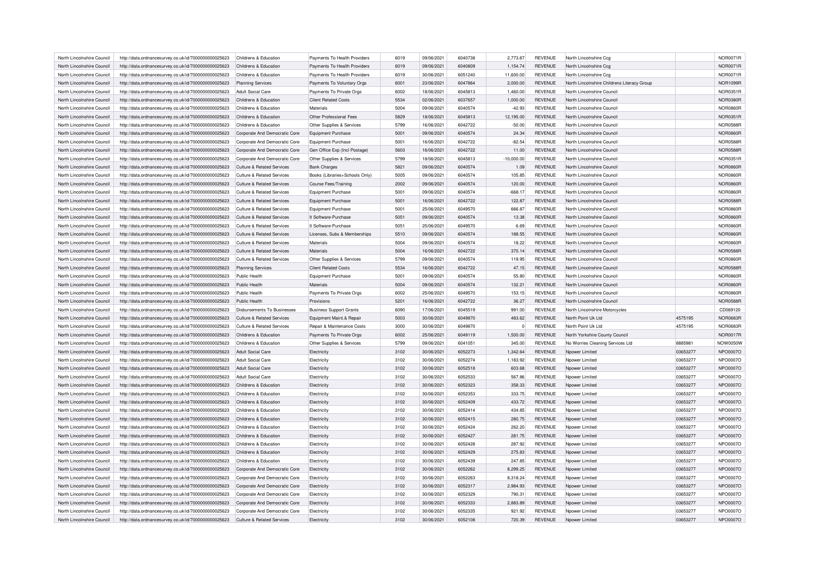| North Lincolnshire Council | http://data.ordnancesurvey.co.uk/id/7000000000025623 | Childrens & Education                          | Payments To Health Providers   | 6019 | 09/06/2021 | 6040738 | 2,773.87     | <b>REVENUE</b> | North Lincolnshire Ccq                      |          | <b>NOR0071R</b> |
|----------------------------|------------------------------------------------------|------------------------------------------------|--------------------------------|------|------------|---------|--------------|----------------|---------------------------------------------|----------|-----------------|
| North Lincolnshire Council | http://data.ordnancesurvey.co.uk/id/7000000000025623 | Childrens & Education                          | Payments To Health Providers   | 6019 | 09/06/2021 | 6040809 | 1,154.74     | <b>REVENUE</b> | North Lincolnshire Ccq                      |          | <b>NOR0071R</b> |
| North Lincolnshire Council | http://data.ordnancesurvey.co.uk/id/7000000000025623 | Childrens & Education                          | Payments To Health Providers   | 6019 | 30/06/2021 | 6051240 | 11,600.00    | <b>REVENUE</b> | North Lincolnshire Cog                      |          | <b>NOR0071R</b> |
| North Lincolnshire Council | http://data.ordnancesurvey.co.uk/id/7000000000025623 | <b>Planning Services</b>                       | Payments To Voluntary Orgs     | 6001 | 23/06/2021 | 6047864 | 2,000.00     | <b>REVENUE</b> | North Lincolnshire Childrens Literacy Group |          | <b>NOR1099R</b> |
| North Lincolnshire Council | http://data.ordnancesurvey.co.uk/id/7000000000025623 | <b>Adult Social Care</b>                       | Payments To Private Orgs       | 6002 | 18/06/2021 | 6045813 | 1,460.00     | <b>REVENUE</b> | North Lincolnshire Council                  |          | <b>NOR0351R</b> |
| North Lincolnshire Council | http://data.ordnancesurvey.co.uk/id/7000000000025623 | Childrens & Education                          | <b>Client Related Costs</b>    | 5534 | 02/06/2021 | 6037657 | 1,000.00     | <b>REVENUE</b> | North Lincolnshire Council                  |          | <b>NOR0380R</b> |
|                            |                                                      |                                                | Materials                      | 5004 |            |         |              |                |                                             |          |                 |
| North Lincolnshire Council | http://data.ordnancesurvey.co.uk/id/7000000000025623 | Childrens & Education<br>Childrens & Education | Other Professional Fees        | 5829 | 09/06/2021 | 6040574 | $-42.93$     | <b>REVENUE</b> | North Lincolnshire Council                  |          | <b>NOR0860R</b> |
| North Lincolnshire Council | http://data.ordnancesurvey.co.uk/id/7000000000025623 |                                                |                                |      | 18/06/2021 | 6045813 | 12,195.00    | <b>REVENUE</b> | North Lincolnshire Council                  |          | <b>NOR0351R</b> |
| North Lincolnshire Council | http://data.ordnancesurvey.co.uk/id/7000000000025623 | Childrens & Education                          | Other Supplies & Services      | 5799 | 16/06/2021 | 6042722 | $-50.00$     | <b>REVENUE</b> | North Lincolnshire Council                  |          | <b>NOR0588R</b> |
| North Lincolnshire Council | http://data.ordnancesurvey.co.uk/id/7000000000025623 | Corporate And Democratic Core                  | Equipment Purchase             | 5001 | 09/06/2021 | 6040574 | 24.34        | <b>REVENUE</b> | North Lincolnshire Council                  |          | <b>NOR0860R</b> |
| North Lincolnshire Council | http://data.ordnancesurvey.co.uk/id/7000000000025623 | Corporate And Democratic Core                  | <b>Equipment Purchase</b>      | 5001 | 16/06/2021 | 6042722 | $-82.54$     | <b>REVENUE</b> | North Lincolnshire Council                  |          | <b>NOR0588R</b> |
| North Lincolnshire Council | http://data.ordnancesurvey.co.uk/id/7000000000025623 | Corporate And Democratic Core                  | Gen Office Exp (Incl Postage)  | 5603 | 16/06/2021 | 6042722 | 11.00        | <b>REVENUE</b> | North Lincolnshire Council                  |          | <b>NOR0588R</b> |
| North Lincolnshire Council | http://data.ordnancesurvey.co.uk/id/7000000000025623 | Corporate And Democratic Core                  | Other Supplies & Services      | 5799 | 18/06/2021 | 6045813 | $-10,000.00$ | <b>REVENUE</b> | North Lincolnshire Council                  |          | <b>NOR0351R</b> |
| North Lincolnshire Council | http://data.ordnancesurvey.co.uk/id/7000000000025623 | Culture & Related Services                     | <b>Bank Charges</b>            | 5821 | 09/06/2021 | 6040574 | 1.09         | <b>REVENUE</b> | North Lincolnshire Council                  |          | <b>NOR0860R</b> |
| North Lincolnshire Council | http://data.ordnancesurvey.co.uk/id/7000000000025623 | Culture & Related Services                     | Books (Libraries+Schools Only) | 5005 | 09/06/2021 | 6040574 | 105.85       | <b>REVENUE</b> | North Lincolnshire Council                  |          | <b>NOR0860R</b> |
| North Lincolnshire Council | http://data.ordnancesurvey.co.uk/id/7000000000025623 | <b>Culture &amp; Related Services</b>          | Course Fees/Training           | 2002 | 09/06/2021 | 6040574 | 120.00       | <b>REVENUE</b> | North Lincolnshire Council                  |          | <b>NOR0860R</b> |
| North Lincolnshire Council | http://data.ordnancesurvey.co.uk/id/7000000000025623 | <b>Culture &amp; Related Services</b>          | <b>Equipment Purchase</b>      | 5001 | 09/06/2021 | 6040574 | $-668.17$    | <b>REVENUE</b> | North Lincolnshire Council                  |          | <b>NOR0860R</b> |
| North Lincolnshire Council | http://data.ordnancesurvey.co.uk/id/7000000000025623 | Culture & Related Services                     | <b>Equipment Purchase</b>      | 5001 | 16/06/2021 | 6042722 | 122.87       | <b>REVENUE</b> | North Lincolnshire Council                  |          | <b>NOR0588R</b> |
| North Lincolnshire Council | http://data.ordnancesurvey.co.uk/id/7000000000025623 | <b>Culture &amp; Related Services</b>          | <b>Equipment Purchase</b>      | 5001 | 25/06/2021 | 6049570 | 666.87       | <b>REVENUE</b> | North Lincolnshire Council                  |          | <b>NOR0860R</b> |
| North Lincolnshire Council | http://data.ordnancesurvey.co.uk/id/7000000000025623 | Culture & Related Services                     | It Software-Purchase           | 5051 | 09/06/2021 | 6040574 | 13.38        | <b>REVENUE</b> | North Lincolnshire Council                  |          | <b>NOR0860R</b> |
| North Lincolnshire Council | http://data.ordnancesurvey.co.uk/id/7000000000025623 | <b>Culture &amp; Related Services</b>          | It Software-Purchase           | 5051 | 25/06/2021 | 6049570 | 6.69         | <b>REVENUE</b> | North Lincolnshire Council                  |          | <b>NOR0860R</b> |
| North Lincolnshire Council | http://data.ordnancesurvey.co.uk/id/7000000000025623 | Culture & Related Services                     | Licenses, Subs & Memberships   | 5510 | 09/06/2021 | 6040574 | 188.55       | <b>REVENUE</b> | North Lincolnshire Council                  |          | <b>NOR0860R</b> |
| North Lincolnshire Council | http://data.ordnancesurvey.co.uk/id/7000000000025623 | <b>Culture &amp; Related Services</b>          | Materials                      | 5004 | 09/06/2021 | 6040574 | 18.22        | <b>REVENUE</b> | North Lincolnshire Council                  |          | <b>NOR0860R</b> |
|                            |                                                      |                                                | <b>Materials</b>               | 5004 |            |         |              |                | North Lincolnshire Council                  |          |                 |
| North Lincolnshire Council | http://data.ordnancesurvey.co.uk/id/7000000000025623 | Culture & Related Services                     |                                |      | 16/06/2021 | 6042722 | 370.14       | <b>REVENUE</b> |                                             |          | <b>NOR0588R</b> |
| North Lincolnshire Council | http://data.ordnancesurvey.co.uk/id/7000000000025623 | Culture & Related Services                     | Other Supplies & Services      | 5799 | 09/06/2021 | 6040574 | 119.95       | <b>REVENUE</b> | North Lincolnshire Council                  |          | <b>NOR0860R</b> |
| North Lincolnshire Council | http://data.ordnancesurvey.co.uk/id/7000000000025623 | <b>Planning Services</b>                       | <b>Client Related Costs</b>    | 5534 | 16/06/2021 | 6042722 | 47.15        | <b>REVENUE</b> | North Lincolnshire Council                  |          | <b>NOR0588R</b> |
| North Lincolnshire Council | http://data.ordnancesurvey.co.uk/id/7000000000025623 | Public Health                                  | <b>Equipment Purchase</b>      | 5001 | 09/06/2021 | 6040574 | 55.80        | <b>REVENUE</b> | North Lincolnshire Council                  |          | <b>NOR0860R</b> |
| North Lincolnshire Council | http://data.ordnancesurvey.co.uk/id/7000000000025623 | Public Health                                  | Materials                      | 5004 | 09/06/2021 | 6040574 | 132.21       | <b>REVENUE</b> | North Lincolnshire Council                  |          | <b>NOR0860R</b> |
| North Lincolnshire Council | http://data.ordnancesurvey.co.uk/id/7000000000025623 | Public Health                                  | Payments To Private Orgs       | 6002 | 25/06/2021 | 6049570 | 153.15       | <b>REVENUE</b> | North Lincolnshire Council                  |          | <b>NOR0860R</b> |
| North Lincolnshire Council | http://data.ordnancesurvey.co.uk/id/7000000000025623 | Public Health                                  | Provisions                     | 5201 | 16/06/2021 | 6042722 | 36.27        | <b>REVENUE</b> | North Lincolnshire Council                  |          | <b>NOR0588R</b> |
| North Lincolnshire Council | http://data.ordnancesurvey.co.uk/id/7000000000025623 | Disbursements To Businesses                    | <b>Business Support Grants</b> | 6090 | 17/06/2021 | 6045519 | 991.00       | <b>REVENUE</b> | North Lincolnshire Motorcycles              |          | CD069120        |
| North Lincolnshire Council | http://data.ordnancesurvey.co.uk/id/7000000000025623 | <b>Culture &amp; Related Services</b>          | Equipment Maint.& Repair       | 5003 | 30/06/2021 | 6049870 | 483.62       | <b>REVENUE</b> | North Point Uk Ltd                          | 4575195  | <b>NOR0683R</b> |
| North Lincolnshire Council | http://data.ordnancesurvey.co.uk/id/7000000000025623 | Culture & Related Services                     | Repair & Maintenance Costs     | 3000 | 30/06/2021 | 6049870 |              | <b>REVENUE</b> | North Point Uk Ltd                          | 4575195  | <b>NOR0683R</b> |
| North Lincolnshire Council | http://data.ordnancesurvey.co.uk/id/7000000000025623 | Childrens & Education                          | Payments To Private Orgs       | 6002 | 25/06/2021 | 6049119 | 1,500.00     | <b>REVENUE</b> | North Yorkshire County Council              |          | <b>NOR0017R</b> |
| North Lincolnshire Council | http://data.ordnancesurvey.co.uk/id/7000000000025623 | Childrens & Education                          | Other Supplies & Services      | 5799 | 09/06/2021 | 6041051 | 345.00       | <b>REVENUE</b> | No Worries Cleaning Services Ltd            | 8885981  | NOW0050W        |
| North Lincolnshire Council | http://data.ordnancesurvey.co.uk/id/7000000000025623 | <b>Adult Social Care</b>                       | Electricity                    | 3102 | 30/06/2021 | 6052273 | 1.342.64     | <b>REVENUE</b> | Noower Limited                              | 03653277 | NPO0007O        |
| North Lincolnshire Council | http://data.ordnancesurvey.co.uk/id/7000000000025623 | Adult Social Care                              | Electricity                    | 3102 | 30/06/2021 | 6052274 | 1,183.92     | <b>REVENUE</b> | Noower Limited                              | 03653277 | NPO0007O        |
| North Lincolnshire Council | http://data.ordnancesurvey.co.uk/id/7000000000025623 | <b>Adult Social Care</b>                       | Electricity                    | 3102 | 30/06/2021 | 6052518 | 603.68       | <b>REVENUE</b> | Npower Limited                              | 03653277 | NPO0007O        |
| North Lincolnshire Council | http://data.ordnancesurvey.co.uk/id/7000000000025623 | <b>Adult Social Care</b>                       | Electricity                    | 3102 | 30/06/2021 | 6052533 | 567.86       | <b>REVENUE</b> | Npower Limited                              | 03653277 | NPO0007O        |
| North Lincolnshire Council | http://data.ordnancesurvey.co.uk/id/7000000000025623 | Childrens & Education                          | Electricity                    | 3102 | 30/06/2021 | 6052323 | 358.33       | <b>REVENUE</b> | Npower Limited                              | 03653277 | NPO0007O        |
| North Lincolnshire Council | http://data.ordnancesurvey.co.uk/id/7000000000025623 | Childrens & Education                          | Electricity                    | 3102 | 30/06/2021 | 6052353 | 333.75       | <b>REVENUE</b> | Npower Limited                              | 03653277 | NPO0007O        |
| North Lincolnshire Council | http://data.ordnancesurvey.co.uk/id/7000000000025623 | Childrens & Education                          | Electricity                    | 3102 | 30/06/2021 | 6052409 | 433.72       | <b>REVENUE</b> | Npower Limited                              | 03653277 | NPO0007O        |
|                            |                                                      |                                                |                                |      |            |         |              |                |                                             |          |                 |
| North Lincolnshire Council | http://data.ordnancesurvey.co.uk/id/7000000000025623 | Childrens & Education                          | Electricity                    | 3102 | 30/06/2021 | 6052414 | 434.85       | <b>REVENUE</b> | Npower Limited                              | 03653277 | NPO0007O        |
| North Lincolnshire Council | http://data.ordnancesurvey.co.uk/id/7000000000025623 | Childrens & Education                          | Electricity                    | 3102 | 30/06/2021 | 6052415 | 280.75       | <b>REVENUE</b> | Npower Limited                              | 03653277 | NPO0007O        |
| North Lincolnshire Council | http://data.ordnancesurvey.co.uk/id/7000000000025623 | Childrens & Education                          | Electricity                    | 3102 | 30/06/2021 | 6052424 | 262.20       | <b>REVENUE</b> | Nnower I imited                             | 03653277 | NPO0007O        |
| North Lincolnshire Council | http://data.ordnancesurvey.co.uk/id/7000000000025623 | Childrens & Education                          | Electricity                    | 3102 | 30/06/2021 | 6052427 | 281.75       | <b>REVENUE</b> | Npower Limited                              | 03653277 | NPO0007O        |
| North Lincolnshire Council | http://data.ordnancesurvey.co.uk/id/7000000000025623 | Childrens & Education                          | Electricity                    | 3102 | 30/06/2021 | 6052428 | 287.92       | <b>REVENUE</b> | Nnower I imited                             | 03653277 | NPO0007O        |
| North Lincolnshire Council | http://data.ordnancesurvey.co.uk/id/7000000000025623 | Childrens & Education                          | Electricity                    | 3102 | 30/06/2021 | 6052429 | 275.83       | <b>REVENUE</b> | Nnower I imited                             | 03653277 | NPO0007O        |
| North Lincolnshire Council | http://data.ordnancesurvey.co.uk/id/7000000000025623 | Childrens & Education                          | Electricity                    | 3102 | 30/06/2021 | 6052439 | 247.85       | <b>REVENUE</b> | Npower Limited                              | 03653277 | NPO0007O        |
| North Lincolnshire Council | http://data.ordnancesurvey.co.uk/id/7000000000025623 | Corporate And Democratic Core                  | Electricity                    | 3102 | 30/06/2021 | 6052262 | 8,299.25     | <b>REVENUE</b> | Noower Limited                              | 03653277 | NPO0007O        |
| North Lincolnshire Council | http://data.ordnancesurvey.co.uk/id/7000000000025623 | Corporate And Democratic Core                  | Electricity                    | 3102 | 30/06/2021 | 6052263 | 8.318.24     | <b>REVENUE</b> | Noower Limited                              | 03653277 | NPO0007O        |
| North Lincolnshire Council | http://data.ordnancesurvey.co.uk/id/7000000000025623 | Corporate And Democratic Core                  | Electricity                    | 3102 | 30/06/2021 | 6052317 | 2,984.93     | <b>REVENUE</b> | Npower Limited                              | 03653277 | NPO0007O        |
| North Lincolnshire Council | http://data.ordnancesurvey.co.uk/id/7000000000025623 | Corporate And Democratic Core                  | Electricity                    | 3102 | 30/06/2021 | 6052329 | 790.31       | <b>REVENUE</b> | Npower Limited                              | 03653277 | NPO0007O        |
| North Lincolnshire Council | http://data.ordnancesurvey.co.uk/id/7000000000025623 | Cornorate And Democratic Core                  | Flectricity                    | 3102 | 30/06/2021 | 6052333 | 2.883.89     | <b>REVENUE</b> | Noower Limited                              | 03653277 | NPO0007O        |
| North Lincolnshire Council | http://data.ordnancesurvey.co.uk/id/7000000000025623 | Corporate And Democratic Core                  | Electricity                    | 3102 | 30/06/2021 | 6052335 | 921.92       | <b>REVENUE</b> | Noower Limited                              | 03653277 | NPO0007O        |
| North Lincolnshire Council | http://data.ordnancesurvey.co.uk/id/7000000000025623 | Culture & Related Services                     | Electricity                    | 3102 | 30/06/2021 | 6052108 | 720.39       | <b>REVENUE</b> | Npower Limited                              | 03653277 | NPO0007O        |
|                            |                                                      |                                                |                                |      |            |         |              |                |                                             |          |                 |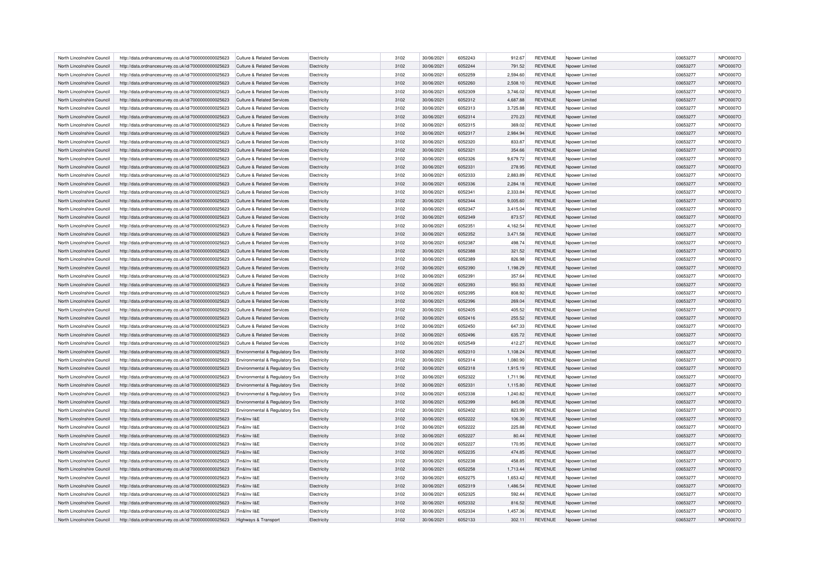| North Lincolnshire Council | http://data.ordnancesurvey.co.uk/id/7000000000025623 | <b>Culture &amp; Related Services</b> | Electricity | 3102 | 30/06/2021 | 6052243 | 912.67   | <b>REVENUE</b> | Noower Limited  | 03653277 | NPO0007O |
|----------------------------|------------------------------------------------------|---------------------------------------|-------------|------|------------|---------|----------|----------------|-----------------|----------|----------|
| North Lincolnshire Council | http://data.ordnancesurvey.co.uk/id/7000000000025623 | Culture & Related Services            | Electricity | 3102 | 30/06/2021 | 6052244 | 791.52   | <b>REVENUE</b> | Noower Limited  | 03653277 | NPO0007O |
| North Lincolnshire Council | http://data.ordnancesurvey.co.uk/id/7000000000025623 | Culture & Related Services            | Electricity | 3102 | 30/06/2021 | 6052259 | 2.594.60 | <b>REVENUE</b> | Nnower I imited | 03653277 | NPO0007O |
| North Lincolnshire Council | http://data.ordnancesurvey.co.uk/id/7000000000025623 | <b>Culture &amp; Related Services</b> | Electricity | 3102 | 30/06/2021 | 6052260 | 2,508.10 | <b>REVENUE</b> | Noower Limited  | 03653277 | NPO0007O |
|                            |                                                      |                                       |             |      |            | 6052309 |          |                |                 |          |          |
| North Lincolnshire Council | http://data.ordnancesurvey.co.uk/id/7000000000025623 | <b>Culture &amp; Related Services</b> | Electricity | 3102 | 30/06/2021 |         | 3,746.02 | <b>REVENUE</b> | Npower Limited  | 03653277 | NPO0007O |
| North Lincolnshire Council | http://data.ordnancesurvey.co.uk/id/7000000000025623 | Culture & Related Services            | Electricity | 3102 | 30/06/2021 | 6052312 | 4,687.88 | <b>REVENUE</b> | Nnower I imited | 03653277 | NPO0007O |
| North Lincolnshire Council | http://data.ordnancesurvey.co.uk/id/7000000000025623 | <b>Culture &amp; Related Services</b> | Electricity | 3102 | 30/06/2021 | 6052313 | 3,725.88 | <b>REVENUE</b> | Noower Limited  | 03653277 | NPO0007O |
| North Lincolnshire Council | http://data.ordnancesurvey.co.uk/id/7000000000025623 | <b>Culture &amp; Related Services</b> | Electricity | 3102 | 30/06/2021 | 6052314 | 270.23   | <b>REVENUE</b> | Npower Limited  | 03653277 | NPO0007O |
| North Lincolnshire Council | http://data.ordnancesurvey.co.uk/id/7000000000025623 | Culture & Related Services            | Electricity | 3102 | 30/06/2021 | 6052315 | 369.02   | <b>REVENUE</b> | Noower Limited  | 03653277 | NPO0007O |
| North Lincolnshire Council | http://data.ordnancesurvey.co.uk/id/7000000000025623 | <b>Culture &amp; Related Services</b> | Electricity | 3102 | 30/06/2021 | 6052317 | 2,984.94 | <b>REVENUE</b> | Noower Limited  | 03653277 | NPO0007O |
| North Lincolnshire Council | http://data.ordnancesurvey.co.uk/id/7000000000025623 | <b>Culture &amp; Related Services</b> | Electricity | 3102 | 30/06/2021 | 6052320 | 833.87   | <b>REVENUE</b> | Npower Limited  | 03653277 | NPO0007O |
| North Lincolnshire Council | http://data.ordnancesurvey.co.uk/id/7000000000025623 | <b>Culture &amp; Related Services</b> | Electricity | 3102 | 30/06/2021 | 6052321 | 354.66   | <b>REVENUE</b> | Noower Limited  | 03653277 | NPO0007O |
| North Lincolnshire Council | http://data.ordnancesurvey.co.uk/id/7000000000025623 | <b>Culture &amp; Related Services</b> | Electricity | 3102 | 30/06/2021 | 6052326 | 9,679.72 | <b>REVENUE</b> | Noower Limited  | 03653277 | NPO0007O |
| North Lincolnshire Council | http://data.ordnancesurvey.co.uk/id/7000000000025623 | <b>Culture &amp; Related Services</b> | Electricity | 3102 | 30/06/2021 | 6052331 | 278.95   | <b>REVENUE</b> | Npower Limited  | 03653277 | NPO0007O |
| North Lincolnshire Council | http://data.ordnancesurvey.co.uk/id/7000000000025623 | Culture & Related Services            | Electricity | 3102 | 30/06/2021 | 6052333 | 2,883.89 | <b>REVENUE</b> | Noower Limited  | 03653277 | NPO0007O |
| North Lincolnshire Council | http://data.ordnancesurvey.co.uk/id/7000000000025623 | <b>Culture &amp; Related Services</b> | Electricity | 3102 | 30/06/2021 | 6052336 | 2.284.18 | <b>REVENUE</b> | Nnower I imited | 03653277 | NPO0007O |
| North Lincolnshire Council | http://data.ordnancesurvey.co.uk/id/7000000000025623 | Culture & Related Services            | Flectricity | 3102 | 30/06/2021 | 6052341 | 2.333.84 | <b>REVENUE</b> | Nnower I imited | 03653277 | NPO0007O |
| North Lincolnshire Council | http://data.ordnancesurvey.co.uk/id/7000000000025623 | Culture & Related Services            | Electricity | 3102 | 30/06/2021 | 6052344 | 9.005.60 | <b>REVENUE</b> | Noower Limited  | 03653277 | NPO0007O |
| North Lincolnshire Council | http://data.ordnancesurvey.co.uk/id/7000000000025623 | Culture & Related Services            | Electricity | 3102 | 30/06/2021 | 6052347 | 3,415.04 | REVENUE        | Nnower I imited | 03653277 | NPO0007O |
| North Lincolnshire Council | http://data.ordnancesurvey.co.uk/id/7000000000025623 | Culture & Related Services            | Electricity | 3102 | 30/06/2021 | 6052349 | 873.57   | <b>REVENUE</b> | Noower Limited  | 03653277 | NPO0007O |
|                            |                                                      |                                       |             |      |            | 6052351 |          |                |                 |          |          |
| North Lincolnshire Council | http://data.ordnancesurvey.co.uk/id/7000000000025623 | Culture & Related Services            | Electricity | 3102 | 30/06/2021 |         | 4.162.54 | <b>REVENUE</b> | Noower Limited  | 03653277 | NPO0007O |
| North Lincolnshire Council | http://data.ordnancesurvey.co.uk/id/7000000000025623 | Culture & Related Services            | Electricity | 3102 | 30/06/2021 | 6052352 | 3,471.58 | <b>REVENUE</b> | Noower Limited  | 03653277 | NPO0007O |
| North Lincolnshire Council | http://data.ordnancesurvey.co.uk/id/7000000000025623 | Culture & Related Services            | Electricity | 3102 | 30/06/2021 | 6052387 | 498.74   | <b>REVENUE</b> | Noower Limited  | 03653277 | NPO0007O |
| North Lincolnshire Council | http://data.ordnancesurvey.co.uk/id/7000000000025623 | Culture & Related Services            | Electricity | 3102 | 30/06/2021 | 6052388 | 321.52   | <b>REVENUE</b> | Noower Limited  | 03653277 | NPO0007O |
| North Lincolnshire Council | http://data.ordnancesurvey.co.uk/id/7000000000025623 | <b>Culture &amp; Related Services</b> | Electricity | 3102 | 30/06/2021 | 6052389 | 826.98   | <b>REVENUE</b> | Noower Limited  | 03653277 | NPO0007O |
| North Lincolnshire Council | http://data.ordnancesurvey.co.uk/id/7000000000025623 | Culture & Related Services            | Flectricity | 3102 | 30/06/2021 | 6052390 | 1.198.29 | <b>REVENUE</b> | Noower Limited  | 03653277 | NPO0007O |
| North Lincolnshire Council | http://data.ordnancesurvey.co.uk/id/7000000000025623 | Culture & Related Services            | Electricity | 3102 | 30/06/2021 | 6052391 | 357.64   | <b>REVENUE</b> | Noower Limited  | 03653277 | NPO0007O |
| North Lincolnshire Council | http://data.ordnancesurvey.co.uk/id/7000000000025623 | <b>Culture &amp; Related Services</b> | Electricity | 3102 | 30/06/2021 | 6052393 | 950.93   | <b>REVENUE</b> | Noower Limited  | 03653277 | NPO0007O |
| North Lincolnshire Council | http://data.ordnancesurvey.co.uk/id/7000000000025623 | <b>Culture &amp; Related Services</b> | Electricity | 3102 | 30/06/2021 | 6052395 | 808.92   | <b>REVENUE</b> | Nnower I imited | 03653277 | NPO0007O |
| North Lincolnshire Council | http://data.ordnancesurvey.co.uk/id/7000000000025623 | Culture & Related Services            | Electricity | 3102 | 30/06/2021 | 6052396 | 269.04   | <b>REVENUE</b> | Noower Limited  | 03653277 | NPO0007O |
| North Lincolnshire Council | http://data.ordnancesurvey.co.uk/id/7000000000025623 | <b>Culture &amp; Related Services</b> | Electricity | 3102 | 30/06/2021 | 6052405 | 405.52   | <b>REVENUE</b> | Noower Limited  | 03653277 | NPO0007O |
| North Lincolnshire Council | http://data.ordnancesurvey.co.uk/id/7000000000025623 | Culture & Related Services            | Flectricity | 3102 | 30/06/2021 | 6052416 | 255.52   | <b>REVENUE</b> | Nnower I imited | 03653277 | NPO0007O |
| North Lincolnshire Council | http://data.ordnancesurvey.co.uk/id/7000000000025623 | Culture & Related Services            | Electricity | 3102 | 30/06/2021 | 6052450 | 647.33   | <b>REVENUE</b> | Noower Limited  | 03653277 | NPO0007O |
| North Lincolnshire Council | http://data.ordnancesurvey.co.uk/id/7000000000025623 | <b>Culture &amp; Related Services</b> | Electricity | 3102 | 30/06/2021 | 6052496 | 635.72   | <b>REVENUE</b> | Noower Limited  | 03653277 | NPO0007O |
| North Lincolnshire Council | http://data.ordnancesurvey.co.uk/id/7000000000025623 | Culture & Related Services            | Electricity | 3102 | 30/06/2021 | 6052549 | 412.27   | <b>REVENUE</b> | Nnower I imited | 03653277 | NPO0007O |
| North Lincolnshire Council |                                                      |                                       |             | 3102 |            | 6052310 |          |                |                 |          |          |
|                            | http://data.ordnancesurvey.co.uk/id/7000000000025623 | Environmental & Regulatory Svs        | Electricity |      | 30/06/2021 |         | 1,108.24 | <b>REVENUE</b> | Noower Limited  | 03653277 | NPO0007O |
| North Lincolnshire Council | http://data.ordnancesurvey.co.uk/id/7000000000025623 | Environmental & Regulatory Svs        | Electricity | 3102 | 30/06/2021 | 6052314 | 1,080.90 | <b>REVENUE</b> | Noower Limited  | 03653277 | NPO0007O |
| North Lincolnshire Council | http://data.ordnancesurvey.co.uk/id/7000000000025623 | Environmental & Regulatory Svs        | Electricity | 3102 | 30/06/2021 | 6052318 | 1,915.19 | <b>REVENUE</b> | Npower Limited  | 03653277 | NPO0007O |
| North Lincolnshire Council | http://data.ordnancesurvey.co.uk/id/7000000000025623 | Environmental & Regulatory Svs        | Electricity | 3102 | 30/06/2021 | 6052322 | 1,711.96 | <b>REVENUE</b> | Npower Limited  | 03653277 | NPO0007O |
| North Lincolnshire Council | http://data.ordnancesurvey.co.uk/id/7000000000025623 | Environmental & Regulatory Svs        | Electricity | 3102 | 30/06/2021 | 6052331 | 1,115.80 | <b>REVENUE</b> | Noower Limited  | 03653277 | NPO0007O |
| North Lincolnshire Council | http://data.ordnancesurvey.co.uk/id/7000000000025623 | Environmental & Regulatory Svs        | Electricity | 3102 | 30/06/2021 | 6052338 | 1,240.82 | <b>REVENUE</b> | Noower Limited  | 03653277 | NPO0007O |
| North Lincolnshire Council | http://data.ordnancesurvey.co.uk/id/7000000000025623 | Environmental & Regulatory Svs        | Electricity | 3102 | 30/06/2021 | 6052399 | 845.08   | <b>REVENUE</b> | Npower Limited  | 03653277 | NPO0007O |
| North Lincolnshire Council | http://data.ordnancesurvey.co.uk/id/7000000000025623 | Environmental & Regulatory Svs        | Electricity | 3102 | 30/06/2021 | 6052402 | 823.99   | <b>REVENUE</b> | Npower Limited  | 03653277 | NPO0007O |
| North Lincolnshire Council | http://data.ordnancesurvey.co.uk/id/7000000000025623 | Fin&Inv I&F                           | Electricity | 3102 | 30/06/2021 | 6052222 | 106.30   | <b>REVENUE</b> | Noower Limited  | 03653277 | NPO0007O |
| North Lincolnshire Council | http://data.ordnancesurvey.co.uk/id/7000000000025623 | Fin&Inv I&F                           | Electricity | 3102 | 30/06/2021 | 6052222 | 225.88   | <b>REVENUE</b> | Npower Limited  | 03653277 | NPO0007O |
| North Lincolnshire Council | http://data.ordnancesurvey.co.uk/id/7000000000025623 | Fin&Inv I&F                           | Electricity | 3102 | 30/06/2021 | 6052227 | 80.44    | <b>REVENUE</b> | Npower Limited  | 03653277 | NPO0007O |
| North Lincolnshire Council | http://data.ordnancesurvey.co.uk/id/7000000000025623 | Fin&Inv I&E                           | Electricity | 3102 | 30/06/2021 | 6052227 | 170.95   | <b>REVENUE</b> | Noower Limited  | 03653277 | NPO0007O |
| North Lincolnshire Council | http://data.ordnancesurvey.co.uk/id/7000000000025623 | Fin&Inv I&F                           | Electricity | 3102 | 30/06/2021 | 6052235 | 474.85   | <b>REVENUE</b> | Npower Limited  | 03653277 | NPO0007O |
| North Lincolnshire Council | http://data.ordnancesurvey.co.uk/id/7000000000025623 | Fin&Inv I&F                           | Electricity | 3102 | 30/06/2021 | 6052238 | 458.85   | <b>REVENUE</b> | Npower Limited  | 03653277 | NPO0007O |
| North Lincolnshire Council |                                                      | Fin&Inv I&F                           |             | 3102 | 30/06/2021 | 6052258 |          | <b>REVENUE</b> |                 | 03653277 | NPO0007O |
|                            | http://data.ordnancesurvey.co.uk/id/7000000000025623 |                                       | Electricity |      |            |         | 1,713.44 |                | Noower Limited  |          |          |
| North Lincolnshire Council | http://data.ordnancesurvey.co.uk/id/7000000000025623 | Fin&Inv I&E                           | Electricity | 3102 | 30/06/2021 | 6052275 | 1,653.42 | <b>REVENUE</b> | Npower Limited  | 03653277 | NPO0007O |
| North Lincolnshire Council | http://data.ordnancesurvey.co.uk/id/7000000000025623 | Fin&Inv I&F                           | Electricity | 3102 | 30/06/2021 | 6052319 | 1.486.54 | <b>REVENUE</b> | Nnower I imited | 03653277 | NPO0007O |
| North Lincolnshire Council | http://data.ordnancesurvey.co.uk/id/7000000000025623 | Fin&Inv I&F                           | Electricity | 3102 | 30/06/2021 | 6052325 | 592.44   | <b>REVENUE</b> | Noower Limited  | 03653277 | NPO0007O |
| North Lincolnshire Council | http://data.ordnancesurvey.co.uk/id/7000000000025623 | Fin&Inv I&E                           | Electricity | 3102 | 30/06/2021 | 6052332 | 816.52   | <b>REVENUE</b> | Npower Limited  | 03653277 | NPO0007O |
| North Lincolnshire Council | http://data.ordnancesurvey.co.uk/id/7000000000025623 | Fin&Inv I&F                           | Flectricity | 3102 | 30/06/2021 | 6052334 | 1.457.36 | <b>REVENUE</b> | Nnower I imited | 03653277 | NPO0007O |
| North Lincolnshire Council | http://data.ordnancesurvey.co.uk/id/7000000000025623 | Highways & Transport                  | Flectricity | 3102 | 30/06/2021 | 6052133 | 302.11   | <b>REVENUE</b> | Nnower I imited | 03653277 | NPO0007O |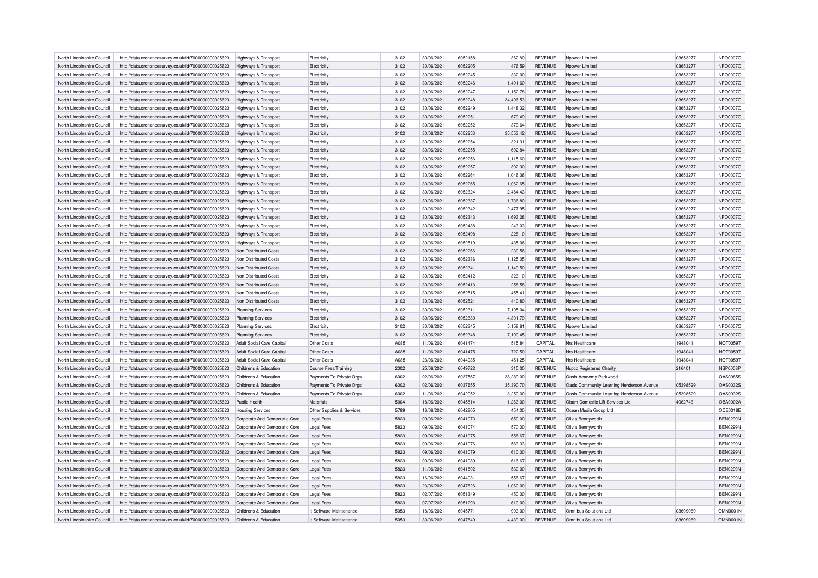| North Lincolnshire Council | http://data.ordnancesurvey.co.uk/id/7000000000025623 | Highways & Transport             | Electricity                 | 3102 | 30/06/2021 | 6052158            | 362.80    | <b>REVENUE</b> | Npower Limited                            | 03653277 | NPO0007O        |
|----------------------------|------------------------------------------------------|----------------------------------|-----------------------------|------|------------|--------------------|-----------|----------------|-------------------------------------------|----------|-----------------|
| North Lincolnshire Council | http://data.ordnancesurvey.co.uk/id/7000000000025623 | Highways & Transport             | Electricity                 | 3102 | 30/06/2021 | 6052205            | 476.59    | <b>REVENUE</b> | Noower Limited                            | 03653277 | NPO0007O        |
| North Lincolnshire Council | http://data.ordnancesurvey.co.uk/id/7000000000025623 | <b>Highways &amp; Transport</b>  | Electricity                 | 3102 | 30/06/2021 | 6052245            | 332.00    | <b>REVENUE</b> | Noower Limited                            | 03653277 | NPO0007O        |
| North Lincolnshire Council | http://data.ordnancesurvey.co.uk/id/7000000000025623 | Highways & Transport             | Electricity                 | 3102 | 30/06/2021 | 6052246            | 1,401.60  | <b>REVENUE</b> | Noower Limited                            | 03653277 | NPO0007O        |
| North Lincolnshire Council | http://data.ordnancesurvey.co.uk/id/7000000000025623 | Highways & Transport             | Electricity                 | 3102 | 30/06/2021 | 6052247            | 1,152.78  | <b>REVENUE</b> | Noower Limited                            | 03653277 | NPO0007O        |
| North Lincolnshire Council | http://data.ordnancesurvey.co.uk/id/7000000000025623 | Highways & Transport             | Electricity                 | 3102 | 30/06/2021 | 6052248            | 34.406.53 | <b>REVENUE</b> | Noower Limited                            | 03653277 | NPO0007O        |
| North Lincolnshire Council | http://data.ordnancesurvey.co.uk/id/7000000000025623 | Highways & Transport             | Electricity                 | 3102 | 30/06/2021 | 6052249            | 1,448.32  | <b>REVENUE</b> | Noower Limited                            | 03653277 | NPO0007O        |
| North Lincolnshire Council | http://data.ordnancesurvey.co.uk/id/7000000000025623 | Highways & Transport             | Electricity                 | 3102 | 30/06/2021 | 6052251            | 670.49    | <b>REVENUE</b> | Npower Limited                            | 03653277 | NPO0007O        |
| North Lincolnshire Council | http://data.ordnancesurvey.co.uk/id/7000000000025623 | Highways & Transport             | Electricity                 | 3102 | 30/06/2021 | 6052252            | 379.64    | <b>REVENUE</b> | Npower Limited                            | 03653277 | NPO0007O        |
| North Lincolnshire Council | http://data.ordnancesurvey.co.uk/id/7000000000025623 | Highways & Transport             | Electricity                 | 3102 | 30/06/2021 | 6052253            | 35.553.42 | <b>REVENUE</b> | Noower Limited                            | 03653277 | NPO0007O        |
| North Lincolnshire Council | http://data.ordnancesurvey.co.uk/id/7000000000025623 | Highways & Transport             | Electricity                 | 3102 | 30/06/2021 | 6052254            | 321.31    | <b>REVENUE</b> | Npower Limited                            | 03653277 | NPO0007O        |
| North Lincolnshire Council | http://data.ordnancesurvey.co.uk/id/7000000000025623 |                                  | Electricity                 | 3102 | 30/06/2021 | 6052255            | 692.84    | <b>REVENUE</b> | Npower Limited                            | 03653277 | NPO0007O        |
|                            |                                                      | Highways & Transport             | Electricity                 | 3102 | 30/06/2021 | 6052256            | 1,115.60  | <b>REVENUE</b> |                                           | 03653277 | NPO0007O        |
| North Lincolnshire Council | http://data.ordnancesurvey.co.uk/id/7000000000025623 | Highways & Transport             |                             |      |            |                    |           |                | Noower Limited                            |          |                 |
| North Lincolnshire Council | http://data.ordnancesurvey.co.uk/id/7000000000025623 | Highways & Transport             | Electricity                 | 3102 | 30/06/2021 | 6052257            | 392.30    | <b>REVENUE</b> | Npower Limited                            | 03653277 | NPO0007O        |
| North Lincolnshire Council | http://data.ordnancesurvey.co.uk/id/7000000000025623 | Highways & Transport             | Electricity                 | 3102 | 30/06/2021 | 6052264            | 1,046.06  | <b>REVENUE</b> | Npower Limited                            | 03653277 | NPO0007O        |
| North Lincolnshire Council | http://data.ordnancesurvey.co.uk/id/7000000000025623 | <b>Highways &amp; Transport</b>  | Electricity                 | 3102 | 30/06/2021 | 6052265            | 1,062.65  | <b>REVENUE</b> | Npower Limited                            | 03653277 | NPO0007O        |
| North Lincolnshire Council | http://data.ordnancesurvey.co.uk/id/7000000000025623 | Highways & Transport             | Electricity                 | 3102 | 30/06/2021 | 6052324            | 2,464.43  | <b>REVENUE</b> | Npower Limited                            | 03653277 | NPO0007O        |
| North Lincolnshire Council | http://data.ordnancesurvey.co.uk/id/7000000000025623 | Highways & Transport             | Electricity                 | 3102 | 30/06/2021 | 6052337            | 1,736.80  | <b>REVENUE</b> | Npower Limited                            | 03653277 | NPO0007O        |
| North Lincolnshire Council | http://data.ordnancesurvey.co.uk/id/7000000000025623 | Highways & Transport             | Electricity                 | 3102 | 30/06/2021 | 6052342            | 2,477.95  | <b>REVENUE</b> | Npower Limited                            | 03653277 | NPO0007O        |
| North Lincolnshire Council | http://data.ordnancesurvey.co.uk/id/7000000000025623 | Highways & Transport             | Electricity                 | 3102 | 30/06/2021 | 6052343            | 1,693.28  | <b>REVENUE</b> | Npower Limited                            | 03653277 | NPO0007O        |
| North Lincolnshire Council | http://data.ordnancesurvey.co.uk/id/7000000000025623 | Highways & Transport             | Electricity                 | 3102 | 30/06/2021 | 6052438            | 243.03    | <b>REVENUE</b> | Nnower I imited                           | 03653277 | NPO0007O        |
| North Lincolnshire Council | http://data.ordnancesurvey.co.uk/id/7000000000025623 | Highways & Transport             | Electricity                 | 3102 | 30/06/2021 | 6052498            | 228.10    | <b>REVENUE</b> | Npower Limited                            | 03653277 | NPO0007O        |
| North Lincolnshire Council | http://data.ordnancesurvey.co.uk/id/7000000000025623 | Highways & Transport             | Electricity                 | 3102 | 30/06/2021 | 6052519            | 435.06    | <b>REVENUE</b> | Npower Limited                            | 03653277 | NPO0007O        |
| North Lincolnshire Council | http://data.ordnancesurvey.co.uk/id/7000000000025623 | Non Distributed Costs            | Electricity                 | 3102 | 30/06/2021 | 6052266            | 230.56    | <b>REVENUE</b> | Nnower I imited                           | 03653277 | NPO0007O        |
| North Lincolnshire Council | http://data.ordnancesurvey.co.uk/id/7000000000025623 | Non Distributed Costs            | Electricity                 | 3102 | 30/06/2021 | 6052336            | 1,125.05  | <b>REVENUE</b> | Npower Limited                            | 03653277 | NPO0007O        |
| North Lincolnshire Council | http://data.ordnancesurvey.co.uk/id/7000000000025623 | Non Distributed Costs            | Electricity                 | 3102 | 30/06/2021 | 6052341            | 1,149.50  | <b>REVENUE</b> | Npower Limited                            | 03653277 | NPO0007O        |
| North Lincolnshire Council | http://data.ordnancesurvey.co.uk/id/7000000000025623 | Non Distributed Costs            | Electricity                 | 3102 | 30/06/2021 | 6052412            | 323.10    | <b>REVENUE</b> | Nnower I imited                           | 03653277 | NPO0007O        |
| North Lincolnshire Council | http://data.ordnancesurvey.co.uk/id/7000000000025623 | Non Distributed Costs            | Electricity                 | 3102 | 30/06/2021 | 6052413            | 258.58    | <b>REVENUE</b> | Npower Limited                            | 03653277 | NPO0007O        |
| North Lincolnshire Council | http://data.ordnancesurvey.co.uk/id/7000000000025623 | Non Distributed Costs            | Electricity                 | 3102 | 30/06/2021 | 6052515            | 455.41    | <b>REVENUE</b> | Nnower I imited                           | 03653277 | NPO0007O        |
| North Lincolnshire Council | http://data.ordnancesurvey.co.uk/id/7000000000025623 | Non Distributed Costs            | Electricity                 | 3102 | 30/06/2021 | 6052521            | 440.80    | <b>REVENUE</b> | Nnower I imited                           | 03653277 | NPO0007O        |
| North Lincolnshire Council | http://data.ordnancesurvey.co.uk/id/7000000000025623 | <b>Planning Services</b>         | Electricity                 | 3102 | 30/06/2021 | 6052311            | 7,105.04  | <b>REVENUE</b> | Npower Limited                            | 03653277 | NPO0007O        |
| North Lincolnshire Council | http://data.ordnancesurvey.co.uk/id/7000000000025623 | <b>Planning Services</b>         | Electricity                 | 3102 | 30/06/2021 | 6052330            | 4,301.79  | <b>REVENUE</b> | Nnower I imited                           | 03653277 | NPO0007O        |
| North Lincolnshire Council | http://data.ordnancesurvey.co.uk/id/7000000000025623 | <b>Planning Services</b>         | Electricity                 | 3102 | 30/06/2021 | 6052345            | 5.158.61  | <b>REVENUE</b> | Noower Limited                            | 03653277 | NPO0007O        |
| North Lincolnshire Council | http://data.ordnancesurvey.co.uk/id/7000000000025623 | <b>Planning Services</b>         | Electricity                 | 3102 | 30/06/2021 | 6052348            | 7,190.45  | <b>REVENUE</b> | Npower Limited                            | 03653277 | NPO0007O        |
| North Lincolnshire Council | http://data.ordnancesurvey.co.uk/id/7000000000025623 | Adult Social Care Capital        | Other Costs                 | A085 | 11/06/2021 | 6041474            | 515.84    | CAPITAL        | Nrs Healthcare                            | 1948041  | NOT0059T        |
| North Lincolnshire Council | http://data.ordnancesurvey.co.uk/id/7000000000025623 | <b>Adult Social Care Capital</b> | Other Costs                 | A085 | 11/06/2021 | 6041475            | 722.50    | CAPITAL        | Nrs Healthcare                            | 1948041  | NOT0059T        |
| North Lincolnshire Council | http://data.ordnancesurvey.co.uk/id/7000000000025623 | Adult Social Care Capital        | Other Costs                 | A085 | 23/06/2021 | 6044935            | 451.25    | CAPITAL        | Nrs Healthcare                            | 1948041  | NOT0059T        |
| North Lincolnshire Council | http://data.ordnancesurvey.co.uk/id/7000000000025623 | Childrens & Education            | <b>Course Fees/Training</b> | 2002 | 25/06/2021 | 6049722            | 315.00    | <b>REVENUE</b> | <b>Nspcc Registered Charity</b>           | 216401   | NSP0008P        |
| North Lincolnshire Council | http://data.ordnancesurvey.co.uk/id/7000000000025623 | Childrens & Education            | Payments To Private Orgs    | 6002 | 02/06/2021 | 6037567            | 38,289.00 | <b>REVENUE</b> | Oasis Academy Parkwood                    |          | <b>OAS0085S</b> |
| North Lincolnshire Council | http://data.ordnancesurvey.co.uk/id/7000000000025623 | Childrens & Education            | Payments To Private Orgs    | 6002 | 02/06/2021 | 6037655            | 35,390.70 | <b>REVENUE</b> | Oasis Community Learning Henderson Avenue | 05398529 | OAS0032S        |
| North Lincolnshire Council | http://data.ordnancesurvey.co.uk/id/7000000000025623 | Childrens & Education            | Payments To Private Orgs    | 6002 | 11/06/2021 | 6042052            | 3,250.00  | <b>REVENUE</b> | Oasis Community Learning Henderson Avenue | 05398529 | OAS0032S        |
| North Lincolnshire Council | http://data.ordnancesurvey.co.uk/id/7000000000025623 | Public Health                    | Materials                   | 5004 | 18/06/2021 | 6045814            | 1,263.00  | <b>REVENUE</b> | Oham Domestic Lift Services Ltd           | 4062743  | <b>OBA0002A</b> |
| North Lincolnshire Council | http://data.ordnancesurvey.co.uk/id/7000000000025623 | <b>Housing Services</b>          |                             | 5799 | 16/06/2021 | 6042805            | 454.00    | <b>REVENUE</b> | Ocean Media Group Ltd                     |          | OCE0018E        |
|                            |                                                      |                                  | Other Supplies & Services   | 5823 |            |                    |           |                |                                           |          | <b>BEN0299N</b> |
| North Lincolnshire Council | http://data.ordnancesurvey.co.uk/id/7000000000025623 | Corporate And Democratic Core    | <b>Legal Fees</b>           | 5823 | 09/06/2021 | 6041073<br>6041074 | 650.00    | <b>REVENUE</b> | Olivia Bennyworth                         |          | <b>BEN0299N</b> |
| North Lincolnshire Council | http://data.ordnancesurvey.co.uk/id/7000000000025623 | Corporate And Democratic Core    | Legal Fees                  |      | 09/06/2021 |                    | 570.00    | <b>REVENUE</b> | Olivia Bennyworth                         |          |                 |
| North Lincolnshire Council | http://data.ordnancesurvey.co.uk/id/7000000000025623 | Corporate And Democratic Core    | Legal Fees                  | 5823 | 09/06/2021 | 6041075            | 556.67    | <b>REVENUE</b> | Olivia Bennyworth                         |          | <b>BEN0299N</b> |
| North Lincolnshire Council | http://data.ordnancesurvey.co.uk/id/7000000000025623 | Corporate And Democratic Core    | <b>Legal Fees</b>           | 5823 | 09/06/2021 | 6041076            | 583.33    | <b>REVENUE</b> | Olivia Bennyworth                         |          | <b>BEN0299N</b> |
| North Lincolnshire Council | http://data.ordnancesurvey.co.uk/id/7000000000025623 | Corporate And Democratic Core    | Legal Fees                  | 5823 | 09/06/2021 | 6041079            | 610.00    | <b>REVENUE</b> | Olivia Bennyworth                         |          | <b>BEN0299N</b> |
| North Lincolnshire Council | http://data.ordnancesurvey.co.uk/id/7000000000025623 | Corporate And Democratic Core    | <b>Legal Fees</b>           | 5823 | 09/06/2021 | 6041089            | 616.67    | <b>REVENUE</b> | Olivia Bennyworth                         |          | <b>BEN0299N</b> |
| North Lincolnshire Council | http://data.ordnancesurvey.co.uk/id/7000000000025623 | Corporate And Democratic Core    | <b>Legal Fees</b>           | 5823 | 11/06/2021 | 6041802            | 530.00    | <b>REVENUE</b> | Olivia Bennyworth                         |          | <b>BEN0299N</b> |
| North Lincolnshire Council | http://data.ordnancesurvey.co.uk/id/7000000000025623 | Corporate And Democratic Core    | Legal Fees                  | 5823 | 16/06/2021 | 6044031            | 556.67    | <b>REVENUE</b> | Olivia Bennyworth                         |          | <b>BEN0299N</b> |
| North Lincolnshire Council | http://data.ordnancesurvey.co.uk/id/7000000000025623 | Corporate And Democratic Core    | <b>Legal Fees</b>           | 5823 | 23/06/2021 | 6047826            | 1,060.00  | <b>REVENUE</b> | Olivia Bennyworth                         |          | <b>BEN0299N</b> |
| North Lincolnshire Council | http://data.ordnancesurvey.co.uk/id/7000000000025623 | Corporate And Democratic Core    | <b>Legal Fees</b>           | 5823 | 02/07/2021 | 6051349            | 450.00    | <b>REVENUE</b> | Olivia Bennyworth                         |          | <b>BEN0299N</b> |
| North Lincolnshire Council | http://data.ordnancesurvey.co.uk/id/7000000000025623 | Corporate And Democratic Core    | <b>Legal Fees</b>           | 5823 | 07/07/2021 | 6051293            | 610.00    | <b>REVENUE</b> | Olivia Bennyworth                         |          | <b>BEN0299N</b> |
| North Lincolnshire Council | http://data.ordnancesurvey.co.uk/id/7000000000025623 | Childrens & Education            | It Software-Maintenance     | 5053 | 18/06/2021 | 6045771            | 903.00    | <b>REVENUE</b> | Omnibus Solutions Ltd                     | 03609069 | <b>OMN0001N</b> |
| North Lincolnshire Council | http://data.ordnancesurvey.co.uk/id/7000000000025623 | Childrens & Education            | It Software-Maintenance     | 5053 | 30/06/2021 | 6047849            | 4.439.00  | <b>REVENUE</b> | Omnibus Solutions Ltd                     | 03609069 | <b>OMN0001N</b> |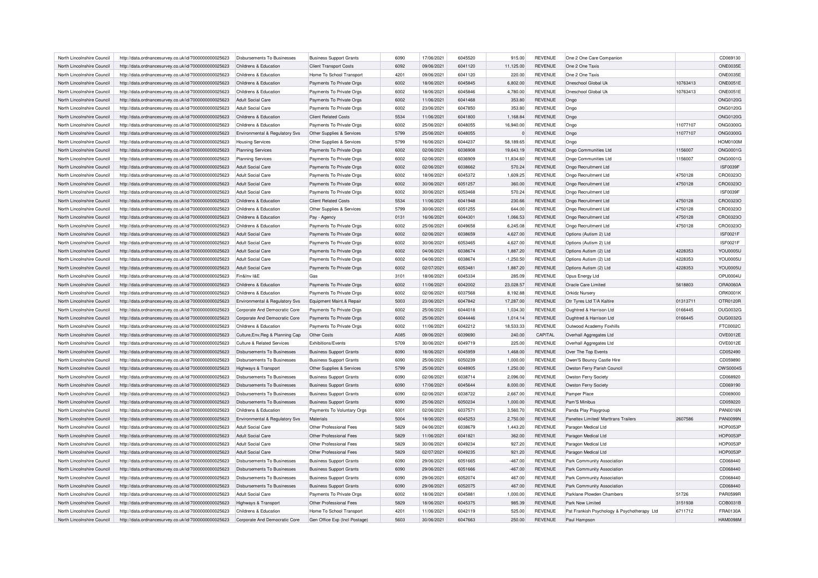| North Lincolnshire Council                               | http://data.ordnancesurvey.co.uk/id/7000000000025623 | Disbursements To Businesses                   | <b>Business Support Grants</b> | 6090 | 17/06/2021 | 6045520 | 915.00      | <b>REVENUE</b> | One 2 One Care Companion                     |          | CD069130        |
|----------------------------------------------------------|------------------------------------------------------|-----------------------------------------------|--------------------------------|------|------------|---------|-------------|----------------|----------------------------------------------|----------|-----------------|
| North Lincolnshire Council                               | http://data.ordnancesurvey.co.uk/id/7000000000025623 | Childrens & Education                         | <b>Client Transport Costs</b>  | 6092 | 09/06/2021 | 6041120 | 11,125.00   | <b>REVENUE</b> | One 2 One Taxis                              |          | <b>ONE0035E</b> |
| North Lincolnshire Council                               | http://data.ordnancesurvey.co.uk/id/7000000000025623 | Childrens & Education                         | Home To School Transport       | 4201 | 09/06/2021 | 6041120 | 220.00      | <b>REVENUE</b> | One 2 One Taxis                              |          | <b>ONE0035E</b> |
| North Lincolnshire Council                               | http://data.ordnancesurvey.co.uk/id/7000000000025623 | Childrens & Education                         | Payments To Private Orgs       | 6002 | 18/06/2021 | 6045845 | 6,802.00    | <b>REVENUE</b> | Oneschool Global Uk                          | 10763413 | <b>ONE0051E</b> |
| North Lincolnshire Council                               | http://data.ordnancesurvey.co.uk/id/7000000000025623 | Childrens & Education                         | Payments To Private Orgs       | 6002 | 18/06/2021 | 6045846 | 4,780.00    | <b>REVENUE</b> | Oneschool Global Ul                          | 10763413 | <b>ONE0051E</b> |
| North Lincolnshire Council                               | http://data.ordnancesurvey.co.uk/id/7000000000025623 | Adult Social Care                             | Payments To Private Orgs       | 6002 | 11/06/2021 | 6041468 | 353.80      | <b>REVENUE</b> | Ongo                                         |          | <b>ONG0120G</b> |
| North Lincolnshire Council                               | http://data.ordnancesurvey.co.uk/id/7000000000025623 | <b>Adult Social Care</b>                      | Payments To Private Orgs       | 6002 | 23/06/2021 | 6047850 | 353.80      | <b>REVENUE</b> | Ongo                                         |          | <b>ONG0120G</b> |
| North Lincolnshire Council                               | http://data.ordnancesurvey.co.uk/id/7000000000025623 | Childrens & Education                         | <b>Client Related Costs</b>    | 5534 | 11/06/2021 | 6041800 | 1,168.84    | <b>REVENUE</b> | Ongo                                         |          | <b>ONG0120G</b> |
| North Lincolnshire Council                               | http://data.ordnancesurvey.co.uk/id/7000000000025623 | Childrens & Education                         | Payments To Private Orgs       | 6002 | 25/06/2021 | 6048055 | 16,940.00   | <b>REVENUE</b> | Ongo                                         | 11077107 | <b>ONG0300G</b> |
| North Lincolnshire Council                               | http://data.ordnancesurvey.co.uk/id/7000000000025623 | Environmental & Regulatory Svs                | Other Supplies & Services      | 5799 | 25/06/2021 | 6048055 |             | <b>REVENUE</b> | Ongo                                         | 11077107 | <b>ONG0300G</b> |
| North Lincolnshire Council                               | http://data.ordnancesurvey.co.uk/id/7000000000025623 | <b>Housing Services</b>                       | Other Supplies & Services      | 5799 | 16/06/2021 | 6044237 | 58,189.65   | <b>REVENUE</b> | Ongo                                         |          | <b>HOM0100M</b> |
| North Lincolnshire Council                               | http://data.ordnancesurvey.co.uk/id/7000000000025623 | <b>Planning Services</b>                      | Payments To Private Orgs       | 6002 | 02/06/2021 | 6036908 | 19,643.19   | <b>REVENUE</b> | Ongo Communities Ltd                         | 1156007  | <b>ONG0001G</b> |
| North Lincolnshire Council                               | http://data.ordnancesurvey.co.uk/id/7000000000025623 | <b>Planning Services</b>                      | Payments To Private Orgs       | 6002 | 02/06/2021 | 6036909 | 11,834.60   | <b>REVENUE</b> | Ongo Communities Ltd                         | 1156007  | <b>ONG0001G</b> |
| North Lincolnshire Council                               | http://data.ordnancesurvey.co.uk/id/7000000000025623 | <b>Adult Social Care</b>                      | Payments To Private Orgs       | 6002 | 02/06/2021 | 6038662 | 570.24      | <b>REVENUE</b> | Ongo Recruitment Ltd                         |          | <b>ISF0039F</b> |
| North Lincolnshire Council                               |                                                      | <b>Adult Social Care</b>                      | Payments To Private Orgs       | 6002 | 18/06/2021 | 6045372 |             | <b>REVENUE</b> | Ongo Recruitment Ltd                         | 4750128  | CRO0323C        |
|                                                          | http://data.ordnancesurvey.co.uk/id/7000000000025623 |                                               |                                | 6002 |            | 6051257 | 1,609.25    | <b>REVENUE</b> |                                              | 4750128  | CRO0323C        |
| North Lincolnshire Council<br>North Lincolnshire Council | http://data.ordnancesurvey.co.uk/id/7000000000025623 | <b>Adult Social Care</b><br>Adult Social Care | Payments To Private Orgs       | 6002 | 30/06/2021 | 6053468 | 360.00      | <b>REVENUE</b> | Ongo Recruitment Ltd<br>Ongo Recruitment Ltd |          |                 |
|                                                          | http://data.ordnancesurvey.co.uk/id/7000000000025623 |                                               | Payments To Private Orgs       |      | 30/06/2021 |         | 570.24      |                |                                              |          | <b>ISF0039F</b> |
| North Lincolnshire Council                               | http://data.ordnancesurvey.co.uk/id/7000000000025623 | Childrens & Education                         | <b>Client Related Costs</b>    | 5534 | 11/06/2021 | 6041948 | 230.66      | <b>REVENUE</b> | Ongo Recruitment Ltd                         | 4750128  | CRO0323C        |
| North Lincolnshire Council                               | http://data.ordnancesurvey.co.uk/id/7000000000025623 | Childrens & Education                         | Other Supplies & Services      | 5799 | 30/06/2021 | 6051255 | 644.00      | <b>REVENUE</b> | Ongo Recruitment Ltd                         | 4750128  | CRO0323C        |
| North Lincolnshire Council                               | http://data.ordnancesurvey.co.uk/id/7000000000025623 | Childrens & Education                         | Pay - Agency                   | 0131 | 16/06/2021 | 6044301 | 1,066.53    | <b>REVENUE</b> | Ongo Recruitment Ltd                         | 4750128  | CRO0323C        |
| North Lincolnshire Council                               | http://data.ordnancesurvey.co.uk/id/7000000000025623 | Childrens & Education                         | Payments To Private Orgs       | 6002 | 25/06/2021 | 6049658 | 6,245.08    | <b>REVENUE</b> | Ongo Recruitment Ltd                         | 4750128  | CRO0323C        |
| North Lincolnshire Council                               | http://data.ordnancesurvey.co.uk/id/7000000000025623 | Adult Social Care                             | Payments To Private Orgs       | 6002 | 02/06/2021 | 6038659 | 4,627.00    | <b>REVENUE</b> | Options (Autism 2) Ltd                       |          | <b>ISF0021F</b> |
| North Lincolnshire Council                               | http://data.ordnancesurvey.co.uk/id/7000000000025623 | Adult Social Care                             | Payments To Private Orgs       | 6002 | 30/06/2021 | 6053465 | 4,627.00    | <b>REVENUE</b> | Options (Autism 2) Ltd                       |          | <b>ISF0021F</b> |
| North Lincolnshire Council                               | http://data.ordnancesurvey.co.uk/id/7000000000025623 | Adult Social Care                             | Payments To Private Orgs       | 6002 | 04/06/2021 | 6038674 | 1,887.20    | <b>REVENUE</b> | Options Autism (2) Ltd                       | 4228353  | <b>YOU0005U</b> |
| North Lincolnshire Council                               | http://data.ordnancesurvey.co.uk/id/7000000000025623 | Adult Social Care                             | Payments To Private Orgs       | 6002 | 04/06/2021 | 6038674 | $-1,250.50$ | <b>REVENUE</b> | Options Autism (2) Ltd                       | 4228353  | YOU0005U        |
| North Lincolnshire Council                               | http://data.ordnancesurvey.co.uk/id/7000000000025623 | Adult Social Care                             | Payments To Private Orgs       | 6002 | 02/07/2021 | 6053481 | 1.887.20    | <b>REVENUE</b> | Options Autism (2) Ltd                       | 4228353  | <b>YOU0005U</b> |
| North Lincolnshire Council                               | http://data.ordnancesurvey.co.uk/id/7000000000025623 | Fin&Inv I&E                                   | Gas                            | 3101 | 18/06/2021 | 6045334 | 285.09      | <b>REVENUE</b> | Opus Energy Ltd                              |          | OPU0004U        |
| North Lincolnshire Council                               | http://data.ordnancesurvey.co.uk/id/7000000000025623 | Childrens & Education                         | Payments To Private Orgs       | 6002 | 11/06/2021 | 6042002 | 23,028.57   | <b>REVENUE</b> | Oracle Care Limited                          | 5618803  | <b>ORA0060A</b> |
| North Lincolnshire Council                               | http://data.ordnancesurvey.co.uk/id/7000000000025623 | Childrens & Education                         | Payments To Private Oras       | 6002 | 02/06/2021 | 6037568 | 8.192.88    | <b>REVENUE</b> | Orkidz Nurserv                               |          | <b>ORK0001K</b> |
| North Lincolnshire Council                               | http://data.ordnancesurvey.co.uk/id/7000000000025623 | Environmental & Regulatory Svs                | Equipment Maint.& Repair       | 5003 | 23/06/2021 | 6047842 | 17,287.00   | <b>REVENUE</b> | Otr Tyres Ltd T/A Kaltire                    | 01313711 | OTR0120R        |
| North Lincolnshire Council                               | http://data.ordnancesurvey.co.uk/id/7000000000025623 | Corporate And Democratic Core                 | Payments To Private Orgs       | 6002 | 25/06/2021 | 6044018 | 1,034.30    | <b>REVENUE</b> | Oughtred & Harrison Ltd                      | 0166445  | OUG0032G        |
| North Lincolnshire Council                               | http://data.ordnancesurvey.co.uk/id/7000000000025623 | Corporate And Democratic Core                 | Payments To Private Orgs       | 6002 | 25/06/2021 | 6044446 | 1.014.14    | <b>REVENUE</b> | Oughtred & Harrison Ltd                      | 0166445  | OUG0032G        |
| North Lincolnshire Council                               | http://data.ordnancesurvey.co.uk/id/7000000000025623 | Childrens & Education                         | Payments To Private Orgs       | 6002 | 11/06/2021 | 6042212 | 18,533.33   | <b>REVENUE</b> | Outwood Academy Foxhills                     |          | FTC0002C        |
| North Lincolnshire Council                               | http://data.ordnancesurvey.co.uk/id/7000000000025623 | Culture, Env, Reg & Planning Cap              | Other Costs                    | A085 | 09/06/2021 | 6039690 | 240.00      | CAPITAL        | Overhall Aggregates Ltd                      |          | OVE0012E        |
| North Lincolnshire Council                               | http://data.ordnancesurvey.co.uk/id/7000000000025623 | Culture & Related Services                    | Exhibitions/Events             | 5709 | 30/06/2021 | 6049719 | 225.00      | <b>REVENUE</b> | Overhall Aggregates Ltd                      |          | OVE0012E        |
| North Lincolnshire Council                               |                                                      |                                               |                                | 6090 | 18/06/2021 | 6045959 | 1,468.00    | <b>REVENUE</b> |                                              |          | CD052490        |
|                                                          | http://data.ordnancesurvey.co.uk/id/7000000000025623 | <b>Disbursements To Businesses</b>            | <b>Business Support Grants</b> |      |            |         |             |                | Over The Top Events                          |          |                 |
| North Lincolnshire Council                               | http://data.ordnancesurvey.co.uk/id/7000000000025623 | <b>Disbursements To Businesses</b>            | <b>Business Support Grants</b> | 6090 | 25/06/2021 | 6050239 | 1,000.00    | <b>REVENUE</b> | Owen'S Bouncy Castle Hire                    |          | CD059890        |
| North Lincolnshire Council                               | http://data.ordnancesurvey.co.uk/id/7000000000025623 | Highways & Transport                          | Other Supplies & Services      | 5799 | 25/06/2021 | 6048905 | 1,250.00    | <b>REVENUE</b> | Owston Ferry Parish Council                  |          | OWS0004S        |
| North Lincolnshire Council                               | http://data.ordnancesurvey.co.uk/id/7000000000025623 | Disbursements To Businesses                   | <b>Business Support Grants</b> | 6090 | 02/06/2021 | 6038714 | 2,096.00    | <b>REVENUE</b> | Owston Ferry Societ                          |          | CD068920        |
| North Lincolnshire Council                               | http://data.ordnancesurvey.co.uk/id/7000000000025623 | <b>Disbursements To Businesses</b>            | <b>Business Support Grants</b> | 6090 | 17/06/2021 | 6045644 | 8,000.00    | <b>REVENUE</b> | Owston Ferry Society                         |          | CD069190        |
| North Lincolnshire Council                               | http://data.ordnancesurvey.co.uk/id/7000000000025623 | <b>Disbursements To Businesses</b>            | <b>Business Support Grants</b> | 6090 | 02/06/2021 | 6038722 | 2,667.00    | <b>REVENUE</b> | Pamper Place                                 |          | CD069000        |
| North Lincolnshire Council                               | http://data.ordnancesurvey.co.uk/id/7000000000025623 | Disbursements To Businesses                   | <b>Business Support Grants</b> | 6090 | 25/06/2021 | 6050234 | 1,000.00    | <b>REVENUE</b> | Pam'S Minibus                                |          | CD059220        |
| North Lincolnshire Council                               | http://data.ordnancesurvey.co.uk/id/7000000000025623 | Childrens & Education                         | Payments To Voluntary Orgs     | 6001 | 02/06/2021 | 603757  | 3,560.70    | <b>REVENUE</b> | Panda Play Playgroup                         |          | <b>PAN0016N</b> |
| North Lincolnshire Council                               | http://data.ordnancesurvey.co.uk/id/7000000000025623 | Environmental & Regulatory Svs                | Materials                      | 5004 | 18/06/2021 | 6045253 | 2,750.00    | <b>REVENUE</b> | Paneltex Limited/ Marttrans Trailers         | 2607586  | <b>PAN0099N</b> |
| North Lincolnshire Council                               | http://data.ordnancesurvey.co.uk/id/7000000000025623 | Adult Social Care                             | Other Professional Fees        | 5829 | 04/06/2021 | 6038679 | 1,443.20    | <b>REVENUE</b> | Paragon Medical Ltd                          |          | <b>HOP0053P</b> |
| North Lincolnshire Council                               | http://data.ordnancesurvey.co.uk/id/7000000000025623 | <b>Adult Social Care</b>                      | Other Professional Fees        | 5829 | 11/06/2021 | 6041821 | 362.00      | <b>REVENUE</b> | Paragon Medical Ltd                          |          | <b>HOP0053P</b> |
| North Lincolnshire Council                               | http://data.ordnancesurvey.co.uk/id/7000000000025623 | <b>Adult Social Care</b>                      | Other Professional Fees        | 5829 | 30/06/2021 | 6049234 | 927.20      | <b>REVENUE</b> | Paragon Medical Ltd                          |          | <b>HOP0053P</b> |
| North Lincolnshire Council                               | http://data.ordnancesurvey.co.uk/id/7000000000025623 | Adult Social Care                             | Other Professional Fees        | 5829 | 02/07/2021 | 6049235 | 921.20      | <b>REVENUE</b> | Paragon Medical Ltd                          |          | <b>HOP0053P</b> |
| North Lincolnshire Council                               | http://data.ordnancesurvey.co.uk/id/7000000000025623 | <b>Disbursements To Businesses</b>            | <b>Business Support Grants</b> | 6090 | 29/06/2021 | 6051665 | $-467.00$   | <b>REVENUE</b> | Park Community Association                   |          | CD068440        |
| North Lincolnshire Council                               | http://data.ordnancesurvey.co.uk/id/7000000000025623 | Disbursements To Businesses                   | <b>Business Support Grants</b> | 6090 | 29/06/2021 | 6051666 | $-467.00$   | <b>REVENUE</b> | Park Community Association                   |          | CD068440        |
| North Lincolnshire Council                               | http://data.ordnancesurvey.co.uk/id/7000000000025623 | Disbursements To Businesses                   | <b>Business Support Grants</b> | 6090 | 29/06/2021 | 6052074 | 467.00      | <b>REVENUE</b> | Park Community Association                   |          | CD068440        |
| North Lincolnshire Council                               | http://data.ordnancesurvey.co.uk/id/7000000000025623 | Disbursements To Businesses                   | <b>Business Support Grants</b> | 6090 | 29/06/2021 | 6052075 | 467.00      | <b>REVENUE</b> | Park Community Association                   |          | CD068440        |
| North Lincolnshire Council                               | http://data.ordnancesurvey.co.uk/id/7000000000025623 | Adult Social Care                             | Payments To Private Orgs       | 6002 | 18/06/2021 | 6045881 | 1,000.00    | <b>REVENUE</b> | Parklane Plowden Chambers                    | 51726    | <b>PAR0599R</b> |
| North Lincolnshire Council                               | http://data.ordnancesurvey.co.uk/id/7000000000025623 | Highways & Transport                          | Other Professional Fees        | 5829 | 18/06/2021 | 6045375 | 985.39      | <b>REVENUE</b> | Park Now Limited                             | 3151938  | COB0031B        |
| North Lincolnshire Council                               | http://data.ordnancesurvey.co.uk/id/7000000000025623 | Childrens & Education                         | Home To School Transport       | 4201 | 11/06/2021 | 6042119 | 525.00      | <b>REVENUE</b> | Pat Frankish Psychology & Psychotherapy Ltd  | 6711712  | FRA0130A        |
| North Lincolnshire Council                               | http://data.ordnancesurvey.co.uk/id/7000000000025623 | Corporate And Democratic Core                 | Gen Office Exp (Incl Postage)  | 5603 | 30/06/2021 | 6047663 | 250.00      | <b>REVENUE</b> | Paul Hampson                                 |          | <b>HAM0098M</b> |
|                                                          |                                                      |                                               |                                |      |            |         |             |                |                                              |          |                 |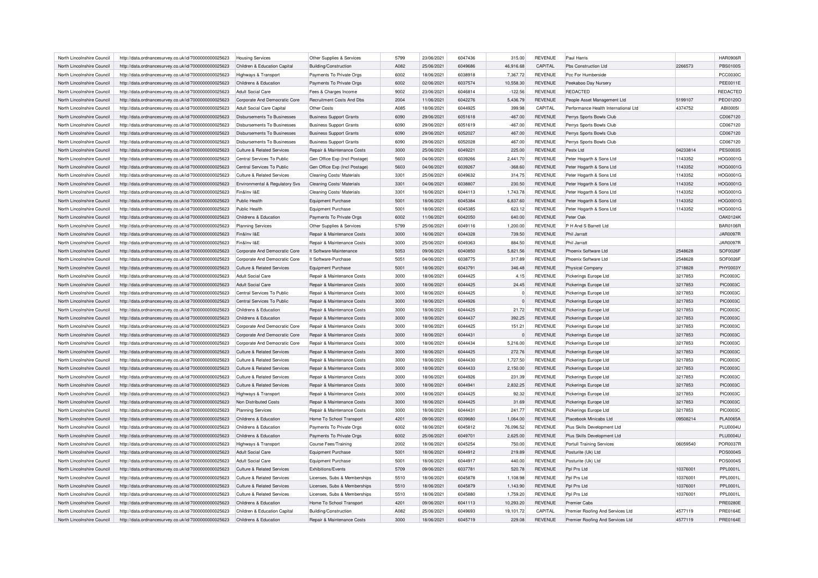| North Lincolnshire Council | http://data.ordnancesurvey.co.uk/id/7000000000025623 | <b>Housing Services</b>               | Other Supplies & Services             | 5799 | 23/06/2021 | 6047436 | 315.00    | <b>REVENUE</b> | Paul Harris                          |          | <b>HAR0906R</b> |
|----------------------------|------------------------------------------------------|---------------------------------------|---------------------------------------|------|------------|---------|-----------|----------------|--------------------------------------|----------|-----------------|
| North Lincolnshire Council | http://data.ordnancesurvey.co.uk/id/7000000000025623 | Children & Education Capital          | Building/Construction                 | A082 | 25/06/2021 | 6049686 | 46,916.68 | CAPITAL        | Pbs Construction Ltd                 | 2266573  | <b>PBS0100S</b> |
| North Lincolnshire Council | http://data.ordnancesurvey.co.uk/id/7000000000025623 | Highways & Transport                  | Payments To Private Orgs              | 6002 | 18/06/2021 | 8198803 | 7,367.72  | <b>REVENUE</b> | Pcc For Humberside                   |          | <b>PCC0030C</b> |
| North Lincolnshire Council | http://data.ordnancesurvey.co.uk/id/7000000000025623 | Childrens & Education                 | Payments To Private Orgs              | 6002 | 02/06/2021 | 6037574 | 10,558.30 | <b>REVENUE</b> | Peekaboo Day Nursery                 |          | PEE0011E        |
| North Lincolnshire Council | http://data.ordnancesurvey.co.uk/id/7000000000025623 | <b>Adult Social Care</b>              | Fees & Charges Income                 | 9002 | 23/06/2021 | 6046814 | $-122.56$ | <b>REVENUE</b> | REDACTED                             |          | REDACTED        |
| North Lincolnshire Council | http://data.ordnancesurvey.co.uk/id/7000000000025623 | Corporate And Democratic Core         | Recruitment Costs And Dbs             | 2004 | 11/06/2021 | 6042276 | 5,436.79  | REVENUE        | People Asset Management Ltd          | 5199107  | <b>PEO0120C</b> |
| North Lincolnshire Council | http://data.ordnancesurvey.co.uk/id/7000000000025623 | Adult Social Care Capital             | Other Costs                           | A085 | 18/06/2021 | 6044925 | 399.98    | CAPITAL        | Performance Health International Ltd | 4374752  | ABI0005I        |
| North Lincolnshire Council | http://data.ordnancesurvey.co.uk/id/7000000000025623 | <b>Disbursements To Businesses</b>    | <b>Business Support Grants</b>        | 6090 | 29/06/2021 | 6051618 | $-467.00$ | <b>REVENUE</b> | Perrys Sports Bowls Club             |          | CD067120        |
| North Lincolnshire Council | http://data.ordnancesurvey.co.uk/id/7000000000025623 | Disbursements To Businesses           | <b>Business Support Grants</b>        | 6090 | 29/06/2021 | 6051619 | $-467.00$ | <b>REVENUE</b> | Perrys Sports Bowls Club             |          | CD067120        |
| North Lincolnshire Council | http://data.ordnancesurvey.co.uk/id/7000000000025623 | Disbursements To Businesses           | <b>Business Support Grants</b>        | 6090 | 29/06/2021 | 6052027 | 467.00    | <b>REVENUE</b> | Perrys Sports Bowls Club             |          | CD067120        |
| North Lincolnshire Council | http://data.ordnancesurvey.co.uk/id/7000000000025623 | Disbursements To Businesses           | <b>Business Support Grants</b>        | 6090 | 29/06/2021 | 6052028 | 467.00    | <b>REVENUE</b> | Perrys Sports Bowls Club             |          | CD067120        |
| North Lincolnshire Council | http://data.ordnancesurvey.co.uk/id/7000000000025623 | Culture & Related Services            | Repair & Maintenance Costs            | 3000 | 25/06/2021 | 6049221 | 225.00    | <b>REVENUE</b> | Pestx I td                           | 04233814 | <b>PES0003S</b> |
| North Lincolnshire Council | http://data.ordnancesurvey.co.uk/id/7000000000025623 | Central Services To Public            | Gen Office Exp (Incl Postage)         | 5603 | 04/06/2021 | 6039266 | 2,441.70  | <b>REVENUE</b> | Peter Hogarth & Sons Ltd             | 1143352  | <b>HOG0001G</b> |
|                            |                                                      | Central Services To Public            |                                       | 5603 |            | 6039267 |           | <b>REVENUE</b> |                                      | 1143352  |                 |
| North Lincolnshire Council | http://data.ordnancesurvey.co.uk/id/7000000000025623 |                                       | Gen Office Exp (Incl Postage)         |      | 04/06/2021 |         | $-368.60$ |                | Peter Hogarth & Sons Ltd             |          | HOG0001G        |
| North Lincolnshire Council | http://data.ordnancesurvey.co.uk/id/7000000000025623 | Culture & Related Services            | Cleaning Costs/ Materials             | 3301 | 25/06/2021 | 6049632 | 314.75    | <b>REVENUE</b> | Peter Hogarth & Sons Ltd             | 1143352  | <b>HOG0001G</b> |
| North Lincolnshire Council | http://data.ordnancesurvey.co.uk/id/7000000000025623 | Environmental & Regulatory Svs        | Cleaning Costs/ Materials             | 3301 | 04/06/2021 | 6038807 | 230.50    | <b>REVENUE</b> | Peter Hogarth & Sons Ltd             | 1143352  | HOG0001G        |
| North Lincolnshire Council | http://data.ordnancesurvey.co.uk/id/7000000000025623 | Fin&Inv I&E                           | Cleaning Costs/ Materials             | 3301 | 16/06/2021 | 6044113 | 1,743.78  | <b>REVENUE</b> | Peter Hogarth & Sons Ltd             | 1143352  | HOG0001G        |
| North Lincolnshire Council | http://data.ordnancesurvey.co.uk/id/7000000000025623 | Public Health                         | <b>Equipment Purchase</b>             | 5001 | 18/06/2021 | 6045384 | 6,837.60  | <b>REVENUE</b> | Peter Hogarth & Sons Ltd             | 1143352  | HOG0001G        |
| North Lincolnshire Council | http://data.ordnancesurvey.co.uk/id/7000000000025623 | Public Health                         | <b>Equipment Purchase</b>             | 5001 | 18/06/2021 | 6045385 | 623.12    | <b>REVENUE</b> | Peter Hogarth & Sons Ltd             | 1143352  | <b>HOG0001G</b> |
| North Lincolnshire Council | http://data.ordnancesurvey.co.uk/id/7000000000025623 | Childrens & Education                 | Payments To Private Orgs              | 6002 | 11/06/2021 | 6042050 | 640.00    | REVENUE        | Peter Oak                            |          | <b>OAK0124K</b> |
| North Lincolnshire Council | http://data.ordnancesurvey.co.uk/id/7000000000025623 | <b>Planning Services</b>              | Other Supplies & Services             | 5799 | 25/06/2021 | 6049116 | 1,200.00  | <b>REVENUE</b> | P H And S Barrett Ltd                |          | <b>BAR0106R</b> |
| North Lincolnshire Council | http://data.ordnancesurvey.co.uk/id/7000000000025623 | Fin&Inv I&E                           | Repair & Maintenance Costs            | 3000 | 16/06/2021 | 6044328 | 739.50    | <b>REVENUE</b> | Phil Jarratt                         |          | <b>JAR0097R</b> |
| North Lincolnshire Council | http://data.ordnancesurvey.co.uk/id/7000000000025623 | Fin&Inv I&F                           | Repair & Maintenance Costs            | 3000 | 25/06/2021 | 6049363 | 884.50    | <b>REVENUE</b> | Phil Jarratt                         |          | <b>JAR0097R</b> |
| North Lincolnshire Council | http://data.ordnancesurvey.co.uk/id/7000000000025623 | Corporate And Democratic Core         | It Software-Maintenance               | 5053 | 09/06/2021 | 6040850 | 5,821.56  | <b>REVENUE</b> | Phoenix Software I td                | 2548628  | SOF0026F        |
| North Lincolnshire Council | http://data.ordnancesurvey.co.uk/id/7000000000025623 | Corporate And Democratic Core         | It Software-Purchase                  | 5051 | 04/06/2021 | 6038775 | 317.89    | <b>REVENUE</b> | Phoenix Software Ltd                 | 2548628  | SOF0026F        |
| North Lincolnshire Council | http://data.ordnancesurvey.co.uk/id/7000000000025623 | Culture & Related Services            | Equipment Purchase                    | 5001 | 18/06/2021 | 6043791 | 346.48    | <b>REVENUE</b> | <b>Physical Company</b>              | 3718828  | PHY0003Y        |
| North Lincolnshire Council | http://data.ordnancesurvey.co.uk/id/7000000000025623 | Adult Social Care                     | Repair & Maintenance Costs            | 3000 | 18/06/2021 | 6044425 | 4.15      | <b>REVENUE</b> | Pickerings Europe Ltd                | 3217853  | <b>PIC0003C</b> |
| North Lincolnshire Council | http://data.ordnancesurvey.co.uk/id/7000000000025623 | Adult Social Care                     | Repair & Maintenance Costs            | 3000 | 18/06/2021 | 6044425 | 24.45     | <b>REVENUE</b> | Pickerings Europe Ltd                | 3217853  | <b>PIC0003C</b> |
| North Lincolnshire Council | http://data.ordnancesurvey.co.uk/id/7000000000025623 | Central Services To Public            | <b>Benair &amp; Maintenance Costs</b> | 3000 | 18/06/2021 | 6044425 | $\Omega$  | <b>REVENUE</b> | Pickerings Europe Ltd                | 3217853  | <b>PIC0003C</b> |
| North Lincolnshire Council | http://data.ordnancesurvey.co.uk/id/7000000000025623 | Central Services To Public            | Repair & Maintenance Costs            | 3000 | 18/06/2021 | 6044926 | $\Omega$  | <b>REVENUE</b> | Pickerings Europe Ltd                | 3217853  | <b>PIC0003C</b> |
| North Lincolnshire Council |                                                      | Childrens & Education                 |                                       | 3000 | 18/06/2021 | 6044425 | 21.72     |                |                                      |          | <b>PIC0003C</b> |
|                            | http://data.ordnancesurvey.co.uk/id/7000000000025623 |                                       | Repair & Maintenance Costs            |      |            |         |           | REVENUE        | Pickerings Europe Ltd                | 3217853  |                 |
| North Lincolnshire Council | http://data.ordnancesurvey.co.uk/id/7000000000025623 | Childrens & Education                 | Repair & Maintenance Costs            | 3000 | 18/06/2021 | 6044437 | 392.25    | <b>REVENUE</b> | Pickerings Europe Ltd                | 3217853  | <b>PIC0003C</b> |
| North Lincolnshire Council | http://data.ordnancesurvey.co.uk/id/7000000000025623 | Corporate And Democratic Core         | Repair & Maintenance Costs            | 3000 | 18/06/2021 | 6044425 | 151.21    | <b>REVENUE</b> | Pickerings Europe Ltd                | 3217853  | <b>PIC0003C</b> |
| North Lincolnshire Council | http://data.ordnancesurvey.co.uk/id/7000000000025623 | Corporate And Democratic Core         | Repair & Maintenance Costs            | 3000 | 18/06/2021 | 6044431 |           | <b>REVENUE</b> | Pickerings Europe Ltd                | 3217853  | <b>PIC0003C</b> |
| North Lincolnshire Council | http://data.ordnancesurvey.co.uk/id/7000000000025623 | Corporate And Democratic Core         | Repair & Maintenance Costs            | 3000 | 18/06/2021 | 6044434 | 5,216.00  | <b>REVENUE</b> | Pickerings Europe Ltd                | 3217853  | <b>PIC0003C</b> |
| North Lincolnshire Council | http://data.ordnancesurvey.co.uk/id/7000000000025623 | Culture & Related Services            | Repair & Maintenance Costs            | 3000 | 18/06/2021 | 6044425 | 272.76    | <b>REVENUE</b> | Pickerings Europe Ltd                | 3217853  | <b>PIC0003C</b> |
| North Lincolnshire Council | http://data.ordnancesurvey.co.uk/id/7000000000025623 | <b>Culture &amp; Related Services</b> | Repair & Maintenance Costs            | 3000 | 18/06/2021 | 6044430 | 1,727.50  | <b>REVENUE</b> | Pickerings Europe Ltd                | 3217853  | <b>PIC0003C</b> |
| North Lincolnshire Council | http://data.ordnancesurvey.co.uk/id/7000000000025623 | <b>Culture &amp; Related Services</b> | Repair & Maintenance Costs            | 3000 | 18/06/2021 | 6044433 | 2,150.00  | <b>REVENUE</b> | Pickerings Europe Ltd                | 3217853  | <b>PIC0003C</b> |
| North Lincolnshire Council | http://data.ordnancesurvey.co.uk/id/7000000000025623 | <b>Culture &amp; Related Services</b> | Repair & Maintenance Costs            | 3000 | 18/06/2021 | 6044926 | 231.39    | <b>REVENUE</b> | Pickerings Europe Ltd                | 3217853  | <b>PIC0003C</b> |
| North Lincolnshire Council | http://data.ordnancesurvey.co.uk/id/7000000000025623 | <b>Culture &amp; Related Services</b> | Repair & Maintenance Costs            | 3000 | 18/06/2021 | 6044941 | 2,832.25  | <b>REVENUE</b> | Pickerings Europe Ltd                | 3217853  | <b>PIC0003C</b> |
| North Lincolnshire Council | http://data.ordnancesurvey.co.uk/id/7000000000025623 | <b>Highways &amp; Transport</b>       | Repair & Maintenance Costs            | 3000 | 18/06/2021 | 6044425 | 92.32     | <b>REVENUE</b> | Pickerings Europe Ltd                | 3217853  | <b>PIC0003C</b> |
| North Lincolnshire Council | http://data.ordnancesurvey.co.uk/id/7000000000025623 | Non Distributed Costs                 | Repair & Maintenance Costs            | 3000 | 18/06/2021 | 6044425 | 31.69     | REVENUE        | Pickerings Europe Ltd                | 3217853  | <b>PIC0003C</b> |
| North Lincolnshire Council | http://data.ordnancesurvey.co.uk/id/7000000000025623 | <b>Planning Services</b>              | Repair & Maintenance Costs            | 3000 | 18/06/2021 | 6044431 | 241.77    | <b>REVENUE</b> | Pickerings Europe Ltd                | 3217853  | <b>PIC0003C</b> |
| North Lincolnshire Council | http://data.ordnancesurvey.co.uk/id/7000000000025623 | Childrens & Education                 | Home To School Transport              | 4201 | 09/06/2021 | 6039680 | 1,064.00  | <b>REVENUE</b> | Placebook Minicabs Ltd               | 09508214 | <b>PLA0065A</b> |
| North Lincolnshire Council | http://data.ordnancesurvey.co.uk/id/7000000000025623 | Childrens & Education                 | Payments To Private Orgs              | 6002 | 18/06/2021 | 6045812 | 76.096.52 | <b>REVENUE</b> | Plus Skills Development Ltd          |          | <b>PLU0004U</b> |
| North Lincolnshire Council | http://data.ordnancesurvey.co.uk/id/7000000000025623 | Childrens & Education                 | Payments To Private Orgs              | 6002 | 25/06/2021 | 6049701 | 2,625.00  | <b>REVENUE</b> | Plus Skills Development Ltd          |          | <b>PLU0004U</b> |
| North Lincolnshire Council | http://data.ordnancesurvey.co.uk/id/7000000000025623 | <b>Highways &amp; Transport</b>       | Course Fees/Training                  | 2002 | 18/06/2021 | 6045254 | 750.00    | <b>REVENUE</b> | <b>Portull Training Services</b>     | 06059540 | <b>POR0037F</b> |
| North Lincolnshire Council | http://data.ordnancesurvey.co.uk/id/7000000000025623 | Adult Social Care                     | Equipment Purchase                    | 5001 | 18/06/2021 | 6044912 | 219.89    | <b>REVENUE</b> | Posturite (Uk) Ltd                   |          | POS0004S        |
| North Lincolnshire Council |                                                      | Adult Social Care                     |                                       | 5001 |            | 6044917 |           | <b>REVENUE</b> |                                      |          | POS0004S        |
|                            | http://data.ordnancesurvey.co.uk/id/7000000000025623 |                                       | Equipment Purchase                    |      | 18/06/2021 |         | 440.00    |                | Posturite (Uk) Ltd                   |          |                 |
| North Lincolnshire Council | http://data.ordnancesurvey.co.uk/id/7000000000025623 | <b>Culture &amp; Related Services</b> | Exhibitions/Events                    | 5709 | 09/06/2021 | 6037781 | 520.78    | <b>REVENUE</b> | Ppl Prs Ltd                          | 10376001 | PPL0001L        |
| North Lincolnshire Council | http://data.ordnancesurvey.co.uk/id/7000000000025623 | Culture & Related Services            | Licenses, Subs & Memberships          | 5510 | 18/06/2021 | 6045878 | 1.108.98  | <b>REVENUE</b> | Pol Prs Ltd                          | 10376001 | <b>PPL0001L</b> |
| North Lincolnshire Council | http://data.ordnancesurvey.co.uk/id/7000000000025623 | Culture & Related Services            | Licenses, Subs & Memberships          | 5510 | 18/06/2021 | 6045879 | 1,143.90  | REVENUE        | Ppl Prs Ltd                          | 10376001 | PPL0001L        |
| North Lincolnshire Council | http://data.ordnancesurvey.co.uk/id/7000000000025623 | Culture & Related Services            | Licenses, Subs & Memberships          | 5510 | 18/06/2021 | 6045880 | 1,759.20  | REVENUE        | Ppl Prs Ltd                          | 10376001 | PPL0001L        |
| North Lincolnshire Council | http://data.ordnancesurvey.co.uk/id/7000000000025623 | Childrens & Education                 | Home To School Transport              | 4201 | 09/06/2021 | 6041113 | 10.293.20 | <b>REVENUE</b> | <b>Premier Cabs</b>                  |          | <b>PRE0280E</b> |
| North Lincolnshire Council | http://data.ordnancesurvey.co.uk/id/7000000000025623 | Children & Education Capital          | Building/Construction                 | A082 | 25/06/2021 | 6049693 | 19,101.72 | CAPITAL        | Premier Roofing And Services Ltd     | 4577119  | <b>PRE0164E</b> |
| North Lincolnshire Council | http://data.ordnancesurvey.co.uk/id/7000000000025623 | Childrens & Education                 | Repair & Maintenance Costs            | 3000 | 18/06/2021 | 6045719 | 229.08    | REVENUE        | Premier Roofing And Services Ltd     | 4577119  | PRE0164E        |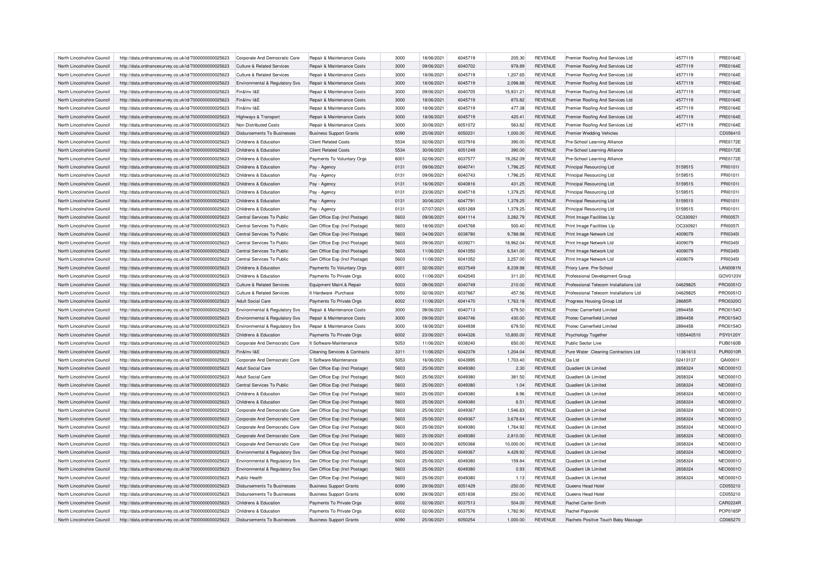| North Lincolnshire Council | http://data.ordnancesurvey.co.uk/id/7000000000025623 | Corporate And Democratic Core         | Repair & Maintenance Costs               | 3000 | 18/06/2021 | 6045719 | 205.30    | <b>REVENUE</b> | Premier Roofing And Services Ltd           | 4577119    | <b>PRE0164E</b> |
|----------------------------|------------------------------------------------------|---------------------------------------|------------------------------------------|------|------------|---------|-----------|----------------|--------------------------------------------|------------|-----------------|
| North Lincolnshire Council | http://data.ordnancesurvey.co.uk/id/7000000000025623 | <b>Culture &amp; Related Services</b> | Repair & Maintenance Costs               | 3000 | 09/06/2021 | 6040702 | 978.89    | <b>REVENUE</b> | Premier Roofing And Services Ltd           | 4577119    | <b>PRE0164E</b> |
| North Lincolnshire Council | http://data.ordnancesurvey.co.uk/id/7000000000025623 | Culture & Related Services            | <b>Benair &amp; Maintenance Costs</b>    | 3000 | 18/06/2021 | 6045719 | 1.207.65  | <b>REVENUE</b> | Premier Roofing And Services Ltd           | 4577119    | <b>PRE0164E</b> |
| North Lincolnshire Council | http://data.ordnancesurvey.co.uk/id/7000000000025623 | Environmental & Regulatory Svs        | Repair & Maintenance Costs               | 3000 | 18/06/2021 | 6045719 | 2,098.88  | <b>REVENUE</b> | Premier Roofing And Services Ltd           | 4577119    | <b>PRE0164E</b> |
| North Lincolnshire Council | http://data.ordnancesurvey.co.uk/id/7000000000025623 | Fin&Inv I&F                           | Repair & Maintenance Costs               | 3000 | 09/06/2021 | 6040705 | 15,931.21 | <b>REVENUE</b> | Premier Roofing And Services Ltd           | 4577119    | <b>PRE0164E</b> |
| North Lincolnshire Council | http://data.ordnancesurvey.co.uk/id/7000000000025623 | Fin&Inv I&E                           | Repair & Maintenance Costs               | 3000 | 18/06/2021 | 6045719 | 870.82    | <b>REVENUE</b> | Premier Roofing And Services Ltd           | 4577119    | <b>PRE0164E</b> |
| North Lincolnshire Council | http://data.ordnancesurvey.co.uk/id/7000000000025623 | Fin&Inv I&E                           | Repair & Maintenance Costs               | 3000 | 18/06/2021 | 6045719 | 477.38    | <b>REVENUE</b> | Premier Roofing And Services Ltd           | 4577119    | <b>PRE0164E</b> |
|                            |                                                      |                                       |                                          | 3000 |            | 6045719 | 420.41    |                |                                            | 4577119    | <b>PRE0164E</b> |
| North Lincolnshire Council | http://data.ordnancesurvey.co.uk/id/7000000000025623 | Highways & Transport                  | Repair & Maintenance Costs               |      | 18/06/2021 |         |           | <b>REVENUE</b> | Premier Roofing And Services Ltd           |            |                 |
| North Lincolnshire Council | http://data.ordnancesurvey.co.uk/id/7000000000025623 | Non Distributed Costs                 | Repair & Maintenance Costs               | 3000 | 30/06/2021 | 6051072 | 563.82    | <b>REVENUE</b> | Premier Roofing And Services Ltd           | 4577119    | <b>PRE0164E</b> |
| North Lincolnshire Council | http://data.ordnancesurvey.co.uk/id/7000000000025623 | <b>Disbursements To Businesses</b>    | <b>Business Support Grants</b>           | 6090 | 25/06/2021 | 6050231 | 1,000.00  | <b>REVENUE</b> | <b>Premier Wedding Vehicles</b>            |            | CD056410        |
| North Lincolnshire Council | http://data.ordnancesurvey.co.uk/id/7000000000025623 | Childrens & Education                 | <b>Client Related Costs</b>              | 5534 | 02/06/2021 | 6037916 | 390.00    | <b>REVENUE</b> | Pre-School Learning Alliance               |            | <b>PRE0172E</b> |
| North Lincolnshire Council | http://data.ordnancesurvey.co.uk/id/7000000000025623 | Childrens & Education                 | <b>Client Related Costs</b>              | 5534 | 30/06/2021 | 6051249 | 390.00    | <b>REVENUE</b> | Pre-School Learning Alliance               |            | <b>PRE0172E</b> |
| North Lincolnshire Council | http://data.ordnancesurvey.co.uk/id/7000000000025623 | Childrens & Education                 | Payments To Voluntary Orgs               | 6001 | 02/06/2021 | 6037577 | 19,262.09 | <b>REVENUE</b> | Pre-School Learning Alliance               |            | <b>PRE0172E</b> |
| North Lincolnshire Council | http://data.ordnancesurvey.co.uk/id/7000000000025623 | Childrens & Education                 | Pay - Agency                             | 0131 | 09/06/2021 | 6040741 | 1,796.25  | <b>REVENUE</b> | <b>Principal Resourcing Ltd</b>            | 5159515    | PRI01011        |
| North Lincolnshire Council | http://data.ordnancesurvey.co.uk/id/7000000000025623 | Childrens & Education                 | Pay - Agency                             | 0131 | 09/06/2021 | 6040743 | 1,796.25  | <b>REVENUE</b> | Principal Resourcing Ltd                   | 5159515    | PRI01011        |
| North Lincolnshire Council | http://data.ordnancesurvey.co.uk/id/7000000000025623 | Childrens & Education                 | Pay - Agency                             | 0131 | 16/06/2021 | 6040816 | 431.25    | <b>REVENUE</b> | <b>Principal Resourcing Ltd</b>            | 5159515    | PRI0101I        |
| North Lincolnshire Council | http://data.ordnancesurvey.co.uk/id/7000000000025623 | Childrens & Education                 | Pay - Agency                             | 0131 | 23/06/2021 | 6045718 | 1,379.25  | <b>REVENUE</b> | Principal Resourcing Ltd                   | 5159515    | PRI0101I        |
| North Lincolnshire Council | http://data.ordnancesurvey.co.uk/id/7000000000025623 | Childrens & Education                 | Pay - Agency                             | 0131 | 30/06/2021 | 6047791 | 1,379.25  | <b>REVENUE</b> | <b>Principal Resourcing Ltd</b>            | 5159515    | PRI01011        |
| North Lincolnshire Council | http://data.ordnancesurvey.co.uk/id/7000000000025623 | Childrens & Education                 | Pay - Agency                             | 0131 | 07/07/2021 | 6051269 | 1,379.25  | <b>REVENUE</b> | Principal Resourcing Ltd                   | 5159515    | PRI01011        |
| North Lincolnshire Council | http://data.ordnancesurvey.co.uk/id/7000000000025623 | Central Services To Public            | Gen Office Exp (Incl Postage)            | 5603 | 09/06/2021 | 6041114 | 3.282.79  | <b>REVENUE</b> | Print Image Facilities Llp                 | OC330921   | <b>PRI00571</b> |
| North Lincolnshire Council | http://data.ordnancesurvey.co.uk/id/7000000000025623 | Central Services To Public            | Gen Office Exp (Incl Postage)            | 5603 | 18/06/2021 | 6045768 | 500.40    | <b>REVENUE</b> | Print Image Facilities Llp                 | OC330921   | PRI0057I        |
| North Lincolnshire Council | http://data.ordnancesurvey.co.uk/id/7000000000025623 | Central Services To Public            | Gen Office Exp (Incl Postage)            | 5603 | 04/06/2021 | 6038780 | 9,788.98  | <b>REVENUE</b> | Print Image Network Ltd                    | 4009079    | PRI0345I        |
| North Lincolnshire Council | http://data.ordnancesurvey.co.uk/id/7000000000025623 | Central Services To Public            | Gen Office Exp (Incl Postage)            | 5603 | 09/06/2021 | 6039271 | 18.962.04 | <b>REVENUE</b> | Print Image Network I to                   | 4009079    | PRI03451        |
| North Lincolnshire Council | http://data.ordnancesurvey.co.uk/id/7000000000025623 | Central Services To Public            | Gen Office Exp (Incl Postage)            | 5603 | 11/06/2021 | 6041050 | 6,541.00  | <b>REVENUE</b> | Print Image Network Ltd                    | 4009079    | PRI0345I        |
| North Lincolnshire Council |                                                      | Central Services To Public            |                                          | 5603 | 11/06/2021 | 6041052 | 3,257.00  | <b>REVENUE</b> | Print Image Network Ltd                    | 4009079    | PRI0345I        |
| North Lincolnshire Council | http://data.ordnancesurvey.co.uk/id/7000000000025623 | Childrens & Education                 | Gen Office Exp (Incl Postage)            | 6001 | 02/06/2021 | 6037549 | 8.239.98  | <b>REVENUE</b> |                                            |            | <b>LAN0081N</b> |
|                            | http://data.ordnancesurvey.co.uk/id/7000000000025623 |                                       | Payments To Voluntary Orgs               |      |            |         |           |                | Priory Lane Pre-School                     |            |                 |
| North Lincolnshire Council | http://data.ordnancesurvey.co.uk/id/7000000000025623 | Childrens & Education                 | Payments To Private Orgs                 | 6002 | 11/06/2021 | 6042045 | 311.20    | <b>REVENUE</b> | Professional Development Group             |            | GOV0123V        |
| North Lincolnshire Council | http://data.ordnancesurvey.co.uk/id/7000000000025623 | <b>Culture &amp; Related Services</b> | Equipment Maint.& Repair                 | 5003 | 09/06/2021 | 6040749 | 210.00    | <b>REVENUE</b> | Professional Telecom Installations Ltd     | 04629825   | PRO0051C        |
| North Lincolnshire Council | http://data.ordnancesurvey.co.uk/id/7000000000025623 | <b>Culture &amp; Related Services</b> | It Hardware - Purchase                   | 5050 | 02/06/2021 | 6037667 | 457.56    | <b>REVENUE</b> | Professional Telecom Installations Ltd     | 04629825   | PRO0051O        |
| North Lincolnshire Council | http://data.ordnancesurvey.co.uk/id/7000000000025623 | Adult Social Care                     | Payments To Private Orgs                 | 6002 | 11/06/2021 | 6041470 | 1,763.18  | <b>REVENUE</b> | Progress Housing Group Ltd                 | 28685R     | PRO0320O        |
| North Lincolnshire Council | http://data.ordnancesurvey.co.uk/id/7000000000025623 | Environmental & Regulatory Svs        | Repair & Maintenance Costs               | 3000 | 09/06/2021 | 6040713 | 679.50    | <b>REVENUE</b> | Protec Camerfield Limited                  | 2894458    | PRO01540        |
| North Lincolnshire Council | http://data.ordnancesurvey.co.uk/id/7000000000025623 | Environmental & Regulatory Svs        | Repair & Maintenance Costs               | 3000 | 09/06/2021 | 6040746 | 430.00    | <b>REVENUE</b> | <b>Protec Camerfield Limited</b>           | 2894458    | PRO01540        |
| North Lincolnshire Council | http://data.ordnancesurvey.co.uk/id/7000000000025623 | Environmental & Regulatory Svs        | Repair & Maintenance Costs               | 3000 | 18/06/2021 | 6044938 | 679.50    | <b>REVENUE</b> | Protec Camerfield Limited                  | 2894458    | PRO0154O        |
| North Lincolnshire Council | http://data.ordnancesurvey.co.uk/id/7000000000025623 | Childrens & Education                 | Payments To Private Orgs                 | 6002 | 23/06/2021 | 6044326 | 10,800.00 | <b>REVENUE</b> | Psychology Together                        | 1055440510 | PSY0120Y        |
| North Lincolnshire Council | http://data.ordnancesurvey.co.uk/id/7000000000025623 | Cornorate And Democratic Core         | It Software-Maintenance                  | 5053 | 11/06/2021 | 6038240 | 650.00    | <b>REVENUE</b> | Public Sector Live                         |            | <b>PUB0160B</b> |
| North Lincolnshire Council | http://data.ordnancesurvey.co.uk/id/7000000000025623 | Fin&Inv I&E                           | <b>Cleaning Services &amp; Contracts</b> | 3311 | 11/06/2021 | 6042378 | 1,204.04  | <b>REVENUE</b> | Pure Water Cleaning Contractors Ltd        | 11361613   | <b>PUR0010R</b> |
| North Lincolnshire Council | http://data.ordnancesurvey.co.uk/id/7000000000025623 | Corporate And Democratic Core         | It Software-Maintenance                  | 5053 | 16/06/2021 | 6043995 | 1,703.40  | <b>REVENUE</b> | Qa Ltd                                     | 02413137   | QAI00011        |
| North Lincolnshire Council | http://data.ordnancesurvey.co.uk/id/7000000000025623 | Adult Social Care                     | Gen Office Exp (Incl Postage)            | 5603 | 25/06/2021 | 6049380 | 2.30      | <b>REVENUE</b> | Quadient Uk Limited                        | 2658324    | NEO0001O        |
| North Lincolnshire Council | http://data.ordnancesurvey.co.uk/id/7000000000025623 | Adult Social Care                     | Gen Office Exp (Incl Postage)            | 5603 | 25/06/2021 | 6049380 | 381.50    | <b>REVENUE</b> | Quadient Uk Limited                        | 2658324    | <b>NEO0001O</b> |
| North Lincolnshire Council | http://data.ordnancesurvey.co.uk/id/7000000000025623 | Central Services To Public            | Gen Office Exp (Incl Postage)            | 5603 | 25/06/2021 | 6049380 | 1.04      | <b>REVENUE</b> | Quadient Uk Limited                        | 2658324    | NEO0001O        |
| North Lincolnshire Council | http://data.ordnancesurvey.co.uk/id/7000000000025623 | Childrens & Education                 | Gen Office Exp (Incl Postage)            | 5603 | 25/06/2021 | 6049380 | 8.96      | <b>REVENUE</b> | Quadient Uk Limited                        | 2658324    | <b>NEO0001O</b> |
| North Lincolnshire Council | http://data.ordnancesurvey.co.uk/id/7000000000025623 | Childrens & Education                 | Gen Office Exp (Incl Postage)            | 5603 | 25/06/2021 | 6049380 | 6.51      | <b>REVENUE</b> | Quadient Uk Limited                        | 2658324    | NEO0001O        |
| North Lincolnshire Council | http://data.ordnancesurvey.co.uk/id/7000000000025623 | Corporate And Democratic Core         | Gen Office Exp (Incl Postage)            | 5603 | 25/06/2021 | 6049367 | 1,546.83  | <b>REVENUE</b> | Quadient Uk Limited                        | 2658324    | <b>NEO0001O</b> |
| North Lincolnshire Council | http://data.ordnancesurvey.co.uk/id/7000000000025623 | Corporate And Democratic Core         | Gen Office Exp (Incl Postage)            | 5603 | 25/06/2021 | 6049367 | 3,678.64  | <b>REVENUE</b> | Quadient Uk Limited                        | 2658324    | NEO0001O        |
| North Lincolnshire Council | http://data.ordnancesurvey.co.uk/id/7000000000025623 | Corporate And Democratic Core         | Gen Office Exp (Incl Postage)            | 5603 | 25/06/2021 | 6049380 | 1,764.92  | <b>REVENUE</b> | Quadient Uk Limited                        | 2658324    | NEO0001O        |
| North Lincolnshire Council | http://data.ordnancesurvey.co.uk/id/7000000000025623 | Corporate And Democratic Core         | Gen Office Exp (Incl Postage)            | 5603 | 25/06/2021 | 6049380 | 2,810.00  | <b>REVENUE</b> | Quadient Uk Limited                        | 2658324    | NEO0001O        |
|                            |                                                      |                                       |                                          | 5603 |            |         |           | <b>REVENUE</b> | Quadient Uk Limited                        |            |                 |
| North Lincolnshire Council | http://data.ordnancesurvey.co.uk/id/7000000000025623 | Corporate And Democratic Core         | Gen Office Exp (Incl Postage)            |      | 30/06/2021 | 6050368 | 10,000.00 |                |                                            | 2658324    | <b>NEO0001O</b> |
| North Lincolnshire Council | http://data.ordnancesurvey.co.uk/id/7000000000025623 | Environmental & Regulatory Svs        | Gen Office Exp (Incl Postage)            | 5603 | 25/06/2021 | 6049367 | 4,429.92  | <b>REVENUE</b> | Quadient Uk Limited                        | 2658324    | NEO0001O        |
| North Lincolnshire Council | http://data.ordnancesurvey.co.uk/id/7000000000025623 | Environmental & Regulatory Svs        | Gen Office Exp (Incl Postage)            | 5603 | 25/06/2021 | 6049380 | 159.84    | <b>REVENUE</b> | Quadient Uk Limited                        | 2658324    | <b>NEO0001O</b> |
| North Lincolnshire Council | http://data.ordnancesurvey.co.uk/id/7000000000025623 | Environmental & Regulatory Svs        | Gen Office Exp (Incl Postage)            | 5603 | 25/06/2021 | 6049380 | 0.93      | <b>REVENUE</b> | Quadient Uk Limited                        | 2658324    | NEO0001O        |
| North Lincolnshire Council | http://data.ordnancesurvey.co.uk/id/7000000000025623 | Public Health                         | Gen Office Exp (Incl Postage)            | 5603 | 25/06/2021 | 6049380 | 1.13      | <b>REVENUE</b> | Quadient Uk Limited                        | 2658324    | NEO0001O        |
| North Lincolnshire Council | http://data.ordnancesurvey.co.uk/id/7000000000025623 | Disbursements To Businesses           | <b>Business Support Grants</b>           | 6090 | 29/06/2021 | 6051429 | $-250.00$ | <b>REVENUE</b> | Queens Head Hote                           |            | CD055210        |
| North Lincolnshire Council | http://data.ordnancesurvey.co.uk/id/7000000000025623 | Disbursements To Businesses           | <b>Business Support Grants</b>           | 6090 | 29/06/2021 | 6051838 | 250.00    | <b>REVENUE</b> | Queens Head Hotel                          |            | CD055210        |
| North Lincolnshire Council | http://data.ordnancesurvey.co.uk/id/7000000000025623 | Childrens & Education                 | Payments To Private Orgs                 | 6002 | 02/06/2021 | 6037513 | 504.00    | <b>REVENUE</b> | Rachel Carter-Smith                        |            | CAR0224R        |
| North Lincolnshire Council | http://data.ordnancesurvey.co.uk/id/7000000000025623 | Childrens & Education                 | Payments To Private Orgs                 | 6002 | 02/06/2021 | 6037576 | 1.782.90  | <b>REVENUE</b> | Rachel Popovski                            |            | POP0165P        |
| North Lincolnshire Council | http://data.ordnancesurvey.co.uk/id/7000000000025623 | Disbursements To Businesses           | <b>Business Support Grants</b>           | 6090 | 25/06/2021 | 6050254 | 1.000.00  | <b>REVENUE</b> | <b>Bachels Positive Touch Baby Massage</b> |            | CD065270        |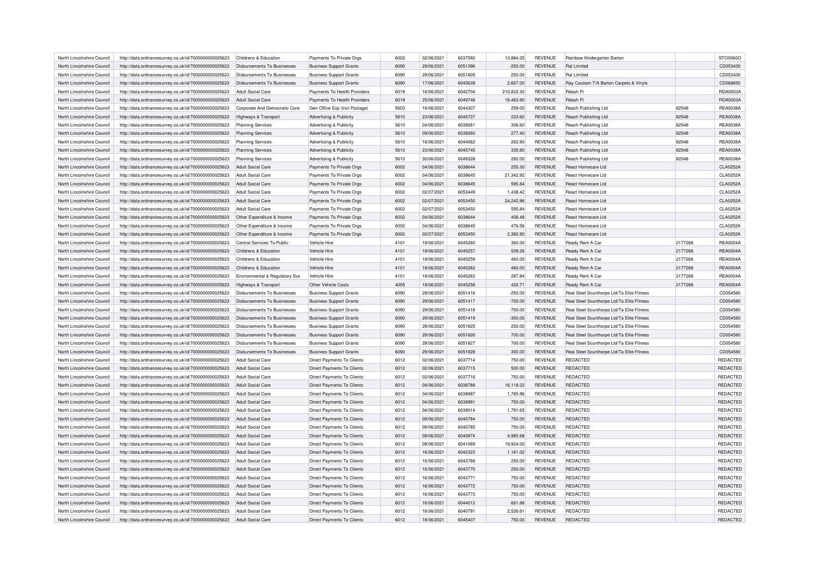| North Lincolnshire Council | http://data.ordnancesurvey.co.uk/id/7000000000025623 | Childrens & Education              | Payments To Private Orgs           | 6002 | 02/06/2021 | 6037592 | 13,884.25  | <b>REVENUE</b> | Rainbow Kindergarten Barton                |         | STO0060O        |
|----------------------------|------------------------------------------------------|------------------------------------|------------------------------------|------|------------|---------|------------|----------------|--------------------------------------------|---------|-----------------|
| North Lincolnshire Council | http://data.ordnancesurvey.co.uk/id/7000000000025623 | Disbursements To Businesses        | <b>Business Support Grants</b>     | 6090 | 29/06/2021 | 6051396 | $-250.00$  | <b>REVENUE</b> | Ral Limited                                |         | CD053430        |
| North Lincolnshire Council | http://data.ordnancesurvey.co.uk/id/7000000000025623 | Disbursements To Businesses        | <b>Business Support Grants</b>     | 6090 | 29/06/2021 | 6051805 | 250.00     | REVENUE        | Ral Limited                                |         | CD053430        |
| North Lincolnshire Council | http://data.ordnancesurvey.co.uk/id/7000000000025623 | Disbursements To Businesses        | <b>Business Support Grants</b>     | 6090 | 17/06/2021 | 6045639 | 2,667.00   | <b>REVENUE</b> | Ray Coulson T/A Barton Carpets & Vinyls    |         | CD068650        |
| North Lincolnshire Council | http://data.ordnancesurvey.co.uk/id/7000000000025623 | <b>Adult Social Care</b>           | Payments To Health Providers       | 6019 | 16/06/2021 | 6042704 | 210,832.30 | <b>REVENUE</b> | Rdash Ft                                   |         | RDA0003A        |
| North Lincolnshire Council | http://data.ordnancesurvey.co.uk/id/7000000000025623 | Adult Social Care                  | Payments To Health Providers       | 6019 | 25/06/2021 | 6049748 | 18,463.80  | <b>REVENUE</b> | Rdash Ft                                   |         | RDA0003A        |
| North Lincolnshire Council | http://data.ordnancesurvey.co.uk/id/7000000000025623 | Corporate And Democratic Core      | Gen Office Exp (Incl Postage)      | 5603 | 16/06/2021 | 6044307 | 259.00     | <b>REVENUE</b> | Reach Publishing Ltd                       | 82548   | REA0038A        |
| North Lincolnshire Council | http://data.ordnancesurvey.co.uk/id/7000000000025623 | Highways & Transport               | <b>Advertising &amp; Publicity</b> | 5610 | 23/06/2021 | 6045707 | 233.60     | <b>REVENUE</b> | Reach Publishing Ltd                       | 82548   | <b>REA0038A</b> |
| North Lincolnshire Council | http://data.ordnancesurvey.co.uk/id/7000000000025623 | <b>Planning Services</b>           | Advertising & Publicity            | 5610 | 04/06/2021 | 6039261 | 306.60     | <b>REVENUE</b> | Reach Publishing Ltd                       | 82548   | <b>REA0038A</b> |
| North Lincolnshire Council | http://data.ordnancesurvey.co.uk/id/7000000000025623 | <b>Planning Services</b>           | <b>Advertising &amp; Publicity</b> | 5610 | 09/06/2021 | 6039260 | 277.40     | <b>REVENUE</b> | Reach Publishing Ltd                       | 82548   | REA0038A        |
| North Lincolnshire Council | http://data.ordnancesurvey.co.uk/id/7000000000025623 | <b>Planning Services</b>           | Advertising & Publicity            | 5610 | 16/06/2021 | 6044062 | 262.80     | <b>REVENUE</b> | Reach Publishing Ltd                       | 82548   | <b>REA0038A</b> |
| North Lincolnshire Council | http://data.ordnancesurvey.co.uk/id/7000000000025623 | <b>Planning Services</b>           | Advertising & Publicity            | 5610 | 23/06/2021 | 6045745 | 335.80     | <b>REVENUE</b> | Reach Publishing Ltd                       | 82548   | <b>REA0038A</b> |
| North Lincolnshire Council | http://data.ordnancesurvey.co.uk/id/7000000000025623 | <b>Planning Services</b>           | Advertising & Publicity            | 5610 | 30/06/2021 | 6049328 | 292.00     | <b>REVENUE</b> | Reach Publishing Ltd                       | 82548   | REA0038A        |
| North Lincolnshire Council | http://data.ordnancesurvey.co.uk/id/7000000000025623 | <b>Adult Social Care</b>           | Payments To Private Orgs           | 6002 | 04/06/2021 | 6038644 | 255.30     | <b>REVENUE</b> | React Homecare Ltd                         |         | CLA0252A        |
| North Lincolnshire Council | http://data.ordnancesurvey.co.uk/id/7000000000025623 | <b>Adult Social Care</b>           | Payments To Private Orgs           | 6002 | 04/06/2021 | 6038645 | 21,342.92  | <b>REVENUE</b> | React Homecare Ltd                         |         | CLA0252A        |
| North Lincolnshire Council | http://data.ordnancesurvey.co.uk/id/7000000000025623 | <b>Adult Social Care</b>           | Payments To Private Orgs           | 6002 | 04/06/2021 | 6038645 | 595.84     | <b>REVENUE</b> | React Homecare Ltd                         |         | CLA0252A        |
| North Lincolnshire Council | http://data.ordnancesurvey.co.uk/id/7000000000025623 | <b>Adult Social Care</b>           | Payments To Private Orgs           | 6002 | 02/07/2021 | 6053449 | 1,438.42   | <b>REVENUE</b> | React Homecare Ltd                         |         | CLA0252A        |
| North Lincolnshire Council | http://data.ordnancesurvey.co.uk/id/7000000000025623 | <b>Adult Social Care</b>           | Payments To Private Orgs           | 6002 | 02/07/2021 | 6053450 | 24,242.86  | <b>REVENUE</b> | React Homecare Ltd                         |         | CLA0252A        |
| North Lincolnshire Council | http://data.ordnancesurvey.co.uk/id/7000000000025623 | Adult Social Care                  | Payments To Private Orgs           | 6002 | 02/07/2021 | 6053450 | 595.84     | <b>REVENUE</b> | React Homecare Ltd                         |         | CLA0252A        |
| North Lincolnshire Council | http://data.ordnancesurvey.co.uk/id/7000000000025623 | Other Expenditure & Income         | Payments To Private Orgs           | 6002 | 04/06/2021 | 6038644 | 408.48     | <b>REVENUE</b> | React Homecare Ltd                         |         | CLA0252A        |
| North Lincolnshire Council |                                                      | Other Expenditure & Income         | Payments To Private Orgs           | 6002 | 04/06/2021 | 6038645 | 476.56     | <b>REVENUE</b> | React Homecare Ltd                         |         | CLA0252A        |
|                            | http://data.ordnancesurvey.co.uk/id/7000000000025623 |                                    |                                    | 6002 |            |         |            | <b>REVENUE</b> |                                            |         | CLA0252A        |
| North Lincolnshire Council | http://data.ordnancesurvey.co.uk/id/7000000000025623 | Other Expenditure & Income         | Payments To Private Orgs           |      | 02/07/2021 | 6053450 | 2,382.80   |                | <b>React Homecare Ltd</b>                  |         |                 |
| North Lincolnshire Council | http://data.ordnancesurvey.co.uk/id/7000000000025623 | Central Services To Public         | Vehicle Hire                       | 4101 | 18/06/2021 | 6045260 | 360.00     | <b>REVENUE</b> | Ready Rent A Car                           | 2177268 | <b>REA0004A</b> |
| North Lincolnshire Council | http://data.ordnancesurvey.co.uk/id/7000000000025623 | Childrens & Education              | Vehicle Hire                       | 4101 | 18/06/2021 | 6045257 | 509.26     | <b>REVENUE</b> | Ready Rent A Car                           | 2177268 | <b>REA0004A</b> |
| North Lincolnshire Council | http://data.ordnancesurvey.co.uk/id/7000000000025623 | Childrens & Education              | Vehicle Hire                       | 4101 | 18/06/2021 | 6045259 | 460.00     | <b>REVENUE</b> | Ready Rent A Car                           | 2177268 | REA0004A        |
| North Lincolnshire Council | http://data.ordnancesurvey.co.uk/id/7000000000025623 | Childrens & Education              | Vehicle Hire                       | 4101 | 18/06/2021 | 6045262 | 460.00     | <b>REVENUE</b> | Ready Rent A Car                           | 2177268 | <b>REA0004A</b> |
| North Lincolnshire Council | http://data.ordnancesurvey.co.uk/id/7000000000025623 | Environmental & Regulatory Svs     | Vehicle Hire                       | 4101 | 18/06/2021 | 6045263 | 287.84     | <b>REVENUE</b> | Ready Rent A Car                           | 2177268 | <b>REA0004A</b> |
| North Lincolnshire Council | http://data.ordnancesurvey.co.uk/id/7000000000025623 | Highways & Transport               | Other Vehicle Costs                | 4005 | 18/06/2021 | 6045258 | 420.71     | <b>REVENUE</b> | Ready Rent A Car                           | 2177268 | REA0004A        |
| North Lincolnshire Council | http://data.ordnancesurvey.co.uk/id/7000000000025623 | <b>Disbursements To Businesses</b> | <b>Business Support Grants</b>     | 6090 | 29/06/2021 | 6051416 | $-250.00$  | <b>REVENUE</b> | Real Steel Scunthorpe Ltd/Ta Elite Fitness |         | CD054580        |
| North Lincolnshire Council | http://data.ordnancesurvey.co.uk/id/7000000000025623 | Disbursements To Businesses        | <b>Business Support Grants</b>     | 6090 | 29/06/2021 | 6051417 | $-700.00$  | <b>REVENUE</b> | Real Steel Scunthorpe Ltd/Ta Elite Fitness |         | CD054580        |
| North Lincolnshire Council | http://data.ordnancesurvey.co.uk/id/7000000000025623 | Disbursements To Businesses        | <b>Business Support Grants</b>     | 6090 | 29/06/2021 | 6051418 | $-700.00$  | <b>REVENUE</b> | Real Steel Scunthorpe Ltd/Ta Elite Fitness |         | CD054580        |
| North Lincolnshire Council | http://data.ordnancesurvey.co.uk/id/7000000000025623 | Disbursements To Businesses        | <b>Business Support Grants</b>     | 6090 | 29/06/2021 | 6051419 | $-300.00$  | <b>REVENUE</b> | Real Steel Scunthorpe Ltd/Ta Elite Fitness |         | CD054580        |
| North Lincolnshire Council | http://data.ordnancesurvey.co.uk/id/7000000000025623 | Disbursements To Businesses        | <b>Business Support Grants</b>     | 6090 | 29/06/2021 | 6051825 | 250.00     | <b>REVENUE</b> | Real Steel Scunthorpe Ltd/Ta Elite Fitness |         | CD054580        |
| North Lincolnshire Council | http://data.ordnancesurvey.co.uk/id/7000000000025623 | Disbursements To Businesses        | <b>Business Support Grants</b>     | 6090 | 29/06/2021 | 6051826 | 700.00     | <b>REVENUE</b> | Real Steel Scunthorpe Ltd/Ta Elite Fitness |         | CD054580        |
| North Lincolnshire Council | http://data.ordnancesurvey.co.uk/id/7000000000025623 | <b>Disbursements To Businesses</b> | <b>Business Support Grants</b>     | 6090 | 29/06/2021 | 6051827 | 700.00     | <b>REVENUE</b> | Real Steel Scunthorpe Ltd/Ta Elite Fitness |         | CD054580        |
| North Lincolnshire Council | http://data.ordnancesurvey.co.uk/id/7000000000025623 | Disbursements To Businesses        | <b>Business Support Grants</b>     | 6090 | 29/06/2021 | 6051828 | 300.00     | <b>REVENUE</b> | Real Steel Scunthorpe Ltd/Ta Elite Fitness |         | CD054580        |
| North Lincolnshire Council | http://data.ordnancesurvey.co.uk/id/7000000000025623 | <b>Adult Social Care</b>           | Direct Payments To Clients         | 6012 | 02/06/2021 | 6037714 | 750.00     | <b>REVENUE</b> | <b>REDACTED</b>                            |         | REDACTED        |
| North Lincolnshire Council | http://data.ordnancesurvey.co.uk/id/7000000000025623 | <b>Adult Social Care</b>           | Direct Payments To Clients         | 6012 | 02/06/2021 | 6037715 | 500.00     | <b>REVENUE</b> | REDACTED                                   |         | REDACTED        |
| North Lincolnshire Council | http://data.ordnancesurvey.co.uk/id/7000000000025623 | <b>Adult Social Care</b>           | Direct Payments To Clients         | 6012 | 02/06/2021 | 6037716 | 750.00     | <b>REVENUE</b> | <b>REDACTED</b>                            |         | REDACTED        |
| North Lincolnshire Council | http://data.ordnancesurvey.co.uk/id/7000000000025623 | <b>Adult Social Care</b>           | Direct Payments To Clients         | 6012 | 04/06/2021 | 6038788 | 16,118.22  | <b>REVENUE</b> | <b>REDACTED</b>                            |         | REDACTED        |
| North Lincolnshire Council | http://data.ordnancesurvey.co.uk/id/7000000000025623 | <b>Adult Social Care</b>           | Direct Payments To Clients         | 6012 | 04/06/2021 | 6038987 | 1,785.96   | <b>REVENUE</b> | REDACTED                                   |         | REDACTED        |
| North Lincolnshire Council | http://data.ordnancesurvey.co.uk/id/7000000000025623 | Adult Social Care                  | Direct Payments To Clients         | 6012 | 04/06/2021 | 6038991 | 750.00     | <b>REVENUE</b> | <b>REDACTED</b>                            |         | REDACTED        |
| North Lincolnshire Council | http://data.ordnancesurvey.co.uk/id/7000000000025623 | <b>Adult Social Care</b>           | Direct Payments To Clients         | 6012 | 04/06/2021 | 6039014 | 1,791.65   | <b>REVENUE</b> | <b>REDACTED</b>                            |         | REDACTED        |
| North Lincolnshire Council | http://data.ordnancesurvey.co.uk/id/7000000000025623 | Adult Social Care                  | <b>Direct Payments To Clients</b>  | 6012 | 09/06/2021 | 6040784 | 750.00     | <b>REVENUE</b> | REDACTED                                   |         | REDACTED        |
| North Lincolnshire Council | http://data.ordnancesurvey.co.uk/id/7000000000025623 | Adult Social Care                  | <b>Direct Payments To Clients</b>  | 6012 | 09/06/2021 | 6040785 | 750.00     | <b>REVENUE</b> | <b>REDACTED</b>                            |         | REDACTED        |
|                            |                                                      |                                    |                                    |      |            | 6040874 |            |                |                                            |         |                 |
| North Lincolnshire Council | http://data.ordnancesurvey.co.uk/id/7000000000025623 | Adult Social Care                  | Direct Payments To Clients         | 6012 | 09/06/2021 |         | 4,985.68   | <b>REVENUE</b> | <b>REDACTED</b>                            |         | REDACTED        |
| North Lincolnshire Council | http://data.ordnancesurvey.co.uk/id/7000000000025623 | Adult Social Care                  | <b>Direct Payments To Clients</b>  | 6012 | 09/06/2021 | 6041069 | 19,924.00  | <b>REVENUE</b> | REDACTED                                   |         | REDACTED        |
| North Lincolnshire Council | http://data.ordnancesurvey.co.uk/id/7000000000025623 | Adult Social Care                  | <b>Direct Payments To Clients</b>  | 6012 | 16/06/2021 | 6042323 | 1,181.02   | <b>REVENUE</b> | <b>REDACTED</b>                            |         | REDACTED        |
| North Lincolnshire Council | http://data.ordnancesurvey.co.uk/id/7000000000025623 | Adult Social Care                  | Direct Payments To Clients         | 6012 | 16/06/2021 | 6043768 | 250.00     | REVENUE        | <b>REDACTED</b>                            |         | REDACTED        |
| North Lincolnshire Council | http://data.ordnancesurvey.co.uk/id/7000000000025623 | Adult Social Care                  | Direct Payments To Clients         | 6012 | 16/06/2021 | 6043770 | 250.00     | <b>REVENUE</b> | REDACTED                                   |         | REDACTED        |
| North Lincolnshire Council | http://data.ordnancesurvey.co.uk/id/7000000000025623 | Adult Social Care                  | <b>Direct Payments To Clients</b>  | 6012 | 16/06/2021 | 6043771 | 750.00     | <b>REVENUE</b> | REDACTED                                   |         | REDACTED        |
| North Lincolnshire Council | http://data.ordnancesurvey.co.uk/id/7000000000025623 | Adult Social Care                  | Direct Payments To Clients         | 6012 | 16/06/2021 | 6043772 | 750.00     | <b>REVENUE</b> | <b>REDACTED</b>                            |         | REDACTED        |
| North Lincolnshire Council | http://data.ordnancesurvey.co.uk/id/7000000000025623 | Adult Social Care                  | Direct Payments To Clients         | 6012 | 16/06/2021 | 6043773 | 750.00     | <b>REVENUE</b> | REDACTED                                   |         | REDACTED        |
| North Lincolnshire Council | http://data.ordnancesurvey.co.uk/id/7000000000025623 | <b>Adult Social Care</b>           | Direct Payments To Clients         | 6012 | 16/06/2021 | 6044012 | 661.88     | <b>REVENUE</b> | <b>REDACTED</b>                            |         | <b>REDACTED</b> |
| North Lincolnshire Council | http://data.ordnancesurvey.co.uk/id/7000000000025623 | Adult Social Care                  | <b>Direct Payments To Clients</b>  | 6012 | 18/06/2021 | 6040791 | 2,526.61   | <b>REVENUE</b> | REDACTED                                   |         | REDACTED        |
| North Lincolnshire Council | http://data.ordnancesurvey.co.uk/id/7000000000025623 | <b>Adult Social Care</b>           | <b>Direct Payments To Clients</b>  | 6012 | 18/06/2021 | 6045407 | 750.00     | <b>REVENUE</b> | REDACTED                                   |         | <b>REDACTED</b> |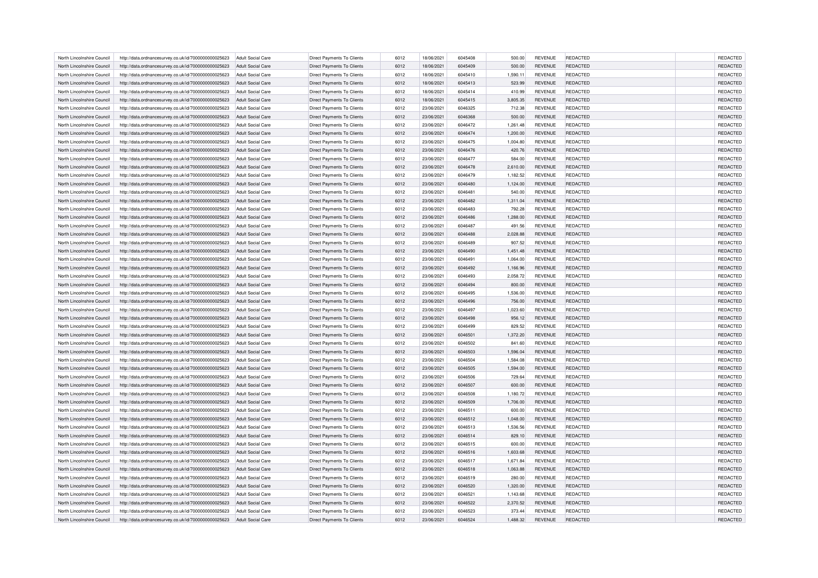| North Lincolnshire Council | http://data.ordnancesurvey.co.uk/id/7000000000025623                                                         | Adult Social Care                             | Direct Payments To Clients                                      | 6012 | 18/06/2021 | 6045408 | 500.00             | <b>REVENUE</b> | REDACTED        | <b>REDACTED</b> |
|----------------------------|--------------------------------------------------------------------------------------------------------------|-----------------------------------------------|-----------------------------------------------------------------|------|------------|---------|--------------------|----------------|-----------------|-----------------|
| North Lincolnshire Council | http://data.ordnancesurvey.co.uk/id/7000000000025623                                                         | <b>Adult Social Care</b>                      | Direct Payments To Clients                                      | 6012 | 18/06/2021 | 6045409 | 500.00             | <b>REVENUE</b> | REDACTED        | REDACTED        |
| North Lincolnshire Council | http://data.ordnancesurvey.co.uk/id/7000000000025623                                                         | Adult Social Care                             | Direct Payments To Clients                                      | 6012 | 18/06/2021 | 6045410 | 1.590.11           | <b>REVENUE</b> | REDACTED        | REDACTED        |
| North Lincolnshire Council | http://data.ordnancesurvey.co.uk/id/7000000000025623                                                         | <b>Adult Social Care</b>                      | Direct Payments To Clients                                      | 6012 | 18/06/2021 | 6045413 | 523.99             | <b>REVENUE</b> | REDACTED        | REDACTED        |
| North Lincolnshire Council | http://data.ordnancesurvey.co.uk/id/7000000000025623                                                         | <b>Adult Social Care</b>                      | Direct Payments To Clients                                      | 6012 | 18/06/2021 | 6045414 | 410.99             | <b>REVENUE</b> | REDACTED        | REDACTED        |
| North Lincolnshire Council | http://data.ordnancesurvey.co.uk/id/7000000000025623                                                         | <b>Adult Social Care</b>                      | Direct Payments To Clients                                      | 6012 | 18/06/2021 | 6045415 | 3,805.35           | <b>REVENUE</b> | REDACTED        | REDACTED        |
| North Lincolnshire Council | http://data.ordnancesurvey.co.uk/id/7000000000025623                                                         | Adult Social Care                             | Direct Payments To Clients                                      | 6012 | 23/06/2021 | 6046325 | 712.38             | <b>REVENUE</b> | REDACTED        | REDACTED        |
| North Lincolnshire Council | http://data.ordnancesurvey.co.uk/id/7000000000025623                                                         | <b>Adult Social Care</b>                      | Direct Payments To Clients                                      | 6012 | 23/06/2021 | 6046368 | 500.00             | <b>REVENUE</b> | REDACTED        | REDACTED        |
| North Lincolnshire Council | http://data.ordnancesurvey.co.uk/id/7000000000025623                                                         | <b>Adult Social Care</b>                      | Direct Payments To Clients                                      | 6012 | 23/06/2021 | 6046472 | 1,261.48           | <b>REVENUE</b> | REDACTED        | REDACTED        |
| North Lincolnshire Council | http://data.ordnancesurvey.co.uk/id/7000000000025623                                                         | Adult Social Care                             | Direct Payments To Clients                                      | 6012 | 23/06/2021 | 6046474 | 1,200.00           | <b>REVENUE</b> | REDACTED        | REDACTED        |
| North Lincolnshire Council | http://data.ordnancesurvey.co.uk/id/7000000000025623                                                         | Adult Social Care                             | <b>Direct Payments To Clients</b>                               | 6012 | 23/06/2021 | 6046475 | 1,004.80           | <b>REVENUE</b> | REDACTED        | REDACTED        |
| North Lincolnshire Council | http://data.ordnancesurvey.co.uk/id/7000000000025623                                                         | <b>Adult Social Care</b>                      | Direct Payments To Clients                                      | 6012 | 23/06/2021 | 6046476 | 420.76             | <b>REVENUE</b> | REDACTED        | REDACTED        |
| North Lincolnshire Council |                                                                                                              |                                               |                                                                 | 6012 | 23/06/2021 | 6046477 |                    | <b>REVENUE</b> | REDACTED        | REDACTED        |
| North Lincolnshire Council | http://data.ordnancesurvey.co.uk/id/7000000000025623<br>http://data.ordnancesurvey.co.uk/id/7000000000025623 | Adult Social Care<br><b>Adult Social Care</b> | Direct Payments To Clients<br><b>Direct Payments To Clients</b> | 6012 | 23/06/2021 | 6046478 | 584.00<br>2,610.00 | <b>REVENUE</b> | REDACTED        | REDACTED        |
|                            |                                                                                                              |                                               |                                                                 |      |            |         |                    |                |                 |                 |
| North Lincolnshire Council | http://data.ordnancesurvey.co.uk/id/7000000000025623                                                         | <b>Adult Social Care</b>                      | Direct Payments To Clients                                      | 6012 | 23/06/2021 | 6046479 | 1,182.52           | <b>REVENUE</b> | REDACTED        | REDACTED        |
| North Lincolnshire Council | http://data.ordnancesurvey.co.uk/id/7000000000025623                                                         | <b>Adult Social Care</b>                      | Direct Payments To Clients                                      | 6012 | 23/06/2021 | 6046480 | 1,124.00           | <b>REVENUE</b> | REDACTED        | REDACTED        |
| North Lincolnshire Council | http://data.ordnancesurvey.co.uk/id/7000000000025623                                                         | <b>Adult Social Care</b>                      | Direct Payments To Clients                                      | 6012 | 23/06/2021 | 6046481 | 540.00             | <b>REVENUE</b> | REDACTED        | REDACTED        |
| North Lincolnshire Council | http://data.ordnancesurvey.co.uk/id/7000000000025623                                                         | Adult Social Care                             | <b>Direct Payments To Clients</b>                               | 6012 | 23/06/2021 | 6046482 | 1,311.04           | <b>REVENUE</b> | REDACTED        | <b>REDACTED</b> |
| North Lincolnshire Council | http://data.ordnancesurvey.co.uk/id/7000000000025623                                                         | <b>Adult Social Care</b>                      | Direct Payments To Clients                                      | 6012 | 23/06/2021 | 6046483 | 792.28             | <b>REVENUE</b> | REDACTED        | REDACTED        |
| North Lincolnshire Council | http://data.ordnancesurvey.co.uk/id/7000000000025623                                                         | <b>Adult Social Care</b>                      | Direct Payments To Clients                                      | 6012 | 23/06/2021 | 6046486 | 1,288.00           | <b>REVENUE</b> | REDACTED        | REDACTED        |
| North Lincolnshire Council | http://data.ordnancesurvey.co.uk/id/7000000000025623                                                         | <b>Adult Social Care</b>                      | <b>Direct Payments To Clients</b>                               | 6012 | 23/06/2021 | 6046487 | 491.56             | <b>REVENUE</b> | REDACTED        | REDACTED        |
| North Lincolnshire Council | http://data.ordnancesurvey.co.uk/id/7000000000025623                                                         | <b>Adult Social Care</b>                      | Direct Payments To Clients                                      | 6012 | 23/06/2021 | 6046488 | 2,028.88           | <b>REVENUE</b> | REDACTED        | REDACTED        |
| North Lincolnshire Council | http://data.ordnancesurvey.co.uk/id/7000000000025623                                                         | <b>Adult Social Care</b>                      | Direct Payments To Clients                                      | 6012 | 23/06/2021 | 6046489 | 907.52             | REVENUE        | REDACTED        | REDACTED        |
| North Lincolnshire Council | http://data.ordnancesurvey.co.uk/id/7000000000025623                                                         | Adult Social Care                             | <b>Direct Payments To Clients</b>                               | 6012 | 23/06/2021 | 6046490 | 1,451.48           | <b>REVENUE</b> | REDACTED        | <b>REDACTED</b> |
| North Lincolnshire Council | http://data.ordnancesurvey.co.uk/id/7000000000025623                                                         | Adult Social Care                             | Direct Payments To Clients                                      | 6012 | 23/06/2021 | 6046491 | 1,064.00           | <b>REVENUE</b> | REDACTED        | REDACTED        |
| North Lincolnshire Council | http://data.ordnancesurvey.co.uk/id/7000000000025623                                                         | <b>Adult Social Care</b>                      | Direct Payments To Clients                                      | 6012 | 23/06/2021 | 6046492 | 1,166.96           | <b>REVENUE</b> | REDACTED        | REDACTED        |
| North Lincolnshire Council | http://data.ordnancesurvey.co.uk/id/7000000000025623                                                         | <b>Adult Social Care</b>                      | Direct Payments To Clients                                      | 6012 | 23/06/2021 | 6046493 | 2.058.72           | <b>REVENUE</b> | REDACTED        | REDACTED        |
| North Lincolnshire Council | http://data.ordnancesurvey.co.uk/id/7000000000025623                                                         | <b>Adult Social Care</b>                      | Direct Payments To Clients                                      | 6012 | 23/06/2021 | 6046494 | 800.00             | <b>REVENUE</b> | REDACTED        | REDACTED        |
| North Lincolnshire Council | http://data.ordnancesurvey.co.uk/id/7000000000025623                                                         | <b>Adult Social Care</b>                      | Direct Payments To Clients                                      | 6012 | 23/06/2021 | 6046495 | 1,536.00           | REVENUE        | REDACTED        | REDACTED        |
| North Lincolnshire Council | http://data.ordnancesurvey.co.uk/id/7000000000025623                                                         | <b>Adult Social Care</b>                      | Direct Payments To Clients                                      | 6012 | 23/06/2021 | 6046496 | 756.00             | <b>REVENUE</b> | REDACTED        | REDACTED        |
| North Lincolnshire Council | http://data.ordnancesurvey.co.uk/id/7000000000025623                                                         | <b>Adult Social Care</b>                      | Direct Payments To Clients                                      | 6012 | 23/06/2021 | 6046497 | 1,023.60           | <b>REVENUE</b> | REDACTED        | REDACTED        |
| North Lincolnshire Council | http://data.ordnancesurvey.co.uk/id/7000000000025623                                                         | <b>Adult Social Care</b>                      | Direct Payments To Clients                                      | 6012 | 23/06/2021 | 6046498 | 956.12             | <b>REVENUE</b> | REDACTED        | REDACTED        |
| North Lincolnshire Council | http://data.ordnancesurvey.co.uk/id/7000000000025623                                                         | <b>Adult Social Care</b>                      | Direct Payments To Clients                                      | 6012 | 23/06/2021 | 6046499 | 829.52             | <b>REVENUE</b> | REDACTED        | REDACTED        |
| North Lincolnshire Council | http://data.ordnancesurvey.co.uk/id/7000000000025623                                                         | <b>Adult Social Care</b>                      | Direct Payments To Clients                                      | 6012 | 23/06/2021 | 6046501 | 1,372.20           | <b>REVENUE</b> | REDACTED        | REDACTED        |
| North Lincolnshire Council | http://data.ordnancesurvey.co.uk/id/7000000000025623                                                         | <b>Adult Social Care</b>                      | Direct Payments To Clients                                      | 6012 | 23/06/2021 | 6046502 | 841.60             | <b>REVENUE</b> | REDACTED        | REDACTED        |
| North Lincolnshire Council | http://data.ordnancesurvey.co.uk/id/7000000000025623                                                         | <b>Adult Social Care</b>                      | Direct Payments To Clients                                      | 6012 | 23/06/2021 | 6046503 | 1,596.04           | <b>REVENUE</b> | REDACTED        | REDACTED        |
| North Lincolnshire Council | http://data.ordnancesurvey.co.uk/id/7000000000025623                                                         | Adult Social Care                             | Direct Payments To Clients                                      | 6012 | 23/06/2021 | 6046504 | 1,584.08           | REVENUE        | REDACTED        | REDACTED        |
| North Lincolnshire Council | http://data.ordnancesurvey.co.uk/id/7000000000025623                                                         | <b>Adult Social Care</b>                      | <b>Direct Payments To Clients</b>                               | 6012 | 23/06/2021 | 6046505 | 1,594.00           | <b>REVENUE</b> | REDACTED        | REDACTED        |
| North Lincolnshire Council | http://data.ordnancesurvey.co.uk/id/7000000000025623                                                         | <b>Adult Social Care</b>                      | <b>Direct Payments To Clients</b>                               | 6012 | 23/06/2021 | 6046506 | 729.64             | <b>REVENUE</b> | REDACTED        | REDACTED        |
| North Lincolnshire Council | http://data.ordnancesurvey.co.uk/id/7000000000025623                                                         | <b>Adult Social Care</b>                      | Direct Payments To Clients                                      | 6012 | 23/06/2021 | 6046507 | 600.00             | <b>REVENUE</b> | REDACTED        | REDACTED        |
| North Lincolnshire Council | http://data.ordnancesurvey.co.uk/id/7000000000025623                                                         | <b>Adult Social Care</b>                      | Direct Payments To Clients                                      | 6012 | 23/06/2021 | 6046508 | 1,180.72           | <b>REVENUE</b> | REDACTED        | REDACTED        |
| North Lincolnshire Council | http://data.ordnancesurvey.co.uk/id/7000000000025623                                                         | <b>Adult Social Care</b>                      | Direct Payments To Clients                                      | 6012 | 23/06/2021 | 6046509 | 1,706.00           | <b>REVENUE</b> | REDACTED        | REDACTED        |
| North Lincolnshire Council | http://data.ordnancesurvey.co.uk/id/7000000000025623                                                         | <b>Adult Social Care</b>                      | Direct Payments To Clients                                      | 6012 | 23/06/2021 | 6046511 | 600.00             | <b>REVENUE</b> | REDACTED        | REDACTED        |
| North Lincolnshire Council | http://data.ordnancesurvey.co.uk/id/7000000000025623                                                         | Adult Social Care                             | Direct Payments To Clients                                      | 6012 | 23/06/2021 | 6046512 | 1,048.00           | <b>REVENUE</b> | <b>REDACTED</b> | REDACTED        |
| North Lincolnshire Council |                                                                                                              | <b>Adult Social Care</b>                      | <b>Direct Payments To Clients</b>                               | 6012 | 23/06/2021 | 6046513 | 1,536.56           | <b>REVENUE</b> | REDACTED        | REDACTED        |
|                            | http://data.ordnancesurvey.co.uk/id/7000000000025623                                                         |                                               |                                                                 | 6012 |            |         |                    |                |                 |                 |
| North Lincolnshire Council | http://data.ordnancesurvey.co.uk/id/7000000000025623                                                         | <b>Adult Social Care</b>                      | Direct Payments To Clients                                      |      | 23/06/2021 | 6046514 | 829.10             | <b>REVENUE</b> | REDACTED        | REDACTED        |
| North Lincolnshire Council | http://data.ordnancesurvey.co.uk/id/7000000000025623                                                         | <b>Adult Social Care</b>                      | Direct Payments To Clients                                      | 6012 | 23/06/2021 | 6046515 | 600.00             | REVENUE        | REDACTED        | REDACTED        |
| North Lincolnshire Council | http://data.ordnancesurvey.co.uk/id/7000000000025623                                                         | Adult Social Care                             | <b>Direct Payments To Clients</b>                               | 6012 | 23/06/2021 | 6046516 | 1.603.68           | <b>REVENUE</b> | REDACTED        | <b>REDACTED</b> |
| North Lincolnshire Council | http://data.ordnancesurvey.co.uk/id/7000000000025623                                                         | Adult Social Care                             | Direct Payments To Clients                                      | 6012 | 23/06/2021 | 6046517 | 1,671.84           | REVENUE        | REDACTED        | REDACTED        |
| North Lincolnshire Council | http://data.ordnancesurvey.co.uk/id/7000000000025623                                                         | <b>Adult Social Care</b>                      | Direct Payments To Clients                                      | 6012 | 23/06/2021 | 6046518 | 1,063.88           | <b>REVENUE</b> | REDACTED        | REDACTED        |
| North Lincolnshire Council | http://data.ordnancesurvey.co.uk/id/7000000000025623                                                         | Adult Social Care                             | Direct Payments To Clients                                      | 6012 | 23/06/2021 | 6046519 | 280.00             | <b>REVENUE</b> | REDACTED        | REDACTED        |
| North Lincolnshire Council | http://data.ordnancesurvey.co.uk/id/7000000000025623                                                         | Adult Social Care                             | Direct Payments To Clients                                      | 6012 | 23/06/2021 | 6046520 | 1,320.00           | <b>REVENUE</b> | REDACTED        | REDACTED        |
| North Lincolnshire Council | http://data.ordnancesurvey.co.uk/id/7000000000025623                                                         | <b>Adult Social Care</b>                      | Direct Payments To Clients                                      | 6012 | 23/06/2021 | 6046521 | 1,143.68           | <b>REVENUE</b> | REDACTED        | REDACTED        |
| North Lincolnshire Council | http://data.ordnancesurvey.co.uk/id/7000000000025623                                                         | <b>Adult Social Care</b>                      | Direct Payments To Clients                                      | 6012 | 23/06/2021 | 6046522 | 2,370.52           | <b>REVENUE</b> | REDACTED        | REDACTED        |
| North Lincolnshire Council | http://data.ordnancesurvey.co.uk/id/7000000000025623                                                         | <b>Adult Social Care</b>                      | Direct Payments To Clients                                      | 6012 | 23/06/2021 | 6046523 | 373.44             | <b>REVENUE</b> | REDACTED        | REDACTED        |
| North Lincolnshire Council | http://data.ordnancesurvey.co.uk/id/7000000000025623                                                         | Adult Social Care                             | Direct Payments To Clients                                      | 6012 | 23/06/2021 | 6046524 | 1,488.32           | <b>REVENUE</b> | REDACTED        | <b>REDACTED</b> |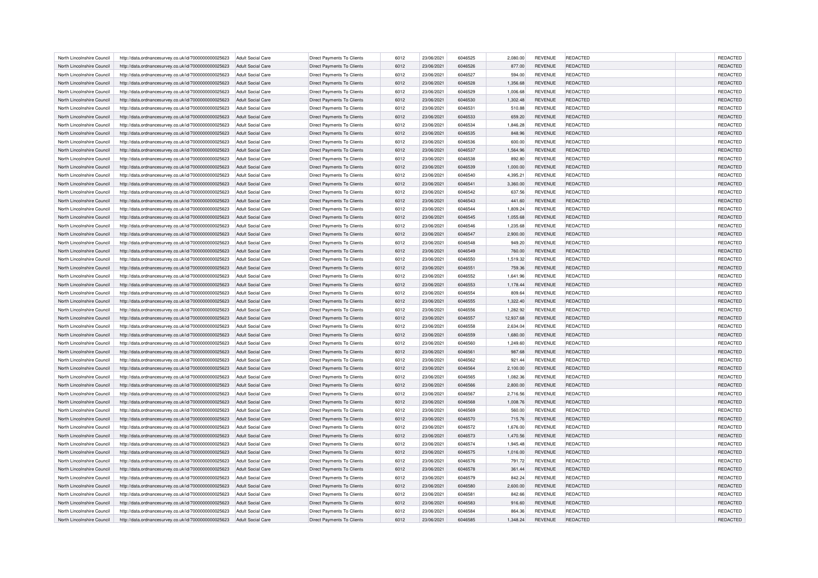| REDACTED<br>North Lincolnshire Council<br>http://data.ordnancesurvey.co.uk/id/7000000000025623<br>Adult Social Care<br>Direct Payments To Clients<br>6012<br>23/06/2021<br>6046525<br>2,080.00<br><b>REVENUE</b>                      | REDACTED |
|---------------------------------------------------------------------------------------------------------------------------------------------------------------------------------------------------------------------------------------|----------|
| REDACTED<br>North Lincolnshire Council<br>http://data.ordnancesurvey.co.uk/id/7000000000025623<br>Adult Social Care<br><b>Direct Payments To Clients</b><br>6012<br>23/06/2021<br>6046526<br>877.00<br><b>REVENUE</b>                 | REDACTED |
| 6046527<br>REDACTED<br>North Lincolnshire Council<br>Adult Social Care<br>Direct Payments To Clients<br>6012<br>23/06/2021<br><b>REVENUE</b><br>http://data.ordnancesurvey.co.uk/id/7000000000025623<br>594.00                        | REDACTED |
| <b>Direct Payments To Clients</b><br>6012<br>North Lincolnshire Council<br>http://data.ordnancesurvey.co.uk/id/7000000000025623<br><b>Adult Social Care</b><br>23/06/2021<br>6046528<br>1,356.68<br><b>REVENUE</b><br><b>REDACTED</b> | REDACTED |
| North Lincolnshire Council<br>6012<br>23/06/2021<br>6046529<br><b>REVENUE</b><br>REDACTED<br>http://data.ordnancesurvey.co.uk/id/7000000000025623<br><b>Adult Social Care</b><br><b>Direct Payments To Clients</b><br>1,006.68        | REDACTED |
| <b>REDACTED</b><br>North Lincolnshire Council<br>http://data.ordnancesurvey.co.uk/id/7000000000025623<br>Adult Social Care<br>Direct Payments To Clients<br>6012<br>23/06/2021<br>6046530<br>1,302.48<br><b>REVENUE</b>               | REDACTED |
| Direct Payments To Clients<br>6012<br>23/06/2021<br>6046531<br>REDACTED<br>North Lincolnshire Council<br>http://data.ordnancesurvey.co.uk/id/7000000000025623<br><b>Adult Social Care</b><br>510.88<br><b>REVENUE</b>                 | REDACTED |
| North Lincolnshire Council<br><b>Direct Payments To Clients</b><br>6012<br>23/06/2021<br>6046533<br>REDACTED<br>http://data.ordnancesurvey.co.uk/id/7000000000025623<br>Adult Social Care<br>659.20<br><b>REVENUE</b>                 | REDACTED |
| North Lincolnshire Council<br>Direct Payments To Clients<br>6012<br>23/06/2021<br>6046534<br><b>REVENUE</b><br>REDACTED<br>http://data.ordnancesurvey.co.uk/id/7000000000025623<br>Adult Social Care<br>1,846.28                      | REDACTED |
|                                                                                                                                                                                                                                       |          |
| Direct Payments To Clients<br>6012<br>23/06/2021<br>6046535<br><b>REDACTED</b><br>North Lincolnshire Council<br>http://data.ordnancesurvey.co.uk/id/7000000000025623<br><b>Adult Social Care</b><br>848.96<br><b>REVENUE</b>          | REDACTED |
| North Lincolnshire Council<br>Adult Social Care<br><b>Direct Payments To Clients</b><br>6012<br>23/06/2021<br>6046536<br>600.00<br><b>REVENUE</b><br>REDACTED<br>http://data.ordnancesurvey.co.uk/id/7000000000025623                 | REDACTED |
| North Lincolnshire Council<br><b>Direct Payments To Clients</b><br>6012<br>23/06/2021<br>6046537<br><b>REVENUE</b><br><b>REDACTED</b><br>http://data.ordnancesurvey.co.uk/id/7000000000025623<br>Adult Social Care<br>1,564.96        | REDACTED |
| Direct Payments To Clients<br>6012<br>23/06/2021<br>6046538<br>REDACTED<br>North Lincolnshire Council<br>http://data.ordnancesurvey.co.uk/id/7000000000025623<br><b>Adult Social Care</b><br>892.80<br><b>REVENUE</b>                 | REDACTED |
| North Lincolnshire Council<br>Adult Social Care<br>Direct Payments To Clients<br>6012<br>23/06/2021<br>6046539<br>1,000.00<br><b>REVENUE</b><br>REDACTED<br>http://data.ordnancesurvey.co.uk/id/7000000000025623                      | REDACTED |
| North Lincolnshire Council<br><b>Direct Payments To Clients</b><br>6012<br>23/06/2021<br>6046540<br>4,395.21<br><b>REVENUE</b><br>REDACTED<br>http://data.ordnancesurvey.co.uk/id/7000000000025623<br><b>Adult Social Care</b>        | REDACTED |
| North Lincolnshire Council<br>http://data.ordnancesurvey.co.uk/id/7000000000025623<br><b>Adult Social Care</b><br>Direct Payments To Clients<br>6012<br>23/06/2021<br>6046541<br>3,360.00<br><b>REVENUE</b><br>REDACTED               | REDACTED |
| REDACTED<br>North Lincolnshire Council<br>http://data.ordnancesurvey.co.uk/id/7000000000025623<br><b>Adult Social Care</b><br><b>Direct Payments To Clients</b><br>6012<br>23/06/2021<br>6046542<br>637.56<br><b>REVENUE</b>          | REDACTED |
| North Lincolnshire Council<br>Direct Payments To Clients<br>6012<br>23/06/2021<br>6046543<br><b>REVENUE</b><br>REDACTED<br>http://data.ordnancesurvey.co.uk/id/7000000000025623<br><b>Adult Social Care</b><br>441.60                 | REDACTED |
| Direct Payments To Clients<br>6012<br>North Lincolnshire Council<br>http://data.ordnancesurvey.co.uk/id/7000000000025623<br><b>Adult Social Care</b><br>23/06/2021<br>6046544<br>1,809.24<br><b>REVENUE</b><br>REDACTED               | REDACTED |
| 6012<br>REDACTED<br>North Lincolnshire Council<br>http://data.ordnancesurvey.co.uk/id/7000000000025623<br>Adult Social Care<br><b>Direct Payments To Clients</b><br>23/06/2021<br>6046545<br>1,055.68<br><b>REVENUE</b>               | REDACTED |
| 23/06/2021<br>6046546<br>REDACTED<br>North Lincolnshire Council<br>http://data.ordnancesurvey.co.uk/id/7000000000025623<br>Adult Social Care<br>Direct Payments To Clients<br>6012<br>1,235.68<br><b>REVENUE</b>                      | REDACTED |
| <b>Direct Payments To Clients</b><br>6012<br>North Lincolnshire Council<br>http://data.ordnancesurvey.co.uk/id/7000000000025623<br><b>Adult Social Care</b><br>23/06/2021<br>6046547<br>2,900.00<br><b>REVENUE</b><br><b>REDACTED</b> | REDACTED |
| North Lincolnshire Council<br>6012<br>23/06/2021<br>6046548<br>REDACTED<br>http://data.ordnancesurvey.co.uk/id/7000000000025623<br><b>Adult Social Care</b><br><b>Direct Payments To Clients</b><br>949.20<br><b>REVENUE</b>          | REDACTED |
| 6046549<br><b>REVENUE</b><br><b>REDACTED</b><br>North Lincolnshire Council<br>http://data.ordnancesurvey.co.uk/id/7000000000025623<br>Adult Social Care<br>Direct Payments To Clients<br>6012<br>23/06/2021<br>760.00                 | REDACTED |
| Direct Payments To Clients<br>6012<br>23/06/2021<br>North Lincolnshire Council<br>http://data.ordnancesurvey.co.uk/id/7000000000025623<br><b>Adult Social Care</b><br>6046550<br>1,519.32<br><b>REVENUE</b><br>REDACTED               | REDACTED |
| North Lincolnshire Council<br><b>Direct Payments To Clients</b><br>6012<br>23/06/2021<br>6046551<br>REDACTED<br>http://data.ordnancesurvey.co.uk/id/7000000000025623<br>Adult Social Care<br>759.36<br><b>REVENUE</b>                 | REDACTED |
| North Lincolnshire Council<br>Direct Payments To Clients<br>6012<br>23/06/2021<br>6046552<br><b>REVENUE</b><br>REDACTED<br>http://data.ordnancesurvey.co.uk/id/7000000000025623<br>Adult Social Care<br>1,641.96                      | REDACTED |
| 6012<br>Direct Payments To Clients<br>23/06/2021<br>6046553<br><b>REVENUE</b><br><b>REDACTED</b><br>North Lincolnshire Council<br>http://data.ordnancesurvey.co.uk/id/7000000000025623<br><b>Adult Social Care</b><br>1,178.44        | REDACTED |
| North Lincolnshire Council<br><b>Direct Payments To Clients</b><br>6012<br>23/06/2021<br>6046554<br>809.64<br><b>REVENUE</b><br>REDACTED<br>http://data.ordnancesurvey.co.uk/id/7000000000025623<br><b>Adult Social Care</b>          | REDACTED |
| North Lincolnshire Council<br>Adult Social Care<br><b>Direct Payments To Clients</b><br>6012<br>23/06/2021<br>6046555<br><b>REVENUE</b><br><b>REDACTED</b><br>http://data.ordnancesurvey.co.uk/id/7000000000025623<br>1,322.40        | REDACTED |
| North Lincolnshire Council<br>Direct Payments To Clients<br>6012<br>23/06/2021<br>6046556<br>REDACTED<br>http://data.ordnancesurvey.co.uk/id/7000000000025623<br><b>Adult Social Care</b><br>1,282.92<br><b>REVENUE</b>               | REDACTED |
| North Lincolnshire Council<br>http://data.ordnancesurvey.co.uk/id/7000000000025623<br><b>Adult Social Care</b><br>Direct Payments To Clients<br>6012<br>23/06/2021<br>6046557<br>12,937.68<br><b>REVENUE</b><br>REDACTED              | REDACTED |
| North Lincolnshire Council<br>Adult Social Care<br>Direct Payments To Clients<br>6012<br>23/06/2021<br>6046558<br>2.634.04<br><b>REVENUE</b><br>REDACTED<br>http://data.ordnancesurvey.co.uk/id/7000000000025623                      | REDACTED |
| 6012<br>North Lincolnshire Council<br>http://data.ordnancesurvey.co.uk/id/7000000000025623<br>Direct Payments To Clients<br>23/06/2021<br>6046559<br>1,680.00<br><b>REVENUE</b><br><b>REDACTED</b><br>Adult Social Care               | REDACTED |
| North Lincolnshire Council<br>http://data.ordnancesurvey.co.uk/id/7000000000025623<br><b>Adult Social Care</b><br>Direct Payments To Clients<br>6012<br>23/06/2021<br>6046560<br>1,249.60<br><b>REVENUE</b><br>REDACTED               | REDACTED |
| North Lincolnshire Council<br>http://data.ordnancesurvey.co.uk/id/7000000000025623<br>Adult Social Care<br><b>Direct Payments To Clients</b><br>6012<br>23/06/2021<br>6046561<br>987.68<br><b>REVENUE</b><br><b>REDACTED</b>          | REDACTED |
| 6012<br>6046562<br>REDACTED<br>North Lincolnshire Council<br>http://data.ordnancesurvey.co.uk/id/7000000000025623<br><b>Adult Social Care</b><br>Direct Payments To Clients<br>23/06/2021<br>921.44<br><b>REVENUE</b>                 | REDACTED |
|                                                                                                                                                                                                                                       |          |
| 23/06/2021<br>REDACTED<br>North Lincolnshire Council<br>http://data.ordnancesurvey.co.uk/id/7000000000025623<br>Adult Social Care<br><b>Direct Payments To Clients</b><br>6012<br>6046564<br>2,100.00<br><b>REVENUE</b>               | REDACTED |
| 23/06/2021<br>6046565<br>North Lincolnshire Council<br>Adult Social Care<br>Direct Payments To Clients<br>6012<br>1,082.36<br><b>REVENUE</b><br>REDACTED<br>http://data.ordnancesurvey.co.uk/id/7000000000025623                      | REDACTED |
| 6012<br>23/06/2021<br>North Lincolnshire Council<br>http://data.ordnancesurvey.co.uk/id/7000000000025623<br><b>Adult Social Care</b><br><b>Direct Payments To Clients</b><br>6046566<br>2,800.00<br><b>REVENUE</b><br><b>REDACTED</b> | REDACTED |
| 6012<br>23/06/2021<br>REDACTED<br>North Lincolnshire Council<br>http://data.ordnancesurvey.co.uk/id/7000000000025623<br><b>Adult Social Care</b><br><b>Direct Payments To Clients</b><br>6046567<br>2,716.56<br><b>REVENUE</b>        | REDACTED |
| 23/06/2021<br>6046568<br><b>REVENUE</b><br><b>REDACTED</b><br>North Lincolnshire Council<br>http://data.ordnancesurvey.co.uk/id/7000000000025623<br>Adult Social Care<br>Direct Payments To Clients<br>6012<br>1,008.76               | REDACTED |
| Direct Payments To Clients<br>6012<br>23/06/2021<br>North Lincolnshire Council<br>http://data.ordnancesurvey.co.uk/id/7000000000025623<br><b>Adult Social Care</b><br>6046569<br>560.00<br><b>REVENUE</b><br>REDACTED                 | REDACTED |
| North Lincolnshire Council<br><b>Direct Payments To Clients</b><br>6012<br>23/06/2021<br>6046570<br><b>REVENUE</b><br><b>REDACTED</b><br>http://data.ordnancesurvey.co.uk/id/7000000000025623<br>Adult Social Care<br>715.76          | REDACTED |
| North Lincolnshire Council<br>Direct Payments To Clients<br>6012<br>23/06/2021<br>6046572<br><b>REVENUE</b><br>REDACTED<br>http://data.ordnancesurvey.co.uk/id/7000000000025623<br>Adult Social Care<br>1,676.00                      | REDACTED |
| 6012<br>Direct Payments To Clients<br>23/06/2021<br>6046573<br>1,470.56<br><b>REVENUE</b><br><b>REDACTED</b><br>North Lincolnshire Council<br>http://data.ordnancesurvey.co.uk/id/7000000000025623<br><b>Adult Social Care</b>        | REDACTED |
| North Lincolnshire Council<br><b>Adult Social Care</b><br><b>Direct Payments To Clients</b><br>6012<br>23/06/2021<br>6046574<br>1,945.48<br><b>REVENUE</b><br>REDACTED<br>http://data.ordnancesurvey.co.uk/id/7000000000025623        | REDACTED |
| North Lincolnshire Council<br>Adult Social Care<br><b>Direct Payments To Clients</b><br>6012<br>23/06/2021<br>6046575<br>1,016.00<br><b>REVENUE</b><br><b>REDACTED</b><br>http://data.ordnancesurvey.co.uk/id/7000000000025623        | REDACTED |
| North Lincolnshire Council<br>Direct Payments To Clients<br>6012<br>23/06/2021<br>6046576<br><b>REVENUE</b><br>REDACTED<br>http://data.ordnancesurvey.co.uk/id/7000000000025623<br>Adult Social Care<br>791.72                        | REDACTED |
| North Lincolnshire Council<br>http://data.ordnancesurvey.co.uk/id/7000000000025623<br>Adult Social Care<br>Direct Payments To Clients<br>6012<br>23/06/2021<br>6046578<br>361.44<br><b>REVENUE</b><br>REDACTED                        | REDACTED |
| North Lincolnshire Council<br>http://data.ordnancesurvey.co.uk/id/7000000000025623<br>Adult Social Care<br>Direct Payments To Clients<br>6012<br>23/06/2021<br>6046579<br>842.24<br><b>REVENUE</b><br>REDACTED                        | REDACTED |
| 6012<br>North Lincolnshire Council<br>http://data.ordnancesurvey.co.uk/id/7000000000025623<br>Direct Payments To Clients<br>23/06/2021<br>6046580<br>2,600.00<br><b>REVENUE</b><br><b>REDACTED</b><br>Adult Social Care               | REDACTED |
| North Lincolnshire Council<br>http://data.ordnancesurvey.co.uk/id/7000000000025623<br>Adult Social Care<br>Direct Payments To Clients<br>6012<br>23/06/2021<br>6046581<br>842.66<br><b>REVENUE</b><br>REDACTED                        | REDACTED |
|                                                                                                                                                                                                                                       | REDACTED |
| North Lincolnshire Council<br>http://data.ordnancesurvey.co.uk/id/7000000000025623<br><b>Adult Social Care</b><br>Direct Payments To Clients<br>6012<br>23/06/2021<br>6046583<br>916.60<br><b>REVENUE</b><br><b>REDACTED</b>          |          |
| Direct Payments To Clients<br>6012<br>23/06/2021<br>6046584<br><b>REVENUE</b><br>REDACTED<br>North Lincolnshire Council<br>http://data.ordnancesurvey.co.uk/id/7000000000025623<br><b>Adult Social Care</b><br>864.36                 | REDACTED |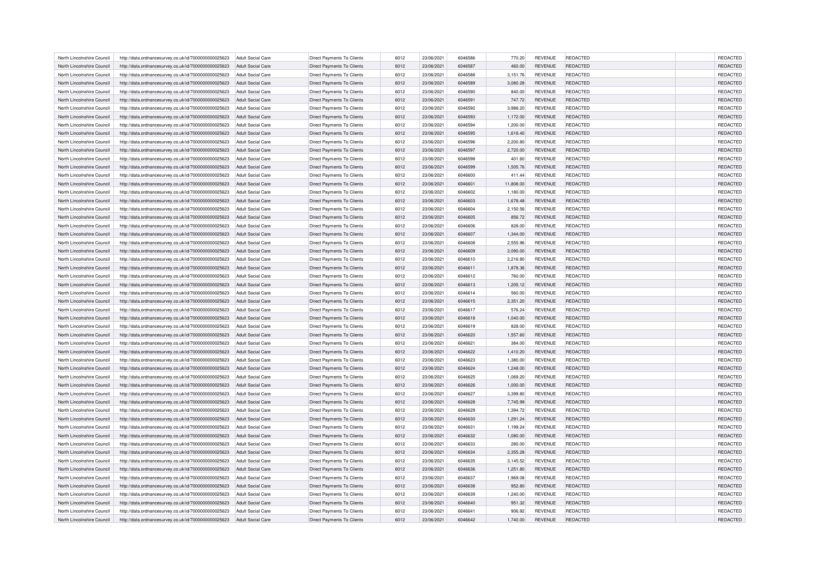| North Lincolnshire Council | http://data.ordnancesurvey.co.uk/id/7000000000025623 | Adult Social Care        | Direct Payments To Clients        | 6012         | 23/06/2021 | 6046586            | 770.20             | <b>REVENUE</b> | REDACTED        | REDACTED             |
|----------------------------|------------------------------------------------------|--------------------------|-----------------------------------|--------------|------------|--------------------|--------------------|----------------|-----------------|----------------------|
| North Lincolnshire Council | http://data.ordnancesurvey.co.uk/id/7000000000025623 | Adult Social Care        | Direct Payments To Clients        | 6012         | 23/06/2021 | 6046587            | 460.00             | <b>REVENUE</b> | REDACTED        | REDACTED             |
| North Lincolnshire Council | http://data.ordnancesurvey.co.uk/id/7000000000025623 | Adult Social Care        | Direct Payments To Clients        | 6012         | 23/06/2021 | 6046588            | 3.151.76           | <b>REVENUE</b> | REDACTED        | REDACTED             |
| North Lincolnshire Council | http://data.ordnancesurvey.co.uk/id/7000000000025623 | <b>Adult Social Care</b> | Direct Payments To Clients        | 6012         | 23/06/2021 | 6046589            | 3,080.28           | <b>REVENUE</b> | <b>REDACTED</b> | REDACTED             |
| North Lincolnshire Council | http://data.ordnancesurvey.co.uk/id/7000000000025623 | <b>Adult Social Care</b> | Direct Payments To Clients        | 6012         | 23/06/2021 | 6046590            | 840.00             | <b>REVENUE</b> | REDACTED        | REDACTED             |
| North Lincolnshire Council | http://data.ordnancesurvey.co.uk/id/7000000000025623 | <b>Adult Social Care</b> | Direct Payments To Clients        | 6012         | 23/06/2021 | 6046591            | 747.72             | <b>REVENUE</b> | REDACTED        | REDACTED             |
| North Lincolnshire Council | http://data.ordnancesurvey.co.uk/id/7000000000025623 | <b>Adult Social Care</b> | Direct Payments To Clients        | 6012         | 23/06/2021 | 6046592            | 3,988.20           | <b>REVENUE</b> | REDACTED        | REDACTED             |
| North Lincolnshire Council | http://data.ordnancesurvey.co.uk/id/7000000000025623 | <b>Adult Social Care</b> | <b>Direct Payments To Clients</b> | 6012         | 23/06/2021 | 6046593            | 1,172.00           | <b>REVENUE</b> | REDACTED        | REDACTED             |
| North Lincolnshire Council | http://data.ordnancesurvey.co.uk/id/7000000000025623 | <b>Adult Social Care</b> | <b>Direct Payments To Clients</b> | 6012         | 23/06/2021 | 6046594            | 1,200.00           | <b>REVENUE</b> | REDACTED        | REDACTED             |
| North Lincolnshire Council | http://data.ordnancesurvey.co.uk/id/7000000000025623 | Adult Social Care        | Direct Payments To Clients        | 6012         | 23/06/2021 | 6046595            | 1,618.40           | <b>REVENUE</b> | REDACTED        | REDACTED             |
| North Lincolnshire Council | http://data.ordnancesurvey.co.uk/id/7000000000025623 | Adult Social Care        | <b>Direct Payments To Clients</b> | 6012         | 23/06/2021 | 6046596            | 2,200.80           | <b>REVENUE</b> | REDACTED        | REDACTED             |
| North Lincolnshire Council | http://data.ordnancesurvey.co.uk/id/7000000000025623 | <b>Adult Social Care</b> | Direct Payments To Clients        | 6012         | 23/06/2021 | 6046597            | 2,720.00           | <b>REVENUE</b> | REDACTED        | REDACTED             |
| North Lincolnshire Council | http://data.ordnancesurvey.co.uk/id/7000000000025623 | <b>Adult Social Care</b> | Direct Payments To Clients        | 6012         | 23/06/2021 | 6046598            | 401.60             | <b>REVENUE</b> | REDACTED        | REDACTED             |
| North Lincolnshire Council | http://data.ordnancesurvey.co.uk/id/7000000000025623 | Adult Social Care        | <b>Direct Payments To Clients</b> | 6012         | 23/06/2021 | 6046599            | 1,505.76           | <b>REVENUE</b> | REDACTED        | REDACTED             |
| North Lincolnshire Council | http://data.ordnancesurvey.co.uk/id/7000000000025623 | <b>Adult Social Care</b> | <b>Direct Payments To Clients</b> | 6012         | 23/06/2021 | 6046600            | 411.44             | <b>REVENUE</b> | REDACTED        | REDACTED             |
| North Lincolnshire Council | http://data.ordnancesurvey.co.uk/id/7000000000025623 | <b>Adult Social Care</b> | Direct Payments To Clients        | 6012         | 23/06/2021 | 6046601            | 11,808.00          | <b>REVENUE</b> | <b>REDACTED</b> | REDACTED             |
| North Lincolnshire Council | http://data.ordnancesurvey.co.uk/id/7000000000025623 | <b>Adult Social Care</b> | <b>Direct Payments To Clients</b> | 6012         | 23/06/2021 | 6046602            | 1,180.00           | <b>REVENUE</b> | REDACTED        | REDACTED             |
| North Lincolnshire Council | http://data.ordnancesurvey.co.uk/id/7000000000025623 | Adult Social Care        | <b>Direct Payments To Clients</b> | 6012         | 23/06/2021 | 6046603            | 1,678.48           | <b>REVENUE</b> | <b>REDACTED</b> | REDACTED             |
| North Lincolnshire Council | http://data.ordnancesurvey.co.uk/id/7000000000025623 | <b>Adult Social Care</b> | Direct Payments To Clients        | 6012         | 23/06/2021 | 6046604            | 2,150.56           | <b>REVENUE</b> | REDACTED        | REDACTED             |
| North Lincolnshire Council | http://data.ordnancesurvey.co.uk/id/7000000000025623 | <b>Adult Social Care</b> | Direct Payments To Clients        | 6012         | 23/06/2021 | 6046605            | 856.72             | <b>REVENUE</b> | REDACTED        | REDACTED             |
| North Lincolnshire Council | http://data.ordnancesurvey.co.uk/id/7000000000025623 | Adult Social Care        | <b>Direct Payments To Clients</b> | 6012         | 23/06/2021 | 6046606            | 828.00             | <b>REVENUE</b> | REDACTED        | REDACTED             |
| North Lincolnshire Council | http://data.ordnancesurvey.co.uk/id/7000000000025623 | <b>Adult Social Care</b> | Direct Payments To Clients        | 6012         | 23/06/2021 | 6046607            | 1,344.00           | <b>REVENUE</b> | <b>REDACTED</b> | REDACTED             |
| North Lincolnshire Council | http://data.ordnancesurvey.co.uk/id/7000000000025623 | <b>Adult Social Care</b> | Direct Payments To Clients        | 6012         | 23/06/2021 | 6046608            | 2,555.96           | <b>REVENUE</b> | REDACTED        | REDACTED             |
| North Lincolnshire Council | http://data.ordnancesurvey.co.uk/id/7000000000025623 | Adult Social Care        | <b>Direct Payments To Clients</b> | 6012         | 23/06/2021 | 6046609            | 2,090.00           | <b>REVENUE</b> | <b>REDACTED</b> | REDACTED             |
| North Lincolnshire Council | http://data.ordnancesurvey.co.uk/id/7000000000025623 | Adult Social Care        | Direct Payments To Clients        | 6012         | 23/06/2021 | 6046610            | 2,216.80           | <b>REVENUE</b> | REDACTED        | REDACTED             |
| North Lincolnshire Council | http://data.ordnancesurvey.co.uk/id/7000000000025623 | <b>Adult Social Care</b> | Direct Payments To Clients        | 6012         | 23/06/2021 | 6046611            | 1,878.36           | <b>REVENUE</b> | REDACTED        | REDACTED             |
| North Lincolnshire Council | http://data.ordnancesurvey.co.uk/id/7000000000025623 | Adult Social Care        | Direct Payments To Clients        | 6012         | 23/06/2021 | 6046612            | 760.00             | <b>REVENUE</b> | REDACTED        | REDACTED             |
| North Lincolnshire Council | http://data.ordnancesurvey.co.uk/id/7000000000025623 | Adult Social Care        | Direct Payments To Clients        | 6012         | 23/06/2021 | 6046613            | 1,205.12           | <b>REVENUE</b> | REDACTED        | REDACTED             |
| North Lincolnshire Council |                                                      | <b>Adult Social Care</b> |                                   | 6012         | 23/06/2021 | 6046614            |                    | <b>REVENUE</b> | REDACTED        |                      |
| North Lincolnshire Council | http://data.ordnancesurvey.co.uk/id/7000000000025623 | <b>Adult Social Care</b> | Direct Payments To Clients        | 6012         | 23/06/2021 | 6046615            | 560.00<br>2,351.20 | <b>REVENUE</b> | <b>REDACTED</b> | REDACTED<br>REDACTED |
| North Lincolnshire Council | http://data.ordnancesurvey.co.uk/id/7000000000025623 | <b>Adult Social Care</b> | Direct Payments To Clients        | 6012         | 23/06/2021 | 6046617            | 576.24             | <b>REVENUE</b> | REDACTED        | REDACTED             |
|                            | http://data.ordnancesurvey.co.uk/id/7000000000025623 |                          | Direct Payments To Clients        |              |            |                    |                    |                |                 | REDACTED             |
| North Lincolnshire Council | http://data.ordnancesurvey.co.uk/id/7000000000025623 | <b>Adult Social Care</b> | Direct Payments To Clients        | 6012         | 23/06/2021 | 6046618            | 1,040.00           | <b>REVENUE</b> | REDACTED        | REDACTED             |
| North Lincolnshire Council | http://data.ordnancesurvey.co.uk/id/7000000000025623 | <b>Adult Social Care</b> | Direct Payments To Clients        | 6012<br>6012 | 23/06/2021 | 6046619<br>6046620 | 828.00             | <b>REVENUE</b> | REDACTED        | REDACTED             |
| North Lincolnshire Council | http://data.ordnancesurvey.co.uk/id/7000000000025623 | <b>Adult Social Care</b> | Direct Payments To Clients        |              | 23/06/2021 |                    | 1,557.60           | <b>REVENUE</b> | REDACTED        |                      |
| North Lincolnshire Council | http://data.ordnancesurvey.co.uk/id/7000000000025623 | <b>Adult Social Care</b> | Direct Payments To Clients        | 6012         | 23/06/2021 | 6046621            | 384.00             | <b>REVENUE</b> | REDACTED        | REDACTED             |
| North Lincolnshire Council | http://data.ordnancesurvey.co.uk/id/7000000000025623 | <b>Adult Social Care</b> | Direct Payments To Clients        | 6012         | 23/06/2021 | 6046622            | 1,410.20           | <b>REVENUE</b> | REDACTED        | REDACTED             |
| North Lincolnshire Council | http://data.ordnancesurvey.co.uk/id/7000000000025623 | Adult Social Care        | Direct Payments To Clients        | 6012         | 23/06/2021 | 6046623            | 1,380.00           | <b>REVENUE</b> | REDACTED        | REDACTED             |
| North Lincolnshire Council | http://data.ordnancesurvey.co.uk/id/7000000000025623 | <b>Adult Social Care</b> | <b>Direct Payments To Clients</b> | 6012         | 23/06/2021 | 6046624            | 1,248.00           | <b>REVENUE</b> | REDACTED        | REDACTED             |
| North Lincolnshire Council | http://data.ordnancesurvey.co.uk/id/7000000000025623 | <b>Adult Social Care</b> | <b>Direct Payments To Clients</b> | 6012         | 23/06/2021 | 6046625            | 1,069.20           | <b>REVENUE</b> | REDACTED        | REDACTED             |
| North Lincolnshire Council | http://data.ordnancesurvey.co.uk/id/7000000000025623 | <b>Adult Social Care</b> | Direct Payments To Clients        | 6012         | 23/06/2021 | 6046626            | 1,000.00           | <b>REVENUE</b> | REDACTED        | REDACTED             |
| North Lincolnshire Council | http://data.ordnancesurvey.co.uk/id/7000000000025623 | <b>Adult Social Care</b> | Direct Payments To Clients        | 6012         | 23/06/2021 | 6046627            | 3,399.80           | <b>REVENUE</b> | REDACTED        | REDACTED             |
| North Lincolnshire Council | http://data.ordnancesurvey.co.uk/id/7000000000025623 | <b>Adult Social Care</b> | <b>Direct Payments To Clients</b> | 6012         | 23/06/2021 | 6046628            | 7,745.99           | <b>REVENUE</b> | <b>REDACTED</b> | REDACTED             |
| North Lincolnshire Council | http://data.ordnancesurvey.co.uk/id/7000000000025623 | <b>Adult Social Care</b> | Direct Payments To Clients        | 6012         | 23/06/2021 | 6046629            | 1,394.72           | <b>REVENUE</b> | REDACTED        | REDACTED             |
| North Lincolnshire Council | http://data.ordnancesurvey.co.uk/id/7000000000025623 | <b>Adult Social Care</b> | Direct Payments To Clients        | 6012         | 23/06/2021 | 6046630            | 1,291.24           | <b>REVENUE</b> | <b>REDACTED</b> | REDACTED             |
| North Lincolnshire Council | http://data.ordnancesurvey.co.uk/id/7000000000025623 | Adult Social Care        | Direct Payments To Clients        | 6012         | 23/06/2021 | 6046631            | 1,199.24           | <b>REVENUE</b> | REDACTED        | REDACTED             |
| North Lincolnshire Council | http://data.ordnancesurvey.co.uk/id/7000000000025623 | <b>Adult Social Care</b> | Direct Payments To Clients        | 6012         | 23/06/2021 | 6046632            | 1,080.00           | <b>REVENUE</b> | <b>REDACTED</b> | REDACTED             |
| North Lincolnshire Council | http://data.ordnancesurvey.co.uk/id/7000000000025623 | <b>Adult Social Care</b> | Direct Payments To Clients        | 6012         | 23/06/2021 | 6046633            | 280.00             | <b>REVENUE</b> | REDACTED        | REDACTED             |
| North Lincolnshire Council | http://data.ordnancesurvey.co.uk/id/7000000000025623 | Adult Social Care        | <b>Direct Payments To Clients</b> | 6012         | 23/06/2021 | 6046634            | 2.355.28           | <b>REVENUE</b> | <b>REDACTED</b> | REDACTED             |
| North Lincolnshire Council | http://data.ordnancesurvey.co.uk/id/7000000000025623 | Adult Social Care        | Direct Payments To Clients        | 6012         | 23/06/2021 | 6046635            | 3,145.52           | <b>REVENUE</b> | REDACTED        | REDACTED             |
| North Lincolnshire Council | http://data.ordnancesurvey.co.uk/id/7000000000025623 | <b>Adult Social Care</b> | Direct Payments To Clients        | 6012         | 23/06/2021 | 6046636            | 1,251.80           | <b>REVENUE</b> | REDACTED        | REDACTED             |
| North Lincolnshire Council | http://data.ordnancesurvey.co.uk/id/7000000000025623 | Adult Social Care        | <b>Direct Payments To Clients</b> | 6012         | 23/06/2021 | 6046637            | 1.969.08           | <b>REVENUE</b> | REDACTED        | REDACTED             |
| North Lincolnshire Council | http://data.ordnancesurvey.co.uk/id/7000000000025623 | Adult Social Care        | Direct Payments To Clients        | 6012         | 23/06/2021 | 6046638            | 952.80             | <b>REVENUE</b> | <b>REDACTED</b> | REDACTED             |
| North Lincolnshire Council | http://data.ordnancesurvey.co.uk/id/7000000000025623 | Adult Social Care        | Direct Payments To Clients        | 6012         | 23/06/2021 | 6046639            | 1,240.00           | <b>REVENUE</b> | REDACTED        | REDACTED             |
| North Lincolnshire Council | http://data.ordnancesurvey.co.uk/id/7000000000025623 | <b>Adult Social Care</b> | Direct Payments To Clients        | 6012         | 23/06/2021 | 6046640            | 951.32             | <b>REVENUE</b> | REDACTED        | REDACTED             |
| North Lincolnshire Council | http://data.ordnancesurvey.co.uk/id/7000000000025623 | <b>Adult Social Care</b> | Direct Payments To Clients        | 6012         | 23/06/2021 | 6046641            | 906.92             | <b>REVENUE</b> | REDACTED        | REDACTED             |
| North Lincolnshire Council | http://data.ordnancesurvey.co.uk/id/7000000000025623 | Adult Social Care        | <b>Direct Payments To Clients</b> | 6012         | 23/06/2021 | 6046642            | 1,740.00           | <b>REVENUE</b> | <b>REDACTED</b> | REDACTED             |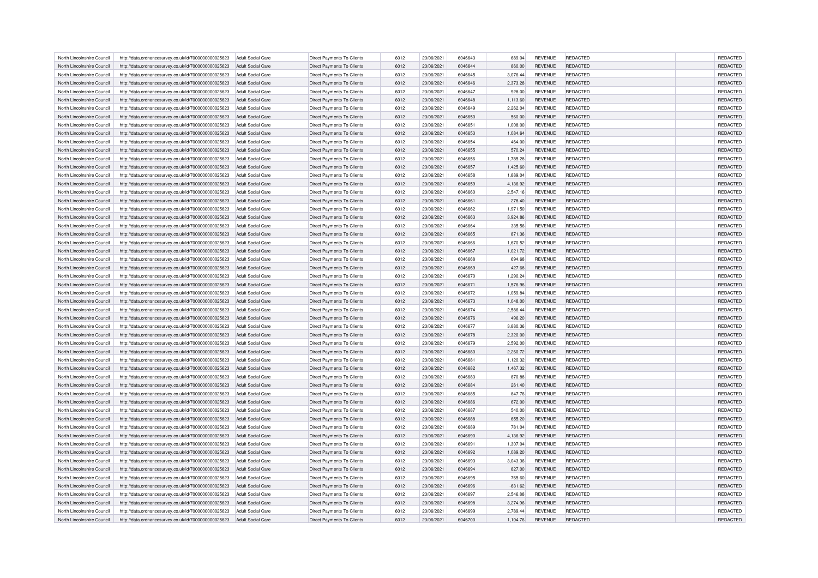| North Lincolnshire Council | http://data.ordnancesurvey.co.uk/id/7000000000025623 | Adult Social Care                             | Direct Payments To Clients        | 6012 | 23/06/2021 | 6046643            | 689.04    | <b>REVENUE</b>                   | REDACTED                    | <b>REDACTED</b> |
|----------------------------|------------------------------------------------------|-----------------------------------------------|-----------------------------------|------|------------|--------------------|-----------|----------------------------------|-----------------------------|-----------------|
| North Lincolnshire Council | http://data.ordnancesurvey.co.uk/id/7000000000025623 | <b>Adult Social Care</b>                      | Direct Payments To Clients        | 6012 | 23/06/2021 | 6046644            | 860.00    | <b>REVENUE</b>                   | REDACTED                    | REDACTED        |
| North Lincolnshire Council | http://data.ordnancesurvey.co.uk/id/7000000000025623 | Adult Social Care                             | Direct Payments To Clients        | 6012 | 23/06/2021 | 6046645            | 3,076.44  | <b>REVENUE</b>                   | REDACTED                    | REDACTED        |
| North Lincolnshire Council | http://data.ordnancesurvey.co.uk/id/7000000000025623 | <b>Adult Social Care</b>                      | <b>Direct Payments To Clients</b> | 6012 | 23/06/2021 | 6046646            | 2,373.28  | <b>REVENUE</b>                   | REDACTED                    | REDACTED        |
| North Lincolnshire Council | http://data.ordnancesurvey.co.uk/id/7000000000025623 | <b>Adult Social Care</b>                      | Direct Payments To Clients        | 6012 | 23/06/2021 | 6046647            | 928.00    | <b>REVENUE</b>                   | REDACTED                    | REDACTED        |
| North Lincolnshire Council | http://data.ordnancesurvey.co.uk/id/7000000000025623 | <b>Adult Social Care</b>                      | Direct Payments To Clients        | 6012 | 23/06/2021 | 6046648            | 1,113.60  | <b>REVENUE</b>                   | REDACTED                    | REDACTED        |
| North Lincolnshire Council | http://data.ordnancesurvey.co.uk/id/7000000000025623 | <b>Adult Social Care</b>                      | Direct Payments To Clients        | 6012 | 23/06/2021 | 6046649            | 2,262.04  | <b>REVENUE</b>                   | REDACTED                    | REDACTED        |
| North Lincolnshire Council | http://data.ordnancesurvey.co.uk/id/7000000000025623 | <b>Adult Social Care</b>                      | <b>Direct Payments To Clients</b> | 6012 | 23/06/2021 | 6046650            | 560.00    | <b>REVENUE</b>                   | <b>REDACTED</b>             | REDACTED        |
| North Lincolnshire Council | http://data.ordnancesurvey.co.uk/id/7000000000025623 | Adult Social Care                             | Direct Payments To Clients        | 6012 | 23/06/2021 | 6046651            | 1,008.00  | <b>REVENUE</b>                   | REDACTED                    | REDACTED        |
| North Lincolnshire Council | http://data.ordnancesurvey.co.uk/id/7000000000025623 | <b>Adult Social Care</b>                      | Direct Payments To Clients        | 6012 | 23/06/2021 | 6046653            | 1,084.64  | <b>REVENUE</b>                   | REDACTED                    | REDACTED        |
| North Lincolnshire Council |                                                      |                                               | <b>Direct Payments To Clients</b> | 6012 | 23/06/2021 | 6046654            | 464.00    |                                  | REDACTED                    | REDACTED        |
| North Lincolnshire Council | http://data.ordnancesurvey.co.uk/id/7000000000025623 | <b>Adult Social Care</b><br>Adult Social Care | <b>Direct Payments To Clients</b> | 6012 | 23/06/2021 | 6046655            | 570.24    | <b>REVENUE</b><br><b>REVENUE</b> | REDACTED                    | REDACTED        |
|                            | http://data.ordnancesurvey.co.uk/id/7000000000025623 |                                               |                                   |      |            |                    |           |                                  |                             |                 |
| North Lincolnshire Council | http://data.ordnancesurvey.co.uk/id/7000000000025623 | <b>Adult Social Care</b>                      | Direct Payments To Clients        | 6012 | 23/06/2021 | 6046656            | 1,785.28  | <b>REVENUE</b>                   | REDACTED                    | REDACTED        |
| North Lincolnshire Council | http://data.ordnancesurvey.co.uk/id/7000000000025623 | Adult Social Care                             | Direct Payments To Clients        | 6012 | 23/06/2021 | 6046657            | 1,425.60  | <b>REVENUE</b>                   | REDACTED                    | REDACTED        |
| North Lincolnshire Council | http://data.ordnancesurvey.co.uk/id/7000000000025623 | <b>Adult Social Care</b>                      | Direct Payments To Clients        | 6012 | 23/06/2021 | 6046658            | 1,889.04  | <b>REVENUE</b>                   | REDACTED                    | REDACTED        |
| North Lincolnshire Council | http://data.ordnancesurvey.co.uk/id/7000000000025623 | <b>Adult Social Care</b>                      | Direct Payments To Clients        | 6012 | 23/06/2021 | 6046659            | 4,136.92  | <b>REVENUE</b>                   | REDACTED                    | REDACTED        |
| North Lincolnshire Council | http://data.ordnancesurvey.co.uk/id/7000000000025623 | <b>Adult Social Care</b>                      | Direct Payments To Clients        | 6012 | 23/06/2021 | 6046660            | 2,547.16  | <b>REVENUE</b>                   | REDACTED                    | REDACTED        |
| North Lincolnshire Council | http://data.ordnancesurvey.co.uk/id/7000000000025623 | <b>Adult Social Care</b>                      | Direct Payments To Clients        | 6012 | 23/06/2021 | 6046661            | 278.40    | <b>REVENUE</b>                   | REDACTED                    | REDACTED        |
| North Lincolnshire Council | http://data.ordnancesurvey.co.uk/id/7000000000025623 | <b>Adult Social Care</b>                      | Direct Payments To Clients        | 6012 | 23/06/2021 | 6046662            | 1,971.50  | <b>REVENUE</b>                   | REDACTED                    | REDACTED        |
| North Lincolnshire Council | http://data.ordnancesurvey.co.uk/id/7000000000025623 | <b>Adult Social Care</b>                      | <b>Direct Payments To Clients</b> | 6012 | 23/06/2021 | 6046663            | 3,924.86  | <b>REVENUE</b>                   | REDACTED                    | REDACTED        |
| North Lincolnshire Council | http://data.ordnancesurvey.co.uk/id/7000000000025623 | Adult Social Care                             | Direct Payments To Clients        | 6012 | 23/06/2021 | 6046664            | 335.56    | REVENUE                          | REDACTED                    | REDACTED        |
| North Lincolnshire Council | http://data.ordnancesurvey.co.uk/id/7000000000025623 | <b>Adult Social Care</b>                      | <b>Direct Payments To Clients</b> | 6012 | 23/06/2021 | 6046665            | 871.36    | <b>REVENUE</b>                   | <b>REDACTED</b>             | REDACTED        |
| North Lincolnshire Council | http://data.ordnancesurvey.co.uk/id/7000000000025623 | <b>Adult Social Care</b>                      | Direct Payments To Clients        | 6012 | 23/06/2021 | 6046666            | 1,670.52  | <b>REVENUE</b>                   | REDACTED                    | REDACTED        |
| North Lincolnshire Council | http://data.ordnancesurvey.co.uk/id/7000000000025623 | Adult Social Care                             | Direct Payments To Clients        | 6012 | 23/06/2021 | 6046667            | 1,021.72  | <b>REVENUE</b>                   | REDACTED                    | REDACTED        |
| North Lincolnshire Council | http://data.ordnancesurvey.co.uk/id/7000000000025623 | <b>Adult Social Care</b>                      | Direct Payments To Clients        | 6012 | 23/06/2021 | 6046668            | 694.68    | <b>REVENUE</b>                   | REDACTED                    | REDACTED        |
| North Lincolnshire Council | http://data.ordnancesurvey.co.uk/id/7000000000025623 | <b>Adult Social Care</b>                      | <b>Direct Payments To Clients</b> | 6012 | 23/06/2021 | 6046669            | 427.68    | <b>REVENUE</b>                   | <b>REDACTED</b>             | REDACTED        |
| North Lincolnshire Council | http://data.ordnancesurvey.co.uk/id/7000000000025623 | Adult Social Care                             | <b>Direct Payments To Clients</b> | 6012 | 23/06/2021 | 6046670            | 1,290.24  | <b>REVENUE</b>                   | REDACTED                    | REDACTED        |
| North Lincolnshire Council | http://data.ordnancesurvey.co.uk/id/7000000000025623 | <b>Adult Social Care</b>                      | Direct Payments To Clients        | 6012 | 23/06/2021 | 6046671            | 1,576.96  | <b>REVENUE</b>                   | REDACTED                    | REDACTED        |
| North Lincolnshire Council | http://data.ordnancesurvey.co.uk/id/7000000000025623 | <b>Adult Social Care</b>                      | <b>Direct Payments To Clients</b> | 6012 | 23/06/2021 | 6046672            | 1,059.84  | <b>REVENUE</b>                   | REDACTED                    | REDACTED        |
| North Lincolnshire Council | http://data.ordnancesurvey.co.uk/id/7000000000025623 | Adult Social Care                             | <b>Direct Payments To Clients</b> | 6012 | 23/06/2021 | 6046673            | 1,048.00  | <b>REVENUE</b>                   | REDACTED                    | REDACTED        |
| North Lincolnshire Council | http://data.ordnancesurvey.co.uk/id/7000000000025623 | <b>Adult Social Care</b>                      | Direct Payments To Clients        | 6012 | 23/06/2021 | 6046674            | 2,586.44  | REVENUE                          | REDACTED                    | REDACTED        |
| North Lincolnshire Council | http://data.ordnancesurvey.co.uk/id/7000000000025623 | <b>Adult Social Care</b>                      | Direct Payments To Clients        | 6012 | 23/06/2021 | 6046676            | 496.20    | <b>REVENUE</b>                   | REDACTED                    | REDACTED        |
| North Lincolnshire Council | http://data.ordnancesurvey.co.uk/id/7000000000025623 | Adult Social Care                             | <b>Direct Payments To Clients</b> | 6012 | 23/06/2021 | 6046677            | 3.880.36  | <b>REVENUE</b>                   | REDACTED                    | REDACTED        |
| North Lincolnshire Council | http://data.ordnancesurvey.co.uk/id/7000000000025623 | <b>Adult Social Care</b>                      | Direct Payments To Clients        | 6012 | 23/06/2021 | 6046678            | 2,320.00  | <b>REVENUE</b>                   | REDACTED                    | REDACTED        |
| North Lincolnshire Council | http://data.ordnancesurvey.co.uk/id/7000000000025623 | <b>Adult Social Care</b>                      | Direct Payments To Clients        | 6012 | 23/06/2021 | 6046679            | 2,592.00  | <b>REVENUE</b>                   | REDACTED                    | REDACTED        |
| North Lincolnshire Council | http://data.ordnancesurvey.co.uk/id/7000000000025623 | Adult Social Care                             | <b>Direct Payments To Clients</b> | 6012 | 23/06/2021 | 6046680            | 2.260.72  | <b>REVENUE</b>                   | REDACTED                    | REDACTED        |
| North Lincolnshire Council | http://data.ordnancesurvey.co.uk/id/7000000000025623 | <b>Adult Social Care</b>                      | Direct Payments To Clients        | 6012 | 23/06/2021 | 6046681            | 1,120.32  | <b>REVENUE</b>                   | REDACTED                    | REDACTED        |
| North Lincolnshire Council | http://data.ordnancesurvey.co.uk/id/7000000000025623 | <b>Adult Social Care</b>                      | <b>Direct Payments To Clients</b> | 6012 | 23/06/2021 | 6046682            | 1,467.32  | <b>REVENUE</b>                   | REDACTED                    | REDACTED        |
| North Lincolnshire Council | http://data.ordnancesurvey.co.uk/id/7000000000025623 | <b>Adult Social Care</b>                      | Direct Payments To Clients        | 6012 | 23/06/2021 | 6046683            | 870.88    | <b>REVENUE</b>                   | REDACTED                    | REDACTED        |
| North Lincolnshire Council | http://data.ordnancesurvey.co.uk/id/7000000000025623 | <b>Adult Social Care</b>                      | <b>Direct Payments To Clients</b> | 6012 | 23/06/2021 | 6046684            | 261.40    | <b>REVENUE</b>                   | <b>REDACTED</b>             | REDACTED        |
| North Lincolnshire Council | http://data.ordnancesurvey.co.uk/id/7000000000025623 | <b>Adult Social Care</b>                      | Direct Payments To Clients        | 6012 | 23/06/2021 | 6046685            | 847.76    | <b>REVENUE</b>                   | REDACTED                    | REDACTED        |
| North Lincolnshire Council | http://data.ordnancesurvey.co.uk/id/7000000000025623 | Adult Social Care                             | Direct Payments To Clients        | 6012 | 23/06/2021 | 6046686            | 672.00    | <b>REVENUE</b>                   | REDACTED                    | REDACTED        |
|                            |                                                      |                                               |                                   |      |            |                    |           |                                  |                             |                 |
| North Lincolnshire Council | http://data.ordnancesurvey.co.uk/id/7000000000025623 | <b>Adult Social Care</b>                      | Direct Payments To Clients        | 6012 | 23/06/2021 | 6046687<br>6046688 | 540.00    | <b>REVENUE</b>                   | REDACTED<br><b>REDACTED</b> | REDACTED        |
| North Lincolnshire Council | http://data.ordnancesurvey.co.uk/id/7000000000025623 | <b>Adult Social Care</b>                      | <b>Direct Payments To Clients</b> | 6012 | 23/06/2021 |                    | 655.20    | <b>REVENUE</b>                   |                             | REDACTED        |
| North Lincolnshire Council | http://data.ordnancesurvey.co.uk/id/7000000000025623 | Adult Social Care                             | Direct Payments To Clients        | 6012 | 23/06/2021 | 6046689            | 781.04    | <b>REVENUE</b>                   | REDACTED                    | REDACTED        |
| North Lincolnshire Council | http://data.ordnancesurvey.co.uk/id/7000000000025623 | <b>Adult Social Care</b>                      | Direct Payments To Clients        | 6012 | 23/06/2021 | 6046690            | 4,136.92  | <b>REVENUE</b>                   | REDACTED                    | REDACTED        |
| North Lincolnshire Council | http://data.ordnancesurvey.co.uk/id/7000000000025623 | <b>Adult Social Care</b>                      | Direct Payments To Clients        | 6012 | 23/06/2021 | 6046691            | 1,307.04  | <b>REVENUE</b>                   | REDACTED                    | REDACTED        |
| North Lincolnshire Council | http://data.ordnancesurvey.co.uk/id/7000000000025623 | Adult Social Care                             | <b>Direct Payments To Clients</b> | 6012 | 23/06/2021 | 6046692            | 1,089.20  | <b>REVENUE</b>                   | REDACTED                    | REDACTED        |
| North Lincolnshire Council | http://data.ordnancesurvey.co.uk/id/7000000000025623 | Adult Social Care                             | Direct Payments To Clients        | 6012 | 23/06/2021 | 6046693            | 3,043.36  | <b>REVENUE</b>                   | REDACTED                    | REDACTED        |
| North Lincolnshire Council | http://data.ordnancesurvey.co.uk/id/7000000000025623 | <b>Adult Social Care</b>                      | Direct Payments To Clients        | 6012 | 23/06/2021 | 6046694            | 827.00    | <b>REVENUE</b>                   | REDACTED                    | REDACTED        |
| North Lincolnshire Council | http://data.ordnancesurvey.co.uk/id/7000000000025623 | Adult Social Care                             | <b>Direct Payments To Clients</b> | 6012 | 23/06/2021 | 6046695            | 765.60    | <b>REVENUE</b>                   | REDACTED                    | REDACTED        |
| North Lincolnshire Council | http://data.ordnancesurvey.co.uk/id/7000000000025623 | <b>Adult Social Care</b>                      | Direct Payments To Clients        | 6012 | 23/06/2021 | 6046696            | $-631.62$ | <b>REVENUE</b>                   | REDACTED                    | REDACTED        |
| North Lincolnshire Council | http://data.ordnancesurvey.co.uk/id/7000000000025623 | <b>Adult Social Care</b>                      | Direct Payments To Clients        | 6012 | 23/06/2021 | 6046697            | 2,546.88  | <b>REVENUE</b>                   | REDACTED                    | REDACTED        |
| North Lincolnshire Council | http://data.ordnancesurvey.co.uk/id/7000000000025623 | <b>Adult Social Care</b>                      | Direct Payments To Clients        | 6012 | 23/06/2021 | 6046698            | 3.274.96  | <b>REVENUE</b>                   | REDACTED                    | REDACTED        |
| North Lincolnshire Council | http://data.ordnancesurvey.co.uk/id/7000000000025623 | Adult Social Care                             | Direct Payments To Clients        | 6012 | 23/06/2021 | 6046699            | 2.789.44  | <b>REVENUE</b>                   | REDACTED                    | REDACTED        |
| North Lincolnshire Council | http://data.ordnancesurvey.co.uk/id/7000000000025623 | <b>Adult Social Care</b>                      | <b>Direct Payments To Clients</b> | 6012 | 23/06/2021 | 6046700            | 1,104.76  | <b>REVENUE</b>                   | REDACTED                    | <b>REDACTED</b> |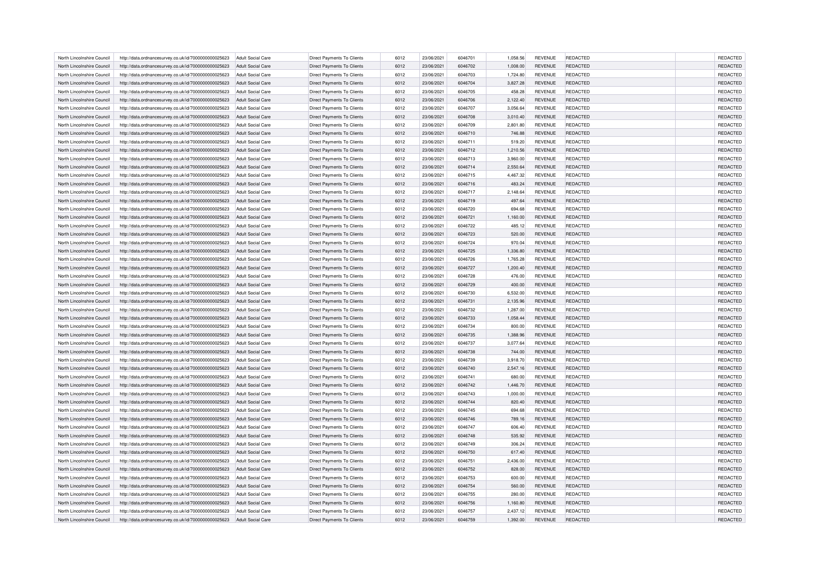| North Lincolnshire Council                               | http://data.ordnancesurvey.co.uk/id/7000000000025623                                                         | Adult Social Care                             | Direct Payments To Clients        | 6012         | 23/06/2021               | 6046701            | 1,058.56         | <b>REVENUE</b>                   | REDACTED             | <b>REDACTED</b> |
|----------------------------------------------------------|--------------------------------------------------------------------------------------------------------------|-----------------------------------------------|-----------------------------------|--------------|--------------------------|--------------------|------------------|----------------------------------|----------------------|-----------------|
| North Lincolnshire Council                               | http://data.ordnancesurvey.co.uk/id/7000000000025623                                                         | <b>Adult Social Care</b>                      | <b>Direct Payments To Clients</b> | 6012         | 23/06/2021               | 6046702            | 1,008.00         | <b>REVENUE</b>                   | REDACTED             | REDACTED        |
| North Lincolnshire Council                               | http://data.ordnancesurvey.co.uk/id/7000000000025623                                                         | Adult Social Care                             | Direct Payments To Clients        | 6012         | 23/06/2021               | 6046703            | 1,724.80         | <b>REVENUE</b>                   | REDACTED             | REDACTED        |
| North Lincolnshire Council                               | http://data.ordnancesurvey.co.uk/id/7000000000025623                                                         | <b>Adult Social Care</b>                      | <b>Direct Payments To Clients</b> | 6012         | 23/06/2021               | 6046704            | 3,827.28         | <b>REVENUE</b>                   | REDACTED             | REDACTED        |
| North Lincolnshire Council                               | http://data.ordnancesurvey.co.uk/id/7000000000025623                                                         | <b>Adult Social Care</b>                      | Direct Payments To Clients        | 6012         | 23/06/2021               | 6046705            | 458.28           | <b>REVENUE</b>                   | REDACTED             | REDACTED        |
| North Lincolnshire Council                               | http://data.ordnancesurvey.co.uk/id/7000000000025623                                                         | Adult Social Care                             | Direct Payments To Clients        | 6012         | 23/06/2021               | 6046706            | 2,122.40         | <b>REVENUE</b>                   | REDACTED             | REDACTED        |
| North Lincolnshire Council                               | http://data.ordnancesurvey.co.uk/id/7000000000025623                                                         | <b>Adult Social Care</b>                      | Direct Payments To Clients        | 6012         | 23/06/2021               | 6046707            | 3,056.64         | <b>REVENUE</b>                   | REDACTED             | REDACTED        |
| North Lincolnshire Council                               | http://data.ordnancesurvey.co.uk/id/7000000000025623                                                         | <b>Adult Social Care</b>                      | <b>Direct Payments To Clients</b> | 6012         | 23/06/2021               | 6046708            | 3,010.40         | <b>REVENUE</b>                   | <b>REDACTED</b>      | REDACTED        |
| North Lincolnshire Council                               | http://data.ordnancesurvey.co.uk/id/7000000000025623                                                         | Adult Social Care                             | Direct Payments To Clients        | 6012         | 23/06/2021               | 6046709            | 2,801.80         | <b>REVENUE</b>                   | REDACTED             | REDACTED        |
| North Lincolnshire Council                               | http://data.ordnancesurvey.co.uk/id/7000000000025623                                                         | <b>Adult Social Care</b>                      | Direct Payments To Clients        | 6012         | 23/06/2021               | 6046710            | 746.88           | <b>REVENUE</b>                   | REDACTED             | REDACTED        |
| North Lincolnshire Council                               |                                                                                                              |                                               | <b>Direct Payments To Clients</b> | 6012         | 23/06/2021               | 6046711            | 519.20           |                                  | REDACTED             | REDACTED        |
| North Lincolnshire Council                               | http://data.ordnancesurvey.co.uk/id/7000000000025623                                                         | <b>Adult Social Care</b><br>Adult Social Care | <b>Direct Payments To Clients</b> | 6012         | 23/06/2021               | 6046712            |                  | <b>REVENUE</b><br><b>REVENUE</b> | REDACTED             | REDACTED        |
|                                                          | http://data.ordnancesurvey.co.uk/id/7000000000025623                                                         |                                               |                                   |              |                          |                    | 1,210.56         |                                  |                      |                 |
| North Lincolnshire Council                               | http://data.ordnancesurvey.co.uk/id/7000000000025623                                                         | <b>Adult Social Care</b>                      | Direct Payments To Clients        | 6012         | 23/06/2021               | 6046713            | 3,960.00         | <b>REVENUE</b>                   | REDACTED             | REDACTED        |
| North Lincolnshire Council                               | http://data.ordnancesurvey.co.uk/id/7000000000025623                                                         | Adult Social Care                             | Direct Payments To Clients        | 6012         | 23/06/2021               | 6046714            | 2,550.64         | <b>REVENUE</b>                   | REDACTED             | REDACTED        |
| North Lincolnshire Council                               | http://data.ordnancesurvey.co.uk/id/7000000000025623                                                         | <b>Adult Social Care</b>                      | Direct Payments To Clients        | 6012         | 23/06/2021               | 6046715            | 4,467.32         | <b>REVENUE</b>                   | REDACTED             | REDACTED        |
| North Lincolnshire Council                               | http://data.ordnancesurvey.co.uk/id/7000000000025623                                                         | <b>Adult Social Care</b>                      | Direct Payments To Clients        | 6012         | 23/06/2021               | 6046716            | 483.24           | <b>REVENUE</b>                   | REDACTED             | REDACTED        |
| North Lincolnshire Council                               | http://data.ordnancesurvey.co.uk/id/7000000000025623                                                         | <b>Adult Social Care</b>                      | Direct Payments To Clients        | 6012         | 23/06/2021               | 6046717            | 2,148.64         | <b>REVENUE</b>                   | REDACTED             | REDACTED        |
| North Lincolnshire Council                               | http://data.ordnancesurvey.co.uk/id/7000000000025623                                                         | <b>Adult Social Care</b>                      | Direct Payments To Clients        | 6012         | 23/06/2021               | 6046719            | 497.64           | <b>REVENUE</b>                   | REDACTED             | REDACTED        |
| North Lincolnshire Council                               | http://data.ordnancesurvey.co.uk/id/7000000000025623                                                         | <b>Adult Social Care</b>                      | Direct Payments To Clients        | 6012         | 23/06/2021               | 6046720            | 694.68           | <b>REVENUE</b>                   | REDACTED             | REDACTED        |
| North Lincolnshire Council                               | http://data.ordnancesurvey.co.uk/id/7000000000025623                                                         | <b>Adult Social Care</b>                      | <b>Direct Payments To Clients</b> | 6012         | 23/06/2021               | 6046721            | 1,160.00         | <b>REVENUE</b>                   | REDACTED             | REDACTED        |
| North Lincolnshire Council                               | http://data.ordnancesurvey.co.uk/id/7000000000025623                                                         | Adult Social Care                             | Direct Payments To Clients        | 6012         | 23/06/2021               | 6046722            | 485.12           | <b>REVENUE</b>                   | REDACTED             | REDACTED        |
| North Lincolnshire Council                               | http://data.ordnancesurvey.co.uk/id/7000000000025623                                                         | <b>Adult Social Care</b>                      | <b>Direct Payments To Clients</b> | 6012         | 23/06/2021               | 6046723            | 520.00           | <b>REVENUE</b>                   | <b>REDACTED</b>      | REDACTED        |
| North Lincolnshire Council                               | http://data.ordnancesurvey.co.uk/id/7000000000025623                                                         | <b>Adult Social Care</b>                      | Direct Payments To Clients        | 6012         | 23/06/2021               | 6046724            | 970.04           | <b>REVENUE</b>                   | REDACTED             | REDACTED        |
| North Lincolnshire Council                               | http://data.ordnancesurvey.co.uk/id/7000000000025623                                                         | Adult Social Care                             | Direct Payments To Clients        | 6012         | 23/06/2021               | 6046725            | 1,336.80         | <b>REVENUE</b>                   | REDACTED             | REDACTED        |
| North Lincolnshire Council                               | http://data.ordnancesurvey.co.uk/id/7000000000025623                                                         | <b>Adult Social Care</b>                      | Direct Payments To Clients        | 6012         | 23/06/2021               | 6046726            | 1,765.28         | <b>REVENUE</b>                   | REDACTED             | REDACTED        |
| North Lincolnshire Council                               | http://data.ordnancesurvey.co.uk/id/7000000000025623                                                         | <b>Adult Social Care</b>                      | <b>Direct Payments To Clients</b> | 6012         | 23/06/2021               | 6046727            | 1,200.40         | <b>REVENUE</b>                   | <b>REDACTED</b>      | REDACTED        |
| North Lincolnshire Council                               | http://data.ordnancesurvey.co.uk/id/7000000000025623                                                         | Adult Social Care                             | <b>Direct Payments To Clients</b> | 6012         | 23/06/2021               | 6046728            | 476.00           | <b>REVENUE</b>                   | REDACTED             | REDACTED        |
| North Lincolnshire Council                               | http://data.ordnancesurvey.co.uk/id/7000000000025623                                                         | <b>Adult Social Care</b>                      | Direct Payments To Clients        | 6012         | 23/06/2021               | 6046729            | 400.00           | <b>REVENUE</b>                   | REDACTED             | REDACTED        |
| North Lincolnshire Council                               | http://data.ordnancesurvey.co.uk/id/7000000000025623                                                         | <b>Adult Social Care</b>                      | <b>Direct Payments To Clients</b> | 6012         | 23/06/2021               | 6046730            | 6,532.00         | <b>REVENUE</b>                   | REDACTED             | REDACTED        |
| North Lincolnshire Council                               | http://data.ordnancesurvey.co.uk/id/7000000000025623                                                         | Adult Social Care                             | <b>Direct Payments To Clients</b> | 6012         | 23/06/2021               | 6046731            | 2,135.96         | <b>REVENUE</b>                   | REDACTED             | REDACTED        |
| North Lincolnshire Council                               | http://data.ordnancesurvey.co.uk/id/7000000000025623                                                         | <b>Adult Social Care</b>                      | Direct Payments To Clients        | 6012         | 23/06/2021               | 6046732            | 1,287.00         | <b>REVENUE</b>                   | REDACTED             | REDACTED        |
| North Lincolnshire Council                               | http://data.ordnancesurvey.co.uk/id/7000000000025623                                                         | <b>Adult Social Care</b>                      | Direct Payments To Clients        | 6012         | 23/06/2021               | 6046733            | 1,058.44         | <b>REVENUE</b>                   | REDACTED             | REDACTED        |
| North Lincolnshire Council                               | http://data.ordnancesurvey.co.uk/id/7000000000025623                                                         | Adult Social Care                             | <b>Direct Payments To Clients</b> | 6012         | 23/06/2021               | 6046734            | 800.00           | <b>REVENUE</b>                   | REDACTED             | REDACTED        |
| North Lincolnshire Council                               | http://data.ordnancesurvey.co.uk/id/7000000000025623                                                         | <b>Adult Social Care</b>                      | Direct Payments To Clients        | 6012         | 23/06/2021               | 6046735            | 1,388.96         | <b>REVENUE</b>                   | REDACTED             | REDACTED        |
| North Lincolnshire Council                               | http://data.ordnancesurvey.co.uk/id/7000000000025623                                                         | <b>Adult Social Care</b>                      | Direct Payments To Clients        | 6012         | 23/06/2021               | 6046737            | 3,077.64         | REVENUE                          | REDACTED             | REDACTED        |
| North Lincolnshire Council                               | http://data.ordnancesurvey.co.uk/id/7000000000025623                                                         | Adult Social Care                             | <b>Direct Payments To Clients</b> | 6012         | 23/06/2021               | 6046738            | 744.00           | <b>REVENUE</b>                   | REDACTED             | REDACTED        |
| North Lincolnshire Council                               | http://data.ordnancesurvey.co.uk/id/7000000000025623                                                         | <b>Adult Social Care</b>                      | Direct Payments To Clients        | 6012         | 23/06/2021               | 6046739            | 3,918.70         | REVENUE                          | REDACTED             | REDACTED        |
| North Lincolnshire Council                               | http://data.ordnancesurvey.co.uk/id/7000000000025623                                                         | <b>Adult Social Care</b>                      | <b>Direct Payments To Clients</b> | 6012         | 23/06/2021               | 6046740            | 2,547.16         | <b>REVENUE</b>                   | REDACTED             | REDACTED        |
| North Lincolnshire Council                               | http://data.ordnancesurvey.co.uk/id/7000000000025623                                                         | <b>Adult Social Care</b>                      | Direct Payments To Clients        | 6012         | 23/06/2021               | 6046741            | 680.00           | <b>REVENUE</b>                   | REDACTED             | REDACTED        |
| North Lincolnshire Council                               | http://data.ordnancesurvey.co.uk/id/7000000000025623                                                         | <b>Adult Social Care</b>                      | <b>Direct Payments To Clients</b> | 6012         | 23/06/2021               | 6046742            | 1,446.70         | <b>REVENUE</b>                   | <b>REDACTED</b>      | REDACTED        |
| North Lincolnshire Council                               | http://data.ordnancesurvey.co.uk/id/7000000000025623                                                         | <b>Adult Social Care</b>                      | Direct Payments To Clients        | 6012         | 23/06/2021               | 6046743            | 1,000.00         | <b>REVENUE</b>                   | REDACTED             | REDACTED        |
| North Lincolnshire Council                               | http://data.ordnancesurvey.co.uk/id/7000000000025623                                                         | <b>Adult Social Care</b>                      | Direct Payments To Clients        | 6012         | 23/06/2021               | 6046744            | 820.40           | <b>REVENUE</b>                   | REDACTED             | REDACTED        |
| North Lincolnshire Council                               | http://data.ordnancesurvey.co.uk/id/7000000000025623                                                         | <b>Adult Social Care</b>                      | Direct Payments To Clients        | 6012         | 23/06/2021               | 6046745            | 694.68           | <b>REVENUE</b>                   | REDACTED             | REDACTED        |
| North Lincolnshire Council                               | http://data.ordnancesurvey.co.uk/id/7000000000025623                                                         | <b>Adult Social Care</b>                      | <b>Direct Payments To Clients</b> | 6012         | 23/06/2021               | 6046746            | 789.16           | <b>REVENUE</b>                   | <b>REDACTED</b>      | REDACTED        |
| North Lincolnshire Council                               | http://data.ordnancesurvey.co.uk/id/7000000000025623                                                         | Adult Social Care                             | Direct Payments To Clients        | 6012         | 23/06/2021               | 6046747            | 606.40           | <b>REVENUE</b>                   | REDACTED             | REDACTED        |
| North Lincolnshire Council                               | http://data.ordnancesurvey.co.uk/id/7000000000025623                                                         | <b>Adult Social Care</b>                      | Direct Payments To Clients        | 6012         | 23/06/2021               | 6046748            | 535.92           | <b>REVENUE</b>                   | REDACTED             | REDACTED        |
| North Lincolnshire Council                               |                                                                                                              |                                               | Direct Payments To Clients        | 6012         | 23/06/2021               | 6046749            | 306.24           | <b>REVENUE</b>                   | REDACTED             | REDACTED        |
| North Lincolnshire Council                               | http://data.ordnancesurvey.co.uk/id/7000000000025623<br>http://data.ordnancesurvey.co.uk/id/7000000000025623 | <b>Adult Social Care</b><br>Adult Social Care | <b>Direct Payments To Clients</b> | 6012         | 23/06/2021               | 6046750            | 617.40           | <b>REVENUE</b>                   | REDACTED             | REDACTED        |
| North Lincolnshire Council                               |                                                                                                              |                                               |                                   | 6012         |                          | 6046751            |                  |                                  |                      | REDACTED        |
|                                                          | http://data.ordnancesurvey.co.uk/id/7000000000025623                                                         | Adult Social Care                             | Direct Payments To Clients        |              | 23/06/2021               |                    | 2,436.00         | REVENUE                          | REDACTED             |                 |
| North Lincolnshire Council<br>North Lincolnshire Council | http://data.ordnancesurvey.co.uk/id/7000000000025623                                                         | <b>Adult Social Care</b><br>Adult Social Care | Direct Payments To Clients        | 6012<br>6012 | 23/06/2021<br>23/06/2021 | 6046752<br>6046753 | 828.00<br>600.00 | <b>REVENUE</b><br><b>REVENUE</b> | REDACTED<br>REDACTED | REDACTED        |
|                                                          | http://data.ordnancesurvey.co.uk/id/7000000000025623                                                         |                                               | <b>Direct Payments To Clients</b> |              |                          |                    |                  |                                  |                      | REDACTED        |
| North Lincolnshire Council                               | http://data.ordnancesurvey.co.uk/id/7000000000025623                                                         | <b>Adult Social Care</b>                      | Direct Payments To Clients        | 6012         | 23/06/2021               | 6046754            | 560.00           | <b>REVENUE</b>                   | REDACTED             | REDACTED        |
| North Lincolnshire Council                               | http://data.ordnancesurvey.co.uk/id/7000000000025623                                                         | <b>Adult Social Care</b>                      | Direct Payments To Clients        | 6012         | 23/06/2021               | 6046755            | 280.00           | <b>REVENUE</b>                   | REDACTED             | REDACTED        |
| North Lincolnshire Council                               | http://data.ordnancesurvey.co.uk/id/7000000000025623                                                         | <b>Adult Social Care</b>                      | Direct Payments To Clients        | 6012         | 23/06/2021               | 6046756            | 1.160.80         | <b>REVENUE</b>                   | REDACTED             | REDACTED        |
| North Lincolnshire Council                               | http://data.ordnancesurvey.co.uk/id/7000000000025623                                                         | Adult Social Care                             | Direct Payments To Clients        | 6012         | 23/06/2021               | 6046757            | 2,437.12         | <b>REVENUE</b>                   | REDACTED             | REDACTED        |
| North Lincolnshire Council                               | http://data.ordnancesurvey.co.uk/id/7000000000025623                                                         | <b>Adult Social Care</b>                      | <b>Direct Payments To Clients</b> | 6012         | 23/06/2021               | 6046759            | 1,392.00         | <b>REVENUE</b>                   | REDACTED             | <b>REDACTED</b> |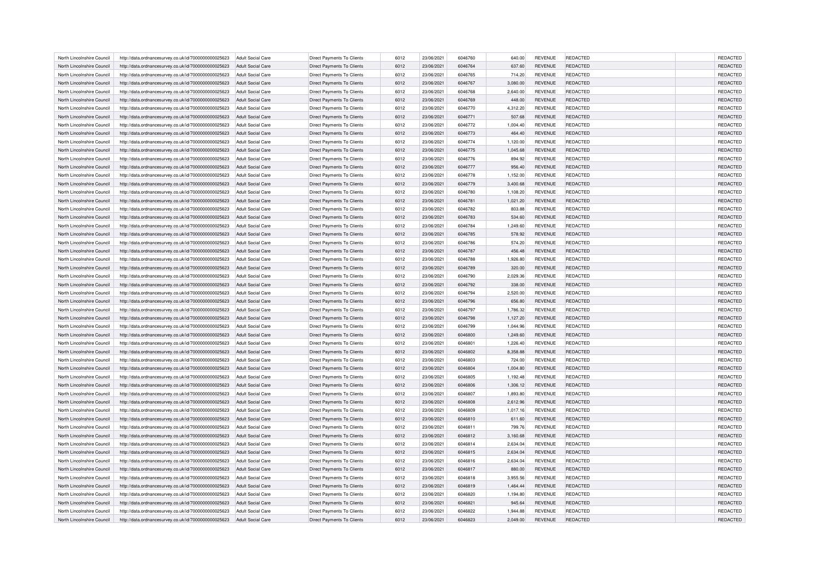| North Lincolnshire Council | http://data.ordnancesurvey.co.uk/id/7000000000025623 | Adult Social Care        | Direct Payments To Clients        | 6012 | 23/06/2021 | 6046760 | 640.00   | <b>REVENUE</b> | REDACTED        | <b>REDACTED</b> |
|----------------------------|------------------------------------------------------|--------------------------|-----------------------------------|------|------------|---------|----------|----------------|-----------------|-----------------|
| North Lincolnshire Council | http://data.ordnancesurvey.co.uk/id/7000000000025623 | <b>Adult Social Care</b> | Direct Payments To Clients        | 6012 | 23/06/2021 | 6046764 | 637.60   | <b>REVENUE</b> | REDACTED        | REDACTED        |
| North Lincolnshire Council | http://data.ordnancesurvey.co.uk/id/7000000000025623 | Adult Social Care        | Direct Payments To Clients        | 6012 | 23/06/2021 | 6046765 | 714.20   | <b>REVENUE</b> | REDACTED        | REDACTED        |
| North Lincolnshire Council | http://data.ordnancesurvey.co.uk/id/7000000000025623 | <b>Adult Social Care</b> | <b>Direct Payments To Clients</b> | 6012 | 23/06/2021 | 6046767 | 3,080.00 | <b>REVENUE</b> | REDACTED        | REDACTED        |
| North Lincolnshire Council | http://data.ordnancesurvey.co.uk/id/7000000000025623 | <b>Adult Social Care</b> | Direct Payments To Clients        | 6012 | 23/06/2021 | 6046768 | 2,640.00 | <b>REVENUE</b> | REDACTED        | REDACTED        |
| North Lincolnshire Council | http://data.ordnancesurvey.co.uk/id/7000000000025623 | <b>Adult Social Care</b> | Direct Payments To Clients        | 6012 | 23/06/2021 | 6046769 | 448.00   | <b>REVENUE</b> | REDACTED        | REDACTED        |
| North Lincolnshire Council | http://data.ordnancesurvey.co.uk/id/7000000000025623 | <b>Adult Social Care</b> | Direct Payments To Clients        | 6012 | 23/06/2021 | 6046770 | 4,312.20 | <b>REVENUE</b> | REDACTED        | REDACTED        |
| North Lincolnshire Council | http://data.ordnancesurvey.co.uk/id/7000000000025623 | <b>Adult Social Care</b> | <b>Direct Payments To Clients</b> | 6012 | 23/06/2021 | 6046771 | 507.68   | <b>REVENUE</b> | <b>REDACTED</b> | REDACTED        |
| North Lincolnshire Council | http://data.ordnancesurvey.co.uk/id/7000000000025623 | Adult Social Care        | Direct Payments To Clients        | 6012 | 23/06/2021 | 6046772 | 1,004.40 | <b>REVENUE</b> | REDACTED        | REDACTED        |
| North Lincolnshire Council | http://data.ordnancesurvey.co.uk/id/7000000000025623 | <b>Adult Social Care</b> | Direct Payments To Clients        | 6012 | 23/06/2021 | 6046773 | 464.40   | <b>REVENUE</b> | REDACTED        | REDACTED        |
| North Lincolnshire Council | http://data.ordnancesurvey.co.uk/id/7000000000025623 | <b>Adult Social Care</b> | <b>Direct Payments To Clients</b> | 6012 | 23/06/2021 | 6046774 | 1,120.00 | <b>REVENUE</b> | REDACTED        | REDACTED        |
| North Lincolnshire Council | http://data.ordnancesurvey.co.uk/id/7000000000025623 | Adult Social Care        | <b>Direct Payments To Clients</b> | 6012 | 23/06/2021 | 6046775 | 1,045.68 | <b>REVENUE</b> | REDACTED        | REDACTED        |
| North Lincolnshire Council |                                                      |                          |                                   | 6012 |            | 6046776 |          |                |                 | REDACTED        |
|                            | http://data.ordnancesurvey.co.uk/id/7000000000025623 | <b>Adult Social Care</b> | Direct Payments To Clients        |      | 23/06/2021 |         | 894.92   | <b>REVENUE</b> | REDACTED        |                 |
| North Lincolnshire Council | http://data.ordnancesurvey.co.uk/id/7000000000025623 | Adult Social Care        | Direct Payments To Clients        | 6012 | 23/06/2021 | 6046777 | 956.40   | <b>REVENUE</b> | REDACTED        | REDACTED        |
| North Lincolnshire Council | http://data.ordnancesurvey.co.uk/id/7000000000025623 | <b>Adult Social Care</b> | Direct Payments To Clients        | 6012 | 23/06/2021 | 6046778 | 1,152.00 | <b>REVENUE</b> | REDACTED        | REDACTED        |
| North Lincolnshire Council | http://data.ordnancesurvey.co.uk/id/7000000000025623 | <b>Adult Social Care</b> | Direct Payments To Clients        | 6012 | 23/06/2021 | 6046779 | 3,400.68 | <b>REVENUE</b> | REDACTED        | REDACTED        |
| North Lincolnshire Council | http://data.ordnancesurvey.co.uk/id/7000000000025623 | <b>Adult Social Care</b> | Direct Payments To Clients        | 6012 | 23/06/2021 | 6046780 | 1,108.20 | <b>REVENUE</b> | REDACTED        | REDACTED        |
| North Lincolnshire Council | http://data.ordnancesurvey.co.uk/id/7000000000025623 | <b>Adult Social Care</b> | Direct Payments To Clients        | 6012 | 23/06/2021 | 6046781 | 1,021.20 | <b>REVENUE</b> | REDACTED        | REDACTED        |
| North Lincolnshire Council | http://data.ordnancesurvey.co.uk/id/7000000000025623 | <b>Adult Social Care</b> | Direct Payments To Clients        | 6012 | 23/06/2021 | 6046782 | 803.88   | <b>REVENUE</b> | REDACTED        | REDACTED        |
| North Lincolnshire Council | http://data.ordnancesurvey.co.uk/id/7000000000025623 | <b>Adult Social Care</b> | <b>Direct Payments To Clients</b> | 6012 | 23/06/2021 | 6046783 | 534.60   | <b>REVENUE</b> | REDACTED        | REDACTED        |
| North Lincolnshire Council | http://data.ordnancesurvey.co.uk/id/7000000000025623 | Adult Social Care        | Direct Payments To Clients        | 6012 | 23/06/2021 | 6046784 | 1,249.60 | REVENUE        | REDACTED        | REDACTED        |
| North Lincolnshire Council | http://data.ordnancesurvey.co.uk/id/7000000000025623 | <b>Adult Social Care</b> | <b>Direct Payments To Clients</b> | 6012 | 23/06/2021 | 6046785 | 578.92   | <b>REVENUE</b> | <b>REDACTED</b> | REDACTED        |
| North Lincolnshire Council | http://data.ordnancesurvey.co.uk/id/7000000000025623 | <b>Adult Social Care</b> | Direct Payments To Clients        | 6012 | 23/06/2021 | 6046786 | 574.20   | <b>REVENUE</b> | REDACTED        | REDACTED        |
| North Lincolnshire Council | http://data.ordnancesurvey.co.uk/id/7000000000025623 | <b>Adult Social Care</b> | Direct Payments To Clients        | 6012 | 23/06/2021 | 6046787 | 456.48   | <b>REVENUE</b> | REDACTED        | REDACTED        |
| North Lincolnshire Council | http://data.ordnancesurvey.co.uk/id/7000000000025623 | <b>Adult Social Care</b> | Direct Payments To Clients        | 6012 | 23/06/2021 | 6046788 | 1,926.80 | <b>REVENUE</b> | REDACTED        | REDACTED        |
| North Lincolnshire Council | http://data.ordnancesurvey.co.uk/id/7000000000025623 | <b>Adult Social Care</b> | <b>Direct Payments To Clients</b> | 6012 | 23/06/2021 | 6046789 | 320.00   | <b>REVENUE</b> | <b>REDACTED</b> | REDACTED        |
| North Lincolnshire Council | http://data.ordnancesurvey.co.uk/id/7000000000025623 | Adult Social Care        | <b>Direct Payments To Clients</b> | 6012 | 23/06/2021 | 6046790 | 2,029.36 | <b>REVENUE</b> | REDACTED        | REDACTED        |
| North Lincolnshire Council | http://data.ordnancesurvey.co.uk/id/7000000000025623 | <b>Adult Social Care</b> | Direct Payments To Clients        | 6012 | 23/06/2021 | 6046792 | 338.00   | <b>REVENUE</b> | REDACTED        | REDACTED        |
| North Lincolnshire Council | http://data.ordnancesurvey.co.uk/id/7000000000025623 | <b>Adult Social Care</b> | <b>Direct Payments To Clients</b> | 6012 | 23/06/2021 | 6046794 | 2,520.00 | <b>REVENUE</b> | REDACTED        | REDACTED        |
| North Lincolnshire Council | http://data.ordnancesurvey.co.uk/id/7000000000025623 | <b>Adult Social Care</b> | <b>Direct Payments To Clients</b> | 6012 | 23/06/2021 | 6046796 | 656.80   | <b>REVENUE</b> | REDACTED        | REDACTED        |
| North Lincolnshire Council | http://data.ordnancesurvey.co.uk/id/7000000000025623 | <b>Adult Social Care</b> | Direct Payments To Clients        | 6012 | 23/06/2021 | 6046797 | 1,786.32 | <b>REVENUE</b> | REDACTED        | REDACTED        |
| North Lincolnshire Council | http://data.ordnancesurvey.co.uk/id/7000000000025623 | <b>Adult Social Care</b> | Direct Payments To Clients        | 6012 | 23/06/2021 | 6046798 | 1,127.20 | <b>REVENUE</b> | REDACTED        | REDACTED        |
| North Lincolnshire Council | http://data.ordnancesurvey.co.uk/id/7000000000025623 | Adult Social Care        | <b>Direct Payments To Clients</b> | 6012 | 23/06/2021 | 6046799 | 1.044.96 | <b>REVENUE</b> | REDACTED        | REDACTED        |
| North Lincolnshire Council | http://data.ordnancesurvey.co.uk/id/7000000000025623 | <b>Adult Social Care</b> | Direct Payments To Clients        | 6012 | 23/06/2021 | 6046800 | 1,249.60 | <b>REVENUE</b> | REDACTED        | REDACTED        |
| North Lincolnshire Council | http://data.ordnancesurvey.co.uk/id/7000000000025623 | <b>Adult Social Care</b> | Direct Payments To Clients        | 6012 | 23/06/2021 | 6046801 | 1,226.40 | <b>REVENUE</b> | REDACTED        | REDACTED        |
| North Lincolnshire Council | http://data.ordnancesurvey.co.uk/id/7000000000025623 | Adult Social Care        | <b>Direct Payments To Clients</b> | 6012 | 23/06/2021 | 6046802 | 8.358.88 | <b>REVENUE</b> | REDACTED        | REDACTED        |
| North Lincolnshire Council | http://data.ordnancesurvey.co.uk/id/7000000000025623 | <b>Adult Social Care</b> | Direct Payments To Clients        | 6012 | 23/06/2021 | 6046803 | 724.00   | <b>REVENUE</b> | REDACTED        | REDACTED        |
| North Lincolnshire Council | http://data.ordnancesurvey.co.uk/id/7000000000025623 | <b>Adult Social Care</b> | <b>Direct Payments To Clients</b> | 6012 | 23/06/2021 | 6046804 | 1,004.80 | <b>REVENUE</b> | REDACTED        | REDACTED        |
| North Lincolnshire Council | http://data.ordnancesurvey.co.uk/id/7000000000025623 | <b>Adult Social Care</b> | Direct Payments To Clients        | 6012 | 23/06/2021 | 6046805 | 1,192.48 | <b>REVENUE</b> | REDACTED        | REDACTED        |
| North Lincolnshire Council | http://data.ordnancesurvey.co.uk/id/7000000000025623 | <b>Adult Social Care</b> | <b>Direct Payments To Clients</b> | 6012 | 23/06/2021 | 6046806 | 1,306.12 | <b>REVENUE</b> | <b>REDACTED</b> | REDACTED        |
| North Lincolnshire Council | http://data.ordnancesurvey.co.uk/id/7000000000025623 | <b>Adult Social Care</b> | Direct Payments To Clients        | 6012 | 23/06/2021 | 6046807 | 1,893.80 | <b>REVENUE</b> | REDACTED        | REDACTED        |
| North Lincolnshire Council | http://data.ordnancesurvey.co.uk/id/7000000000025623 | <b>Adult Social Care</b> | Direct Payments To Clients        | 6012 | 23/06/2021 | 6046808 | 2,612.96 | <b>REVENUE</b> | REDACTED        | REDACTED        |
| North Lincolnshire Council | http://data.ordnancesurvey.co.uk/id/7000000000025623 | <b>Adult Social Care</b> | Direct Payments To Clients        | 6012 | 23/06/2021 | 6046809 | 1,017.16 | <b>REVENUE</b> | REDACTED        | REDACTED        |
| North Lincolnshire Council | http://data.ordnancesurvey.co.uk/id/7000000000025623 | <b>Adult Social Care</b> | <b>Direct Payments To Clients</b> | 6012 | 23/06/2021 | 6046810 | 611.60   | <b>REVENUE</b> | <b>REDACTED</b> | REDACTED        |
| North Lincolnshire Council |                                                      | Adult Social Care        | Direct Payments To Clients        | 6012 | 23/06/2021 | 6046811 | 799.76   | <b>REVENUE</b> | REDACTED        | REDACTED        |
|                            | http://data.ordnancesurvey.co.uk/id/7000000000025623 |                          |                                   | 6012 |            |         |          |                |                 |                 |
| North Lincolnshire Council | http://data.ordnancesurvey.co.uk/id/7000000000025623 | <b>Adult Social Care</b> | Direct Payments To Clients        |      | 23/06/2021 | 6046812 | 3,160.68 | <b>REVENUE</b> | REDACTED        | REDACTED        |
| North Lincolnshire Council | http://data.ordnancesurvey.co.uk/id/7000000000025623 | <b>Adult Social Care</b> | Direct Payments To Clients        | 6012 | 23/06/2021 | 6046814 | 2,634.04 | <b>REVENUE</b> | REDACTED        | REDACTED        |
| North Lincolnshire Council | http://data.ordnancesurvey.co.uk/id/7000000000025623 | Adult Social Care        | <b>Direct Payments To Clients</b> | 6012 | 23/06/2021 | 6046815 | 2,634.04 | <b>REVENUE</b> | REDACTED        | REDACTED        |
| North Lincolnshire Council | http://data.ordnancesurvey.co.uk/id/7000000000025623 | Adult Social Care        | Direct Payments To Clients        | 6012 | 23/06/2021 | 6046816 | 2,634.04 | <b>REVENUE</b> | REDACTED        | REDACTED        |
| North Lincolnshire Council | http://data.ordnancesurvey.co.uk/id/7000000000025623 | <b>Adult Social Care</b> | Direct Payments To Clients        | 6012 | 23/06/2021 | 6046817 | 880.00   | <b>REVENUE</b> | REDACTED        | REDACTED        |
| North Lincolnshire Council | http://data.ordnancesurvey.co.uk/id/7000000000025623 | Adult Social Care        | <b>Direct Payments To Clients</b> | 6012 | 23/06/2021 | 6046818 | 3.955.56 | <b>REVENUE</b> | REDACTED        | REDACTED        |
| North Lincolnshire Council | http://data.ordnancesurvey.co.uk/id/7000000000025623 | <b>Adult Social Care</b> | Direct Payments To Clients        | 6012 | 23/06/2021 | 6046819 | 1,464.44 | <b>REVENUE</b> | REDACTED        | REDACTED        |
| North Lincolnshire Council | http://data.ordnancesurvey.co.uk/id/7000000000025623 | <b>Adult Social Care</b> | Direct Payments To Clients        | 6012 | 23/06/2021 | 6046820 | 1,194.80 | <b>REVENUE</b> | REDACTED        | REDACTED        |
| North Lincolnshire Council | http://data.ordnancesurvey.co.uk/id/7000000000025623 | <b>Adult Social Care</b> | Direct Payments To Clients        | 6012 | 23/06/2021 | 6046821 | 945.64   | <b>REVENUE</b> | REDACTED        | REDACTED        |
| North Lincolnshire Council | http://data.ordnancesurvey.co.uk/id/7000000000025623 | Adult Social Care        | Direct Payments To Clients        | 6012 | 23/06/2021 | 6046822 | 1.944.88 | <b>REVENUE</b> | REDACTED        | REDACTED        |
| North Lincolnshire Council | http://data.ordnancesurvey.co.uk/id/7000000000025623 | <b>Adult Social Care</b> | <b>Direct Payments To Clients</b> | 6012 | 23/06/2021 | 6046823 | 2,049.00 | <b>REVENUE</b> | REDACTED        | <b>REDACTED</b> |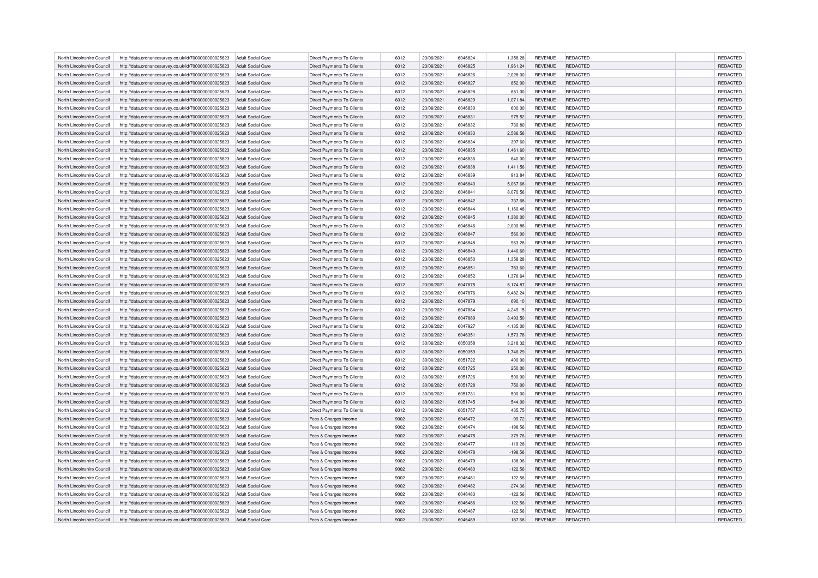| North Lincolnshire Council                               | http://data.ordnancesurvey.co.uk/id/7000000000025623 | Adult Social Care        | Direct Payments To Clients        | 6012         | 23/06/2021 | 6046824            | 1,358.28           | <b>REVENUE</b> | REDACTED        | REDACTED             |
|----------------------------------------------------------|------------------------------------------------------|--------------------------|-----------------------------------|--------------|------------|--------------------|--------------------|----------------|-----------------|----------------------|
| North Lincolnshire Council                               | http://data.ordnancesurvey.co.uk/id/7000000000025623 | Adult Social Care        | Direct Payments To Clients        | 6012         | 23/06/2021 | 6046825            | 1,961.24           | <b>REVENUE</b> | REDACTED        | REDACTED             |
| North Lincolnshire Council                               | http://data.ordnancesurvey.co.uk/id/7000000000025623 | Adult Social Care        | Direct Payments To Clients        | 6012         | 23/06/2021 | 6046826            | 2.028.00           | <b>REVENUE</b> | REDACTED        | REDACTED             |
| North Lincolnshire Council                               | http://data.ordnancesurvey.co.uk/id/7000000000025623 | Adult Social Care        | Direct Payments To Clients        | 6012         | 23/06/2021 | 6046827            | 852.00             | <b>REVENUE</b> | <b>REDACTED</b> | REDACTED             |
| North Lincolnshire Council                               | http://data.ordnancesurvey.co.uk/id/7000000000025623 | Adult Social Care        | Direct Payments To Clients        | 6012         | 23/06/2021 | 6046828            | 851.00             | <b>REVENUE</b> | REDACTED        | REDACTED             |
| North Lincolnshire Council                               | http://data.ordnancesurvey.co.uk/id/7000000000025623 | <b>Adult Social Care</b> | Direct Payments To Clients        | 6012         | 23/06/2021 | 6046829            | 1,071.84           | <b>REVENUE</b> | <b>REDACTED</b> | REDACTED             |
| North Lincolnshire Council                               | http://data.ordnancesurvey.co.uk/id/7000000000025623 | Adult Social Care        | Direct Payments To Clients        | 6012         | 23/06/2021 | 6046830            | 600.00             | <b>REVENUE</b> | REDACTED        | REDACTED             |
| North Lincolnshire Council                               | http://data.ordnancesurvey.co.uk/id/7000000000025623 | <b>Adult Social Care</b> | <b>Direct Payments To Clients</b> | 6012         | 23/06/2021 | 6046831            | 975.52             | <b>REVENUE</b> | REDACTED        | REDACTED             |
| North Lincolnshire Council                               | http://data.ordnancesurvey.co.uk/id/7000000000025623 | <b>Adult Social Care</b> | <b>Direct Payments To Clients</b> | 6012         | 23/06/2021 | 6046832            | 730.80             | <b>REVENUE</b> | REDACTED        | REDACTED             |
| North Lincolnshire Council                               | http://data.ordnancesurvey.co.uk/id/7000000000025623 | Adult Social Care        | Direct Payments To Clients        | 6012         | 23/06/2021 | 6046833            | 2.586.56           | <b>REVENUE</b> | REDACTED        | REDACTED             |
| North Lincolnshire Council                               | http://data.ordnancesurvey.co.uk/id/7000000000025623 | Adult Social Care        | <b>Direct Payments To Clients</b> | 6012         | 23/06/2021 | 6046834            | 397.60             | <b>REVENUE</b> | REDACTED        | REDACTED             |
| North Lincolnshire Council                               | http://data.ordnancesurvey.co.uk/id/7000000000025623 | <b>Adult Social Care</b> | Direct Payments To Clients        | 6012         | 23/06/2021 | 6046835            | 1,461.60           | <b>REVENUE</b> | REDACTED        | REDACTED             |
| North Lincolnshire Council                               | http://data.ordnancesurvey.co.uk/id/7000000000025623 | <b>Adult Social Care</b> | Direct Payments To Clients        | 6012         | 23/06/2021 | 6046836            | 640.00             | <b>REVENUE</b> | REDACTED        | REDACTED             |
| North Lincolnshire Council                               | http://data.ordnancesurvey.co.uk/id/7000000000025623 | Adult Social Care        | <b>Direct Payments To Clients</b> | 6012         | 23/06/2021 | 6046838            | 1,411.56           | <b>REVENUE</b> | REDACTED        | REDACTED             |
| North Lincolnshire Council                               | http://data.ordnancesurvey.co.uk/id/7000000000025623 | <b>Adult Social Care</b> | <b>Direct Payments To Clients</b> | 6012         | 23/06/2021 | 6046839            | 913.84             | <b>REVENUE</b> | REDACTED        | REDACTED             |
| North Lincolnshire Council                               | http://data.ordnancesurvey.co.uk/id/7000000000025623 | <b>Adult Social Care</b> | Direct Payments To Clients        | 6012         | 23/06/2021 | 6046840            | 5,067.68           | <b>REVENUE</b> | REDACTED        | REDACTED             |
| North Lincolnshire Council                               | http://data.ordnancesurvey.co.uk/id/7000000000025623 | <b>Adult Social Care</b> | <b>Direct Payments To Clients</b> | 6012         | 23/06/2021 | 6046841            | 8,070.56           | <b>REVENUE</b> | REDACTED        | REDACTED             |
| North Lincolnshire Council                               | http://data.ordnancesurvey.co.uk/id/7000000000025623 | Adult Social Care        | <b>Direct Payments To Clients</b> | 6012         | 23/06/2021 | 6046842            | 737.68             | <b>REVENUE</b> | REDACTED        | REDACTED             |
| North Lincolnshire Council                               | http://data.ordnancesurvey.co.uk/id/7000000000025623 | <b>Adult Social Care</b> | Direct Payments To Clients        | 6012         | 23/06/2021 | 6046844            | 1,160.48           | <b>REVENUE</b> | REDACTED        | REDACTED             |
| North Lincolnshire Council                               | http://data.ordnancesurvey.co.uk/id/7000000000025623 | <b>Adult Social Care</b> | Direct Payments To Clients        | 6012         | 23/06/2021 | 6046845            | 1,380.00           | <b>REVENUE</b> | REDACTED        | REDACTED             |
| North Lincolnshire Council                               | http://data.ordnancesurvey.co.uk/id/7000000000025623 | Adult Social Care        | Direct Payments To Clients        | 6012         | 23/06/2021 | 6046846            | 2.000.88           | <b>REVENUE</b> | REDACTED        | REDACTED             |
| North Lincolnshire Council                               | http://data.ordnancesurvey.co.uk/id/7000000000025623 | <b>Adult Social Care</b> | Direct Payments To Clients        | 6012         | 23/06/2021 | 6046847            | 560.00             | <b>REVENUE</b> | <b>REDACTED</b> | REDACTED             |
| North Lincolnshire Council                               | http://data.ordnancesurvey.co.uk/id/7000000000025623 | <b>Adult Social Care</b> | Direct Payments To Clients        | 6012         | 23/06/2021 | 6046848            | 963.28             | <b>REVENUE</b> | REDACTED        | REDACTED             |
| North Lincolnshire Council                               | http://data.ordnancesurvey.co.uk/id/7000000000025623 | Adult Social Care        | <b>Direct Payments To Clients</b> | 6012         | 23/06/2021 | 6046849            | 1,440.60           | <b>REVENUE</b> | <b>REDACTED</b> | REDACTED             |
| North Lincolnshire Council                               | http://data.ordnancesurvey.co.uk/id/7000000000025623 | Adult Social Care        | Direct Payments To Clients        | 6012         | 23/06/2021 | 6046850            | 1,358.28           | <b>REVENUE</b> | REDACTED        | REDACTED             |
| North Lincolnshire Council                               | http://data.ordnancesurvey.co.uk/id/7000000000025623 | <b>Adult Social Care</b> | Direct Payments To Clients        | 6012         | 23/06/2021 | 6046851            | 783.60             | <b>REVENUE</b> | REDACTED        | REDACTED             |
| North Lincolnshire Council                               | http://data.ordnancesurvey.co.uk/id/7000000000025623 | Adult Social Care        | Direct Payments To Clients        | 6012         | 23/06/2021 | 6046852            | 1.376.64           | <b>REVENUE</b> | REDACTED        | REDACTED             |
| North Lincolnshire Council                               | http://data.ordnancesurvey.co.uk/id/7000000000025623 | Adult Social Care        | Direct Payments To Clients        | 6012         | 23/06/2021 | 6047875            | 5,174.87           | <b>REVENUE</b> | REDACTED        | REDACTED             |
| North Lincolnshire Council                               |                                                      | <b>Adult Social Care</b> |                                   | 6012         | 23/06/2021 | 6047876            |                    | <b>REVENUE</b> | REDACTED        |                      |
| North Lincolnshire Council                               | http://data.ordnancesurvey.co.uk/id/7000000000025623 | Adult Social Care        | Direct Payments To Clients        | 6012         | 23/06/2021 | 6047879            | 6,482.24<br>690.10 | <b>REVENUE</b> | REDACTED        | REDACTED<br>REDACTED |
| North Lincolnshire Council                               | http://data.ordnancesurvey.co.uk/id/7000000000025623 | <b>Adult Social Care</b> | Direct Payments To Clients        | 6012         | 23/06/2021 | 6047884            | 4,249.15           | <b>REVENUE</b> | REDACTED        | REDACTED             |
|                                                          | http://data.ordnancesurvey.co.uk/id/7000000000025623 |                          | Direct Payments To Clients        |              |            |                    |                    |                |                 | REDACTED             |
| North Lincolnshire Council                               | http://data.ordnancesurvey.co.uk/id/7000000000025623 | Adult Social Care        | Direct Payments To Clients        | 6012         | 23/06/2021 | 6047889            | 3,493.50           | <b>REVENUE</b> | REDACTED        | REDACTED             |
| North Lincolnshire Council<br>North Lincolnshire Council | http://data.ordnancesurvey.co.uk/id/7000000000025623 | <b>Adult Social Care</b> | Direct Payments To Clients        | 6012<br>6012 | 23/06/2021 | 6047927<br>6046351 | 4,135.00           | <b>REVENUE</b> | REDACTED        | REDACTED             |
|                                                          | http://data.ordnancesurvey.co.uk/id/7000000000025623 | <b>Adult Social Care</b> | Direct Payments To Clients        |              | 30/06/2021 |                    | 1,573.78           | <b>REVENUE</b> | REDACTED        |                      |
| North Lincolnshire Council                               | http://data.ordnancesurvey.co.uk/id/7000000000025623 | <b>Adult Social Care</b> | Direct Payments To Clients        | 6012         | 30/06/2021 | 6050358            | 3,218.32           | <b>REVENUE</b> | REDACTED        | REDACTED             |
| North Lincolnshire Council                               | http://data.ordnancesurvey.co.uk/id/7000000000025623 | Adult Social Care        | Direct Payments To Clients        | 6012         | 30/06/2021 | 6050359            | 1,746.29           | <b>REVENUE</b> | REDACTED        | REDACTED             |
| North Lincolnshire Council                               | http://data.ordnancesurvey.co.uk/id/7000000000025623 | <b>Adult Social Care</b> | Direct Payments To Clients        | 6012         | 30/06/2021 | 6051722            | 400.00             | <b>REVENUE</b> | REDACTED        | REDACTED             |
| North Lincolnshire Council                               | http://data.ordnancesurvey.co.uk/id/7000000000025623 | <b>Adult Social Care</b> | <b>Direct Payments To Clients</b> | 6012         | 30/06/2021 | 6051725            | 250.00             | <b>REVENUE</b> | REDACTED        | REDACTED             |
| North Lincolnshire Council                               | http://data.ordnancesurvey.co.uk/id/7000000000025623 | <b>Adult Social Care</b> | <b>Direct Payments To Clients</b> | 6012         | 30/06/2021 | 6051726            | 500.00             | <b>REVENUE</b> | REDACTED        | REDACTED             |
| North Lincolnshire Council                               | http://data.ordnancesurvey.co.uk/id/7000000000025623 | <b>Adult Social Care</b> | Direct Payments To Clients        | 6012         | 30/06/2021 | 6051728            | 750.00             | <b>REVENUE</b> | REDACTED        | REDACTED             |
| North Lincolnshire Council                               | http://data.ordnancesurvey.co.uk/id/7000000000025623 | Adult Social Care        | <b>Direct Payments To Clients</b> | 6012         | 30/06/2021 | 6051731            | 500.00             | <b>REVENUE</b> | REDACTED        | REDACTED             |
| North Lincolnshire Council                               | http://data.ordnancesurvey.co.uk/id/7000000000025623 | Adult Social Care        | <b>Direct Payments To Clients</b> | 6012         | 30/06/2021 | 6051745            | 544.00             | <b>REVENUE</b> | <b>REDACTED</b> | REDACTED             |
| North Lincolnshire Council                               | http://data.ordnancesurvey.co.uk/id/7000000000025623 | <b>Adult Social Care</b> | Direct Payments To Clients        | 6012         | 30/06/2021 | 6051757            | 435.75             | <b>REVENUE</b> | REDACTED        | REDACTED             |
| North Lincolnshire Council                               | http://data.ordnancesurvey.co.uk/id/7000000000025623 | <b>Adult Social Care</b> | Fees & Charges Income             | 9002         | 23/06/2021 | 6046472            | $-99.72$           | <b>REVENUE</b> | <b>REDACTED</b> | REDACTED             |
| North Lincolnshire Council                               | http://data.ordnancesurvey.co.uk/id/7000000000025623 | Adult Social Care        | Fees & Charges Income             | 9002         | 23/06/2021 | 6046474            | $-198.56$          | <b>REVENUE</b> | REDACTED        | REDACTED             |
| North Lincolnshire Council                               | http://data.ordnancesurvey.co.uk/id/7000000000025623 | <b>Adult Social Care</b> | Fees & Charges Income             | 9002         | 23/06/2021 | 6046475            | $-379.76$          | <b>REVENUE</b> | REDACTED        | REDACTED             |
| North Lincolnshire Council                               | http://data.ordnancesurvey.co.uk/id/7000000000025623 | <b>Adult Social Care</b> | Fees & Charges Income             | 9002         | 23/06/2021 | 6046477            | $-119.28$          | <b>REVENUE</b> | REDACTED        | REDACTED             |
| North Lincolnshire Council                               | http://data.ordnancesurvey.co.uk/id/7000000000025623 | Adult Social Care        | Fees & Charges Income             | 9002         | 23/06/2021 | 6046478            | $-198.56$          | <b>REVENUE</b> | <b>REDACTED</b> | REDACTED             |
| North Lincolnshire Council                               | http://data.ordnancesurvey.co.uk/id/7000000000025623 | <b>Adult Social Care</b> | Fees & Charges Income             | 9002         | 23/06/2021 | 6046479            | $-138.96$          | <b>REVENUE</b> | REDACTED        | REDACTED             |
| North Lincolnshire Council                               | http://data.ordnancesurvey.co.uk/id/7000000000025623 | Adult Social Care        | Fees & Charges Income             | 9002         | 23/06/2021 | 6046480            | $-122.56$          | <b>REVENUE</b> | REDACTED        | REDACTED             |
| North Lincolnshire Council                               | http://data.ordnancesurvey.co.uk/id/7000000000025623 | Adult Social Care        | Fees & Charges Income             | 9002         | 23/06/2021 | 6046481            | $-122.56$          | <b>REVENUE</b> | REDACTED        | REDACTED             |
| North Lincolnshire Council                               | http://data.ordnancesurvey.co.uk/id/7000000000025623 | Adult Social Care        | Fees & Charges Income             | 9002         | 23/06/2021 | 6046482            | $-274.36$          | <b>REVENUE</b> | REDACTED        | REDACTED             |
| North Lincolnshire Council                               | http://data.ordnancesurvey.co.uk/id/7000000000025623 | Adult Social Care        | Fees & Charges Income             | 9002         | 23/06/2021 | 6046483            | $-122.56$          | <b>REVENUE</b> | REDACTED        | REDACTED             |
| North Lincolnshire Council                               | http://data.ordnancesurvey.co.uk/id/7000000000025623 | <b>Adult Social Care</b> | Fees & Charges Income             | 9002         | 23/06/2021 | 6046486            | $-122.56$          | <b>REVENUE</b> | REDACTED        | REDACTED             |
| North Lincolnshire Council                               | http://data.ordnancesurvey.co.uk/id/7000000000025623 | <b>Adult Social Care</b> | Fees & Charges Income             | 9002         | 23/06/2021 | 6046487            | $-122.56$          | <b>REVENUE</b> | REDACTED        | REDACTED             |
| North Lincolnshire Council                               | http://data.ordnancesurvey.co.uk/id/7000000000025623 | Adult Social Care        | Fees & Charges Income             | 9002         | 23/06/2021 | 6046489            | $-187.68$          | <b>REVENUE</b> | REDACTED        | REDACTED             |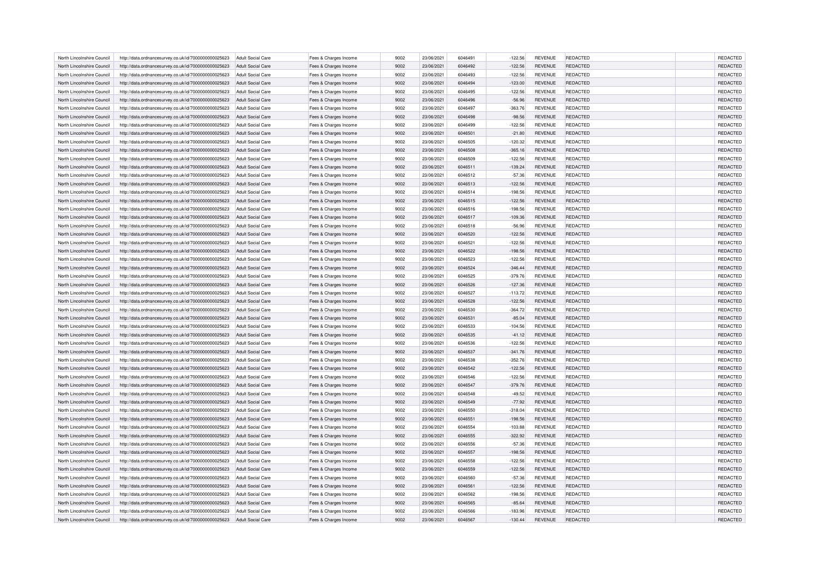| North Lincolnshire Council | http://data.ordnancesurvey.co.uk/id/7000000000025623 | Adult Social Care        | Fees & Charges Income | 9002 | 23/06/2021 | 6046491 | $-122.56$             | <b>REVENUE</b>                   | REDACTED        | REDACTED             |
|----------------------------|------------------------------------------------------|--------------------------|-----------------------|------|------------|---------|-----------------------|----------------------------------|-----------------|----------------------|
| North Lincolnshire Council | http://data.ordnancesurvey.co.uk/id/7000000000025623 | Adult Social Care        | Fees & Charges Income | 9002 | 23/06/2021 | 6046492 | $-122.56$             | <b>REVENUE</b>                   | REDACTED        | REDACTED             |
| North Lincolnshire Council | http://data.ordnancesurvey.co.uk/id/7000000000025623 | Adult Social Care        | Fees & Charges Income | 9002 | 23/06/2021 | 6046493 | $-122.56$             | <b>REVENUE</b>                   | REDACTED        | REDACTED             |
| North Lincolnshire Council | http://data.ordnancesurvey.co.uk/id/7000000000025623 | Adult Social Care        | Fees & Charges Income | 9002 | 23/06/2021 | 6046494 | $-123.00$             | <b>REVENUE</b>                   | REDACTED        | REDACTED             |
| North Lincolnshire Council | http://data.ordnancesurvey.co.uk/id/7000000000025623 | <b>Adult Social Care</b> | Fees & Charges Income | 9002 | 23/06/2021 | 6046495 | $-122.56$             | <b>REVENUE</b>                   | REDACTED        | REDACTED             |
| North Lincolnshire Council | http://data.ordnancesurvey.co.uk/id/7000000000025623 | Adult Social Care        | Fees & Charges Income | 9002 | 23/06/2021 | 6046496 | $-56.96$              | <b>REVENUE</b>                   | <b>REDACTED</b> | REDACTED             |
| North Lincolnshire Council | http://data.ordnancesurvey.co.uk/id/7000000000025623 | <b>Adult Social Care</b> | Fees & Charges Income | 9002 | 23/06/2021 | 6046497 | $-363.76$             | <b>REVENUE</b>                   | REDACTED        | REDACTED             |
| North Lincolnshire Council | http://data.ordnancesurvey.co.uk/id/7000000000025623 | <b>Adult Social Care</b> | Fees & Charges Income | 9002 | 23/06/2021 | 6046498 | $-98.56$              | <b>REVENUE</b>                   | REDACTED        | REDACTED             |
| North Lincolnshire Council | http://data.ordnancesurvey.co.uk/id/7000000000025623 | <b>Adult Social Care</b> | Fees & Charges Income | 9002 | 23/06/2021 | 6046499 | $-122.56$             | <b>REVENUE</b>                   | REDACTED        | REDACTED             |
| North Lincolnshire Council | http://data.ordnancesurvey.co.uk/id/7000000000025623 | Adult Social Care        | Fees & Charges Income | 9002 | 23/06/2021 | 6046501 | $-21.80$              | <b>REVENUE</b>                   | REDACTED        | REDACTED             |
| North Lincolnshire Council | http://data.ordnancesurvey.co.uk/id/7000000000025623 | Adult Social Care        | Fees & Charges Income | 9002 | 23/06/2021 | 6046505 | $-120.32$             | <b>REVENUE</b>                   | REDACTED        | REDACTED             |
| North Lincolnshire Council | http://data.ordnancesurvey.co.uk/id/7000000000025623 | <b>Adult Social Care</b> | Fees & Charges Income | 9002 | 23/06/2021 | 6046508 | $-365.16$             | <b>REVENUE</b>                   | REDACTED        | REDACTED             |
| North Lincolnshire Council | http://data.ordnancesurvey.co.uk/id/7000000000025623 | Adult Social Care        | Fees & Charges Income | 9002 | 23/06/2021 | 6046509 | $-122.56$             | <b>REVENUE</b>                   | REDACTED        | REDACTED             |
| North Lincolnshire Council | http://data.ordnancesurvey.co.uk/id/7000000000025623 | Adult Social Care        | Fees & Charges Income | 9002 | 23/06/2021 | 6046511 | $-139.24$             | <b>REVENUE</b>                   | <b>REDACTED</b> | REDACTED             |
| North Lincolnshire Council | http://data.ordnancesurvey.co.uk/id/7000000000025623 | <b>Adult Social Care</b> | Fees & Charges Income | 9002 | 23/06/2021 | 6046512 | $-57.36$              | <b>REVENUE</b>                   | REDACTED        | REDACTED             |
| North Lincolnshire Council | http://data.ordnancesurvey.co.uk/id/7000000000025623 | <b>Adult Social Care</b> | Fees & Charges Income | 9002 | 23/06/2021 | 6046513 | $-122.56$             | <b>REVENUE</b>                   | <b>REDACTED</b> | REDACTED             |
| North Lincolnshire Council | http://data.ordnancesurvey.co.uk/id/7000000000025623 | <b>Adult Social Care</b> | Fees & Charges Income | 9002 | 23/06/2021 | 6046514 | $-198.56$             | <b>REVENUE</b>                   | REDACTED        | REDACTED             |
| North Lincolnshire Council | http://data.ordnancesurvey.co.uk/id/7000000000025623 | Adult Social Care        | Fees & Charges Income | 9002 | 23/06/2021 | 6046515 | $-122.56$             | <b>REVENUE</b>                   | <b>REDACTED</b> | REDACTED             |
| North Lincolnshire Council | http://data.ordnancesurvey.co.uk/id/7000000000025623 | <b>Adult Social Care</b> | Fees & Charges Income | 9002 | 23/06/2021 | 6046516 | $-198.56$             | <b>REVENUE</b>                   | REDACTED        | REDACTED             |
| North Lincolnshire Council |                                                      | <b>Adult Social Care</b> |                       | 9002 | 23/06/2021 | 6046517 |                       |                                  | REDACTED        |                      |
| North Lincolnshire Council | http://data.ordnancesurvey.co.uk/id/7000000000025623 | Adult Social Care        | Fees & Charges Income | 9002 | 23/06/2021 | 6046518 | $-109.36$<br>$-56.96$ | <b>REVENUE</b><br><b>REVENUE</b> | REDACTED        | REDACTED<br>REDACTED |
|                            | http://data.ordnancesurvey.co.uk/id/7000000000025623 |                          | Fees & Charges Income |      |            |         |                       |                                  |                 |                      |
| North Lincolnshire Council | http://data.ordnancesurvey.co.uk/id/7000000000025623 | <b>Adult Social Care</b> | Fees & Charges Income | 9002 | 23/06/2021 | 6046520 | $-122.56$             | <b>REVENUE</b>                   | REDACTED        | REDACTED             |
| North Lincolnshire Council | http://data.ordnancesurvey.co.uk/id/7000000000025623 | <b>Adult Social Care</b> | Fees & Charges Income | 9002 | 23/06/2021 | 6046521 | $-122.56$             | <b>REVENUE</b>                   | REDACTED        | REDACTED             |
| North Lincolnshire Council | http://data.ordnancesurvey.co.uk/id/7000000000025623 | Adult Social Care        | Fees & Charges Income | 9002 | 23/06/2021 | 6046522 | $-198.56$             | <b>REVENUE</b>                   | <b>REDACTED</b> | REDACTED             |
| North Lincolnshire Council | http://data.ordnancesurvey.co.uk/id/7000000000025623 | <b>Adult Social Care</b> | Fees & Charges Income | 9002 | 23/06/2021 | 6046523 | $-122.56$             | <b>REVENUE</b>                   | REDACTED        | REDACTED             |
| North Lincolnshire Council | http://data.ordnancesurvey.co.uk/id/7000000000025623 | <b>Adult Social Care</b> | Fees & Charges Income | 9002 | 23/06/2021 | 6046524 | $-346.44$             | <b>REVENUE</b>                   | REDACTED        | REDACTED             |
| North Lincolnshire Council | http://data.ordnancesurvey.co.uk/id/7000000000025623 | Adult Social Care        | Fees & Charges Income | 9002 | 23/06/2021 | 6046525 | $-379.76$             | <b>REVENUE</b>                   | <b>REDACTED</b> | REDACTED             |
| North Lincolnshire Council | http://data.ordnancesurvey.co.uk/id/7000000000025623 | Adult Social Care        | Fees & Charges Income | 9002 | 23/06/2021 | 6046526 | $-127.36$             | <b>REVENUE</b>                   | REDACTED        | REDACTED             |
| North Lincolnshire Council | http://data.ordnancesurvey.co.uk/id/7000000000025623 | <b>Adult Social Care</b> | Fees & Charges Income | 9002 | 23/06/2021 | 6046527 | $-113.72$             | <b>REVENUE</b>                   | REDACTED        | REDACTED             |
| North Lincolnshire Council | http://data.ordnancesurvey.co.uk/id/7000000000025623 | Adult Social Care        | Fees & Charges Income | 9002 | 23/06/2021 | 6046528 | $-122.56$             | <b>REVENUE</b>                   | <b>REDACTED</b> | REDACTED             |
| North Lincolnshire Council | http://data.ordnancesurvey.co.uk/id/7000000000025623 | <b>Adult Social Care</b> | Fees & Charges Income | 9002 | 23/06/2021 | 6046530 | $-364.72$             | <b>REVENUE</b>                   | REDACTED        | REDACTED             |
| North Lincolnshire Council | http://data.ordnancesurvey.co.uk/id/7000000000025623 | Adult Social Care        | Fees & Charges Income | 9002 | 23/06/2021 | 6046531 | $-85.04$              | <b>REVENUE</b>                   | <b>REDACTED</b> | REDACTED             |
| North Lincolnshire Council | http://data.ordnancesurvey.co.uk/id/7000000000025623 | <b>Adult Social Care</b> | Fees & Charges Income | 9002 | 23/06/2021 | 6046533 | $-104.56$             | <b>REVENUE</b>                   | REDACTED        | REDACTED             |
| North Lincolnshire Council | http://data.ordnancesurvey.co.uk/id/7000000000025623 | <b>Adult Social Care</b> | Fees & Charges Income | 9002 | 23/06/2021 | 6046535 | $-41.12$              | <b>REVENUE</b>                   | REDACTED        | REDACTED             |
| North Lincolnshire Council | http://data.ordnancesurvey.co.uk/id/7000000000025623 | <b>Adult Social Care</b> | Fees & Charges Income | 9002 | 23/06/2021 | 6046536 | $-122.56$             | <b>REVENUE</b>                   | REDACTED        | REDACTED             |
| North Lincolnshire Council | http://data.ordnancesurvey.co.uk/id/7000000000025623 | Adult Social Care        | Fees & Charges Income | 9002 | 23/06/2021 | 6046537 | $-341.76$             | <b>REVENUE</b>                   | <b>REDACTED</b> | REDACTED             |
| North Lincolnshire Council | http://data.ordnancesurvey.co.uk/id/7000000000025623 | Adult Social Care        | Fees & Charges Income | 9002 | 23/06/2021 | 6046538 | $-352.76$             | <b>REVENUE</b>                   | REDACTED        | REDACTED             |
| North Lincolnshire Council | http://data.ordnancesurvey.co.uk/id/7000000000025623 | <b>Adult Social Care</b> | Fees & Charges Income | 9002 | 23/06/2021 | 6046542 | $-122.56$             | <b>REVENUE</b>                   | REDACTED        | REDACTED             |
| North Lincolnshire Council | http://data.ordnancesurvey.co.uk/id/7000000000025623 | <b>Adult Social Care</b> | Fees & Charges Income | 9002 | 23/06/2021 | 6046546 | $-122.56$             | <b>REVENUE</b>                   | REDACTED        | REDACTED             |
| North Lincolnshire Council | http://data.ordnancesurvey.co.uk/id/7000000000025623 | <b>Adult Social Care</b> | Fees & Charges Income | 9002 | 23/06/2021 | 6046547 | $-379.76$             | <b>REVENUE</b>                   | REDACTED        | REDACTED             |
| North Lincolnshire Council | http://data.ordnancesurvey.co.uk/id/7000000000025623 | <b>Adult Social Care</b> | Fees & Charges Income | 9002 | 23/06/2021 | 6046548 | $-49.52$              | <b>REVENUE</b>                   | REDACTED        | REDACTED             |
| North Lincolnshire Council | http://data.ordnancesurvey.co.uk/id/7000000000025623 | Adult Social Care        | Fees & Charges Income | 9002 | 23/06/2021 | 6046549 | $-77.92$              | <b>REVENUE</b>                   | REDACTED        | REDACTED             |
| North Lincolnshire Council | http://data.ordnancesurvey.co.uk/id/7000000000025623 | <b>Adult Social Care</b> | Fees & Charges Income | 9002 | 23/06/2021 | 6046550 | $-318.04$             | <b>REVENUE</b>                   | REDACTED        | REDACTED             |
| North Lincolnshire Council | http://data.ordnancesurvey.co.uk/id/7000000000025623 | <b>Adult Social Care</b> | Fees & Charges Income | 9002 | 23/06/2021 | 6046551 | $-198.56$             | <b>REVENUE</b>                   | <b>REDACTED</b> | REDACTED             |
| North Lincolnshire Council | http://data.ordnancesurvey.co.uk/id/7000000000025623 | Adult Social Care        | Fees & Charges Income | 9002 | 23/06/2021 | 6046554 | $-103.88$             | <b>REVENUE</b>                   | REDACTED        | REDACTED             |
| North Lincolnshire Council | http://data.ordnancesurvey.co.uk/id/7000000000025623 | <b>Adult Social Care</b> | Fees & Charges Income | 9002 | 23/06/2021 | 6046555 | $-322.92$             | <b>REVENUE</b>                   | REDACTED        | REDACTED             |
| North Lincolnshire Council | http://data.ordnancesurvey.co.uk/id/7000000000025623 | <b>Adult Social Care</b> | Fees & Charges Income | 9002 | 23/06/2021 | 6046556 | $-57.36$              | <b>REVENUE</b>                   | REDACTED        | REDACTED             |
| North Lincolnshire Council | http://data.ordnancesurvey.co.uk/id/7000000000025623 | Adult Social Care        | Fees & Charges Income | 9002 | 23/06/2021 | 6046557 | $-198.56$             | <b>REVENUE</b>                   | <b>REDACTED</b> | REDACTED             |
| North Lincolnshire Council | http://data.ordnancesurvey.co.uk/id/7000000000025623 | Adult Social Care        | Fees & Charges Income | 9002 | 23/06/2021 | 6046558 | $-122.56$             | <b>REVENUE</b>                   | REDACTED        | REDACTED             |
| North Lincolnshire Council | http://data.ordnancesurvey.co.uk/id/7000000000025623 | <b>Adult Social Care</b> | Fees & Charges Income | 9002 | 23/06/2021 | 6046559 | $-122.56$             | <b>REVENUE</b>                   | REDACTED        | REDACTED             |
| North Lincolnshire Council | http://data.ordnancesurvey.co.uk/id/7000000000025623 | Adult Social Care        | Fees & Charges Income | 9002 | 23/06/2021 | 6046560 | $-57.36$              | <b>REVENUE</b>                   | <b>REDACTED</b> | REDACTED             |
|                            |                                                      |                          |                       |      |            | 6046561 |                       |                                  |                 |                      |
| North Lincolnshire Council | http://data.ordnancesurvey.co.uk/id/7000000000025623 | Adult Social Care        | Fees & Charges Income | 9002 | 23/06/2021 |         | $-122.56$             | <b>REVENUE</b>                   | REDACTED        | REDACTED             |
| North Lincolnshire Council | http://data.ordnancesurvey.co.uk/id/7000000000025623 | Adult Social Care        | Fees & Charges Income | 9002 | 23/06/2021 | 6046562 | $-198.56$             | <b>REVENUE</b>                   | REDACTED        | REDACTED             |
| North Lincolnshire Council | http://data.ordnancesurvey.co.uk/id/7000000000025623 | <b>Adult Social Care</b> | Fees & Charges Income | 9002 | 23/06/2021 | 6046565 | $-85.64$              | <b>REVENUE</b>                   | <b>REDACTED</b> | REDACTED             |
| North Lincolnshire Council | http://data.ordnancesurvey.co.uk/id/7000000000025623 | Adult Social Care        | Fees & Charges Income | 9002 | 23/06/2021 | 6046566 | $-183.96$             | <b>REVENUE</b>                   | REDACTED        | REDACTED             |
| North Lincolnshire Council | http://data.ordnancesurvey.co.uk/id/7000000000025623 | Adult Social Care        | Fees & Charges Income | 9002 | 23/06/2021 | 6046567 | $-130.44$             | <b>REVENUE</b>                   | REDACTED        | REDACTED             |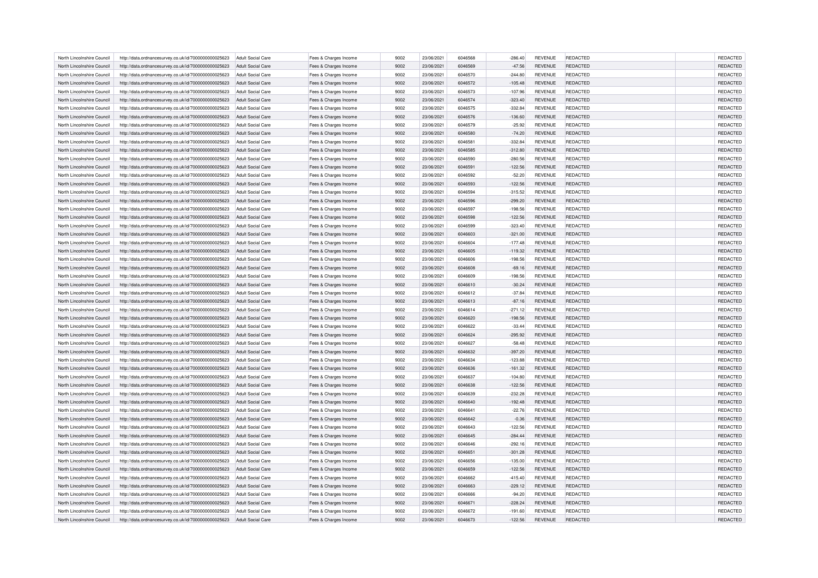| North Lincolnshire Council | http://data.ordnancesurvey.co.uk/id/7000000000025623 | Adult Social Care        | Fees & Charges Income | 9002 | 23/06/2021 | 6046568 | $-286.40$              | <b>REVENUE</b>                   | REDACTED        | REDACTED             |
|----------------------------|------------------------------------------------------|--------------------------|-----------------------|------|------------|---------|------------------------|----------------------------------|-----------------|----------------------|
| North Lincolnshire Council | http://data.ordnancesurvey.co.uk/id/7000000000025623 | Adult Social Care        | Fees & Charges Income | 9002 | 23/06/2021 | 6046569 | $-47.56$               | <b>REVENUE</b>                   | REDACTED        | REDACTED             |
| North Lincolnshire Council | http://data.ordnancesurvey.co.uk/id/7000000000025623 | Adult Social Care        | Fees & Charges Income | 9002 | 23/06/2021 | 6046570 | $-244.80$              | <b>REVENUE</b>                   | REDACTED        | REDACTED             |
| North Lincolnshire Council | http://data.ordnancesurvey.co.uk/id/7000000000025623 | <b>Adult Social Care</b> | Fees & Charges Income | 9002 | 23/06/2021 | 6046572 | $-105.48$              | <b>REVENUE</b>                   | REDACTED        | REDACTED             |
| North Lincolnshire Council | http://data.ordnancesurvey.co.uk/id/7000000000025623 | <b>Adult Social Care</b> | Fees & Charges Income | 9002 | 23/06/2021 | 6046573 | $-107.96$              | <b>REVENUE</b>                   | REDACTED        | REDACTED             |
| North Lincolnshire Council | http://data.ordnancesurvey.co.uk/id/7000000000025623 | <b>Adult Social Care</b> | Fees & Charges Income | 9002 | 23/06/2021 | 6046574 | $-323.40$              | <b>REVENUE</b>                   | <b>REDACTED</b> | REDACTED             |
| North Lincolnshire Council | http://data.ordnancesurvey.co.uk/id/7000000000025623 | <b>Adult Social Care</b> | Fees & Charges Income | 9002 | 23/06/2021 | 6046575 | $-332.84$              | <b>REVENUE</b>                   | REDACTED        | REDACTED             |
| North Lincolnshire Council | http://data.ordnancesurvey.co.uk/id/7000000000025623 | Adult Social Care        | Fees & Charges Income | 9002 | 23/06/2021 | 6046576 | $-136.60$              | <b>REVENUE</b>                   | REDACTED        | REDACTED             |
| North Lincolnshire Council | http://data.ordnancesurvey.co.uk/id/7000000000025623 | <b>Adult Social Care</b> | Fees & Charges Income | 9002 | 23/06/2021 | 6046579 | $-25.92$               | <b>REVENUE</b>                   | REDACTED        | REDACTED             |
| North Lincolnshire Council | http://data.ordnancesurvey.co.uk/id/7000000000025623 | Adult Social Care        | Fees & Charges Income | 9002 | 23/06/2021 | 6046580 | $-74.20$               | <b>REVENUE</b>                   | REDACTED        | REDACTED             |
| North Lincolnshire Council | http://data.ordnancesurvey.co.uk/id/7000000000025623 | Adult Social Care        | Fees & Charges Income | 9002 | 23/06/2021 | 6046581 | $-332.84$              | <b>REVENUE</b>                   | REDACTED        | REDACTED             |
| North Lincolnshire Council | http://data.ordnancesurvey.co.uk/id/7000000000025623 | Adult Social Care        | Fees & Charges Income | 9002 | 23/06/2021 | 6046585 | $-312.80$              | <b>REVENUE</b>                   | <b>REDACTED</b> | REDACTED             |
| North Lincolnshire Council | http://data.ordnancesurvey.co.uk/id/7000000000025623 | Adult Social Care        | Fees & Charges Income | 9002 | 23/06/2021 | 6046590 | $-280.56$              | <b>REVENUE</b>                   | REDACTED        | REDACTED             |
| North Lincolnshire Council | http://data.ordnancesurvey.co.uk/id/7000000000025623 | Adult Social Care        | Fees & Charges Income | 9002 | 23/06/2021 | 6046591 | $-122.56$              | <b>REVENUE</b>                   | <b>REDACTED</b> | REDACTED             |
| North Lincolnshire Council | http://data.ordnancesurvey.co.uk/id/7000000000025623 | <b>Adult Social Care</b> | Fees & Charges Income | 9002 | 23/06/2021 | 6046592 | $-52.20$               | <b>REVENUE</b>                   | REDACTED        | REDACTED             |
| North Lincolnshire Council | http://data.ordnancesurvey.co.uk/id/7000000000025623 | <b>Adult Social Care</b> | Fees & Charges Income | 9002 | 23/06/2021 | 6046593 | $-122.56$              | <b>REVENUE</b>                   | <b>REDACTED</b> | REDACTED             |
| North Lincolnshire Council | http://data.ordnancesurvey.co.uk/id/7000000000025623 | <b>Adult Social Care</b> | Fees & Charges Income | 9002 | 23/06/2021 | 6046594 | $-315.52$              | <b>REVENUE</b>                   | REDACTED        | REDACTED             |
| North Lincolnshire Council | http://data.ordnancesurvey.co.uk/id/7000000000025623 | Adult Social Care        | Fees & Charges Income | 9002 | 23/06/2021 | 6046596 | $-299.20$              | <b>REVENUE</b>                   | <b>REDACTED</b> | REDACTED             |
| North Lincolnshire Council | http://data.ordnancesurvey.co.uk/id/7000000000025623 | <b>Adult Social Care</b> | Fees & Charges Income | 9002 | 23/06/2021 | 6046597 | $-198.56$              | <b>REVENUE</b>                   | REDACTED        | REDACTED             |
| North Lincolnshire Council |                                                      | <b>Adult Social Care</b> |                       | 9002 | 23/06/2021 | 6046598 |                        |                                  | REDACTED        |                      |
| North Lincolnshire Council | http://data.ordnancesurvey.co.uk/id/7000000000025623 | Adult Social Care        | Fees & Charges Income | 9002 | 23/06/2021 | 6046599 | $-122.56$<br>$-323.40$ | <b>REVENUE</b><br><b>REVENUE</b> | REDACTED        | REDACTED<br>REDACTED |
|                            | http://data.ordnancesurvey.co.uk/id/7000000000025623 |                          | Fees & Charges Income |      |            |         |                        |                                  |                 |                      |
| North Lincolnshire Council | http://data.ordnancesurvey.co.uk/id/7000000000025623 | <b>Adult Social Care</b> | Fees & Charges Income | 9002 | 23/06/2021 | 6046603 | $-321.00$              | <b>REVENUE</b>                   | REDACTED        | REDACTED             |
| North Lincolnshire Council | http://data.ordnancesurvey.co.uk/id/7000000000025623 | <b>Adult Social Care</b> | Fees & Charges Income | 9002 | 23/06/2021 | 6046604 | $-177.48$              | <b>REVENUE</b>                   | REDACTED        | REDACTED             |
| North Lincolnshire Council | http://data.ordnancesurvey.co.uk/id/7000000000025623 | Adult Social Care        | Fees & Charges Income | 9002 | 23/06/2021 | 6046605 | $-119.32$              | <b>REVENUE</b>                   | <b>REDACTED</b> | REDACTED             |
| North Lincolnshire Council | http://data.ordnancesurvey.co.uk/id/7000000000025623 | <b>Adult Social Care</b> | Fees & Charges Income | 9002 | 23/06/2021 | 6046606 | $-198.56$              | <b>REVENUE</b>                   | REDACTED        | REDACTED             |
| North Lincolnshire Council | http://data.ordnancesurvey.co.uk/id/7000000000025623 | <b>Adult Social Care</b> | Fees & Charges Income | 9002 | 23/06/2021 | 6046608 | $-69.16$               | <b>REVENUE</b>                   | REDACTED        | REDACTED             |
| North Lincolnshire Council | http://data.ordnancesurvey.co.uk/id/7000000000025623 | Adult Social Care        | Fees & Charges Income | 9002 | 23/06/2021 | 6046609 | $-198.56$              | <b>REVENUE</b>                   | <b>REDACTED</b> | REDACTED             |
| North Lincolnshire Council | http://data.ordnancesurvey.co.uk/id/7000000000025623 | Adult Social Care        | Fees & Charges Income | 9002 | 23/06/2021 | 6046610 | $-30.24$               | <b>REVENUE</b>                   | REDACTED        | REDACTED             |
| North Lincolnshire Council | http://data.ordnancesurvey.co.uk/id/7000000000025623 | <b>Adult Social Care</b> | Fees & Charges Income | 9002 | 23/06/2021 | 6046612 | $-37.84$               | <b>REVENUE</b>                   | REDACTED        | REDACTED             |
| North Lincolnshire Council | http://data.ordnancesurvey.co.uk/id/7000000000025623 | Adult Social Care        | Fees & Charges Income | 9002 | 23/06/2021 | 6046613 | $-87.16$               | <b>REVENUE</b>                   | <b>REDACTED</b> | REDACTED             |
| North Lincolnshire Council | http://data.ordnancesurvey.co.uk/id/7000000000025623 | <b>Adult Social Care</b> | Fees & Charges Income | 9002 | 23/06/2021 | 6046614 | $-271.12$              | <b>REVENUE</b>                   | REDACTED        | REDACTED             |
| North Lincolnshire Council | http://data.ordnancesurvey.co.uk/id/7000000000025623 | Adult Social Care        | Fees & Charges Income | 9002 | 23/06/2021 | 6046620 | $-198.56$              | <b>REVENUE</b>                   | <b>REDACTED</b> | REDACTED             |
| North Lincolnshire Council | http://data.ordnancesurvey.co.uk/id/7000000000025623 | <b>Adult Social Care</b> | Fees & Charges Income | 9002 | 23/06/2021 | 6046622 | $-33.44$               | <b>REVENUE</b>                   | REDACTED        | REDACTED             |
| North Lincolnshire Council | http://data.ordnancesurvey.co.uk/id/7000000000025623 | <b>Adult Social Care</b> | Fees & Charges Income | 9002 | 23/06/2021 | 6046624 | $-295.92$              | <b>REVENUE</b>                   | REDACTED        | REDACTED             |
| North Lincolnshire Council | http://data.ordnancesurvey.co.uk/id/7000000000025623 | <b>Adult Social Care</b> | Fees & Charges Income | 9002 | 23/06/2021 | 6046627 | $-58.48$               | <b>REVENUE</b>                   | REDACTED        | REDACTED             |
| North Lincolnshire Council | http://data.ordnancesurvey.co.uk/id/7000000000025623 | Adult Social Care        | Fees & Charges Income | 9002 | 23/06/2021 | 6046632 | $-397.20$              | <b>REVENUE</b>                   | <b>REDACTED</b> | REDACTED             |
| North Lincolnshire Council | http://data.ordnancesurvey.co.uk/id/7000000000025623 | Adult Social Care        | Fees & Charges Income | 9002 | 23/06/2021 | 6046634 | $-123.88$              | <b>REVENUE</b>                   | REDACTED        | REDACTED             |
| North Lincolnshire Council | http://data.ordnancesurvey.co.uk/id/7000000000025623 | <b>Adult Social Care</b> | Fees & Charges Income | 9002 | 23/06/2021 | 6046636 | $-161.32$              | <b>REVENUE</b>                   | REDACTED        | REDACTED             |
| North Lincolnshire Council | http://data.ordnancesurvey.co.uk/id/7000000000025623 | <b>Adult Social Care</b> | Fees & Charges Income | 9002 | 23/06/2021 | 6046637 | $-104.80$              | <b>REVENUE</b>                   | REDACTED        | REDACTED             |
| North Lincolnshire Council | http://data.ordnancesurvey.co.uk/id/7000000000025623 | <b>Adult Social Care</b> | Fees & Charges Income | 9002 | 23/06/2021 | 6046638 | $-122.56$              | <b>REVENUE</b>                   | REDACTED        | REDACTED             |
| North Lincolnshire Council | http://data.ordnancesurvey.co.uk/id/7000000000025623 | <b>Adult Social Care</b> | Fees & Charges Income | 9002 | 23/06/2021 | 6046639 | $-232.28$              | <b>REVENUE</b>                   | REDACTED        | REDACTED             |
| North Lincolnshire Council | http://data.ordnancesurvey.co.uk/id/7000000000025623 | Adult Social Care        | Fees & Charges Income | 9002 | 23/06/2021 | 6046640 | $-192.48$              | <b>REVENUE</b>                   | <b>REDACTED</b> | REDACTED             |
| North Lincolnshire Council | http://data.ordnancesurvey.co.uk/id/7000000000025623 | <b>Adult Social Care</b> | Fees & Charges Income | 9002 | 23/06/2021 | 6046641 | $-22.76$               | <b>REVENUE</b>                   | REDACTED        | REDACTED             |
| North Lincolnshire Council | http://data.ordnancesurvey.co.uk/id/7000000000025623 | <b>Adult Social Care</b> | Fees & Charges Income | 9002 | 23/06/2021 | 6046642 | $-0.36$                | <b>REVENUE</b>                   | <b>REDACTED</b> | REDACTED             |
| North Lincolnshire Council | http://data.ordnancesurvey.co.uk/id/7000000000025623 | Adult Social Care        | Fees & Charges Income | 9002 | 23/06/2021 | 6046643 | $-122.56$              | <b>REVENUE</b>                   | REDACTED        | REDACTED             |
| North Lincolnshire Council | http://data.ordnancesurvey.co.uk/id/7000000000025623 | <b>Adult Social Care</b> | Fees & Charges Income | 9002 | 23/06/2021 | 6046645 | $-284.44$              | <b>REVENUE</b>                   | REDACTED        | REDACTED             |
| North Lincolnshire Council | http://data.ordnancesurvey.co.uk/id/7000000000025623 | <b>Adult Social Care</b> | Fees & Charges Income | 9002 | 23/06/2021 | 6046646 | $-292.16$              | <b>REVENUE</b>                   | REDACTED        | REDACTED             |
| North Lincolnshire Council | http://data.ordnancesurvey.co.uk/id/7000000000025623 | Adult Social Care        | Fees & Charges Income | 9002 | 23/06/2021 | 6046651 | $-301.28$              | <b>REVENUE</b>                   | <b>REDACTED</b> | REDACTED             |
| North Lincolnshire Council | http://data.ordnancesurvey.co.uk/id/7000000000025623 | Adult Social Care        | Fees & Charges Income | 9002 | 23/06/2021 | 6046656 | $-135.00$              | <b>REVENUE</b>                   | REDACTED        | REDACTED             |
| North Lincolnshire Council | http://data.ordnancesurvey.co.uk/id/7000000000025623 | <b>Adult Social Care</b> | Fees & Charges Income | 9002 | 23/06/2021 | 6046659 | $-122.56$              | <b>REVENUE</b>                   | REDACTED        | REDACTED             |
| North Lincolnshire Council | http://data.ordnancesurvey.co.uk/id/7000000000025623 | Adult Social Care        | Fees & Charges Income | 9002 | 23/06/2021 | 6046662 | $-415.40$              | <b>REVENUE</b>                   | <b>REDACTED</b> | REDACTED             |
|                            |                                                      |                          |                       |      |            | 6046663 |                        |                                  |                 |                      |
| North Lincolnshire Council | http://data.ordnancesurvey.co.uk/id/7000000000025623 | Adult Social Care        | Fees & Charges Income | 9002 | 23/06/2021 |         | $-229.12$              | <b>REVENUE</b>                   | REDACTED        | REDACTED             |
| North Lincolnshire Council | http://data.ordnancesurvey.co.uk/id/7000000000025623 | Adult Social Care        | Fees & Charges Income | 9002 | 23/06/2021 | 6046666 | $-94.20$               | <b>REVENUE</b>                   | REDACTED        | REDACTED             |
| North Lincolnshire Council | http://data.ordnancesurvey.co.uk/id/7000000000025623 | <b>Adult Social Care</b> | Fees & Charges Income | 9002 | 23/06/2021 | 6046671 | $-228.24$              | <b>REVENUE</b>                   | <b>REDACTED</b> | REDACTED             |
| North Lincolnshire Council | http://data.ordnancesurvey.co.uk/id/7000000000025623 | Adult Social Care        | Fees & Charges Income | 9002 | 23/06/2021 | 6046672 | $-191.60$              | <b>REVENUE</b>                   | REDACTED        | REDACTED             |
| North Lincolnshire Council | http://data.ordnancesurvey.co.uk/id/7000000000025623 | Adult Social Care        | Fees & Charges Income | 9002 | 23/06/2021 | 6046673 | $-122.56$              | <b>REVENUE</b>                   | REDACTED        | REDACTED             |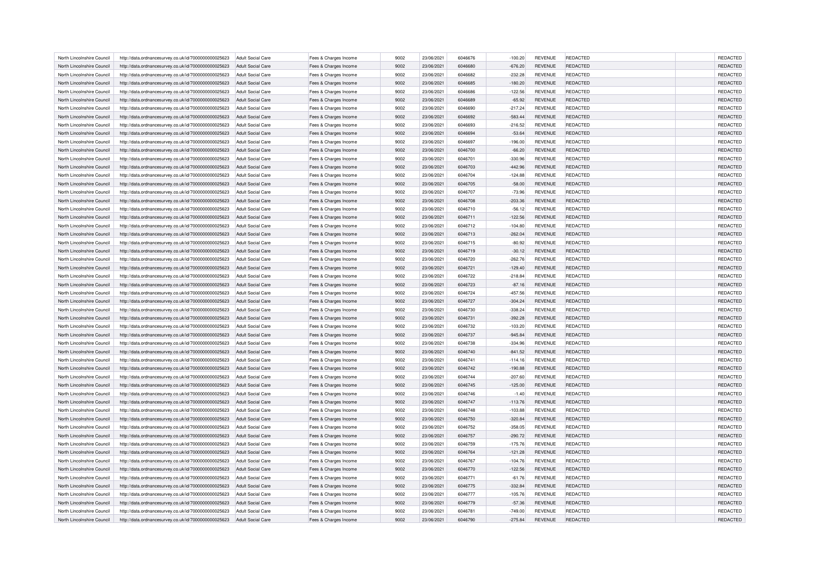| North Lincolnshire Council | http://data.ordnancesurvey.co.uk/id/7000000000025623                                                         | Adult Social Care                      | Fees & Charges Income                          | 9002 | 23/06/2021 | 6046676 | $-100.20$ | <b>REVENUE</b> | REDACTED        | REDACTED |
|----------------------------|--------------------------------------------------------------------------------------------------------------|----------------------------------------|------------------------------------------------|------|------------|---------|-----------|----------------|-----------------|----------|
| North Lincolnshire Council | http://data.ordnancesurvey.co.uk/id/7000000000025623                                                         | Adult Social Care                      | Fees & Charges Income                          | 9002 | 23/06/2021 | 6046680 | $-676.20$ | <b>REVENUE</b> | REDACTED        | REDACTED |
| North Lincolnshire Council | http://data.ordnancesurvey.co.uk/id/7000000000025623                                                         | Adult Social Care                      | Fees & Charges Income                          | 9002 | 23/06/2021 | 6046682 | $-232.28$ | <b>REVENUE</b> | REDACTED        | REDACTED |
| North Lincolnshire Council | http://data.ordnancesurvey.co.uk/id/7000000000025623                                                         | <b>Adult Social Care</b>               | Fees & Charges Income                          | 9002 | 23/06/2021 | 6046685 | $-180.20$ | <b>REVENUE</b> | REDACTED        | REDACTED |
| North Lincolnshire Council | http://data.ordnancesurvey.co.uk/id/7000000000025623                                                         | <b>Adult Social Care</b>               | Fees & Charges Income                          | 9002 | 23/06/2021 | 6046686 | $-122.56$ | <b>REVENUE</b> | REDACTED        | REDACTED |
| North Lincolnshire Council | http://data.ordnancesurvey.co.uk/id/7000000000025623                                                         | <b>Adult Social Care</b>               | Fees & Charges Income                          | 9002 | 23/06/2021 | 6046689 | $-65.92$  | <b>REVENUE</b> | <b>REDACTED</b> | REDACTED |
| North Lincolnshire Council | http://data.ordnancesurvey.co.uk/id/7000000000025623                                                         | <b>Adult Social Care</b>               | Fees & Charges Income                          | 9002 | 23/06/2021 | 6046690 | $-217.24$ | <b>REVENUE</b> | REDACTED        | REDACTED |
| North Lincolnshire Council | http://data.ordnancesurvey.co.uk/id/7000000000025623                                                         | Adult Social Care                      | Fees & Charges Income                          | 9002 | 23/06/2021 | 6046692 | $-583.44$ | <b>REVENUE</b> | REDACTED        | REDACTED |
| North Lincolnshire Council | http://data.ordnancesurvey.co.uk/id/7000000000025623                                                         | <b>Adult Social Care</b>               | Fees & Charges Income                          | 9002 | 23/06/2021 | 6046693 | $-216.52$ | <b>REVENUE</b> | REDACTED        | REDACTED |
| North Lincolnshire Council | http://data.ordnancesurvey.co.uk/id/7000000000025623                                                         | Adult Social Care                      | Fees & Charges Income                          | 9002 | 23/06/2021 | 6046694 | $-53.64$  | <b>REVENUE</b> | REDACTED        | REDACTED |
| North Lincolnshire Council | http://data.ordnancesurvey.co.uk/id/7000000000025623                                                         | Adult Social Care                      | Fees & Charges Income                          | 9002 | 23/06/2021 | 6046697 | $-196.00$ | <b>REVENUE</b> | REDACTED        | REDACTED |
| North Lincolnshire Council | http://data.ordnancesurvey.co.uk/id/7000000000025623                                                         | Adult Social Care                      | Fees & Charges Income                          | 9002 | 23/06/2021 | 6046700 | $-66.20$  | <b>REVENUE</b> | REDACTED        | REDACTED |
| North Lincolnshire Council |                                                                                                              |                                        |                                                | 9002 | 23/06/2021 | 6046701 | $-330.96$ | <b>REVENUE</b> | REDACTED        | REDACTED |
| North Lincolnshire Council | http://data.ordnancesurvey.co.uk/id/7000000000025623<br>http://data.ordnancesurvey.co.uk/id/7000000000025623 | Adult Social Care<br>Adult Social Care | Fees & Charges Income<br>Fees & Charges Income | 9002 | 23/06/2021 | 6046703 | $-442.96$ | <b>REVENUE</b> | REDACTED        | REDACTED |
|                            |                                                                                                              |                                        |                                                |      |            |         |           |                |                 |          |
| North Lincolnshire Council | http://data.ordnancesurvey.co.uk/id/7000000000025623                                                         | <b>Adult Social Care</b>               | Fees & Charges Income                          | 9002 | 23/06/2021 | 6046704 | $-124.88$ | <b>REVENUE</b> | REDACTED        | REDACTED |
| North Lincolnshire Council | http://data.ordnancesurvey.co.uk/id/7000000000025623                                                         | <b>Adult Social Care</b>               | Fees & Charges Income                          | 9002 | 23/06/2021 | 6046705 | $-58.00$  | <b>REVENUE</b> | <b>REDACTED</b> | REDACTED |
| North Lincolnshire Council | http://data.ordnancesurvey.co.uk/id/7000000000025623                                                         | <b>Adult Social Care</b>               | Fees & Charges Income                          | 9002 | 23/06/2021 | 6046707 | $-73.96$  | <b>REVENUE</b> | REDACTED        | REDACTED |
| North Lincolnshire Council | http://data.ordnancesurvey.co.uk/id/7000000000025623                                                         | Adult Social Care                      | Fees & Charges Income                          | 9002 | 23/06/2021 | 6046708 | $-203.36$ | <b>REVENUE</b> | <b>REDACTED</b> | REDACTED |
| North Lincolnshire Council | http://data.ordnancesurvey.co.uk/id/7000000000025623                                                         | <b>Adult Social Care</b>               | Fees & Charges Income                          | 9002 | 23/06/2021 | 6046710 | $-56.12$  | <b>REVENUE</b> | REDACTED        | REDACTED |
| North Lincolnshire Council | http://data.ordnancesurvey.co.uk/id/7000000000025623                                                         | <b>Adult Social Care</b>               | Fees & Charges Income                          | 9002 | 23/06/2021 | 6046711 | $-122.56$ | <b>REVENUE</b> | REDACTED        | REDACTED |
| North Lincolnshire Council | http://data.ordnancesurvey.co.uk/id/7000000000025623                                                         | Adult Social Care                      | Fees & Charges Income                          | 9002 | 23/06/2021 | 6046712 | $-104.80$ | <b>REVENUE</b> | REDACTED        | REDACTED |
| North Lincolnshire Council | http://data.ordnancesurvey.co.uk/id/7000000000025623                                                         | <b>Adult Social Care</b>               | Fees & Charges Income                          | 9002 | 23/06/2021 | 6046713 | $-262.04$ | <b>REVENUE</b> | REDACTED        | REDACTED |
| North Lincolnshire Council | http://data.ordnancesurvey.co.uk/id/7000000000025623                                                         | <b>Adult Social Care</b>               | Fees & Charges Income                          | 9002 | 23/06/2021 | 6046715 | $-80.92$  | <b>REVENUE</b> | REDACTED        | REDACTED |
| North Lincolnshire Council | http://data.ordnancesurvey.co.uk/id/7000000000025623                                                         | Adult Social Care                      | Fees & Charges Income                          | 9002 | 23/06/2021 | 6046719 | $-30.12$  | <b>REVENUE</b> | <b>REDACTED</b> | REDACTED |
| North Lincolnshire Council | http://data.ordnancesurvey.co.uk/id/7000000000025623                                                         | <b>Adult Social Care</b>               | Fees & Charges Income                          | 9002 | 23/06/2021 | 6046720 | $-262.76$ | <b>REVENUE</b> | REDACTED        | REDACTED |
| North Lincolnshire Council | http://data.ordnancesurvey.co.uk/id/7000000000025623                                                         | <b>Adult Social Care</b>               | Fees & Charges Income                          | 9002 | 23/06/2021 | 6046721 | $-129.40$ | <b>REVENUE</b> | REDACTED        | REDACTED |
| North Lincolnshire Council | http://data.ordnancesurvey.co.uk/id/7000000000025623                                                         | Adult Social Care                      | Fees & Charges Income                          | 9002 | 23/06/2021 | 6046722 | $-218.84$ | <b>REVENUE</b> | <b>REDACTED</b> | REDACTED |
| North Lincolnshire Council | http://data.ordnancesurvey.co.uk/id/7000000000025623                                                         | Adult Social Care                      | Fees & Charges Income                          | 9002 | 23/06/2021 | 6046723 | $-87.16$  | <b>REVENUE</b> | REDACTED        | REDACTED |
| North Lincolnshire Council | http://data.ordnancesurvey.co.uk/id/7000000000025623                                                         | <b>Adult Social Care</b>               | Fees & Charges Income                          | 9002 | 23/06/2021 | 6046724 | $-457.56$ | <b>REVENUE</b> | REDACTED        | REDACTED |
| North Lincolnshire Council | http://data.ordnancesurvey.co.uk/id/7000000000025623                                                         | Adult Social Care                      | Fees & Charges Income                          | 9002 | 23/06/2021 | 6046727 | $-304.24$ | <b>REVENUE</b> | <b>REDACTED</b> | REDACTED |
| North Lincolnshire Council | http://data.ordnancesurvey.co.uk/id/7000000000025623                                                         | <b>Adult Social Care</b>               | Fees & Charges Income                          | 9002 | 23/06/2021 | 6046730 | $-338.24$ | <b>REVENUE</b> | REDACTED        | REDACTED |
| North Lincolnshire Council | http://data.ordnancesurvey.co.uk/id/7000000000025623                                                         | Adult Social Care                      | Fees & Charges Income                          | 9002 | 23/06/2021 | 6046731 | $-392.28$ | <b>REVENUE</b> | <b>REDACTED</b> | REDACTED |
| North Lincolnshire Council | http://data.ordnancesurvey.co.uk/id/7000000000025623                                                         | <b>Adult Social Care</b>               | Fees & Charges Income                          | 9002 | 23/06/2021 | 6046732 | $-103.20$ | <b>REVENUE</b> | REDACTED        | REDACTED |
| North Lincolnshire Council | http://data.ordnancesurvey.co.uk/id/7000000000025623                                                         | <b>Adult Social Care</b>               | Fees & Charges Income                          | 9002 | 23/06/2021 | 6046737 | $-945.84$ | <b>REVENUE</b> | REDACTED        | REDACTED |
| North Lincolnshire Council | http://data.ordnancesurvey.co.uk/id/7000000000025623                                                         | <b>Adult Social Care</b>               | Fees & Charges Income                          | 9002 | 23/06/2021 | 6046738 | $-334.96$ | <b>REVENUE</b> | REDACTED        | REDACTED |
| North Lincolnshire Council | http://data.ordnancesurvey.co.uk/id/7000000000025623                                                         | Adult Social Care                      | Fees & Charges Income                          | 9002 | 23/06/2021 | 6046740 | $-841.52$ | <b>REVENUE</b> | <b>REDACTED</b> | REDACTED |
| North Lincolnshire Council | http://data.ordnancesurvey.co.uk/id/7000000000025623                                                         | Adult Social Care                      | Fees & Charges Income                          | 9002 | 23/06/2021 | 6046741 | $-114.16$ | <b>REVENUE</b> | REDACTED        | REDACTED |
| North Lincolnshire Council | http://data.ordnancesurvey.co.uk/id/7000000000025623                                                         | <b>Adult Social Care</b>               | Fees & Charges Income                          | 9002 | 23/06/2021 | 6046742 | $-190.88$ | <b>REVENUE</b> | REDACTED        | REDACTED |
| North Lincolnshire Council | http://data.ordnancesurvey.co.uk/id/7000000000025623                                                         | <b>Adult Social Care</b>               | Fees & Charges Income                          | 9002 | 23/06/2021 | 6046744 | $-207.60$ | <b>REVENUE</b> | REDACTED        | REDACTED |
| North Lincolnshire Council | http://data.ordnancesurvey.co.uk/id/7000000000025623                                                         | <b>Adult Social Care</b>               | Fees & Charges Income                          | 9002 | 23/06/2021 | 6046745 | $-125.00$ | <b>REVENUE</b> | REDACTED        | REDACTED |
| North Lincolnshire Council | http://data.ordnancesurvey.co.uk/id/7000000000025623                                                         | <b>Adult Social Care</b>               | Fees & Charges Income                          | 9002 | 23/06/2021 | 6046746 | $-1.40$   | <b>REVENUE</b> | REDACTED        | REDACTED |
| North Lincolnshire Council | http://data.ordnancesurvey.co.uk/id/7000000000025623                                                         | Adult Social Care                      | Fees & Charges Income                          | 9002 | 23/06/2021 | 6046747 | $-113.76$ | <b>REVENUE</b> | <b>REDACTED</b> | REDACTED |
| North Lincolnshire Council | http://data.ordnancesurvey.co.uk/id/7000000000025623                                                         | <b>Adult Social Care</b>               | Fees & Charges Income                          | 9002 | 23/06/2021 | 6046748 | $-103.88$ | <b>REVENUE</b> | REDACTED        | REDACTED |
| North Lincolnshire Council | http://data.ordnancesurvey.co.uk/id/7000000000025623                                                         | <b>Adult Social Care</b>               | Fees & Charges Income                          | 9002 | 23/06/2021 | 6046750 | $-320.84$ | <b>REVENUE</b> | <b>REDACTED</b> | REDACTED |
| North Lincolnshire Council | http://data.ordnancesurvey.co.uk/id/7000000000025623                                                         | Adult Social Care                      | Fees & Charges Income                          | 9002 | 23/06/2021 | 6046752 | $-358.05$ | <b>REVENUE</b> | REDACTED        | REDACTED |
|                            |                                                                                                              |                                        |                                                |      |            |         |           |                |                 |          |
| North Lincolnshire Council | http://data.ordnancesurvey.co.uk/id/7000000000025623                                                         | Adult Social Care                      | Fees & Charges Income                          | 9002 | 23/06/2021 | 6046757 | $-290.72$ | <b>REVENUE</b> | REDACTED        | REDACTED |
| North Lincolnshire Council | http://data.ordnancesurvey.co.uk/id/7000000000025623                                                         | <b>Adult Social Care</b>               | Fees & Charges Income                          | 9002 | 23/06/2021 | 6046759 | $-175.76$ | <b>REVENUE</b> | REDACTED        | REDACTED |
| North Lincolnshire Council | http://data.ordnancesurvey.co.uk/id/7000000000025623                                                         | Adult Social Care                      | Fees & Charges Income                          | 9002 | 23/06/2021 | 6046764 | $-121.28$ | <b>REVENUE</b> | <b>REDACTED</b> | REDACTED |
| North Lincolnshire Council | http://data.ordnancesurvey.co.uk/id/7000000000025623                                                         | Adult Social Care                      | Fees & Charges Income                          | 9002 | 23/06/2021 | 6046767 | $-104.76$ | <b>REVENUE</b> | REDACTED        | REDACTED |
| North Lincolnshire Council | http://data.ordnancesurvey.co.uk/id/7000000000025623                                                         | <b>Adult Social Care</b>               | Fees & Charges Income                          | 9002 | 23/06/2021 | 6046770 | $-122.56$ | <b>REVENUE</b> | REDACTED        | REDACTED |
| North Lincolnshire Council | http://data.ordnancesurvey.co.uk/id/7000000000025623                                                         | Adult Social Care                      | Fees & Charges Income                          | 9002 | 23/06/2021 | 6046771 | $-61.76$  | <b>REVENUE</b> | <b>REDACTED</b> | REDACTED |
| North Lincolnshire Council | http://data.ordnancesurvey.co.uk/id/7000000000025623                                                         | Adult Social Care                      | Fees & Charges Income                          | 9002 | 23/06/2021 | 6046775 | $-332.84$ | <b>REVENUE</b> | REDACTED        | REDACTED |
| North Lincolnshire Council | http://data.ordnancesurvey.co.uk/id/7000000000025623                                                         | Adult Social Care                      | Fees & Charges Income                          | 9002 | 23/06/2021 | 6046777 | $-105.76$ | <b>REVENUE</b> | REDACTED        | REDACTED |
| North Lincolnshire Council | http://data.ordnancesurvey.co.uk/id/7000000000025623                                                         | <b>Adult Social Care</b>               | Fees & Charges Income                          | 9002 | 23/06/2021 | 6046779 | $-57.36$  | <b>REVENUE</b> | <b>REDACTED</b> | REDACTED |
| North Lincolnshire Council | http://data.ordnancesurvey.co.uk/id/7000000000025623                                                         | Adult Social Care                      | Fees & Charges Income                          | 9002 | 23/06/2021 | 6046781 | $-749.00$ | <b>REVENUE</b> | REDACTED        | REDACTED |
| North Lincolnshire Council | http://data.ordnancesurvey.co.uk/id/7000000000025623                                                         | Adult Social Care                      | Fees & Charges Income                          | 9002 | 23/06/2021 | 6046790 | $-275.84$ | <b>REVENUE</b> | REDACTED        | REDACTED |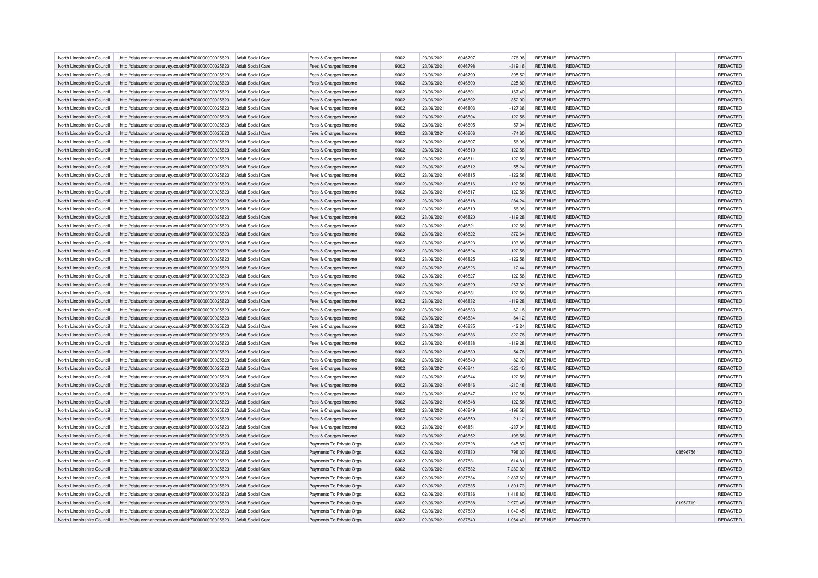| North Lincolnshire Council | http://data.ordnancesurvey.co.uk/id/7000000000025623                                                         | Adult Social Care                      | Fees & Charges Income                          | 9002 | 23/06/2021 | 6046797 | $-276.96$ | <b>REVENUE</b> | REDACTED        |          | REDACTED |
|----------------------------|--------------------------------------------------------------------------------------------------------------|----------------------------------------|------------------------------------------------|------|------------|---------|-----------|----------------|-----------------|----------|----------|
| North Lincolnshire Council | http://data.ordnancesurvey.co.uk/id/7000000000025623                                                         | Adult Social Care                      | Fees & Charges Income                          | 9002 | 23/06/2021 | 6046798 | $-319.16$ | <b>REVENUE</b> | REDACTED        |          | REDACTED |
| North Lincolnshire Council | http://data.ordnancesurvey.co.uk/id/7000000000025623                                                         | Adult Social Care                      | Fees & Charges Income                          | 9002 | 23/06/2021 | 6046799 | $-395.52$ | <b>REVENUE</b> | REDACTED        |          | REDACTED |
| North Lincolnshire Council | http://data.ordnancesurvey.co.uk/id/7000000000025623                                                         | <b>Adult Social Care</b>               | Fees & Charges Income                          | 9002 | 23/06/2021 | 6046800 | $-225.80$ | <b>REVENUE</b> | REDACTED        |          | REDACTED |
| North Lincolnshire Council | http://data.ordnancesurvey.co.uk/id/7000000000025623                                                         | <b>Adult Social Care</b>               | Fees & Charges Income                          | 9002 | 23/06/2021 | 6046801 | $-167.40$ | <b>REVENUE</b> | REDACTED        |          | REDACTED |
| North Lincolnshire Council | http://data.ordnancesurvey.co.uk/id/7000000000025623                                                         | <b>Adult Social Care</b>               | Fees & Charges Income                          | 9002 | 23/06/2021 | 6046802 | $-352.00$ | <b>REVENUE</b> | <b>REDACTED</b> |          | REDACTED |
| North Lincolnshire Council | http://data.ordnancesurvey.co.uk/id/7000000000025623                                                         | <b>Adult Social Care</b>               | Fees & Charges Income                          | 9002 | 23/06/2021 | 6046803 | $-127.36$ | <b>REVENUE</b> | REDACTED        |          | REDACTED |
| North Lincolnshire Council | http://data.ordnancesurvey.co.uk/id/7000000000025623                                                         | Adult Social Care                      | Fees & Charges Income                          | 9002 | 23/06/2021 | 6046804 | $-122.56$ | <b>REVENUE</b> | REDACTED        |          | REDACTED |
| North Lincolnshire Council | http://data.ordnancesurvey.co.uk/id/7000000000025623                                                         | <b>Adult Social Care</b>               | Fees & Charges Income                          | 9002 | 23/06/2021 | 6046805 | $-57.04$  | <b>REVENUE</b> | REDACTED        |          | REDACTED |
| North Lincolnshire Council | http://data.ordnancesurvey.co.uk/id/7000000000025623                                                         | Adult Social Care                      | Fees & Charges Income                          | 9002 | 23/06/2021 | 6046806 | $-74.60$  | <b>REVENUE</b> | REDACTED        |          | REDACTED |
| North Lincolnshire Council | http://data.ordnancesurvey.co.uk/id/7000000000025623                                                         | Adult Social Care                      | Fees & Charges Income                          | 9002 | 23/06/2021 | 6046807 | $-56.96$  | <b>REVENUE</b> | REDACTED        |          | REDACTED |
| North Lincolnshire Council | http://data.ordnancesurvey.co.uk/id/7000000000025623                                                         | Adult Social Care                      | Fees & Charges Income                          | 9002 | 23/06/2021 | 6046810 | $-122.56$ | <b>REVENUE</b> | REDACTED        |          | REDACTED |
| North Lincolnshire Council |                                                                                                              |                                        |                                                | 9002 | 23/06/2021 | 6046811 | $-122.56$ | <b>REVENUE</b> | REDACTED        |          | REDACTED |
| North Lincolnshire Council | http://data.ordnancesurvey.co.uk/id/7000000000025623<br>http://data.ordnancesurvey.co.uk/id/7000000000025623 | Adult Social Care<br>Adult Social Care | Fees & Charges Income<br>Fees & Charges Income | 9002 | 23/06/2021 | 6046812 | $-55.24$  | <b>REVENUE</b> | REDACTED        |          | REDACTED |
|                            |                                                                                                              |                                        |                                                |      |            |         |           |                |                 |          |          |
| North Lincolnshire Council | http://data.ordnancesurvey.co.uk/id/7000000000025623                                                         | <b>Adult Social Care</b>               | Fees & Charges Income                          | 9002 | 23/06/2021 | 6046815 | $-122.56$ | <b>REVENUE</b> | REDACTED        |          | REDACTED |
| North Lincolnshire Council | http://data.ordnancesurvey.co.uk/id/7000000000025623                                                         | <b>Adult Social Care</b>               | Fees & Charges Income                          | 9002 | 23/06/2021 | 6046816 | $-122.56$ | <b>REVENUE</b> | <b>REDACTED</b> |          | REDACTED |
| North Lincolnshire Council | http://data.ordnancesurvey.co.uk/id/7000000000025623                                                         | <b>Adult Social Care</b>               | Fees & Charges Income                          | 9002 | 23/06/2021 | 6046817 | $-122.56$ | <b>REVENUE</b> | REDACTED        |          | REDACTED |
| North Lincolnshire Council | http://data.ordnancesurvey.co.uk/id/7000000000025623                                                         | Adult Social Care                      | Fees & Charges Income                          | 9002 | 23/06/2021 | 6046818 | $-284.24$ | <b>REVENUE</b> | <b>REDACTED</b> |          | REDACTED |
| North Lincolnshire Council | http://data.ordnancesurvey.co.uk/id/7000000000025623                                                         | <b>Adult Social Care</b>               | Fees & Charges Income                          | 9002 | 23/06/2021 | 6046819 | $-56.96$  | <b>REVENUE</b> | REDACTED        |          | REDACTED |
| North Lincolnshire Council | http://data.ordnancesurvey.co.uk/id/7000000000025623                                                         | <b>Adult Social Care</b>               | Fees & Charges Income                          | 9002 | 23/06/2021 | 6046820 | $-119.28$ | <b>REVENUE</b> | REDACTED        |          | REDACTED |
| North Lincolnshire Council | http://data.ordnancesurvey.co.uk/id/7000000000025623                                                         | Adult Social Care                      | Fees & Charges Income                          | 9002 | 23/06/2021 | 6046821 | $-122.56$ | <b>REVENUE</b> | REDACTED        |          | REDACTED |
| North Lincolnshire Council | http://data.ordnancesurvey.co.uk/id/7000000000025623                                                         | <b>Adult Social Care</b>               | Fees & Charges Income                          | 9002 | 23/06/2021 | 6046822 | $-372.64$ | <b>REVENUE</b> | REDACTED        |          | REDACTED |
| North Lincolnshire Council | http://data.ordnancesurvey.co.uk/id/7000000000025623                                                         | <b>Adult Social Care</b>               | Fees & Charges Income                          | 9002 | 23/06/2021 | 6046823 | $-103.88$ | <b>REVENUE</b> | REDACTED        |          | REDACTED |
| North Lincolnshire Council | http://data.ordnancesurvey.co.uk/id/7000000000025623                                                         | Adult Social Care                      | Fees & Charges Income                          | 9002 | 23/06/2021 | 6046824 | $-122.56$ | <b>REVENUE</b> | <b>REDACTED</b> |          | REDACTED |
| North Lincolnshire Council | http://data.ordnancesurvey.co.uk/id/7000000000025623                                                         | Adult Social Care                      | Fees & Charges Income                          | 9002 | 23/06/2021 | 6046825 | $-122.56$ | <b>REVENUE</b> | REDACTED        |          | REDACTED |
| North Lincolnshire Council | http://data.ordnancesurvey.co.uk/id/7000000000025623                                                         | <b>Adult Social Care</b>               | Fees & Charges Income                          | 9002 | 23/06/2021 | 6046826 | $-12.44$  | <b>REVENUE</b> | REDACTED        |          | REDACTED |
| North Lincolnshire Council | http://data.ordnancesurvey.co.uk/id/7000000000025623                                                         | Adult Social Care                      | Fees & Charges Income                          | 9002 | 23/06/2021 | 6046827 | $-122.56$ | <b>REVENUE</b> | <b>REDACTED</b> |          | REDACTED |
| North Lincolnshire Council | http://data.ordnancesurvey.co.uk/id/7000000000025623                                                         | Adult Social Care                      | Fees & Charges Income                          | 9002 | 23/06/2021 | 6046829 | $-267.92$ | <b>REVENUE</b> | REDACTED        |          | REDACTED |
| North Lincolnshire Council | http://data.ordnancesurvey.co.uk/id/7000000000025623                                                         | <b>Adult Social Care</b>               | Fees & Charges Income                          | 9002 | 23/06/2021 | 6046831 | $-122.56$ | <b>REVENUE</b> | REDACTED        |          | REDACTED |
| North Lincolnshire Council | http://data.ordnancesurvey.co.uk/id/7000000000025623                                                         | Adult Social Care                      | Fees & Charges Income                          | 9002 | 23/06/2021 | 6046832 | $-119.28$ | <b>REVENUE</b> | <b>REDACTED</b> |          | REDACTED |
| North Lincolnshire Council | http://data.ordnancesurvey.co.uk/id/7000000000025623                                                         | <b>Adult Social Care</b>               | Fees & Charges Income                          | 9002 | 23/06/2021 | 6046833 | $-62.16$  | <b>REVENUE</b> | REDACTED        |          | REDACTED |
| North Lincolnshire Council | http://data.ordnancesurvey.co.uk/id/7000000000025623                                                         | Adult Social Care                      | Fees & Charges Income                          | 9002 | 23/06/2021 | 6046834 | $-84.12$  | <b>REVENUE</b> | <b>REDACTED</b> |          | REDACTED |
| North Lincolnshire Council | http://data.ordnancesurvey.co.uk/id/7000000000025623                                                         | <b>Adult Social Care</b>               | Fees & Charges Income                          | 9002 | 23/06/2021 | 6046835 | $-42.24$  | <b>REVENUE</b> | REDACTED        |          | REDACTED |
| North Lincolnshire Council | http://data.ordnancesurvey.co.uk/id/7000000000025623                                                         | <b>Adult Social Care</b>               | Fees & Charges Income                          | 9002 | 23/06/2021 | 6046836 | $-322.76$ | <b>REVENUE</b> | REDACTED        |          | REDACTED |
| North Lincolnshire Council | http://data.ordnancesurvey.co.uk/id/7000000000025623                                                         | <b>Adult Social Care</b>               | Fees & Charges Income                          | 9002 | 23/06/2021 | 6046838 | $-119.28$ | <b>REVENUE</b> | REDACTED        |          | REDACTED |
| North Lincolnshire Council | http://data.ordnancesurvey.co.uk/id/7000000000025623                                                         | Adult Social Care                      | Fees & Charges Income                          | 9002 | 23/06/2021 | 6046839 | $-54.76$  | <b>REVENUE</b> | <b>REDACTED</b> |          | REDACTED |
| North Lincolnshire Council | http://data.ordnancesurvey.co.uk/id/7000000000025623                                                         | Adult Social Care                      | Fees & Charges Income                          | 9002 | 23/06/2021 | 6046840 | $-82.00$  | <b>REVENUE</b> | REDACTED        |          | REDACTED |
| North Lincolnshire Council | http://data.ordnancesurvey.co.uk/id/7000000000025623                                                         | <b>Adult Social Care</b>               | Fees & Charges Income                          | 9002 | 23/06/2021 | 6046841 | $-323.40$ | <b>REVENUE</b> | REDACTED        |          | REDACTED |
| North Lincolnshire Council | http://data.ordnancesurvey.co.uk/id/7000000000025623                                                         | <b>Adult Social Care</b>               | Fees & Charges Income                          | 9002 | 23/06/2021 | 6046844 | $-122.56$ | <b>REVENUE</b> | REDACTED        |          | REDACTED |
| North Lincolnshire Council | http://data.ordnancesurvey.co.uk/id/7000000000025623                                                         | <b>Adult Social Care</b>               | Fees & Charges Income                          | 9002 | 23/06/2021 | 6046846 | $-210.48$ | <b>REVENUE</b> | REDACTED        |          | REDACTED |
| North Lincolnshire Council | http://data.ordnancesurvey.co.uk/id/7000000000025623                                                         | <b>Adult Social Care</b>               | Fees & Charges Income                          | 9002 | 23/06/2021 | 6046847 | $-122.56$ | <b>REVENUE</b> | REDACTED        |          | REDACTED |
| North Lincolnshire Council | http://data.ordnancesurvey.co.uk/id/7000000000025623                                                         | Adult Social Care                      | Fees & Charges Income                          | 9002 | 23/06/2021 | 6046848 | $-122.56$ | <b>REVENUE</b> | <b>REDACTED</b> |          | REDACTED |
| North Lincolnshire Council | http://data.ordnancesurvey.co.uk/id/7000000000025623                                                         | <b>Adult Social Care</b>               | Fees & Charges Income                          | 9002 | 23/06/2021 | 6046849 | $-198.56$ | <b>REVENUE</b> | REDACTED        |          | REDACTED |
| North Lincolnshire Council | http://data.ordnancesurvey.co.uk/id/7000000000025623                                                         | <b>Adult Social Care</b>               | Fees & Charges Income                          | 9002 | 23/06/2021 | 6046850 | $-21.12$  | <b>REVENUE</b> | <b>REDACTED</b> |          | REDACTED |
| North Lincolnshire Council | http://data.ordnancesurvey.co.uk/id/7000000000025623                                                         | Adult Social Care                      | Fees & Charges Income                          | 9002 | 23/06/2021 | 6046851 | $-237.04$ | <b>REVENUE</b> | REDACTED        |          | REDACTED |
|                            |                                                                                                              |                                        |                                                | 9002 |            |         |           |                |                 |          | REDACTED |
| North Lincolnshire Council | http://data.ordnancesurvey.co.uk/id/7000000000025623                                                         | <b>Adult Social Care</b>               | Fees & Charges Income                          |      | 23/06/2021 | 6046852 | $-198.56$ | <b>REVENUE</b> | REDACTED        |          |          |
| North Lincolnshire Council | http://data.ordnancesurvey.co.uk/id/7000000000025623                                                         | <b>Adult Social Care</b>               | Payments To Private Orgs                       | 6002 | 02/06/2021 | 6037828 | 945.87    | <b>REVENUE</b> | REDACTED        |          | REDACTED |
| North Lincolnshire Council | http://data.ordnancesurvey.co.uk/id/7000000000025623                                                         | Adult Social Care                      | Payments To Private Orgs                       | 6002 | 02/06/2021 | 6037830 | 798.30    | <b>REVENUE</b> | <b>REDACTED</b> | 08596756 | REDACTED |
| North Lincolnshire Council | http://data.ordnancesurvey.co.uk/id/7000000000025623                                                         | Adult Social Care                      | Payments To Private Orgs                       | 6002 | 02/06/2021 | 6037831 | 614.81    | <b>REVENUE</b> | REDACTED        |          | REDACTED |
| North Lincolnshire Council | http://data.ordnancesurvey.co.uk/id/7000000000025623                                                         | <b>Adult Social Care</b>               | Payments To Private Orgs                       | 6002 | 02/06/2021 | 6037832 | 7,280.00  | <b>REVENUE</b> | REDACTED        |          | REDACTED |
| North Lincolnshire Council | http://data.ordnancesurvey.co.uk/id/7000000000025623                                                         | Adult Social Care                      | Payments To Private Orgs                       | 6002 | 02/06/2021 | 6037834 | 2.837.60  | <b>REVENUE</b> | <b>REDACTED</b> |          | REDACTED |
| North Lincolnshire Council | http://data.ordnancesurvey.co.uk/id/7000000000025623                                                         | Adult Social Care                      | Payments To Private Orgs                       | 6002 | 02/06/2021 | 6037835 | 1,891.73  | <b>REVENUE</b> | REDACTED        |          | REDACTED |
| North Lincolnshire Council | http://data.ordnancesurvey.co.uk/id/7000000000025623                                                         | Adult Social Care                      | Payments To Private Orgs                       | 6002 | 02/06/2021 | 6037836 | 1,418.80  | <b>REVENUE</b> | REDACTED        |          | REDACTED |
| North Lincolnshire Council | http://data.ordnancesurvey.co.uk/id/7000000000025623                                                         | <b>Adult Social Care</b>               | Payments To Private Orgs                       | 6002 | 02/06/2021 | 6037838 | 2,979.48  | <b>REVENUE</b> | <b>REDACTED</b> | 01952719 | REDACTED |
| North Lincolnshire Council | http://data.ordnancesurvey.co.uk/id/7000000000025623                                                         | <b>Adult Social Care</b>               | Payments To Private Orgs                       | 6002 | 02/06/2021 | 6037839 | 1.040.45  | <b>REVENUE</b> | REDACTED        |          | REDACTED |
| North Lincolnshire Council | http://data.ordnancesurvey.co.uk/id/7000000000025623                                                         | Adult Social Care                      | Payments To Private Orgs                       | 6002 | 02/06/2021 | 6037840 | 1,064.40  | <b>REVENUE</b> | REDACTED        |          | REDACTED |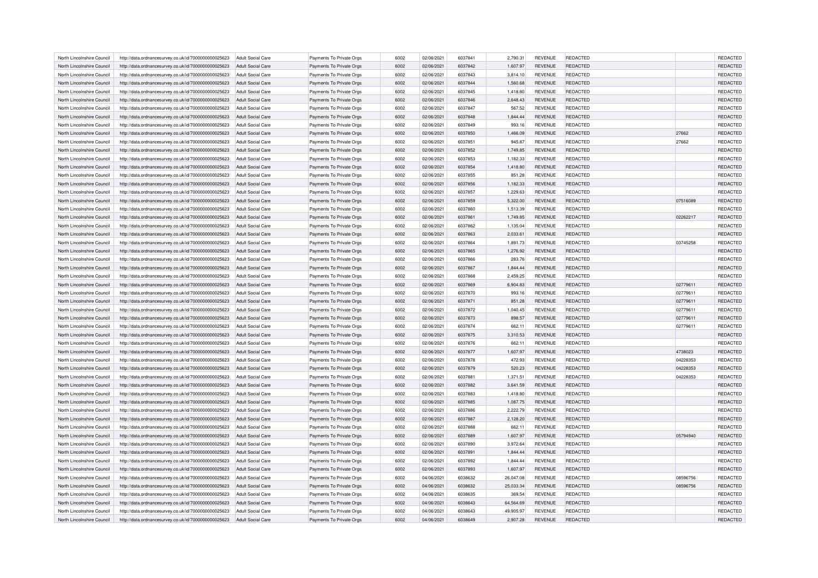| North Lincolnshire Council                               | http://data.ordnancesurvey.co.uk/id/7000000000025623                                                         | Adult Social Care                                    | Payments To Private Orgs                             | 6002         | 02/06/2021               | 6037841            | 2,790.31              | <b>REVENUE</b>                   | REDACTED                           |          | REDACTED             |
|----------------------------------------------------------|--------------------------------------------------------------------------------------------------------------|------------------------------------------------------|------------------------------------------------------|--------------|--------------------------|--------------------|-----------------------|----------------------------------|------------------------------------|----------|----------------------|
| North Lincolnshire Council                               | http://data.ordnancesurvey.co.uk/id/7000000000025623                                                         | Adult Social Care                                    | Payments To Private Orgs                             | 6002         | 02/06/2021               | 6037842            | 1,607.97              | <b>REVENUE</b>                   | <b>REDACTED</b>                    |          | REDACTED             |
| North Lincolnshire Council                               | http://data.ordnancesurvey.co.uk/id/7000000000025623                                                         | Adult Social Care                                    | Payments To Private Orgs                             | 6002         | 02/06/2021               | 6037843            | 3.814.10              | <b>REVENUE</b>                   | <b>REDACTED</b>                    |          | REDACTED             |
| North Lincolnshire Council                               | http://data.ordnancesurvey.co.uk/id/7000000000025623                                                         | Adult Social Care                                    | Payments To Private Orgs                             | 6002         | 02/06/2021               | 6037844            | 1,560.68              | <b>REVENUE</b>                   | <b>REDACTED</b>                    |          | REDACTED             |
| North Lincolnshire Council                               | http://data.ordnancesurvey.co.uk/id/7000000000025623                                                         | Adult Social Care                                    | Payments To Private Orgs                             | 6002         | 02/06/2021               | 6037845            | 1,418.80              | <b>REVENUE</b>                   | REDACTED                           |          | REDACTED             |
| North Lincolnshire Council                               | http://data.ordnancesurvey.co.uk/id/7000000000025623                                                         | Adult Social Care                                    | Payments To Private Orgs                             | 6002         | 02/06/2021               | 6037846            | 2,648.43              | <b>REVENUE</b>                   | <b>REDACTED</b>                    |          | REDACTED             |
| North Lincolnshire Council                               | http://data.ordnancesurvey.co.uk/id/7000000000025623                                                         | Adult Social Care                                    | Payments To Private Orgs                             | 6002         | 02/06/2021               | 6037847            | 567.52                | <b>REVENUE</b>                   | REDACTED                           |          | REDACTED             |
| North Lincolnshire Council                               | http://data.ordnancesurvey.co.uk/id/7000000000025623                                                         | Adult Social Care                                    | Payments To Private Orgs                             | 6002         | 02/06/2021               | 6037848            | 1,844.44              | <b>REVENUE</b>                   | REDACTED                           |          | REDACTED             |
| North Lincolnshire Council                               | http://data.ordnancesurvey.co.uk/id/7000000000025623                                                         | Adult Social Care                                    | Payments To Private Orgs                             | 6002         | 02/06/2021               | 6037849            | 993.16                | <b>REVENUE</b>                   | REDACTED                           |          | REDACTED             |
| North Lincolnshire Council                               | http://data.ordnancesurvey.co.uk/id/7000000000025623                                                         | Adult Social Care                                    | Payments To Private Orgs                             | 6002         | 02/06/2021               | 6037850            | 1.466.09              | <b>REVENUE</b>                   | REDACTED                           | 27662    | REDACTED             |
| North Lincolnshire Council                               | http://data.ordnancesurvey.co.uk/id/7000000000025623                                                         | Adult Social Care                                    | Payments To Private Orgs                             | 6002         | 02/06/2021               | 6037851            | 945.87                | <b>REVENUE</b>                   | REDACTED                           | 27662    | REDACTED             |
| North Lincolnshire Council                               | http://data.ordnancesurvey.co.uk/id/7000000000025623                                                         | <b>Adult Social Care</b>                             | Payments To Private Orgs                             | 6002         | 02/06/2021               | 6037852            | 1,749.85              | <b>REVENUE</b>                   | REDACTED                           |          | REDACTED             |
| North Lincolnshire Council                               | http://data.ordnancesurvey.co.uk/id/7000000000025623                                                         | Adult Social Care                                    | Payments To Private Orgs                             | 6002         | 02/06/2021               | 6037853            | 1,182.33              | <b>REVENUE</b>                   | REDACTED                           |          | REDACTED             |
| North Lincolnshire Council                               | http://data.ordnancesurvey.co.uk/id/7000000000025623                                                         | Adult Social Care                                    | Payments To Private Orgs                             | 6002         | 02/06/2021               | 6037854            | 1,418.80              | <b>REVENUE</b>                   | <b>REDACTED</b>                    |          | REDACTED             |
| North Lincolnshire Council                               | http://data.ordnancesurvey.co.uk/id/7000000000025623                                                         | <b>Adult Social Care</b>                             | Payments To Private Orgs                             | 6002         | 02/06/2021               | 6037855            | 851.28                | <b>REVENUE</b>                   | REDACTED                           |          | REDACTED             |
| North Lincolnshire Council                               | http://data.ordnancesurvey.co.uk/id/7000000000025623                                                         | Adult Social Care                                    | Payments To Private Orgs                             | 6002         | 02/06/2021               | 6037856            | 1,182.33              | <b>REVENUE</b>                   | REDACTED                           |          | REDACTED             |
| North Lincolnshire Council                               | http://data.ordnancesurvey.co.uk/id/7000000000025623                                                         | <b>Adult Social Care</b>                             | Payments To Private Orgs                             | 6002         | 02/06/2021               | 6037857            | 1,229.63              | <b>REVENUE</b>                   | REDACTED                           |          | REDACTED             |
| North Lincolnshire Council                               | http://data.ordnancesurvey.co.uk/id/7000000000025623                                                         | Adult Social Care                                    | Payments To Private Orgs                             | 6002         | 02/06/2021               | 6037859            | 5,322.00              | <b>REVENUE</b>                   | <b>REDACTED</b>                    | 07516089 | REDACTED             |
| North Lincolnshire Council                               | http://data.ordnancesurvey.co.uk/id/7000000000025623                                                         | Adult Social Care                                    | Payments To Private Orgs                             | 6002         | 02/06/2021               | 6037860            | 1,513.39              | <b>REVENUE</b>                   | REDACTED                           |          | REDACTED             |
| North Lincolnshire Council                               | http://data.ordnancesurvey.co.uk/id/7000000000025623                                                         | Adult Social Care                                    | Payments To Private Orgs                             | 6002         | 02/06/2021               | 6037861            | 1,749.85              | <b>REVENUE</b>                   | REDACTED                           | 02262217 | REDACTED             |
| North Lincolnshire Council                               | http://data.ordnancesurvey.co.uk/id/7000000000025623                                                         | Adult Social Care                                    | Payments To Private Orgs                             | 6002         | 02/06/2021               | 6037862            | 1.135.04              | <b>REVENUE</b>                   | <b>REDACTED</b>                    |          | REDACTED             |
| North Lincolnshire Council                               | http://data.ordnancesurvey.co.uk/id/7000000000025623                                                         | <b>Adult Social Care</b>                             | Payments To Private Orgs                             | 6002         | 02/06/2021               | 6037863            | 2,033.61              | <b>REVENUE</b>                   | <b>REDACTED</b>                    |          | REDACTED             |
| North Lincolnshire Council                               | http://data.ordnancesurvey.co.uk/id/7000000000025623                                                         | <b>Adult Social Care</b>                             | Payments To Private Orgs                             | 6002         | 02/06/2021               | 6037864            | 1,891.73              | <b>REVENUE</b>                   | REDACTED                           | 03745258 | REDACTED             |
| North Lincolnshire Council                               | http://data.ordnancesurvey.co.uk/id/7000000000025623                                                         | Adult Social Care                                    | Payments To Private Orgs                             | 6002         | 02/06/2021               | 6037865            | 1,276.92              | <b>REVENUE</b>                   | <b>REDACTED</b>                    |          | REDACTED             |
| North Lincolnshire Council                               | http://data.ordnancesurvey.co.uk/id/7000000000025623                                                         | Adult Social Care                                    | Payments To Private Orgs                             | 6002         | 02/06/2021               | 6037866            | 283.76                | <b>REVENUE</b>                   | REDACTED                           |          | REDACTED             |
| North Lincolnshire Council                               | http://data.ordnancesurvey.co.uk/id/7000000000025623                                                         | Adult Social Care                                    | Payments To Private Orgs                             | 6002         | 02/06/2021               | 6037867            | 1,844.44              | <b>REVENUE</b>                   | REDACTED                           |          | REDACTED             |
| North Lincolnshire Council                               | http://data.ordnancesurvey.co.uk/id/7000000000025623                                                         | Adult Social Care                                    | Payments To Private Orgs                             | 6002         | 02/06/2021               | 6037868            | 2.459.25              | <b>REVENUE</b>                   | <b>REDACTED</b>                    |          | REDACTED             |
| North Lincolnshire Council                               | http://data.ordnancesurvey.co.uk/id/7000000000025623                                                         | Adult Social Care                                    | Payments To Private Orgs                             | 6002         | 02/06/2021               | 6037869            | 6,904.83              | <b>REVENUE</b>                   | REDACTED                           | 02779611 | REDACTED             |
| North Lincolnshire Council                               | http://data.ordnancesurvey.co.uk/id/7000000000025623                                                         | Adult Social Care                                    | Payments To Private Orgs                             | 6002         | 02/06/2021               | 6037870            | 993.16                | <b>REVENUE</b>                   | REDACTED                           | 02779611 | REDACTED             |
| North Lincolnshire Council                               | http://data.ordnancesurvey.co.uk/id/7000000000025623                                                         | <b>Adult Social Care</b>                             | Payments To Private Orgs                             | 6002         | 02/06/2021               | 6037871            | 851.28                | <b>REVENUE</b>                   | REDACTED                           | 02779611 | REDACTED             |
| North Lincolnshire Council                               | http://data.ordnancesurvey.co.uk/id/7000000000025623                                                         | Adult Social Care                                    | Payments To Private Orgs                             | 6002         | 02/06/2021               | 6037872            | 1,040.45              | <b>REVENUE</b>                   | REDACTED                           | 02779611 | REDACTED             |
| North Lincolnshire Council                               | http://data.ordnancesurvey.co.uk/id/7000000000025623                                                         | <b>Adult Social Care</b>                             | Payments To Private Orgs                             | 6002         | 02/06/2021               | 6037873            | 898.57                | <b>REVENUE</b>                   | REDACTED                           | 02779611 | REDACTED             |
| North Lincolnshire Council                               | http://data.ordnancesurvey.co.uk/id/7000000000025623                                                         | <b>Adult Social Care</b>                             | Payments To Private Orgs                             | 6002         | 02/06/2021               | 6037874            | 662.11                | <b>REVENUE</b>                   | REDACTED                           | 02779611 | REDACTED             |
| North Lincolnshire Council                               | http://data.ordnancesurvey.co.uk/id/7000000000025623                                                         | Adult Social Care                                    | Payments To Private Orgs                             | 6002         | 02/06/2021               | 6037875            | 3,310.53              | <b>REVENUE</b>                   | REDACTED                           |          | REDACTED             |
| North Lincolnshire Council                               | http://data.ordnancesurvey.co.uk/id/7000000000025623                                                         | <b>Adult Social Care</b>                             | Payments To Private Orgs                             | 6002         | 02/06/2021               | 6037876            | 662.11                | <b>REVENUE</b>                   | REDACTED                           |          | REDACTED             |
| North Lincolnshire Council                               | http://data.ordnancesurvey.co.uk/id/7000000000025623                                                         | <b>Adult Social Care</b>                             | Payments To Private Orgs                             | 6002         | 02/06/2021               | 6037877            | 1,607.97              | <b>REVENUE</b>                   | REDACTED                           | 4738023  | REDACTED             |
| North Lincolnshire Council                               | http://data.ordnancesurvey.co.uk/id/7000000000025623                                                         | Adult Social Care                                    | Payments To Private Orgs                             | 6002         | 02/06/2021               | 6037878            | 472.93                | <b>REVENUE</b>                   | <b>REDACTED</b>                    | 04228353 | REDACTED             |
| North Lincolnshire Council                               | http://data.ordnancesurvey.co.uk/id/7000000000025623                                                         | Adult Social Care                                    | Payments To Private Orgs                             | 6002         | 02/06/2021               | 6037879            | 520.23                | <b>REVENUE</b>                   | REDACTED                           | 04228353 | REDACTED             |
| North Lincolnshire Council                               | http://data.ordnancesurvey.co.uk/id/7000000000025623                                                         | Adult Social Care                                    | Payments To Private Orgs                             | 6002         | 02/06/2021               | 6037881            | 1,371.51              | <b>REVENUE</b>                   | <b>REDACTED</b>                    | 04228353 | REDACTED             |
|                                                          |                                                                                                              |                                                      |                                                      | 6002         | 02/06/2021               | 6037882            | 3,641.59              |                                  | REDACTED                           |          | REDACTED             |
| North Lincolnshire Council<br>North Lincolnshire Council | http://data.ordnancesurvey.co.uk/id/7000000000025623<br>http://data.ordnancesurvey.co.uk/id/7000000000025623 | <b>Adult Social Care</b><br><b>Adult Social Care</b> | Payments To Private Orgs<br>Payments To Private Orgs | 6002         | 02/06/2021               | 6037883            | 1,418.80              | <b>REVENUE</b><br><b>REVENUE</b> | REDACTED                           |          | REDACTED             |
| North Lincolnshire Council                               |                                                                                                              | Adult Social Care                                    | Payments To Private Orgs                             | 6002         | 02/06/2021               | 6037885            | 1,087.75              | <b>REVENUE</b>                   | <b>REDACTED</b>                    |          | REDACTED             |
|                                                          | http://data.ordnancesurvey.co.uk/id/7000000000025623                                                         |                                                      |                                                      | 6002         |                          | 6037886            |                       |                                  |                                    |          |                      |
| North Lincolnshire Council<br>North Lincolnshire Council | http://data.ordnancesurvey.co.uk/id/7000000000025623                                                         | <b>Adult Social Care</b><br>Adult Social Care        | Payments To Private Orgs                             | 6002         | 02/06/2021<br>02/06/2021 | 6037887            | 2,222.79              | <b>REVENUE</b>                   | <b>REDACTED</b><br><b>REDACTED</b> |          | REDACTED             |
| North Lincolnshire Council                               | http://data.ordnancesurvey.co.uk/id/7000000000025623                                                         | Adult Social Care                                    | Payments To Private Orgs                             | 6002         | 02/06/2021               | 6037888            | 2,128.20              | <b>REVENUE</b><br><b>REVENUE</b> | <b>REDACTED</b>                    |          | REDACTED<br>REDACTED |
|                                                          | http://data.ordnancesurvey.co.uk/id/7000000000025623                                                         |                                                      | Payments To Private Orgs                             |              |                          |                    | 662.11                |                                  |                                    |          |                      |
| North Lincolnshire Council                               | http://data.ordnancesurvey.co.uk/id/7000000000025623                                                         | <b>Adult Social Care</b>                             | Payments To Private Orgs                             | 6002         | 02/06/2021               | 6037889            | 1,607.97              | <b>REVENUE</b>                   | REDACTED                           | 05794940 | REDACTED             |
| North Lincolnshire Council<br>North Lincolnshire Council | http://data.ordnancesurvey.co.uk/id/7000000000025623<br>http://data.ordnancesurvey.co.uk/id/7000000000025623 | <b>Adult Social Care</b><br>Adult Social Care        | Payments To Private Orgs<br>Payments To Private Orgs | 6002<br>6002 | 02/06/2021<br>02/06/2021 | 6037890<br>6037891 | 3,972.64<br>1.844.44  | <b>REVENUE</b><br><b>REVENUE</b> | REDACTED<br>REDACTED               |          | REDACTED<br>REDACTED |
| North Lincolnshire Council                               |                                                                                                              |                                                      |                                                      | 6002         |                          | 6037892            | 1,844.44              | <b>REVENUE</b>                   | <b>REDACTED</b>                    |          | REDACTED             |
|                                                          | http://data.ordnancesurvey.co.uk/id/7000000000025623                                                         | Adult Social Care                                    | Payments To Private Orgs                             |              | 02/06/2021               |                    |                       |                                  |                                    |          |                      |
| North Lincolnshire Council<br>North Lincolnshire Council | http://data.ordnancesurvey.co.uk/id/7000000000025623                                                         | Adult Social Care<br>Adult Social Care               | Payments To Private Orgs<br>Payments To Private Orgs | 6002<br>6002 | 02/06/2021<br>04/06/2021 | 6037893<br>6038632 | 1,607.97<br>26.047.08 | <b>REVENUE</b><br><b>REVENUE</b> | <b>REDACTED</b><br><b>REDACTED</b> | 08596756 | REDACTED<br>REDACTED |
| North Lincolnshire Council                               | http://data.ordnancesurvey.co.uk/id/7000000000025623                                                         | Adult Social Care                                    |                                                      | 6002         | 04/06/2021               | 6038632            | 25,033.34             | <b>REVENUE</b>                   | REDACTED                           | 08596756 | REDACTED             |
| North Lincolnshire Council                               | http://data.ordnancesurvey.co.uk/id/7000000000025623                                                         | Adult Social Care                                    | Payments To Private Orgs                             | 6002         | 04/06/2021               | 6038635            | 369.54                | <b>REVENUE</b>                   | <b>REDACTED</b>                    |          | REDACTED             |
| North Lincolnshire Council                               | http://data.ordnancesurvey.co.uk/id/7000000000025623<br>http://data.ordnancesurvey.co.uk/id/7000000000025623 | Adult Social Care                                    | Payments To Private Orgs<br>Payments To Private Orgs | 6002         | 04/06/2021               | 6038643            | 64,564.69             | <b>REVENUE</b>                   | <b>REDACTED</b>                    |          | REDACTED             |
| North Lincolnshire Council                               | http://data.ordnancesurvey.co.uk/id/7000000000025623                                                         | Adult Social Care                                    | Payments To Private Orgs                             | 6002         | 04/06/2021               | 6038643            | 49.905.97             | <b>REVENUE</b>                   | <b>REDACTED</b>                    |          | REDACTED             |
| North Lincolnshire Council                               | http://data.ordnancesurvey.co.uk/id/7000000000025623                                                         | Adult Social Care                                    | Payments To Private Orgs                             | 6002         | 04/06/2021               | 6038649            | 2,907.28              | <b>REVENUE</b>                   | REDACTED                           |          | REDACTED             |
|                                                          |                                                                                                              |                                                      |                                                      |              |                          |                    |                       |                                  |                                    |          |                      |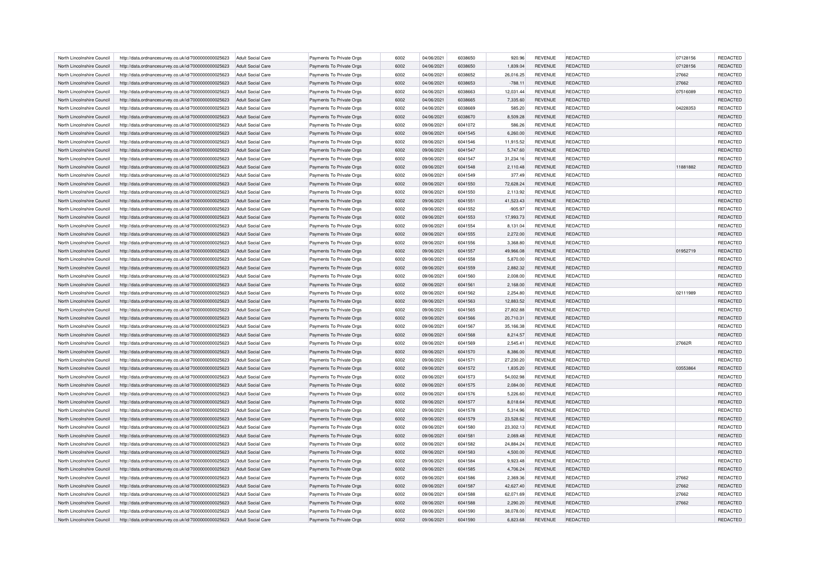| North Lincolnshire Council                               | http://data.ordnancesurvey.co.uk/id/7000000000025623 | Adult Social Care        | Payments To Private Orgs | 6002 | 04/06/2021               | 6038650 | 920.96               | <b>REVENUE</b>                   | REDACTED        | 07128156 | <b>REDACTED</b> |
|----------------------------------------------------------|------------------------------------------------------|--------------------------|--------------------------|------|--------------------------|---------|----------------------|----------------------------------|-----------------|----------|-----------------|
| North Lincolnshire Council                               | http://data.ordnancesurvey.co.uk/id/7000000000025623 | <b>Adult Social Care</b> | Payments To Private Orgs | 6002 | 04/06/2021               | 6038650 | 1,839.04             | <b>REVENUE</b>                   | REDACTED        | 07128156 | REDACTED        |
| North Lincolnshire Council                               | http://data.ordnancesurvey.co.uk/id/7000000000025623 | Adult Social Care        | Payments To Private Orgs | 6002 | 04/06/2021               | 6038652 | 26.016.25            | <b>REVENUE</b>                   | REDACTED        | 27662    | REDACTED        |
| North Lincolnshire Council                               | http://data.ordnancesurvey.co.uk/id/7000000000025623 | Adult Social Care        | Payments To Private Orgs | 6002 | 04/06/2021               | 6038653 | $-788.11$            | <b>REVENUE</b>                   | REDACTED        | 27662    | REDACTED        |
| North Lincolnshire Council                               | http://data.ordnancesurvey.co.uk/id/7000000000025623 | <b>Adult Social Care</b> | Payments To Private Orgs | 6002 | 04/06/2021               | 6038663 | 12,031.44            | <b>REVENUE</b>                   | REDACTED        | 07516089 | REDACTED        |
| North Lincolnshire Council                               | http://data.ordnancesurvey.co.uk/id/7000000000025623 | <b>Adult Social Care</b> | Payments To Private Orgs | 6002 | 04/06/2021               | 6038665 | 7,335.60             | <b>REVENUE</b>                   | REDACTED        |          | REDACTED        |
| North Lincolnshire Council                               | http://data.ordnancesurvey.co.uk/id/7000000000025623 | Adult Social Care        | Payments To Private Orgs | 6002 | 04/06/2021               | 6038669 | 585.20               | <b>REVENUE</b>                   | REDACTED        | 04228353 | REDACTED        |
| North Lincolnshire Council                               | http://data.ordnancesurvey.co.uk/id/7000000000025623 | <b>Adult Social Care</b> | Payments To Private Orgs | 6002 | 04/06/2021               | 6038670 | 8,509.28             | <b>REVENUE</b>                   | REDACTED        |          | REDACTED        |
| North Lincolnshire Council                               | http://data.ordnancesurvey.co.uk/id/7000000000025623 | Adult Social Care        | Payments To Private Orgs | 6002 | 09/06/2021               | 6041072 | 586.26               | <b>REVENUE</b>                   | REDACTED        |          | REDACTED        |
| North Lincolnshire Council                               | http://data.ordnancesurvey.co.uk/id/7000000000025623 | Adult Social Care        | Payments To Private Orgs | 6002 | 09/06/2021               | 6041545 | 6,260.00             | <b>REVENUE</b>                   | REDACTED        |          | REDACTED        |
| North Lincolnshire Council                               | http://data.ordnancesurvey.co.uk/id/7000000000025623 | Adult Social Care        | Payments To Private Orgs | 6002 | 09/06/2021               | 6041546 | 11,915.52            | <b>REVENUE</b>                   | REDACTED        |          | REDACTED        |
| North Lincolnshire Council                               | http://data.ordnancesurvey.co.uk/id/7000000000025623 | <b>Adult Social Care</b> | Payments To Private Orgs | 6002 | 09/06/2021               | 6041547 | 5,747.60             | <b>REVENUE</b>                   | REDACTED        |          | REDACTED        |
| North Lincolnshire Council                               |                                                      |                          |                          | 6002 |                          | 6041547 | 31,234.16            | <b>REVENUE</b>                   | REDACTED        |          | REDACTED        |
|                                                          | http://data.ordnancesurvey.co.uk/id/7000000000025623 | Adult Social Care        | Payments To Private Orgs |      | 09/06/2021               |         |                      |                                  |                 |          |                 |
| North Lincolnshire Council                               | http://data.ordnancesurvey.co.uk/id/7000000000025623 | <b>Adult Social Care</b> | Payments To Private Orgs | 6002 | 09/06/2021               | 6041548 | 2,110.48             | <b>REVENUE</b>                   | REDACTED        | 11881882 | REDACTED        |
| North Lincolnshire Council                               | http://data.ordnancesurvey.co.uk/id/7000000000025623 | <b>Adult Social Care</b> | Payments To Private Orgs | 6002 | 09/06/2021               | 6041549 | 377.49               | <b>REVENUE</b>                   | REDACTED        |          | REDACTED        |
| North Lincolnshire Council                               | http://data.ordnancesurvey.co.uk/id/7000000000025623 | <b>Adult Social Care</b> | Payments To Private Orgs | 6002 | 09/06/2021               | 6041550 | 72,628.24            | <b>REVENUE</b>                   | REDACTED        |          | REDACTED        |
| North Lincolnshire Council                               | http://data.ordnancesurvey.co.uk/id/7000000000025623 | <b>Adult Social Care</b> | Payments To Private Orgs | 6002 | 09/06/2021               | 6041550 | 2,113.92             | <b>REVENUE</b>                   | REDACTED        |          | REDACTED        |
| North Lincolnshire Council                               | http://data.ordnancesurvey.co.uk/id/7000000000025623 | Adult Social Care        | Payments To Private Orgs | 6002 | 09/06/2021               | 6041551 | 41,523.43            | <b>REVENUE</b>                   | REDACTED        |          | <b>REDACTED</b> |
| North Lincolnshire Council                               | http://data.ordnancesurvey.co.uk/id/7000000000025623 | Adult Social Care        | Payments To Private Orgs | 6002 | 09/06/2021               | 6041552 | $-905.97$            | REVENUE                          | REDACTED        |          | REDACTED        |
| North Lincolnshire Council                               | http://data.ordnancesurvey.co.uk/id/7000000000025623 | Adult Social Care        | Payments To Private Orgs | 6002 | 09/06/2021               | 6041553 | 17,993.73            | <b>REVENUE</b>                   | REDACTED        |          | REDACTED        |
| North Lincolnshire Council                               | http://data.ordnancesurvey.co.uk/id/7000000000025623 | Adult Social Care        | Payments To Private Orgs | 6002 | 09/06/2021               | 6041554 | 8.131.04             | <b>REVENUE</b>                   | REDACTED        |          | REDACTED        |
| North Lincolnshire Council                               | http://data.ordnancesurvey.co.uk/id/7000000000025623 | <b>Adult Social Care</b> | Payments To Private Orgs | 6002 | 09/06/2021               | 6041555 | 2,272.00             | <b>REVENUE</b>                   | <b>REDACTED</b> |          | REDACTED        |
| North Lincolnshire Council                               | http://data.ordnancesurvey.co.uk/id/7000000000025623 | <b>Adult Social Care</b> | Payments To Private Orgs | 6002 | 09/06/2021               | 6041556 | 3,368.80             | REVENUE                          | REDACTED        |          | REDACTED        |
| North Lincolnshire Council                               | http://data.ordnancesurvey.co.uk/id/7000000000025623 | Adult Social Care        | Payments To Private Orgs | 6002 | 09/06/2021               | 6041557 | 49.966.08            | <b>REVENUE</b>                   | REDACTED        | 01952719 | <b>REDACTED</b> |
| North Lincolnshire Council                               | http://data.ordnancesurvey.co.uk/id/7000000000025623 | Adult Social Care        | Payments To Private Orgs | 6002 | 09/06/2021               | 6041558 | 5,870.00             | <b>REVENUE</b>                   | REDACTED        |          | REDACTED        |
| North Lincolnshire Council                               | http://data.ordnancesurvey.co.uk/id/7000000000025623 | <b>Adult Social Care</b> | Payments To Private Orgs | 6002 | 09/06/2021               | 6041559 | 2,882.32             | <b>REVENUE</b>                   | REDACTED        |          | REDACTED        |
| North Lincolnshire Council                               | http://data.ordnancesurvey.co.uk/id/7000000000025623 | Adult Social Care        | Payments To Private Orgs | 6002 | 09/06/2021               | 6041560 | 2.008.00             | <b>REVENUE</b>                   | REDACTED        |          | REDACTED        |
| North Lincolnshire Council                               | http://data.ordnancesurvey.co.uk/id/7000000000025623 | Adult Social Care        | Payments To Private Orgs | 6002 | 09/06/2021               | 6041561 | 2,168.00             | <b>REVENUE</b>                   | <b>REDACTED</b> |          | REDACTED        |
| North Lincolnshire Council                               | http://data.ordnancesurvey.co.uk/id/7000000000025623 | <b>Adult Social Care</b> | Payments To Private Orgs | 6002 | 09/06/2021               | 6041562 | 2,254.80             | <b>REVENUE</b>                   | REDACTED        | 02111989 | REDACTED        |
| North Lincolnshire Council                               | http://data.ordnancesurvey.co.uk/id/7000000000025623 | Adult Social Care        | Payments To Private Orgs | 6002 | 09/06/2021               | 6041563 | 12,883.52            | <b>REVENUE</b>                   | <b>REDACTED</b> |          | REDACTED        |
| North Lincolnshire Council                               | http://data.ordnancesurvey.co.uk/id/7000000000025623 | Adult Social Care        | Payments To Private Orgs | 6002 | 09/06/2021               | 6041565 | 27,802.88            | <b>REVENUE</b>                   | REDACTED        |          | REDACTED        |
| North Lincolnshire Council                               | http://data.ordnancesurvey.co.uk/id/7000000000025623 | <b>Adult Social Care</b> | Payments To Private Orgs | 6002 | 09/06/2021               | 6041566 | 20,710.31            | <b>REVENUE</b>                   | <b>REDACTED</b> |          | REDACTED        |
| North Lincolnshire Council                               | http://data.ordnancesurvey.co.uk/id/7000000000025623 | <b>Adult Social Care</b> | Payments To Private Orgs | 6002 | 09/06/2021               | 6041567 | 35,166.38            | <b>REVENUE</b>                   | REDACTED        |          | REDACTED        |
| North Lincolnshire Council                               | http://data.ordnancesurvey.co.uk/id/7000000000025623 | Adult Social Care        | Payments To Private Orgs | 6002 | 09/06/2021               | 6041568 | 8,214.57             | <b>REVENUE</b>                   | REDACTED        |          | REDACTED        |
| North Lincolnshire Council                               | http://data.ordnancesurvey.co.uk/id/7000000000025623 | <b>Adult Social Care</b> | Payments To Private Orgs | 6002 | 09/06/2021               | 6041569 | 2,545.41             | <b>REVENUE</b>                   | REDACTED        | 27662R   | REDACTED        |
| North Lincolnshire Council                               | http://data.ordnancesurvey.co.uk/id/7000000000025623 | Adult Social Care        | Payments To Private Orgs | 6002 | 09/06/2021               | 6041570 | 8,386.00             | <b>REVENUE</b>                   | <b>REDACTED</b> |          | REDACTED        |
| North Lincolnshire Council                               | http://data.ordnancesurvey.co.uk/id/7000000000025623 | Adult Social Care        | Payments To Private Orgs | 6002 | 09/06/2021               | 6041571 | 27,230.20            | REVENUE                          | REDACTED        |          | REDACTED        |
| North Lincolnshire Council                               | http://data.ordnancesurvey.co.uk/id/7000000000025623 | <b>Adult Social Care</b> | Payments To Private Orgs | 6002 | 09/06/2021               | 6041572 | 1,835.20             | <b>REVENUE</b>                   | REDACTED        | 03553864 | REDACTED        |
| North Lincolnshire Council                               | http://data.ordnancesurvey.co.uk/id/7000000000025623 | Adult Social Care        | Payments To Private Orgs | 6002 | 09/06/2021               | 6041573 | 54,002.98            | <b>REVENUE</b>                   | REDACTED        |          | REDACTED        |
|                                                          |                                                      |                          |                          | 6002 |                          | 6041575 |                      |                                  | <b>REDACTED</b> |          | REDACTED        |
| North Lincolnshire Council                               | http://data.ordnancesurvey.co.uk/id/7000000000025623 | <b>Adult Social Care</b> | Payments To Private Orgs | 6002 | 09/06/2021<br>09/06/2021 | 6041576 | 2,084.00<br>5,226.60 | <b>REVENUE</b>                   | REDACTED        |          | REDACTED        |
| North Lincolnshire Council<br>North Lincolnshire Council | http://data.ordnancesurvey.co.uk/id/7000000000025623 | <b>Adult Social Care</b> | Payments To Private Orgs | 6002 | 09/06/2021               | 6041577 |                      | <b>REVENUE</b><br><b>REVENUE</b> | REDACTED        |          | REDACTED        |
|                                                          | http://data.ordnancesurvey.co.uk/id/7000000000025623 | Adult Social Care        | Payments To Private Orgs |      |                          |         | 8,018.64             |                                  |                 |          |                 |
| North Lincolnshire Council                               | http://data.ordnancesurvey.co.uk/id/7000000000025623 | <b>Adult Social Care</b> | Payments To Private Orgs | 6002 | 09/06/2021               | 6041578 | 5,314.96             | <b>REVENUE</b>                   | REDACTED        |          | REDACTED        |
| North Lincolnshire Council                               | http://data.ordnancesurvey.co.uk/id/7000000000025623 | <b>Adult Social Care</b> | Payments To Private Orgs | 6002 | 09/06/2021               | 6041579 | 23,528.62            | <b>REVENUE</b>                   | <b>REDACTED</b> |          | REDACTED        |
| North Lincolnshire Council                               | http://data.ordnancesurvey.co.uk/id/7000000000025623 | Adult Social Care        | Payments To Private Orgs | 6002 | 09/06/2021               | 6041580 | 23,302.13            | <b>REVENUE</b>                   | REDACTED        |          | REDACTED        |
| North Lincolnshire Council                               | http://data.ordnancesurvey.co.uk/id/7000000000025623 | <b>Adult Social Care</b> | Payments To Private Orgs | 6002 | 09/06/2021               | 6041581 | 2,069.48             | <b>REVENUE</b>                   | <b>REDACTED</b> |          | REDACTED        |
| North Lincolnshire Council                               | http://data.ordnancesurvey.co.uk/id/7000000000025623 | <b>Adult Social Care</b> | Payments To Private Orgs | 6002 | 09/06/2021               | 6041582 | 24,884.24            | REVENUE                          | REDACTED        |          | REDACTED        |
| North Lincolnshire Council                               | http://data.ordnancesurvey.co.uk/id/7000000000025623 | Adult Social Care        | Payments To Private Orgs | 6002 | 09/06/2021               | 6041583 | 4.500.00             | <b>REVENUE</b>                   | REDACTED        |          | REDACTED        |
| North Lincolnshire Council                               | http://data.ordnancesurvey.co.uk/id/7000000000025623 | Adult Social Care        | Payments To Private Orgs | 6002 | 09/06/2021               | 6041584 | 9,923.48             | REVENUE                          | REDACTED        |          | REDACTED        |
| North Lincolnshire Council                               | http://data.ordnancesurvey.co.uk/id/7000000000025623 | <b>Adult Social Care</b> | Payments To Private Orgs | 6002 | 09/06/2021               | 6041585 | 4,706.24             | <b>REVENUE</b>                   | REDACTED        |          | REDACTED        |
| North Lincolnshire Council                               | http://data.ordnancesurvey.co.uk/id/7000000000025623 | Adult Social Care        | Payments To Private Orgs | 6002 | 09/06/2021               | 6041586 | 2.369.36             | <b>REVENUE</b>                   | REDACTED        | 27662    | <b>REDACTED</b> |
| North Lincolnshire Council                               | http://data.ordnancesurvey.co.uk/id/7000000000025623 | <b>Adult Social Care</b> | Payments To Private Orgs | 6002 | 09/06/2021               | 6041587 | 42,627.40            | <b>REVENUE</b>                   | <b>REDACTED</b> | 27662    | REDACTED        |
| North Lincolnshire Council                               | http://data.ordnancesurvey.co.uk/id/7000000000025623 | Adult Social Care        | Payments To Private Orgs | 6002 | 09/06/2021               | 6041588 | 62,071.69            | <b>REVENUE</b>                   | REDACTED        | 27662    | REDACTED        |
| North Lincolnshire Council                               | http://data.ordnancesurvey.co.uk/id/7000000000025623 | Adult Social Care        | Payments To Private Orgs | 6002 | 09/06/2021               | 6041588 | 2,290.20             | <b>REVENUE</b>                   | REDACTED        | 27662    | REDACTED        |
| North Lincolnshire Council                               | http://data.ordnancesurvey.co.uk/id/7000000000025623 | Adult Social Care        | Payments To Private Orgs | 6002 | 09/06/2021               | 6041590 | 38,078.00            | <b>REVENUE</b>                   | REDACTED        |          | <b>REDACTED</b> |
| North Lincolnshire Council                               | http://data.ordnancesurvey.co.uk/id/7000000000025623 | Adult Social Care        | Payments To Private Orgs | 6002 | 09/06/2021               | 6041590 | 6,823.68             | <b>REVENUE</b>                   | <b>REDACTED</b> |          | <b>REDACTED</b> |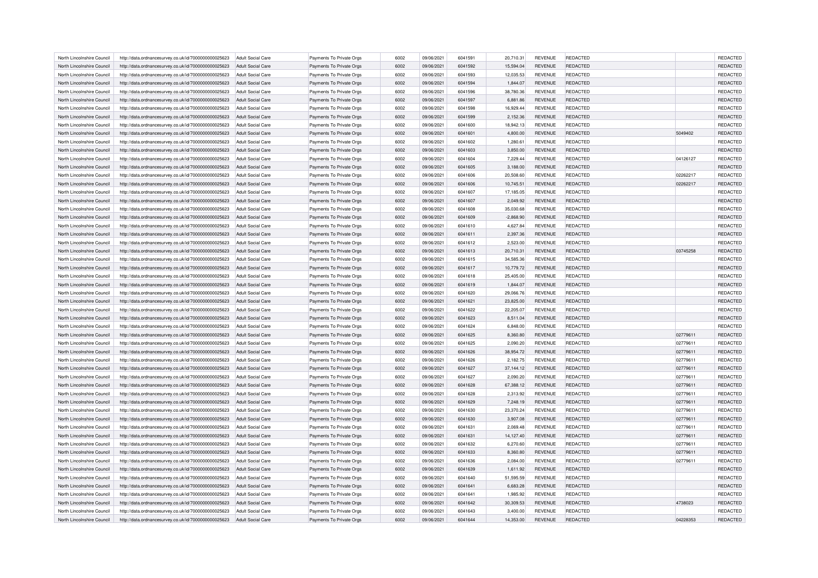| North Lincolnshire Council | http://data.ordnancesurvey.co.uk/id/7000000000025623                                                         | Adult Social Care        | Payments To Private Orgs                             | 6002 | 09/06/2021 | 6041591 | 20,710.31   | <b>REVENUE</b> | REDACTED        |          | <b>REDACTED</b> |
|----------------------------|--------------------------------------------------------------------------------------------------------------|--------------------------|------------------------------------------------------|------|------------|---------|-------------|----------------|-----------------|----------|-----------------|
| North Lincolnshire Council | http://data.ordnancesurvey.co.uk/id/7000000000025623                                                         | <b>Adult Social Care</b> | Payments To Private Orgs                             | 6002 | 09/06/2021 | 6041592 | 15,594.04   | <b>REVENUE</b> | REDACTED        |          | REDACTED        |
| North Lincolnshire Council | http://data.ordnancesurvey.co.uk/id/7000000000025623                                                         | Adult Social Care        | Payments To Private Orgs                             | 6002 | 09/06/2021 | 6041593 | 12.035.53   | <b>REVENUE</b> | REDACTED        |          | REDACTED        |
| North Lincolnshire Council | http://data.ordnancesurvey.co.uk/id/7000000000025623                                                         | Adult Social Care        | Payments To Private Orgs                             | 6002 | 09/06/2021 | 6041594 | 1,844.07    | <b>REVENUE</b> | REDACTED        |          | REDACTED        |
| North Lincolnshire Council | http://data.ordnancesurvey.co.uk/id/7000000000025623                                                         | <b>Adult Social Care</b> | Payments To Private Orgs                             | 6002 | 09/06/2021 | 6041596 | 38,780.36   | <b>REVENUE</b> | REDACTED        |          | REDACTED        |
| North Lincolnshire Council | http://data.ordnancesurvey.co.uk/id/7000000000025623                                                         | <b>Adult Social Care</b> | Payments To Private Orgs                             | 6002 | 09/06/2021 | 6041597 | 6,881.86    | <b>REVENUE</b> | <b>REDACTED</b> |          | REDACTED        |
| North Lincolnshire Council | http://data.ordnancesurvey.co.uk/id/7000000000025623                                                         | Adult Social Care        | Payments To Private Orgs                             | 6002 | 09/06/2021 | 6041598 | 16,929.44   | <b>REVENUE</b> | REDACTED        |          | REDACTED        |
| North Lincolnshire Council | http://data.ordnancesurvey.co.uk/id/7000000000025623                                                         | <b>Adult Social Care</b> | Payments To Private Orgs                             | 6002 | 09/06/2021 | 6041599 | 2,152.36    | <b>REVENUE</b> | REDACTED        |          | REDACTED        |
| North Lincolnshire Council | http://data.ordnancesurvey.co.uk/id/7000000000025623                                                         | Adult Social Care        | Payments To Private Orgs                             | 6002 | 09/06/2021 | 6041600 | 18,942.13   | <b>REVENUE</b> | REDACTED        |          | REDACTED        |
| North Lincolnshire Council | http://data.ordnancesurvey.co.uk/id/7000000000025623                                                         | Adult Social Care        | Payments To Private Orgs                             | 6002 | 09/06/2021 | 6041601 | 4,800.00    | <b>REVENUE</b> | REDACTED        | 5049402  | REDACTED        |
| North Lincolnshire Council | http://data.ordnancesurvey.co.uk/id/7000000000025623                                                         | Adult Social Care        | Payments To Private Orgs                             | 6002 | 09/06/2021 | 6041602 | 1,280.61    | <b>REVENUE</b> | REDACTED        |          | REDACTED        |
| North Lincolnshire Council | http://data.ordnancesurvey.co.uk/id/7000000000025623                                                         | Adult Social Care        | Payments To Private Orgs                             | 6002 | 09/06/2021 | 6041603 | 3,850.00    | <b>REVENUE</b> | REDACTED        |          | REDACTED        |
| North Lincolnshire Council |                                                                                                              | Adult Social Care        |                                                      | 6002 | 09/06/2021 | 6041604 | 7,229.44    | <b>REVENUE</b> | REDACTED        | 04126127 | REDACTED        |
| North Lincolnshire Council | http://data.ordnancesurvey.co.uk/id/7000000000025623<br>http://data.ordnancesurvey.co.uk/id/7000000000025623 | Adult Social Care        | Payments To Private Orgs<br>Payments To Private Orgs | 6002 | 09/06/2021 | 6041605 | 3,188.00    | <b>REVENUE</b> | REDACTED        |          | REDACTED        |
|                            |                                                                                                              |                          |                                                      |      |            |         |             |                |                 |          |                 |
| North Lincolnshire Council | http://data.ordnancesurvey.co.uk/id/7000000000025623                                                         | <b>Adult Social Care</b> | Payments To Private Orgs                             | 6002 | 09/06/2021 | 6041606 | 20,508.60   | <b>REVENUE</b> | REDACTED        | 02262217 | <b>REDACTED</b> |
| North Lincolnshire Council | http://data.ordnancesurvey.co.uk/id/7000000000025623                                                         | <b>Adult Social Care</b> | Payments To Private Orgs                             | 6002 | 09/06/2021 | 6041606 | 10,745.51   | <b>REVENUE</b> | <b>REDACTED</b> | 02262217 | REDACTED        |
| North Lincolnshire Council | http://data.ordnancesurvey.co.uk/id/7000000000025623                                                         | <b>Adult Social Care</b> | Payments To Private Orgs                             | 6002 | 09/06/2021 | 6041607 | 17,185.05   | <b>REVENUE</b> | REDACTED        |          | REDACTED        |
| North Lincolnshire Council | http://data.ordnancesurvey.co.uk/id/7000000000025623                                                         | Adult Social Care        | Payments To Private Orgs                             | 6002 | 09/06/2021 | 6041607 | 2,049.92    | <b>REVENUE</b> | REDACTED        |          | <b>REDACTED</b> |
| North Lincolnshire Council | http://data.ordnancesurvey.co.uk/id/7000000000025623                                                         | Adult Social Care        | Payments To Private Orgs                             | 6002 | 09/06/2021 | 6041608 | 35,030.68   | <b>REVENUE</b> | REDACTED        |          | REDACTED        |
| North Lincolnshire Council | http://data.ordnancesurvey.co.uk/id/7000000000025623                                                         | Adult Social Care        | Payments To Private Orgs                             | 6002 | 09/06/2021 | 6041609 | $-2,868.90$ | <b>REVENUE</b> | REDACTED        |          | REDACTED        |
| North Lincolnshire Council | http://data.ordnancesurvey.co.uk/id/7000000000025623                                                         | Adult Social Care        | Payments To Private Orgs                             | 6002 | 09/06/2021 | 6041610 | 4.627.84    | <b>REVENUE</b> | REDACTED        |          | <b>REDACTED</b> |
| North Lincolnshire Council | http://data.ordnancesurvey.co.uk/id/7000000000025623                                                         | <b>Adult Social Care</b> | Payments To Private Orgs                             | 6002 | 09/06/2021 | 6041611 | 2,397.36    | <b>REVENUE</b> | <b>REDACTED</b> |          | REDACTED        |
| North Lincolnshire Council | http://data.ordnancesurvey.co.uk/id/7000000000025623                                                         | <b>Adult Social Care</b> | Payments To Private Orgs                             | 6002 | 09/06/2021 | 6041612 | 2,523.00    | <b>REVENUE</b> | REDACTED        |          | REDACTED        |
| North Lincolnshire Council | http://data.ordnancesurvey.co.uk/id/7000000000025623                                                         | Adult Social Care        | Payments To Private Orgs                             | 6002 | 09/06/2021 | 6041613 | 20.710.31   | <b>REVENUE</b> | REDACTED        | 03745258 | REDACTED        |
| North Lincolnshire Council | http://data.ordnancesurvey.co.uk/id/7000000000025623                                                         | Adult Social Care        | Payments To Private Orgs                             | 6002 | 09/06/2021 | 6041615 | 34,585.36   | <b>REVENUE</b> | REDACTED        |          | REDACTED        |
| North Lincolnshire Council | http://data.ordnancesurvey.co.uk/id/7000000000025623                                                         | Adult Social Care        | Payments To Private Orgs                             | 6002 | 09/06/2021 | 6041617 | 10,779.72   | <b>REVENUE</b> | REDACTED        |          | REDACTED        |
| North Lincolnshire Council | http://data.ordnancesurvey.co.uk/id/7000000000025623                                                         | Adult Social Care        | Payments To Private Orgs                             | 6002 | 09/06/2021 | 6041618 | 25.405.00   | <b>REVENUE</b> | REDACTED        |          | REDACTED        |
| North Lincolnshire Council | http://data.ordnancesurvey.co.uk/id/7000000000025623                                                         | Adult Social Care        | Payments To Private Orgs                             | 6002 | 09/06/2021 | 6041619 | 1,844.07    | <b>REVENUE</b> | REDACTED        |          | REDACTED        |
| North Lincolnshire Council | http://data.ordnancesurvey.co.uk/id/7000000000025623                                                         | <b>Adult Social Care</b> | Payments To Private Orgs                             | 6002 | 09/06/2021 | 6041620 | 29,066.76   | <b>REVENUE</b> | REDACTED        |          | REDACTED        |
| North Lincolnshire Council | http://data.ordnancesurvey.co.uk/id/7000000000025623                                                         | Adult Social Care        | Payments To Private Orgs                             | 6002 | 09/06/2021 | 6041621 | 23,825.00   | <b>REVENUE</b> | REDACTED        |          | REDACTED        |
| North Lincolnshire Council | http://data.ordnancesurvey.co.uk/id/7000000000025623                                                         | Adult Social Care        | Payments To Private Orgs                             | 6002 | 09/06/2021 | 6041622 | 22,205.07   | <b>REVENUE</b> | <b>REDACTED</b> |          | REDACTED        |
| North Lincolnshire Council | http://data.ordnancesurvey.co.uk/id/7000000000025623                                                         | Adult Social Care        | Payments To Private Orgs                             | 6002 | 09/06/2021 | 6041623 | 8,511.04    | <b>REVENUE</b> | REDACTED        |          | REDACTED        |
| North Lincolnshire Council | http://data.ordnancesurvey.co.uk/id/7000000000025623                                                         | Adult Social Care        | Payments To Private Orgs                             | 6002 | 09/06/2021 | 6041624 | 6,848.00    | <b>REVENUE</b> | REDACTED        |          | REDACTED        |
| North Lincolnshire Council | http://data.ordnancesurvey.co.uk/id/7000000000025623                                                         | Adult Social Care        | Payments To Private Orgs                             | 6002 | 09/06/2021 | 6041625 | 8,360.80    | <b>REVENUE</b> | REDACTED        | 02779611 | REDACTED        |
| North Lincolnshire Council | http://data.ordnancesurvey.co.uk/id/7000000000025623                                                         | <b>Adult Social Care</b> | Payments To Private Orgs                             | 6002 | 09/06/2021 | 6041625 | 2,090.20    | <b>REVENUE</b> | REDACTED        | 02779611 | REDACTED        |
| North Lincolnshire Council | http://data.ordnancesurvey.co.uk/id/7000000000025623                                                         | Adult Social Care        | Payments To Private Orgs                             | 6002 | 09/06/2021 | 6041626 | 38,954.72   | <b>REVENUE</b> | <b>REDACTED</b> | 02779611 | REDACTED        |
| North Lincolnshire Council | http://data.ordnancesurvey.co.uk/id/7000000000025623                                                         | Adult Social Care        | Payments To Private Orgs                             | 6002 | 09/06/2021 | 6041626 | 2,182.75    | REVENUE        | REDACTED        | 02779611 | REDACTED        |
| North Lincolnshire Council | http://data.ordnancesurvey.co.uk/id/7000000000025623                                                         | Adult Social Care        | Payments To Private Orgs                             | 6002 | 09/06/2021 | 6041627 | 37,144.12   | <b>REVENUE</b> | REDACTED        | 02779611 | REDACTED        |
| North Lincolnshire Council | http://data.ordnancesurvey.co.uk/id/7000000000025623                                                         | Adult Social Care        | Payments To Private Orgs                             | 6002 | 09/06/2021 | 6041627 | 2,090.20    | <b>REVENUE</b> | REDACTED        | 02779611 | REDACTED        |
| North Lincolnshire Council | http://data.ordnancesurvey.co.uk/id/7000000000025623                                                         | <b>Adult Social Care</b> | Payments To Private Orgs                             | 6002 | 09/06/2021 | 6041628 | 67,388.12   | <b>REVENUE</b> | <b>REDACTED</b> | 02779611 | REDACTED        |
| North Lincolnshire Council | http://data.ordnancesurvey.co.uk/id/7000000000025623                                                         | <b>Adult Social Care</b> | Payments To Private Orgs                             | 6002 | 09/06/2021 | 6041628 | 2,313.92    | <b>REVENUE</b> | REDACTED        | 02779611 | REDACTED        |
| North Lincolnshire Council | http://data.ordnancesurvey.co.uk/id/7000000000025623                                                         | Adult Social Care        | Payments To Private Orgs                             | 6002 | 09/06/2021 | 6041629 | 7,248.19    | <b>REVENUE</b> | REDACTED        | 02779611 | REDACTED        |
| North Lincolnshire Council | http://data.ordnancesurvey.co.uk/id/7000000000025623                                                         | <b>Adult Social Care</b> | Payments To Private Orgs                             | 6002 | 09/06/2021 | 6041630 | 23,370.24   | <b>REVENUE</b> | <b>REDACTED</b> | 02779611 | REDACTED        |
| North Lincolnshire Council | http://data.ordnancesurvey.co.uk/id/7000000000025623                                                         | <b>Adult Social Care</b> | Payments To Private Orgs                             | 6002 | 09/06/2021 | 6041630 | 3,907.08    | <b>REVENUE</b> | <b>REDACTED</b> | 02779611 | REDACTED        |
| North Lincolnshire Council | http://data.ordnancesurvey.co.uk/id/7000000000025623                                                         | Adult Social Care        | Payments To Private Orgs                             | 6002 | 09/06/2021 | 6041631 | 2.069.48    | <b>REVENUE</b> | REDACTED        | 02779611 | REDACTED        |
|                            |                                                                                                              |                          |                                                      |      |            |         |             |                |                 |          |                 |
| North Lincolnshire Council | http://data.ordnancesurvey.co.uk/id/7000000000025623                                                         | <b>Adult Social Care</b> | Payments To Private Orgs                             | 6002 | 09/06/2021 | 6041631 | 14,127.40   | <b>REVENUE</b> | <b>REDACTED</b> | 02779611 | REDACTED        |
| North Lincolnshire Council | http://data.ordnancesurvey.co.uk/id/7000000000025623                                                         | <b>Adult Social Care</b> | Payments To Private Orgs                             | 6002 | 09/06/2021 | 6041632 | 6,270.60    | REVENUE        | REDACTED        | 02779611 | REDACTED        |
| North Lincolnshire Council | http://data.ordnancesurvey.co.uk/id/7000000000025623                                                         | Adult Social Care        | Payments To Private Orgs                             | 6002 | 09/06/2021 | 6041633 | 8.360.80    | <b>REVENUE</b> | REDACTED        | 02779611 | REDACTED        |
| North Lincolnshire Council | http://data.ordnancesurvey.co.uk/id/7000000000025623                                                         | Adult Social Care        | Payments To Private Orgs                             | 6002 | 09/06/2021 | 6041636 | 2,084.00    | REVENUE        | REDACTED        | 02779611 | REDACTED        |
| North Lincolnshire Council | http://data.ordnancesurvey.co.uk/id/7000000000025623                                                         | Adult Social Care        | Payments To Private Orgs                             | 6002 | 09/06/2021 | 6041639 | 1,611.92    | <b>REVENUE</b> | REDACTED        |          | REDACTED        |
| North Lincolnshire Council | http://data.ordnancesurvey.co.uk/id/7000000000025623                                                         | Adult Social Care        | Payments To Private Orgs                             | 6002 | 09/06/2021 | 6041640 | 51.595.59   | <b>REVENUE</b> | REDACTED        |          | <b>REDACTED</b> |
| North Lincolnshire Council | http://data.ordnancesurvey.co.uk/id/7000000000025623                                                         | <b>Adult Social Care</b> | Payments To Private Orgs                             | 6002 | 09/06/2021 | 6041641 | 6,683.28    | <b>REVENUE</b> | <b>REDACTED</b> |          | REDACTED        |
| North Lincolnshire Council | http://data.ordnancesurvey.co.uk/id/7000000000025623                                                         | Adult Social Care        | Payments To Private Orgs                             | 6002 | 09/06/2021 | 6041641 | 1,985.92    | <b>REVENUE</b> | REDACTED        |          | <b>REDACTED</b> |
| North Lincolnshire Council | http://data.ordnancesurvey.co.uk/id/7000000000025623                                                         | Adult Social Care        | Payments To Private Orgs                             | 6002 | 09/06/2021 | 6041642 | 30,309.53   | <b>REVENUE</b> | REDACTED        | 4738023  | REDACTED        |
| North Lincolnshire Council | http://data.ordnancesurvey.co.uk/id/7000000000025623                                                         | Adult Social Care        | Payments To Private Orgs                             | 6002 | 09/06/2021 | 6041643 | 3,400.00    | <b>REVENUE</b> | REDACTED        |          | <b>REDACTED</b> |
| North Lincolnshire Council | http://data.ordnancesurvey.co.uk/id/7000000000025623                                                         | Adult Social Care        | Payments To Private Orgs                             | 6002 | 09/06/2021 | 6041644 | 14,353.00   | <b>REVENUE</b> | <b>REDACTED</b> | 04228353 | REDACTED        |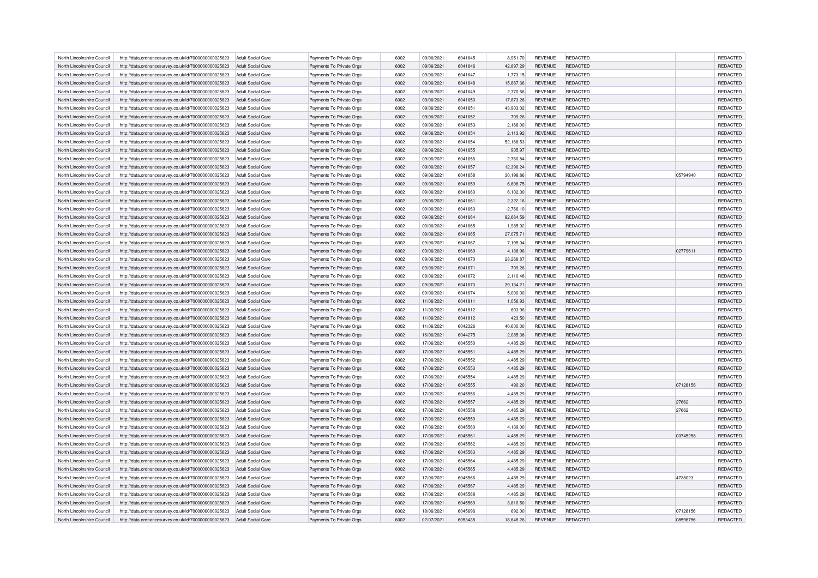| North Lincolnshire Council | http://data.ordnancesurvey.co.uk/id/7000000000025623 | Adult Social Care                             | Payments To Private Orgs | 6002 | 09/06/2021 | 6041645 | 8,951.70              | <b>REVENUE</b>                   | REDACTED                    |          | REDACTED        |
|----------------------------|------------------------------------------------------|-----------------------------------------------|--------------------------|------|------------|---------|-----------------------|----------------------------------|-----------------------------|----------|-----------------|
| North Lincolnshire Council | http://data.ordnancesurvey.co.uk/id/7000000000025623 | Adult Social Care                             | Payments To Private Orgs | 6002 | 09/06/2021 | 6041646 | 42,897.29             | <b>REVENUE</b>                   | REDACTED                    |          | REDACTED        |
| North Lincolnshire Council | http://data.ordnancesurvey.co.uk/id/7000000000025623 | Adult Social Care                             | Payments To Private Orgs | 6002 | 09/06/2021 | 6041647 | 1,773.15              | <b>REVENUE</b>                   | <b>REDACTED</b>             |          | REDACTED        |
| North Lincolnshire Council | http://data.ordnancesurvey.co.uk/id/7000000000025623 | <b>Adult Social Care</b>                      | Payments To Private Orgs | 6002 | 09/06/2021 | 6041648 | 15,887.36             | <b>REVENUE</b>                   | <b>REDACTED</b>             |          | REDACTED        |
| North Lincolnshire Council | http://data.ordnancesurvey.co.uk/id/7000000000025623 | <b>Adult Social Care</b>                      | Payments To Private Orgs | 6002 | 09/06/2021 | 6041649 | 2,770.56              | <b>REVENUE</b>                   | REDACTED                    |          | REDACTED        |
| North Lincolnshire Council | http://data.ordnancesurvey.co.uk/id/7000000000025623 | <b>Adult Social Care</b>                      | Payments To Private Orgs | 6002 | 09/06/2021 | 6041650 | 17,873.28             | <b>REVENUE</b>                   | <b>REDACTED</b>             |          | REDACTED        |
| North Lincolnshire Council | http://data.ordnancesurvey.co.uk/id/7000000000025623 | <b>Adult Social Care</b>                      | Payments To Private Orgs | 6002 | 09/06/2021 | 6041651 | 43,903.02             | <b>REVENUE</b>                   | <b>REDACTED</b>             |          | REDACTED        |
| North Lincolnshire Council | http://data.ordnancesurvey.co.uk/id/7000000000025623 | Adult Social Care                             | Payments To Private Orgs | 6002 | 09/06/2021 | 6041652 | 709.26                | <b>REVENUE</b>                   | REDACTED                    |          | REDACTED        |
| North Lincolnshire Council | http://data.ordnancesurvey.co.uk/id/7000000000025623 | Adult Social Care                             | Payments To Private Orgs | 6002 | 09/06/2021 | 6041653 | 2,168.00              | <b>REVENUE</b>                   | REDACTED                    |          | REDACTED        |
| North Lincolnshire Council |                                                      |                                               |                          | 6002 | 09/06/2021 | 6041654 |                       |                                  |                             |          | REDACTED        |
| North Lincolnshire Council | http://data.ordnancesurvey.co.uk/id/7000000000025623 | <b>Adult Social Care</b><br>Adult Social Care | Payments To Private Orgs | 6002 | 09/06/2021 | 6041654 | 2,113.92<br>52,168.53 | <b>REVENUE</b><br><b>REVENUE</b> | <b>REDACTED</b><br>REDACTED |          | REDACTED        |
|                            | http://data.ordnancesurvey.co.uk/id/7000000000025623 |                                               | Payments To Private Orgs |      |            |         |                       |                                  |                             |          |                 |
| North Lincolnshire Council | http://data.ordnancesurvey.co.uk/id/7000000000025623 | Adult Social Care                             | Payments To Private Orgs | 6002 | 09/06/2021 | 6041655 | 905.97                | <b>REVENUE</b>                   | <b>REDACTED</b>             |          | REDACTED        |
| North Lincolnshire Council | http://data.ordnancesurvey.co.uk/id/7000000000025623 | Adult Social Care                             | Payments To Private Orgs | 6002 | 09/06/2021 | 6041656 | 2,760.84              | <b>REVENUE</b>                   | <b>REDACTED</b>             |          | REDACTED        |
| North Lincolnshire Council | http://data.ordnancesurvey.co.uk/id/7000000000025623 | <b>Adult Social Care</b>                      | Payments To Private Orgs | 6002 | 09/06/2021 | 6041657 | 12,396.24             | <b>REVENUE</b>                   | <b>REDACTED</b>             |          | REDACTED        |
| North Lincolnshire Council | http://data.ordnancesurvey.co.uk/id/7000000000025623 | <b>Adult Social Care</b>                      | Payments To Private Orgs | 5002 | 09/06/2021 | 6041658 | 30,198.86             | <b>REVENUE</b>                   | <b>REDACTED</b>             | 05794940 | REDACTED        |
| North Lincolnshire Council | http://data.ordnancesurvey.co.uk/id/7000000000025623 | <b>Adult Social Care</b>                      | Payments To Private Orgs | 6002 | 09/06/2021 | 6041659 | 6,808.75              | <b>REVENUE</b>                   | REDACTED                    |          | REDACTED        |
| North Lincolnshire Council | http://data.ordnancesurvey.co.uk/id/7000000000025623 | <b>Adult Social Care</b>                      | Payments To Private Orgs | 6002 | 09/06/2021 | 6041660 | 6,102.00              | <b>REVENUE</b>                   | REDACTED                    |          | REDACTED        |
| North Lincolnshire Council | http://data.ordnancesurvey.co.uk/id/7000000000025623 | <b>Adult Social Care</b>                      | Payments To Private Orgs | 6002 | 09/06/2021 | 6041661 | 2,322.16              | <b>REVENUE</b>                   | <b>REDACTED</b>             |          | REDACTED        |
| North Lincolnshire Council | http://data.ordnancesurvey.co.uk/id/7000000000025623 | <b>Adult Social Care</b>                      | Payments To Private Orgs | 6002 | 09/06/2021 | 6041663 | $-2,766.10$           | <b>REVENUE</b>                   | REDACTED                    |          | REDACTED        |
| North Lincolnshire Council | http://data.ordnancesurvey.co.uk/id/7000000000025623 | Adult Social Care                             | Payments To Private Orgs | 6002 | 09/06/2021 | 6041664 | 92,664.59             | <b>REVENUE</b>                   | REDACTED                    |          | REDACTED        |
| North Lincolnshire Council | http://data.ordnancesurvey.co.uk/id/7000000000025623 | Adult Social Care                             | Payments To Private Orgs | 6002 | 09/06/2021 | 6041665 | 1,985.92              | <b>REVENUE</b>                   | <b>REDACTED</b>             |          | REDACTED        |
| North Lincolnshire Council | http://data.ordnancesurvey.co.uk/id/7000000000025623 | <b>Adult Social Care</b>                      | Payments To Private Orgs | 6002 | 09/06/2021 | 6041665 | 27,075.71             | <b>REVENUE</b>                   | <b>REDACTED</b>             |          | REDACTED        |
| North Lincolnshire Council | http://data.ordnancesurvey.co.uk/id/7000000000025623 | <b>Adult Social Care</b>                      | Payments To Private Orgs | 6002 | 09/06/2021 | 6041667 | 7,195.04              | <b>REVENUE</b>                   | REDACTED                    |          | REDACTED        |
| North Lincolnshire Council | http://data.ordnancesurvey.co.uk/id/7000000000025623 | Adult Social Care                             | Payments To Private Orgs | 6002 | 09/06/2021 | 6041669 | 4,138.96              | <b>REVENUE</b>                   | REDACTED                    | 02779611 | REDACTED        |
| North Lincolnshire Council | http://data.ordnancesurvey.co.uk/id/7000000000025623 | <b>Adult Social Care</b>                      | Payments To Private Orgs | 6002 | 09/06/2021 | 6041670 | 28,268.87             | <b>REVENUE</b>                   | <b>REDACTED</b>             |          | REDACTED        |
| North Lincolnshire Council | http://data.ordnancesurvey.co.uk/id/7000000000025623 | Adult Social Care                             | Payments To Private Orgs | 6002 | 09/06/2021 | 6041671 | 709.26                | <b>REVENUE</b>                   | <b>REDACTED</b>             |          | REDACTED        |
| North Lincolnshire Council | http://data.ordnancesurvey.co.uk/id/7000000000025623 | Adult Social Care                             | Payments To Private Orgs | 6002 | 09/06/2021 | 6041672 | 2,110.48              | <b>REVENUE</b>                   | <b>REDACTED</b>             |          | REDACTED        |
| North Lincolnshire Council | http://data.ordnancesurvey.co.uk/id/7000000000025623 | <b>Adult Social Care</b>                      | Payments To Private Orgs | 6002 | 09/06/2021 | 6041673 | 39,134.21             | <b>REVENUE</b>                   | REDACTED                    |          | REDACTED        |
| North Lincolnshire Council | http://data.ordnancesurvey.co.uk/id/7000000000025623 | <b>Adult Social Care</b>                      | Payments To Private Orgs | 6002 | 09/06/2021 | 6041674 | 5,000.00              | <b>REVENUE</b>                   | REDACTED                    |          | REDACTED        |
| North Lincolnshire Council | http://data.ordnancesurvey.co.uk/id/7000000000025623 | Adult Social Care                             | Payments To Private Orgs | 6002 | 11/06/2021 | 6041811 | 1,056.93              | <b>REVENUE</b>                   | REDACTED                    |          | REDACTED        |
| North Lincolnshire Council | http://data.ordnancesurvey.co.uk/id/7000000000025623 | Adult Social Care                             | Payments To Private Orgs | 6002 | 11/06/2021 | 6041812 | 603.96                | <b>REVENUE</b>                   | <b>REDACTED</b>             |          | REDACTED        |
| North Lincolnshire Council | http://data.ordnancesurvey.co.uk/id/7000000000025623 | Adult Social Care                             | Payments To Private Orgs | 6002 | 11/06/2021 | 6041812 | 423.50                | <b>REVENUE</b>                   | <b>REDACTED</b>             |          | REDACTED        |
| North Lincolnshire Council | http://data.ordnancesurvey.co.uk/id/7000000000025623 | Adult Social Care                             | Payments To Private Orgs | 6002 | 11/06/2021 | 6042326 | 40.600.00             | <b>REVENUE</b>                   | <b>REDACTED</b>             |          | REDACTED        |
| North Lincolnshire Council | http://data.ordnancesurvey.co.uk/id/7000000000025623 | Adult Social Care                             | Payments To Private Orgs | 6002 | 16/06/2021 | 6044275 | 2,085.38              | <b>REVENUE</b>                   | REDACTED                    |          | REDACTED        |
| North Lincolnshire Council | http://data.ordnancesurvey.co.uk/id/7000000000025623 | <b>Adult Social Care</b>                      | Payments To Private Orgs | 6002 | 17/06/2021 | 6045550 | 4,485.29              | <b>REVENUE</b>                   | REDACTED                    |          | REDACTED        |
| North Lincolnshire Council | http://data.ordnancesurvey.co.uk/id/7000000000025623 | Adult Social Care                             | Payments To Private Orgs | 6002 | 17/06/2021 | 6045551 | 4.485.29              | <b>REVENUE</b>                   | <b>REDACTED</b>             |          | REDACTED        |
| North Lincolnshire Council | http://data.ordnancesurvey.co.uk/id/7000000000025623 | Adult Social Care                             | Payments To Private Orgs | 6002 | 17/06/2021 | 6045552 | 4,485.29              | <b>REVENUE</b>                   | <b>REDACTED</b>             |          | REDACTED        |
| North Lincolnshire Council | http://data.ordnancesurvey.co.uk/id/7000000000025623 | Adult Social Care                             | Payments To Private Orgs | 6002 | 17/06/2021 | 6045553 | 4,485.29              | <b>REVENUE</b>                   | REDACTED                    |          | REDACTED        |
| North Lincolnshire Council | http://data.ordnancesurvey.co.uk/id/7000000000025623 | Adult Social Care                             | Payments To Private Orgs | 6002 | 17/06/2021 | 6045554 | 4,485.29              | <b>REVENUE</b>                   | REDACTED                    |          | REDACTED        |
| North Lincolnshire Council | http://data.ordnancesurvey.co.uk/id/7000000000025623 | <b>Adult Social Care</b>                      | Payments To Private Orgs | 6002 | 17/06/2021 | 6045555 | 490.20                | <b>REVENUE</b>                   | <b>REDACTED</b>             | 07128156 | REDACTED        |
| North Lincolnshire Council | http://data.ordnancesurvey.co.uk/id/7000000000025623 | <b>Adult Social Care</b>                      | Payments To Private Orgs | 6002 | 17/06/2021 | 6045556 | 4,485.29              | <b>REVENUE</b>                   | REDACTED                    |          | REDACTED        |
| North Lincolnshire Council | http://data.ordnancesurvey.co.uk/id/7000000000025623 | Adult Social Care                             | Payments To Private Orgs | 6002 | 17/06/2021 | 6045557 | 4,485.29              | <b>REVENUE</b>                   | REDACTED                    | 27662    | REDACTED        |
| North Lincolnshire Council | http://data.ordnancesurvey.co.uk/id/7000000000025623 | <b>Adult Social Care</b>                      | Payments To Private Orgs | 6002 | 17/06/2021 | 6045558 | 4,485.29              | <b>REVENUE</b>                   | <b>REDACTED</b>             | 27662    | REDACTED        |
| North Lincolnshire Council | http://data.ordnancesurvey.co.uk/id/7000000000025623 | Adult Social Care                             | Payments To Private Orgs | 6002 | 17/06/2021 | 6045559 | 4,485.29              | <b>REVENUE</b>                   | <b>REDACTED</b>             |          | REDACTED        |
| North Lincolnshire Council | http://data.ordnancesurvey.co.uk/id/7000000000025623 | Adult Social Care                             | Payments To Private Orgs | 6002 | 17/06/2021 | 6045560 | 4,139.00              | <b>REVENUE</b>                   | REDACTED                    |          | REDACTED        |
|                            |                                                      |                                               |                          |      |            |         |                       |                                  |                             |          |                 |
| North Lincolnshire Council | http://data.ordnancesurvey.co.uk/id/7000000000025623 | <b>Adult Social Care</b>                      | Payments To Private Orgs | 6002 | 17/06/2021 | 6045561 | 4,485.29              | <b>REVENUE</b>                   | REDACTED                    | 03745258 | REDACTED        |
| North Lincolnshire Council | http://data.ordnancesurvey.co.uk/id/7000000000025623 | <b>Adult Social Care</b>                      | Payments To Private Orgs | 6002 | 17/06/2021 | 6045562 | 4,485.29              | <b>REVENUE</b>                   | <b>REDACTED</b>             |          | REDACTED        |
| North Lincolnshire Council | http://data.ordnancesurvey.co.uk/id/7000000000025623 | Adult Social Care                             | Payments To Private Orgs | 6002 | 17/06/2021 | 6045563 | 4,485.29              | <b>REVENUE</b>                   | REDACTED                    |          | REDACTED        |
| North Lincolnshire Council | http://data.ordnancesurvey.co.uk/id/7000000000025623 | Adult Social Care                             | Payments To Private Orgs | 6002 | 17/06/2021 | 6045564 | 4,485.29              | <b>REVENUE</b>                   | REDACTED                    |          | REDACTED        |
| North Lincolnshire Council | http://data.ordnancesurvey.co.uk/id/7000000000025623 | Adult Social Care                             | Payments To Private Orgs | 6002 | 17/06/2021 | 6045565 | 4,485.29              | <b>REVENUE</b>                   | REDACTED                    |          | REDACTED        |
| North Lincolnshire Council | http://data.ordnancesurvey.co.uk/id/7000000000025623 | Adult Social Care                             | Payments To Private Orgs | 6002 | 17/06/2021 | 6045566 | 4.485.29              | <b>REVENUE</b>                   | <b>REDACTED</b>             | 4738023  | REDACTED        |
| North Lincolnshire Council | http://data.ordnancesurvey.co.uk/id/7000000000025623 | <b>Adult Social Care</b>                      | Payments To Private Orgs | 6002 | 17/06/2021 | 6045567 | 4,485.29              | <b>REVENUE</b>                   | REDACTED                    |          | REDACTED        |
| North Lincolnshire Council | http://data.ordnancesurvey.co.uk/id/7000000000025623 | Adult Social Care                             | Payments To Private Orgs | 6002 | 17/06/2021 | 6045568 | 4,485.29              | <b>REVENUE</b>                   | <b>REDACTED</b>             |          | REDACTED        |
| North Lincolnshire Council | http://data.ordnancesurvey.co.uk/id/7000000000025623 | Adult Social Care                             | Payments To Private Orgs | 6002 | 17/06/2021 | 6045569 | 3.810.50              | <b>REVENUE</b>                   | <b>REDACTED</b>             |          | <b>REDACTED</b> |
| North Lincolnshire Council | http://data.ordnancesurvey.co.uk/id/7000000000025623 | Adult Social Care                             | Payments To Private Orgs | 6002 | 18/06/2021 | 6045696 | 692.00                | <b>REVENUE</b>                   | <b>REDACTED</b>             | 07128156 | REDACTED        |
| North Lincolnshire Council | http://data.ordnancesurvey.co.uk/id/7000000000025623 | Adult Social Care                             | Payments To Private Orgs | 6002 | 02/07/2021 | 6053435 | 18,648.26             | <b>REVENUE</b>                   | REDACTED                    | 08596756 | REDACTED        |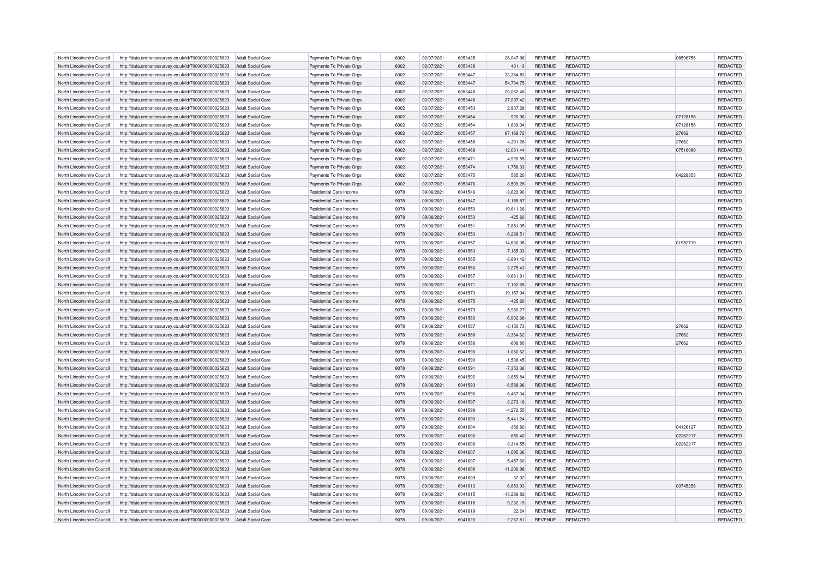| North Lincolnshire Council                               | http://data.ordnancesurvey.co.uk/id/7000000000025623 | Adult Social Care                                    | Payments To Private Orgs                           | 6002 | 02/07/2021               | 6053435 | 26,047.08                | <b>REVENUE</b>                   | REDACTED        | 08596756 | REDACTED             |
|----------------------------------------------------------|------------------------------------------------------|------------------------------------------------------|----------------------------------------------------|------|--------------------------|---------|--------------------------|----------------------------------|-----------------|----------|----------------------|
| North Lincolnshire Council                               | http://data.ordnancesurvey.co.uk/id/7000000000025623 | Adult Social Care                                    | Payments To Private Orgs                           | 6002 | 02/07/2021               | 6053438 | 431.13                   | <b>REVENUE</b>                   | <b>REDACTED</b> |          | REDACTED             |
| North Lincolnshire Council                               | http://data.ordnancesurvey.co.uk/id/7000000000025623 | Adult Social Care                                    | Payments To Private Orgs                           | 6002 | 02/07/2021               | 6053447 | 33.384.83                | <b>REVENUE</b>                   | <b>REDACTED</b> |          | REDACTED             |
| North Lincolnshire Council                               | http://data.ordnancesurvey.co.uk/id/7000000000025623 | Adult Social Care                                    | Payments To Private Orgs                           | 6002 | 02/07/2021               | 6053447 | 54,734.75                | <b>REVENUE</b>                   | <b>REDACTED</b> |          | REDACTED             |
| North Lincolnshire Council                               | http://data.ordnancesurvey.co.uk/id/7000000000025623 | <b>Adult Social Care</b>                             | Payments To Private Orgs                           | 6002 | 02/07/2021               | 6053448 | 20,062.48                | <b>REVENUE</b>                   | REDACTED        |          | REDACTED             |
| North Lincolnshire Council                               | http://data.ordnancesurvey.co.uk/id/7000000000025623 | <b>Adult Social Care</b>                             | Payments To Private Orgs                           | 6002 | 02/07/2021               | 6053448 | 37,097.42                | <b>REVENUE</b>                   | <b>REDACTED</b> |          | REDACTED             |
| North Lincolnshire Council                               | http://data.ordnancesurvey.co.uk/id/7000000000025623 | Adult Social Care                                    | Payments To Private Orgs                           | 6002 | 02/07/2021               | 6053453 | 2,907.28                 | <b>REVENUE</b>                   | REDACTED        |          | REDACTED             |
| North Lincolnshire Council                               | http://data.ordnancesurvey.co.uk/id/7000000000025623 | <b>Adult Social Care</b>                             | Payments To Private Orgs                           | 6002 | 02/07/2021               | 6053454 | 920.96                   | <b>REVENUE</b>                   | REDACTED        | 07128156 | REDACTED             |
| North Lincolnshire Council                               | http://data.ordnancesurvey.co.uk/id/7000000000025623 | Adult Social Care                                    | Payments To Private Orgs                           | 6002 | 02/07/2021               | 6053454 | 1,839.04                 | <b>REVENUE</b>                   | REDACTED        | 07128156 | REDACTED             |
| North Lincolnshire Council                               | http://data.ordnancesurvey.co.uk/id/7000000000025623 | Adult Social Care                                    | Payments To Private Orgs                           | 6002 | 02/07/2021               | 6053457 | 67,169.72                | <b>REVENUE</b>                   | <b>REDACTED</b> | 27662    | REDACTED             |
| North Lincolnshire Council                               | http://data.ordnancesurvey.co.uk/id/7000000000025623 | Adult Social Care                                    | Payments To Private Orgs                           | 6002 | 02/07/2021               | 6053458 | 4,391.28                 | <b>REVENUE</b>                   | REDACTED        | 27662    | REDACTED             |
| North Lincolnshire Council                               | http://data.ordnancesurvey.co.uk/id/7000000000025623 | <b>Adult Social Care</b>                             | Payments To Private Orgs                           | 6002 | 02/07/2021               | 6053469 | 12,031.44                | <b>REVENUE</b>                   | REDACTED        | 07516089 | REDACTED             |
| North Lincolnshire Council                               | http://data.ordnancesurvey.co.uk/id/7000000000025623 | <b>Adult Social Care</b>                             | Payments To Private Orgs                           | 6002 | 02/07/2021               | 6053471 | 4,926.55                 | <b>REVENUE</b>                   | REDACTED        |          | REDACTED             |
| North Lincolnshire Council                               | http://data.ordnancesurvey.co.uk/id/7000000000025623 | Adult Social Care                                    | Payments To Private Orgs                           | 6002 | 02/07/2021               | 6053474 | 1,758.33                 | <b>REVENUE</b>                   | REDACTED        |          | REDACTED             |
| North Lincolnshire Council                               | http://data.ordnancesurvey.co.uk/id/7000000000025623 | <b>Adult Social Care</b>                             | Payments To Private Orgs                           | 6002 | 02/07/2021               | 6053475 | 585.20                   | <b>REVENUE</b>                   | REDACTED        | 04228353 | REDACTED             |
| North Lincolnshire Council                               | http://data.ordnancesurvey.co.uk/id/7000000000025623 | <b>Adult Social Care</b>                             | Payments To Private Orgs                           | 6002 | 02/07/2021               | 6053476 | 8,509.28                 | <b>REVENUE</b>                   | REDACTED        |          | REDACTED             |
| North Lincolnshire Council                               | http://data.ordnancesurvey.co.uk/id/7000000000025623 | <b>Adult Social Care</b>                             | Residential Care Income                            | 9078 | 09/06/2021               | 6041546 | $-3,620.90$              | <b>REVENUE</b>                   | REDACTED        |          | REDACTED             |
| North Lincolnshire Council                               | http://data.ordnancesurvey.co.uk/id/7000000000025623 | Adult Social Care                                    | Residential Care Income                            | 9078 | 09/06/2021               | 6041547 | $-1,155.87$              | <b>REVENUE</b>                   | REDACTED        |          | REDACTED             |
|                                                          |                                                      |                                                      |                                                    | 9078 | 09/06/2021               | 6041550 |                          | <b>REVENUE</b>                   | <b>REDACTED</b> |          | REDACTED             |
| North Lincolnshire Council<br>North Lincolnshire Council | http://data.ordnancesurvey.co.uk/id/7000000000025623 | <b>Adult Social Care</b><br><b>Adult Social Care</b> | Residential Care Income<br>Residential Care Income | 9078 |                          | 6041550 | $-19,611.26$             |                                  | REDACTED        |          |                      |
| North Lincolnshire Council                               | http://data.ordnancesurvey.co.uk/id/7000000000025623 | Adult Social Care                                    | Residential Care Income                            | 9078 | 09/06/2021<br>09/06/2021 | 6041551 | $-425.60$<br>$-7.851.05$ | <b>REVENUE</b><br><b>REVENUE</b> | <b>REDACTED</b> |          | REDACTED<br>REDACTED |
|                                                          | http://data.ordnancesurvey.co.uk/id/7000000000025623 |                                                      |                                                    |      |                          |         |                          |                                  |                 |          |                      |
| North Lincolnshire Council                               | http://data.ordnancesurvey.co.uk/id/7000000000025623 | <b>Adult Social Care</b>                             | Residential Care Income                            | 9078 | 09/06/2021               | 6041553 | $-6,268.51$              | <b>REVENUE</b>                   | REDACTED        |          | REDACTED             |
| North Lincolnshire Council                               | http://data.ordnancesurvey.co.uk/id/7000000000025623 | <b>Adult Social Care</b>                             | Residential Care Income                            | 9078 | 09/06/2021               | 6041557 | $-14,630.38$             | <b>REVENUE</b>                   | REDACTED        | 01952719 | REDACTED             |
| North Lincolnshire Council                               | http://data.ordnancesurvey.co.uk/id/7000000000025623 | Adult Social Care                                    | Residential Care Income                            | 9078 | 09/06/2021               | 6041563 | $-7,165.03$              | <b>REVENUE</b>                   | <b>REDACTED</b> |          | REDACTED             |
| North Lincolnshire Council                               | http://data.ordnancesurvey.co.uk/id/7000000000025623 | Adult Social Care                                    | Residential Care Income                            | 9078 | 09/06/2021               | 6041565 | $-8,891.42$              | <b>REVENUE</b>                   | REDACTED        |          | REDACTED             |
| North Lincolnshire Council                               | http://data.ordnancesurvey.co.uk/id/7000000000025623 | <b>Adult Social Care</b>                             | Residential Care Income                            | 9078 | 09/06/2021               | 6041566 | $-3,275.43$              | <b>REVENUE</b>                   | REDACTED        |          | REDACTED             |
| North Lincolnshire Council                               | http://data.ordnancesurvey.co.uk/id/7000000000025623 | Adult Social Care                                    | Residential Care Income                            | 9078 | 09/06/2021               | 6041567 | $-9.661.91$              | <b>REVENUE</b>                   | <b>REDACTED</b> |          | REDACTED             |
| North Lincolnshire Council                               | http://data.ordnancesurvey.co.uk/id/7000000000025623 | Adult Social Care                                    | Residential Care Income                            | 9078 | 09/06/2021               | 6041571 | $-7,102.65$              | <b>REVENUE</b>                   | REDACTED        |          | REDACTED             |
| North Lincolnshire Council                               | http://data.ordnancesurvey.co.uk/id/7000000000025623 | <b>Adult Social Care</b>                             | Residential Care Income                            | 9078 | 09/06/2021               | 6041573 | $-19, 157.94$            | <b>REVENUE</b>                   | REDACTED        |          | REDACTED             |
| North Lincolnshire Council                               | http://data.ordnancesurvey.co.uk/id/7000000000025623 | Adult Social Care                                    | Residential Care Income                            | 9078 | 09/06/2021               | 6041575 | $-425.60$                | <b>REVENUE</b>                   | REDACTED        |          | REDACTED             |
| North Lincolnshire Council                               | http://data.ordnancesurvey.co.uk/id/7000000000025623 | Adult Social Care                                    | Residential Care Income                            | 9078 | 09/06/2021               | 6041579 | $-5,980.27$              | <b>REVENUE</b>                   | REDACTED        |          | REDACTED             |
| North Lincolnshire Council                               | http://data.ordnancesurvey.co.uk/id/7000000000025623 | Adult Social Care                                    | Residential Care Income                            | 9078 | 09/06/2021               | 6041580 | $-6,902.68$              | <b>REVENUE</b>                   | <b>REDACTED</b> |          | REDACTED             |
| North Lincolnshire Council                               | http://data.ordnancesurvey.co.uk/id/7000000000025623 | <b>Adult Social Care</b>                             | Residential Care Income                            | 9078 | 09/06/2021               | 6041587 | $-8,150.73$              | <b>REVENUE</b>                   | REDACTED        | 27662    | REDACTED             |
| North Lincolnshire Council                               | http://data.ordnancesurvey.co.uk/id/7000000000025623 | Adult Social Care                                    | Residential Care Income                            | 9078 | 09/06/2021               | 6041588 | $-8,364.62$              | <b>REVENUE</b>                   | REDACTED        | 27662    | REDACTED             |
| North Lincolnshire Council                               | http://data.ordnancesurvey.co.uk/id/7000000000025623 | <b>Adult Social Care</b>                             | Residential Care Income                            | 9078 | 09/06/2021               | 6041588 | $-608.80$                | <b>REVENUE</b>                   | REDACTED        | 27662    | REDACTED             |
| North Lincolnshire Council                               | http://data.ordnancesurvey.co.uk/id/7000000000025623 | Adult Social Care                                    | Residential Care Income                            | 9078 | 09/06/2021               | 6041590 | $-1,060.62$              | <b>REVENUE</b>                   | <b>REDACTED</b> |          | REDACTED             |
| North Lincolnshire Council                               | http://data.ordnancesurvey.co.uk/id/7000000000025623 | Adult Social Care                                    | Residential Care Income                            | 9078 | 09/06/2021               | 6041590 | $-1,506.45$              | <b>REVENUE</b>                   | <b>REDACTED</b> |          | REDACTED             |
| North Lincolnshire Council                               | http://data.ordnancesurvey.co.uk/id/7000000000025623 | Adult Social Care                                    | Residential Care Income                            | 9078 | 09/06/2021               | 6041591 | $-7,353.36$              | <b>REVENUE</b>                   | REDACTED        |          | REDACTED             |
| North Lincolnshire Council                               | http://data.ordnancesurvey.co.uk/id/7000000000025623 | Adult Social Care                                    | Residential Care Income                            | 9078 | 09/06/2021               | 6041592 | $-3,659.84$              | <b>REVENUE</b>                   | REDACTED        |          | REDACTED             |
| North Lincolnshire Council                               | http://data.ordnancesurvey.co.uk/id/7000000000025623 | <b>Adult Social Care</b>                             | Residential Care Income                            | 9078 | 09/06/2021               | 6041593 | $-6,568.96$              | <b>REVENUE</b>                   | REDACTED        |          | REDACTED             |
| North Lincolnshire Council                               | http://data.ordnancesurvey.co.uk/id/7000000000025623 | <b>Adult Social Care</b>                             | Residential Care Income                            | 9078 | 09/06/2021               | 6041596 | $-6,467.34$              | <b>REVENUE</b>                   | REDACTED        |          | REDACTED             |
| North Lincolnshire Council                               | http://data.ordnancesurvey.co.uk/id/7000000000025623 | Adult Social Care                                    | Residential Care Income                            | 9078 | 09/06/2021               | 6041597 | $-3,273.16$              | <b>REVENUE</b>                   | REDACTED        |          | REDACTED             |
| North Lincolnshire Council                               | http://data.ordnancesurvey.co.uk/id/7000000000025623 | <b>Adult Social Care</b>                             | Residential Care Income                            | 9078 | 09/06/2021               | 6041598 | $-4,272.55$              | <b>REVENUE</b>                   | <b>REDACTED</b> |          | REDACTED             |
| North Lincolnshire Council                               | http://data.ordnancesurvey.co.uk/id/7000000000025623 | <b>Adult Social Care</b>                             | Residential Care Income                            | 9078 | 09/06/2021               | 6041600 | $-5,441.24$              | <b>REVENUE</b>                   | <b>REDACTED</b> |          | REDACTED             |
| North Lincolnshire Council                               | http://data.ordnancesurvey.co.uk/id/7000000000025623 | Adult Social Care                                    | Residential Care Income                            | 9078 | 09/06/2021               | 6041604 | $-356.80$                | <b>REVENUE</b>                   | REDACTED        | 04126127 | REDACTED             |
| North Lincolnshire Council                               | http://data.ordnancesurvey.co.uk/id/7000000000025623 | <b>Adult Social Care</b>                             | Residential Care Income                            | 9078 | 09/06/2021               | 6041606 | $-850.40$                | <b>REVENUE</b>                   | REDACTED        | 02262217 | REDACTED             |
| North Lincolnshire Council                               | http://data.ordnancesurvey.co.uk/id/7000000000025623 | <b>Adult Social Care</b>                             | Residential Care Income                            | 9078 | 09/06/2021               | 6041606 | $-3,314.55$              | <b>REVENUE</b>                   | REDACTED        | 02262217 | REDACTED             |
| North Lincolnshire Council                               | http://data.ordnancesurvey.co.uk/id/7000000000025623 | Adult Social Care                                    | Residential Care Income                            | 9078 | 09/06/2021               | 6041607 | $-1.095.36$              | <b>REVENUE</b>                   | REDACTED        |          | REDACTED             |
| North Lincolnshire Council                               | http://data.ordnancesurvey.co.uk/id/7000000000025623 | <b>Adult Social Care</b>                             | Residential Care Income                            | 9078 | 09/06/2021               | 6041607 | $-5,457.60$              | <b>REVENUE</b>                   | <b>REDACTED</b> |          | REDACTED             |
| North Lincolnshire Council                               | http://data.ordnancesurvey.co.uk/id/7000000000025623 | <b>Adult Social Care</b>                             | Residential Care Income                            | 9078 | 09/06/2021               | 6041608 | $-11,206.98$             | <b>REVENUE</b>                   | REDACTED        |          | REDACTED             |
| North Lincolnshire Council                               | http://data.ordnancesurvey.co.uk/id/7000000000025623 | Adult Social Care                                    | Residential Care Income                            | 9078 | 09/06/2021               | 6041609 | $-32.02$                 | <b>REVENUE</b>                   | <b>REDACTED</b> |          | <b>REDACTED</b>      |
| North Lincolnshire Council                               | http://data.ordnancesurvey.co.uk/id/7000000000025623 | <b>Adult Social Care</b>                             | Residential Care Income                            | 9078 | 09/06/2021               | 6041613 | $-6,853.93$              | <b>REVENUE</b>                   | REDACTED        | 03745258 | REDACTED             |
| North Lincolnshire Council                               | http://data.ordnancesurvey.co.uk/id/7000000000025623 | Adult Social Care                                    | Residential Care Income                            | 9078 | 09/06/2021               | 6041615 | $-13,286.82$             | <b>REVENUE</b>                   | <b>REDACTED</b> |          | REDACTED             |
| North Lincolnshire Council                               | http://data.ordnancesurvey.co.uk/id/7000000000025623 | Adult Social Care                                    | Residential Care Income                            | 9078 | 09/06/2021               | 6041618 | $-9,232.19$              | <b>REVENUE</b>                   | <b>REDACTED</b> |          | REDACTED             |
| North Lincolnshire Council                               | http://data.ordnancesurvey.co.uk/id/7000000000025623 | Adult Social Care                                    | Residential Care Income                            | 9078 | 09/06/2021               | 6041619 | 22.24                    | <b>REVENUE</b>                   | REDACTED        |          | REDACTED             |
| North Lincolnshire Council                               | http://data.ordnancesurvey.co.uk/id/7000000000025623 | Adult Social Care                                    | Residential Care Income                            | 9078 | 09/06/2021               | 6041620 | $-2,267.81$              | <b>REVENUE</b>                   | REDACTED        |          | REDACTED             |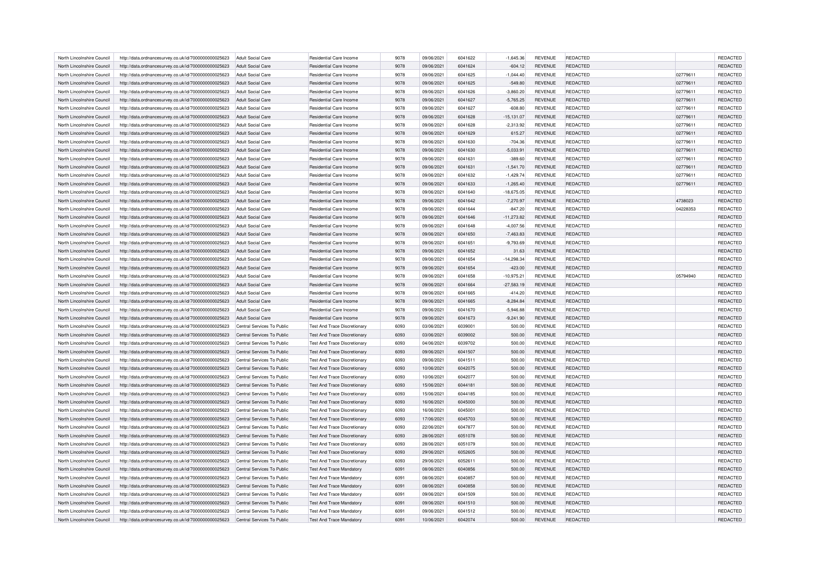| North Lincolnshire Council | http://data.ordnancesurvey.co.uk/id/7000000000025623 | Adult Social Care          | Residential Care Income             | 9078 | 09/06/2021 | 6041622 | $-1,645.36$  | <b>REVENUE</b> | REDACTED        |          | <b>REDACTED</b> |
|----------------------------|------------------------------------------------------|----------------------------|-------------------------------------|------|------------|---------|--------------|----------------|-----------------|----------|-----------------|
| North Lincolnshire Council | http://data.ordnancesurvey.co.uk/id/7000000000025623 | <b>Adult Social Care</b>   | <b>Residential Care Income</b>      | 9078 | 09/06/2021 | 6041624 | $-604.12$    | <b>REVENUE</b> | REDACTED        |          | REDACTED        |
| North Lincolnshire Council | http://data.ordnancesurvey.co.uk/id/7000000000025623 | Adult Social Care          | Residential Care Income             | 9078 | 09/06/2021 | 6041625 | $-1.044.40$  | <b>REVENUE</b> | REDACTED        | 02779611 | REDACTED        |
| North Lincolnshire Council | http://data.ordnancesurvey.co.uk/id/7000000000025623 | Adult Social Care          | <b>Residential Care Income</b>      | 9078 | 09/06/2021 | 6041625 | $-549.80$    | <b>REVENUE</b> | REDACTED        | 02779611 | REDACTED        |
| North Lincolnshire Council | http://data.ordnancesurvey.co.uk/id/7000000000025623 | <b>Adult Social Care</b>   | Residential Care Income             | 9078 | 09/06/2021 | 6041626 | $-3,860.20$  | <b>REVENUE</b> | REDACTED        | 02779611 | REDACTED        |
| North Lincolnshire Council | http://data.ordnancesurvey.co.uk/id/7000000000025623 | <b>Adult Social Care</b>   | Residential Care Income             | 9078 | 09/06/2021 | 6041627 | $-5,765.25$  | <b>REVENUE</b> | REDACTED        | 02779611 | REDACTED        |
| North Lincolnshire Council | http://data.ordnancesurvey.co.uk/id/7000000000025623 | Adult Social Care          | Residential Care Income             | 9078 | 09/06/2021 | 6041627 | $-608.80$    | <b>REVENUE</b> | REDACTED        | 02779611 | REDACTED        |
| North Lincolnshire Council | http://data.ordnancesurvey.co.uk/id/7000000000025623 | <b>Adult Social Care</b>   | Residential Care Income             | 9078 | 09/06/2021 | 6041628 | $-15,131.07$ | <b>REVENUE</b> | REDACTED        | 02779611 | REDACTED        |
| North Lincolnshire Council | http://data.ordnancesurvey.co.uk/id/7000000000025623 | Adult Social Care          | Residential Care Income             | 9078 | 09/06/2021 | 6041628 | $-2,313.92$  | <b>REVENUE</b> | REDACTED        | 02779611 | REDACTED        |
| North Lincolnshire Council | http://data.ordnancesurvey.co.uk/id/7000000000025623 | Adult Social Care          | <b>Residential Care Income</b>      | 9078 | 09/06/2021 | 6041629 | 615.27       | <b>REVENUE</b> | REDACTED        | 02779611 | REDACTED        |
| North Lincolnshire Council | http://data.ordnancesurvey.co.uk/id/7000000000025623 | Adult Social Care          | Residential Care Income             | 9078 | 09/06/2021 | 6041630 | $-704.36$    | <b>REVENUE</b> | REDACTED        | 02779611 | REDACTED        |
| North Lincolnshire Council | http://data.ordnancesurvey.co.uk/id/7000000000025623 | <b>Adult Social Care</b>   | Residential Care Income             | 9078 | 09/06/2021 | 6041630 | $-5,033.91$  | <b>REVENUE</b> | REDACTED        | 02779611 | REDACTED        |
| North Lincolnshire Council | http://data.ordnancesurvey.co.uk/id/7000000000025623 | Adult Social Care          | <b>Residential Care Income</b>      | 9078 | 09/06/2021 | 6041631 | $-389.60$    | <b>REVENUE</b> | REDACTED        | 02779611 | REDACTED        |
| North Lincolnshire Council | http://data.ordnancesurvey.co.uk/id/7000000000025623 | <b>Adult Social Care</b>   | Residential Care Income             | 9078 | 09/06/2021 | 6041631 | $-1,541.70$  | <b>REVENUE</b> | REDACTED        | 02779611 | REDACTED        |
| North Lincolnshire Council | http://data.ordnancesurvey.co.uk/id/7000000000025623 | <b>Adult Social Care</b>   | <b>Residential Care Income</b>      | 9078 | 09/06/2021 | 6041632 | $-1,429.74$  | <b>REVENUE</b> | REDACTED        | 02779611 | <b>REDACTED</b> |
| North Lincolnshire Council | http://data.ordnancesurvey.co.uk/id/7000000000025623 | <b>Adult Social Care</b>   | Residential Care Income             | 9078 | 09/06/2021 | 6041633 | $-1,265.40$  | <b>REVENUE</b> | REDACTED        | 02779611 | REDACTED        |
| North Lincolnshire Council | http://data.ordnancesurvey.co.uk/id/7000000000025623 | <b>Adult Social Care</b>   | Residential Care Income             | 9078 | 09/06/2021 | 6041640 | $-18,675.05$ | <b>REVENUE</b> | REDACTED        |          | REDACTED        |
| North Lincolnshire Council | http://data.ordnancesurvey.co.uk/id/7000000000025623 | <b>Adult Social Care</b>   | <b>Residential Care Income</b>      | 9078 | 09/06/2021 | 6041642 | $-7,270.97$  | <b>REVENUE</b> | REDACTED        | 4738023  | <b>REDACTED</b> |
| North Lincolnshire Council | http://data.ordnancesurvey.co.uk/id/7000000000025623 | <b>Adult Social Care</b>   | Residential Care Income             | 9078 | 09/06/2021 | 6041644 | $-847.20$    | REVENUE        | REDACTED        | 04228353 | REDACTED        |
| North Lincolnshire Council | http://data.ordnancesurvey.co.uk/id/7000000000025623 | <b>Adult Social Care</b>   | <b>Residential Care Income</b>      | 9078 | 09/06/2021 | 6041646 | $-11,273.82$ | <b>REVENUE</b> | REDACTED        |          | REDACTED        |
| North Lincolnshire Council | http://data.ordnancesurvey.co.uk/id/7000000000025623 | Adult Social Care          | Residential Care Income             | 9078 | 09/06/2021 | 6041648 | $-4.007.56$  | <b>REVENUE</b> | REDACTED        |          | <b>REDACTED</b> |
| North Lincolnshire Council | http://data.ordnancesurvey.co.uk/id/7000000000025623 | <b>Adult Social Care</b>   | Residential Care Income             | 9078 | 09/06/2021 | 6041650 | $-7,463.83$  | <b>REVENUE</b> | REDACTED        |          | REDACTED        |
| North Lincolnshire Council | http://data.ordnancesurvey.co.uk/id/7000000000025623 | <b>Adult Social Care</b>   | Residential Care Income             | 9078 | 09/06/2021 | 6041651 | $-9,793.69$  | REVENUE        | REDACTED        |          | REDACTED        |
| North Lincolnshire Council | http://data.ordnancesurvey.co.uk/id/7000000000025623 | Adult Social Care          | Residential Care Income             | 9078 | 09/06/2021 | 6041652 | 31.63        | <b>REVENUE</b> | <b>REDACTED</b> |          | <b>REDACTED</b> |
| North Lincolnshire Council | http://data.ordnancesurvey.co.uk/id/7000000000025623 | Adult Social Care          | Residential Care Income             | 9078 | 09/06/2021 | 6041654 | $-14,298.34$ | <b>REVENUE</b> | REDACTED        |          | REDACTED        |
| North Lincolnshire Council | http://data.ordnancesurvey.co.uk/id/7000000000025623 | <b>Adult Social Care</b>   | <b>Residential Care Income</b>      | 9078 | 09/06/2021 | 6041654 | $-423.00$    | <b>REVENUE</b> | REDACTED        |          | REDACTED        |
| North Lincolnshire Council | http://data.ordnancesurvey.co.uk/id/7000000000025623 | Adult Social Care          | Residential Care Income             | 9078 | 09/06/2021 | 6041658 | $-10.975.21$ | <b>REVENUE</b> | REDACTED        | 05794940 | REDACTED        |
| North Lincolnshire Council | http://data.ordnancesurvey.co.uk/id/7000000000025623 | Adult Social Care          | Residential Care Income             | 9078 | 09/06/2021 | 6041664 | $-27,583.19$ | <b>REVENUE</b> | REDACTED        |          | REDACTED        |
| North Lincolnshire Council | http://data.ordnancesurvey.co.uk/id/7000000000025623 | <b>Adult Social Care</b>   | Residential Care Income             | 9078 | 09/06/2021 | 6041665 | $-414.20$    | <b>REVENUE</b> | REDACTED        |          | REDACTED        |
| North Lincolnshire Council | http://data.ordnancesurvey.co.uk/id/7000000000025623 | <b>Adult Social Care</b>   | Residential Care Income             | 9078 | 09/06/2021 | 6041665 | $-8,284.84$  | <b>REVENUE</b> | REDACTED        |          | <b>REDACTED</b> |
| North Lincolnshire Council | http://data.ordnancesurvey.co.uk/id/7000000000025623 | <b>Adult Social Care</b>   | Residential Care Income             | 9078 | 09/06/2021 | 6041670 | $-5,946.88$  | <b>REVENUE</b> | REDACTED        |          | REDACTED        |
| North Lincolnshire Council | http://data.ordnancesurvey.co.uk/id/7000000000025623 | <b>Adult Social Care</b>   | Residential Care Income             | 9078 | 09/06/2021 | 6041673 | $-9,241.90$  | <b>REVENUE</b> | REDACTED        |          | REDACTED        |
| North Lincolnshire Council | http://data.ordnancesurvey.co.uk/id/7000000000025623 | Central Services To Public | <b>Test And Trace Discretionary</b> | 6093 | 03/06/2021 | 6039001 | 500.00       | <b>REVENUE</b> | REDACTED        |          | REDACTED        |
| North Lincolnshire Council | http://data.ordnancesurvey.co.uk/id/7000000000025623 | Central Services To Public | <b>Test And Trace Discretionary</b> | 6093 | 03/06/2021 | 6039002 | 500.00       | <b>REVENUE</b> | REDACTED        |          | REDACTED        |
| North Lincolnshire Council | http://data.ordnancesurvey.co.uk/id/7000000000025623 | Central Services To Public | <b>Test And Trace Discretionary</b> | 6093 | 04/06/2021 | 6039702 | 500.00       | <b>REVENUE</b> | REDACTED        |          | REDACTED        |
| North Lincolnshire Council | http://data.ordnancesurvey.co.uk/id/7000000000025623 | Central Services To Public | Test And Trace Discretionary        | 6093 | 09/06/2021 | 6041507 | 500.00       | <b>REVENUE</b> | REDACTED        |          | REDACTED        |
| North Lincolnshire Council | http://data.ordnancesurvey.co.uk/id/7000000000025623 | Central Services To Public | <b>Test And Trace Discretionary</b> | 6093 | 09/06/2021 | 6041511 | 500.00       | <b>REVENUE</b> | REDACTED        |          | REDACTED        |
| North Lincolnshire Council | http://data.ordnancesurvey.co.uk/id/7000000000025623 | Central Services To Public | <b>Test And Trace Discretionary</b> | 6093 | 10/06/2021 | 6042075 | 500.00       | <b>REVENUE</b> | REDACTED        |          | REDACTED        |
| North Lincolnshire Council | http://data.ordnancesurvey.co.uk/id/7000000000025623 | Central Services To Public | <b>Test And Trace Discretionary</b> | 6093 | 10/06/2021 | 6042077 | 500.00       | <b>REVENUE</b> | REDACTED        |          | <b>REDACTED</b> |
| North Lincolnshire Council | http://data.ordnancesurvey.co.uk/id/7000000000025623 | Central Services To Public | <b>Test And Trace Discretionary</b> | 6093 | 15/06/2021 | 6044181 | 500.00       | <b>REVENUE</b> | REDACTED        |          | REDACTED        |
| North Lincolnshire Council | http://data.ordnancesurvey.co.uk/id/7000000000025623 | Central Services To Public | <b>Test And Trace Discretionary</b> | 6093 | 15/06/2021 | 6044185 | 500.00       | <b>REVENUE</b> | REDACTED        |          | REDACTED        |
| North Lincolnshire Council | http://data.ordnancesurvey.co.uk/id/7000000000025623 | Central Services To Public | <b>Test And Trace Discretionary</b> | 6093 | 16/06/2021 | 6045000 | 500.00       | <b>REVENUE</b> | REDACTED        |          | <b>REDACTED</b> |
| North Lincolnshire Council | http://data.ordnancesurvey.co.uk/id/7000000000025623 | Central Services To Public | <b>Test And Trace Discretionary</b> | 6093 | 16/06/2021 | 6045001 | 500.00       | <b>REVENUE</b> | REDACTED        |          | REDACTED        |
| North Lincolnshire Council | http://data.ordnancesurvey.co.uk/id/7000000000025623 | Central Services To Public | <b>Test And Trace Discretionary</b> | 6093 | 17/06/2021 | 6045703 | 500.00       | <b>REVENUE</b> | <b>REDACTED</b> |          | REDACTED        |
| North Lincolnshire Council | http://data.ordnancesurvey.co.uk/id/7000000000025623 | Central Services To Public | <b>Test And Trace Discretionary</b> | 6093 | 22/06/2021 | 6047877 | 500.00       | <b>REVENUE</b> | REDACTED        |          | <b>REDACTED</b> |
| North Lincolnshire Council | http://data.ordnancesurvey.co.uk/id/7000000000025623 | Central Services To Public | <b>Test And Trace Discretionary</b> | 6093 | 28/06/2021 | 6051078 | 500.00       | <b>REVENUE</b> | REDACTED        |          | REDACTED        |
| North Lincolnshire Council | http://data.ordnancesurvey.co.uk/id/7000000000025623 | Central Services To Public | <b>Test And Trace Discretionary</b> | 6093 | 28/06/2021 | 6051079 | 500.00       | <b>REVENUE</b> | REDACTED        |          | REDACTED        |
| North Lincolnshire Council | http://data.ordnancesurvey.co.uk/id/7000000000025623 | Central Services To Public | <b>Test And Trace Discretionary</b> | 6093 | 29/06/2021 | 6052605 | 500.00       | <b>REVENUE</b> | REDACTED        |          | <b>REDACTED</b> |
| North Lincolnshire Council | http://data.ordnancesurvey.co.uk/id/7000000000025623 | Central Services To Public | <b>Test And Trace Discretionary</b> | 6093 | 29/06/2021 | 6052611 | 500.00       | <b>REVENUE</b> | REDACTED        |          | REDACTED        |
| North Lincolnshire Council | http://data.ordnancesurvey.co.uk/id/7000000000025623 | Central Services To Public | <b>Test And Trace Mandatory</b>     | 6091 | 08/06/2021 | 6040856 | 500.00       | <b>REVENUE</b> | <b>REDACTED</b> |          | REDACTED        |
| North Lincolnshire Council | http://data.ordnancesurvey.co.uk/id/7000000000025623 | Central Services To Public | <b>Test And Trace Mandatory</b>     | 6091 | 08/06/2021 | 6040857 | 500.00       | <b>REVENUE</b> | REDACTED        |          | REDACTED        |
| North Lincolnshire Council | http://data.ordnancesurvey.co.uk/id/7000000000025623 | Central Services To Public | <b>Test And Trace Mandatory</b>     | 6091 | 08/06/2021 | 6040858 | 500.00       | <b>REVENUE</b> | <b>REDACTED</b> |          | REDACTED        |
| North Lincolnshire Council | http://data.ordnancesurvey.co.uk/id/7000000000025623 | Central Services To Public | <b>Test And Trace Mandatory</b>     | 6091 | 09/06/2021 | 6041509 | 500.00       | <b>REVENUE</b> | REDACTED        |          | REDACTED        |
| North Lincolnshire Council |                                                      | Central Services To Public | <b>Test And Trace Mandatory</b>     | 6091 | 09/06/2021 | 6041510 | 500.00       | <b>REVENUE</b> | <b>REDACTED</b> |          | REDACTED        |
| North Lincolnshire Council | http://data.ordnancesurvey.co.uk/id/7000000000025623 |                            |                                     | 6091 | 09/06/2021 | 6041512 |              | <b>REVENUE</b> | REDACTED        |          | REDACTED        |
|                            | http://data.ordnancesurvey.co.uk/id/7000000000025623 | Central Services To Public | <b>Test And Trace Mandatory</b>     |      |            |         | 500.00       |                |                 |          |                 |
| North Lincolnshire Council | http://data.ordnancesurvey.co.uk/id/7000000000025623 | Central Services To Public | <b>Test And Trace Mandatory</b>     | 6091 | 10/06/2021 | 6042074 | 500.00       | <b>REVENUE</b> | REDACTED        |          | <b>REDACTED</b> |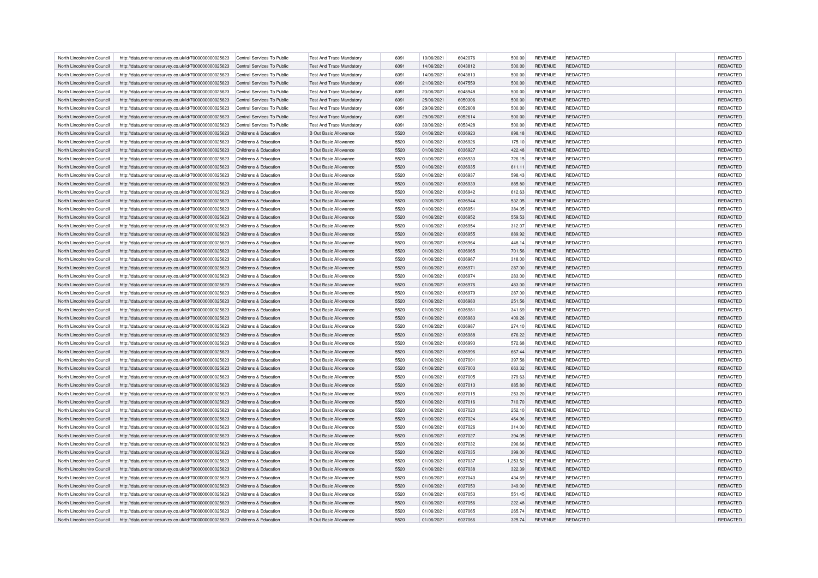| North Lincolnshire Council                               | http://data.ordnancesurvey.co.uk/id/7000000000025623 | Central Services To Public                     | Test And Trace Mandatory                                     | 6091         | 10/06/2021               | 6042076            | 500.00           | <b>REVENUE</b>                   | REDACTED                    | REDACTED                    |
|----------------------------------------------------------|------------------------------------------------------|------------------------------------------------|--------------------------------------------------------------|--------------|--------------------------|--------------------|------------------|----------------------------------|-----------------------------|-----------------------------|
| North Lincolnshire Council                               | http://data.ordnancesurvey.co.uk/id/7000000000025623 | Central Services To Public                     | <b>Test And Trace Mandatory</b>                              | 6091         | 14/06/2021               | 6043812            | 500.00           | <b>REVENUE</b>                   | REDACTED                    | REDACTED                    |
| North Lincolnshire Council                               | http://data.ordnancesurvey.co.uk/id/7000000000025623 | Central Services To Public                     | <b>Test And Trace Mandatory</b>                              | 6091         | 14/06/2021               | 6043813            | 500.00           | <b>REVENUE</b>                   | REDACTED                    | REDACTED                    |
| North Lincolnshire Council                               | http://data.ordnancesurvey.co.uk/id/7000000000025623 | Central Services To Public                     | <b>Test And Trace Mandatory</b>                              | 6091         | 21/06/2021               | 6047559            | 500.00           | <b>REVENUE</b>                   | REDACTED                    | REDACTED                    |
| North Lincolnshire Council                               | http://data.ordnancesurvey.co.uk/id/7000000000025623 | Central Services To Public                     | <b>Test And Trace Mandatory</b>                              | 6091         | 23/06/2021               | 6048948            | 500.00           | <b>REVENUE</b>                   | REDACTED                    | REDACTED                    |
| North Lincolnshire Council                               | http://data.ordnancesurvey.co.uk/id/7000000000025623 | Central Services To Public                     | <b>Test And Trace Mandatory</b>                              | 6091         | 25/06/2021               | 6050306            | 500.00           | <b>REVENUE</b>                   | <b>REDACTED</b>             | REDACTED                    |
| North Lincolnshire Council                               | http://data.ordnancesurvey.co.uk/id/7000000000025623 | Central Services To Public                     | <b>Test And Trace Mandatory</b>                              | 6091         | 29/06/2021               | 6052608            | 500.00           | <b>REVENUE</b>                   | REDACTED                    | REDACTED                    |
| North Lincolnshire Council                               | http://data.ordnancesurvey.co.uk/id/7000000000025623 | Central Services To Public                     | <b>Test And Trace Mandatory</b>                              | 6091         | 29/06/2021               | 6052614            | 500.00           | <b>REVENUE</b>                   | REDACTED                    | REDACTED                    |
| North Lincolnshire Council                               | http://data.ordnancesurvey.co.uk/id/7000000000025623 | Central Services To Public                     | <b>Test And Trace Mandatory</b>                              | 6091         | 30/06/2021               | 6053428            | 500.00           | <b>REVENUE</b>                   | REDACTED                    | REDACTED                    |
| North Lincolnshire Council                               | http://data.ordnancesurvey.co.uk/id/7000000000025623 | Childrens & Education                          | <b>B Out Basic Allowance</b>                                 | 5520         | 01/06/2021               | 6036923            | 898.18           | <b>REVENUE</b>                   | REDACTED                    | REDACTED                    |
| North Lincolnshire Council                               | http://data.ordnancesurvey.co.uk/id/7000000000025623 | Childrens & Education                          | <b>B Out Basic Allowance</b>                                 | 5520         | 01/06/2021               | 6036926            | 175.10           | <b>REVENUE</b>                   | REDACTED                    | REDACTED                    |
| North Lincolnshire Council                               | http://data.ordnancesurvey.co.uk/id/7000000000025623 | Childrens & Education                          | <b>B Out Basic Allowance</b>                                 | 5520         | 01/06/2021               | 6036927            | 422.48           | <b>REVENUE</b>                   | <b>REDACTED</b>             | REDACTED                    |
|                                                          |                                                      |                                                |                                                              | 5520         |                          | 6036930            |                  |                                  |                             |                             |
| North Lincolnshire Council                               | http://data.ordnancesurvey.co.uk/id/7000000000025623 | Childrens & Education<br>Childrens & Education | <b>B Out Basic Allowance</b>                                 |              | 01/06/2021               |                    | 726.15           | <b>REVENUE</b>                   | REDACTED                    | REDACTED                    |
| North Lincolnshire Council                               | http://data.ordnancesurvey.co.uk/id/7000000000025623 |                                                | <b>B Out Basic Allowance</b>                                 | 5520         | 01/06/2021               | 6036935            | 611.11           | <b>REVENUE</b>                   | REDACTED                    | REDACTED                    |
| North Lincolnshire Council                               | http://data.ordnancesurvey.co.uk/id/7000000000025623 | Childrens & Education                          | <b>B Out Basic Allowance</b>                                 | 5520         | 01/06/2021               | 6036937            | 598.43           | <b>REVENUE</b>                   | <b>REDACTED</b>             | REDACTED                    |
| North Lincolnshire Council                               | http://data.ordnancesurvey.co.uk/id/7000000000025623 | Childrens & Education                          | <b>B Out Basic Allowance</b>                                 | 5520         | 01/06/2021               | 6036939            | 885.80           | <b>REVENUE</b>                   | REDACTED                    | REDACTED                    |
| North Lincolnshire Council                               | http://data.ordnancesurvey.co.uk/id/7000000000025623 | Childrens & Education                          | <b>B Out Basic Allowance</b>                                 | 5520         | 01/06/2021               | 6036942            | 612.63           | <b>REVENUE</b>                   | REDACTED                    | REDACTED                    |
| North Lincolnshire Council                               | http://data.ordnancesurvey.co.uk/id/7000000000025623 | Childrens & Education                          | <b>B Out Basic Allowance</b>                                 | 5520         | 01/06/2021               | 6036944            | 532.05           | <b>REVENUE</b>                   | <b>REDACTED</b>             | REDACTED                    |
| North Lincolnshire Council                               | http://data.ordnancesurvey.co.uk/id/7000000000025623 | Childrens & Education                          | <b>B Out Basic Allowance</b>                                 | 5520         | 01/06/2021               | 6036951            | 384.05           | <b>REVENUE</b>                   | REDACTED                    | REDACTED                    |
| North Lincolnshire Council                               | http://data.ordnancesurvey.co.uk/id/7000000000025623 | Childrens & Education                          | <b>B Out Basic Allowance</b>                                 | 5520         | 01/06/2021               | 6036952            | 559.53           | <b>REVENUE</b>                   | REDACTED                    | REDACTED                    |
| North Lincolnshire Council                               | http://data.ordnancesurvey.co.uk/id/7000000000025623 | Childrens & Education                          | <b>B Out Basic Allowance</b>                                 | 5520         | 01/06/2021               | 6036954            | 312.07           | <b>REVENUE</b>                   | REDACTED                    | REDACTED                    |
| North Lincolnshire Council                               | http://data.ordnancesurvey.co.uk/id/7000000000025623 | Childrens & Education                          | <b>B Out Basic Allowance</b>                                 | 5520         | 01/06/2021               | 6036955            | 889.92           | <b>REVENUE</b>                   | <b>REDACTED</b>             | REDACTED                    |
| North Lincolnshire Council                               | http://data.ordnancesurvey.co.uk/id/7000000000025623 | Childrens & Education                          | <b>B Out Basic Allowance</b>                                 | 5520         | 01/06/2021               | 6036964            | 448.14           | <b>REVENUE</b>                   | REDACTED                    | REDACTED                    |
| North Lincolnshire Council                               | http://data.ordnancesurvey.co.uk/id/7000000000025623 | Childrens & Education                          | <b>B Out Basic Allowance</b>                                 | 5520         | 01/06/2021               | 6036965            | 701.56           | <b>REVENUE</b>                   | REDACTED                    | REDACTED                    |
| North Lincolnshire Council                               | http://data.ordnancesurvey.co.uk/id/7000000000025623 | Childrens & Education                          | <b>B Out Basic Allowance</b>                                 | 5520         | 01/06/2021               | 6036967            | 318.00           | <b>REVENUE</b>                   | REDACTED                    | REDACTED                    |
| North Lincolnshire Council                               | http://data.ordnancesurvey.co.uk/id/7000000000025623 | Childrens & Education                          | <b>B Out Basic Allowance</b>                                 | 5520         | 01/06/2021               | 6036971            | 287.00           | <b>REVENUE</b>                   | REDACTED                    | REDACTED                    |
| North Lincolnshire Council                               | http://data.ordnancesurvey.co.uk/id/7000000000025623 | Childrens & Education                          | <b>B Out Basic Allowance</b>                                 | 5520         | 01/06/2021               | 6036974            | 283.00           | <b>REVENUE</b>                   | REDACTED                    | REDACTED                    |
| North Lincolnshire Council                               | http://data.ordnancesurvey.co.uk/id/7000000000025623 | Childrens & Education                          | <b>B Out Basic Allowance</b>                                 | 5520         | 01/06/2021               | 6036976            | 483.00           | <b>REVENUE</b>                   | <b>REDACTED</b>             | REDACTED                    |
| North Lincolnshire Council                               | http://data.ordnancesurvey.co.uk/id/7000000000025623 | Childrens & Education                          | <b>B Out Basic Allowance</b>                                 | 5520         | 01/06/2021               | 6036979            | 287.00           | <b>REVENUE</b>                   | REDACTED                    | REDACTED                    |
| North Lincolnshire Council                               | http://data.ordnancesurvey.co.uk/id/7000000000025623 | Childrens & Education                          | <b>B Out Basic Allowance</b>                                 | 5520         | 01/06/2021               | 6036980            | 251.56           | <b>REVENUE</b>                   | <b>REDACTED</b>             | REDACTED                    |
| North Lincolnshire Council                               | http://data.ordnancesurvey.co.uk/id/7000000000025623 | Childrens & Education                          | <b>B Out Basic Allowance</b>                                 | 5520         | 01/06/2021               | 6036981            | 341.69           | <b>REVENUE</b>                   | <b>REDACTED</b>             | REDACTED                    |
| North Lincolnshire Council                               | http://data.ordnancesurvey.co.uk/id/7000000000025623 | Childrens & Education                          | <b>B Out Basic Allowance</b>                                 | 5520         | 01/06/2021               | 6036983            | 409.26           | <b>REVENUE</b>                   | REDACTED                    | REDACTED                    |
| North Lincolnshire Council                               | http://data.ordnancesurvey.co.uk/id/7000000000025623 | Childrens & Education                          | <b>B Out Basic Allowance</b>                                 | 5520         | 01/06/2021               | 6036987            | 274.10           | <b>REVENUE</b>                   | REDACTED                    | REDACTED                    |
| North Lincolnshire Council                               | http://data.ordnancesurvey.co.uk/id/7000000000025623 | Childrens & Education                          | <b>B Out Basic Allowance</b>                                 | 5520         | 01/06/2021               | 6036988            | 676.22           | <b>REVENUE</b>                   | <b>REDACTED</b>             | REDACTED                    |
| North Lincolnshire Council                               | http://data.ordnancesurvey.co.uk/id/7000000000025623 | Childrens & Education                          | <b>B Out Basic Allowance</b>                                 | 5520         | 01/06/2021               | 6036993            | 572.68           | <b>REVENUE</b>                   | REDACTED                    | REDACTED                    |
| North Lincolnshire Council                               | http://data.ordnancesurvey.co.uk/id/7000000000025623 | Childrens & Education                          | <b>B Out Basic Allowance</b>                                 | 5520         | 01/06/2021               | 6036996            | 667.44           | <b>REVENUE</b>                   | <b>REDACTED</b>             | <b>REDACTED</b>             |
| North Lincolnshire Council                               | http://data.ordnancesurvey.co.uk/id/7000000000025623 | Childrens & Education                          | <b>B Out Basic Allowance</b>                                 | 5520         | 01/06/2021               | 6037001            | 397.58           | <b>REVENUE</b>                   | <b>REDACTED</b>             | REDACTED                    |
| North Lincolnshire Council                               | http://data.ordnancesurvey.co.uk/id/7000000000025623 | Childrens & Education                          | <b>B Out Basic Allowance</b>                                 | 5520         | 01/06/2021               | 6037003            | 663.32           | <b>REVENUE</b>                   | REDACTED                    | REDACTED                    |
| North Lincolnshire Council                               | http://data.ordnancesurvey.co.uk/id/7000000000025623 | Childrens & Education                          | <b>B Out Basic Allowance</b>                                 | 5520         | 01/06/2021               | 6037005            | 379.63           | <b>REVENUE</b>                   | REDACTED                    | REDACTED                    |
| North Lincolnshire Council                               | http://data.ordnancesurvey.co.uk/id/7000000000025623 | Childrens & Education                          | <b>B Out Basic Allowance</b>                                 | 5520         | 01/06/2021               | 6037013            | 885.80           | <b>REVENUE</b>                   | <b>REDACTED</b>             | REDACTED                    |
| North Lincolnshire Council                               | http://data.ordnancesurvey.co.uk/id/7000000000025623 | Childrens & Education                          | <b>B Out Basic Allowance</b>                                 | 5520         | 01/06/2021               | 6037015            | 253.20           | <b>REVENUE</b>                   | REDACTED                    | <b>REDACTED</b>             |
| North Lincolnshire Council                               | http://data.ordnancesurvey.co.uk/id/7000000000025623 | Childrens & Education                          | <b>B Out Basic Allowance</b>                                 | 5520         | 01/06/2021               | 6037016            | 710.70           | <b>REVENUE</b>                   | <b>REDACTED</b>             | REDACTED                    |
| North Lincolnshire Council                               | http://data.ordnancesurvey.co.uk/id/7000000000025623 | Childrens & Education                          | <b>B Out Basic Allowance</b>                                 | 5520         | 01/06/2021               | 6037020            | 252.10           | <b>REVENUE</b>                   | <b>REDACTED</b>             | REDACTED                    |
| North Lincolnshire Council                               | http://data.ordnancesurvey.co.uk/id/7000000000025623 | Childrens & Education                          | <b>B Out Basic Allowance</b>                                 | 5520         | 01/06/2021               | 6037024            | 464.96           | <b>REVENUE</b>                   | REDACTED                    | REDACTED                    |
| North Lincolnshire Council                               | http://data.ordnancesurvey.co.uk/id/7000000000025623 | Childrens & Education                          | <b>B Out Basic Allowance</b>                                 | 5520         | 01/06/2021               | 6037026            | 314.00           | <b>REVENUE</b>                   | REDACTED                    | <b>REDACTED</b>             |
| North Lincolnshire Council                               | http://data.ordnancesurvey.co.uk/id/7000000000025623 | Childrens & Education                          | <b>B Out Basic Allowance</b>                                 | 5520         | 01/06/2021               | 6037027            | 394.05           | <b>REVENUE</b>                   | <b>REDACTED</b>             | REDACTED                    |
| North Lincolnshire Council                               | http://data.ordnancesurvey.co.uk/id/7000000000025623 | Childrens & Education                          | <b>B Out Basic Allowance</b>                                 | 5520         | 01/06/2021               | 6037032            | 296.66           | <b>REVENUE</b>                   | REDACTED                    | REDACTED                    |
| North Lincolnshire Council                               | http://data.ordnancesurvey.co.uk/id/7000000000025623 | Childrens & Education                          | <b>B Out Basic Allowance</b>                                 | 5520         | 01/06/2021               | 6037035            | 399.00           | <b>REVENUE</b>                   | <b>REDACTED</b>             | REDACTED                    |
| North Lincolnshire Council                               | http://data.ordnancesurvey.co.uk/id/7000000000025623 | Childrens & Education                          | <b>B Out Basic Allowance</b>                                 | 5520         | 01/06/2021               | 6037037            | 1,253.52         | <b>REVENUE</b>                   | <b>REDACTED</b>             | REDACTED                    |
| North Lincolnshire Council                               | http://data.ordnancesurvey.co.uk/id/7000000000025623 | Childrens & Education                          | <b>B Out Basic Allowance</b>                                 | 5520         | 01/06/2021               | 6037038            | 322.39           | <b>REVENUE</b>                   | REDACTED                    | REDACTED                    |
| North Lincolnshire Council                               | http://data.ordnancesurvey.co.uk/id/7000000000025623 | Childrens & Education                          | <b>B Out Basic Allowance</b>                                 | 5520         | 01/06/2021               | 6037040            | 434.69           | <b>REVENUE</b>                   | <b>REDACTED</b>             | <b>REDACTED</b>             |
| North Lincolnshire Council                               |                                                      | Childrens & Education                          | <b>B Out Basic Allowance</b>                                 | 5520         |                          | 6037050            |                  |                                  | <b>REDACTED</b>             | REDACTED                    |
|                                                          | http://data.ordnancesurvey.co.uk/id/7000000000025623 |                                                |                                                              |              | 01/06/2021               |                    | 349.00           | <b>REVENUE</b>                   |                             |                             |
| North Lincolnshire Council<br>North Lincolnshire Council | http://data.ordnancesurvey.co.uk/id/7000000000025623 | Childrens & Education<br>Childrens & Education | <b>B Out Basic Allowance</b><br><b>B Out Basic Allowance</b> | 5520<br>5520 | 01/06/2021<br>01/06/2021 | 6037053<br>6037056 | 551.45<br>222.48 | <b>REVENUE</b><br><b>REVENUE</b> | REDACTED<br><b>REDACTED</b> | REDACTED<br><b>REDACTED</b> |
|                                                          | http://data.ordnancesurvey.co.uk/id/7000000000025623 |                                                |                                                              | 5520         |                          | 6037065            |                  |                                  |                             |                             |
| North Lincolnshire Council                               | http://data.ordnancesurvey.co.uk/id/7000000000025623 | Childrens & Education                          | <b>B Out Basic Allowance</b>                                 |              | 01/06/2021               |                    | 265.74           | <b>REVENUE</b>                   | <b>REDACTED</b>             | REDACTED                    |
| North Lincolnshire Council                               | http://data.ordnancesurvey.co.uk/id/7000000000025623 | Childrens & Education                          | <b>B Out Basic Allowance</b>                                 | 5520         | 01/06/2021               | 6037066            | 325.74           | <b>REVENUE</b>                   | REDACTED                    | REDACTED                    |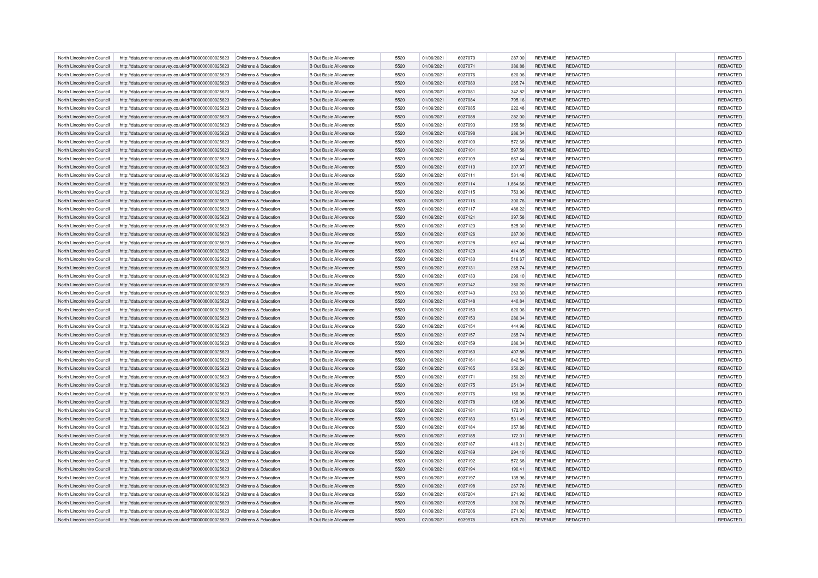| North Lincolnshire Council | http://data.ordnancesurvey.co.uk/id/7000000000025623 | Childrens & Education                          | <b>B Out Basic Allowance</b> | 5520 | 01/06/2021 | 6037070 | 287.00   | <b>REVENUE</b> | REDACTED        | REDACTED        |
|----------------------------|------------------------------------------------------|------------------------------------------------|------------------------------|------|------------|---------|----------|----------------|-----------------|-----------------|
| North Lincolnshire Council | http://data.ordnancesurvey.co.uk/id/7000000000025623 | Childrens & Education                          | <b>B Out Basic Allowance</b> | 5520 | 01/06/2021 | 6037071 | 386.88   | <b>REVENUE</b> | REDACTED        | REDACTED        |
| North Lincolnshire Council | http://data.ordnancesurvey.co.uk/id/7000000000025623 | Childrens & Education                          | <b>B Out Basic Allowance</b> | 5520 | 01/06/2021 | 6037076 | 620.06   | <b>REVENUE</b> | REDACTED        | REDACTED        |
| North Lincolnshire Council | http://data.ordnancesurvey.co.uk/id/7000000000025623 | Childrens & Education                          | <b>B Out Basic Allowance</b> | 5520 | 01/06/2021 | 6037080 | 265.74   | <b>REVENUE</b> | REDACTED        | REDACTED        |
| North Lincolnshire Council | http://data.ordnancesurvey.co.uk/id/7000000000025623 | Childrens & Education                          | <b>B Out Basic Allowance</b> | 5520 | 01/06/2021 | 6037081 | 342.82   | <b>REVENUE</b> | REDACTED        | REDACTED        |
| North Lincolnshire Council | http://data.ordnancesurvey.co.uk/id/7000000000025623 | Childrens & Education                          | <b>B Out Basic Allowance</b> | 5520 | 01/06/2021 | 6037084 | 795.16   | <b>REVENUE</b> | <b>REDACTED</b> | REDACTED        |
| North Lincolnshire Council | http://data.ordnancesurvey.co.uk/id/7000000000025623 | Childrens & Education                          | <b>B Out Basic Allowance</b> | 5520 | 01/06/2021 | 6037085 | 222.48   | <b>REVENUE</b> | REDACTED        | REDACTED        |
| North Lincolnshire Council | http://data.ordnancesurvey.co.uk/id/7000000000025623 | Childrens & Education                          | <b>B Out Basic Allowance</b> | 5520 | 01/06/2021 | 6037088 | 282.00   | <b>REVENUE</b> | REDACTED        | REDACTED        |
| North Lincolnshire Council | http://data.ordnancesurvey.co.uk/id/7000000000025623 | Childrens & Education                          | <b>B Out Basic Allowance</b> | 5520 | 01/06/2021 | 6037093 | 355.58   | <b>REVENUE</b> | REDACTED        | REDACTED        |
| North Lincolnshire Council | http://data.ordnancesurvey.co.uk/id/7000000000025623 | Childrens & Education                          | <b>B Out Basic Allowance</b> | 5520 | 01/06/2021 | 6037098 | 286.34   | <b>REVENUE</b> | REDACTED        | REDACTED        |
| North Lincolnshire Council | http://data.ordnancesurvey.co.uk/id/7000000000025623 | Childrens & Education                          | <b>B Out Basic Allowance</b> | 5520 | 01/06/2021 | 6037100 | 572.68   | <b>REVENUE</b> | REDACTED        | REDACTED        |
| North Lincolnshire Council | http://data.ordnancesurvey.co.uk/id/7000000000025623 | Childrens & Education                          | <b>B Out Basic Allowance</b> | 5520 | 01/06/2021 | 6037101 | 597.58   | <b>REVENUE</b> | <b>REDACTED</b> | REDACTED        |
|                            |                                                      |                                                |                              | 5520 |            |         |          |                |                 |                 |
| North Lincolnshire Council | http://data.ordnancesurvey.co.uk/id/7000000000025623 | Childrens & Education<br>Childrens & Education | <b>B Out Basic Allowance</b> |      | 01/06/2021 | 6037109 | 667.44   | <b>REVENUE</b> | REDACTED        | REDACTED        |
| North Lincolnshire Council | http://data.ordnancesurvey.co.uk/id/7000000000025623 |                                                | <b>B Out Basic Allowance</b> | 5520 | 01/06/2021 | 6037110 | 307.97   | <b>REVENUE</b> | REDACTED        | REDACTED        |
| North Lincolnshire Council | http://data.ordnancesurvey.co.uk/id/7000000000025623 | Childrens & Education                          | <b>B Out Basic Allowance</b> | 5520 | 01/06/2021 | 6037111 | 531.48   | <b>REVENUE</b> | REDACTED        | REDACTED        |
| North Lincolnshire Council | http://data.ordnancesurvey.co.uk/id/7000000000025623 | Childrens & Education                          | <b>B Out Basic Allowance</b> | 5520 | 01/06/2021 | 6037114 | 1,864.66 | <b>REVENUE</b> | REDACTED        | REDACTED        |
| North Lincolnshire Council | http://data.ordnancesurvey.co.uk/id/7000000000025623 | Childrens & Education                          | <b>B Out Basic Allowance</b> | 5520 | 01/06/2021 | 6037115 | 753.96   | <b>REVENUE</b> | REDACTED        | REDACTED        |
| North Lincolnshire Council | http://data.ordnancesurvey.co.uk/id/7000000000025623 | Childrens & Education                          | <b>B Out Basic Allowance</b> | 5520 | 01/06/2021 | 6037116 | 300.76   | <b>REVENUE</b> | <b>REDACTED</b> | REDACTED        |
| North Lincolnshire Council | http://data.ordnancesurvey.co.uk/id/7000000000025623 | Childrens & Education                          | <b>B Out Basic Allowance</b> | 5520 | 01/06/2021 | 6037117 | 488.22   | <b>REVENUE</b> | REDACTED        | REDACTED        |
| North Lincolnshire Council | http://data.ordnancesurvey.co.uk/id/7000000000025623 | Childrens & Education                          | <b>B Out Basic Allowance</b> | 5520 | 01/06/2021 | 6037121 | 397.58   | <b>REVENUE</b> | REDACTED        | REDACTED        |
| North Lincolnshire Council | http://data.ordnancesurvey.co.uk/id/7000000000025623 | Childrens & Education                          | <b>B Out Basic Allowance</b> | 5520 | 01/06/2021 | 6037123 | 525.30   | <b>REVENUE</b> | REDACTED        | REDACTED        |
| North Lincolnshire Council | http://data.ordnancesurvey.co.uk/id/7000000000025623 | Childrens & Education                          | <b>B Out Basic Allowance</b> | 5520 | 01/06/2021 | 6037126 | 287.00   | <b>REVENUE</b> | <b>REDACTED</b> | REDACTED        |
| North Lincolnshire Council | http://data.ordnancesurvey.co.uk/id/7000000000025623 | Childrens & Education                          | <b>B Out Basic Allowance</b> | 5520 | 01/06/2021 | 6037128 | 667.44   | <b>REVENUE</b> | REDACTED        | REDACTED        |
| North Lincolnshire Council | http://data.ordnancesurvey.co.uk/id/7000000000025623 | Childrens & Education                          | <b>B Out Basic Allowance</b> | 5520 | 01/06/2021 | 6037129 | 414.05   | <b>REVENUE</b> | <b>REDACTED</b> | REDACTED        |
| North Lincolnshire Council | http://data.ordnancesurvey.co.uk/id/7000000000025623 | Childrens & Education                          | <b>B Out Basic Allowance</b> | 5520 | 01/06/2021 | 6037130 | 516.67   | <b>REVENUE</b> | <b>REDACTED</b> | REDACTED        |
| North Lincolnshire Council | http://data.ordnancesurvey.co.uk/id/7000000000025623 | Childrens & Education                          | <b>B Out Basic Allowance</b> | 5520 | 01/06/2021 | 6037131 | 265.74   | <b>REVENUE</b> | REDACTED        | REDACTED        |
| North Lincolnshire Council | http://data.ordnancesurvey.co.uk/id/7000000000025623 | Childrens & Education                          | <b>B Out Basic Allowance</b> | 5520 | 01/06/2021 | 6037133 | 299.10   | <b>REVENUE</b> | <b>REDACTED</b> | REDACTED        |
| North Lincolnshire Council | http://data.ordnancesurvey.co.uk/id/7000000000025623 | Childrens & Education                          | <b>B Out Basic Allowance</b> | 5520 | 01/06/2021 | 6037142 | 350.20   | <b>REVENUE</b> | <b>REDACTED</b> | REDACTED        |
| North Lincolnshire Council | http://data.ordnancesurvey.co.uk/id/7000000000025623 | Childrens & Education                          | <b>B Out Basic Allowance</b> | 5520 | 01/06/2021 | 6037143 | 263.30   | <b>REVENUE</b> | <b>REDACTED</b> | <b>REDACTED</b> |
| North Lincolnshire Council | http://data.ordnancesurvey.co.uk/id/7000000000025623 | Childrens & Education                          | <b>B Out Basic Allowance</b> | 5520 | 01/06/2021 | 6037148 | 440.84   | <b>REVENUE</b> | <b>REDACTED</b> | REDACTED        |
| North Lincolnshire Council | http://data.ordnancesurvey.co.uk/id/7000000000025623 | Childrens & Education                          | <b>B Out Basic Allowance</b> | 5520 | 01/06/2021 | 6037150 | 620.06   | <b>REVENUE</b> | <b>REDACTED</b> | <b>REDACTED</b> |
| North Lincolnshire Council | http://data.ordnancesurvey.co.uk/id/7000000000025623 | Childrens & Education                          | <b>B Out Basic Allowance</b> | 5520 | 01/06/2021 | 6037153 | 286.34   | <b>REVENUE</b> | REDACTED        | REDACTED        |
| North Lincolnshire Council | http://data.ordnancesurvey.co.uk/id/7000000000025623 | Childrens & Education                          | <b>B Out Basic Allowance</b> | 5520 | 01/06/2021 | 6037154 | 444.96   | <b>REVENUE</b> | <b>REDACTED</b> | <b>REDACTED</b> |
| North Lincolnshire Council | http://data.ordnancesurvey.co.uk/id/7000000000025623 | Childrens & Education                          | <b>B Out Basic Allowance</b> | 5520 | 01/06/2021 | 6037157 | 265.74   | <b>REVENUE</b> | <b>REDACTED</b> | <b>REDACTED</b> |
| North Lincolnshire Council | http://data.ordnancesurvey.co.uk/id/7000000000025623 | Childrens & Education                          | <b>B Out Basic Allowance</b> | 5520 | 01/06/2021 | 6037159 | 286.34   | <b>REVENUE</b> | REDACTED        | REDACTED        |
| North Lincolnshire Council | http://data.ordnancesurvey.co.uk/id/7000000000025623 | Childrens & Education                          | <b>B Out Basic Allowance</b> | 5520 | 01/06/2021 | 6037160 | 407.88   | <b>REVENUE</b> | <b>REDACTED</b> | <b>REDACTED</b> |
| North Lincolnshire Council | http://data.ordnancesurvey.co.uk/id/7000000000025623 | Childrens & Education                          | <b>B Out Basic Allowance</b> | 5520 | 01/06/2021 | 6037161 | 842.54   | <b>REVENUE</b> | <b>REDACTED</b> | <b>REDACTED</b> |
| North Lincolnshire Council | http://data.ordnancesurvey.co.uk/id/7000000000025623 | Childrens & Education                          | <b>B Out Basic Allowance</b> | 5520 | 01/06/2021 | 6037165 | 350.20   | <b>REVENUE</b> | REDACTED        | REDACTED        |
| North Lincolnshire Council | http://data.ordnancesurvey.co.uk/id/7000000000025623 | Childrens & Education                          | <b>B Out Basic Allowance</b> | 5520 | 01/06/2021 | 6037171 | 350.20   | <b>REVENUE</b> | REDACTED        | <b>REDACTED</b> |
| North Lincolnshire Council | http://data.ordnancesurvey.co.uk/id/7000000000025623 | Childrens & Education                          | <b>B Out Basic Allowance</b> | 5520 | 01/06/2021 | 6037175 | 251.34   | <b>REVENUE</b> | <b>REDACTED</b> | REDACTED        |
| North Lincolnshire Council | http://data.ordnancesurvey.co.uk/id/7000000000025623 | Childrens & Education                          | <b>B Out Basic Allowance</b> | 5520 | 01/06/2021 | 6037176 | 150.38   | <b>REVENUE</b> | REDACTED        | <b>REDACTED</b> |
| North Lincolnshire Council | http://data.ordnancesurvey.co.uk/id/7000000000025623 | Childrens & Education                          | <b>B Out Basic Allowance</b> | 5520 | 01/06/2021 | 6037178 | 135.96   | <b>REVENUE</b> | <b>REDACTED</b> | REDACTED        |
| North Lincolnshire Council | http://data.ordnancesurvey.co.uk/id/7000000000025623 | Childrens & Education                          | <b>B Out Basic Allowance</b> | 5520 | 01/06/2021 | 6037181 | 172.01   | <b>REVENUE</b> | <b>REDACTED</b> | REDACTED        |
| North Lincolnshire Council | http://data.ordnancesurvey.co.uk/id/7000000000025623 | Childrens & Education                          | <b>B Out Basic Allowance</b> | 5520 | 01/06/2021 | 6037183 | 531.48   | <b>REVENUE</b> | REDACTED        | REDACTED        |
| North Lincolnshire Council | http://data.ordnancesurvey.co.uk/id/7000000000025623 | Childrens & Education                          | <b>B Out Basic Allowance</b> | 5520 | 01/06/2021 | 6037184 | 357.88   | <b>REVENUE</b> | REDACTED        | REDACTED        |
|                            |                                                      |                                                |                              | 5520 |            |         |          |                |                 | REDACTED        |
| North Lincolnshire Council | http://data.ordnancesurvey.co.uk/id/7000000000025623 | Childrens & Education                          | <b>B Out Basic Allowance</b> |      | 01/06/2021 | 6037185 | 172.01   | <b>REVENUE</b> | <b>REDACTED</b> |                 |
| North Lincolnshire Council | http://data.ordnancesurvey.co.uk/id/7000000000025623 | Childrens & Education                          | <b>B Out Basic Allowance</b> | 5520 | 01/06/2021 | 6037187 | 419.21   | <b>REVENUE</b> | REDACTED        | REDACTED        |
| North Lincolnshire Council | http://data.ordnancesurvey.co.uk/id/7000000000025623 | Childrens & Education                          | <b>B Out Basic Allowance</b> | 5520 | 01/06/2021 | 6037189 | 294.10   | <b>REVENUE</b> | <b>REDACTED</b> | REDACTED        |
| North Lincolnshire Council | http://data.ordnancesurvey.co.uk/id/7000000000025623 | Childrens & Education                          | <b>B Out Basic Allowance</b> | 5520 | 01/06/2021 | 6037192 | 572.68   | <b>REVENUE</b> | <b>REDACTED</b> | REDACTED        |
| North Lincolnshire Council | http://data.ordnancesurvey.co.uk/id/7000000000025623 | Childrens & Education                          | <b>B Out Basic Allowance</b> | 5520 | 01/06/2021 | 6037194 | 190.41   | <b>REVENUE</b> | REDACTED        | REDACTED        |
| North Lincolnshire Council | http://data.ordnancesurvey.co.uk/id/7000000000025623 | Childrens & Education                          | <b>B Out Basic Allowance</b> | 5520 | 01/06/2021 | 6037197 | 135.96   | <b>REVENUE</b> | REDACTED        | REDACTED        |
| North Lincolnshire Council | http://data.ordnancesurvey.co.uk/id/7000000000025623 | Childrens & Education                          | <b>B Out Basic Allowance</b> | 5520 | 01/06/2021 | 6037198 | 267.76   | <b>REVENUE</b> | <b>REDACTED</b> | REDACTED        |
| North Lincolnshire Council | http://data.ordnancesurvey.co.uk/id/7000000000025623 | Childrens & Education                          | <b>B Out Basic Allowance</b> | 5520 | 01/06/2021 | 6037204 | 271.92   | <b>REVENUE</b> | REDACTED        | REDACTED        |
| North Lincolnshire Council | http://data.ordnancesurvey.co.uk/id/7000000000025623 | Childrens & Education                          | <b>B Out Basic Allowance</b> | 5520 | 01/06/2021 | 6037205 | 300.76   | <b>REVENUE</b> | <b>REDACTED</b> | <b>REDACTED</b> |
| North Lincolnshire Council | http://data.ordnancesurvey.co.uk/id/7000000000025623 | Childrens & Education                          | <b>B Out Basic Allowance</b> | 5520 | 01/06/2021 | 6037206 | 271.92   | <b>REVENUE</b> | <b>REDACTED</b> | REDACTED        |
| North Lincolnshire Council | http://data.ordnancesurvey.co.uk/id/7000000000025623 | Childrens & Education                          | <b>B Out Basic Allowance</b> | 5520 | 07/06/2021 | 6039978 | 675.70   | <b>REVENUE</b> | REDACTED        | REDACTED        |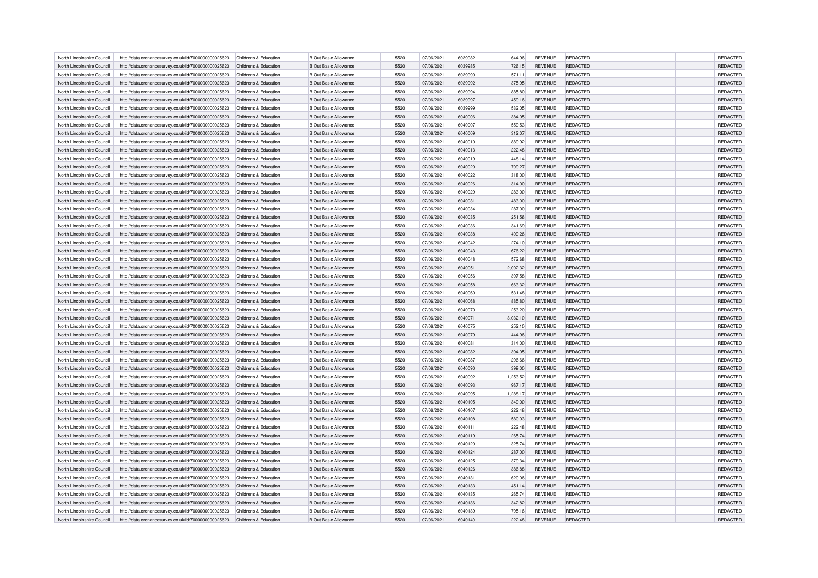| North Lincolnshire Council                               | http://data.ordnancesurvey.co.uk/id/7000000000025623                                                         | Childrens & Education                          | <b>B Out Basic Allowance</b>                                 | 5520         | 07/06/2021               | 6039982            | 644.96             | <b>REVENUE</b>                   | REDACTED                           | REDACTED             |
|----------------------------------------------------------|--------------------------------------------------------------------------------------------------------------|------------------------------------------------|--------------------------------------------------------------|--------------|--------------------------|--------------------|--------------------|----------------------------------|------------------------------------|----------------------|
| North Lincolnshire Council                               | http://data.ordnancesurvey.co.uk/id/7000000000025623                                                         | Childrens & Education                          | <b>B Out Basic Allowance</b>                                 | 5520         | 07/06/2021               | 6039985            | 726.15             | <b>REVENUE</b>                   | REDACTED                           | REDACTED             |
| North Lincolnshire Council                               | http://data.ordnancesurvey.co.uk/id/7000000000025623                                                         | Childrens & Education                          | <b>B Out Basic Allowance</b>                                 | 5520         | 07/06/2021               | 6039990            | 571.11             | <b>REVENUE</b>                   | <b>REDACTED</b>                    | REDACTED             |
| North Lincolnshire Council                               | http://data.ordnancesurvey.co.uk/id/7000000000025623                                                         | Childrens & Education                          | <b>B Out Basic Allowance</b>                                 | 5520         | 07/06/2021               | 6039992            | 375.95             | <b>REVENUE</b>                   | <b>REDACTED</b>                    | REDACTED             |
| North Lincolnshire Council                               | http://data.ordnancesurvey.co.uk/id/7000000000025623                                                         | Childrens & Education                          | <b>B Out Basic Allowance</b>                                 | 5520         | 07/06/2021               | 6039994            | 885.80             | <b>REVENUE</b>                   | REDACTED                           | REDACTED             |
| North Lincolnshire Council                               | http://data.ordnancesurvey.co.uk/id/7000000000025623                                                         | Childrens & Education                          | <b>B Out Basic Allowance</b>                                 | 5520         | 07/06/2021               | 6039997            | 459.16             | <b>REVENUE</b>                   | REDACTED                           | REDACTED             |
| North Lincolnshire Council                               | http://data.ordnancesurvey.co.uk/id/7000000000025623                                                         | Childrens & Education                          | <b>B Out Basic Allowance</b>                                 | 5520         | 07/06/2021               | 6039999            | 532.05             | <b>REVENUE</b>                   | REDACTED                           | REDACTED             |
| North Lincolnshire Council                               | http://data.ordnancesurvey.co.uk/id/7000000000025623                                                         | Childrens & Education                          | <b>B Out Basic Allowance</b>                                 | 5520         | 07/06/2021               | 6040006            | 384.05             | <b>REVENUE</b>                   | REDACTED                           | REDACTED             |
| North Lincolnshire Council                               | http://data.ordnancesurvey.co.uk/id/7000000000025623                                                         | Childrens & Education                          | <b>B Out Basic Allowance</b>                                 | 5520         | 07/06/2021               | 6040007            | 559.53             | <b>REVENUE</b>                   | REDACTED                           | REDACTED             |
| North Lincolnshire Council                               | http://data.ordnancesurvey.co.uk/id/7000000000025623                                                         | Childrens & Education                          | <b>B Out Basic Allowance</b>                                 | 5520         | 07/06/2021               | 6040009            | 312.07             | <b>REVENUE</b>                   | <b>REDACTED</b>                    | REDACTED             |
| North Lincolnshire Council                               | http://data.ordnancesurvey.co.uk/id/7000000000025623                                                         | Childrens & Education                          | <b>B Out Basic Allowance</b>                                 | 5520         | 07/06/2021               | 6040010            | 889.92             | <b>REVENUE</b>                   | REDACTED                           | REDACTED             |
| North Lincolnshire Council                               | http://data.ordnancesurvey.co.uk/id/7000000000025623                                                         | Childrens & Education                          | <b>B Out Basic Allowance</b>                                 | 5520         | 07/06/2021               | 6040013            | 222.48             | <b>REVENUE</b>                   | REDACTED                           | REDACTED             |
| North Lincolnshire Council                               | http://data.ordnancesurvey.co.uk/id/7000000000025623                                                         | Childrens & Education                          | <b>B Out Basic Allowance</b>                                 | 5520         | 07/06/2021               | 6040019            | 448.14             | <b>REVENUE</b>                   | REDACTED                           | REDACTED             |
| North Lincolnshire Council                               | http://data.ordnancesurvey.co.uk/id/7000000000025623                                                         | Childrens & Education                          | <b>B Out Basic Allowance</b>                                 | 5520         | 07/06/2021               | 6040020            | 709.27             | <b>REVENUE</b>                   | REDACTED                           | REDACTED             |
| North Lincolnshire Council                               | http://data.ordnancesurvey.co.uk/id/7000000000025623                                                         | Childrens & Education                          | <b>B Out Basic Allowance</b>                                 | 5520         | 07/06/2021               | 6040022            | 318.00             | <b>REVENUE</b>                   | REDACTED                           | REDACTED             |
| North Lincolnshire Council                               | http://data.ordnancesurvey.co.uk/id/7000000000025623                                                         | Childrens & Education                          | <b>B Out Basic Allowance</b>                                 | 5520         | 07/06/2021               | 6040026            | 314.00             | <b>REVENUE</b>                   | <b>REDACTED</b>                    | REDACTED             |
| North Lincolnshire Council                               | http://data.ordnancesurvey.co.uk/id/7000000000025623                                                         | Childrens & Education                          | <b>B Out Basic Allowance</b>                                 | 5520         | 07/06/2021               | 6040029            | 283.00             | <b>REVENUE</b>                   | REDACTED                           | REDACTED             |
| North Lincolnshire Council                               | http://data.ordnancesurvey.co.uk/id/7000000000025623                                                         | Childrens & Education                          | <b>B Out Basic Allowance</b>                                 | 5520         | 07/06/2021               | 6040031            | 483.00             | <b>REVENUE</b>                   | <b>REDACTED</b>                    | REDACTED             |
| North Lincolnshire Council                               | http://data.ordnancesurvey.co.uk/id/7000000000025623                                                         | Childrens & Education                          | <b>B Out Basic Allowance</b>                                 | 5520         | 07/06/2021               | 6040034            | 287.00             | <b>REVENUE</b>                   | REDACTED                           | REDACTED             |
| North Lincolnshire Council                               | http://data.ordnancesurvey.co.uk/id/7000000000025623                                                         | Childrens & Education                          | <b>B Out Basic Allowance</b>                                 | 5520         | 07/06/2021               | 6040035            | 251.56             | <b>REVENUE</b>                   | REDACTED                           | REDACTED             |
| North Lincolnshire Council                               | http://data.ordnancesurvey.co.uk/id/7000000000025623                                                         | Childrens & Education                          | <b>B Out Basic Allowance</b>                                 | 5520         | 07/06/2021               | 6040036            | 341.69             | <b>REVENUE</b>                   | <b>REDACTED</b>                    | REDACTED             |
| North Lincolnshire Council                               | http://data.ordnancesurvey.co.uk/id/7000000000025623                                                         | Childrens & Education                          | <b>B Out Basic Allowance</b>                                 | 5520         | 07/06/2021               | 6040038            | 409.26             | <b>REVENUE</b>                   | <b>REDACTED</b>                    | REDACTED             |
| North Lincolnshire Council                               | http://data.ordnancesurvey.co.uk/id/7000000000025623                                                         | Childrens & Education                          | <b>B Out Basic Allowance</b>                                 | 5520         | 07/06/2021               | 6040042            | 274.10             | <b>REVENUE</b>                   | REDACTED                           | REDACTED             |
| North Lincolnshire Council                               | http://data.ordnancesurvey.co.uk/id/7000000000025623                                                         | Childrens & Education                          | <b>B Out Basic Allowance</b>                                 | 5520         | 07/06/2021               | 6040043            | 676.22             | <b>REVENUE</b>                   | <b>REDACTED</b>                    | REDACTED             |
| North Lincolnshire Council                               | http://data.ordnancesurvey.co.uk/id/7000000000025623                                                         | Childrens & Education                          | <b>B Out Basic Allowance</b>                                 | 5520         | 07/06/2021               | 6040048            | 572.68             | <b>REVENUE</b>                   | <b>REDACTED</b>                    | REDACTED             |
| North Lincolnshire Council                               | http://data.ordnancesurvey.co.uk/id/7000000000025623                                                         | Childrens & Education                          | <b>B Out Basic Allowance</b>                                 | 5520         | 07/06/2021               | 6040051            | 2,002.32           | <b>REVENUE</b>                   | REDACTED                           | REDACTED             |
| North Lincolnshire Council                               | http://data.ordnancesurvey.co.uk/id/7000000000025623                                                         | Childrens & Education                          | <b>B Out Basic Allowance</b>                                 | 5520         | 07/06/2021               | 6040056            | 397.58             | <b>REVENUE</b>                   | REDACTED                           | REDACTED             |
| North Lincolnshire Council                               | http://data.ordnancesurvey.co.uk/id/7000000000025623                                                         | Childrens & Education                          | <b>B Out Basic Allowance</b>                                 | 5520         | 07/06/2021               | 6040058            | 663.32             | <b>REVENUE</b>                   | <b>REDACTED</b>                    | REDACTED             |
| North Lincolnshire Council                               | http://data.ordnancesurvey.co.uk/id/7000000000025623                                                         | Childrens & Education                          | <b>B Out Basic Allowance</b>                                 | 5520         | 07/06/2021               | 6040060            | 531.48             | <b>REVENUE</b>                   | REDACTED                           | REDACTED             |
| North Lincolnshire Council                               | http://data.ordnancesurvey.co.uk/id/7000000000025623                                                         | Childrens & Education                          | <b>B Out Basic Allowance</b>                                 | 5520         | 07/06/2021               | 6040068            | 885.80             | <b>REVENUE</b>                   | REDACTED                           | REDACTED             |
| North Lincolnshire Council                               | http://data.ordnancesurvey.co.uk/id/7000000000025623                                                         | Childrens & Education                          | <b>B Out Basic Allowance</b>                                 | 5520         | 07/06/2021               | 6040070            | 253.20             | <b>REVENUE</b>                   | <b>REDACTED</b>                    | REDACTED             |
| North Lincolnshire Council                               | http://data.ordnancesurvey.co.uk/id/7000000000025623                                                         | Childrens & Education                          | <b>B Out Basic Allowance</b>                                 | 5520         | 07/06/2021               | 6040071            | 3,032.10           | <b>REVENUE</b>                   | REDACTED                           | REDACTED             |
| North Lincolnshire Council                               | http://data.ordnancesurvey.co.uk/id/7000000000025623                                                         | Childrens & Education                          | <b>B Out Basic Allowance</b>                                 | 5520         | 07/06/2021               | 6040075            | 252.10             | <b>REVENUE</b>                   | REDACTED                           | REDACTED             |
| North Lincolnshire Council                               | http://data.ordnancesurvey.co.uk/id/7000000000025623                                                         | Childrens & Education                          | <b>B Out Basic Allowance</b>                                 | 5520         | 07/06/2021               | 6040079            | 444.96             | <b>REVENUE</b>                   | <b>REDACTED</b>                    | <b>REDACTED</b>      |
| North Lincolnshire Council                               | http://data.ordnancesurvey.co.uk/id/7000000000025623                                                         | Childrens & Education                          | <b>B Out Basic Allowance</b>                                 | 5520         | 07/06/2021               | 6040081            | 314.00             | <b>REVENUE</b>                   | REDACTED                           | REDACTED             |
| North Lincolnshire Council                               | http://data.ordnancesurvey.co.uk/id/7000000000025623                                                         | Childrens & Education                          | <b>B Out Basic Allowance</b>                                 | 5520         | 07/06/2021               | 6040082            | 394.05             | <b>REVENUE</b>                   | REDACTED                           | <b>REDACTED</b>      |
| North Lincolnshire Council                               | http://data.ordnancesurvey.co.uk/id/7000000000025623                                                         | Childrens & Education                          | <b>B Out Basic Allowance</b>                                 | 5520         | 07/06/2021               | 6040087            | 296.66             | <b>REVENUE</b>                   | <b>REDACTED</b>                    | REDACTED             |
| North Lincolnshire Council                               | http://data.ordnancesurvey.co.uk/id/7000000000025623                                                         | Childrens & Education                          | <b>B Out Basic Allowance</b>                                 | 5520         | 07/06/2021               | 6040090            | 399.00             | <b>REVENUE</b>                   | REDACTED                           | <b>REDACTED</b>      |
| North Lincolnshire Council                               | http://data.ordnancesurvey.co.uk/id/7000000000025623                                                         | Childrens & Education                          | <b>B Out Basic Allowance</b>                                 | 5520         | 07/06/2021               | 6040092            | 1,253.52           | <b>REVENUE</b>                   | REDACTED                           | <b>REDACTED</b>      |
|                                                          |                                                                                                              |                                                |                                                              | 5520         |                          |                    |                    |                                  |                                    | REDACTED             |
| North Lincolnshire Council<br>North Lincolnshire Council | http://data.ordnancesurvey.co.uk/id/7000000000025623<br>http://data.ordnancesurvey.co.uk/id/7000000000025623 | Childrens & Education<br>Childrens & Education | <b>B Out Basic Allowance</b><br><b>B Out Basic Allowance</b> | 5520         | 07/06/2021<br>07/06/2021 | 6040093<br>6040095 | 967.17<br>1,288.17 | <b>REVENUE</b><br><b>REVENUE</b> | <b>REDACTED</b><br>REDACTED        | <b>REDACTED</b>      |
| North Lincolnshire Council                               |                                                                                                              | Childrens & Education                          | <b>B Out Basic Allowance</b>                                 | 5520         | 07/06/2021               | 6040105            | 349.00             | <b>REVENUE</b>                   | <b>REDACTED</b>                    | <b>REDACTED</b>      |
|                                                          | http://data.ordnancesurvey.co.uk/id/7000000000025623                                                         |                                                |                                                              |              |                          |                    |                    |                                  |                                    |                      |
| North Lincolnshire Council                               | http://data.ordnancesurvey.co.uk/id/7000000000025623                                                         | Childrens & Education<br>Childrens & Education | <b>B Out Basic Allowance</b>                                 | 5520<br>5520 | 07/06/2021               | 6040107<br>6040108 | 222.48             | <b>REVENUE</b>                   | <b>REDACTED</b><br><b>REDACTED</b> | REDACTED             |
| North Lincolnshire Council<br>North Lincolnshire Council | http://data.ordnancesurvey.co.uk/id/7000000000025623                                                         | Childrens & Education                          | <b>B Out Basic Allowance</b><br><b>B Out Basic Allowance</b> | 5520         | 07/06/2021<br>07/06/2021 | 6040111            | 580.03             | <b>REVENUE</b><br><b>REVENUE</b> | REDACTED                           | REDACTED<br>REDACTED |
|                                                          | http://data.ordnancesurvey.co.uk/id/7000000000025623                                                         |                                                |                                                              |              |                          |                    | 222.48             |                                  |                                    |                      |
| North Lincolnshire Council                               | http://data.ordnancesurvey.co.uk/id/7000000000025623                                                         | Childrens & Education                          | <b>B Out Basic Allowance</b>                                 | 5520         | 07/06/2021               | 6040119            | 265.74             | <b>REVENUE</b>                   | <b>REDACTED</b>                    | REDACTED             |
| North Lincolnshire Council<br>North Lincolnshire Council | http://data.ordnancesurvey.co.uk/id/7000000000025623                                                         | Childrens & Education<br>Childrens & Education | <b>B Out Basic Allowance</b><br><b>B Out Basic Allowance</b> | 5520<br>5520 | 07/06/2021<br>07/06/2021 | 6040120<br>6040124 | 325.74<br>287.00   | <b>REVENUE</b><br><b>REVENUE</b> | REDACTED<br><b>REDACTED</b>        | REDACTED             |
|                                                          | http://data.ordnancesurvey.co.uk/id/7000000000025623                                                         |                                                |                                                              |              |                          |                    |                    |                                  |                                    | REDACTED             |
| North Lincolnshire Council                               | http://data.ordnancesurvey.co.uk/id/7000000000025623                                                         | Childrens & Education                          | <b>B Out Basic Allowance</b>                                 | 5520         | 07/06/2021               | 6040125            | 379.34             | <b>REVENUE</b>                   | <b>REDACTED</b>                    | REDACTED             |
| North Lincolnshire Council                               | http://data.ordnancesurvey.co.uk/id/7000000000025623                                                         | Childrens & Education                          | <b>B Out Basic Allowance</b>                                 | 5520         | 07/06/2021               | 6040126            | 386.88             | <b>REVENUE</b>                   | REDACTED                           | REDACTED             |
| North Lincolnshire Council                               | http://data.ordnancesurvey.co.uk/id/7000000000025623                                                         | Childrens & Education                          | <b>B Out Basic Allowance</b>                                 | 5520         | 07/06/2021               | 6040131            | 620.06             | <b>REVENUE</b>                   | REDACTED                           | <b>REDACTED</b>      |
| North Lincolnshire Council                               | http://data.ordnancesurvey.co.uk/id/7000000000025623                                                         | Childrens & Education                          | <b>B Out Basic Allowance</b>                                 | 5520         | 07/06/2021               | 6040133            | 451.14             | <b>REVENUE</b>                   | <b>REDACTED</b>                    | REDACTED             |
| North Lincolnshire Council                               | http://data.ordnancesurvey.co.uk/id/7000000000025623                                                         | Childrens & Education                          | <b>B Out Basic Allowance</b>                                 | 5520         | 07/06/2021               | 6040135            | 265.74             | <b>REVENUE</b>                   | REDACTED                           | REDACTED             |
| North Lincolnshire Council                               | http://data.ordnancesurvey.co.uk/id/7000000000025623                                                         | Childrens & Education                          | <b>B Out Basic Allowance</b>                                 | 5520         | 07/06/2021               | 6040136            | 342.82             | <b>REVENUE</b>                   | REDACTED                           | REDACTED             |
| North Lincolnshire Council                               | http://data.ordnancesurvey.co.uk/id/7000000000025623                                                         | Childrens & Education                          | <b>B Out Basic Allowance</b>                                 | 5520         | 07/06/2021               | 6040139            | 795.16             | <b>REVENUE</b>                   | <b>REDACTED</b>                    | REDACTED             |
| North Lincolnshire Council                               | http://data.ordnancesurvey.co.uk/id/7000000000025623                                                         | Childrens & Education                          | <b>B Out Basic Allowance</b>                                 | 5520         | 07/06/2021               | 6040140            | 222.48             | <b>REVENUE</b>                   | REDACTED                           | REDACTED             |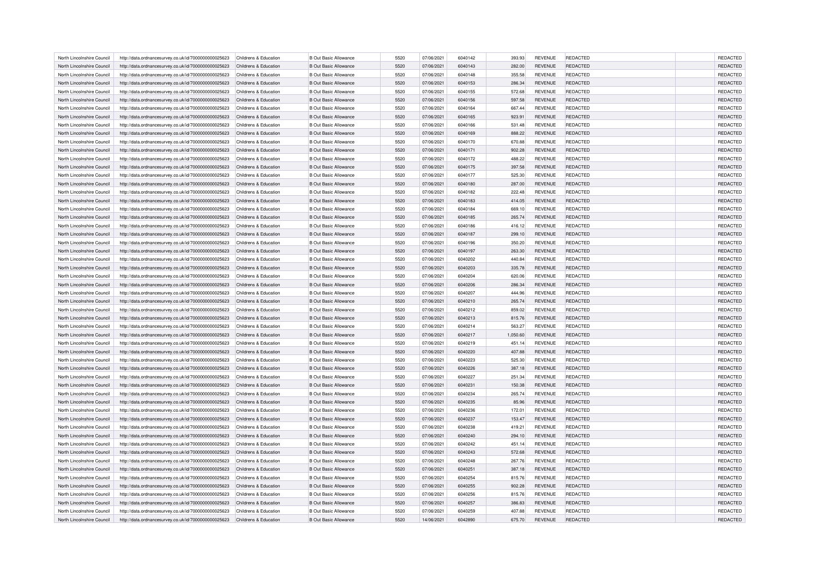| North Lincolnshire Council | http://data.ordnancesurvey.co.uk/id/7000000000025623 | Childrens & Education                          | <b>B Out Basic Allowance</b> | 5520 | 07/06/2021 | 6040142 | 393.93   | <b>REVENUE</b> | REDACTED        | REDACTED        |
|----------------------------|------------------------------------------------------|------------------------------------------------|------------------------------|------|------------|---------|----------|----------------|-----------------|-----------------|
| North Lincolnshire Council | http://data.ordnancesurvey.co.uk/id/7000000000025623 | Childrens & Education                          | <b>B Out Basic Allowance</b> | 5520 | 07/06/2021 | 6040143 | 282.00   | <b>REVENUE</b> | REDACTED        | REDACTED        |
| North Lincolnshire Council | http://data.ordnancesurvey.co.uk/id/7000000000025623 | Childrens & Education                          | <b>B Out Basic Allowance</b> | 5520 | 07/06/2021 | 6040148 | 355.58   | <b>REVENUE</b> | REDACTED        | REDACTED        |
| North Lincolnshire Council | http://data.ordnancesurvey.co.uk/id/7000000000025623 | Childrens & Education                          | <b>B Out Basic Allowance</b> | 5520 | 07/06/2021 | 6040153 | 286.34   | <b>REVENUE</b> | REDACTED        | REDACTED        |
| North Lincolnshire Council | http://data.ordnancesurvey.co.uk/id/7000000000025623 | Childrens & Education                          | <b>B Out Basic Allowance</b> | 5520 | 07/06/2021 | 6040155 | 572.68   | <b>REVENUE</b> | REDACTED        | REDACTED        |
| North Lincolnshire Council | http://data.ordnancesurvey.co.uk/id/7000000000025623 | Childrens & Education                          | <b>B Out Basic Allowance</b> | 5520 | 07/06/2021 | 6040156 | 597.58   | <b>REVENUE</b> | <b>REDACTED</b> | REDACTED        |
| North Lincolnshire Council | http://data.ordnancesurvey.co.uk/id/7000000000025623 | Childrens & Education                          | <b>B Out Basic Allowance</b> | 5520 | 07/06/2021 | 6040164 | 667.44   | <b>REVENUE</b> | REDACTED        | REDACTED        |
| North Lincolnshire Council | http://data.ordnancesurvey.co.uk/id/7000000000025623 | Childrens & Education                          | <b>B Out Basic Allowance</b> | 5520 | 07/06/2021 | 6040165 | 923.91   | <b>REVENUE</b> | REDACTED        | REDACTED        |
| North Lincolnshire Council | http://data.ordnancesurvey.co.uk/id/7000000000025623 | Childrens & Education                          | <b>B Out Basic Allowance</b> | 5520 | 07/06/2021 | 6040166 | 531.48   | <b>REVENUE</b> | REDACTED        | REDACTED        |
| North Lincolnshire Council | http://data.ordnancesurvey.co.uk/id/7000000000025623 | Childrens & Education                          | <b>B Out Basic Allowance</b> | 5520 | 07/06/2021 | 6040169 | 888.22   | <b>REVENUE</b> | REDACTED        | REDACTED        |
| North Lincolnshire Council | http://data.ordnancesurvey.co.uk/id/7000000000025623 | Childrens & Education                          | <b>B Out Basic Allowance</b> | 5520 | 07/06/2021 | 6040170 | 670.88   | <b>REVENUE</b> | REDACTED        | REDACTED        |
| North Lincolnshire Council | http://data.ordnancesurvey.co.uk/id/7000000000025623 | Childrens & Education                          | <b>B Out Basic Allowance</b> | 5520 | 07/06/2021 | 6040171 | 902.28   | <b>REVENUE</b> | <b>REDACTED</b> | REDACTED        |
|                            |                                                      |                                                |                              | 5520 |            | 6040172 |          |                |                 |                 |
| North Lincolnshire Council | http://data.ordnancesurvey.co.uk/id/7000000000025623 | Childrens & Education<br>Childrens & Education | <b>B Out Basic Allowance</b> |      | 07/06/2021 |         | 488.22   | <b>REVENUE</b> | REDACTED        | REDACTED        |
| North Lincolnshire Council | http://data.ordnancesurvey.co.uk/id/7000000000025623 |                                                | <b>B Out Basic Allowance</b> | 5520 | 07/06/2021 | 6040175 | 397.58   | <b>REVENUE</b> | REDACTED        | REDACTED        |
| North Lincolnshire Council | http://data.ordnancesurvey.co.uk/id/7000000000025623 | Childrens & Education                          | <b>B Out Basic Allowance</b> | 5520 | 07/06/2021 | 6040177 | 525.30   | <b>REVENUE</b> | REDACTED        | REDACTED        |
| North Lincolnshire Council | http://data.ordnancesurvey.co.uk/id/7000000000025623 | Childrens & Education                          | <b>B Out Basic Allowance</b> | 5520 | 07/06/2021 | 6040180 | 287.00   | <b>REVENUE</b> | REDACTED        | REDACTED        |
| North Lincolnshire Council | http://data.ordnancesurvey.co.uk/id/7000000000025623 | Childrens & Education                          | <b>B Out Basic Allowance</b> | 5520 | 07/06/2021 | 6040182 | 222.48   | <b>REVENUE</b> | REDACTED        | REDACTED        |
| North Lincolnshire Council | http://data.ordnancesurvey.co.uk/id/7000000000025623 | Childrens & Education                          | <b>B Out Basic Allowance</b> | 5520 | 07/06/2021 | 6040183 | 414.05   | <b>REVENUE</b> | <b>REDACTED</b> | REDACTED        |
| North Lincolnshire Council | http://data.ordnancesurvey.co.uk/id/7000000000025623 | Childrens & Education                          | <b>B Out Basic Allowance</b> | 5520 | 07/06/2021 | 6040184 | 669.10   | <b>REVENUE</b> | REDACTED        | REDACTED        |
| North Lincolnshire Council | http://data.ordnancesurvey.co.uk/id/7000000000025623 | Childrens & Education                          | <b>B Out Basic Allowance</b> | 5520 | 07/06/2021 | 6040185 | 265.74   | <b>REVENUE</b> | REDACTED        | REDACTED        |
| North Lincolnshire Council | http://data.ordnancesurvey.co.uk/id/7000000000025623 | Childrens & Education                          | <b>B Out Basic Allowance</b> | 5520 | 07/06/2021 | 6040186 | 416.12   | <b>REVENUE</b> | REDACTED        | REDACTED        |
| North Lincolnshire Council | http://data.ordnancesurvey.co.uk/id/7000000000025623 | Childrens & Education                          | <b>B Out Basic Allowance</b> | 5520 | 07/06/2021 | 6040187 | 299.10   | <b>REVENUE</b> | <b>REDACTED</b> | REDACTED        |
| North Lincolnshire Council | http://data.ordnancesurvey.co.uk/id/7000000000025623 | Childrens & Education                          | <b>B Out Basic Allowance</b> | 5520 | 07/06/2021 | 6040196 | 350.20   | <b>REVENUE</b> | REDACTED        | REDACTED        |
| North Lincolnshire Council | http://data.ordnancesurvey.co.uk/id/7000000000025623 | Childrens & Education                          | <b>B Out Basic Allowance</b> | 5520 | 07/06/2021 | 6040197 | 263.30   | <b>REVENUE</b> | <b>REDACTED</b> | REDACTED        |
| North Lincolnshire Council | http://data.ordnancesurvey.co.uk/id/7000000000025623 | Childrens & Education                          | <b>B Out Basic Allowance</b> | 5520 | 07/06/2021 | 6040202 | 440.84   | <b>REVENUE</b> | <b>REDACTED</b> | REDACTED        |
| North Lincolnshire Council | http://data.ordnancesurvey.co.uk/id/7000000000025623 | Childrens & Education                          | <b>B Out Basic Allowance</b> | 5520 | 07/06/2021 | 6040203 | 335.78   | <b>REVENUE</b> | REDACTED        | REDACTED        |
| North Lincolnshire Council | http://data.ordnancesurvey.co.uk/id/7000000000025623 | Childrens & Education                          | <b>B Out Basic Allowance</b> | 5520 | 07/06/2021 | 6040204 | 620.06   | <b>REVENUE</b> | <b>REDACTED</b> | REDACTED        |
| North Lincolnshire Council | http://data.ordnancesurvey.co.uk/id/7000000000025623 | Childrens & Education                          | <b>B Out Basic Allowance</b> | 5520 | 07/06/2021 | 6040206 | 286.34   | <b>REVENUE</b> | <b>REDACTED</b> | REDACTED        |
| North Lincolnshire Council | http://data.ordnancesurvey.co.uk/id/7000000000025623 | Childrens & Education                          | <b>B Out Basic Allowance</b> | 5520 | 07/06/2021 | 6040207 | 444.96   | <b>REVENUE</b> | REDACTED        | <b>REDACTED</b> |
| North Lincolnshire Council | http://data.ordnancesurvey.co.uk/id/7000000000025623 | Childrens & Education                          | <b>B Out Basic Allowance</b> | 5520 | 07/06/2021 | 6040210 | 265.74   | <b>REVENUE</b> | <b>REDACTED</b> | REDACTED        |
| North Lincolnshire Council | http://data.ordnancesurvey.co.uk/id/7000000000025623 | Childrens & Education                          | <b>B Out Basic Allowance</b> | 5520 | 07/06/2021 | 6040212 | 859.02   | <b>REVENUE</b> | <b>REDACTED</b> | <b>REDACTED</b> |
| North Lincolnshire Council | http://data.ordnancesurvey.co.uk/id/7000000000025623 | Childrens & Education                          | <b>B Out Basic Allowance</b> | 5520 | 07/06/2021 | 6040213 | 815.76   | <b>REVENUE</b> | REDACTED        | REDACTED        |
| North Lincolnshire Council | http://data.ordnancesurvey.co.uk/id/7000000000025623 | Childrens & Education                          | <b>B Out Basic Allowance</b> | 5520 | 07/06/2021 | 6040214 | 563.27   | <b>REVENUE</b> | REDACTED        | <b>REDACTED</b> |
| North Lincolnshire Council | http://data.ordnancesurvey.co.uk/id/7000000000025623 | Childrens & Education                          | <b>B Out Basic Allowance</b> | 5520 | 07/06/2021 | 6040217 | 1,050.60 | <b>REVENUE</b> | <b>REDACTED</b> | <b>REDACTED</b> |
| North Lincolnshire Council | http://data.ordnancesurvey.co.uk/id/7000000000025623 | Childrens & Education                          | <b>B Out Basic Allowance</b> | 5520 | 07/06/2021 | 6040219 | 451.14   | <b>REVENUE</b> | REDACTED        | REDACTED        |
| North Lincolnshire Council | http://data.ordnancesurvey.co.uk/id/7000000000025623 | Childrens & Education                          | <b>B Out Basic Allowance</b> | 5520 | 07/06/2021 | 6040220 | 407.88   | <b>REVENUE</b> | <b>REDACTED</b> | <b>REDACTED</b> |
| North Lincolnshire Council | http://data.ordnancesurvey.co.uk/id/7000000000025623 | Childrens & Education                          | <b>B Out Basic Allowance</b> | 5520 | 07/06/2021 | 6040223 | 525.30   | <b>REVENUE</b> | <b>REDACTED</b> | <b>REDACTED</b> |
| North Lincolnshire Council | http://data.ordnancesurvey.co.uk/id/7000000000025623 | Childrens & Education                          | <b>B Out Basic Allowance</b> | 5520 | 07/06/2021 | 6040226 | 387.18   | <b>REVENUE</b> | REDACTED        | REDACTED        |
| North Lincolnshire Council | http://data.ordnancesurvey.co.uk/id/7000000000025623 | Childrens & Education                          | <b>B Out Basic Allowance</b> | 5520 | 07/06/2021 | 6040227 | 251.34   | <b>REVENUE</b> | REDACTED        | <b>REDACTED</b> |
| North Lincolnshire Council | http://data.ordnancesurvey.co.uk/id/7000000000025623 | Childrens & Education                          | <b>B Out Basic Allowance</b> | 5520 | 07/06/2021 | 6040231 | 150.38   | <b>REVENUE</b> | <b>REDACTED</b> | REDACTED        |
| North Lincolnshire Council | http://data.ordnancesurvey.co.uk/id/7000000000025623 | Childrens & Education                          | <b>B Out Basic Allowance</b> | 5520 | 07/06/2021 | 6040234 | 265.74   | <b>REVENUE</b> | REDACTED        | <b>REDACTED</b> |
| North Lincolnshire Council | http://data.ordnancesurvey.co.uk/id/7000000000025623 | Childrens & Education                          | <b>B Out Basic Allowance</b> | 5520 | 07/06/2021 | 6040235 | 85.96    | <b>REVENUE</b> | <b>REDACTED</b> | REDACTED        |
| North Lincolnshire Council | http://data.ordnancesurvey.co.uk/id/7000000000025623 | Childrens & Education                          | <b>B Out Basic Allowance</b> | 5520 | 07/06/2021 | 6040236 | 172.01   | <b>REVENUE</b> | <b>REDACTED</b> | REDACTED        |
| North Lincolnshire Council | http://data.ordnancesurvey.co.uk/id/7000000000025623 | Childrens & Education                          | <b>B Out Basic Allowance</b> | 5520 | 07/06/2021 | 6040237 | 153.47   | <b>REVENUE</b> | REDACTED        | REDACTED        |
| North Lincolnshire Council |                                                      | Childrens & Education                          | <b>B Out Basic Allowance</b> | 5520 | 07/06/2021 | 6040238 | 419.21   | <b>REVENUE</b> | REDACTED        | REDACTED        |
|                            | http://data.ordnancesurvey.co.uk/id/7000000000025623 |                                                |                              |      |            |         |          |                |                 |                 |
| North Lincolnshire Council | http://data.ordnancesurvey.co.uk/id/7000000000025623 | Childrens & Education                          | <b>B Out Basic Allowance</b> | 5520 | 07/06/2021 | 6040240 | 294.10   | <b>REVENUE</b> | <b>REDACTED</b> | REDACTED        |
| North Lincolnshire Council | http://data.ordnancesurvey.co.uk/id/7000000000025623 | Childrens & Education                          | <b>B Out Basic Allowance</b> | 5520 | 07/06/2021 | 6040242 | 451.14   | <b>REVENUE</b> | REDACTED        | REDACTED        |
| North Lincolnshire Council | http://data.ordnancesurvey.co.uk/id/7000000000025623 | Childrens & Education                          | <b>B Out Basic Allowance</b> | 5520 | 07/06/2021 | 6040243 | 572.68   | <b>REVENUE</b> | <b>REDACTED</b> | REDACTED        |
| North Lincolnshire Council | http://data.ordnancesurvey.co.uk/id/7000000000025623 | Childrens & Education                          | <b>B Out Basic Allowance</b> | 5520 | 07/06/2021 | 6040248 | 267.76   | <b>REVENUE</b> | <b>REDACTED</b> | REDACTED        |
| North Lincolnshire Council | http://data.ordnancesurvey.co.uk/id/7000000000025623 | Childrens & Education                          | <b>B Out Basic Allowance</b> | 5520 | 07/06/2021 | 6040251 | 387.18   | <b>REVENUE</b> | REDACTED        | REDACTED        |
| North Lincolnshire Council | http://data.ordnancesurvey.co.uk/id/7000000000025623 | Childrens & Education                          | <b>B Out Basic Allowance</b> | 5520 | 07/06/2021 | 6040254 | 815.76   | <b>REVENUE</b> | <b>REDACTED</b> | REDACTED        |
| North Lincolnshire Council | http://data.ordnancesurvey.co.uk/id/7000000000025623 | Childrens & Education                          | <b>B Out Basic Allowance</b> | 5520 | 07/06/2021 | 6040255 | 902.28   | <b>REVENUE</b> | <b>REDACTED</b> | REDACTED        |
| North Lincolnshire Council | http://data.ordnancesurvey.co.uk/id/7000000000025623 | Childrens & Education                          | <b>B Out Basic Allowance</b> | 5520 | 07/06/2021 | 6040256 | 815.76   | <b>REVENUE</b> | REDACTED        | REDACTED        |
| North Lincolnshire Council | http://data.ordnancesurvey.co.uk/id/7000000000025623 | Childrens & Education                          | <b>B Out Basic Allowance</b> | 5520 | 07/06/2021 | 6040257 | 386.83   | <b>REVENUE</b> | <b>REDACTED</b> | <b>REDACTED</b> |
| North Lincolnshire Council | http://data.ordnancesurvey.co.uk/id/7000000000025623 | Childrens & Education                          | <b>B Out Basic Allowance</b> | 5520 | 07/06/2021 | 6040259 | 407.88   | <b>REVENUE</b> | <b>REDACTED</b> | REDACTED        |
| North Lincolnshire Council | http://data.ordnancesurvey.co.uk/id/7000000000025623 | Childrens & Education                          | <b>B Out Basic Allowance</b> | 5520 | 14/06/2021 | 6042890 | 675.70   | <b>REVENUE</b> | REDACTED        | REDACTED        |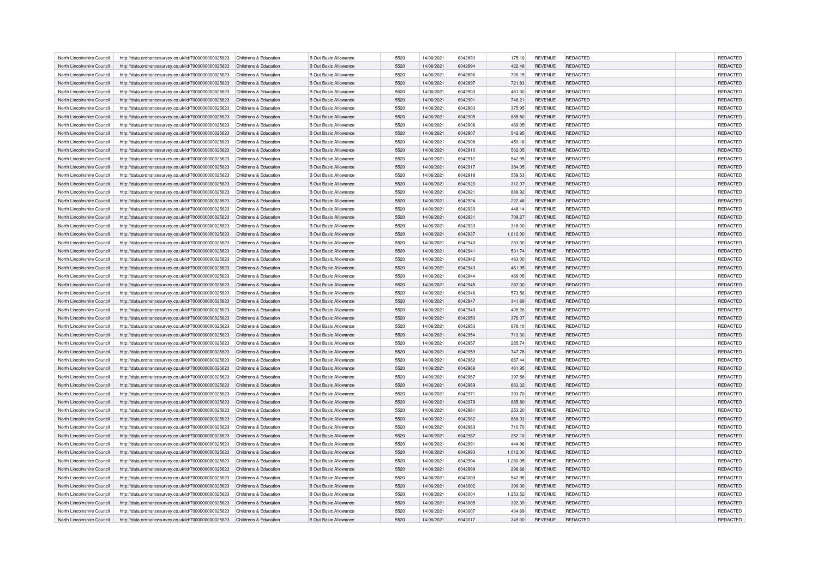| North Lincolnshire Council                               | http://data.ordnancesurvey.co.uk/id/7000000000025623                                                         | Childrens & Education                          | <b>B Out Basic Allowance</b>                                 | 5520         | 14/06/2021               | 6042893            | 175.10           | <b>REVENUE</b>                   | REDACTED                           | REDACTED             |
|----------------------------------------------------------|--------------------------------------------------------------------------------------------------------------|------------------------------------------------|--------------------------------------------------------------|--------------|--------------------------|--------------------|------------------|----------------------------------|------------------------------------|----------------------|
| North Lincolnshire Council                               | http://data.ordnancesurvey.co.uk/id/7000000000025623                                                         | Childrens & Education                          | <b>B Out Basic Allowance</b>                                 | 5520         | 14/06/2021               | 6042894            | 422.48           | <b>REVENUE</b>                   | REDACTED                           | REDACTED             |
| North Lincolnshire Council                               | http://data.ordnancesurvey.co.uk/id/7000000000025623                                                         | Childrens & Education                          | <b>B Out Basic Allowance</b>                                 | 5520         | 14/06/2021               | 6042896            | 726.15           | <b>REVENUE</b>                   | <b>REDACTED</b>                    | REDACTED             |
| North Lincolnshire Council                               | http://data.ordnancesurvey.co.uk/id/7000000000025623                                                         | Childrens & Education                          | <b>B Out Basic Allowance</b>                                 | 5520         | 14/06/2021               | 6042897            | 721.83           | <b>REVENUE</b>                   | <b>REDACTED</b>                    | REDACTED             |
| North Lincolnshire Council                               | http://data.ordnancesurvey.co.uk/id/7000000000025623                                                         | Childrens & Education                          | <b>B Out Basic Allowance</b>                                 | 5520         | 14/06/2021               | 6042900            | 481.30           | <b>REVENUE</b>                   | REDACTED                           | REDACTED             |
| North Lincolnshire Council                               | http://data.ordnancesurvey.co.uk/id/7000000000025623                                                         | Childrens & Education                          | <b>B Out Basic Allowance</b>                                 | 5520         | 14/06/2021               | 6042901            | 746.21           | <b>REVENUE</b>                   | REDACTED                           | REDACTED             |
| North Lincolnshire Council                               | http://data.ordnancesurvey.co.uk/id/7000000000025623                                                         | Childrens & Education                          | <b>B Out Basic Allowance</b>                                 | 5520         | 14/06/2021               | 6042903            | 375.95           | <b>REVENUE</b>                   | REDACTED                           | REDACTED             |
| North Lincolnshire Council                               | http://data.ordnancesurvey.co.uk/id/7000000000025623                                                         | Childrens & Education                          | <b>B Out Basic Allowance</b>                                 | 5520         | 14/06/2021               | 6042905            | 885.80           | <b>REVENUE</b>                   | REDACTED                           | REDACTED             |
| North Lincolnshire Council                               | http://data.ordnancesurvey.co.uk/id/7000000000025623                                                         | Childrens & Education                          | <b>B Out Basic Allowance</b>                                 | 5520         | 14/06/2021               | 6042906            | 469.05           | <b>REVENUE</b>                   | REDACTED                           | REDACTED             |
| North Lincolnshire Council                               | http://data.ordnancesurvey.co.uk/id/7000000000025623                                                         | Childrens & Education                          | <b>B Out Basic Allowance</b>                                 | 5520         | 14/06/2021               | 6042907            | 542.95           | <b>REVENUE</b>                   | <b>REDACTED</b>                    | REDACTED             |
| North Lincolnshire Council                               | http://data.ordnancesurvey.co.uk/id/7000000000025623                                                         | Childrens & Education                          | <b>B Out Basic Allowance</b>                                 | 5520         | 14/06/2021               | 6042908            | 459.16           | <b>REVENUE</b>                   | REDACTED                           | REDACTED             |
| North Lincolnshire Council                               | http://data.ordnancesurvey.co.uk/id/7000000000025623                                                         | Childrens & Education                          | <b>B Out Basic Allowance</b>                                 | 5520         | 14/06/2021               | 6042910            | 532.05           | <b>REVENUE</b>                   | REDACTED                           | REDACTED             |
| North Lincolnshire Council                               | http://data.ordnancesurvey.co.uk/id/7000000000025623                                                         | Childrens & Education                          | <b>B Out Basic Allowance</b>                                 | 5520         | 14/06/2021               | 6042912            | 542.95           | <b>REVENUE</b>                   | REDACTED                           | REDACTED             |
| North Lincolnshire Council                               | http://data.ordnancesurvey.co.uk/id/7000000000025623                                                         | Childrens & Education                          | <b>B Out Basic Allowance</b>                                 | 5520         | 14/06/2021               | 6042917            | 384.05           | <b>REVENUE</b>                   | REDACTED                           | REDACTED             |
| North Lincolnshire Council                               | http://data.ordnancesurvey.co.uk/id/7000000000025623                                                         | Childrens & Education                          | <b>B Out Basic Allowance</b>                                 | 5520         | 14/06/2021               | 6042918            | 559.53           | <b>REVENUE</b>                   | REDACTED                           | REDACTED             |
| North Lincolnshire Council                               | http://data.ordnancesurvey.co.uk/id/7000000000025623                                                         | Childrens & Education                          | <b>B Out Basic Allowance</b>                                 | 5520         | 14/06/2021               | 6042920            | 312.07           | <b>REVENUE</b>                   | <b>REDACTED</b>                    | REDACTED             |
| North Lincolnshire Council                               | http://data.ordnancesurvey.co.uk/id/7000000000025623                                                         | Childrens & Education                          | <b>B Out Basic Allowance</b>                                 | 5520         | 14/06/2021               | 6042921            | 889.92           | <b>REVENUE</b>                   | REDACTED                           | REDACTED             |
| North Lincolnshire Council                               | http://data.ordnancesurvey.co.uk/id/7000000000025623                                                         | Childrens & Education                          | <b>B Out Basic Allowance</b>                                 | 5520         | 14/06/2021               | 6042924            | 222.48           | <b>REVENUE</b>                   | <b>REDACTED</b>                    | REDACTED             |
| North Lincolnshire Council                               | http://data.ordnancesurvey.co.uk/id/7000000000025623                                                         | Childrens & Education                          | <b>B Out Basic Allowance</b>                                 | 5520         | 14/06/2021               | 6042930            | 448.14           | <b>REVENUE</b>                   | REDACTED                           | REDACTED             |
| North Lincolnshire Council                               | http://data.ordnancesurvey.co.uk/id/7000000000025623                                                         | Childrens & Education                          | <b>B Out Basic Allowance</b>                                 | 5520         | 14/06/2021               | 6042931            | 709.27           | <b>REVENUE</b>                   | REDACTED                           | REDACTED             |
| North Lincolnshire Council                               | http://data.ordnancesurvey.co.uk/id/7000000000025623                                                         | Childrens & Education                          | <b>B Out Basic Allowance</b>                                 | 5520         | 14/06/2021               | 6042933            | 318.00           | <b>REVENUE</b>                   | <b>REDACTED</b>                    | REDACTED             |
| North Lincolnshire Council                               | http://data.ordnancesurvey.co.uk/id/7000000000025623                                                         | Childrens & Education                          | <b>B Out Basic Allowance</b>                                 | 5520         | 14/06/2021               | 6042937            | 1,012.00         | <b>REVENUE</b>                   | <b>REDACTED</b>                    | REDACTED             |
| North Lincolnshire Council                               | http://data.ordnancesurvey.co.uk/id/7000000000025623                                                         | Childrens & Education                          | <b>B Out Basic Allowance</b>                                 | 5520         | 14/06/2021               | 6042940            | 283.00           | <b>REVENUE</b>                   | REDACTED                           | REDACTED             |
| North Lincolnshire Council                               | http://data.ordnancesurvey.co.uk/id/7000000000025623                                                         | Childrens & Education                          | <b>B Out Basic Allowance</b>                                 | 5520         | 14/06/2021               | 6042941            | 531.74           | <b>REVENUE</b>                   | <b>REDACTED</b>                    | REDACTED             |
| North Lincolnshire Council                               | http://data.ordnancesurvey.co.uk/id/7000000000025623                                                         | Childrens & Education                          | <b>B Out Basic Allowance</b>                                 | 5520         | 14/06/2021               | 6042942            | 483.00           | <b>REVENUE</b>                   | <b>REDACTED</b>                    | REDACTED             |
| North Lincolnshire Council                               | http://data.ordnancesurvey.co.uk/id/7000000000025623                                                         | Childrens & Education                          | <b>B Out Basic Allowance</b>                                 | 5520         | 14/06/2021               | 6042943            | 461.95           | <b>REVENUE</b>                   | REDACTED                           | REDACTED             |
| North Lincolnshire Council                               | http://data.ordnancesurvey.co.uk/id/7000000000025623                                                         | Childrens & Education                          | <b>B Out Basic Allowance</b>                                 | 5520         | 14/06/2021               | 6042944            | 469.05           | <b>REVENUE</b>                   | <b>REDACTED</b>                    | REDACTED             |
| North Lincolnshire Council                               | http://data.ordnancesurvey.co.uk/id/7000000000025623                                                         | Childrens & Education                          | <b>B Out Basic Allowance</b>                                 | 5520         | 14/06/2021               | 6042945            | 287.00           | <b>REVENUE</b>                   | <b>REDACTED</b>                    | REDACTED             |
| North Lincolnshire Council                               | http://data.ordnancesurvey.co.uk/id/7000000000025623                                                         | Childrens & Education                          | <b>B Out Basic Allowance</b>                                 | 5520         | 14/06/2021               | 6042946            | 573.56           | <b>REVENUE</b>                   | REDACTED                           | REDACTED             |
| North Lincolnshire Council                               | http://data.ordnancesurvey.co.uk/id/7000000000025623                                                         | Childrens & Education                          | <b>B Out Basic Allowance</b>                                 | 5520         | 14/06/2021               | 6042947            | 341.69           | <b>REVENUE</b>                   | <b>REDACTED</b>                    | REDACTED             |
| North Lincolnshire Council                               | http://data.ordnancesurvey.co.uk/id/7000000000025623                                                         | Childrens & Education                          | <b>B Out Basic Allowance</b>                                 | 5520         | 14/06/2021               | 6042949            | 409.26           | <b>REVENUE</b>                   | <b>REDACTED</b>                    | <b>REDACTED</b>      |
| North Lincolnshire Council                               | http://data.ordnancesurvey.co.uk/id/7000000000025623                                                         | Childrens & Education                          | <b>B Out Basic Allowance</b>                                 | 5520         | 14/06/2021               | 6042950            | 376.07           | <b>REVENUE</b>                   | REDACTED                           | REDACTED             |
| North Lincolnshire Council                               | http://data.ordnancesurvey.co.uk/id/7000000000025623                                                         | Childrens & Education                          | <b>B Out Basic Allowance</b>                                 | 5520         | 14/06/2021               | 6042953            | 878.10           | <b>REVENUE</b>                   | REDACTED                           | REDACTED             |
| North Lincolnshire Council                               | http://data.ordnancesurvey.co.uk/id/7000000000025623                                                         | Childrens & Education                          | <b>B Out Basic Allowance</b>                                 | 5520         | 14/06/2021               | 6042954            | 713.30           | <b>REVENUE</b>                   | <b>REDACTED</b>                    | <b>REDACTED</b>      |
| North Lincolnshire Council                               | http://data.ordnancesurvey.co.uk/id/7000000000025623                                                         | Childrens & Education                          | <b>B Out Basic Allowance</b>                                 | 5520         | 14/06/2021               | 6042957            | 265.74           | <b>REVENUE</b>                   | REDACTED                           | REDACTED             |
| North Lincolnshire Council                               | http://data.ordnancesurvey.co.uk/id/7000000000025623                                                         | Childrens & Education                          | <b>B Out Basic Allowance</b>                                 | 5520         | 14/06/2021               | 6042959            | 747.78           | <b>REVENUE</b>                   | <b>REDACTED</b>                    | <b>REDACTED</b>      |
| North Lincolnshire Council                               | http://data.ordnancesurvey.co.uk/id/7000000000025623                                                         | Childrens & Education                          | <b>B Out Basic Allowance</b>                                 | 5520         | 14/06/2021               | 6042962            | 667.44           | <b>REVENUE</b>                   | <b>REDACTED</b>                    | REDACTED             |
| North Lincolnshire Council                               | http://data.ordnancesurvey.co.uk/id/7000000000025623                                                         | Childrens & Education                          | <b>B Out Basic Allowance</b>                                 | 5520         | 14/06/2021               | 6042966            | 461.95           | <b>REVENUE</b>                   | REDACTED                           | <b>REDACTED</b>      |
| North Lincolnshire Council                               | http://data.ordnancesurvey.co.uk/id/7000000000025623                                                         | Childrens & Education                          | <b>B Out Basic Allowance</b>                                 | 5520         | 14/06/2021               | 6042967            | 397.58           | <b>REVENUE</b>                   | REDACTED                           | <b>REDACTED</b>      |
|                                                          |                                                                                                              |                                                |                                                              | 5520         |                          |                    |                  |                                  |                                    | REDACTED             |
| North Lincolnshire Council<br>North Lincolnshire Council | http://data.ordnancesurvey.co.uk/id/7000000000025623<br>http://data.ordnancesurvey.co.uk/id/7000000000025623 | Childrens & Education<br>Childrens & Education | <b>B Out Basic Allowance</b><br><b>B Out Basic Allowance</b> | 5520         | 14/06/2021<br>14/06/2021 | 6042969<br>6042971 | 663.32<br>303.70 | <b>REVENUE</b><br><b>REVENUE</b> | <b>REDACTED</b><br>REDACTED        | <b>REDACTED</b>      |
| North Lincolnshire Council                               |                                                                                                              | Childrens & Education                          | <b>B Out Basic Allowance</b>                                 | 5520         | 14/06/2021               | 6042979            | 885.80           | <b>REVENUE</b>                   | <b>REDACTED</b>                    | <b>REDACTED</b>      |
|                                                          | http://data.ordnancesurvey.co.uk/id/7000000000025623                                                         |                                                |                                                              |              |                          |                    |                  |                                  |                                    |                      |
| North Lincolnshire Council                               | http://data.ordnancesurvey.co.uk/id/7000000000025623                                                         | Childrens & Education<br>Childrens & Education | <b>B Out Basic Allowance</b>                                 | 5520<br>5520 | 14/06/2021               | 6042981<br>6042982 | 253.20           | <b>REVENUE</b>                   | <b>REDACTED</b><br><b>REDACTED</b> | REDACTED             |
| North Lincolnshire Council<br>North Lincolnshire Council | http://data.ordnancesurvey.co.uk/id/7000000000025623                                                         | Childrens & Education                          | <b>B Out Basic Allowance</b><br><b>B Out Basic Allowance</b> | 5520         | 14/06/2021<br>14/06/2021 | 6042983            | 868.03           | <b>REVENUE</b><br><b>REVENUE</b> | REDACTED                           | REDACTED<br>REDACTED |
|                                                          | http://data.ordnancesurvey.co.uk/id/7000000000025623                                                         |                                                |                                                              |              |                          |                    | 710.70           |                                  |                                    |                      |
| North Lincolnshire Council                               | http://data.ordnancesurvey.co.uk/id/7000000000025623                                                         | Childrens & Education                          | <b>B Out Basic Allowance</b>                                 | 5520         | 14/06/2021               | 6042987            | 252.10           | <b>REVENUE</b>                   | <b>REDACTED</b>                    | REDACTED             |
| North Lincolnshire Council<br>North Lincolnshire Council | http://data.ordnancesurvey.co.uk/id/7000000000025623                                                         | Childrens & Education<br>Childrens & Education | <b>B Out Basic Allowance</b><br><b>B Out Basic Allowance</b> | 5520<br>5520 | 14/06/2021<br>14/06/2021 | 6042991<br>6042993 | 444.96           | <b>REVENUE</b><br><b>REVENUE</b> | REDACTED<br><b>REDACTED</b>        | REDACTED             |
|                                                          | http://data.ordnancesurvey.co.uk/id/7000000000025623                                                         |                                                |                                                              |              |                          |                    | 1,012.00         |                                  |                                    | REDACTED             |
| North Lincolnshire Council                               | http://data.ordnancesurvey.co.uk/id/7000000000025623                                                         | Childrens & Education                          | <b>B Out Basic Allowance</b>                                 | 5520         | 14/06/2021               | 6042994            | 1,280.05         | <b>REVENUE</b>                   | <b>REDACTED</b>                    | REDACTED             |
| North Lincolnshire Council                               | http://data.ordnancesurvey.co.uk/id/7000000000025623                                                         | Childrens & Education                          | <b>B Out Basic Allowance</b>                                 | 5520         | 14/06/2021               | 6042999            | 296.66           | <b>REVENUE</b>                   | REDACTED                           | REDACTED             |
| North Lincolnshire Council                               | http://data.ordnancesurvey.co.uk/id/7000000000025623                                                         | Childrens & Education                          | <b>B Out Basic Allowance</b>                                 | 5520         | 14/06/2021               | 6043000            | 542.95           | <b>REVENUE</b>                   | <b>REDACTED</b>                    | <b>REDACTED</b>      |
| North Lincolnshire Council                               | http://data.ordnancesurvey.co.uk/id/7000000000025623                                                         | Childrens & Education                          | <b>B Out Basic Allowance</b>                                 | 5520         | 14/06/2021               | 6043002            | 399.00           | <b>REVENUE</b>                   | <b>REDACTED</b>                    | REDACTED             |
| North Lincolnshire Council                               | http://data.ordnancesurvey.co.uk/id/7000000000025623                                                         | Childrens & Education                          | <b>B Out Basic Allowance</b>                                 | 5520         | 14/06/2021               | 6043004            | 1,253.52         | <b>REVENUE</b>                   | REDACTED                           | REDACTED             |
| North Lincolnshire Council                               | http://data.ordnancesurvey.co.uk/id/7000000000025623                                                         | Childrens & Education                          | <b>B Out Basic Allowance</b>                                 | 5520         | 14/06/2021               | 6043005            | 322.39           | <b>REVENUE</b>                   | <b>REDACTED</b>                    | REDACTED             |
| North Lincolnshire Council                               | http://data.ordnancesurvey.co.uk/id/7000000000025623                                                         | Childrens & Education                          | <b>B Out Basic Allowance</b>                                 | 5520         | 14/06/2021               | 6043007            | 434.69           | <b>REVENUE</b>                   | <b>REDACTED</b>                    | REDACTED             |
| North Lincolnshire Council                               | http://data.ordnancesurvey.co.uk/id/7000000000025623                                                         | Childrens & Education                          | <b>B Out Basic Allowance</b>                                 | 5520         | 14/06/2021               | 6043017            | 349.00           | <b>REVENUE</b>                   | REDACTED                           | REDACTED             |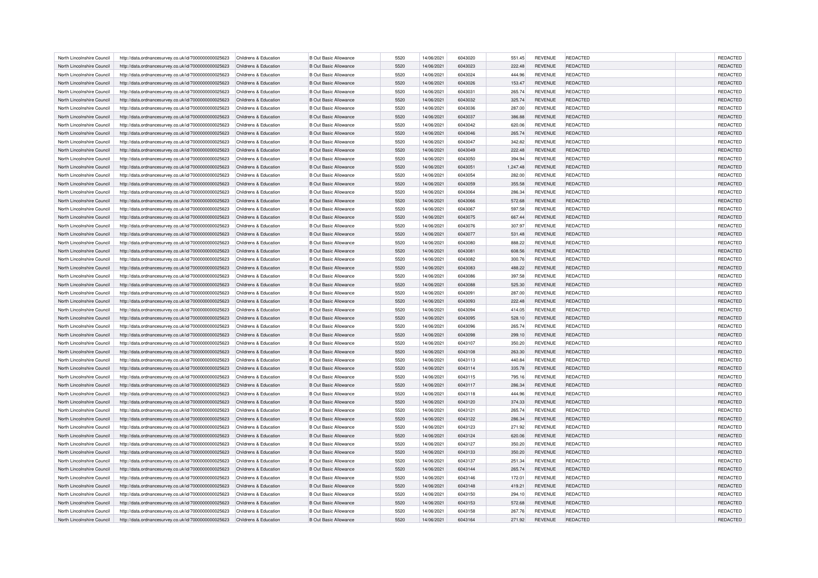| North Lincolnshire Council | http://data.ordnancesurvey.co.uk/id/7000000000025623 | Childrens & Education | <b>B Out Basic Allowance</b> | 5520         | 14/06/2021 | 6043020 | 551.45           | <b>REVENUE</b> | REDACTED        | REDACTED             |
|----------------------------|------------------------------------------------------|-----------------------|------------------------------|--------------|------------|---------|------------------|----------------|-----------------|----------------------|
| North Lincolnshire Council | http://data.ordnancesurvey.co.uk/id/7000000000025623 | Childrens & Education | <b>B Out Basic Allowance</b> | 5520         | 14/06/2021 | 6043023 | 222.48           | <b>REVENUE</b> | REDACTED        | REDACTED             |
| North Lincolnshire Council | http://data.ordnancesurvey.co.uk/id/7000000000025623 | Childrens & Education | <b>B Out Basic Allowance</b> | 5520         | 14/06/2021 | 6043024 | 444.96           | <b>REVENUE</b> | <b>REDACTED</b> | <b>REDACTED</b>      |
| North Lincolnshire Council | http://data.ordnancesurvey.co.uk/id/7000000000025623 | Childrens & Education | <b>B Out Basic Allowance</b> | 5520         | 14/06/2021 | 6043026 | 153.47           | <b>REVENUE</b> | <b>REDACTED</b> | REDACTED             |
| North Lincolnshire Council | http://data.ordnancesurvey.co.uk/id/7000000000025623 | Childrens & Education | <b>B Out Basic Allowance</b> | 5520         | 14/06/2021 | 6043031 | 265.74           | <b>REVENUE</b> | REDACTED        | REDACTED             |
| North Lincolnshire Council | http://data.ordnancesurvey.co.uk/id/7000000000025623 | Childrens & Education | <b>B Out Basic Allowance</b> | 5520         | 14/06/2021 | 6043032 | 325.74           | <b>REVENUE</b> | REDACTED        | REDACTED             |
| North Lincolnshire Council | http://data.ordnancesurvey.co.uk/id/7000000000025623 | Childrens & Education | <b>B Out Basic Allowance</b> | 5520         | 14/06/2021 | 6043036 | 287.00           | <b>REVENUE</b> | REDACTED        | REDACTED             |
| North Lincolnshire Council | http://data.ordnancesurvey.co.uk/id/7000000000025623 | Childrens & Education | <b>B Out Basic Allowance</b> | 5520         | 14/06/2021 | 6043037 | 386.88           | <b>REVENUE</b> | REDACTED        | REDACTED             |
| North Lincolnshire Council | http://data.ordnancesurvey.co.uk/id/7000000000025623 | Childrens & Education | <b>B Out Basic Allowance</b> | 5520         | 14/06/2021 | 6043042 | 620.06           | <b>REVENUE</b> | REDACTED        | REDACTED             |
| North Lincolnshire Council | http://data.ordnancesurvey.co.uk/id/7000000000025623 | Childrens & Education | <b>B Out Basic Allowance</b> | 5520         | 14/06/2021 | 6043046 | 265.74           | <b>REVENUE</b> | <b>REDACTED</b> | REDACTED             |
| North Lincolnshire Council | http://data.ordnancesurvey.co.uk/id/7000000000025623 | Childrens & Education | <b>B Out Basic Allowance</b> | 5520         | 14/06/2021 | 6043047 | 342.82           | <b>REVENUE</b> | REDACTED        | REDACTED             |
| North Lincolnshire Council | http://data.ordnancesurvey.co.uk/id/7000000000025623 | Childrens & Education | <b>B Out Basic Allowance</b> | 5520         | 14/06/2021 | 6043049 | 222.48           | <b>REVENUE</b> | REDACTED        | REDACTED             |
| North Lincolnshire Council | http://data.ordnancesurvey.co.uk/id/7000000000025623 | Childrens & Education | <b>B Out Basic Allowance</b> | 5520         | 14/06/2021 | 6043050 | 394.94           | <b>REVENUE</b> | REDACTED        | REDACTED             |
| North Lincolnshire Council | http://data.ordnancesurvey.co.uk/id/7000000000025623 | Childrens & Education | <b>B Out Basic Allowance</b> | 5520         | 14/06/2021 | 6043051 | 1,247.48         | <b>REVENUE</b> | REDACTED        | REDACTED             |
| North Lincolnshire Council | http://data.ordnancesurvey.co.uk/id/7000000000025623 | Childrens & Education | <b>B Out Basic Allowance</b> | 5520         | 14/06/2021 | 6043054 | 282.00           | <b>REVENUE</b> | REDACTED        | REDACTED             |
| North Lincolnshire Council | http://data.ordnancesurvey.co.uk/id/7000000000025623 | Childrens & Education | <b>B Out Basic Allowance</b> | 5520         | 14/06/2021 | 6043059 | 355.58           | <b>REVENUE</b> | <b>REDACTED</b> | REDACTED             |
| North Lincolnshire Council | http://data.ordnancesurvey.co.uk/id/7000000000025623 | Childrens & Education | <b>B Out Basic Allowance</b> | 5520         | 14/06/2021 | 6043064 | 286.34           | <b>REVENUE</b> | REDACTED        | REDACTED             |
| North Lincolnshire Council | http://data.ordnancesurvey.co.uk/id/7000000000025623 | Childrens & Education | <b>B Out Basic Allowance</b> | 5520         | 14/06/2021 | 6043066 | 572.68           | <b>REVENUE</b> | <b>REDACTED</b> | REDACTED             |
| North Lincolnshire Council | http://data.ordnancesurvey.co.uk/id/7000000000025623 | Childrens & Education | <b>B Out Basic Allowance</b> | 5520         | 14/06/2021 | 6043067 | 597.58           | <b>REVENUE</b> | REDACTED        | REDACTED             |
| North Lincolnshire Council | http://data.ordnancesurvey.co.uk/id/7000000000025623 | Childrens & Education | <b>B Out Basic Allowance</b> | 5520         | 14/06/2021 | 6043075 | 667.44           | <b>REVENUE</b> | REDACTED        | REDACTED             |
| North Lincolnshire Council | http://data.ordnancesurvey.co.uk/id/7000000000025623 | Childrens & Education | <b>B Out Basic Allowance</b> | 5520         | 14/06/2021 | 6043076 | 307.97           | <b>REVENUE</b> | <b>REDACTED</b> | REDACTED             |
| North Lincolnshire Council | http://data.ordnancesurvey.co.uk/id/7000000000025623 | Childrens & Education | <b>B Out Basic Allowance</b> | 5520         | 14/06/2021 | 6043077 | 531.48           | <b>REVENUE</b> | <b>REDACTED</b> | REDACTED             |
| North Lincolnshire Council | http://data.ordnancesurvey.co.uk/id/7000000000025623 | Childrens & Education | <b>B Out Basic Allowance</b> | 5520         | 14/06/2021 | 6043080 | 888.22           | <b>REVENUE</b> | REDACTED        | REDACTED             |
| North Lincolnshire Council | http://data.ordnancesurvey.co.uk/id/7000000000025623 | Childrens & Education | <b>B Out Basic Allowance</b> | 5520         | 14/06/2021 | 6043081 | 608.56           | <b>REVENUE</b> | <b>REDACTED</b> | REDACTED             |
| North Lincolnshire Council | http://data.ordnancesurvey.co.uk/id/7000000000025623 | Childrens & Education | <b>B Out Basic Allowance</b> | 5520         | 14/06/2021 | 6043082 |                  | <b>REVENUE</b> | <b>REDACTED</b> | REDACTED             |
| North Lincolnshire Council | http://data.ordnancesurvey.co.uk/id/7000000000025623 | Childrens & Education | <b>B Out Basic Allowance</b> | 5520         | 14/06/2021 | 6043083 | 300.76<br>488.22 | <b>REVENUE</b> | REDACTED        | REDACTED             |
| North Lincolnshire Council | http://data.ordnancesurvey.co.uk/id/7000000000025623 | Childrens & Education | <b>B Out Basic Allowance</b> | 5520         | 14/06/2021 | 6043086 | 397.58           | <b>REVENUE</b> | REDACTED        | REDACTED             |
| North Lincolnshire Council | http://data.ordnancesurvey.co.uk/id/7000000000025623 | Childrens & Education | <b>B Out Basic Allowance</b> | 5520         | 14/06/2021 | 6043088 | 525.30           | <b>REVENUE</b> | <b>REDACTED</b> | REDACTED             |
| North Lincolnshire Council |                                                      | Childrens & Education | <b>B Out Basic Allowance</b> | 5520         | 14/06/2021 | 6043091 |                  | <b>REVENUE</b> | REDACTED        |                      |
| North Lincolnshire Council | http://data.ordnancesurvey.co.uk/id/7000000000025623 | Childrens & Education | <b>B Out Basic Allowance</b> | 5520         | 14/06/2021 | 6043093 | 287.00<br>222.48 | <b>REVENUE</b> | <b>REDACTED</b> | REDACTED<br>REDACTED |
|                            | http://data.ordnancesurvey.co.uk/id/7000000000025623 |                       | <b>B Out Basic Allowance</b> | 5520         | 14/06/2021 | 6043094 |                  | <b>REVENUE</b> | <b>REDACTED</b> | REDACTED             |
| North Lincolnshire Council | http://data.ordnancesurvey.co.uk/id/7000000000025623 | Childrens & Education |                              |              |            |         | 414.05           |                |                 |                      |
| North Lincolnshire Council | http://data.ordnancesurvey.co.uk/id/7000000000025623 | Childrens & Education | <b>B Out Basic Allowance</b> | 5520         | 14/06/2021 | 6043095 | 528.10           | <b>REVENUE</b> | <b>REDACTED</b> | REDACTED             |
| North Lincolnshire Council | http://data.ordnancesurvey.co.uk/id/7000000000025623 | Childrens & Education | <b>B Out Basic Allowance</b> | 5520<br>5520 | 14/06/2021 | 6043096 | 265.74           | <b>REVENUE</b> | REDACTED        | REDACTED             |
| North Lincolnshire Council | http://data.ordnancesurvey.co.uk/id/7000000000025623 | Childrens & Education | <b>B Out Basic Allowance</b> |              | 14/06/2021 | 6043098 | 299.10           | <b>REVENUE</b> | <b>REDACTED</b> | <b>REDACTED</b>      |
| North Lincolnshire Council | http://data.ordnancesurvey.co.uk/id/7000000000025623 | Childrens & Education | <b>B Out Basic Allowance</b> | 5520         | 14/06/2021 | 6043107 | 350.20           | <b>REVENUE</b> | REDACTED        | REDACTED             |
| North Lincolnshire Council | http://data.ordnancesurvey.co.uk/id/7000000000025623 | Childrens & Education | <b>B Out Basic Allowance</b> | 5520         | 14/06/2021 | 6043108 | 263.30           | <b>REVENUE</b> | <b>REDACTED</b> | <b>REDACTED</b>      |
| North Lincolnshire Council | http://data.ordnancesurvey.co.uk/id/7000000000025623 | Childrens & Education | <b>B Out Basic Allowance</b> | 5520         | 14/06/2021 | 6043113 | 440.84           | <b>REVENUE</b> | <b>REDACTED</b> | REDACTED             |
| North Lincolnshire Council | http://data.ordnancesurvey.co.uk/id/7000000000025623 | Childrens & Education | <b>B Out Basic Allowance</b> | 5520         | 14/06/2021 | 6043114 | 335.78           | <b>REVENUE</b> | REDACTED        | <b>REDACTED</b>      |
| North Lincolnshire Council | http://data.ordnancesurvey.co.uk/id/7000000000025623 | Childrens & Education | <b>B Out Basic Allowance</b> | 5520         | 14/06/2021 | 6043115 | 795.16           | <b>REVENUE</b> | REDACTED        | <b>REDACTED</b>      |
| North Lincolnshire Council | http://data.ordnancesurvey.co.uk/id/7000000000025623 | Childrens & Education | <b>B Out Basic Allowance</b> | 5520         | 14/06/2021 | 6043117 | 286.34           | <b>REVENUE</b> | <b>REDACTED</b> | REDACTED             |
| North Lincolnshire Council | http://data.ordnancesurvey.co.uk/id/7000000000025623 | Childrens & Education | <b>B Out Basic Allowance</b> | 5520         | 14/06/2021 | 6043118 | 444.96           | <b>REVENUE</b> | REDACTED        | <b>REDACTED</b>      |
| North Lincolnshire Council | http://data.ordnancesurvey.co.uk/id/7000000000025623 | Childrens & Education | <b>B Out Basic Allowance</b> | 5520         | 14/06/2021 | 6043120 | 374.33           | <b>REVENUE</b> | <b>REDACTED</b> | <b>REDACTED</b>      |
| North Lincolnshire Council | http://data.ordnancesurvey.co.uk/id/7000000000025623 | Childrens & Education | <b>B Out Basic Allowance</b> | 5520         | 14/06/2021 | 6043121 | 265.74           | <b>REVENUE</b> | <b>REDACTED</b> | REDACTED             |
| North Lincolnshire Council | http://data.ordnancesurvey.co.uk/id/7000000000025623 | Childrens & Education | <b>B Out Basic Allowance</b> | 5520         | 14/06/2021 | 6043122 | 286.34           | <b>REVENUE</b> | <b>REDACTED</b> | REDACTED             |
| North Lincolnshire Council | http://data.ordnancesurvey.co.uk/id/7000000000025623 | Childrens & Education | <b>B Out Basic Allowance</b> | 5520         | 14/06/2021 | 6043123 | 271.92           | <b>REVENUE</b> | <b>REDACTED</b> | REDACTED             |
| North Lincolnshire Council | http://data.ordnancesurvey.co.uk/id/7000000000025623 | Childrens & Education | <b>B Out Basic Allowance</b> | 5520         | 14/06/2021 | 6043124 | 620.06           | <b>REVENUE</b> | <b>REDACTED</b> | REDACTED             |
| North Lincolnshire Council | http://data.ordnancesurvey.co.uk/id/7000000000025623 | Childrens & Education | <b>B Out Basic Allowance</b> | 5520         | 14/06/2021 | 6043127 | 350.20           | <b>REVENUE</b> | REDACTED        | REDACTED             |
| North Lincolnshire Council | http://data.ordnancesurvey.co.uk/id/7000000000025623 | Childrens & Education | <b>B Out Basic Allowance</b> | 5520         | 14/06/2021 | 6043133 | 350.20           | <b>REVENUE</b> | <b>REDACTED</b> | REDACTED             |
| North Lincolnshire Council | http://data.ordnancesurvey.co.uk/id/7000000000025623 | Childrens & Education | <b>B Out Basic Allowance</b> | 5520         | 14/06/2021 | 6043137 | 251.34           | <b>REVENUE</b> | <b>REDACTED</b> | REDACTED             |
| North Lincolnshire Council | http://data.ordnancesurvey.co.uk/id/7000000000025623 | Childrens & Education | <b>B Out Basic Allowance</b> | 5520         | 14/06/2021 | 6043144 | 265.74           | <b>REVENUE</b> | REDACTED        | REDACTED             |
| North Lincolnshire Council | http://data.ordnancesurvey.co.uk/id/7000000000025623 | Childrens & Education | <b>B Out Basic Allowance</b> | 5520         | 14/06/2021 | 6043146 | 172.01           | <b>REVENUE</b> | <b>REDACTED</b> | <b>REDACTED</b>      |
| North Lincolnshire Council | http://data.ordnancesurvey.co.uk/id/7000000000025623 | Childrens & Education | <b>B Out Basic Allowance</b> | 5520         | 14/06/2021 | 6043148 | 419.21           | <b>REVENUE</b> | <b>REDACTED</b> | REDACTED             |
| North Lincolnshire Council | http://data.ordnancesurvey.co.uk/id/7000000000025623 | Childrens & Education | <b>B Out Basic Allowance</b> | 5520         | 14/06/2021 | 6043150 | 294.10           | <b>REVENUE</b> | REDACTED        | REDACTED             |
| North Lincolnshire Council | http://data.ordnancesurvey.co.uk/id/7000000000025623 | Childrens & Education | <b>B Out Basic Allowance</b> | 5520         | 14/06/2021 | 6043153 | 572.68           | <b>REVENUE</b> | <b>REDACTED</b> | REDACTED             |
| North Lincolnshire Council | http://data.ordnancesurvey.co.uk/id/7000000000025623 | Childrens & Education | <b>B Out Basic Allowance</b> | 5520         | 14/06/2021 | 6043158 | 267.76           | <b>REVENUE</b> | <b>REDACTED</b> | REDACTED             |
| North Lincolnshire Council | http://data.ordnancesurvey.co.uk/id/7000000000025623 | Childrens & Education | <b>B Out Basic Allowance</b> | 5520         | 14/06/2021 | 6043164 | 271.92           | <b>REVENUE</b> | REDACTED        | REDACTED             |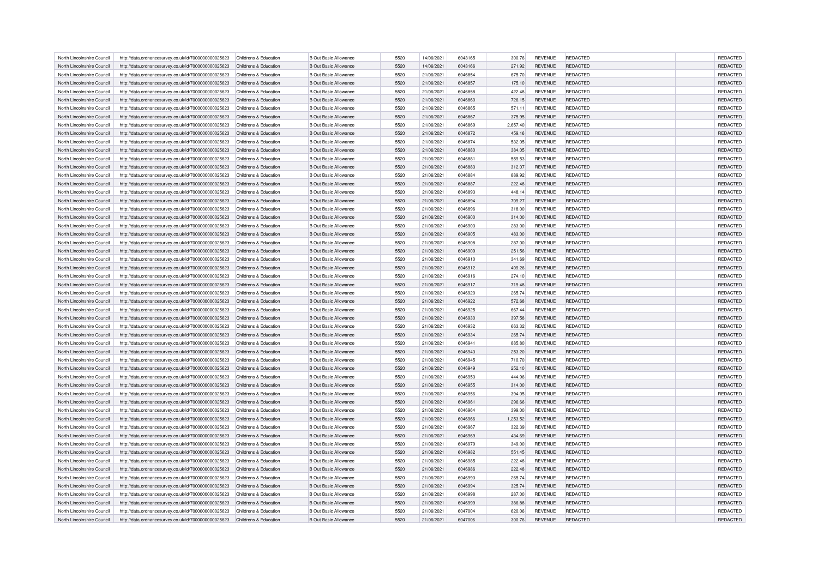| North Lincolnshire Council                               | http://data.ordnancesurvey.co.uk/id/7000000000025623 | Childrens & Education                          | <b>B Out Basic Allowance</b>                                 | 5520         | 14/06/2021               | 6043165            | 300.76           | <b>REVENUE</b>                   | REDACTED                    | REDACTED             |
|----------------------------------------------------------|------------------------------------------------------|------------------------------------------------|--------------------------------------------------------------|--------------|--------------------------|--------------------|------------------|----------------------------------|-----------------------------|----------------------|
| North Lincolnshire Council                               | http://data.ordnancesurvey.co.uk/id/7000000000025623 | Childrens & Education                          | <b>B Out Basic Allowance</b>                                 | 5520         | 14/06/2021               | 6043166            | 271.92           | <b>REVENUE</b>                   | REDACTED                    | REDACTED             |
| North Lincolnshire Council                               | http://data.ordnancesurvey.co.uk/id/7000000000025623 | Childrens & Education                          | <b>B Out Basic Allowance</b>                                 | 5520         | 21/06/2021               | 6046854            | 675.70           | <b>REVENUE</b>                   | <b>REDACTED</b>             | REDACTED             |
| North Lincolnshire Council                               | http://data.ordnancesurvey.co.uk/id/7000000000025623 | Childrens & Education                          | <b>B Out Basic Allowance</b>                                 | 5520         | 21/06/2021               | 6046857            | 175.10           | <b>REVENUE</b>                   | <b>REDACTED</b>             | REDACTED             |
| North Lincolnshire Council                               | http://data.ordnancesurvey.co.uk/id/7000000000025623 | Childrens & Education                          | <b>B Out Basic Allowance</b>                                 | 5520         | 21/06/2021               | 6046858            | 422.48           | <b>REVENUE</b>                   | REDACTED                    | REDACTED             |
| North Lincolnshire Council                               | http://data.ordnancesurvey.co.uk/id/7000000000025623 | Childrens & Education                          | <b>B Out Basic Allowance</b>                                 | 5520         | 21/06/2021               | 6046860            | 726.15           | <b>REVENUE</b>                   | REDACTED                    | REDACTED             |
| North Lincolnshire Council                               | http://data.ordnancesurvey.co.uk/id/7000000000025623 | Childrens & Education                          | <b>B Out Basic Allowance</b>                                 | 5520         | 21/06/2021               | 6046865            | 571.11           | <b>REVENUE</b>                   | REDACTED                    | REDACTED             |
| North Lincolnshire Council                               | http://data.ordnancesurvey.co.uk/id/7000000000025623 | Childrens & Education                          | <b>B Out Basic Allowance</b>                                 | 5520         | 21/06/2021               | 6046867            | 375.95           | <b>REVENUE</b>                   | REDACTED                    | REDACTED             |
| North Lincolnshire Council                               | http://data.ordnancesurvey.co.uk/id/7000000000025623 | Childrens & Education                          | <b>B Out Basic Allowance</b>                                 | 5520         | 21/06/2021               | 6046869            | 2,657.40         | <b>REVENUE</b>                   | REDACTED                    | REDACTED             |
| North Lincolnshire Council                               | http://data.ordnancesurvey.co.uk/id/7000000000025623 | Childrens & Education                          | <b>B Out Basic Allowance</b>                                 | 5520         | 21/06/2021               | 6046872            | 459.16           | <b>REVENUE</b>                   | <b>REDACTED</b>             | REDACTED             |
| North Lincolnshire Council                               | http://data.ordnancesurvey.co.uk/id/7000000000025623 | Childrens & Education                          | <b>B Out Basic Allowance</b>                                 | 5520         | 21/06/2021               | 6046874            | 532.05           | <b>REVENUE</b>                   | REDACTED                    | REDACTED             |
| North Lincolnshire Council                               | http://data.ordnancesurvey.co.uk/id/7000000000025623 | Childrens & Education                          | <b>B Out Basic Allowance</b>                                 | 5520         | 21/06/2021               | 6046880            | 384.05           | <b>REVENUE</b>                   | REDACTED                    | REDACTED             |
| North Lincolnshire Council                               | http://data.ordnancesurvey.co.uk/id/7000000000025623 | Childrens & Education                          | <b>B Out Basic Allowance</b>                                 | 5520         | 21/06/2021               | 6046881            | 559.53           | <b>REVENUE</b>                   | REDACTED                    | REDACTED             |
| North Lincolnshire Council                               | http://data.ordnancesurvey.co.uk/id/7000000000025623 | Childrens & Education                          | <b>B Out Basic Allowance</b>                                 | 5520         | 21/06/2021               | 6046883            | 312.07           | <b>REVENUE</b>                   | REDACTED                    | REDACTED             |
| North Lincolnshire Council                               | http://data.ordnancesurvey.co.uk/id/7000000000025623 | Childrens & Education                          | <b>B Out Basic Allowance</b>                                 | 5520         | 21/06/2021               | 6046884            | 889.92           | <b>REVENUE</b>                   | REDACTED                    | REDACTED             |
| North Lincolnshire Council                               | http://data.ordnancesurvey.co.uk/id/7000000000025623 | Childrens & Education                          | <b>B Out Basic Allowance</b>                                 | 5520         | 21/06/2021               | 6046887            | 222.48           | <b>REVENUE</b>                   | <b>REDACTED</b>             | REDACTED             |
| North Lincolnshire Council                               | http://data.ordnancesurvey.co.uk/id/7000000000025623 | Childrens & Education                          | <b>B Out Basic Allowance</b>                                 | 5520         | 21/06/2021               | 6046893            | 448.14           | <b>REVENUE</b>                   | REDACTED                    | REDACTED             |
| North Lincolnshire Council                               | http://data.ordnancesurvey.co.uk/id/7000000000025623 | Childrens & Education                          | <b>B Out Basic Allowance</b>                                 | 5520         | 21/06/2021               | 6046894            | 709.27           | <b>REVENUE</b>                   | <b>REDACTED</b>             | REDACTED             |
| North Lincolnshire Council                               | http://data.ordnancesurvey.co.uk/id/7000000000025623 | Childrens & Education                          | <b>B Out Basic Allowance</b>                                 | 5520         | 21/06/2021               | 6046896            | 318.00           | <b>REVENUE</b>                   | REDACTED                    | REDACTED             |
| North Lincolnshire Council                               | http://data.ordnancesurvey.co.uk/id/7000000000025623 | Childrens & Education                          | <b>B Out Basic Allowance</b>                                 | 5520         | 21/06/2021               | 6046900            | 314.00           | <b>REVENUE</b>                   | REDACTED                    | REDACTED             |
| North Lincolnshire Council                               | http://data.ordnancesurvey.co.uk/id/7000000000025623 | Childrens & Education                          | <b>B Out Basic Allowance</b>                                 | 5520         | 21/06/2021               | 6046903            | 283.00           | <b>REVENUE</b>                   | <b>REDACTED</b>             | REDACTED             |
| North Lincolnshire Council                               | http://data.ordnancesurvey.co.uk/id/7000000000025623 | Childrens & Education                          | <b>B Out Basic Allowance</b>                                 | 5520         | 21/06/2021               | 6046905            | 483.00           | <b>REVENUE</b>                   | <b>REDACTED</b>             | REDACTED             |
| North Lincolnshire Council                               | http://data.ordnancesurvey.co.uk/id/7000000000025623 | Childrens & Education                          | <b>B Out Basic Allowance</b>                                 | 5520         | 21/06/2021               | 6046908            | 287.00           | <b>REVENUE</b>                   | REDACTED                    | REDACTED             |
| North Lincolnshire Council                               | http://data.ordnancesurvey.co.uk/id/7000000000025623 | Childrens & Education                          | <b>B Out Basic Allowance</b>                                 | 5520         | 21/06/2021               | 6046909            | 251.56           | <b>REVENUE</b>                   | <b>REDACTED</b>             | REDACTED             |
| North Lincolnshire Council                               |                                                      | Childrens & Education                          | <b>B Out Basic Allowance</b>                                 | 5520         | 21/06/2021               | 6046910            |                  |                                  | <b>REDACTED</b>             | REDACTED             |
|                                                          | http://data.ordnancesurvey.co.uk/id/7000000000025623 |                                                |                                                              |              |                          |                    | 341.69           | <b>REVENUE</b>                   |                             |                      |
| North Lincolnshire Council<br>North Lincolnshire Council | http://data.ordnancesurvey.co.uk/id/7000000000025623 | Childrens & Education<br>Childrens & Education | <b>B Out Basic Allowance</b><br><b>B Out Basic Allowance</b> | 5520<br>5520 | 21/06/2021<br>21/06/2021 | 6046912<br>6046916 | 409.26<br>274.10 | <b>REVENUE</b><br><b>REVENUE</b> | REDACTED<br><b>REDACTED</b> | REDACTED             |
|                                                          | http://data.ordnancesurvey.co.uk/id/7000000000025623 |                                                |                                                              | 5520         |                          |                    |                  |                                  |                             | REDACTED<br>REDACTED |
| North Lincolnshire Council                               | http://data.ordnancesurvey.co.uk/id/7000000000025623 | Childrens & Education                          | <b>B Out Basic Allowance</b>                                 |              | 21/06/2021               | 6046917            | 719.48           | <b>REVENUE</b>                   | <b>REDACTED</b>             |                      |
| North Lincolnshire Council                               | http://data.ordnancesurvey.co.uk/id/7000000000025623 | Childrens & Education                          | <b>B Out Basic Allowance</b>                                 | 5520         | 21/06/2021               | 6046920            | 265.74           | <b>REVENUE</b>                   | REDACTED                    | REDACTED             |
| North Lincolnshire Council                               | http://data.ordnancesurvey.co.uk/id/7000000000025623 | Childrens & Education                          | <b>B Out Basic Allowance</b>                                 | 5520         | 21/06/2021               | 6046922            | 572.68           | <b>REVENUE</b>                   | REDACTED                    | REDACTED             |
| North Lincolnshire Council                               | http://data.ordnancesurvey.co.uk/id/7000000000025623 | Childrens & Education                          | <b>B Out Basic Allowance</b>                                 | 5520         | 21/06/2021               | 6046925            | 667.44           | <b>REVENUE</b>                   | <b>REDACTED</b>             | <b>REDACTED</b>      |
| North Lincolnshire Council                               | http://data.ordnancesurvey.co.uk/id/7000000000025623 | Childrens & Education                          | <b>B Out Basic Allowance</b>                                 | 5520         | 21/06/2021               | 6046930            | 397.58           | <b>REVENUE</b>                   | REDACTED                    | REDACTED             |
| North Lincolnshire Council                               | http://data.ordnancesurvey.co.uk/id/7000000000025623 | Childrens & Education                          | <b>B Out Basic Allowance</b>                                 | 5520         | 21/06/2021               | 6046932            | 663.32           | <b>REVENUE</b>                   | REDACTED                    | REDACTED             |
| North Lincolnshire Council                               | http://data.ordnancesurvey.co.uk/id/7000000000025623 | Childrens & Education                          | <b>B Out Basic Allowance</b>                                 | 5520         | 21/06/2021               | 6046934            | 265.74           | <b>REVENUE</b>                   | <b>REDACTED</b>             | <b>REDACTED</b>      |
| North Lincolnshire Council                               | http://data.ordnancesurvey.co.uk/id/7000000000025623 | Childrens & Education                          | <b>B Out Basic Allowance</b>                                 | 5520         | 21/06/2021               | 6046941            | 885.80           | <b>REVENUE</b>                   | REDACTED                    | REDACTED             |
| North Lincolnshire Council                               | http://data.ordnancesurvey.co.uk/id/7000000000025623 | Childrens & Education                          | <b>B Out Basic Allowance</b>                                 | 5520         | 21/06/2021               | 6046943            | 253.20           | <b>REVENUE</b>                   | REDACTED                    | REDACTED             |
| North Lincolnshire Council                               | http://data.ordnancesurvey.co.uk/id/7000000000025623 | Childrens & Education                          | <b>B Out Basic Allowance</b>                                 | 5520         | 21/06/2021               | 6046945            | 710.70           | <b>REVENUE</b>                   | <b>REDACTED</b>             | REDACTED             |
| North Lincolnshire Council                               | http://data.ordnancesurvey.co.uk/id/7000000000025623 | Childrens & Education                          | <b>B Out Basic Allowance</b>                                 | 5520         | 21/06/2021               | 6046949            | 252.10           | <b>REVENUE</b>                   | REDACTED                    | REDACTED             |
| North Lincolnshire Council                               | http://data.ordnancesurvey.co.uk/id/7000000000025623 | Childrens & Education                          | <b>B Out Basic Allowance</b>                                 | 5520         | 21/06/2021               | 6046953            | 444.96           | <b>REVENUE</b>                   | REDACTED                    | <b>REDACTED</b>      |
| North Lincolnshire Council                               | http://data.ordnancesurvey.co.uk/id/7000000000025623 | Childrens & Education                          | <b>B Out Basic Allowance</b>                                 | 5520         | 21/06/2021               | 6046955            | 314.00           | <b>REVENUE</b>                   | <b>REDACTED</b>             | REDACTED             |
| North Lincolnshire Council                               | http://data.ordnancesurvey.co.uk/id/7000000000025623 | Childrens & Education                          | <b>B Out Basic Allowance</b>                                 | 5520         | 21/06/2021               | 6046956            | 394.05           | <b>REVENUE</b>                   | REDACTED                    | <b>REDACTED</b>      |
| North Lincolnshire Council                               | http://data.ordnancesurvey.co.uk/id/7000000000025623 | Childrens & Education                          | <b>B Out Basic Allowance</b>                                 | 5520         | 21/06/2021               | 6046961            | 296.66           | <b>REVENUE</b>                   | <b>REDACTED</b>             | REDACTED             |
| North Lincolnshire Council                               | http://data.ordnancesurvey.co.uk/id/7000000000025623 | Childrens & Education                          | <b>B Out Basic Allowance</b>                                 | 5520         | 21/06/2021               | 6046964            | 399.00           | <b>REVENUE</b>                   | <b>REDACTED</b>             | REDACTED             |
| North Lincolnshire Council                               | http://data.ordnancesurvey.co.uk/id/7000000000025623 | Childrens & Education                          | <b>B Out Basic Allowance</b>                                 | 5520         | 21/06/2021               | 6046966            | 1,253.52         | <b>REVENUE</b>                   | <b>REDACTED</b>             | REDACTED             |
| North Lincolnshire Council                               | http://data.ordnancesurvey.co.uk/id/7000000000025623 | Childrens & Education                          | <b>B Out Basic Allowance</b>                                 | 5520         | 21/06/2021               | 6046967            | 322.39           | <b>REVENUE</b>                   | <b>REDACTED</b>             | REDACTED             |
| North Lincolnshire Council                               | http://data.ordnancesurvey.co.uk/id/7000000000025623 | Childrens & Education                          | <b>B Out Basic Allowance</b>                                 | 5520         | 21/06/2021               | 6046969            | 434.69           | <b>REVENUE</b>                   | <b>REDACTED</b>             | REDACTED             |
| North Lincolnshire Council                               | http://data.ordnancesurvey.co.uk/id/7000000000025623 | Childrens & Education                          | <b>B Out Basic Allowance</b>                                 | 5520         | 21/06/2021               | 6046979            | 349.00           | <b>REVENUE</b>                   | REDACTED                    | REDACTED             |
| North Lincolnshire Council                               | http://data.ordnancesurvey.co.uk/id/7000000000025623 | Childrens & Education                          | <b>B Out Basic Allowance</b>                                 | 5520         | 21/06/2021               | 6046982            | 551.45           | <b>REVENUE</b>                   | <b>REDACTED</b>             | REDACTED             |
| North Lincolnshire Council                               | http://data.ordnancesurvey.co.uk/id/7000000000025623 | Childrens & Education                          | <b>B Out Basic Allowance</b>                                 | 5520         | 21/06/2021               | 6046985            | 222.48           | <b>REVENUE</b>                   | <b>REDACTED</b>             | REDACTED             |
| North Lincolnshire Council                               | http://data.ordnancesurvey.co.uk/id/7000000000025623 | Childrens & Education                          | <b>B Out Basic Allowance</b>                                 | 5520         | 21/06/2021               | 6046986            | 222.48           | <b>REVENUE</b>                   | REDACTED                    | REDACTED             |
| North Lincolnshire Council                               | http://data.ordnancesurvey.co.uk/id/7000000000025623 | Childrens & Education                          | <b>B Out Basic Allowance</b>                                 | 5520         | 21/06/2021               | 6046993            | 265.74           | <b>REVENUE</b>                   | <b>REDACTED</b>             | <b>REDACTED</b>      |
| North Lincolnshire Council                               | http://data.ordnancesurvey.co.uk/id/7000000000025623 | Childrens & Education                          | <b>B Out Basic Allowance</b>                                 | 5520         | 21/06/2021               | 6046994            | 325.74           | <b>REVENUE</b>                   | <b>REDACTED</b>             | REDACTED             |
| North Lincolnshire Council                               | http://data.ordnancesurvey.co.uk/id/7000000000025623 | Childrens & Education                          | <b>B Out Basic Allowance</b>                                 | 5520         | 21/06/2021               | 6046998            | 287.00           | <b>REVENUE</b>                   | REDACTED                    | REDACTED             |
| North Lincolnshire Council                               | http://data.ordnancesurvey.co.uk/id/7000000000025623 | Childrens & Education                          | <b>B Out Basic Allowance</b>                                 | 5520         | 21/06/2021               | 6046999            | 386.88           | <b>REVENUE</b>                   | REDACTED                    | REDACTED             |
| North Lincolnshire Council                               | http://data.ordnancesurvey.co.uk/id/7000000000025623 | Childrens & Education                          | <b>B Out Basic Allowance</b>                                 | 5520         | 21/06/2021               | 6047004            | 620.06           | <b>REVENUE</b>                   | <b>REDACTED</b>             | REDACTED             |
| North Lincolnshire Council                               | http://data.ordnancesurvey.co.uk/id/7000000000025623 | Childrens & Education                          | <b>B Out Basic Allowance</b>                                 | 5520         | 21/06/2021               | 6047006            | 300.76           | <b>REVENUE</b>                   | REDACTED                    | REDACTED             |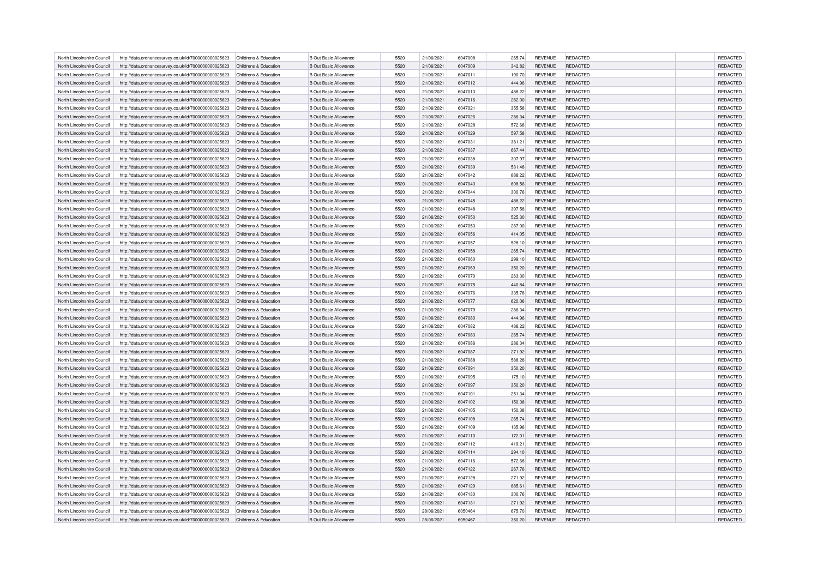| North Lincolnshire Council | http://data.ordnancesurvey.co.uk/id/7000000000025623 | Childrens & Education | <b>B Out Basic Allowance</b> | 5520         | 21/06/2021 | 6047008            | 265.74           | <b>REVENUE</b> | REDACTED        | REDACTED             |
|----------------------------|------------------------------------------------------|-----------------------|------------------------------|--------------|------------|--------------------|------------------|----------------|-----------------|----------------------|
| North Lincolnshire Council | http://data.ordnancesurvey.co.uk/id/7000000000025623 | Childrens & Education | <b>B Out Basic Allowance</b> | 5520         | 21/06/2021 | 6047009            | 342.82           | <b>REVENUE</b> | REDACTED        | REDACTED             |
| North Lincolnshire Council | http://data.ordnancesurvey.co.uk/id/7000000000025623 | Childrens & Education | <b>B Out Basic Allowance</b> | 5520         | 21/06/2021 | 6047011            | 190.70           | <b>REVENUE</b> | <b>REDACTED</b> | REDACTED             |
| North Lincolnshire Council | http://data.ordnancesurvey.co.uk/id/7000000000025623 | Childrens & Education | <b>B Out Basic Allowance</b> | 5520         | 21/06/2021 | 6047012            | 444.96           | <b>REVENUE</b> | <b>REDACTED</b> | REDACTED             |
| North Lincolnshire Council | http://data.ordnancesurvey.co.uk/id/7000000000025623 | Childrens & Education | <b>B Out Basic Allowance</b> | 5520         | 21/06/2021 | 6047013            | 488.22           | <b>REVENUE</b> | REDACTED        | REDACTED             |
| North Lincolnshire Council | http://data.ordnancesurvey.co.uk/id/7000000000025623 | Childrens & Education | <b>B Out Basic Allowance</b> | 5520         | 21/06/2021 | 6047016            | 282.00           | <b>REVENUE</b> | REDACTED        | REDACTED             |
| North Lincolnshire Council | http://data.ordnancesurvey.co.uk/id/7000000000025623 | Childrens & Education | <b>B Out Basic Allowance</b> | 5520         | 21/06/2021 | 6047021            | 355.58           | <b>REVENUE</b> | REDACTED        | REDACTED             |
| North Lincolnshire Council | http://data.ordnancesurvey.co.uk/id/7000000000025623 | Childrens & Education | <b>B Out Basic Allowance</b> | 5520         | 21/06/2021 | 6047026            | 286.34           | <b>REVENUE</b> | REDACTED        | REDACTED             |
| North Lincolnshire Council | http://data.ordnancesurvey.co.uk/id/7000000000025623 | Childrens & Education | <b>B Out Basic Allowance</b> | 5520         | 21/06/2021 | 6047028            | 572.68           | <b>REVENUE</b> | REDACTED        | REDACTED             |
| North Lincolnshire Council | http://data.ordnancesurvey.co.uk/id/7000000000025623 | Childrens & Education | <b>B Out Basic Allowance</b> | 5520         | 21/06/2021 | 6047029            | 597.58           | <b>REVENUE</b> | <b>REDACTED</b> | REDACTED             |
| North Lincolnshire Council | http://data.ordnancesurvey.co.uk/id/7000000000025623 | Childrens & Education | <b>B Out Basic Allowance</b> | 5520         | 21/06/2021 | 6047031            | 381.21           | <b>REVENUE</b> | REDACTED        | REDACTED             |
| North Lincolnshire Council | http://data.ordnancesurvey.co.uk/id/7000000000025623 | Childrens & Education | <b>B Out Basic Allowance</b> | 5520         | 21/06/2021 | 6047037            | 667.44           | <b>REVENUE</b> | REDACTED        | REDACTED             |
| North Lincolnshire Council | http://data.ordnancesurvey.co.uk/id/7000000000025623 | Childrens & Education | <b>B Out Basic Allowance</b> | 5520         | 21/06/2021 | 6047038            | 307.97           | <b>REVENUE</b> | REDACTED        | REDACTED             |
| North Lincolnshire Council | http://data.ordnancesurvey.co.uk/id/7000000000025623 | Childrens & Education | <b>B Out Basic Allowance</b> | 5520         | 21/06/2021 | 6047039            | 531.48           | <b>REVENUE</b> | REDACTED        | REDACTED             |
| North Lincolnshire Council | http://data.ordnancesurvey.co.uk/id/7000000000025623 | Childrens & Education | <b>B Out Basic Allowance</b> | 5520         | 21/06/2021 | 6047042            | 888.22           | <b>REVENUE</b> | REDACTED        | REDACTED             |
| North Lincolnshire Council | http://data.ordnancesurvey.co.uk/id/7000000000025623 | Childrens & Education | <b>B Out Basic Allowance</b> | 5520         | 21/06/2021 | 6047043            | 608.56           | <b>REVENUE</b> | <b>REDACTED</b> | REDACTED             |
| North Lincolnshire Council | http://data.ordnancesurvey.co.uk/id/7000000000025623 | Childrens & Education | <b>B Out Basic Allowance</b> | 5520         | 21/06/2021 | 6047044            | 300.76           | <b>REVENUE</b> | REDACTED        | REDACTED             |
| North Lincolnshire Council | http://data.ordnancesurvey.co.uk/id/7000000000025623 | Childrens & Education | <b>B Out Basic Allowance</b> | 5520         | 21/06/2021 | 6047045            | 488.22           | <b>REVENUE</b> | <b>REDACTED</b> | REDACTED             |
| North Lincolnshire Council | http://data.ordnancesurvey.co.uk/id/7000000000025623 | Childrens & Education | <b>B Out Basic Allowance</b> | 5520         | 21/06/2021 | 6047048            | 397.58           | <b>REVENUE</b> | REDACTED        | REDACTED             |
| North Lincolnshire Council | http://data.ordnancesurvey.co.uk/id/7000000000025623 | Childrens & Education | <b>B Out Basic Allowance</b> | 5520         | 21/06/2021 | 6047050            | 525.30           | <b>REVENUE</b> | REDACTED        | REDACTED             |
| North Lincolnshire Council | http://data.ordnancesurvey.co.uk/id/7000000000025623 | Childrens & Education | <b>B Out Basic Allowance</b> | 5520         | 21/06/2021 | 6047053            | 287.00           | <b>REVENUE</b> | <b>REDACTED</b> | REDACTED             |
| North Lincolnshire Council | http://data.ordnancesurvey.co.uk/id/7000000000025623 | Childrens & Education | <b>B Out Basic Allowance</b> | 5520         | 21/06/2021 | 6047056            | 414.05           | <b>REVENUE</b> | <b>REDACTED</b> | REDACTED             |
| North Lincolnshire Council | http://data.ordnancesurvey.co.uk/id/7000000000025623 | Childrens & Education | <b>B Out Basic Allowance</b> | 5520         | 21/06/2021 | 6047057            | 528.10           | <b>REVENUE</b> | REDACTED        | REDACTED             |
| North Lincolnshire Council | http://data.ordnancesurvey.co.uk/id/7000000000025623 | Childrens & Education | <b>B Out Basic Allowance</b> | 5520         | 21/06/2021 | 6047058            | 265.74           | <b>REVENUE</b> | <b>REDACTED</b> | REDACTED             |
| North Lincolnshire Council | http://data.ordnancesurvey.co.uk/id/7000000000025623 | Childrens & Education | <b>B Out Basic Allowance</b> | 5520         | 21/06/2021 | 6047060            | 299.10           | <b>REVENUE</b> | <b>REDACTED</b> | REDACTED             |
| North Lincolnshire Council | http://data.ordnancesurvey.co.uk/id/7000000000025623 | Childrens & Education | <b>B Out Basic Allowance</b> | 5520         | 21/06/2021 | 6047069            | 350.20           | <b>REVENUE</b> | REDACTED        | REDACTED             |
| North Lincolnshire Council | http://data.ordnancesurvey.co.uk/id/7000000000025623 | Childrens & Education | <b>B Out Basic Allowance</b> | 5520         | 21/06/2021 | 6047070            | 263.30           | <b>REVENUE</b> | <b>REDACTED</b> | REDACTED             |
| North Lincolnshire Council | http://data.ordnancesurvey.co.uk/id/7000000000025623 | Childrens & Education | <b>B Out Basic Allowance</b> | 5520         | 21/06/2021 | 6047075            | 440.84           | <b>REVENUE</b> | <b>REDACTED</b> | REDACTED             |
| North Lincolnshire Council |                                                      | Childrens & Education | <b>B Out Basic Allowance</b> | 5520         | 21/06/2021 | 6047076            |                  | <b>REVENUE</b> | REDACTED        |                      |
| North Lincolnshire Council | http://data.ordnancesurvey.co.uk/id/7000000000025623 | Childrens & Education | <b>B Out Basic Allowance</b> | 5520         | 21/06/2021 | 6047077            | 335.78<br>620.06 | <b>REVENUE</b> | REDACTED        | REDACTED<br>REDACTED |
|                            | http://data.ordnancesurvey.co.uk/id/7000000000025623 |                       | <b>B Out Basic Allowance</b> | 5520         | 21/06/2021 | 6047079            |                  | <b>REVENUE</b> | <b>REDACTED</b> | <b>REDACTED</b>      |
| North Lincolnshire Council | http://data.ordnancesurvey.co.uk/id/7000000000025623 | Childrens & Education |                              |              |            |                    | 286.34           |                |                 |                      |
| North Lincolnshire Council | http://data.ordnancesurvey.co.uk/id/7000000000025623 | Childrens & Education | <b>B Out Basic Allowance</b> | 5520         | 21/06/2021 | 6047080            | 444.96           | <b>REVENUE</b> | REDACTED        | REDACTED             |
| North Lincolnshire Council | http://data.ordnancesurvey.co.uk/id/7000000000025623 | Childrens & Education | <b>B Out Basic Allowance</b> | 5520<br>5520 | 21/06/2021 | 6047082<br>6047083 | 488.22           | <b>REVENUE</b> | REDACTED        | REDACTED             |
| North Lincolnshire Council | http://data.ordnancesurvey.co.uk/id/7000000000025623 | Childrens & Education | <b>B Out Basic Allowance</b> |              | 21/06/2021 |                    | 265.74           | <b>REVENUE</b> | <b>REDACTED</b> | <b>REDACTED</b>      |
| North Lincolnshire Council | http://data.ordnancesurvey.co.uk/id/7000000000025623 | Childrens & Education | <b>B Out Basic Allowance</b> | 5520         | 21/06/2021 | 6047086            | 286.34           | <b>REVENUE</b> | REDACTED        | REDACTED             |
| North Lincolnshire Council | http://data.ordnancesurvey.co.uk/id/7000000000025623 | Childrens & Education | <b>B Out Basic Allowance</b> | 5520         | 21/06/2021 | 6047087            | 271.92           | <b>REVENUE</b> | REDACTED        | REDACTED             |
| North Lincolnshire Council | http://data.ordnancesurvey.co.uk/id/7000000000025623 | Childrens & Education | <b>B Out Basic Allowance</b> | 5520         | 21/06/2021 | 6047088            | 588.28           | <b>REVENUE</b> | <b>REDACTED</b> | REDACTED             |
| North Lincolnshire Council | http://data.ordnancesurvey.co.uk/id/7000000000025623 | Childrens & Education | <b>B Out Basic Allowance</b> | 5520         | 21/06/2021 | 6047091            | 350.20           | <b>REVENUE</b> | REDACTED        | REDACTED             |
| North Lincolnshire Council | http://data.ordnancesurvey.co.uk/id/7000000000025623 | Childrens & Education | <b>B Out Basic Allowance</b> | 5520         | 21/06/2021 | 6047095            | 175.10           | <b>REVENUE</b> | REDACTED        | <b>REDACTED</b>      |
| North Lincolnshire Council | http://data.ordnancesurvey.co.uk/id/7000000000025623 | Childrens & Education | <b>B Out Basic Allowance</b> | 5520         | 21/06/2021 | 6047097            | 350.20           | <b>REVENUE</b> | <b>REDACTED</b> | REDACTED             |
| North Lincolnshire Council | http://data.ordnancesurvey.co.uk/id/7000000000025623 | Childrens & Education | <b>B Out Basic Allowance</b> | 5520         | 21/06/2021 | 6047101            | 251.34           | <b>REVENUE</b> | REDACTED        | <b>REDACTED</b>      |
| North Lincolnshire Council | http://data.ordnancesurvey.co.uk/id/7000000000025623 | Childrens & Education | <b>B Out Basic Allowance</b> | 5520         | 21/06/2021 | 6047102            | 150.38           | <b>REVENUE</b> | <b>REDACTED</b> | REDACTED             |
| North Lincolnshire Council | http://data.ordnancesurvey.co.uk/id/7000000000025623 | Childrens & Education | <b>B Out Basic Allowance</b> | 5520         | 21/06/2021 | 6047105            | 150.38           | <b>REVENUE</b> | <b>REDACTED</b> | REDACTED             |
| North Lincolnshire Council | http://data.ordnancesurvey.co.uk/id/7000000000025623 | Childrens & Education | <b>B Out Basic Allowance</b> | 5520         | 21/06/2021 | 6047108            | 265.74           | <b>REVENUE</b> | <b>REDACTED</b> | REDACTED             |
| North Lincolnshire Council | http://data.ordnancesurvey.co.uk/id/7000000000025623 | Childrens & Education | <b>B Out Basic Allowance</b> | 5520         | 21/06/2021 | 6047109            | 135.96           | <b>REVENUE</b> | REDACTED        | REDACTED             |
| North Lincolnshire Council | http://data.ordnancesurvey.co.uk/id/7000000000025623 | Childrens & Education | <b>B Out Basic Allowance</b> | 5520         | 21/06/2021 | 6047110            | 172.01           | <b>REVENUE</b> | <b>REDACTED</b> | REDACTED             |
| North Lincolnshire Council | http://data.ordnancesurvey.co.uk/id/7000000000025623 | Childrens & Education | <b>B Out Basic Allowance</b> | 5520         | 21/06/2021 | 6047112            | 419.21           | <b>REVENUE</b> | REDACTED        | REDACTED             |
| North Lincolnshire Council | http://data.ordnancesurvey.co.uk/id/7000000000025623 | Childrens & Education | <b>B Out Basic Allowance</b> | 5520         | 21/06/2021 | 6047114            | 294.10           | <b>REVENUE</b> | <b>REDACTED</b> | REDACTED             |
| North Lincolnshire Council | http://data.ordnancesurvey.co.uk/id/7000000000025623 | Childrens & Education | <b>B Out Basic Allowance</b> | 5520         | 21/06/2021 | 6047116            | 572.68           | <b>REVENUE</b> | <b>REDACTED</b> | REDACTED             |
| North Lincolnshire Council | http://data.ordnancesurvey.co.uk/id/7000000000025623 | Childrens & Education | <b>B Out Basic Allowance</b> | 5520         | 21/06/2021 | 6047122            | 267.76           | <b>REVENUE</b> | REDACTED        | REDACTED             |
| North Lincolnshire Council | http://data.ordnancesurvey.co.uk/id/7000000000025623 | Childrens & Education | <b>B Out Basic Allowance</b> | 5520         | 21/06/2021 | 6047128            | 271.92           | <b>REVENUE</b> | REDACTED        | <b>REDACTED</b>      |
| North Lincolnshire Council | http://data.ordnancesurvey.co.uk/id/7000000000025623 | Childrens & Education | <b>B Out Basic Allowance</b> | 5520         | 21/06/2021 | 6047129            | 885.61           | <b>REVENUE</b> | <b>REDACTED</b> | REDACTED             |
| North Lincolnshire Council | http://data.ordnancesurvey.co.uk/id/7000000000025623 | Childrens & Education | <b>B Out Basic Allowance</b> | 5520         | 21/06/2021 | 6047130            | 300.76           | <b>REVENUE</b> | REDACTED        | REDACTED             |
| North Lincolnshire Council | http://data.ordnancesurvey.co.uk/id/7000000000025623 | Childrens & Education | <b>B Out Basic Allowance</b> | 5520         | 21/06/2021 | 6047131            | 271.92           | <b>REVENUE</b> | REDACTED        | REDACTED             |
| North Lincolnshire Council | http://data.ordnancesurvey.co.uk/id/7000000000025623 | Childrens & Education | <b>B Out Basic Allowance</b> | 5520         | 28/06/2021 | 6050464            | 675.70           | <b>REVENUE</b> | <b>REDACTED</b> | REDACTED             |
| North Lincolnshire Council | http://data.ordnancesurvey.co.uk/id/7000000000025623 | Childrens & Education | <b>B Out Basic Allowance</b> | 5520         | 28/06/2021 | 6050467            | 350.20           | <b>REVENUE</b> | REDACTED        | REDACTED             |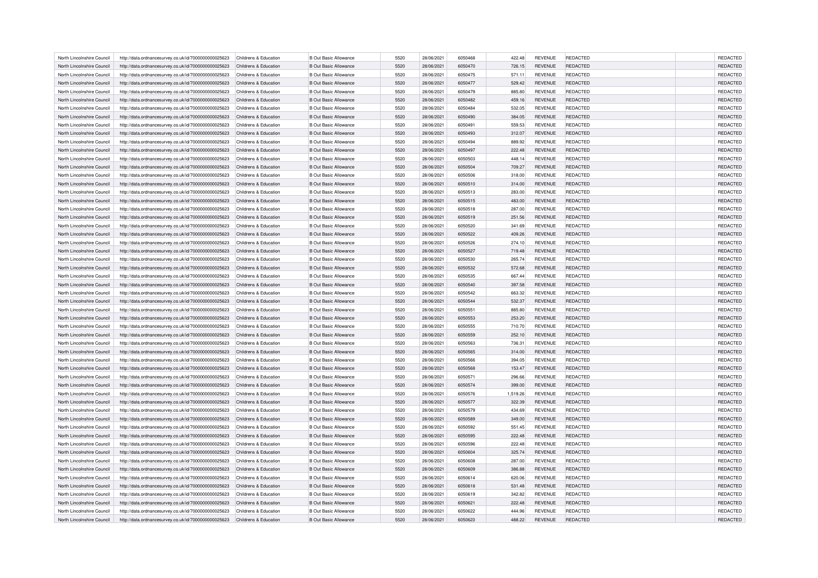| North Lincolnshire Council | http://data.ordnancesurvey.co.uk/id/7000000000025623 | Childrens & Education | <b>B Out Basic Allowance</b> | 5520 | 28/06/2021 | 6050468 | 422.48   | <b>REVENUE</b> | REDACTED        | REDACTED        |
|----------------------------|------------------------------------------------------|-----------------------|------------------------------|------|------------|---------|----------|----------------|-----------------|-----------------|
| North Lincolnshire Council | http://data.ordnancesurvey.co.uk/id/7000000000025623 | Childrens & Education | <b>B Out Basic Allowance</b> | 5520 | 28/06/2021 | 6050470 | 726.15   | <b>REVENUE</b> | REDACTED        | REDACTED        |
| North Lincolnshire Council | http://data.ordnancesurvey.co.uk/id/7000000000025623 | Childrens & Education | <b>B Out Basic Allowance</b> | 5520 | 28/06/2021 | 6050475 | 571.11   | <b>REVENUE</b> | REDACTED        | REDACTED        |
| North Lincolnshire Council | http://data.ordnancesurvey.co.uk/id/7000000000025623 | Childrens & Education | <b>B Out Basic Allowance</b> | 5520 | 28/06/2021 | 6050477 | 529.42   | <b>REVENUE</b> | REDACTED        | REDACTED        |
| North Lincolnshire Council | http://data.ordnancesurvey.co.uk/id/7000000000025623 | Childrens & Education | <b>B Out Basic Allowance</b> | 5520 | 28/06/2021 | 6050479 | 885.80   | <b>REVENUE</b> | REDACTED        | REDACTED        |
| North Lincolnshire Council | http://data.ordnancesurvey.co.uk/id/7000000000025623 | Childrens & Education | <b>B Out Basic Allowance</b> | 5520 | 28/06/2021 | 6050482 | 459.16   | <b>REVENUE</b> | <b>REDACTED</b> | REDACTED        |
| North Lincolnshire Council | http://data.ordnancesurvey.co.uk/id/7000000000025623 | Childrens & Education | <b>B Out Basic Allowance</b> | 5520 | 28/06/2021 | 6050484 | 532.05   | <b>REVENUE</b> | REDACTED        | REDACTED        |
| North Lincolnshire Council | http://data.ordnancesurvey.co.uk/id/7000000000025623 | Childrens & Education | <b>B Out Basic Allowance</b> | 5520 | 28/06/2021 | 6050490 | 384.05   | <b>REVENUE</b> | REDACTED        | REDACTED        |
| North Lincolnshire Council | http://data.ordnancesurvey.co.uk/id/7000000000025623 | Childrens & Education | <b>B Out Basic Allowance</b> | 5520 | 28/06/2021 | 6050491 | 559.53   | <b>REVENUE</b> | REDACTED        | REDACTED        |
| North Lincolnshire Council | http://data.ordnancesurvey.co.uk/id/7000000000025623 | Childrens & Education | <b>B Out Basic Allowance</b> | 5520 | 28/06/2021 | 6050493 | 312.07   | <b>REVENUE</b> | REDACTED        | REDACTED        |
| North Lincolnshire Council | http://data.ordnancesurvey.co.uk/id/7000000000025623 | Childrens & Education | <b>B Out Basic Allowance</b> | 5520 | 28/06/2021 | 6050494 | 889.92   | <b>REVENUE</b> | REDACTED        | REDACTED        |
| North Lincolnshire Council | http://data.ordnancesurvey.co.uk/id/7000000000025623 | Childrens & Education | <b>B Out Basic Allowance</b> | 5520 | 28/06/2021 | 6050497 | 222.48   | <b>REVENUE</b> | <b>REDACTED</b> | REDACTED        |
| North Lincolnshire Council | http://data.ordnancesurvey.co.uk/id/7000000000025623 | Childrens & Education | <b>B Out Basic Allowance</b> | 5520 | 28/06/2021 | 6050503 | 448.14   | <b>REVENUE</b> | REDACTED        | REDACTED        |
| North Lincolnshire Council | http://data.ordnancesurvey.co.uk/id/7000000000025623 | Childrens & Education | <b>B Out Basic Allowance</b> | 5520 | 28/06/2021 | 6050504 | 709.27   | <b>REVENUE</b> | REDACTED        | REDACTED        |
|                            |                                                      |                       | <b>B Out Basic Allowance</b> | 5520 | 28/06/2021 | 6050506 |          | <b>REVENUE</b> | REDACTED        | REDACTED        |
| North Lincolnshire Council | http://data.ordnancesurvey.co.uk/id/7000000000025623 | Childrens & Education |                              |      |            |         | 318.00   |                |                 |                 |
| North Lincolnshire Council | http://data.ordnancesurvey.co.uk/id/7000000000025623 | Childrens & Education | <b>B Out Basic Allowance</b> | 5520 | 28/06/2021 | 6050510 | 314.00   | <b>REVENUE</b> | REDACTED        | REDACTED        |
| North Lincolnshire Council | http://data.ordnancesurvey.co.uk/id/7000000000025623 | Childrens & Education | <b>B Out Basic Allowance</b> | 5520 | 28/06/2021 | 6050513 | 283.00   | <b>REVENUE</b> | REDACTED        | REDACTED        |
| North Lincolnshire Council | http://data.ordnancesurvey.co.uk/id/7000000000025623 | Childrens & Education | <b>B Out Basic Allowance</b> | 5520 | 28/06/2021 | 6050515 | 483.00   | <b>REVENUE</b> | <b>REDACTED</b> | REDACTED        |
| North Lincolnshire Council | http://data.ordnancesurvey.co.uk/id/7000000000025623 | Childrens & Education | <b>B Out Basic Allowance</b> | 5520 | 28/06/2021 | 6050518 | 287.00   | <b>REVENUE</b> | REDACTED        | REDACTED        |
| North Lincolnshire Council | http://data.ordnancesurvey.co.uk/id/7000000000025623 | Childrens & Education | <b>B Out Basic Allowance</b> | 5520 | 28/06/2021 | 6050519 | 251.56   | <b>REVENUE</b> | REDACTED        | REDACTED        |
| North Lincolnshire Council | http://data.ordnancesurvey.co.uk/id/7000000000025623 | Childrens & Education | <b>B Out Basic Allowance</b> | 5520 | 28/06/2021 | 6050520 | 341.69   | <b>REVENUE</b> | REDACTED        | REDACTED        |
| North Lincolnshire Council | http://data.ordnancesurvey.co.uk/id/7000000000025623 | Childrens & Education | <b>B Out Basic Allowance</b> | 5520 | 28/06/2021 | 6050522 | 409.26   | <b>REVENUE</b> | <b>REDACTED</b> | REDACTED        |
| North Lincolnshire Council | http://data.ordnancesurvey.co.uk/id/7000000000025623 | Childrens & Education | <b>B Out Basic Allowance</b> | 5520 | 28/06/2021 | 6050526 | 274.10   | <b>REVENUE</b> | REDACTED        | REDACTED        |
| North Lincolnshire Council | http://data.ordnancesurvey.co.uk/id/7000000000025623 | Childrens & Education | <b>B Out Basic Allowance</b> | 5520 | 28/06/2021 | 6050527 | 719.48   | <b>REVENUE</b> | <b>REDACTED</b> | REDACTED        |
| North Lincolnshire Council | http://data.ordnancesurvey.co.uk/id/7000000000025623 | Childrens & Education | <b>B Out Basic Allowance</b> | 5520 | 28/06/2021 | 6050530 | 265.74   | <b>REVENUE</b> | <b>REDACTED</b> | REDACTED        |
| North Lincolnshire Council | http://data.ordnancesurvey.co.uk/id/7000000000025623 | Childrens & Education | <b>B Out Basic Allowance</b> | 5520 | 28/06/2021 | 6050532 | 572.68   | <b>REVENUE</b> | REDACTED        | REDACTED        |
| North Lincolnshire Council | http://data.ordnancesurvey.co.uk/id/7000000000025623 | Childrens & Education | <b>B Out Basic Allowance</b> | 5520 | 28/06/2021 | 6050535 | 667.44   | <b>REVENUE</b> | REDACTED        | REDACTED        |
| North Lincolnshire Council | http://data.ordnancesurvey.co.uk/id/7000000000025623 | Childrens & Education | <b>B Out Basic Allowance</b> | 5520 | 28/06/2021 | 6050540 | 397.58   | <b>REVENUE</b> | <b>REDACTED</b> | REDACTED        |
| North Lincolnshire Council | http://data.ordnancesurvey.co.uk/id/7000000000025623 | Childrens & Education | <b>B Out Basic Allowance</b> | 5520 | 28/06/2021 | 6050542 | 663.32   | <b>REVENUE</b> | REDACTED        | REDACTED        |
| North Lincolnshire Council | http://data.ordnancesurvey.co.uk/id/7000000000025623 | Childrens & Education | <b>B Out Basic Allowance</b> | 5520 | 28/06/2021 | 6050544 | 532.37   | <b>REVENUE</b> | <b>REDACTED</b> | REDACTED        |
| North Lincolnshire Council | http://data.ordnancesurvey.co.uk/id/7000000000025623 | Childrens & Education | <b>B Out Basic Allowance</b> | 5520 | 28/06/2021 | 6050551 | 885.80   | <b>REVENUE</b> | <b>REDACTED</b> | REDACTED        |
| North Lincolnshire Council | http://data.ordnancesurvey.co.uk/id/7000000000025623 | Childrens & Education | <b>B Out Basic Allowance</b> | 5520 | 28/06/2021 | 6050553 | 253.20   | <b>REVENUE</b> | REDACTED        | REDACTED        |
| North Lincolnshire Council | http://data.ordnancesurvey.co.uk/id/7000000000025623 | Childrens & Education | <b>B Out Basic Allowance</b> | 5520 | 28/06/2021 | 6050555 | 710.70   | <b>REVENUE</b> | REDACTED        | REDACTED        |
| North Lincolnshire Council | http://data.ordnancesurvey.co.uk/id/7000000000025623 | Childrens & Education | <b>B Out Basic Allowance</b> | 5520 | 28/06/2021 | 6050559 | 252.10   | <b>REVENUE</b> | <b>REDACTED</b> | <b>REDACTED</b> |
| North Lincolnshire Council | http://data.ordnancesurvey.co.uk/id/7000000000025623 | Childrens & Education | <b>B Out Basic Allowance</b> | 5520 | 28/06/2021 | 6050563 | 736.31   | <b>REVENUE</b> | REDACTED        | REDACTED        |
| North Lincolnshire Council | http://data.ordnancesurvey.co.uk/id/7000000000025623 | Childrens & Education | <b>B Out Basic Allowance</b> | 5520 | 28/06/2021 | 6050565 | 314.00   | <b>REVENUE</b> | <b>REDACTED</b> | <b>REDACTED</b> |
| North Lincolnshire Council | http://data.ordnancesurvey.co.uk/id/7000000000025623 | Childrens & Education | <b>B Out Basic Allowance</b> | 5520 | 28/06/2021 | 6050566 | 394.05   | <b>REVENUE</b> | <b>REDACTED</b> | <b>REDACTED</b> |
| North Lincolnshire Council | http://data.ordnancesurvey.co.uk/id/7000000000025623 | Childrens & Education | <b>B Out Basic Allowance</b> | 5520 | 28/06/2021 | 6050568 | 153.47   | <b>REVENUE</b> | REDACTED        | REDACTED        |
| North Lincolnshire Council | http://data.ordnancesurvey.co.uk/id/7000000000025623 | Childrens & Education | <b>B Out Basic Allowance</b> | 5520 | 28/06/2021 | 6050571 | 296.66   | <b>REVENUE</b> | REDACTED        | <b>REDACTED</b> |
| North Lincolnshire Council | http://data.ordnancesurvey.co.uk/id/7000000000025623 | Childrens & Education | <b>B Out Basic Allowance</b> | 5520 | 28/06/2021 | 6050574 | 399.00   | <b>REVENUE</b> | <b>REDACTED</b> | REDACTED        |
| North Lincolnshire Council | http://data.ordnancesurvey.co.uk/id/7000000000025623 | Childrens & Education | <b>B Out Basic Allowance</b> | 5520 | 28/06/2021 | 6050576 | 1,519.26 | <b>REVENUE</b> | REDACTED        | <b>REDACTED</b> |
| North Lincolnshire Council | http://data.ordnancesurvey.co.uk/id/7000000000025623 | Childrens & Education | <b>B Out Basic Allowance</b> | 5520 | 28/06/2021 | 6050577 | 322.39   | <b>REVENUE</b> | <b>REDACTED</b> | REDACTED        |
| North Lincolnshire Council | http://data.ordnancesurvey.co.uk/id/7000000000025623 | Childrens & Education | <b>B Out Basic Allowance</b> | 5520 | 28/06/2021 | 6050579 | 434.69   | <b>REVENUE</b> | <b>REDACTED</b> | REDACTED        |
| North Lincolnshire Council | http://data.ordnancesurvey.co.uk/id/7000000000025623 | Childrens & Education | <b>B Out Basic Allowance</b> | 5520 | 28/06/2021 | 6050589 | 349.00   | <b>REVENUE</b> | REDACTED        | REDACTED        |
| North Lincolnshire Council | http://data.ordnancesurvey.co.uk/id/7000000000025623 | Childrens & Education | <b>B Out Basic Allowance</b> | 5520 | 28/06/2021 | 6050592 | 551.45   | <b>REVENUE</b> | REDACTED        | REDACTED        |
| North Lincolnshire Council | http://data.ordnancesurvey.co.uk/id/7000000000025623 | Childrens & Education | <b>B Out Basic Allowance</b> | 5520 | 28/06/2021 | 6050595 | 222.48   | <b>REVENUE</b> | <b>REDACTED</b> | REDACTED        |
| North Lincolnshire Council | http://data.ordnancesurvey.co.uk/id/7000000000025623 | Childrens & Education | <b>B Out Basic Allowance</b> | 5520 | 28/06/2021 | 6050596 | 222.48   | <b>REVENUE</b> | REDACTED        | REDACTED        |
| North Lincolnshire Council | http://data.ordnancesurvey.co.uk/id/7000000000025623 | Childrens & Education | <b>B Out Basic Allowance</b> | 5520 | 28/06/2021 | 6050604 | 325.74   | <b>REVENUE</b> | <b>REDACTED</b> | REDACTED        |
| North Lincolnshire Council | http://data.ordnancesurvey.co.uk/id/7000000000025623 | Childrens & Education | <b>B Out Basic Allowance</b> | 5520 | 28/06/2021 | 6050608 | 287.00   | <b>REVENUE</b> | <b>REDACTED</b> | REDACTED        |
| North Lincolnshire Council | http://data.ordnancesurvey.co.uk/id/7000000000025623 | Childrens & Education | <b>B Out Basic Allowance</b> | 5520 | 28/06/2021 | 6050609 | 386.88   | <b>REVENUE</b> | REDACTED        | REDACTED        |
| North Lincolnshire Council | http://data.ordnancesurvey.co.uk/id/7000000000025623 | Childrens & Education | <b>B Out Basic Allowance</b> | 5520 | 28/06/2021 | 6050614 | 620.06   | <b>REVENUE</b> | <b>REDACTED</b> | REDACTED        |
| North Lincolnshire Council | http://data.ordnancesurvey.co.uk/id/7000000000025623 | Childrens & Education | <b>B Out Basic Allowance</b> | 5520 | 28/06/2021 | 6050618 | 531.48   | <b>REVENUE</b> | <b>REDACTED</b> | REDACTED        |
| North Lincolnshire Council | http://data.ordnancesurvey.co.uk/id/7000000000025623 | Childrens & Education | <b>B Out Basic Allowance</b> | 5520 | 28/06/2021 | 6050619 | 342.82   | <b>REVENUE</b> | REDACTED        | REDACTED        |
| North Lincolnshire Council | http://data.ordnancesurvey.co.uk/id/7000000000025623 | Childrens & Education | <b>B Out Basic Allowance</b> | 5520 | 28/06/2021 | 6050621 | 222.48   | <b>REVENUE</b> | <b>REDACTED</b> | <b>REDACTED</b> |
| North Lincolnshire Council | http://data.ordnancesurvey.co.uk/id/7000000000025623 | Childrens & Education | <b>B Out Basic Allowance</b> | 5520 | 28/06/2021 | 6050622 | 444.96   | <b>REVENUE</b> | <b>REDACTED</b> | REDACTED        |
| North Lincolnshire Council | http://data.ordnancesurvey.co.uk/id/7000000000025623 | Childrens & Education | <b>B Out Basic Allowance</b> | 5520 | 28/06/2021 | 6050623 | 488.22   | <b>REVENUE</b> | REDACTED        | REDACTED        |
|                            |                                                      |                       |                              |      |            |         |          |                |                 |                 |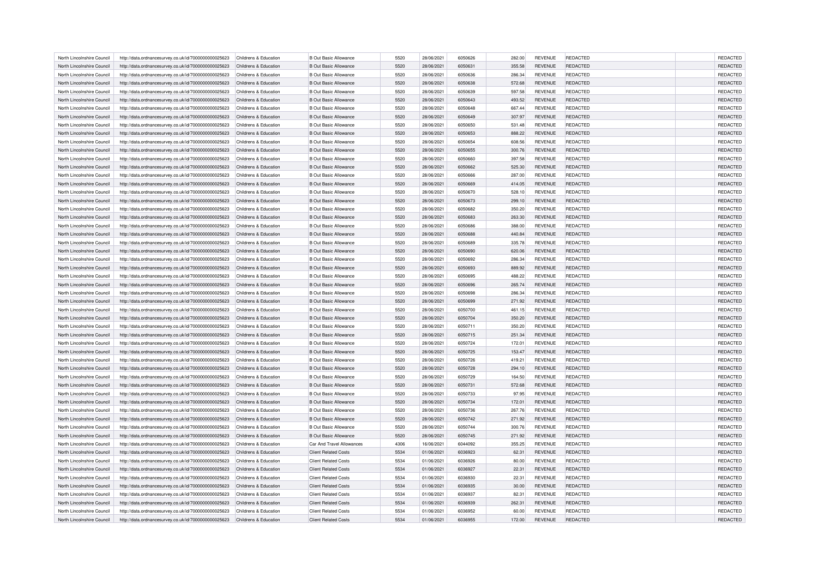| North Lincolnshire Council | http://data.ordnancesurvey.co.uk/id/7000000000025623 | Childrens & Education                          | <b>B Out Basic Allowance</b> | 5520 | 28/06/2021 | 6050626 | 282.00 | <b>REVENUE</b> | REDACTED        | REDACTED        |
|----------------------------|------------------------------------------------------|------------------------------------------------|------------------------------|------|------------|---------|--------|----------------|-----------------|-----------------|
| North Lincolnshire Council | http://data.ordnancesurvey.co.uk/id/7000000000025623 | Childrens & Education                          | <b>B Out Basic Allowance</b> | 5520 | 28/06/2021 | 6050631 | 355.58 | <b>REVENUE</b> | REDACTED        | REDACTED        |
| North Lincolnshire Council | http://data.ordnancesurvey.co.uk/id/7000000000025623 | Childrens & Education                          | <b>B Out Basic Allowance</b> | 5520 | 28/06/2021 | 6050636 | 286.34 | <b>REVENUE</b> | REDACTED        | REDACTED        |
| North Lincolnshire Council | http://data.ordnancesurvey.co.uk/id/7000000000025623 | Childrens & Education                          | <b>B Out Basic Allowance</b> | 5520 | 28/06/2021 | 6050638 | 572.68 | <b>REVENUE</b> | REDACTED        | REDACTED        |
| North Lincolnshire Council | http://data.ordnancesurvey.co.uk/id/7000000000025623 | Childrens & Education                          | <b>B Out Basic Allowance</b> | 5520 | 28/06/2021 | 6050639 | 597.58 | <b>REVENUE</b> | REDACTED        | REDACTED        |
| North Lincolnshire Council | http://data.ordnancesurvey.co.uk/id/7000000000025623 | Childrens & Education                          | <b>B Out Basic Allowance</b> | 5520 | 28/06/2021 | 6050643 | 493.52 | <b>REVENUE</b> | <b>REDACTED</b> | REDACTED        |
| North Lincolnshire Council | http://data.ordnancesurvey.co.uk/id/7000000000025623 | Childrens & Education                          | <b>B Out Basic Allowance</b> | 5520 | 28/06/2021 | 6050648 | 667.44 | <b>REVENUE</b> | REDACTED        | REDACTED        |
| North Lincolnshire Council | http://data.ordnancesurvey.co.uk/id/7000000000025623 | Childrens & Education                          | <b>B Out Basic Allowance</b> | 5520 | 28/06/2021 | 6050649 | 307.97 | <b>REVENUE</b> | REDACTED        | REDACTED        |
| North Lincolnshire Council | http://data.ordnancesurvey.co.uk/id/7000000000025623 | Childrens & Education                          | <b>B Out Basic Allowance</b> | 5520 | 28/06/2021 | 6050650 | 531.48 | <b>REVENUE</b> | REDACTED        | REDACTED        |
| North Lincolnshire Council | http://data.ordnancesurvey.co.uk/id/7000000000025623 | Childrens & Education                          | <b>B Out Basic Allowance</b> | 5520 | 28/06/2021 | 6050653 | 888.22 | <b>REVENUE</b> | REDACTED        | REDACTED        |
| North Lincolnshire Council | http://data.ordnancesurvey.co.uk/id/7000000000025623 | Childrens & Education                          | <b>B Out Basic Allowance</b> | 5520 | 28/06/2021 | 6050654 | 608.56 | <b>REVENUE</b> | REDACTED        | REDACTED        |
| North Lincolnshire Council | http://data.ordnancesurvey.co.uk/id/7000000000025623 | Childrens & Education                          | <b>B Out Basic Allowance</b> | 5520 | 28/06/2021 | 6050655 | 300.76 | <b>REVENUE</b> | <b>REDACTED</b> | REDACTED        |
|                            |                                                      |                                                |                              | 5520 |            | 6050660 |        |                |                 |                 |
| North Lincolnshire Council | http://data.ordnancesurvey.co.uk/id/7000000000025623 | Childrens & Education<br>Childrens & Education | <b>B Out Basic Allowance</b> |      | 28/06/2021 |         | 397.58 | <b>REVENUE</b> | REDACTED        | REDACTED        |
| North Lincolnshire Council | http://data.ordnancesurvey.co.uk/id/7000000000025623 |                                                | <b>B Out Basic Allowance</b> | 5520 | 28/06/2021 | 6050662 | 525.30 | <b>REVENUE</b> | REDACTED        | REDACTED        |
| North Lincolnshire Council | http://data.ordnancesurvey.co.uk/id/7000000000025623 | Childrens & Education                          | <b>B Out Basic Allowance</b> | 5520 | 28/06/2021 | 6050666 | 287.00 | <b>REVENUE</b> | REDACTED        | REDACTED        |
| North Lincolnshire Council | http://data.ordnancesurvey.co.uk/id/7000000000025623 | Childrens & Education                          | <b>B Out Basic Allowance</b> | 5520 | 28/06/2021 | 6050669 | 414.05 | <b>REVENUE</b> | REDACTED        | REDACTED        |
| North Lincolnshire Council | http://data.ordnancesurvey.co.uk/id/7000000000025623 | Childrens & Education                          | <b>B Out Basic Allowance</b> | 5520 | 28/06/2021 | 6050670 | 528.10 | <b>REVENUE</b> | REDACTED        | REDACTED        |
| North Lincolnshire Council | http://data.ordnancesurvey.co.uk/id/7000000000025623 | Childrens & Education                          | <b>B Out Basic Allowance</b> | 5520 | 28/06/2021 | 6050673 | 299.10 | <b>REVENUE</b> | <b>REDACTED</b> | REDACTED        |
| North Lincolnshire Council | http://data.ordnancesurvey.co.uk/id/7000000000025623 | Childrens & Education                          | <b>B Out Basic Allowance</b> | 5520 | 28/06/2021 | 6050682 | 350.20 | <b>REVENUE</b> | REDACTED        | REDACTED        |
| North Lincolnshire Council | http://data.ordnancesurvey.co.uk/id/7000000000025623 | Childrens & Education                          | <b>B Out Basic Allowance</b> | 5520 | 28/06/2021 | 6050683 | 263.30 | <b>REVENUE</b> | REDACTED        | REDACTED        |
| North Lincolnshire Council | http://data.ordnancesurvey.co.uk/id/7000000000025623 | Childrens & Education                          | <b>B Out Basic Allowance</b> | 5520 | 28/06/2021 | 6050686 | 388.00 | <b>REVENUE</b> | REDACTED        | REDACTED        |
| North Lincolnshire Council | http://data.ordnancesurvey.co.uk/id/7000000000025623 | Childrens & Education                          | <b>B Out Basic Allowance</b> | 5520 | 28/06/2021 | 6050688 | 440.84 | <b>REVENUE</b> | <b>REDACTED</b> | REDACTED        |
| North Lincolnshire Council | http://data.ordnancesurvey.co.uk/id/7000000000025623 | Childrens & Education                          | <b>B Out Basic Allowance</b> | 5520 | 28/06/2021 | 6050689 | 335.78 | <b>REVENUE</b> | REDACTED        | REDACTED        |
| North Lincolnshire Council | http://data.ordnancesurvey.co.uk/id/7000000000025623 | Childrens & Education                          | <b>B Out Basic Allowance</b> | 5520 | 28/06/2021 | 6050690 | 620.06 | <b>REVENUE</b> | <b>REDACTED</b> | REDACTED        |
| North Lincolnshire Council | http://data.ordnancesurvey.co.uk/id/7000000000025623 | Childrens & Education                          | <b>B Out Basic Allowance</b> | 5520 | 28/06/2021 | 6050692 | 286.34 | <b>REVENUE</b> | <b>REDACTED</b> | REDACTED        |
| North Lincolnshire Council | http://data.ordnancesurvey.co.uk/id/7000000000025623 | Childrens & Education                          | <b>B Out Basic Allowance</b> | 5520 | 28/06/2021 | 6050693 | 889.92 | <b>REVENUE</b> | REDACTED        | REDACTED        |
| North Lincolnshire Council | http://data.ordnancesurvey.co.uk/id/7000000000025623 | Childrens & Education                          | <b>B Out Basic Allowance</b> | 5520 | 28/06/2021 | 6050695 | 488.22 | <b>REVENUE</b> | REDACTED        | REDACTED        |
| North Lincolnshire Council | http://data.ordnancesurvey.co.uk/id/7000000000025623 | Childrens & Education                          | <b>B Out Basic Allowance</b> | 5520 | 28/06/2021 | 6050696 | 265.74 | <b>REVENUE</b> | <b>REDACTED</b> | REDACTED        |
| North Lincolnshire Council | http://data.ordnancesurvey.co.uk/id/7000000000025623 | Childrens & Education                          | <b>B Out Basic Allowance</b> | 5520 | 28/06/2021 | 6050698 | 286.34 | <b>REVENUE</b> | REDACTED        | <b>REDACTED</b> |
| North Lincolnshire Council | http://data.ordnancesurvey.co.uk/id/7000000000025623 | Childrens & Education                          | <b>B Out Basic Allowance</b> | 5520 | 28/06/2021 | 6050699 | 271.92 | <b>REVENUE</b> | <b>REDACTED</b> | REDACTED        |
| North Lincolnshire Council | http://data.ordnancesurvey.co.uk/id/7000000000025623 | Childrens & Education                          | <b>B Out Basic Allowance</b> | 5520 | 28/06/2021 | 6050700 | 461.15 | <b>REVENUE</b> | <b>REDACTED</b> | <b>REDACTED</b> |
| North Lincolnshire Council | http://data.ordnancesurvey.co.uk/id/7000000000025623 | Childrens & Education                          | <b>B Out Basic Allowance</b> | 5520 | 28/06/2021 | 6050704 | 350.20 | <b>REVENUE</b> | REDACTED        | REDACTED        |
| North Lincolnshire Council | http://data.ordnancesurvey.co.uk/id/7000000000025623 | Childrens & Education                          | <b>B Out Basic Allowance</b> | 5520 | 28/06/2021 | 6050711 | 350.20 | <b>REVENUE</b> | REDACTED        | <b>REDACTED</b> |
| North Lincolnshire Council | http://data.ordnancesurvey.co.uk/id/7000000000025623 | Childrens & Education                          | <b>B Out Basic Allowance</b> | 5520 | 28/06/2021 | 6050715 | 251.34 | <b>REVENUE</b> | <b>REDACTED</b> | <b>REDACTED</b> |
| North Lincolnshire Council | http://data.ordnancesurvey.co.uk/id/7000000000025623 | Childrens & Education                          | <b>B Out Basic Allowance</b> | 5520 | 28/06/2021 | 6050724 | 172.01 | <b>REVENUE</b> | REDACTED        | REDACTED        |
| North Lincolnshire Council | http://data.ordnancesurvey.co.uk/id/7000000000025623 | Childrens & Education                          | <b>B Out Basic Allowance</b> | 5520 | 28/06/2021 | 6050725 | 153.47 | <b>REVENUE</b> | <b>REDACTED</b> | <b>REDACTED</b> |
| North Lincolnshire Council | http://data.ordnancesurvey.co.uk/id/7000000000025623 | Childrens & Education                          | <b>B Out Basic Allowance</b> | 5520 | 28/06/2021 | 6050726 | 419.21 | <b>REVENUE</b> | <b>REDACTED</b> | <b>REDACTED</b> |
| North Lincolnshire Council | http://data.ordnancesurvey.co.uk/id/7000000000025623 | Childrens & Education                          | <b>B Out Basic Allowance</b> | 5520 | 28/06/2021 | 6050728 | 294.10 | <b>REVENUE</b> | REDACTED        | REDACTED        |
| North Lincolnshire Council | http://data.ordnancesurvey.co.uk/id/7000000000025623 | Childrens & Education                          | <b>B Out Basic Allowance</b> | 5520 | 28/06/2021 | 6050729 | 164.50 | <b>REVENUE</b> | REDACTED        | REDACTED        |
| North Lincolnshire Council | http://data.ordnancesurvey.co.uk/id/7000000000025623 | Childrens & Education                          | <b>B Out Basic Allowance</b> | 5520 | 28/06/2021 | 6050731 | 572.68 | <b>REVENUE</b> | <b>REDACTED</b> | REDACTED        |
| North Lincolnshire Council | http://data.ordnancesurvey.co.uk/id/7000000000025623 | Childrens & Education                          | <b>B Out Basic Allowance</b> | 5520 | 28/06/2021 | 6050733 | 97.95  | <b>REVENUE</b> | REDACTED        | <b>REDACTED</b> |
| North Lincolnshire Council | http://data.ordnancesurvey.co.uk/id/7000000000025623 | Childrens & Education                          | <b>B Out Basic Allowance</b> | 5520 | 28/06/2021 | 6050734 | 172.01 | <b>REVENUE</b> | <b>REDACTED</b> | REDACTED        |
| North Lincolnshire Council | http://data.ordnancesurvey.co.uk/id/7000000000025623 | Childrens & Education                          | <b>B Out Basic Allowance</b> | 5520 | 28/06/2021 | 6050736 | 267.76 | <b>REVENUE</b> | <b>REDACTED</b> | REDACTED        |
| North Lincolnshire Council | http://data.ordnancesurvey.co.uk/id/7000000000025623 | Childrens & Education                          | <b>B Out Basic Allowance</b> | 5520 | 28/06/2021 | 6050742 | 271.92 | <b>REVENUE</b> | REDACTED        | REDACTED        |
| North Lincolnshire Council |                                                      | Childrens & Education                          | <b>B Out Basic Allowance</b> | 5520 | 28/06/2021 | 6050744 | 300.76 | <b>REVENUE</b> | REDACTED        | REDACTED        |
|                            | http://data.ordnancesurvey.co.uk/id/7000000000025623 |                                                |                              |      |            |         |        |                |                 |                 |
| North Lincolnshire Council | http://data.ordnancesurvey.co.uk/id/7000000000025623 | Childrens & Education                          | <b>B Out Basic Allowance</b> | 5520 | 28/06/2021 | 6050745 | 271.92 | <b>REVENUE</b> | <b>REDACTED</b> | REDACTED        |
| North Lincolnshire Council | http://data.ordnancesurvey.co.uk/id/7000000000025623 | Childrens & Education                          | Car And Travel Allowances    | 4306 | 16/06/2021 | 6044092 | 355.25 | <b>REVENUE</b> | REDACTED        | REDACTED        |
| North Lincolnshire Council | http://data.ordnancesurvey.co.uk/id/7000000000025623 | Childrens & Education                          | <b>Client Related Costs</b>  | 5534 | 01/06/2021 | 6036923 | 62.31  | <b>REVENUE</b> | <b>REDACTED</b> | REDACTED        |
| North Lincolnshire Council | http://data.ordnancesurvey.co.uk/id/7000000000025623 | Childrens & Education                          | <b>Client Related Costs</b>  | 5534 | 01/06/2021 | 6036926 | 80.00  | <b>REVENUE</b> | <b>REDACTED</b> | REDACTED        |
| North Lincolnshire Council | http://data.ordnancesurvey.co.uk/id/7000000000025623 | Childrens & Education                          | <b>Client Related Costs</b>  | 5534 | 01/06/2021 | 6036927 | 22.31  | <b>REVENUE</b> | REDACTED        | REDACTED        |
| North Lincolnshire Council | http://data.ordnancesurvey.co.uk/id/7000000000025623 | Childrens & Education                          | <b>Client Related Costs</b>  | 5534 | 01/06/2021 | 6036930 | 22.31  | <b>REVENUE</b> | REDACTED        | REDACTED        |
| North Lincolnshire Council | http://data.ordnancesurvey.co.uk/id/7000000000025623 | Childrens & Education                          | <b>Client Related Costs</b>  | 5534 | 01/06/2021 | 6036935 | 30.00  | <b>REVENUE</b> | <b>REDACTED</b> | REDACTED        |
| North Lincolnshire Council | http://data.ordnancesurvey.co.uk/id/7000000000025623 | Childrens & Education                          | <b>Client Related Costs</b>  | 5534 | 01/06/2021 | 6036937 | 82.31  | <b>REVENUE</b> | REDACTED        | REDACTED        |
| North Lincolnshire Council | http://data.ordnancesurvey.co.uk/id/7000000000025623 | Childrens & Education                          | <b>Client Related Costs</b>  | 5534 | 01/06/2021 | 6036939 | 262.31 | <b>REVENUE</b> | <b>REDACTED</b> | <b>REDACTED</b> |
| North Lincolnshire Council | http://data.ordnancesurvey.co.uk/id/7000000000025623 | Childrens & Education                          | <b>Client Related Costs</b>  | 5534 | 01/06/2021 | 6036952 | 60.00  | <b>REVENUE</b> | <b>REDACTED</b> | REDACTED        |
| North Lincolnshire Council | http://data.ordnancesurvey.co.uk/id/7000000000025623 | Childrens & Education                          | <b>Client Related Costs</b>  | 5534 | 01/06/2021 | 6036955 | 172.00 | <b>REVENUE</b> | REDACTED        | REDACTED        |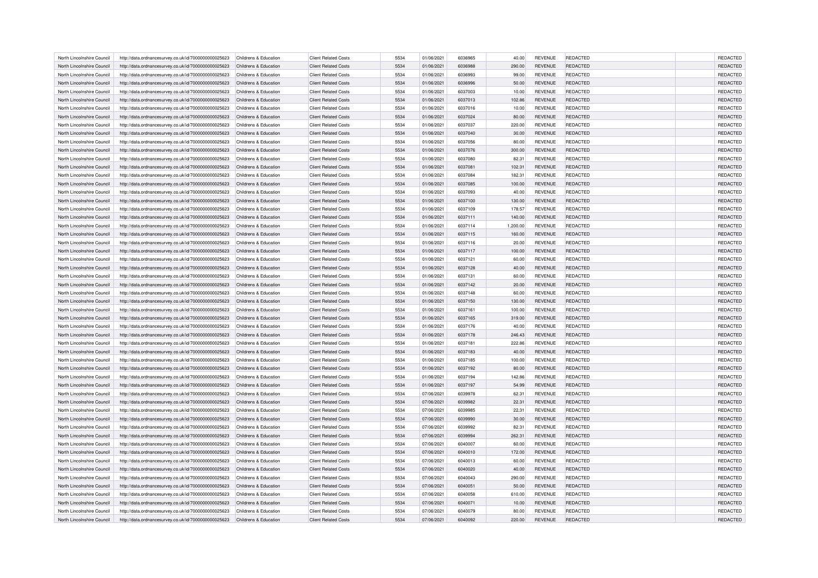| North Lincolnshire Council                               | http://data.ordnancesurvey.co.uk/id/7000000000025623 | Childrens & Education                          | <b>Client Related Costs</b>                                | 5534         | 01/06/2021               | 6036965 | 40.00    | <b>REVENUE</b> | REDACTED                    | REDACTED        |
|----------------------------------------------------------|------------------------------------------------------|------------------------------------------------|------------------------------------------------------------|--------------|--------------------------|---------|----------|----------------|-----------------------------|-----------------|
| North Lincolnshire Council                               | http://data.ordnancesurvey.co.uk/id/7000000000025623 | Childrens & Education                          | <b>Client Related Costs</b>                                | 5534         | 01/06/2021               | 6036988 | 290.00   | <b>REVENUE</b> | REDACTED                    | REDACTED        |
| North Lincolnshire Council                               | http://data.ordnancesurvey.co.uk/id/7000000000025623 | Childrens & Education                          | <b>Client Related Costs</b>                                | 5534         | 01/06/2021               | 6036993 | 99.00    | <b>REVENUE</b> | REDACTED                    | REDACTED        |
| North Lincolnshire Council                               | http://data.ordnancesurvey.co.uk/id/7000000000025623 | Childrens & Education                          | <b>Client Related Costs</b>                                | 5534         | 01/06/2021               | 6036996 | 50.00    | <b>REVENUE</b> | REDACTED                    | REDACTED        |
| North Lincolnshire Council                               | http://data.ordnancesurvey.co.uk/id/7000000000025623 | Childrens & Education                          | <b>Client Related Costs</b>                                | 5534         | 01/06/2021               | 6037003 | 10.00    | <b>REVENUE</b> | REDACTED                    | REDACTED        |
| North Lincolnshire Council                               | http://data.ordnancesurvey.co.uk/id/7000000000025623 | Childrens & Education                          | <b>Client Related Costs</b>                                | 5534         | 01/06/2021               | 6037013 | 102.86   | <b>REVENUE</b> | <b>REDACTED</b>             | REDACTED        |
|                                                          |                                                      |                                                |                                                            |              |                          |         |          |                |                             |                 |
| North Lincolnshire Council                               | http://data.ordnancesurvey.co.uk/id/7000000000025623 | Childrens & Education                          | <b>Client Related Costs</b>                                | 5534<br>5534 | 01/06/2021               | 6037016 | 10.00    | <b>REVENUE</b> | REDACTED                    | REDACTED        |
| North Lincolnshire Council                               | http://data.ordnancesurvey.co.uk/id/7000000000025623 | Childrens & Education                          | <b>Client Related Costs</b>                                |              | 01/06/2021               | 6037024 | 80.00    | <b>REVENUE</b> | REDACTED                    | REDACTED        |
| North Lincolnshire Council                               | http://data.ordnancesurvey.co.uk/id/7000000000025623 | Childrens & Education                          | <b>Client Related Costs</b>                                | 5534         | 01/06/2021               | 6037037 | 220.00   | <b>REVENUE</b> | REDACTED                    | REDACTED        |
| North Lincolnshire Council                               | http://data.ordnancesurvey.co.uk/id/7000000000025623 | Childrens & Education                          | <b>Client Related Costs</b>                                | 5534         | 01/06/2021               | 6037040 | 30.00    | <b>REVENUE</b> | REDACTED                    | REDACTED        |
| North Lincolnshire Council                               | http://data.ordnancesurvey.co.uk/id/7000000000025623 | Childrens & Education                          | <b>Client Related Costs</b>                                | 5534         | 01/06/2021               | 6037056 | 80.00    | <b>REVENUE</b> | REDACTED                    | REDACTED        |
| North Lincolnshire Council                               | http://data.ordnancesurvey.co.uk/id/7000000000025623 | Childrens & Education                          | <b>Client Related Costs</b>                                | 5534         | 01/06/2021               | 6037076 | 300.00   | <b>REVENUE</b> | <b>REDACTED</b>             | REDACTED        |
| North Lincolnshire Council                               | http://data.ordnancesurvey.co.uk/id/7000000000025623 | Childrens & Education                          | <b>Client Related Costs</b>                                | 5534         | 01/06/2021               | 6037080 | 82.31    | <b>REVENUE</b> | REDACTED                    | REDACTED        |
| North Lincolnshire Council                               | http://data.ordnancesurvey.co.uk/id/7000000000025623 | Childrens & Education                          | <b>Client Related Costs</b>                                | 5534         | 01/06/2021               | 6037081 | 102.31   | <b>REVENUE</b> | REDACTED                    | REDACTED        |
| North Lincolnshire Council                               | http://data.ordnancesurvey.co.uk/id/7000000000025623 | Childrens & Education                          | <b>Client Related Costs</b>                                | 5534         | 01/06/2021               | 6037084 | 182.31   | <b>REVENUE</b> | REDACTED                    | REDACTED        |
| North Lincolnshire Council                               | http://data.ordnancesurvey.co.uk/id/7000000000025623 | Childrens & Education                          | <b>Client Related Costs</b>                                | 5534         | 01/06/2021               | 6037085 | 100.00   | <b>REVENUE</b> | REDACTED                    | REDACTED        |
| North Lincolnshire Council                               | http://data.ordnancesurvey.co.uk/id/7000000000025623 | Childrens & Education                          | <b>Client Related Costs</b>                                | 5534         | 01/06/2021               | 6037093 | 40.00    | <b>REVENUE</b> | REDACTED                    | REDACTED        |
| North Lincolnshire Council                               | http://data.ordnancesurvey.co.uk/id/7000000000025623 | Childrens & Education                          | <b>Client Related Costs</b>                                | 5534         | 01/06/2021               | 6037100 | 130.00   | <b>REVENUE</b> | <b>REDACTED</b>             | REDACTED        |
| North Lincolnshire Council                               | http://data.ordnancesurvey.co.uk/id/7000000000025623 | Childrens & Education                          | <b>Client Related Costs</b>                                | 5534         | 01/06/2021               | 6037109 | 178.57   | <b>REVENUE</b> | REDACTED                    | REDACTED        |
| North Lincolnshire Council                               | http://data.ordnancesurvey.co.uk/id/7000000000025623 | Childrens & Education                          | <b>Client Related Costs</b>                                | 5534         | 01/06/2021               | 6037111 | 140.00   | <b>REVENUE</b> | REDACTED                    | REDACTED        |
| North Lincolnshire Council                               | http://data.ordnancesurvey.co.uk/id/7000000000025623 | Childrens & Education                          | <b>Client Related Costs</b>                                | 5534         | 01/06/2021               | 6037114 | 1,200.00 | <b>REVENUE</b> | REDACTED                    | REDACTED        |
| North Lincolnshire Council                               | http://data.ordnancesurvey.co.uk/id/7000000000025623 | Childrens & Education                          | <b>Client Related Costs</b>                                | 5534         | 01/06/2021               | 6037115 | 160.00   | <b>REVENUE</b> | <b>REDACTED</b>             | REDACTED        |
| North Lincolnshire Council                               | http://data.ordnancesurvey.co.uk/id/7000000000025623 | Childrens & Education                          | <b>Client Related Costs</b>                                | 5534         | 01/06/2021               | 6037116 | 20.00    | <b>REVENUE</b> | REDACTED                    | REDACTED        |
| North Lincolnshire Council                               | http://data.ordnancesurvey.co.uk/id/7000000000025623 | Childrens & Education                          | <b>Client Related Costs</b>                                | 5534         | 01/06/2021               | 6037117 | 100.00   | <b>REVENUE</b> | <b>REDACTED</b>             | REDACTED        |
| North Lincolnshire Council                               | http://data.ordnancesurvey.co.uk/id/7000000000025623 | Childrens & Education                          | <b>Client Related Costs</b>                                | 5534         | 01/06/2021               | 6037121 | 60.00    | <b>REVENUE</b> | REDACTED                    | REDACTED        |
| North Lincolnshire Council                               | http://data.ordnancesurvey.co.uk/id/7000000000025623 | Childrens & Education                          | <b>Client Related Costs</b>                                | 5534         | 01/06/2021               | 6037128 | 40.00    | <b>REVENUE</b> | REDACTED                    | REDACTED        |
| North Lincolnshire Council                               |                                                      | Childrens & Education                          | <b>Client Related Costs</b>                                | 5534         |                          | 6037131 |          |                | REDACTED                    |                 |
|                                                          | http://data.ordnancesurvey.co.uk/id/7000000000025623 |                                                |                                                            |              | 01/06/2021               |         | 60.00    | <b>REVENUE</b> |                             | REDACTED        |
| North Lincolnshire Council                               | http://data.ordnancesurvey.co.uk/id/7000000000025623 | Childrens & Education                          | <b>Client Related Costs</b>                                | 5534         | 01/06/2021               | 6037142 | 20.00    | <b>REVENUE</b> | <b>REDACTED</b>             | REDACTED        |
| North Lincolnshire Council                               | http://data.ordnancesurvey.co.uk/id/7000000000025623 | Childrens & Education                          | <b>Client Related Costs</b>                                | 5534         | 01/06/2021               | 6037148 | 60.00    | <b>REVENUE</b> | REDACTED                    | REDACTED        |
| North Lincolnshire Council                               | http://data.ordnancesurvey.co.uk/id/7000000000025623 | Childrens & Education                          | <b>Client Related Costs</b>                                | 5534         | 01/06/2021               | 6037150 | 130.00   | <b>REVENUE</b> | <b>REDACTED</b>             | REDACTED        |
| North Lincolnshire Council                               | http://data.ordnancesurvey.co.uk/id/7000000000025623 | Childrens & Education                          | <b>Client Related Costs</b>                                | 5534         | 01/06/2021               | 6037161 | 100.00   | <b>REVENUE</b> | REDACTED                    | REDACTED        |
| North Lincolnshire Council                               | http://data.ordnancesurvey.co.uk/id/7000000000025623 | Childrens & Education                          | <b>Client Related Costs</b>                                | 5534         | 01/06/2021               | 6037165 | 319.00   | <b>REVENUE</b> | REDACTED                    | REDACTED        |
| North Lincolnshire Council                               | http://data.ordnancesurvey.co.uk/id/7000000000025623 | Childrens & Education                          | <b>Client Related Costs</b>                                | 5534         | 01/06/2021               | 6037176 | 40.00    | <b>REVENUE</b> | REDACTED                    | REDACTED        |
| North Lincolnshire Council                               | http://data.ordnancesurvey.co.uk/id/7000000000025623 | Childrens & Education                          | <b>Client Related Costs</b>                                | 5534         | 01/06/2021               | 6037178 | 246.43   | <b>REVENUE</b> | <b>REDACTED</b>             | REDACTED        |
| North Lincolnshire Council                               | http://data.ordnancesurvey.co.uk/id/7000000000025623 | Childrens & Education                          | <b>Client Related Costs</b>                                | 5534         | 01/06/2021               | 6037181 | 222.86   | <b>REVENUE</b> | REDACTED                    | REDACTED        |
| North Lincolnshire Council                               | http://data.ordnancesurvey.co.uk/id/7000000000025623 | Childrens & Education                          | <b>Client Related Costs</b>                                | 5534         | 01/06/2021               | 6037183 | 40.00    | <b>REVENUE</b> | <b>REDACTED</b>             | <b>REDACTED</b> |
| North Lincolnshire Council                               | http://data.ordnancesurvey.co.uk/id/7000000000025623 | Childrens & Education                          | <b>Client Related Costs</b>                                | 5534         | 01/06/2021               | 6037185 | 100.00   | <b>REVENUE</b> | REDACTED                    | REDACTED        |
| North Lincolnshire Council                               | http://data.ordnancesurvey.co.uk/id/7000000000025623 | Childrens & Education                          | <b>Client Related Costs</b>                                | 5534         | 01/06/2021               | 6037192 | 80.00    | <b>REVENUE</b> | REDACTED                    | REDACTED        |
| North Lincolnshire Council                               | http://data.ordnancesurvey.co.uk/id/7000000000025623 | Childrens & Education                          | <b>Client Related Costs</b>                                | 5534         | 01/06/2021               | 6037194 | 142.86   | <b>REVENUE</b> | REDACTED                    | REDACTED        |
| North Lincolnshire Council                               | http://data.ordnancesurvey.co.uk/id/7000000000025623 | Childrens & Education                          | <b>Client Related Costs</b>                                | 5534         | 01/06/2021               | 6037197 | 54.99    | <b>REVENUE</b> | <b>REDACTED</b>             | REDACTED        |
| North Lincolnshire Council                               | http://data.ordnancesurvey.co.uk/id/7000000000025623 | Childrens & Education                          | <b>Client Related Costs</b>                                | 5534         | 07/06/2021               | 6039978 | 62.31    | <b>REVENUE</b> | REDACTED                    | REDACTED        |
| North Lincolnshire Council                               | http://data.ordnancesurvey.co.uk/id/7000000000025623 | Childrens & Education                          | <b>Client Related Costs</b>                                | 5534         | 07/06/2021               | 6039982 | 22.3     | <b>REVENUE</b> | <b>REDACTED</b>             | REDACTED        |
| North Lincolnshire Council                               | http://data.ordnancesurvey.co.uk/id/7000000000025623 | Childrens & Education                          | <b>Client Related Costs</b>                                | 5534         | 07/06/2021               | 6039985 | 22.31    | <b>REVENUE</b> | <b>REDACTED</b>             | REDACTED        |
| North Lincolnshire Council                               | http://data.ordnancesurvey.co.uk/id/7000000000025623 | Childrens & Education                          | <b>Client Related Costs</b>                                | 5534         | 07/06/2021               | 6039990 | 30.00    | <b>REVENUE</b> | REDACTED                    | REDACTED        |
| North Lincolnshire Council                               | http://data.ordnancesurvey.co.uk/id/7000000000025623 | Childrens & Education                          | <b>Client Related Costs</b>                                | 5534         | 07/06/2021               | 6039992 | 82.31    | <b>REVENUE</b> | <b>REDACTED</b>             | REDACTED        |
| North Lincolnshire Council                               | http://data.ordnancesurvey.co.uk/id/7000000000025623 | Childrens & Education                          | <b>Client Related Costs</b>                                | 5534         | 07/06/2021               | 6039994 | 262.31   | <b>REVENUE</b> | <b>REDACTED</b>             | REDACTED        |
|                                                          |                                                      |                                                |                                                            | 5534         |                          | 6040007 |          |                |                             |                 |
| North Lincolnshire Council<br>North Lincolnshire Council | http://data.ordnancesurvey.co.uk/id/7000000000025623 | Childrens & Education<br>Childrens & Education | <b>Client Related Costs</b><br><b>Client Related Costs</b> | 5534         | 07/06/2021<br>07/06/2021 | 6040010 | 60.00    | <b>REVENUE</b> | REDACTED<br><b>REDACTED</b> | REDACTED        |
|                                                          | http://data.ordnancesurvey.co.uk/id/7000000000025623 |                                                |                                                            |              |                          |         | 172.00   | <b>REVENUE</b> |                             | REDACTED        |
| North Lincolnshire Council                               | http://data.ordnancesurvey.co.uk/id/7000000000025623 | Childrens & Education                          | <b>Client Related Costs</b>                                | 5534         | 07/06/2021               | 6040013 | 60.00    | <b>REVENUE</b> | <b>REDACTED</b>             | REDACTED        |
| North Lincolnshire Council                               | http://data.ordnancesurvey.co.uk/id/7000000000025623 | Childrens & Education                          | <b>Client Related Costs</b>                                | 5534         | 07/06/2021               | 6040020 | 40.00    | <b>REVENUE</b> | REDACTED                    | REDACTED        |
| North Lincolnshire Council                               | http://data.ordnancesurvey.co.uk/id/7000000000025623 | Childrens & Education                          | <b>Client Related Costs</b>                                | 5534         | 07/06/2021               | 6040043 | 290.00   | <b>REVENUE</b> | <b>REDACTED</b>             | REDACTED        |
| North Lincolnshire Council                               | http://data.ordnancesurvey.co.uk/id/7000000000025623 | Childrens & Education                          | <b>Client Related Costs</b>                                | 5534         | 07/06/2021               | 6040051 | 50.00    | <b>REVENUE</b> | <b>REDACTED</b>             | REDACTED        |
| North Lincolnshire Council                               | http://data.ordnancesurvey.co.uk/id/7000000000025623 | Childrens & Education                          | <b>Client Related Costs</b>                                | 5534         | 07/06/2021               | 6040058 | 610.00   | <b>REVENUE</b> | REDACTED                    | REDACTED        |
| North Lincolnshire Council                               | http://data.ordnancesurvey.co.uk/id/7000000000025623 | Childrens & Education                          | <b>Client Related Costs</b>                                | 5534         | 07/06/2021               | 6040071 | 10.00    | <b>REVENUE</b> | <b>REDACTED</b>             | <b>REDACTED</b> |
| North Lincolnshire Council                               | http://data.ordnancesurvey.co.uk/id/7000000000025623 | Childrens & Education                          | <b>Client Related Costs</b>                                | 5534         | 07/06/2021               | 6040079 | 80.00    | <b>REVENUE</b> | <b>REDACTED</b>             | <b>REDACTED</b> |
| North Lincolnshire Council                               | http://data.ordnancesurvey.co.uk/id/7000000000025623 | Childrens & Education                          | <b>Client Related Costs</b>                                | 5534         | 07/06/2021               | 6040092 | 220.00   | <b>REVENUE</b> | <b>REDACTED</b>             | REDACTED        |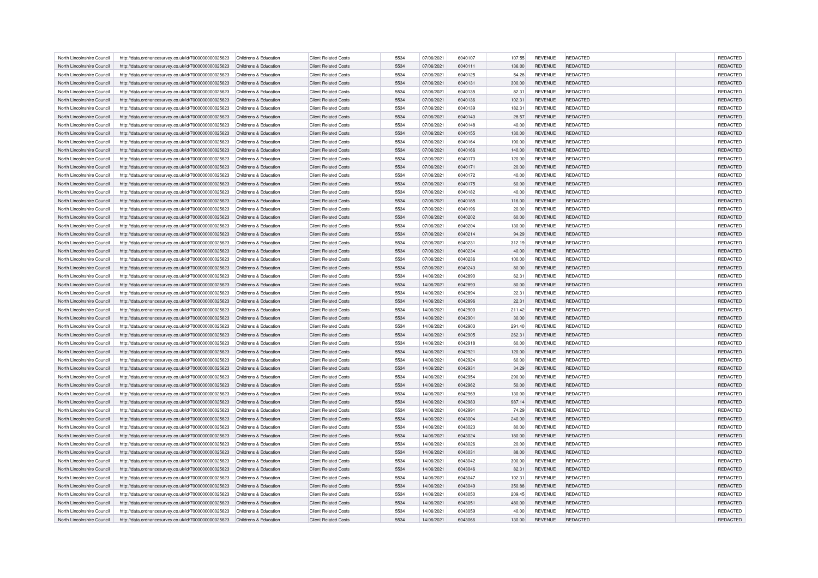| North Lincolnshire Council<br>http://data.ordnancesurvey.co.uk/id/7000000000025623 | Childrens & Education | <b>Client Related Costs</b> | 5534 | 07/06/2021 | 6040107 | 107.55 | <b>REVENUE</b> | REDACTED        | <b>REDACTED</b> |
|------------------------------------------------------------------------------------|-----------------------|-----------------------------|------|------------|---------|--------|----------------|-----------------|-----------------|
| North Lincolnshire Council<br>http://data.ordnancesurvey.co.uk/id/7000000000025623 | Childrens & Education | <b>Client Related Costs</b> | 5534 | 07/06/2021 | 6040111 | 136.00 | <b>REVENUE</b> | REDACTED        | REDACTED        |
| North Lincolnshire Council<br>http://data.ordnancesurvey.co.uk/id/7000000000025623 | Childrens & Education | <b>Client Related Costs</b> | 5534 | 07/06/2021 | 6040125 | 54.28  | <b>REVENUE</b> | REDACTED        | REDACTED        |
| North Lincolnshire Council<br>http://data.ordnancesurvey.co.uk/id/7000000000025623 | Childrens & Education | <b>Client Related Costs</b> | 5534 | 07/06/2021 | 6040131 | 300.00 | <b>REVENUE</b> | REDACTED        | REDACTED        |
| North Lincolnshire Council<br>http://data.ordnancesurvey.co.uk/id/7000000000025623 | Childrens & Education | <b>Client Related Costs</b> | 5534 | 07/06/2021 | 6040135 | 82.31  | <b>REVENUE</b> | REDACTED        | REDACTED        |
| North Lincolnshire Council<br>http://data.ordnancesurvey.co.uk/id/7000000000025623 | Childrens & Education | <b>Client Related Costs</b> | 5534 | 07/06/2021 | 6040136 | 102.31 | <b>REVENUE</b> | REDACTED        | REDACTED        |
| North Lincolnshire Council<br>http://data.ordnancesurvey.co.uk/id/7000000000025623 | Childrens & Education | <b>Client Related Costs</b> | 5534 | 07/06/2021 | 6040139 | 182.31 | <b>REVENUE</b> | REDACTED        | REDACTED        |
| North Lincolnshire Council<br>http://data.ordnancesurvey.co.uk/id/7000000000025623 | Childrens & Education | <b>Client Related Costs</b> | 5534 | 07/06/2021 | 6040140 | 28.57  | <b>REVENUE</b> | <b>REDACTED</b> | REDACTED        |
| North Lincolnshire Council                                                         | Childrens & Education | <b>Client Related Costs</b> | 5534 | 07/06/2021 | 6040148 | 40.00  | <b>REVENUE</b> | REDACTED        | REDACTED        |
| http://data.ordnancesurvey.co.uk/id/7000000000025623                               |                       |                             | 5534 |            |         |        |                |                 | REDACTED        |
| North Lincolnshire Council<br>http://data.ordnancesurvey.co.uk/id/7000000000025623 | Childrens & Education | <b>Client Related Costs</b> |      | 07/06/2021 | 6040155 | 130.00 | <b>REVENUE</b> | REDACTED        |                 |
| North Lincolnshire Council<br>http://data.ordnancesurvey.co.uk/id/7000000000025623 | Childrens & Education | <b>Client Related Costs</b> | 5534 | 07/06/2021 | 6040164 | 190.00 | <b>REVENUE</b> | REDACTED        | REDACTED        |
| North Lincolnshire Council<br>http://data.ordnancesurvey.co.uk/id/7000000000025623 | Childrens & Education | <b>Client Related Costs</b> | 5534 | 07/06/2021 | 6040166 | 140.00 | <b>REVENUE</b> | REDACTED        | <b>REDACTED</b> |
| North Lincolnshire Council<br>http://data.ordnancesurvey.co.uk/id/7000000000025623 | Childrens & Education | <b>Client Related Costs</b> | 5534 | 07/06/2021 | 6040170 | 120.00 | <b>REVENUE</b> | REDACTED        | REDACTED        |
| North Lincolnshire Council<br>http://data.ordnancesurvey.co.uk/id/7000000000025623 | Childrens & Education | <b>Client Related Costs</b> | 5534 | 07/06/2021 | 6040171 | 20.00  | <b>REVENUE</b> | REDACTED        | REDACTED        |
| North Lincolnshire Council<br>http://data.ordnancesurvey.co.uk/id/7000000000025623 | Childrens & Education | <b>Client Related Costs</b> | 5534 | 07/06/2021 | 6040172 | 40.00  | <b>REVENUE</b> | REDACTED        | REDACTED        |
| North Lincolnshire Council<br>http://data.ordnancesurvey.co.uk/id/7000000000025623 | Childrens & Education | <b>Client Related Costs</b> | 5534 | 07/06/2021 | 6040175 | 60.00  | <b>REVENUE</b> | REDACTED        | REDACTED        |
| North Lincolnshire Council<br>http://data.ordnancesurvey.co.uk/id/7000000000025623 | Childrens & Education | <b>Client Related Costs</b> | 5534 | 07/06/2021 | 6040182 | 40.00  | <b>REVENUE</b> | REDACTED        | REDACTED        |
| North Lincolnshire Council<br>http://data.ordnancesurvey.co.uk/id/7000000000025623 | Childrens & Education | <b>Client Related Costs</b> | 5534 | 07/06/2021 | 6040185 | 116.00 | <b>REVENUE</b> | REDACTED        | REDACTED        |
| North Lincolnshire Council<br>http://data.ordnancesurvey.co.uk/id/7000000000025623 | Childrens & Education | <b>Client Related Costs</b> | 5534 | 07/06/2021 | 6040196 | 20.00  | <b>REVENUE</b> | REDACTED        | REDACTED        |
| North Lincolnshire Council<br>http://data.ordnancesurvey.co.uk/id/7000000000025623 | Childrens & Education | <b>Client Related Costs</b> | 5534 | 07/06/2021 | 6040202 | 60.00  | <b>REVENUE</b> | REDACTED        | REDACTED        |
| North Lincolnshire Council<br>http://data.ordnancesurvey.co.uk/id/7000000000025623 | Childrens & Education | <b>Client Related Costs</b> | 5534 | 07/06/2021 | 6040204 | 130.00 | REVENUE        | REDACTED        | REDACTED        |
| North Lincolnshire Council<br>http://data.ordnancesurvey.co.uk/id/7000000000025623 | Childrens & Education | <b>Client Related Costs</b> | 5534 | 07/06/2021 | 6040214 | 94.29  | <b>REVENUE</b> | <b>REDACTED</b> | REDACTED        |
| North Lincolnshire Council<br>http://data.ordnancesurvey.co.uk/id/7000000000025623 | Childrens & Education | <b>Client Related Costs</b> | 5534 | 07/06/2021 | 6040231 | 312.19 | <b>REVENUE</b> | <b>REDACTED</b> | REDACTED        |
| North Lincolnshire Council<br>http://data.ordnancesurvey.co.uk/id/7000000000025623 | Childrens & Education | <b>Client Related Costs</b> | 5534 | 07/06/2021 | 6040234 | 40.00  | <b>REVENUE</b> | <b>REDACTED</b> | REDACTED        |
| North Lincolnshire Council<br>http://data.ordnancesurvey.co.uk/id/7000000000025623 | Childrens & Education | <b>Client Related Costs</b> | 5534 | 07/06/2021 | 6040236 | 100.00 | <b>REVENUE</b> | REDACTED        | REDACTED        |
| North Lincolnshire Council<br>http://data.ordnancesurvey.co.uk/id/7000000000025623 | Childrens & Education | <b>Client Related Costs</b> | 5534 | 07/06/2021 | 6040243 | 80.00  | <b>REVENUE</b> | <b>REDACTED</b> | REDACTED        |
| North Lincolnshire Council<br>http://data.ordnancesurvey.co.uk/id/7000000000025623 | Childrens & Education | <b>Client Related Costs</b> | 5534 | 14/06/2021 | 6042890 | 62.31  | <b>REVENUE</b> | REDACTED        | REDACTED        |
| North Lincolnshire Council<br>http://data.ordnancesurvey.co.uk/id/7000000000025623 | Childrens & Education | <b>Client Related Costs</b> | 5534 | 14/06/2021 | 6042893 | 80.00  | <b>REVENUE</b> | <b>REDACTED</b> | REDACTED        |
| North Lincolnshire Council<br>http://data.ordnancesurvey.co.uk/id/7000000000025623 | Childrens & Education | <b>Client Related Costs</b> | 5534 | 14/06/2021 | 6042894 | 22.31  | <b>REVENUE</b> | <b>REDACTED</b> | REDACTED        |
| North Lincolnshire Council<br>http://data.ordnancesurvey.co.uk/id/7000000000025623 | Childrens & Education | <b>Client Related Costs</b> | 5534 | 14/06/2021 | 6042896 | 22.31  | <b>REVENUE</b> | REDACTED        | REDACTED        |
| North Lincolnshire Council<br>http://data.ordnancesurvey.co.uk/id/7000000000025623 | Childrens & Education | <b>Client Related Costs</b> | 5534 | 14/06/2021 | 6042900 | 211.42 | <b>REVENUE</b> | REDACTED        | REDACTED        |
| North Lincolnshire Council<br>http://data.ordnancesurvey.co.uk/id/7000000000025623 | Childrens & Education | <b>Client Related Costs</b> | 5534 | 14/06/2021 | 6042901 | 30.00  | <b>REVENUE</b> | REDACTED        | REDACTED        |
| North Lincolnshire Council<br>http://data.ordnancesurvey.co.uk/id/7000000000025623 | Childrens & Education | <b>Client Related Costs</b> | 5534 | 14/06/2021 | 6042903 | 291.40 | <b>REVENUE</b> | REDACTED        | REDACTED        |
| http://data.ordnancesurvey.co.uk/id/7000000000025623<br>North Lincolnshire Council | Childrens & Education | <b>Client Related Costs</b> | 5534 | 14/06/2021 | 6042905 | 262.31 | <b>REVENUE</b> | <b>REDACTED</b> | REDACTED        |
| North Lincolnshire Council<br>http://data.ordnancesurvey.co.uk/id/7000000000025623 | Childrens & Education | <b>Client Related Costs</b> | 5534 | 14/06/2021 | 6042918 | 60.00  | REVENUE        | REDACTED        | REDACTED        |
| North Lincolnshire Council<br>http://data.ordnancesurvey.co.uk/id/7000000000025623 | Childrens & Education | <b>Client Related Costs</b> | 5534 | 14/06/2021 | 6042921 | 120.00 | <b>REVENUE</b> | <b>REDACTED</b> | REDACTED        |
| North Lincolnshire Council<br>http://data.ordnancesurvey.co.uk/id/7000000000025623 | Childrens & Education | <b>Client Related Costs</b> | 5534 | 14/06/2021 | 6042924 | 60.00  | REVENUE        | REDACTED        | REDACTED        |
|                                                                                    |                       |                             |      |            |         |        |                |                 |                 |
| North Lincolnshire Council<br>http://data.ordnancesurvey.co.uk/id/7000000000025623 | Childrens & Education | <b>Client Related Costs</b> | 5534 | 14/06/2021 | 6042931 | 34.29  | <b>REVENUE</b> | REDACTED        | REDACTED        |
| North Lincolnshire Council<br>http://data.ordnancesurvey.co.uk/id/7000000000025623 | Childrens & Education | <b>Client Related Costs</b> | 5534 | 14/06/2021 | 6042954 | 290.00 | <b>REVENUE</b> | <b>REDACTED</b> | REDACTED        |
| North Lincolnshire Council<br>http://data.ordnancesurvey.co.uk/id/7000000000025623 | Childrens & Education | <b>Client Related Costs</b> | 5534 | 14/06/2021 | 6042962 | 50.00  | <b>REVENUE</b> | <b>REDACTED</b> | REDACTED        |
| North Lincolnshire Council<br>http://data.ordnancesurvey.co.uk/id/7000000000025623 | Childrens & Education | <b>Client Related Costs</b> | 5534 | 14/06/2021 | 6042969 | 130.00 | <b>REVENUE</b> | REDACTED        | REDACTED        |
| North Lincolnshire Council<br>http://data.ordnancesurvey.co.uk/id/7000000000025623 | Childrens & Education | <b>Client Related Costs</b> | 5534 | 14/06/2021 | 6042983 | 987.14 | <b>REVENUE</b> | REDACTED        | REDACTED        |
| North Lincolnshire Council<br>http://data.ordnancesurvey.co.uk/id/7000000000025623 | Childrens & Education | <b>Client Related Costs</b> | 5534 | 14/06/2021 | 6042991 | 74.29  | <b>REVENUE</b> | <b>REDACTED</b> | REDACTED        |
| North Lincolnshire Council<br>http://data.ordnancesurvey.co.uk/id/7000000000025623 | Childrens & Education | <b>Client Related Costs</b> | 5534 | 14/06/2021 | 6043004 | 240.00 | <b>REVENUE</b> | REDACTED        | REDACTED        |
| North Lincolnshire Council<br>http://data.ordnancesurvey.co.uk/id/7000000000025623 | Childrens & Education | <b>Client Related Costs</b> | 5534 | 14/06/2021 | 6043023 | 80.00  | <b>REVENUE</b> | REDACTED        | REDACTED        |
| North Lincolnshire Council<br>http://data.ordnancesurvey.co.uk/id/7000000000025623 | Childrens & Education | <b>Client Related Costs</b> | 5534 | 14/06/2021 | 6043024 | 180.00 | <b>REVENUE</b> | <b>REDACTED</b> | REDACTED        |
| North Lincolnshire Council<br>http://data.ordnancesurvey.co.uk/id/7000000000025623 | Childrens & Education | <b>Client Related Costs</b> | 5534 | 14/06/2021 | 6043026 | 20.00  | <b>REVENUE</b> | REDACTED        | REDACTED        |
| North Lincolnshire Council<br>http://data.ordnancesurvey.co.uk/id/7000000000025623 | Childrens & Education | <b>Client Related Costs</b> | 5534 | 14/06/2021 | 6043031 | 88.00  | <b>REVENUE</b> | <b>REDACTED</b> | REDACTED        |
| North Lincolnshire Council<br>http://data.ordnancesurvey.co.uk/id/7000000000025623 | Childrens & Education | <b>Client Related Costs</b> | 5534 | 14/06/2021 | 6043042 | 300.00 | REVENUE        | REDACTED        | REDACTED        |
| North Lincolnshire Council<br>http://data.ordnancesurvey.co.uk/id/7000000000025623 | Childrens & Education | <b>Client Related Costs</b> | 5534 | 14/06/2021 | 6043046 | 82.31  | <b>REVENUE</b> | REDACTED        | REDACTED        |
| North Lincolnshire Council<br>http://data.ordnancesurvey.co.uk/id/7000000000025623 | Childrens & Education | <b>Client Related Costs</b> | 5534 | 14/06/2021 | 6043047 | 102.31 | <b>REVENUE</b> | REDACTED        | REDACTED        |
| http://data.ordnancesurvey.co.uk/id/7000000000025623<br>North Lincolnshire Council | Childrens & Education | <b>Client Related Costs</b> | 5534 | 14/06/2021 | 6043049 | 350.88 | <b>REVENUE</b> | <b>REDACTED</b> | REDACTED        |
| North Lincolnshire Council<br>http://data.ordnancesurvey.co.uk/id/7000000000025623 | Childrens & Education | <b>Client Related Costs</b> | 5534 | 14/06/2021 | 6043050 | 209.45 | <b>REVENUE</b> | REDACTED        | REDACTED        |
| North Lincolnshire Council<br>http://data.ordnancesurvey.co.uk/id/7000000000025623 | Childrens & Education | <b>Client Related Costs</b> | 5534 | 14/06/2021 | 6043051 | 480.00 | <b>REVENUE</b> | <b>REDACTED</b> | REDACTED        |
| North Lincolnshire Council<br>http://data.ordnancesurvey.co.uk/id/7000000000025623 | Childrens & Education | <b>Client Related Costs</b> | 5534 | 14/06/2021 | 6043059 | 40.00  | <b>REVENUE</b> | REDACTED        | REDACTED        |
| North Lincolnshire Council<br>http://data.ordnancesurvey.co.uk/id/7000000000025623 | Childrens & Education | <b>Client Related Costs</b> | 5534 | 14/06/2021 | 6043066 | 130.00 | <b>REVENUE</b> | <b>REDACTED</b> | REDACTED        |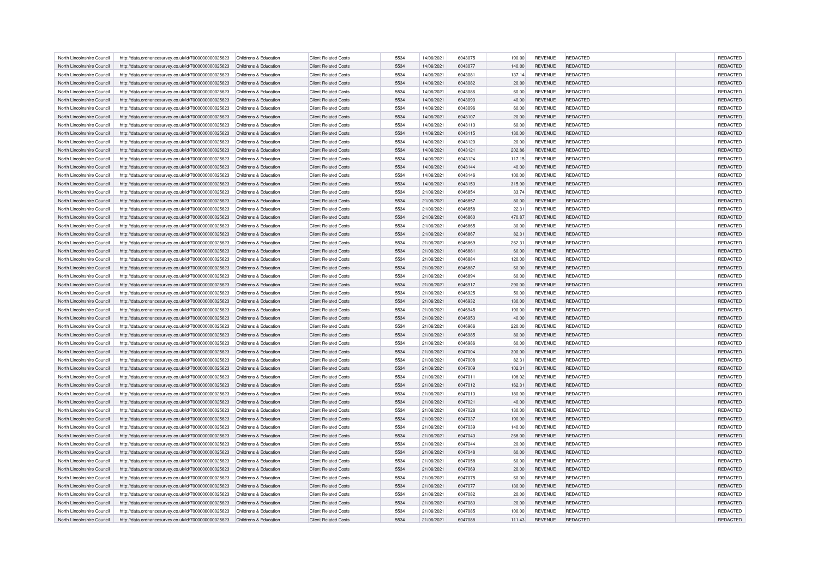| North Lincolnshire Council | http://data.ordnancesurvey.co.uk/id/7000000000025623                                                         | Childrens & Education | <b>Client Related Costs</b> | 5534 | 14/06/2021 | 6043075 | 190.00 | <b>REVENUE</b> | REDACTED        | <b>REDACTED</b> |
|----------------------------|--------------------------------------------------------------------------------------------------------------|-----------------------|-----------------------------|------|------------|---------|--------|----------------|-----------------|-----------------|
| North Lincolnshire Council | http://data.ordnancesurvey.co.uk/id/7000000000025623                                                         | Childrens & Education | <b>Client Related Costs</b> | 5534 | 14/06/2021 | 6043077 | 140.00 | <b>REVENUE</b> | REDACTED        | REDACTED        |
| North Lincolnshire Council | http://data.ordnancesurvey.co.uk/id/7000000000025623                                                         | Childrens & Education | <b>Client Related Costs</b> | 5534 | 14/06/2021 | 6043081 | 137.14 | <b>REVENUE</b> | REDACTED        | REDACTED        |
| North Lincolnshire Council | http://data.ordnancesurvey.co.uk/id/7000000000025623                                                         | Childrens & Education | <b>Client Related Costs</b> | 5534 | 14/06/2021 | 6043082 | 20.00  | <b>REVENUE</b> | REDACTED        | REDACTED        |
| North Lincolnshire Council | http://data.ordnancesurvey.co.uk/id/7000000000025623                                                         | Childrens & Education | <b>Client Related Costs</b> | 5534 | 14/06/2021 | 6043086 | 60.00  | <b>REVENUE</b> | REDACTED        | REDACTED        |
| North Lincolnshire Council | http://data.ordnancesurvey.co.uk/id/7000000000025623                                                         | Childrens & Education | <b>Client Related Costs</b> | 5534 | 14/06/2021 | 6043093 | 40.00  | <b>REVENUE</b> | REDACTED        | <b>REDACTED</b> |
| North Lincolnshire Council | http://data.ordnancesurvey.co.uk/id/7000000000025623                                                         | Childrens & Education | <b>Client Related Costs</b> | 5534 | 14/06/2021 | 6043096 | 60.00  | <b>REVENUE</b> | REDACTED        | REDACTED        |
| North Lincolnshire Council | http://data.ordnancesurvey.co.uk/id/7000000000025623                                                         | Childrens & Education | <b>Client Related Costs</b> | 5534 | 14/06/2021 | 6043107 | 20.00  | <b>REVENUE</b> | REDACTED        | REDACTED        |
| North Lincolnshire Council | http://data.ordnancesurvey.co.uk/id/7000000000025623                                                         | Childrens & Education | <b>Client Related Costs</b> | 5534 | 14/06/2021 | 6043113 | 60.00  | <b>REVENUE</b> | REDACTED        | <b>REDACTED</b> |
| North Lincolnshire Council | http://data.ordnancesurvey.co.uk/id/7000000000025623                                                         | Childrens & Education | <b>Client Related Costs</b> | 5534 | 14/06/2021 | 6043115 | 130.00 | <b>REVENUE</b> | REDACTED        | REDACTED        |
| North Lincolnshire Council | http://data.ordnancesurvey.co.uk/id/7000000000025623                                                         | Childrens & Education | <b>Client Related Costs</b> | 5534 | 14/06/2021 | 6043120 | 20.00  | <b>REVENUE</b> | REDACTED        | REDACTED        |
| North Lincolnshire Council | http://data.ordnancesurvey.co.uk/id/7000000000025623                                                         | Childrens & Education | <b>Client Related Costs</b> | 5534 | 14/06/2021 | 6043121 | 202.86 | <b>REVENUE</b> | REDACTED        | <b>REDACTED</b> |
| North Lincolnshire Council |                                                                                                              | Childrens & Education | <b>Client Related Costs</b> | 5534 | 14/06/2021 | 6043124 | 117.15 | <b>REVENUE</b> | REDACTED        | REDACTED        |
| North Lincolnshire Council | http://data.ordnancesurvey.co.uk/id/7000000000025623<br>http://data.ordnancesurvey.co.uk/id/7000000000025623 | Childrens & Education | <b>Client Related Costs</b> | 5534 | 14/06/2021 | 6043144 | 40.00  | <b>REVENUE</b> | REDACTED        | REDACTED        |
|                            |                                                                                                              |                       |                             |      |            |         |        |                |                 |                 |
| North Lincolnshire Council | http://data.ordnancesurvey.co.uk/id/7000000000025623                                                         | Childrens & Education | <b>Client Related Costs</b> | 5534 | 14/06/2021 | 6043146 | 100.00 | <b>REVENUE</b> | REDACTED        | REDACTED        |
| North Lincolnshire Council | http://data.ordnancesurvey.co.uk/id/7000000000025623                                                         | Childrens & Education | <b>Client Related Costs</b> | 5534 | 14/06/2021 | 6043153 | 315.00 | <b>REVENUE</b> | REDACTED        | REDACTED        |
| North Lincolnshire Council | http://data.ordnancesurvey.co.uk/id/7000000000025623                                                         | Childrens & Education | <b>Client Related Costs</b> | 5534 | 21/06/2021 | 6046854 | 33.74  | <b>REVENUE</b> | REDACTED        | REDACTED        |
| North Lincolnshire Council | http://data.ordnancesurvey.co.uk/id/7000000000025623                                                         | Childrens & Education | <b>Client Related Costs</b> | 5534 | 21/06/2021 | 6046857 | 80.00  | <b>REVENUE</b> | REDACTED        | <b>REDACTED</b> |
| North Lincolnshire Council | http://data.ordnancesurvey.co.uk/id/7000000000025623                                                         | Childrens & Education | <b>Client Related Costs</b> | 5534 | 21/06/2021 | 6046858 | 22.31  | <b>REVENUE</b> | REDACTED        | REDACTED        |
| North Lincolnshire Council | http://data.ordnancesurvey.co.uk/id/7000000000025623                                                         | Childrens & Education | <b>Client Related Costs</b> | 5534 | 21/06/2021 | 6046860 | 470.87 | <b>REVENUE</b> | REDACTED        | REDACTED        |
| North Lincolnshire Council | http://data.ordnancesurvey.co.uk/id/7000000000025623                                                         | Childrens & Education | <b>Client Related Costs</b> | 5534 | 21/06/2021 | 6046865 | 30.00  | <b>REVENUE</b> | REDACTED        | <b>REDACTED</b> |
| North Lincolnshire Council | http://data.ordnancesurvey.co.uk/id/7000000000025623                                                         | Childrens & Education | <b>Client Related Costs</b> | 5534 | 21/06/2021 | 6046867 | 82.31  | <b>REVENUE</b> | <b>REDACTED</b> | REDACTED        |
| North Lincolnshire Council | http://data.ordnancesurvey.co.uk/id/7000000000025623                                                         | Childrens & Education | <b>Client Related Costs</b> | 5534 | 21/06/2021 | 6046869 | 262.31 | <b>REVENUE</b> | REDACTED        | REDACTED        |
| North Lincolnshire Council | http://data.ordnancesurvey.co.uk/id/7000000000025623                                                         | Childrens & Education | <b>Client Related Costs</b> | 5534 | 21/06/2021 | 6046881 | 60.00  | <b>REVENUE</b> | REDACTED        | <b>REDACTED</b> |
| North Lincolnshire Council | http://data.ordnancesurvey.co.uk/id/7000000000025623                                                         | Childrens & Education | <b>Client Related Costs</b> | 5534 | 21/06/2021 | 6046884 | 120.00 | <b>REVENUE</b> | REDACTED        | REDACTED        |
| North Lincolnshire Council | http://data.ordnancesurvey.co.uk/id/7000000000025623                                                         | Childrens & Education | <b>Client Related Costs</b> | 5534 | 21/06/2021 | 6046887 | 60.00  | <b>REVENUE</b> | REDACTED        | REDACTED        |
| North Lincolnshire Council | http://data.ordnancesurvey.co.uk/id/7000000000025623                                                         | Childrens & Education | <b>Client Related Costs</b> | 5534 | 21/06/2021 | 6046894 | 60.00  | <b>REVENUE</b> | REDACTED        | REDACTED        |
| North Lincolnshire Council | http://data.ordnancesurvey.co.uk/id/7000000000025623                                                         | Childrens & Education | <b>Client Related Costs</b> | 5534 | 21/06/2021 | 6046917 | 290.00 | <b>REVENUE</b> | <b>REDACTED</b> | REDACTED        |
| North Lincolnshire Council | http://data.ordnancesurvey.co.uk/id/7000000000025623                                                         | Childrens & Education | <b>Client Related Costs</b> | 5534 | 21/06/2021 | 6046925 | 50.00  | <b>REVENUE</b> | REDACTED        | REDACTED        |
| North Lincolnshire Council | http://data.ordnancesurvey.co.uk/id/7000000000025623                                                         | Childrens & Education | <b>Client Related Costs</b> | 5534 | 21/06/2021 | 6046932 | 130.00 | <b>REVENUE</b> | <b>REDACTED</b> | REDACTED        |
| North Lincolnshire Council | http://data.ordnancesurvey.co.uk/id/7000000000025623                                                         | Childrens & Education | <b>Client Related Costs</b> | 5534 | 21/06/2021 | 6046945 | 190.00 | <b>REVENUE</b> | REDACTED        | REDACTED        |
| North Lincolnshire Council | http://data.ordnancesurvey.co.uk/id/7000000000025623                                                         | Childrens & Education | <b>Client Related Costs</b> | 5534 | 21/06/2021 | 6046953 | 40.00  | <b>REVENUE</b> | <b>REDACTED</b> | REDACTED        |
| North Lincolnshire Council | http://data.ordnancesurvey.co.uk/id/7000000000025623                                                         | Childrens & Education | <b>Client Related Costs</b> | 5534 | 21/06/2021 | 6046966 | 220.00 | <b>REVENUE</b> | <b>REDACTED</b> | REDACTED        |
| North Lincolnshire Council | http://data.ordnancesurvey.co.uk/id/7000000000025623                                                         | Childrens & Education | <b>Client Related Costs</b> | 5534 | 21/06/2021 | 6046985 | 80.00  | <b>REVENUE</b> | <b>REDACTED</b> | REDACTED        |
| North Lincolnshire Council | http://data.ordnancesurvey.co.uk/id/7000000000025623                                                         | Childrens & Education | <b>Client Related Costs</b> | 5534 | 21/06/2021 | 6046986 | 60.00  | <b>REVENUE</b> | REDACTED        | REDACTED        |
| North Lincolnshire Council | http://data.ordnancesurvey.co.uk/id/7000000000025623                                                         | Childrens & Education | <b>Client Related Costs</b> | 5534 | 21/06/2021 | 6047004 | 300.00 | <b>REVENUE</b> | <b>REDACTED</b> | REDACTED        |
| North Lincolnshire Council | http://data.ordnancesurvey.co.uk/id/7000000000025623                                                         | Childrens & Education | <b>Client Related Costs</b> | 5534 | 21/06/2021 | 6047008 | 82.31  | <b>REVENUE</b> | <b>REDACTED</b> | REDACTED        |
| North Lincolnshire Council | http://data.ordnancesurvey.co.uk/id/7000000000025623                                                         | Childrens & Education | <b>Client Related Costs</b> | 5534 | 21/06/2021 | 6047009 | 102.31 | <b>REVENUE</b> | REDACTED        | REDACTED        |
| North Lincolnshire Council | http://data.ordnancesurvey.co.uk/id/7000000000025623                                                         | Childrens & Education | <b>Client Related Costs</b> | 5534 | 21/06/2021 | 6047011 | 108.02 | <b>REVENUE</b> | REDACTED        | REDACTED        |
| North Lincolnshire Council | http://data.ordnancesurvey.co.uk/id/7000000000025623                                                         | Childrens & Education | <b>Client Related Costs</b> | 5534 | 21/06/2021 | 6047012 | 162.31 | <b>REVENUE</b> | <b>REDACTED</b> | REDACTED        |
| North Lincolnshire Council | http://data.ordnancesurvey.co.uk/id/7000000000025623                                                         | Childrens & Education | <b>Client Related Costs</b> | 5534 | 21/06/2021 | 6047013 | 180.00 | <b>REVENUE</b> | REDACTED        | REDACTED        |
| North Lincolnshire Council | http://data.ordnancesurvey.co.uk/id/7000000000025623                                                         | Childrens & Education | <b>Client Related Costs</b> | 5534 | 21/06/2021 | 6047021 | 40.00  | <b>REVENUE</b> | REDACTED        | REDACTED        |
| North Lincolnshire Council | http://data.ordnancesurvey.co.uk/id/7000000000025623                                                         | Childrens & Education | <b>Client Related Costs</b> | 5534 | 21/06/2021 | 6047028 | 130.00 | <b>REVENUE</b> | REDACTED        | REDACTED        |
| North Lincolnshire Council |                                                                                                              | Childrens & Education | <b>Client Related Costs</b> | 5534 | 21/06/2021 | 6047037 | 190.00 | <b>REVENUE</b> | <b>REDACTED</b> | REDACTED        |
| North Lincolnshire Council | http://data.ordnancesurvey.co.uk/id/7000000000025623<br>http://data.ordnancesurvey.co.uk/id/7000000000025623 | Childrens & Education | <b>Client Related Costs</b> | 5534 | 21/06/2021 | 6047039 | 140.00 | <b>REVENUE</b> | REDACTED        | REDACTED        |
|                            |                                                                                                              |                       |                             | 5534 |            |         |        |                |                 | REDACTED        |
| North Lincolnshire Council | http://data.ordnancesurvey.co.uk/id/7000000000025623                                                         | Childrens & Education | <b>Client Related Costs</b> |      | 21/06/2021 | 6047043 | 268.00 | <b>REVENUE</b> | <b>REDACTED</b> |                 |
| North Lincolnshire Council | http://data.ordnancesurvey.co.uk/id/7000000000025623                                                         | Childrens & Education | <b>Client Related Costs</b> | 5534 | 21/06/2021 | 6047044 | 20.00  | REVENUE        | REDACTED        | REDACTED        |
| North Lincolnshire Council | http://data.ordnancesurvey.co.uk/id/7000000000025623                                                         | Childrens & Education | <b>Client Related Costs</b> | 5534 | 21/06/2021 | 6047048 | 60.00  | <b>REVENUE</b> | REDACTED        | REDACTED        |
| North Lincolnshire Council | http://data.ordnancesurvey.co.uk/id/7000000000025623                                                         | Childrens & Education | <b>Client Related Costs</b> | 5534 | 21/06/2021 | 6047058 | 60.00  | REVENUE        | REDACTED        | REDACTED        |
| North Lincolnshire Council | http://data.ordnancesurvey.co.uk/id/7000000000025623                                                         | Childrens & Education | <b>Client Related Costs</b> | 5534 | 21/06/2021 | 6047069 | 20.00  | <b>REVENUE</b> | REDACTED        | REDACTED        |
| North Lincolnshire Council | http://data.ordnancesurvey.co.uk/id/7000000000025623                                                         | Childrens & Education | <b>Client Related Costs</b> | 5534 | 21/06/2021 | 6047075 | 60.00  | <b>REVENUE</b> | <b>REDACTED</b> | REDACTED        |
| North Lincolnshire Council | http://data.ordnancesurvey.co.uk/id/7000000000025623                                                         | Childrens & Education | <b>Client Related Costs</b> | 5534 | 21/06/2021 | 6047077 | 130.00 | <b>REVENUE</b> | <b>REDACTED</b> | REDACTED        |
| North Lincolnshire Council | http://data.ordnancesurvey.co.uk/id/7000000000025623                                                         | Childrens & Education | <b>Client Related Costs</b> | 5534 | 21/06/2021 | 6047082 | 20.00  | <b>REVENUE</b> | REDACTED        | REDACTED        |
| North Lincolnshire Council | http://data.ordnancesurvey.co.uk/id/7000000000025623                                                         | Childrens & Education | <b>Client Related Costs</b> | 5534 | 21/06/2021 | 6047083 | 20.00  | <b>REVENUE</b> | REDACTED        | REDACTED        |
| North Lincolnshire Council | http://data.ordnancesurvey.co.uk/id/7000000000025623                                                         | Childrens & Education | <b>Client Related Costs</b> | 5534 | 21/06/2021 | 6047085 | 100.00 | <b>REVENUE</b> | REDACTED        | <b>REDACTED</b> |
| North Lincolnshire Council | http://data.ordnancesurvey.co.uk/id/7000000000025623                                                         | Childrens & Education | <b>Client Related Costs</b> | 5534 | 21/06/2021 | 6047088 | 111.43 | <b>REVENUE</b> | <b>REDACTED</b> | REDACTED        |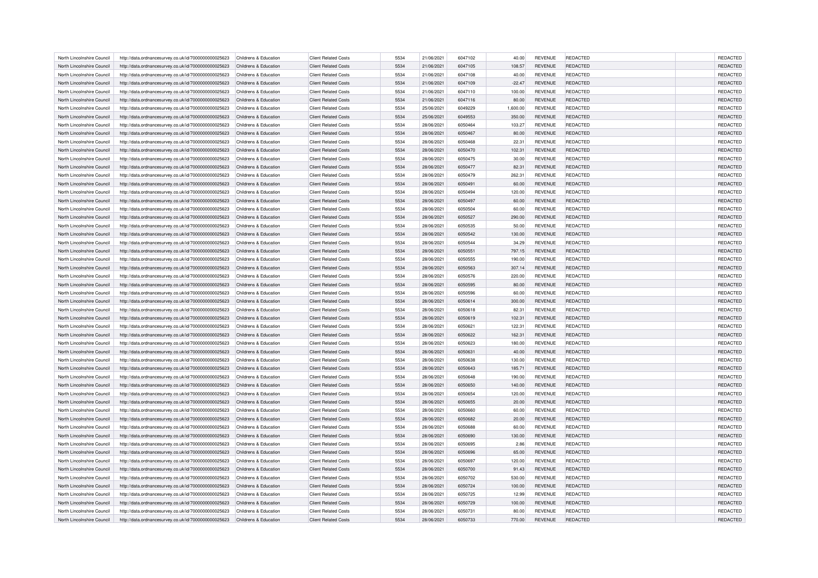| North Lincolnshire Council | http://data.ordnancesurvey.co.uk/id/7000000000025623 | Childrens & Education                          | <b>Client Related Costs</b> | 5534 | 21/06/2021 | 6047102 | 40.00    | <b>REVENUE</b> | REDACTED        | <b>REDACTED</b> |
|----------------------------|------------------------------------------------------|------------------------------------------------|-----------------------------|------|------------|---------|----------|----------------|-----------------|-----------------|
| North Lincolnshire Council | http://data.ordnancesurvey.co.uk/id/7000000000025623 | Childrens & Education                          | <b>Client Related Costs</b> | 5534 | 21/06/2021 | 6047105 | 108.57   | <b>REVENUE</b> | REDACTED        | REDACTED        |
| North Lincolnshire Council | http://data.ordnancesurvey.co.uk/id/7000000000025623 | Childrens & Education                          | <b>Client Related Costs</b> | 5534 | 21/06/2021 | 6047108 | 40.00    | <b>REVENUE</b> | REDACTED        | REDACTED        |
| North Lincolnshire Council | http://data.ordnancesurvey.co.uk/id/7000000000025623 | Childrens & Education                          | <b>Client Related Costs</b> | 5534 | 21/06/2021 | 6047109 | $-22.47$ | <b>REVENUE</b> | REDACTED        | REDACTED        |
| North Lincolnshire Council | http://data.ordnancesurvey.co.uk/id/7000000000025623 | Childrens & Education                          | <b>Client Related Costs</b> | 5534 | 21/06/2021 | 6047110 | 100.00   | <b>REVENUE</b> | REDACTED        | REDACTED        |
| North Lincolnshire Council | http://data.ordnancesurvey.co.uk/id/7000000000025623 | Childrens & Education                          | <b>Client Related Costs</b> | 5534 | 21/06/2021 | 6047116 | 80.00    | <b>REVENUE</b> | REDACTED        | REDACTED        |
| North Lincolnshire Council | http://data.ordnancesurvey.co.uk/id/7000000000025623 | Childrens & Education                          | <b>Client Related Costs</b> | 5534 | 25/06/2021 | 6049229 | 1,600.00 | <b>REVENUE</b> | REDACTED        | REDACTED        |
| North Lincolnshire Council | http://data.ordnancesurvey.co.uk/id/7000000000025623 | Childrens & Education                          | <b>Client Related Costs</b> | 5534 | 25/06/2021 | 6049553 | 350.00   | <b>REVENUE</b> | <b>REDACTED</b> | REDACTED        |
| North Lincolnshire Council | http://data.ordnancesurvey.co.uk/id/7000000000025623 | Childrens & Education                          | <b>Client Related Costs</b> | 5534 | 28/06/2021 | 6050464 | 103.27   | <b>REVENUE</b> | REDACTED        | REDACTED        |
| North Lincolnshire Council | http://data.ordnancesurvey.co.uk/id/7000000000025623 | Childrens & Education                          | <b>Client Related Costs</b> | 5534 | 28/06/2021 | 6050467 | 80.00    | <b>REVENUE</b> | REDACTED        | REDACTED        |
| North Lincolnshire Council | http://data.ordnancesurvey.co.uk/id/7000000000025623 | Childrens & Education                          | <b>Client Related Costs</b> | 5534 | 28/06/2021 | 6050468 | 22.31    | <b>REVENUE</b> | REDACTED        | REDACTED        |
| North Lincolnshire Council | http://data.ordnancesurvey.co.uk/id/7000000000025623 | Childrens & Education                          | <b>Client Related Costs</b> | 5534 | 28/06/2021 | 6050470 | 102.31   | <b>REVENUE</b> | <b>REDACTED</b> | <b>REDACTED</b> |
| North Lincolnshire Council |                                                      |                                                |                             | 5534 |            | 6050475 |          |                |                 | REDACTED        |
|                            | http://data.ordnancesurvey.co.uk/id/7000000000025623 | Childrens & Education<br>Childrens & Education | <b>Client Related Costs</b> |      | 28/06/2021 |         | 30.00    | REVENUE        | REDACTED        |                 |
| North Lincolnshire Council | http://data.ordnancesurvey.co.uk/id/7000000000025623 |                                                | <b>Client Related Costs</b> | 5534 | 28/06/2021 | 6050477 | 82.31    | <b>REVENUE</b> | REDACTED        | REDACTED        |
| North Lincolnshire Council | http://data.ordnancesurvey.co.uk/id/7000000000025623 | Childrens & Education                          | <b>Client Related Costs</b> | 5534 | 28/06/2021 | 6050479 | 262.31   | <b>REVENUE</b> | REDACTED        | REDACTED        |
| North Lincolnshire Council | http://data.ordnancesurvey.co.uk/id/7000000000025623 | Childrens & Education                          | <b>Client Related Costs</b> | 5534 | 28/06/2021 | 6050491 | 60.00    | <b>REVENUE</b> | REDACTED        | REDACTED        |
| North Lincolnshire Council | http://data.ordnancesurvey.co.uk/id/7000000000025623 | Childrens & Education                          | <b>Client Related Costs</b> | 5534 | 28/06/2021 | 6050494 | 120.00   | <b>REVENUE</b> | REDACTED        | REDACTED        |
| North Lincolnshire Council | http://data.ordnancesurvey.co.uk/id/7000000000025623 | Childrens & Education                          | <b>Client Related Costs</b> | 5534 | 28/06/2021 | 6050497 | 60.00    | <b>REVENUE</b> | REDACTED        | REDACTED        |
| North Lincolnshire Council | http://data.ordnancesurvey.co.uk/id/7000000000025623 | Childrens & Education                          | <b>Client Related Costs</b> | 5534 | 28/06/2021 | 6050504 | 60.00    | <b>REVENUE</b> | REDACTED        | REDACTED        |
| North Lincolnshire Council | http://data.ordnancesurvey.co.uk/id/7000000000025623 | Childrens & Education                          | <b>Client Related Costs</b> | 5534 | 28/06/2021 | 6050527 | 290.00   | <b>REVENUE</b> | REDACTED        | REDACTED        |
| North Lincolnshire Council | http://data.ordnancesurvey.co.uk/id/7000000000025623 | Childrens & Education                          | <b>Client Related Costs</b> | 5534 | 28/06/2021 | 6050535 | 50.00    | <b>REVENUE</b> | REDACTED        | REDACTED        |
| North Lincolnshire Council | http://data.ordnancesurvey.co.uk/id/7000000000025623 | Childrens & Education                          | <b>Client Related Costs</b> | 5534 | 28/06/2021 | 6050542 | 130.00   | <b>REVENUE</b> | <b>REDACTED</b> | REDACTED        |
| North Lincolnshire Council | http://data.ordnancesurvey.co.uk/id/7000000000025623 | Childrens & Education                          | <b>Client Related Costs</b> | 5534 | 28/06/2021 | 6050544 | 34.29    | <b>REVENUE</b> | <b>REDACTED</b> | REDACTED        |
| North Lincolnshire Council | http://data.ordnancesurvey.co.uk/id/7000000000025623 | Childrens & Education                          | <b>Client Related Costs</b> | 5534 | 28/06/2021 | 6050551 | 797.15   | <b>REVENUE</b> | REDACTED        | REDACTED        |
| North Lincolnshire Council | http://data.ordnancesurvey.co.uk/id/7000000000025623 | Childrens & Education                          | <b>Client Related Costs</b> | 5534 | 28/06/2021 | 6050555 | 190.00   | <b>REVENUE</b> | REDACTED        | REDACTED        |
| North Lincolnshire Council | http://data.ordnancesurvey.co.uk/id/7000000000025623 | Childrens & Education                          | <b>Client Related Costs</b> | 5534 | 28/06/2021 | 6050563 | 307.14   | <b>REVENUE</b> | <b>REDACTED</b> | REDACTED        |
| North Lincolnshire Council | http://data.ordnancesurvey.co.uk/id/7000000000025623 | Childrens & Education                          | <b>Client Related Costs</b> | 5534 | 28/06/2021 | 6050576 | 220.00   | <b>REVENUE</b> | REDACTED        | REDACTED        |
| North Lincolnshire Council | http://data.ordnancesurvey.co.uk/id/7000000000025623 | Childrens & Education                          | <b>Client Related Costs</b> | 5534 | 28/06/2021 | 6050595 | 80.00    | <b>REVENUE</b> | <b>REDACTED</b> | REDACTED        |
| North Lincolnshire Council | http://data.ordnancesurvey.co.uk/id/7000000000025623 | Childrens & Education                          | <b>Client Related Costs</b> | 5534 | 28/06/2021 | 6050596 | 60.00    | <b>REVENUE</b> | <b>REDACTED</b> | REDACTED        |
| North Lincolnshire Council | http://data.ordnancesurvey.co.uk/id/7000000000025623 | Childrens & Education                          | <b>Client Related Costs</b> | 5534 | 28/06/2021 | 6050614 | 300.00   | <b>REVENUE</b> | REDACTED        | <b>REDACTED</b> |
| North Lincolnshire Council | http://data.ordnancesurvey.co.uk/id/7000000000025623 | Childrens & Education                          | <b>Client Related Costs</b> | 5534 | 28/06/2021 | 6050618 | 82.31    | <b>REVENUE</b> | REDACTED        | REDACTED        |
| North Lincolnshire Council | http://data.ordnancesurvey.co.uk/id/7000000000025623 | Childrens & Education                          | <b>Client Related Costs</b> | 5534 | 28/06/2021 | 6050619 | 102.31   | <b>REVENUE</b> | REDACTED        | REDACTED        |
| North Lincolnshire Council | http://data.ordnancesurvey.co.uk/id/7000000000025623 | Childrens & Education                          | <b>Client Related Costs</b> | 5534 | 28/06/2021 | 6050621 | 122.31   | <b>REVENUE</b> | REDACTED        | <b>REDACTED</b> |
| North Lincolnshire Council | http://data.ordnancesurvey.co.uk/id/7000000000025623 | Childrens & Education                          | <b>Client Related Costs</b> | 5534 | 28/06/2021 | 6050622 | 162.31   | <b>REVENUE</b> | <b>REDACTED</b> | REDACTED        |
| North Lincolnshire Council | http://data.ordnancesurvey.co.uk/id/7000000000025623 | Childrens & Education                          | <b>Client Related Costs</b> | 5534 | 28/06/2021 | 6050623 | 180.00   | REVENUE        | REDACTED        | REDACTED        |
| North Lincolnshire Council | http://data.ordnancesurvey.co.uk/id/7000000000025623 | Childrens & Education                          | <b>Client Related Costs</b> | 5534 | 28/06/2021 | 6050631 | 40.00    | <b>REVENUE</b> | <b>REDACTED</b> | <b>REDACTED</b> |
| North Lincolnshire Council | http://data.ordnancesurvey.co.uk/id/7000000000025623 | Childrens & Education                          | <b>Client Related Costs</b> | 5534 | 28/06/2021 | 6050638 | 130.00   | REVENUE        | REDACTED        | REDACTED        |
| North Lincolnshire Council | http://data.ordnancesurvey.co.uk/id/7000000000025623 | Childrens & Education                          | <b>Client Related Costs</b> | 5534 | 28/06/2021 | 6050643 | 185.71   | <b>REVENUE</b> | <b>REDACTED</b> | REDACTED        |
| North Lincolnshire Council | http://data.ordnancesurvey.co.uk/id/7000000000025623 | Childrens & Education                          | <b>Client Related Costs</b> | 5534 | 28/06/2021 | 6050648 | 190.00   | <b>REVENUE</b> | REDACTED        | REDACTED        |
| North Lincolnshire Council | http://data.ordnancesurvey.co.uk/id/7000000000025623 | Childrens & Education                          | <b>Client Related Costs</b> | 5534 | 28/06/2021 | 6050650 | 140.00   | <b>REVENUE</b> | <b>REDACTED</b> | REDACTED        |
| North Lincolnshire Council | http://data.ordnancesurvey.co.uk/id/7000000000025623 | Childrens & Education                          | <b>Client Related Costs</b> | 5534 | 28/06/2021 | 6050654 | 120.00   | <b>REVENUE</b> | <b>REDACTED</b> | REDACTED        |
| North Lincolnshire Council | http://data.ordnancesurvey.co.uk/id/7000000000025623 | Childrens & Education                          | <b>Client Related Costs</b> | 5534 | 28/06/2021 | 6050655 | 20.00    | <b>REVENUE</b> | REDACTED        | REDACTED        |
| North Lincolnshire Council | http://data.ordnancesurvey.co.uk/id/7000000000025623 | Childrens & Education                          | <b>Client Related Costs</b> | 5534 | 28/06/2021 | 6050660 | 60.00    | <b>REVENUE</b> | <b>REDACTED</b> | REDACTED        |
| North Lincolnshire Council | http://data.ordnancesurvey.co.uk/id/7000000000025623 | Childrens & Education                          | <b>Client Related Costs</b> | 5534 | 28/06/2021 | 6050682 | 20.00    | <b>REVENUE</b> | <b>REDACTED</b> | REDACTED        |
| North Lincolnshire Council |                                                      | Childrens & Education                          | <b>Client Related Costs</b> | 5534 | 28/06/2021 | 6050688 | 60.00    | <b>REVENUE</b> | REDACTED        | REDACTED        |
|                            | http://data.ordnancesurvey.co.uk/id/7000000000025623 |                                                |                             | 5534 |            |         |          |                |                 | REDACTED        |
| North Lincolnshire Council | http://data.ordnancesurvey.co.uk/id/7000000000025623 | Childrens & Education                          | <b>Client Related Costs</b> |      | 28/06/2021 | 6050690 | 130.00   | <b>REVENUE</b> | <b>REDACTED</b> |                 |
| North Lincolnshire Council | http://data.ordnancesurvey.co.uk/id/7000000000025623 | Childrens & Education                          | <b>Client Related Costs</b> | 5534 | 28/06/2021 | 6050695 | 2.86     | <b>REVENUE</b> | REDACTED        | REDACTED        |
| North Lincolnshire Council | http://data.ordnancesurvey.co.uk/id/7000000000025623 | Childrens & Education                          | <b>Client Related Costs</b> | 5534 | 28/06/2021 | 6050696 | 65.00    | <b>REVENUE</b> | <b>REDACTED</b> | REDACTED        |
| North Lincolnshire Council | http://data.ordnancesurvey.co.uk/id/7000000000025623 | Childrens & Education                          | <b>Client Related Costs</b> | 5534 | 28/06/2021 | 6050697 | 120.00   | REVENUE        | REDACTED        | REDACTED        |
| North Lincolnshire Council | http://data.ordnancesurvey.co.uk/id/7000000000025623 | Childrens & Education                          | <b>Client Related Costs</b> | 5534 | 28/06/2021 | 6050700 | 91.43    | <b>REVENUE</b> | REDACTED        | REDACTED        |
| North Lincolnshire Council | http://data.ordnancesurvey.co.uk/id/7000000000025623 | Childrens & Education                          | <b>Client Related Costs</b> | 5534 | 28/06/2021 | 6050702 | 530.00   | <b>REVENUE</b> | REDACTED        | REDACTED        |
| North Lincolnshire Council | http://data.ordnancesurvey.co.uk/id/7000000000025623 | Childrens & Education                          | <b>Client Related Costs</b> | 5534 | 28/06/2021 | 6050724 | 100.00   | <b>REVENUE</b> | REDACTED        | REDACTED        |
| North Lincolnshire Council | http://data.ordnancesurvey.co.uk/id/7000000000025623 | Childrens & Education                          | <b>Client Related Costs</b> | 5534 | 28/06/2021 | 6050725 | 12.99    | <b>REVENUE</b> | REDACTED        | REDACTED        |
| North Lincolnshire Council | http://data.ordnancesurvey.co.uk/id/7000000000025623 | Childrens & Education                          | <b>Client Related Costs</b> | 5534 | 28/06/2021 | 6050729 | 100.00   | <b>REVENUE</b> | <b>REDACTED</b> | REDACTED        |
| North Lincolnshire Council | http://data.ordnancesurvey.co.uk/id/7000000000025623 | Childrens & Education                          | <b>Client Related Costs</b> | 5534 | 28/06/2021 | 6050731 | 80.00    | <b>REVENUE</b> | REDACTED        | REDACTED        |
| North Lincolnshire Council | http://data.ordnancesurvey.co.uk/id/7000000000025623 | Childrens & Education                          | <b>Client Related Costs</b> | 5534 | 28/06/2021 | 6050733 | 770.00   | <b>REVENUE</b> | REDACTED        | REDACTED        |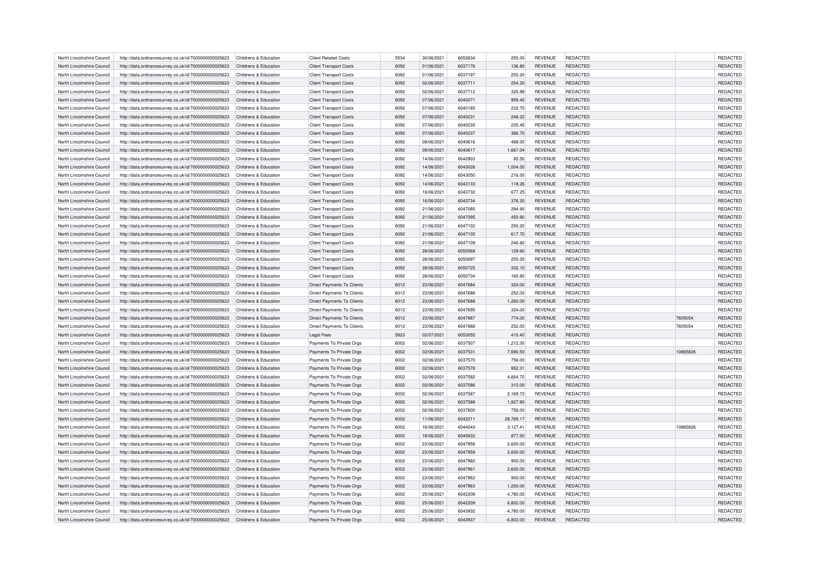| North Lincolnshire Council | http://data.ordnancesurvey.co.uk/id/7000000000025623 | Childrens & Education                          | <b>Client Related Costs</b>       | 5534 | 30/06/2021 | 6052834 | 255.00      | <b>REVENUE</b> | REDACTED        |          | REDACTED        |
|----------------------------|------------------------------------------------------|------------------------------------------------|-----------------------------------|------|------------|---------|-------------|----------------|-----------------|----------|-----------------|
| North Lincolnshire Council | http://data.ordnancesurvey.co.uk/id/7000000000025623 | Childrens & Education                          | <b>Client Transport Costs</b>     | 6092 | 01/06/2021 | 6037176 | 136.80      | <b>REVENUE</b> | REDACTED        |          | REDACTED        |
| North Lincolnshire Council | http://data.ordnancesurvey.co.uk/id/7000000000025623 | Childrens & Education                          | <b>Client Transport Costs</b>     | 6092 | 01/06/2021 | 6037197 | 250.20      | <b>REVENUE</b> | REDACTED        |          | REDACTED        |
| North Lincolnshire Council | http://data.ordnancesurvey.co.uk/id/7000000000025623 | Childrens & Education                          | <b>Client Transport Costs</b>     | 6092 | 02/06/2021 | 6037711 | 254.20      | <b>REVENUE</b> | REDACTED        |          | REDACTED        |
| North Lincolnshire Council | http://data.ordnancesurvey.co.uk/id/7000000000025623 | Childrens & Education                          | <b>Client Transport Costs</b>     | 6092 | 02/06/2021 | 6037712 | 325.99      | <b>REVENUE</b> | REDACTED        |          | REDACTED        |
| North Lincolnshire Council | http://data.ordnancesurvey.co.uk/id/7000000000025623 | Childrens & Education                          | <b>Client Transport Costs</b>     | 6092 | 07/06/2021 | 6040071 | 959.40      | <b>REVENUE</b> | REDACTED        |          | REDACTED        |
| North Lincolnshire Council | http://data.ordnancesurvey.co.uk/id/7000000000025623 | Childrens & Education                          | <b>Client Transport Costs</b>     | 6092 | 07/06/2021 | 6040185 | 232.70      | <b>REVENUE</b> | REDACTED        |          | REDACTED        |
| North Lincolnshire Council | http://data.ordnancesurvey.co.uk/id/7000000000025623 | Childrens & Education                          | <b>Client Transport Costs</b>     | 6092 | 07/06/2021 | 6040231 | 248.22      | <b>REVENUE</b> | REDACTED        |          | REDACTED        |
| North Lincolnshire Council | http://data.ordnancesurvey.co.uk/id/7000000000025623 | Childrens & Education                          | <b>Client Transport Costs</b>     | 6092 | 07/06/2021 | 6040235 | 225.45      | <b>REVENUE</b> | REDACTED        |          | REDACTED        |
| North Lincolnshire Council | http://data.ordnancesurvey.co.uk/id/7000000000025623 | Childrens & Education                          | <b>Client Transport Costs</b>     | 6092 | 07/06/2021 | 6040237 | 366.70      | <b>REVENUE</b> | REDACTED        |          | REDACTED        |
| North Lincolnshire Council | http://data.ordnancesurvey.co.uk/id/7000000000025623 | Childrens & Education                          | <b>Client Transport Costs</b>     | 6092 | 09/06/2021 | 6040616 | 468.00      | <b>REVENUE</b> | REDACTED        |          | REDACTED        |
| North Lincolnshire Council | http://data.ordnancesurvey.co.uk/id/7000000000025623 | Childrens & Education                          | <b>Client Transport Costs</b>     | 6092 | 09/06/2021 | 6040617 | 1,667.04    | <b>REVENUE</b> | <b>REDACTED</b> |          | REDACTED        |
|                            |                                                      |                                                |                                   |      |            |         |             |                |                 |          |                 |
| North Lincolnshire Council | http://data.ordnancesurvey.co.uk/id/7000000000025623 | Childrens & Education<br>Childrens & Education | <b>Client Transport Costs</b>     | 6092 | 14/06/2021 | 6042903 | 85.50       | <b>REVENUE</b> | REDACTED        |          | REDACTED        |
| North Lincolnshire Council | http://data.ordnancesurvey.co.uk/id/7000000000025623 |                                                | <b>Client Transport Costs</b>     | 6092 | 14/06/2021 | 6043026 | 1,004.00    | <b>REVENUE</b> | REDACTED        |          | REDACTED        |
| North Lincolnshire Council | http://data.ordnancesurvey.co.uk/id/7000000000025623 | Childrens & Education                          | <b>Client Transport Costs</b>     | 6092 | 14/06/2021 | 6043050 | 216.00      | <b>REVENUE</b> | REDACTED        |          | REDACTED        |
| North Lincolnshire Council | http://data.ordnancesurvey.co.uk/id/7000000000025623 | Childrens & Education                          | <b>Client Transport Costs</b>     | 6092 | 14/06/2021 | 6043133 | 118.26      | <b>REVENUE</b> | REDACTED        |          | REDACTED        |
| North Lincolnshire Council | http://data.ordnancesurvey.co.uk/id/7000000000025623 | Childrens & Education                          | <b>Client Transport Costs</b>     | 6092 | 16/06/2021 | 6043732 | 677.25      | <b>REVENUE</b> | REDACTED        |          | REDACTED        |
| North Lincolnshire Council | http://data.ordnancesurvey.co.uk/id/7000000000025623 | Childrens & Education                          | <b>Client Transport Costs</b>     | 6092 | 16/06/2021 | 6043734 | 376.20      | <b>REVENUE</b> | <b>REDACTED</b> |          | REDACTED        |
| North Lincolnshire Council | http://data.ordnancesurvey.co.uk/id/7000000000025623 | Childrens & Education                          | <b>Client Transport Costs</b>     | 6092 | 21/06/2021 | 6047085 | 294.90      | <b>REVENUE</b> | REDACTED        |          | REDACTED        |
| North Lincolnshire Council | http://data.ordnancesurvey.co.uk/id/7000000000025623 | Childrens & Education                          | <b>Client Transport Costs</b>     | 6092 | 21/06/2021 | 6047095 | 450.90      | <b>REVENUE</b> | REDACTED        |          | REDACTED        |
| North Lincolnshire Council | http://data.ordnancesurvey.co.uk/id/7000000000025623 | Childrens & Education                          | <b>Client Transport Costs</b>     | 6092 | 21/06/2021 | 6047102 | 250.20      | <b>REVENUE</b> | REDACTED        |          | REDACTED        |
| North Lincolnshire Council | http://data.ordnancesurvey.co.uk/id/7000000000025623 | Childrens & Education                          | <b>Client Transport Costs</b>     | 6092 | 21/06/2021 | 6047105 | 617.70      | <b>REVENUE</b> | <b>REDACTED</b> |          | REDACTED        |
| North Lincolnshire Council | http://data.ordnancesurvey.co.uk/id/7000000000025623 | Childrens & Education                          | <b>Client Transport Costs</b>     | 6092 | 21/06/2021 | 6047109 | 246.60      | <b>REVENUE</b> | REDACTED        |          | REDACTED        |
| North Lincolnshire Council | http://data.ordnancesurvey.co.uk/id/7000000000025623 | Childrens & Education                          | <b>Client Transport Costs</b>     | 6092 | 28/06/2021 | 6050568 | 129.60      | <b>REVENUE</b> | REDACTED        |          | REDACTED        |
| North Lincolnshire Council | http://data.ordnancesurvey.co.uk/id/7000000000025623 | Childrens & Education                          | <b>Client Transport Costs</b>     | 6092 | 28/06/2021 | 6050697 | 255.00      | <b>REVENUE</b> | REDACTED        |          | REDACTED        |
| North Lincolnshire Council | http://data.ordnancesurvey.co.uk/id/7000000000025623 | Childrens & Education                          | <b>Client Transport Costs</b>     | 6092 | 28/06/2021 | 6050725 | 332.10      | <b>REVENUE</b> | REDACTED        |          | REDACTED        |
| North Lincolnshire Council | http://data.ordnancesurvey.co.uk/id/7000000000025623 | Childrens & Education                          | <b>Client Transport Costs</b>     | 6092 | 28/06/2021 | 6050734 | 165.60      | <b>REVENUE</b> | REDACTED        |          | REDACTED        |
| North Lincolnshire Council | http://data.ordnancesurvey.co.uk/id/7000000000025623 | Childrens & Education                          | Direct Payments To Clients        | 6012 | 23/06/2021 | 6047684 | 324.00      | <b>REVENUE</b> | REDACTED        |          | REDACTED        |
| North Lincolnshire Council | http://data.ordnancesurvey.co.uk/id/7000000000025623 | Childrens & Education                          | Direct Payments To Clients        | 6012 | 23/06/2021 | 6047686 | 252.00      | <b>REVENUE</b> | REDACTED        |          | REDACTED        |
| North Lincolnshire Council | http://data.ordnancesurvey.co.uk/id/7000000000025623 | Childrens & Education                          | <b>Direct Payments To Clients</b> | 6012 | 23/06/2021 | 6047688 | 1,260.00    | <b>REVENUE</b> | <b>REDACTED</b> |          | REDACTED        |
| North Lincolnshire Council | http://data.ordnancesurvey.co.uk/id/7000000000025623 | Childrens & Education                          | Direct Payments To Clients        | 6012 | 23/06/2021 | 6047695 | 324.00      | <b>REVENUE</b> | REDACTED        |          | REDACTED        |
| North Lincolnshire Council | http://data.ordnancesurvey.co.uk/id/7000000000025623 | Childrens & Education                          | Direct Payments To Clients        | 6012 | 23/06/2021 | 6047887 | 774.00      | <b>REVENUE</b> | REDACTED        | 7605054  | REDACTED        |
| North Lincolnshire Council | http://data.ordnancesurvey.co.uk/id/7000000000025623 | Childrens & Education                          | <b>Direct Payments To Clients</b> | 6012 | 23/06/2021 | 6047888 | 252.00      | <b>REVENUE</b> | <b>REDACTED</b> | 7605054  | REDACTED        |
| North Lincolnshire Council | http://data.ordnancesurvey.co.uk/id/7000000000025623 | Childrens & Education                          | <b>Legal Fees</b>                 | 5823 | 02/07/2021 | 6053055 | 410.40      | <b>REVENUE</b> | REDACTED        |          | REDACTED        |
| North Lincolnshire Council | http://data.ordnancesurvey.co.uk/id/7000000000025623 | Childrens & Education                          | Payments To Private Orgs          | 6002 | 02/06/2021 | 6037507 | 1,212.30    | <b>REVENUE</b> | REDACTED        |          | REDACTED        |
| North Lincolnshire Council | http://data.ordnancesurvey.co.uk/id/7000000000025623 | Childrens & Education                          | Payments To Private Orgs          | 6002 | 02/06/2021 | 6037531 | 7,690.50    | <b>REVENUE</b> | <b>REDACTED</b> | 10865826 | <b>REDACTED</b> |
| North Lincolnshire Council | http://data.ordnancesurvey.co.uk/id/7000000000025623 | Childrens & Education                          | Payments To Private Orgs          | 6002 | 02/06/2021 | 6037570 | 756.00      | <b>REVENUE</b> | REDACTED        |          | REDACTED        |
| North Lincolnshire Council | http://data.ordnancesurvey.co.uk/id/7000000000025623 | Childrens & Education                          | Payments To Private Orgs          | 6002 | 02/06/2021 | 6037578 | 952.31      | <b>REVENUE</b> | REDACTED        |          | REDACTED        |
| North Lincolnshire Council | http://data.ordnancesurvey.co.uk/id/7000000000025623 | Childrens & Education                          | Payments To Private Orgs          | 6002 | 02/06/2021 | 6037582 | 4,664.70    | <b>REVENUE</b> | REDACTED        |          | REDACTED        |
| North Lincolnshire Council | http://data.ordnancesurvey.co.uk/id/7000000000025623 | Childrens & Education                          | Payments To Private Orgs          | 6002 | 02/06/2021 | 6037586 | 315.00      | <b>REVENUE</b> | REDACTED        |          | REDACTED        |
| North Lincolnshire Council | http://data.ordnancesurvey.co.uk/id/7000000000025623 | Childrens & Education                          | Payments To Private Orgs          | 6002 | 02/06/2021 | 6037587 | 2,169.72    | <b>REVENUE</b> | REDACTED        |          | REDACTED        |
| North Lincolnshire Council | http://data.ordnancesurvey.co.uk/id/7000000000025623 | Childrens & Education                          | Payments To Private Orgs          | 6002 | 02/06/2021 | 6037588 | 1,827.90    | <b>REVENUE</b> | <b>REDACTED</b> |          | REDACTED        |
| North Lincolnshire Council | http://data.ordnancesurvey.co.uk/id/7000000000025623 | Childrens & Education                          | Payments To Private Orgs          | 6002 | 02/06/2021 | 6037600 | 756.00      | <b>REVENUE</b> | REDACTED        |          | REDACTED        |
| North Lincolnshire Council | http://data.ordnancesurvey.co.uk/id/7000000000025623 | Childrens & Education                          | Payments To Private Orgs          | 6002 | 11/06/2021 | 6042211 | 28,769.17   | <b>REVENUE</b> | REDACTED        |          | REDACTED        |
| North Lincolnshire Council | http://data.ordnancesurvey.co.uk/id/7000000000025623 | Childrens & Education                          | Payments To Private Orgs          | 6002 | 16/06/2021 | 6044043 | 3,127.41    | <b>REVENUE</b> | REDACTED        | 10865826 | REDACTED        |
|                            |                                                      |                                                |                                   |      |            |         |             |                |                 |          |                 |
| North Lincolnshire Council | http://data.ordnancesurvey.co.uk/id/7000000000025623 | Childrens & Education                          | Payments To Private Orgs          | 6002 | 18/06/2021 | 6045832 | 877.50      | <b>REVENUE</b> | <b>REDACTED</b> |          | REDACTED        |
| North Lincolnshire Council | http://data.ordnancesurvey.co.uk/id/7000000000025623 | Childrens & Education                          | Payments To Private Orgs          | 6002 | 23/06/2021 | 6047958 | 2,600.00    | <b>REVENUE</b> | REDACTED        |          | REDACTED        |
| North Lincolnshire Council | http://data.ordnancesurvey.co.uk/id/7000000000025623 | Childrens & Education                          | Payments To Private Orgs          | 6002 | 23/06/2021 | 6047959 | 2,600.00    | <b>REVENUE</b> | <b>REDACTED</b> |          | REDACTED        |
| North Lincolnshire Council | http://data.ordnancesurvey.co.uk/id/7000000000025623 | Childrens & Education                          | Payments To Private Orgs          | 6002 | 23/06/2021 | 6047960 | 900.00      | <b>REVENUE</b> | <b>REDACTED</b> |          | REDACTED        |
| North Lincolnshire Council | http://data.ordnancesurvey.co.uk/id/7000000000025623 | Childrens & Education                          | Payments To Private Orgs          | 6002 | 23/06/2021 | 6047961 | 2,600.00    | <b>REVENUE</b> | REDACTED        |          | REDACTED        |
| North Lincolnshire Council | http://data.ordnancesurvey.co.uk/id/7000000000025623 | Childrens & Education                          | Payments To Private Orgs          | 6002 | 23/06/2021 | 6047962 | 900.00      | <b>REVENUE</b> | <b>REDACTED</b> |          | REDACTED        |
| North Lincolnshire Council | http://data.ordnancesurvey.co.uk/id/7000000000025623 | Childrens & Education                          | Payments To Private Orgs          | 6002 | 23/06/2021 | 6047963 | 1,200.00    | <b>REVENUE</b> | <b>REDACTED</b> |          | REDACTED        |
| North Lincolnshire Council | http://data.ordnancesurvey.co.uk/id/7000000000025623 | Childrens & Education                          | Payments To Private Orgs          | 6002 | 25/06/2021 | 6042208 | 4,780.00    | <b>REVENUE</b> | REDACTED        |          | REDACTED        |
| North Lincolnshire Council | http://data.ordnancesurvey.co.uk/id/7000000000025623 | Childrens & Education                          | Payments To Private Orgs          | 6002 | 25/06/2021 | 6042209 | 6.802.00    | <b>REVENUE</b> | <b>REDACTED</b> |          | <b>REDACTED</b> |
| North Lincolnshire Council | http://data.ordnancesurvey.co.uk/id/7000000000025623 | Childrens & Education                          | Payments To Private Orgs          | 6002 | 25/06/2021 | 6043932 | $-4,780.00$ | <b>REVENUE</b> | <b>REDACTED</b> |          | REDACTED        |
| North Lincolnshire Council | http://data.ordnancesurvey.co.uk/id/7000000000025623 | Childrens & Education                          | Payments To Private Orgs          | 6002 | 25/06/2021 | 6043937 | $-6,802.00$ | <b>REVENUE</b> | <b>REDACTED</b> |          | REDACTED        |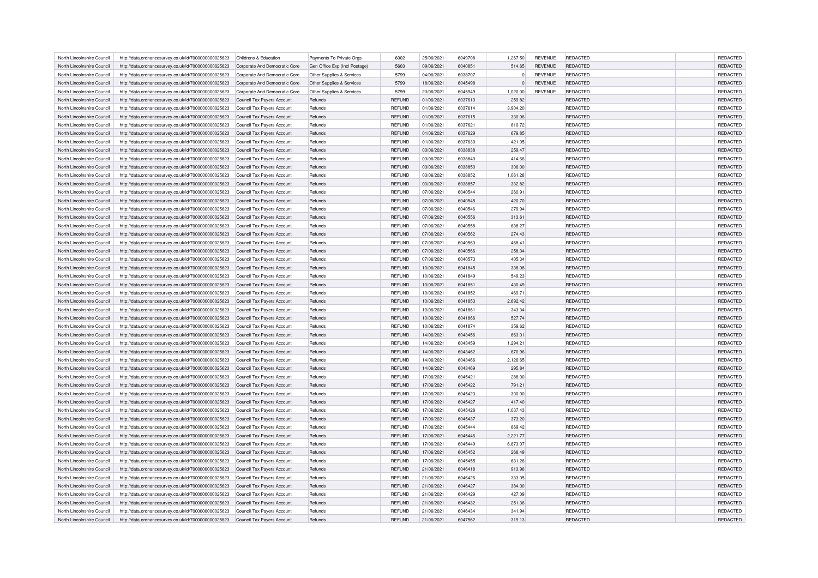| North Lincolnshire Council | http://data.ordnancesurvey.co.uk/id/7000000000025623 | Childrens & Education         | Payments To Private Orgs      | 6002          | 25/06/2021 | 6049708 | 1,267.50  | <b>REVENUE</b> | REDACTED        | REDACTED        |
|----------------------------|------------------------------------------------------|-------------------------------|-------------------------------|---------------|------------|---------|-----------|----------------|-----------------|-----------------|
| North Lincolnshire Council | http://data.ordnancesurvey.co.uk/id/7000000000025623 | Corporate And Democratic Core | Gen Office Exp (Incl Postage) | 5603          | 09/06/2021 | 6040851 | 514.65    | <b>REVENUE</b> | REDACTED        | REDACTED        |
| North Lincolnshire Council | http://data.ordnancesurvey.co.uk/id/7000000000025623 | Corporate And Democratic Core | Other Supplies & Services     | 5799          | 04/06/2021 | 6038707 |           | <b>REVENUE</b> | REDACTED        | REDACTED        |
| North Lincolnshire Council | http://data.ordnancesurvey.co.uk/id/7000000000025623 | Corporate And Democratic Core | Other Supplies & Services     | 5799          | 18/06/2021 | 6045498 |           | <b>REVENUE</b> | REDACTED        | REDACTED        |
| North Lincolnshire Council | http://data.ordnancesurvey.co.uk/id/7000000000025623 | Corporate And Democratic Core | Other Supplies & Services     | 5799          | 23/06/2021 | 6045949 | 1,020.00  | <b>REVENUE</b> | REDACTED        | REDACTED        |
| North Lincolnshire Council | http://data.ordnancesurvey.co.uk/id/7000000000025623 | Council Tax Payers Account    | Refunds                       | <b>REFUND</b> | 01/06/2021 | 6037610 | 259.82    |                | <b>REDACTED</b> | REDACTED        |
| North Lincolnshire Council | http://data.ordnancesurvey.co.uk/id/7000000000025623 | Council Tax Payers Account    | Refunds                       | <b>REFUND</b> | 01/06/2021 | 6037614 | 3,904.20  |                | REDACTED        | REDACTED        |
| North Lincolnshire Council | http://data.ordnancesurvey.co.uk/id/7000000000025623 | Council Tax Payers Account    | Refunds                       | <b>REFUND</b> | 01/06/2021 | 6037615 | 330.06    |                | <b>REDACTED</b> | REDACTED        |
| North Lincolnshire Council | http://data.ordnancesurvey.co.uk/id/7000000000025623 | Council Tax Payers Account    | Refunds                       | <b>REFUND</b> | 01/06/2021 | 6037621 | 810.72    |                | <b>REDACTED</b> | REDACTED        |
| North Lincolnshire Council | http://data.ordnancesurvey.co.uk/id/7000000000025623 | Council Tax Payers Account    | Refunds                       | <b>REFUND</b> | 01/06/2021 | 6037629 | 679.85    |                | <b>REDACTED</b> | REDACTED        |
| North Lincolnshire Council | http://data.ordnancesurvey.co.uk/id/7000000000025623 | Council Tax Payers Account    | Refunds                       | <b>REFUND</b> | 01/06/2021 | 6037630 | 421.05    |                | REDACTED        | REDACTED        |
| North Lincolnshire Council | http://data.ordnancesurvey.co.uk/id/7000000000025623 | Council Tax Payers Account    | Refunds                       | <b>REFUND</b> | 03/06/2021 | 6038838 | 259.47    |                | <b>REDACTED</b> | REDACTED        |
| North Lincolnshire Council | http://data.ordnancesurvey.co.uk/id/7000000000025623 | Council Tax Payers Account    | Refunds                       | REFUND        | 03/06/2021 | 6038840 | 414.66    |                | REDACTED        | REDACTED        |
| North Lincolnshire Council | http://data.ordnancesurvey.co.uk/id/7000000000025623 | Council Tax Payers Account    | Refunds                       | <b>REFUND</b> | 03/06/2021 | 6038850 | 306.00    |                | <b>REDACTED</b> | REDACTED        |
| North Lincolnshire Council | http://data.ordnancesurvey.co.uk/id/7000000000025623 | Council Tax Payers Account    | Refunds                       | REFUND        | 03/06/2021 | 6038852 | 1,061.28  |                | <b>REDACTED</b> | REDACTED        |
| North Lincolnshire Council | http://data.ordnancesurvey.co.uk/id/7000000000025623 | Council Tax Payers Account    | Refunds                       | <b>REFUND</b> | 03/06/2021 | 6038857 | 332.82    |                | <b>REDACTED</b> | REDACTED        |
| North Lincolnshire Council | http://data.ordnancesurvey.co.uk/id/7000000000025623 | Council Tax Payers Account    | Refunds                       | <b>REFUND</b> | 07/06/2021 | 6040544 | 260.91    |                | <b>REDACTED</b> | REDACTED        |
| North Lincolnshire Council | http://data.ordnancesurvey.co.uk/id/7000000000025623 | Council Tax Payers Account    | Refunds                       | <b>REFUND</b> | 07/06/2021 | 6040545 | 420.70    |                | <b>REDACTED</b> | REDACTED        |
| North Lincolnshire Council | http://data.ordnancesurvey.co.uk/id/7000000000025623 | Council Tax Payers Account    | Refunds                       | <b>REFUND</b> | 07/06/2021 | 6040546 | 279.94    |                | <b>REDACTED</b> | REDACTED        |
| North Lincolnshire Council | http://data.ordnancesurvey.co.uk/id/7000000000025623 | Council Tax Payers Account    | Refunds                       | <b>REFUND</b> | 07/06/2021 | 6040556 | 313.61    |                | <b>REDACTED</b> | REDACTED        |
| North Lincolnshire Council | http://data.ordnancesurvey.co.uk/id/7000000000025623 | Council Tax Payers Account    | Refunds                       | <b>REFUND</b> | 07/06/2021 | 6040558 | 638.27    |                | REDACTED        | REDACTED        |
| North Lincolnshire Council | http://data.ordnancesurvey.co.uk/id/7000000000025623 | Council Tax Payers Account    | Refunds                       | <b>REFUND</b> | 07/06/2021 | 6040562 | 274.43    |                | <b>REDACTED</b> | REDACTED        |
| North Lincolnshire Council | http://data.ordnancesurvey.co.uk/id/7000000000025623 | Council Tax Payers Account    | Refunds                       | <b>REFUND</b> | 07/06/2021 | 6040563 | 468.41    |                | REDACTED        | REDACTED        |
| North Lincolnshire Council | http://data.ordnancesurvey.co.uk/id/7000000000025623 | Council Tax Payers Account    | Refunds                       | <b>REFUND</b> | 07/06/2021 | 6040566 | 258.34    |                | <b>REDACTED</b> | REDACTED        |
| North Lincolnshire Council | http://data.ordnancesurvey.co.uk/id/7000000000025623 | Council Tax Payers Account    | Refunds                       | <b>REFUND</b> | 07/06/2021 | 6040573 | 405.34    |                | REDACTED        | REDACTED        |
| North Lincolnshire Council | http://data.ordnancesurvey.co.uk/id/7000000000025623 | Council Tax Payers Account    | Refunds                       | <b>REFUND</b> | 10/06/2021 | 6041845 | 338.08    |                | <b>REDACTED</b> | REDACTED        |
| North Lincolnshire Council | http://data.ordnancesurvey.co.uk/id/7000000000025623 | Council Tax Payers Account    | Refunds                       | <b>REFUND</b> | 10/06/2021 | 6041849 | 549.23    |                | REDACTED        | REDACTED        |
| North Lincolnshire Council | http://data.ordnancesurvey.co.uk/id/7000000000025623 | Council Tax Payers Account    | Refunds                       | <b>REFUND</b> | 10/06/2021 | 6041851 | 430.49    |                | REDACTED        | REDACTED        |
| North Lincolnshire Council | http://data.ordnancesurvey.co.uk/id/7000000000025623 | Council Tax Payers Account    | Refunds                       | REFUND        | 10/06/2021 | 6041852 | 469.71    |                | REDACTED        | REDACTED        |
| North Lincolnshire Council | http://data.ordnancesurvey.co.uk/id/7000000000025623 | Council Tax Payers Account    | Refunds                       | <b>REFUND</b> | 10/06/2021 | 6041853 | 2,692.42  |                | <b>REDACTED</b> | REDACTED        |
| North Lincolnshire Council | http://data.ordnancesurvey.co.uk/id/7000000000025623 | Council Tax Payers Account    | Refunds                       | REFUND        | 10/06/2021 | 6041861 | 343.34    |                | REDACTED        | REDACTED        |
| North Lincolnshire Council | http://data.ordnancesurvey.co.uk/id/7000000000025623 | Council Tax Payers Account    | Refunds                       | <b>REFUND</b> | 10/06/2021 | 6041866 | 527.74    |                | REDACTED        | REDACTED        |
| North Lincolnshire Council | http://data.ordnancesurvey.co.uk/id/7000000000025623 | Council Tax Payers Account    | Refunds                       | REFUND        | 10/06/2021 | 6041874 | 359.62    |                | <b>REDACTED</b> | <b>REDACTED</b> |
| North Lincolnshire Council | http://data.ordnancesurvey.co.uk/id/7000000000025623 | Council Tax Payers Account    | Refunds                       | <b>REFUND</b> | 14/06/2021 | 6043456 | 663.01    |                | REDACTED        | REDACTED        |
| North Lincolnshire Council | http://data.ordnancesurvey.co.uk/id/7000000000025623 | Council Tax Payers Account    | Refunds                       | <b>REFUND</b> | 14/06/2021 | 6043459 | 1,294.21  |                | REDACTED        | REDACTED        |
| North Lincolnshire Council | http://data.ordnancesurvey.co.uk/id/7000000000025623 | Council Tax Payers Account    | Refunds                       | <b>REFUND</b> | 14/06/2021 | 6043462 | 670.96    |                | <b>REDACTED</b> | REDACTED        |
| North Lincolnshire Council | http://data.ordnancesurvey.co.uk/id/7000000000025623 | Council Tax Payers Account    | Refunds                       | REFUND        | 14/06/2021 | 6043466 | 2,126.65  |                | <b>REDACTED</b> | <b>REDACTED</b> |
| North Lincolnshire Council | http://data.ordnancesurvey.co.uk/id/7000000000025623 | Council Tax Payers Account    | Refunds                       | <b>REFUND</b> | 14/06/2021 | 6043469 | 295.84    |                | <b>REDACTED</b> | REDACTED        |
| North Lincolnshire Council | http://data.ordnancesurvey.co.uk/id/7000000000025623 | Council Tax Payers Account    | Refunds                       | <b>REFUND</b> | 17/06/2021 | 6045421 | 288.00    |                | REDACTED        | REDACTED        |
| North Lincolnshire Council | http://data.ordnancesurvey.co.uk/id/7000000000025623 | Council Tax Payers Account    | Refunds                       | <b>REFUND</b> | 17/06/2021 | 6045422 | 791.21    |                | REDACTED        | REDACTED        |
| North Lincolnshire Council | http://data.ordnancesurvey.co.uk/id/7000000000025623 | Council Tax Payers Account    | Refunds                       | <b>REFUND</b> | 17/06/2021 | 6045423 | 300.00    |                | REDACTED        | REDACTED        |
| North Lincolnshire Council | http://data.ordnancesurvey.co.uk/id/7000000000025623 | Council Tax Payers Account    | Refunds                       | <b>REFUND</b> | 17/06/2021 | 6045427 | 417.40    |                | <b>REDACTED</b> | <b>REDACTED</b> |
| North Lincolnshire Council | http://data.ordnancesurvey.co.uk/id/7000000000025623 | Council Tax Payers Account    | Refunds                       | <b>REFUND</b> | 17/06/2021 | 6045428 | 1,037.43  |                | REDACTED        | REDACTED        |
| North Lincolnshire Council | http://data.ordnancesurvey.co.uk/id/7000000000025623 | Council Tax Payers Account    | Refunds                       | <b>REFUND</b> | 17/06/2021 | 6045437 | 373.20    |                | <b>REDACTED</b> | REDACTED        |
| North Lincolnshire Council | http://data.ordnancesurvey.co.uk/id/7000000000025623 | Council Tax Payers Account    | Refunds                       | <b>REFUND</b> | 17/06/2021 | 6045444 | 869.42    |                | REDACTED        | REDACTED        |
| North Lincolnshire Council | http://data.ordnancesurvey.co.uk/id/7000000000025623 | Council Tax Payers Account    | Refunds                       | <b>REFUND</b> | 17/06/2021 | 6045446 | 2,221.77  |                | <b>REDACTED</b> | REDACTED        |
| North Lincolnshire Council | http://data.ordnancesurvey.co.uk/id/7000000000025623 | Council Tax Payers Account    | Refunds                       | <b>REFUND</b> | 17/06/2021 | 6045449 | 6,873.07  |                | <b>REDACTED</b> | REDACTED        |
| North Lincolnshire Council | http://data.ordnancesurvey.co.uk/id/7000000000025623 | Council Tax Payers Account    | Refunds                       | <b>REFUND</b> | 17/06/2021 | 6045452 | 268.49    |                | <b>REDACTED</b> | REDACTED        |
| North Lincolnshire Council | http://data.ordnancesurvey.co.uk/id/7000000000025623 | Council Tax Payers Account    | Refunds                       | <b>REFUND</b> | 17/06/2021 | 6045455 | 631.26    |                | REDACTED        | REDACTED        |
| North Lincolnshire Council | http://data.ordnancesurvey.co.uk/id/7000000000025623 | Council Tax Payers Account    | Refunds                       | <b>REFUND</b> | 21/06/2021 | 6046418 | 913.96    |                | REDACTED        | REDACTED        |
| North Lincolnshire Council | http://data.ordnancesurvey.co.uk/id/7000000000025623 | Council Tax Payers Account    | Refunds                       | <b>REFUND</b> | 21/06/2021 | 6046426 | 333.05    |                | <b>REDACTED</b> | <b>REDACTED</b> |
| North Lincolnshire Council | http://data.ordnancesurvey.co.uk/id/7000000000025623 | Council Tax Payers Account    | Refunds                       | <b>REFUND</b> | 21/06/2021 | 6046427 | 384.00    |                | REDACTED        | REDACTED        |
| North Lincolnshire Council | http://data.ordnancesurvey.co.uk/id/7000000000025623 | Council Tax Payers Account    | Refunds                       | <b>REFUND</b> | 21/06/2021 | 6046429 | 427.09    |                | <b>REDACTED</b> | REDACTED        |
| North Lincolnshire Council | http://data.ordnancesurvey.co.uk/id/7000000000025623 | Council Tax Payers Account    | Refunds                       | <b>REFUND</b> | 21/06/2021 | 6046432 | 251.36    |                | <b>REDACTED</b> | REDACTED        |
| North Lincolnshire Council | http://data.ordnancesurvey.co.uk/id/7000000000025623 | Council Tax Payers Account    | Refunds                       | <b>REFUND</b> | 21/06/2021 | 6046434 | 341.94    |                | <b>REDACTED</b> | <b>REDACTED</b> |
| North Lincolnshire Council | http://data.ordnancesurvey.co.uk/id/7000000000025623 | Council Tax Payers Account    | Refunds                       | <b>REFUND</b> | 21/06/2021 | 6047562 | $-319.13$ |                | <b>REDACTED</b> | REDACTED        |
|                            |                                                      |                               |                               |               |            |         |           |                |                 |                 |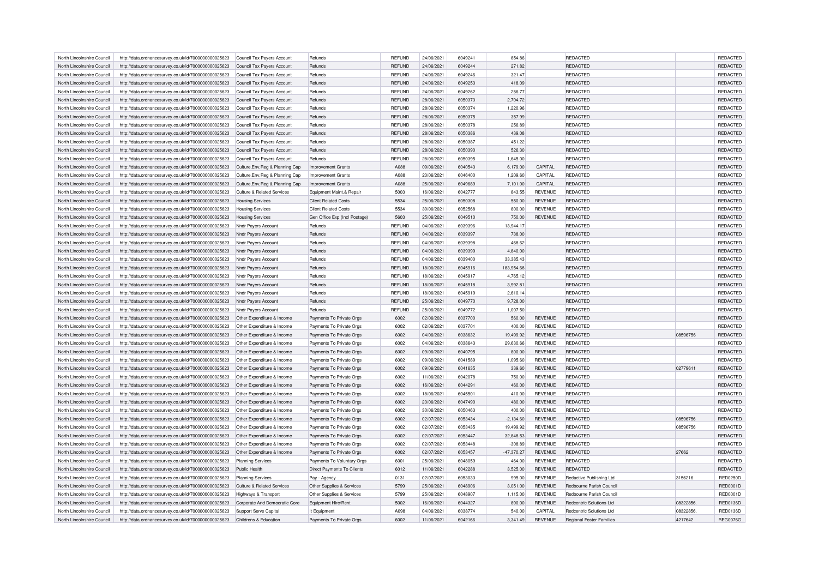| North Lincolnshire Council | http://data.ordnancesurvey.co.uk/id/7000000000025623 | Council Tax Payers Account            | Refunds                       | <b>REFUND</b> | 24/06/2021 | 6049241 | 854.86       |                | REDACTED                        |           | <b>REDACTED</b> |
|----------------------------|------------------------------------------------------|---------------------------------------|-------------------------------|---------------|------------|---------|--------------|----------------|---------------------------------|-----------|-----------------|
| North Lincolnshire Council | http://data.ordnancesurvey.co.uk/id/7000000000025623 | Council Tax Payers Account            | Refunds                       | <b>REFUND</b> | 24/06/2021 | 6049244 | 271.82       |                | REDACTED                        |           | <b>REDACTED</b> |
| North Lincolnshire Council | http://data.ordnancesurvey.co.uk/id/7000000000025623 | Council Tax Payers Account            | Refunds                       | <b>REFUND</b> | 24/06/2021 | 6049246 | 321.47       |                | REDACTED                        |           | REDACTED        |
| North Lincolnshire Council | http://data.ordnancesurvey.co.uk/id/7000000000025623 | Council Tax Payers Account            | Refunds                       | <b>REFUND</b> | 24/06/2021 | 6049253 | 418.09       |                | REDACTED                        |           | REDACTED        |
| North Lincolnshire Council | http://data.ordnancesurvey.co.uk/id/7000000000025623 | Council Tax Payers Account            | Refunds                       | REFUND        | 24/06/2021 | 6049262 | 256.77       |                | REDACTED                        |           | REDACTED        |
| North Lincolnshire Council | http://data.ordnancesurvey.co.uk/id/7000000000025623 | Council Tax Payers Account            | Refunds                       | REFUND        | 28/06/2021 | 6050373 | 2,704.72     |                | <b>REDACTED</b>                 |           | REDACTED        |
| North Lincolnshire Council | http://data.ordnancesurvey.co.uk/id/7000000000025623 | Council Tax Payers Account            | Refunds                       | <b>REFUND</b> | 28/06/2021 | 6050374 | 1,220.96     |                | <b>REDACTED</b>                 |           | REDACTED        |
| North Lincolnshire Council | http://data.ordnancesurvey.co.uk/id/7000000000025623 | Council Tax Payers Account            | Refunds                       | <b>REFUND</b> | 28/06/2021 | 6050375 | 357.99       |                | REDACTED                        |           | REDACTED        |
| North Lincolnshire Council |                                                      |                                       | Refunds                       | REFUND        | 28/06/2021 | 6050378 | 256.89       |                | REDACTED                        |           | REDACTED        |
|                            | http://data.ordnancesurvey.co.uk/id/7000000000025623 | Council Tax Payers Account            |                               |               |            |         |              |                |                                 |           |                 |
| North Lincolnshire Council | http://data.ordnancesurvey.co.uk/id/7000000000025623 | Council Tax Payers Account            | Refunds                       | <b>REFUND</b> | 28/06/2021 | 6050386 | 439.08       |                | REDACTED                        |           | REDACTED        |
| North Lincolnshire Council | http://data.ordnancesurvey.co.uk/id/7000000000025623 | Council Tax Payers Account            | Refunds                       | REFUND        | 28/06/2021 | 6050387 | 451.22       |                | REDACTED                        |           | REDACTED        |
| North Lincolnshire Council | http://data.ordnancesurvey.co.uk/id/7000000000025623 | Council Tax Payers Account            | Refunds                       | REFUND        | 28/06/2021 | 6050390 | 526.30       |                | <b>REDACTED</b>                 |           | <b>REDACTED</b> |
| North Lincolnshire Council | http://data.ordnancesurvey.co.uk/id/7000000000025623 | Council Tax Payers Account            | Refunds                       | <b>REFUND</b> | 28/06/2021 | 6050395 | 1,645.00     |                | REDACTED                        |           | REDACTED        |
| North Lincolnshire Council | http://data.ordnancesurvey.co.uk/id/7000000000025623 | Culture, Env, Reg & Planning Cap      | <b>Improvement Grants</b>     | A088          | 09/06/2021 | 6040543 | 6,179.00     | CAPITAL        | <b>REDACTED</b>                 |           | REDACTED        |
| North Lincolnshire Council | http://data.ordnancesurvey.co.uk/id/7000000000025623 | Culture, Env, Reg & Planning Cap      | Improvement Grants            | A088          | 23/06/2021 | 6046400 | 1,209.60     | CAPITAL        | REDACTED                        |           | REDACTED        |
| North Lincolnshire Council | http://data.ordnancesurvey.co.uk/id/7000000000025623 | Culture, Env, Reg & Planning Cap      | <b>Improvement Grants</b>     | A088          | 25/06/2021 | 6049689 | 7,101.00     | CAPITAL        | <b>REDACTED</b>                 |           | REDACTED        |
| North Lincolnshire Council | http://data.ordnancesurvey.co.uk/id/7000000000025623 | <b>Culture &amp; Related Services</b> | Equipment Maint.& Repair      | 5003          | 16/06/2021 | 6042777 | 843.55       | <b>REVENUE</b> | REDACTED                        |           | REDACTED        |
| North Lincolnshire Council | http://data.ordnancesurvey.co.uk/id/7000000000025623 | <b>Housing Services</b>               | <b>Client Related Costs</b>   | 5534          | 25/06/2021 | 6050308 | 550.00       | <b>REVENUE</b> | <b>REDACTED</b>                 |           | REDACTED        |
| North Lincolnshire Council | http://data.ordnancesurvey.co.uk/id/7000000000025623 | <b>Housing Services</b>               | <b>Client Related Costs</b>   | 5534          | 30/06/2021 | 6052568 | 800.00       | <b>REVENUE</b> | REDACTED                        |           | REDACTED        |
| North Lincolnshire Council | http://data.ordnancesurvey.co.uk/id/7000000000025623 | <b>Housing Services</b>               | Gen Office Exp (Incl Postage) | 5603          | 25/06/2021 | 6049510 | 750.00       | <b>REVENUE</b> | <b>REDACTED</b>                 |           | REDACTED        |
| North Lincolnshire Council | http://data.ordnancesurvey.co.uk/id/7000000000025623 | Nndr Payers Account                   | Refunds                       | <b>REFUND</b> | 04/06/2021 | 6039396 | 13,944.17    |                | REDACTED                        |           | REDACTED        |
| North Lincolnshire Council | http://data.ordnancesurvey.co.uk/id/7000000000025623 | Nndr Payers Account                   | Refunds                       | <b>REFUND</b> | 04/06/2021 | 6039397 | 738.00       |                | <b>REDACTED</b>                 |           | REDACTED        |
| North Lincolnshire Council | http://data.ordnancesurvey.co.uk/id/7000000000025623 | Nndr Payers Account                   | Refunds                       | REFUND        | 04/06/2021 | 6039398 | 468.62       |                | REDACTED                        |           | REDACTED        |
| North Lincolnshire Council | http://data.ordnancesurvey.co.uk/id/7000000000025623 | Nndr Payers Account                   | Refunds                       | REFUND        | 04/06/2021 | 6039399 | 4,840.00     |                | <b>REDACTED</b>                 |           | REDACTED        |
| North Lincolnshire Council | http://data.ordnancesurvey.co.uk/id/7000000000025623 | Nndr Payers Account                   | Refunds                       | <b>REFUND</b> | 04/06/2021 | 6039400 | 33,385.43    |                | REDACTED                        |           | REDACTED        |
| North Lincolnshire Council | http://data.ordnancesurvey.co.uk/id/7000000000025623 | <b>Nndr Payers Account</b>            | Refunds                       | <b>REFUND</b> | 18/06/2021 | 6045916 | 183,954.68   |                | REDACTED                        |           | REDACTED        |
| North Lincolnshire Council | http://data.ordnancesurvey.co.uk/id/7000000000025623 | Nndr Payers Account                   | Refunds                       | <b>REFUND</b> | 18/06/2021 | 6045917 | 4.765.12     |                | REDACTED                        |           | REDACTED        |
| North Lincolnshire Council | http://data.ordnancesurvey.co.uk/id/7000000000025623 | Nndr Payers Account                   | Refunds                       | <b>REFUND</b> | 18/06/2021 | 6045918 | 3,992.81     |                | <b>REDACTED</b>                 |           | REDACTED        |
| North Lincolnshire Council | http://data.ordnancesurvey.co.uk/id/7000000000025623 | Nndr Payers Account                   | Refunds                       | REFUND        | 18/06/2021 | 6045919 | 2.610.14     |                | <b>REDACTED</b>                 |           | REDACTED        |
| North Lincolnshire Council | http://data.ordnancesurvey.co.uk/id/7000000000025623 | <b>Nndr Payers Account</b>            | Refunds                       | REFUND        | 25/06/2021 | 6049770 | 9,728.00     |                | REDACTED                        |           | REDACTED        |
| North Lincolnshire Council | http://data.ordnancesurvey.co.uk/id/7000000000025623 | Nndr Payers Account                   | Refunds                       | REFUND        | 25/06/2021 | 6049772 | 1,007.50     |                | REDACTED                        |           | REDACTED        |
| North Lincolnshire Council | http://data.ordnancesurvey.co.uk/id/7000000000025623 | Other Expenditure & Income            | Payments To Private Orgs      | 6002          | 02/06/2021 | 6037700 | 560.00       | <b>REVENUE</b> | <b>REDACTED</b>                 |           | REDACTED        |
| North Lincolnshire Council | http://data.ordnancesurvey.co.uk/id/7000000000025623 | Other Expenditure & Income            | Payments To Private Orgs      | 6002          | 02/06/2021 | 6037701 | 400.00       | <b>REVENUE</b> | REDACTED                        |           | <b>REDACTED</b> |
|                            |                                                      |                                       |                               |               |            |         |              |                |                                 | 08596756  | REDACTED        |
| North Lincolnshire Council | http://data.ordnancesurvey.co.uk/id/7000000000025623 | Other Expenditure & Income            | Payments To Private Orgs      | 6002          | 04/06/2021 | 6038632 | 19,499.92    | <b>REVENUE</b> | <b>REDACTED</b>                 |           |                 |
| North Lincolnshire Council | http://data.ordnancesurvey.co.uk/id/7000000000025623 | Other Expenditure & Income            | Payments To Private Orgs      | 6002          | 04/06/2021 | 6038643 | 29,630.66    | REVENUE        | REDACTED                        |           | REDACTED        |
| North Lincolnshire Council | http://data.ordnancesurvey.co.uk/id/7000000000025623 | Other Expenditure & Income            | Payments To Private Orgs      | 6002          | 09/06/2021 | 6040795 | 800.00       | <b>REVENUE</b> | <b>REDACTED</b>                 |           | <b>REDACTED</b> |
| North Lincolnshire Council | http://data.ordnancesurvey.co.uk/id/7000000000025623 | Other Expenditure & Income            | Payments To Private Orgs      | 6002          | 09/06/2021 | 6041589 | 1,095.60     | REVENUE        | REDACTED                        |           | <b>REDACTED</b> |
| North Lincolnshire Council | http://data.ordnancesurvey.co.uk/id/7000000000025623 | Other Expenditure & Income            | Payments To Private Orgs      | 6002          | 09/06/2021 | 6041635 | 339.60       | <b>REVENUE</b> | <b>REDACTED</b>                 | 02779611  | REDACTED        |
| North Lincolnshire Council | http://data.ordnancesurvey.co.uk/id/7000000000025623 | Other Expenditure & Income            | Payments To Private Orgs      | 6002          | 11/06/2021 | 6042078 | 750.00       | <b>REVENUE</b> | REDACTED                        |           | REDACTED        |
| North Lincolnshire Council | http://data.ordnancesurvey.co.uk/id/7000000000025623 | Other Expenditure & Income            | Payments To Private Orgs      | 6002          | 16/06/2021 | 6044291 | 460.00       | <b>REVENUE</b> | <b>REDACTED</b>                 |           | REDACTED        |
| North Lincolnshire Council | http://data.ordnancesurvey.co.uk/id/7000000000025623 | Other Expenditure & Income            | Payments To Private Orgs      | 6002          | 18/06/2021 | 6045501 | 410.00       | <b>REVENUE</b> | REDACTED                        |           | <b>REDACTED</b> |
| North Lincolnshire Council | http://data.ordnancesurvey.co.uk/id/7000000000025623 | Other Expenditure & Income            | Payments To Private Orgs      | 6002          | 23/06/2021 | 6047490 | 480.00       | <b>REVENUE</b> | REDACTED                        |           | REDACTED        |
| North Lincolnshire Council | http://data.ordnancesurvey.co.uk/id/7000000000025623 | Other Expenditure & Income            | Payments To Private Orgs      | 6002          | 30/06/2021 | 6050463 | 400.00       | <b>REVENUE</b> | <b>REDACTED</b>                 |           | REDACTED        |
| North Lincolnshire Council | http://data.ordnancesurvey.co.uk/id/7000000000025623 | Other Expenditure & Income            | Payments To Private Orgs      | 6002          | 02/07/2021 | 6053434 | $-2,134.60$  | <b>REVENUE</b> | REDACTED                        | 08596756  | REDACTED        |
| North Lincolnshire Council | http://data.ordnancesurvey.co.uk/id/7000000000025623 | Other Expenditure & Income            | Payments To Private Orgs      | 6002          | 02/07/2021 | 6053435 | 19,499.92    | <b>REVENUE</b> | REDACTED                        | 08596756  | <b>REDACTED</b> |
| North Lincolnshire Council | http://data.ordnancesurvey.co.uk/id/7000000000025623 | Other Expenditure & Income            | Payments To Private Orgs      | 6002          | 02/07/2021 | 6053447 | 32,848.53    | <b>REVENUE</b> | <b>REDACTED</b>                 |           | REDACTED        |
| North Lincolnshire Council | http://data.ordnancesurvey.co.uk/id/7000000000025623 | Other Expenditure & Income            | Payments To Private Orgs      | 6002          | 02/07/2021 | 6053448 | $-308.89$    | <b>REVENUE</b> | <b>REDACTED</b>                 |           | REDACTED        |
| North Lincolnshire Council | http://data.ordnancesurvey.co.uk/id/7000000000025623 | Other Expenditure & Income            | Payments To Private Orgs      | 6002          | 02/07/2021 | 6053457 | $-47,370.27$ | <b>REVENUE</b> | <b>REDACTED</b>                 | 27662     | <b>REDACTED</b> |
| North Lincolnshire Council | http://data.ordnancesurvey.co.uk/id/7000000000025623 | <b>Planning Services</b>              | Payments To Voluntary Orgs    | 6001          | 25/06/2021 | 6048059 | 464.00       | REVENUE        | REDACTED                        |           | REDACTED        |
| North Lincolnshire Council | http://data.ordnancesurvey.co.uk/id/7000000000025623 | <b>Public Health</b>                  | Direct Payments To Clients    | 6012          | 11/06/2021 | 6042288 | 3,525.00     | <b>REVENUE</b> | REDACTED                        |           | REDACTED        |
| North Lincolnshire Council | http://data.ordnancesurvey.co.uk/id/7000000000025623 | <b>Planning Services</b>              | Pay - Agency                  | 0131          | 02/07/2021 | 6053033 | 995.00       | <b>REVENUE</b> | Redactive Publishing Ltd        | 3156216   | <b>RED0250D</b> |
| North Lincolnshire Council | http://data.ordnancesurvey.co.uk/id/7000000000025623 | Culture & Related Services            | Other Supplies & Services     | 5799          | 25/06/2021 | 6048906 | 3,051.00     | <b>REVENUE</b> | Redbourne Parish Council        |           | RED0001D        |
| North Lincolnshire Council | http://data.ordnancesurvey.co.uk/id/7000000000025623 | Highways & Transport                  | Other Supplies & Services     | 5799          | 25/06/2021 | 6048907 | 1,115.00     | <b>REVENUE</b> | Redbourne Parish Council        |           | RED0001D        |
| North Lincolnshire Council | http://data.ordnancesurvey.co.uk/id/7000000000025623 | Corporate And Democratic Core         | Equipment Hire/Rent           | 5002          | 16/06/2021 | 6044327 | 890.00       | <b>REVENUE</b> | Redcentric Solutions Ltd        | 08322856. | <b>RED0136D</b> |
| North Lincolnshire Council | http://data.ordnancesurvey.co.uk/id/7000000000025623 | Support Servs Capital                 | It Equipment                  | A098          | 04/06/2021 | 6038774 | 540.00       | CAPITAL        | Redcentric Solutions Ltd        | 08322856  | RED0136D        |
| North Lincolnshire Council | http://data.ordnancesurvey.co.uk/id/7000000000025623 | Childrens & Education                 | Payments To Private Orgs      | 6002          | 11/06/2021 | 6042166 | 3,341.49     | <b>REVENUE</b> | <b>Regional Foster Families</b> | 4217642   | <b>REG0076G</b> |
|                            |                                                      |                                       |                               |               |            |         |              |                |                                 |           |                 |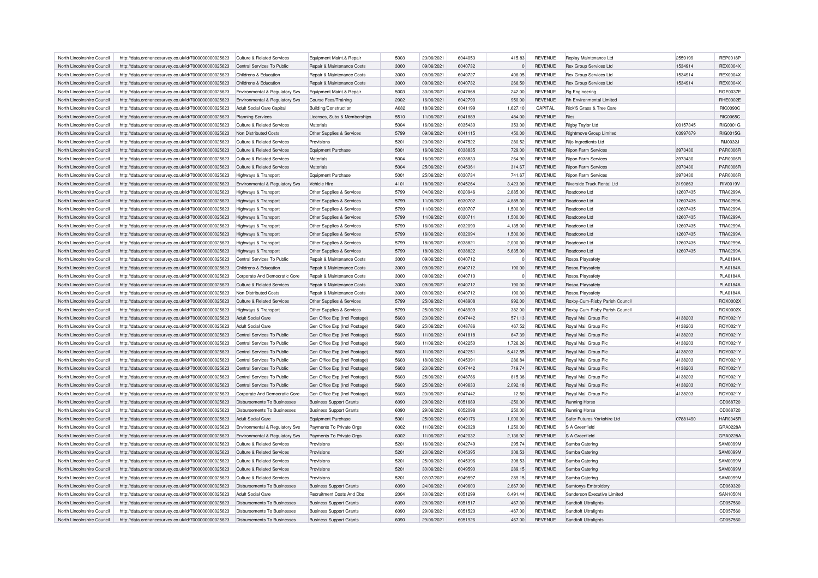| North Lincolnshire Council                               | http://data.ordnancesurvey.co.uk/id/7000000000025623                                                         | Culture & Related Services                                          | Equipment Maint.& Repair       | 5003 | 23/06/2021 | 6044053 | 415.83           | <b>REVENUE</b> | Replay Maintenance Ltd                            | 2559199  | <b>REP0018P</b> |
|----------------------------------------------------------|--------------------------------------------------------------------------------------------------------------|---------------------------------------------------------------------|--------------------------------|------|------------|---------|------------------|----------------|---------------------------------------------------|----------|-----------------|
| North Lincolnshire Council                               | http://data.ordnancesurvey.co.uk/id/7000000000025623                                                         | Central Services To Public                                          | Repair & Maintenance Costs     | 3000 | 09/06/2021 | 6040732 | $\Omega$         | <b>REVENUE</b> | <b>Rex Group Services Ltd</b>                     | 1534914  | <b>REX0004X</b> |
| North Lincolnshire Council                               | http://data.ordnancesurvey.co.uk/id/7000000000025623                                                         | Childrens & Education                                               | Repair & Maintenance Costs     | 3000 | 09/06/2021 | 6040727 | 406.05           | <b>REVENUE</b> | Rex Group Services Ltd                            | 1534914  | <b>REX0004X</b> |
| North Lincolnshire Council                               | http://data.ordnancesurvey.co.uk/id/7000000000025623                                                         | Childrens & Education                                               | Repair & Maintenance Costs     | 3000 | 09/06/2021 | 6040732 | 266.50           | <b>REVENUE</b> | <b>Rex Group Services Ltd</b>                     | 1534914  | REX0004X        |
| North Lincolnshire Council                               | http://data.ordnancesurvey.co.uk/id/7000000000025623                                                         | Environmental & Regulatory Svs                                      | Equipment Maint.& Repair       | 5003 | 30/06/2021 | 6047868 | 242.00           | <b>REVENUE</b> | Rg Engineering                                    |          | <b>RGE0037E</b> |
| North Lincolnshire Council                               | http://data.ordnancesurvey.co.uk/id/7000000000025623                                                         | Environmental & Regulatory Svs                                      | Course Fees/Training           | 2002 | 16/06/2021 | 6042790 | 950.00           | <b>REVENUE</b> | Rh Environmental Limited                          |          | <b>RHE0002E</b> |
| North Lincolnshire Council                               | http://data.ordnancesurvey.co.uk/id/7000000000025623                                                         | Adult Social Care Capital                                           | <b>Building/Construction</b>   | A082 | 18/06/2021 | 6041199 | 1,627.10         | CAPITAL        | Rick'S Grass & Tree Care                          |          | <b>RIC0090C</b> |
| North Lincolnshire Council                               | http://data.ordnancesurvey.co.uk/id/7000000000025623                                                         | <b>Planning Services</b>                                            | Licenses, Subs & Memberships   | 5510 | 11/06/2021 | 6041889 | 484.00           | <b>REVENUE</b> | <b>Rics</b>                                       |          | <b>RIC0065C</b> |
| North Lincolnshire Council                               | http://data.ordnancesurvey.co.uk/id/7000000000025623                                                         | <b>Culture &amp; Related Services</b>                               | Materials                      | 5004 | 16/06/2021 | 6035430 | 353.00           | <b>REVENUE</b> | Rigby Taylor Ltd                                  | 00157345 | RIG0001G        |
| North Lincolnshire Council                               | http://data.ordnancesurvey.co.uk/id/7000000000025623                                                         | Non Distributed Costs                                               | Other Supplies & Services      | 5799 | 09/06/2021 | 6041115 | 450.00           | <b>REVENUE</b> | <b>Rightmove Group Limited</b>                    | 03997679 | <b>RIG0015G</b> |
| North Lincolnshire Council                               | http://data.ordnancesurvey.co.uk/id/7000000000025623                                                         | Culture & Related Services                                          | Provisions                     | 5201 | 23/06/2021 | 6047522 | 280.52           | <b>REVENUE</b> | Rijo Ingredients Ltd                              |          | RIJ0032J        |
| North Lincolnshire Council                               | http://data.ordnancesurvey.co.uk/id/7000000000025623                                                         | <b>Culture &amp; Related Services</b>                               | <b>Equipment Purchase</b>      | 5001 | 16/06/2021 | 6038835 | 729.00           | <b>REVENUE</b> | <b>Ripon Farm Services</b>                        | 3973430  | <b>PAR0006F</b> |
|                                                          |                                                                                                              |                                                                     | Materials                      | 5004 | 16/06/2021 | 6038833 |                  | <b>REVENUE</b> |                                                   | 3973430  | <b>PAR0006F</b> |
| North Lincolnshire Council<br>North Lincolnshire Council | http://data.ordnancesurvey.co.uk/id/7000000000025623<br>http://data.ordnancesurvey.co.uk/id/7000000000025623 | Culture & Related Services<br><b>Culture &amp; Related Services</b> | Materials                      | 5004 | 25/06/2021 | 6045361 | 264.90<br>314.67 | <b>REVENUE</b> | Ripon Farm Services<br><b>Ripon Farm Services</b> | 3973430  | <b>PAR0006F</b> |
|                                                          |                                                                                                              |                                                                     |                                |      |            |         |                  |                |                                                   |          |                 |
| North Lincolnshire Council                               | http://data.ordnancesurvey.co.uk/id/7000000000025623                                                         | Highways & Transport                                                | Equipment Purchase             | 5001 | 25/06/2021 | 6030734 | 741.67           | <b>REVENUE</b> | <b>Ripon Farm Services</b>                        | 3973430  | <b>PAR0006F</b> |
| North Lincolnshire Council                               | http://data.ordnancesurvey.co.uk/id/7000000000025623                                                         | Environmental & Regulatory Svs                                      | Vehicle Hire                   | 4101 | 18/06/2021 | 6045264 | 3,423.00         | <b>REVENUE</b> | Riverside Truck Rental Ltd                        | 3190863  | <b>RIV0019V</b> |
| North Lincolnshire Council                               | http://data.ordnancesurvey.co.uk/id/7000000000025623                                                         | Highways & Transport                                                | Other Supplies & Services      | 5799 | 04/06/2021 | 6020946 | 2,885.00         | <b>REVENUE</b> | Roadcone Ltd                                      | 12607435 | <b>TRA0299A</b> |
| North Lincolnshire Council                               | http://data.ordnancesurvey.co.uk/id/7000000000025623                                                         | Highways & Transport                                                | Other Supplies & Services      | 5799 | 11/06/2021 | 6030702 | 4,885.00         | <b>REVENUE</b> | Roadcone Ltd                                      | 12607435 | <b>TRA0299A</b> |
| North Lincolnshire Council                               | http://data.ordnancesurvey.co.uk/id/7000000000025623                                                         | <b>Highways &amp; Transport</b>                                     | Other Supplies & Services      | 5799 | 11/06/2021 | 6030707 | 1,500.00         | <b>REVENUE</b> | Roadcone Ltd                                      | 12607435 | <b>TRA0299A</b> |
| North Lincolnshire Council                               | http://data.ordnancesurvey.co.uk/id/7000000000025623                                                         | Highways & Transport                                                | Other Supplies & Services      | 5799 | 11/06/2021 | 6030711 | 1,500.00         | <b>REVENUE</b> | Roadcone Ltd                                      | 12607435 | <b>TRA0299A</b> |
| North Lincolnshire Council                               | http://data.ordnancesurvey.co.uk/id/7000000000025623                                                         | Highways & Transport                                                | Other Supplies & Services      | 5799 | 16/06/2021 | 6032090 | 4,135.00         | <b>REVENUE</b> | Roadcone I td                                     | 12607435 | <b>TRA0299A</b> |
| North Lincolnshire Council                               | http://data.ordnancesurvey.co.uk/id/7000000000025623                                                         | Highways & Transport                                                | Other Supplies & Services      | 5799 | 16/06/2021 | 6032094 | 1,500.00         | <b>REVENUE</b> | Roadcone Ltd                                      | 12607435 | <b>TRA0299A</b> |
| North Lincolnshire Council                               | http://data.ordnancesurvey.co.uk/id/7000000000025623                                                         | <b>Highways &amp; Transport</b>                                     | Other Supplies & Services      | 5799 | 18/06/2021 | 6038821 | 2,000.00         | <b>REVENUE</b> | Roadcone Ltd                                      | 12607435 | <b>TRA0299A</b> |
| North Lincolnshire Council                               | http://data.ordnancesurvey.co.uk/id/7000000000025623                                                         | Highways & Transport                                                | Other Supplies & Services      | 5799 | 18/06/2021 | 6038822 | 5,635.00         | <b>REVENUE</b> | Roadcone I td                                     | 12607435 | <b>TRA0299A</b> |
| North Lincolnshire Council                               | http://data.ordnancesurvey.co.uk/id/7000000000025623                                                         | Central Services To Public                                          | Repair & Maintenance Costs     | 3000 | 09/06/2021 | 6040712 | $\Omega$         | REVENUE        | Rospa Playsafety                                  |          | <b>PLA0184A</b> |
| North Lincolnshire Council                               | http://data.ordnancesurvey.co.uk/id/7000000000025623                                                         | Childrens & Education                                               | Repair & Maintenance Costs     | 3000 | 09/06/2021 | 6040712 | 190.00           | <b>REVENUE</b> | Rospa Playsafety                                  |          | <b>PLA0184A</b> |
| North Lincolnshire Council                               | http://data.ordnancesurvey.co.uk/id/7000000000025623                                                         | Corporate And Democratic Core                                       | Repair & Maintenance Costs     | 3000 | 09/06/2021 | 6040710 |                  | <b>REVENUE</b> | Rospa Playsafety                                  |          | <b>PLA0184A</b> |
| North Lincolnshire Council                               | http://data.ordnancesurvey.co.uk/id/7000000000025623                                                         | Culture & Related Services                                          | Repair & Maintenance Costs     | 3000 | 09/06/2021 | 6040712 | 190.00           | <b>REVENUE</b> | Rospa Playsafety                                  |          | <b>PLA0184A</b> |
| North Lincolnshire Council                               | http://data.ordnancesurvey.co.uk/id/7000000000025623                                                         | Non Distributed Costs                                               | Repair & Maintenance Costs     | 3000 | 09/06/2021 | 6040712 | 190.00           | <b>REVENUE</b> | Rospa Playsafety                                  |          | <b>PLA0184A</b> |
| North Lincolnshire Council                               | http://data.ordnancesurvey.co.uk/id/7000000000025623                                                         | <b>Culture &amp; Related Services</b>                               | Other Supplies & Services      | 5799 | 25/06/2021 | 6048908 | 992.00           | <b>REVENUE</b> | Roxby-Cum-Risby Parish Council                    |          | ROX0002X        |
| North Lincolnshire Council                               | http://data.ordnancesurvey.co.uk/id/7000000000025623                                                         | <b>Highways &amp; Transport</b>                                     | Other Supplies & Services      | 5799 | 25/06/2021 | 6048909 | 382.00           | <b>REVENUE</b> | Roxby-Cum-Risby Parish Council                    |          | ROX0002>        |
| North Lincolnshire Council                               | http://data.ordnancesurvey.co.uk/id/7000000000025623                                                         | Adult Social Care                                                   | Gen Office Exp (Incl Postage)  | 5603 | 23/06/2021 | 6047442 | 571.13           | <b>REVENUE</b> | Royal Mail Group Plc                              | 4138203  | ROY0021Y        |
| North Lincolnshire Council                               | http://data.ordnancesurvey.co.uk/id/7000000000025623                                                         | Adult Social Care                                                   | Gen Office Exp (Incl Postage)  | 5603 | 25/06/2021 | 6048786 | 467.52           | <b>REVENUE</b> | Royal Mail Group Plc                              | 4138203  | ROY0021Y        |
| North Lincolnshire Council                               | http://data.ordnancesurvey.co.uk/id/7000000000025623                                                         | Central Services To Public                                          | Gen Office Exp (Incl Postage)  | 5603 | 11/06/2021 | 6041818 | 647.39           | <b>REVENUE</b> | Royal Mail Group Plc                              | 4138203  | ROY0021Y        |
| North Lincolnshire Council                               | http://data.ordnancesurvey.co.uk/id/7000000000025623                                                         | Central Services To Public                                          | Gen Office Exp (Incl Postage)  | 5603 | 11/06/2021 | 6042250 | 1,726.26         | <b>REVENUE</b> | Royal Mail Group Plc                              | 4138203  | ROY0021Y        |
| North Lincolnshire Council                               |                                                                                                              |                                                                     |                                | 5603 |            | 6042251 | 5,412.55         |                |                                                   | 4138203  | ROY0021Y        |
|                                                          | http://data.ordnancesurvey.co.uk/id/7000000000025623                                                         | Central Services To Public                                          | Gen Office Exp (Incl Postage)  |      | 11/06/2021 |         |                  | <b>REVENUE</b> | Royal Mail Group Plc                              |          |                 |
| North Lincolnshire Council                               | http://data.ordnancesurvey.co.uk/id/7000000000025623                                                         | Central Services To Public                                          | Gen Office Exp (Incl Postage)  | 5603 | 18/06/2021 | 604539  | 286.84           | <b>REVENUE</b> | Royal Mail Group Plc                              | 4138203  | ROY0021Y        |
| North Lincolnshire Council                               | http://data.ordnancesurvey.co.uk/id/7000000000025623                                                         | Central Services To Public                                          | Gen Office Exp (Incl Postage)  | 5603 | 23/06/2021 | 6047442 | 719.74           | <b>REVENUE</b> | Royal Mail Group Plc                              | 4138203  | ROY0021Y        |
| North Lincolnshire Council                               | http://data.ordnancesurvey.co.uk/id/7000000000025623                                                         | Central Services To Public                                          | Gen Office Exp (Incl Postage)  | 5603 | 25/06/2021 | 6048786 | 815.38           | <b>REVENUE</b> | Royal Mail Group Plc                              | 4138203  | ROY0021Y        |
| North Lincolnshire Council                               | http://data.ordnancesurvey.co.uk/id/7000000000025623                                                         | Central Services To Public                                          | Gen Office Exp (Incl Postage)  | 5603 | 25/06/2021 | 6049633 | 2,092.18         | REVENUE        | Royal Mail Group Plc                              | 4138203  | ROY0021Y        |
| North Lincolnshire Council                               | http://data.ordnancesurvey.co.uk/id/7000000000025623                                                         | Corporate And Democratic Core                                       | Gen Office Exp (Incl Postage)  | 5603 | 23/06/2021 | 6047442 | 12.50            | <b>REVENUE</b> | Roval Mail Group Plc                              | 4138203  | ROY0021Y        |
| North Lincolnshire Council                               | http://data.ordnancesurvey.co.uk/id/7000000000025623                                                         | Disbursements To Businesses                                         | <b>Business Support Grants</b> | 6090 | 29/06/2021 | 6051689 | $-250.00$        | <b>REVENUE</b> | <b>Running Horse</b>                              |          | CD068720        |
| North Lincolnshire Council                               | http://data.ordnancesurvey.co.uk/id/7000000000025623                                                         | <b>Disbursements To Businesses</b>                                  | <b>Business Support Grants</b> | 6090 | 29/06/2021 | 6052098 | 250.00           | <b>REVENUE</b> | Running Horse                                     |          | CD068720        |
| North Lincolnshire Council                               | http://data.ordnancesurvey.co.uk/id/7000000000025623                                                         | <b>Adult Social Care</b>                                            | <b>Equipment Purchase</b>      | 5001 | 25/06/2021 | 6049176 | 1,000.00         | <b>REVENUE</b> | Safer Futures Yorkshire Ltd                       | 07881490 | <b>HAR0345R</b> |
| North Lincolnshire Council                               | http://data.ordnancesurvey.co.uk/id/7000000000025623                                                         | Environmental & Regulatory Svs                                      | Payments To Private Orgs       | 6002 | 11/06/2021 | 6042028 | 1,250.00         | <b>REVENUE</b> | S A Greenfield                                    |          | GRA0228A        |
| North Lincolnshire Council                               | http://data.ordnancesurvey.co.uk/id/7000000000025623                                                         | Environmental & Regulatory Svs                                      | Payments To Private Orgs       | 6002 | 11/06/2021 | 6042032 | 2,136.92         | <b>REVENUE</b> | S A Greenfield                                    |          | GRA0228A        |
| North Lincolnshire Council                               | http://data.ordnancesurvey.co.uk/id/7000000000025623                                                         | Culture & Related Services                                          | Provisions                     | 5201 | 16/06/2021 | 6042749 | 295.74           | <b>REVENUE</b> | Samba Catering                                    |          | SAM0099M        |
| North Lincolnshire Council                               | http://data.ordnancesurvey.co.uk/id/7000000000025623                                                         | Culture & Related Services                                          | Provisions                     | 5201 | 23/06/2021 | 6045395 | 308.53           | <b>REVENUE</b> | Samba Catering                                    |          | SAM0099N        |
| North Lincolnshire Council                               | http://data.ordnancesurvey.co.uk/id/7000000000025623                                                         | Culture & Related Services                                          | Provisions                     | 5201 | 25/06/2021 | 6045396 | 308.53           | <b>REVENUE</b> | Samba Catering                                    |          | SAM0099M        |
| North Lincolnshire Council                               | http://data.ordnancesurvey.co.uk/id/7000000000025623                                                         | Culture & Related Services                                          | Provisions                     | 5201 | 30/06/2021 | 6049590 | 289.15           | <b>REVENUE</b> | Samba Catering                                    |          | SAM0099M        |
| North Lincolnshire Council                               | http://data.ordnancesurvey.co.uk/id/7000000000025623                                                         | Culture & Related Services                                          | Provisions                     | 5201 | 02/07/2021 | 6049597 | 289.15           | <b>REVENUE</b> | Samba Catering                                    |          | <b>SAM0099M</b> |
| North Lincolnshire Council                               | http://data.ordnancesurvey.co.uk/id/7000000000025623                                                         | <b>Disbursements To Businesses</b>                                  | <b>Business Support Grants</b> | 6090 | 24/06/2021 | 6049603 | 2,667.00         | <b>REVENUE</b> | Samtonys Embroider                                |          | CD069320        |
| North Lincolnshire Council                               | http://data.ordnancesurvey.co.uk/id/7000000000025623                                                         | Adult Social Care                                                   | Recruitment Costs And Dbs      | 2004 | 30/06/2021 | 6051299 | 6,491.44         | <b>REVENUE</b> | Sanderson Executive Limited                       |          | <b>SAN1050N</b> |
| North Lincolnshire Council                               | http://data.ordnancesurvey.co.uk/id/7000000000025623                                                         | Disbursements To Businesses                                         | <b>Business Support Grants</b> | 6090 | 29/06/2021 | 6051517 | $-467.00$        | <b>REVENUE</b> | Sandtoft Ultralights                              |          | CD057560        |
| North Lincolnshire Council                               | http://data.ordnancesurvey.co.uk/id/7000000000025623                                                         | <b>Disbursements To Businesses</b>                                  | <b>Business Support Grants</b> | 6090 | 29/06/2021 | 6051520 | $-467.00$        | <b>REVENUE</b> | Sandtoft Ultralights                              |          | CD057560        |
|                                                          | http://data.ordnancesurvey.co.uk/id/7000000000025623                                                         | Disbursements To Businesses                                         |                                | 6090 | 29/06/2021 | 6051926 | 467.00           | <b>REVENUE</b> | Sandtoft Ultralights                              |          | CD057560        |
| North Lincolnshire Council                               |                                                                                                              |                                                                     | <b>Business Support Grants</b> |      |            |         |                  |                |                                                   |          |                 |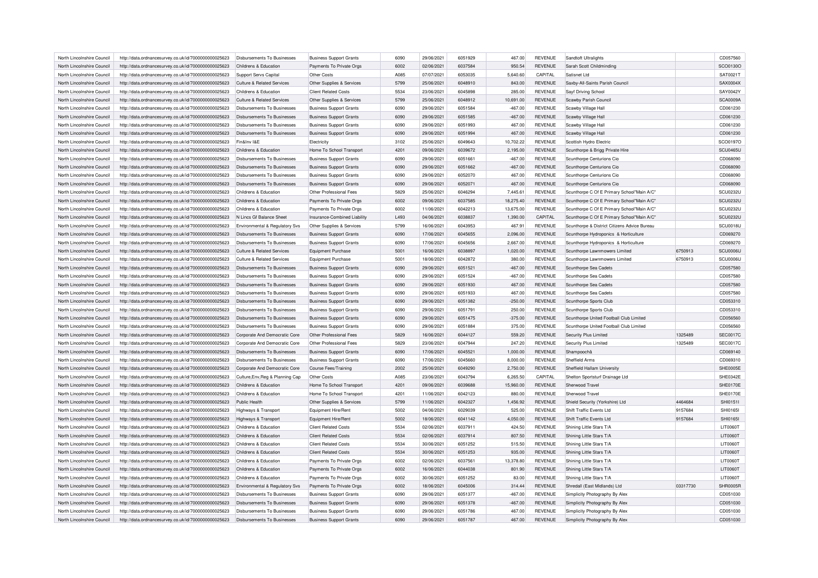| North Lincolnshire Council | http://data.ordnancesurvey.co.uk/id/7000000000025623 | Disbursements To Businesses           | <b>Business Support Grants</b> | 6090 | 29/06/2021 | 6051929 | 467.00    | <b>REVENUE</b> | Sandtoft Ultralights                         |          | CD057560        |
|----------------------------|------------------------------------------------------|---------------------------------------|--------------------------------|------|------------|---------|-----------|----------------|----------------------------------------------|----------|-----------------|
| North Lincolnshire Council | http://data.ordnancesurvey.co.uk/id/7000000000025623 | Childrens & Education                 | Payments To Private Orgs       | 6002 | 02/06/2021 | 6037584 | 950.54    | <b>REVENUE</b> | Sarah Scott Childminding                     |          | SCO0130O        |
| North Lincolnshire Council | http://data.ordnancesurvey.co.uk/id/7000000000025623 | Support Servs Capital                 | Other Costs                    | A085 | 07/07/2021 | 6053035 | 5,640.60  | CAPITAL        | Satisnet I td                                |          | SAT0021T        |
| North Lincolnshire Council | http://data.ordnancesurvey.co.uk/id/7000000000025623 | <b>Culture &amp; Related Services</b> | Other Supplies & Services      | 5799 | 25/06/2021 | 6048910 | 843.00    | <b>REVENUE</b> | Saxby-All-Saints Parish Council              |          | SAX0004X        |
| North Lincolnshire Council | http://data.ordnancesurvey.co.uk/id/7000000000025623 | Childrens & Education                 | <b>Client Related Costs</b>    | 5534 | 23/06/2021 | 6045898 | 285.00    | <b>REVENUE</b> | Sayf Driving School                          |          | SAY0042Y        |
| North Lincolnshire Council | http://data.ordnancesurvey.co.uk/id/7000000000025623 | Culture & Related Services            | Other Supplies & Services      | 5799 | 25/06/2021 | 6048912 | 10,691.00 | <b>REVENUE</b> | Scawby Parish Council                        |          | <b>SCA0009A</b> |
| North Lincolnshire Council | http://data.ordnancesurvey.co.uk/id/7000000000025623 | Disbursements To Businesses           | <b>Business Support Grants</b> | 6090 | 29/06/2021 | 6051584 | $-467.00$ | <b>REVENUE</b> | Scawby Village Hall                          |          | CD061230        |
| North Lincolnshire Council | http://data.ordnancesurvey.co.uk/id/7000000000025623 | <b>Disbursements To Businesses</b>    | <b>Business Support Grants</b> | 6090 | 29/06/2021 | 6051585 | $-467.00$ | <b>REVENUE</b> | Scawby Village Hall                          |          | CD061230        |
| North Lincolnshire Council | http://data.ordnancesurvey.co.uk/id/7000000000025623 | Disbursements To Businesses           | <b>Business Support Grants</b> | 6090 | 29/06/2021 | 6051993 | 467.00    | <b>REVENUE</b> | Scawby Village Hall                          |          | CD061230        |
| North Lincolnshire Council | http://data.ordnancesurvey.co.uk/id/7000000000025623 | Disbursements To Businesses           | <b>Business Support Grants</b> | 6090 | 29/06/2021 | 6051994 | 467.00    | <b>REVENUE</b> | Scawby Village Hall                          |          | CD061230        |
| North Lincolnshire Council | http://data.ordnancesurvey.co.uk/id/7000000000025623 | Fin&Inv I&F                           | Electricity                    | 3102 | 25/06/2021 | 6049643 | 10,702.22 | <b>REVENUE</b> | Scottish Hydro Electric                      |          | SCO0197O        |
| North Lincolnshire Council | http://data.ordnancesurvey.co.uk/id/7000000000025623 | Childrens & Education                 | Home To School Transport       | 4201 | 09/06/2021 | 6039672 | 2,195.00  | <b>REVENUE</b> | Scunthorpe & Brigg Private Hire              |          | <b>SCU0465U</b> |
| North Lincolnshire Council | http://data.ordnancesurvey.co.uk/id/7000000000025623 | Disbursements To Businesses           | <b>Business Support Grants</b> | 6090 | 29/06/2021 | 6051661 | $-467.00$ | REVENUE        | Scunthorpe Centurions Cio                    |          | CD068090        |
| North Lincolnshire Council | http://data.ordnancesurvey.co.uk/id/7000000000025623 | <b>Disbursements To Businesses</b>    | <b>Business Support Grants</b> | 6090 | 29/06/2021 | 6051662 | $-467.00$ | <b>REVENUE</b> | Scunthorpe Centurions Cio                    |          | CD068090        |
|                            |                                                      |                                       |                                | 6090 |            |         |           |                |                                              |          |                 |
| North Lincolnshire Council | http://data.ordnancesurvey.co.uk/id/7000000000025623 | Disbursements To Businesses           | <b>Business Support Grants</b> |      | 29/06/2021 | 6052070 | 467.00    | <b>REVENUE</b> | Scunthorpe Centurions Cio                    |          | CD068090        |
| North Lincolnshire Council | http://data.ordnancesurvey.co.uk/id/7000000000025623 | <b>Disbursements To Businesses</b>    | <b>Business Support Grants</b> | 6090 | 29/06/2021 | 6052071 | 467.00    | <b>REVENUE</b> | Scunthorpe Centurions Cio                    |          | CD068090        |
| North Lincolnshire Council | http://data.ordnancesurvey.co.uk/id/7000000000025623 | Childrens & Education                 | Other Professional Fees        | 5829 | 25/06/2021 | 6046294 | 7,445.61  | <b>REVENUE</b> | Scunthorpe C Of E Primary School"Main A/C"   |          | SCU0232U        |
| North Lincolnshire Council | http://data.ordnancesurvey.co.uk/id/7000000000025623 | Childrens & Education                 | Payments To Private Orgs       | 6002 | 09/06/2021 | 6037585 | 18,275.40 | <b>REVENUE</b> | Scunthorpe C Of E Primary School"Main A/C"   |          | <b>SCU0232U</b> |
| North Lincolnshire Council | http://data.ordnancesurvey.co.uk/id/7000000000025623 | Childrens & Education                 | Payments To Private Orgs       | 6002 | 11/06/2021 | 6042213 | 13,675.00 | <b>REVENUE</b> | Scunthorpe C Of E Primary School"Main A/C"   |          | <b>SCU0232U</b> |
| North Lincolnshire Council | http://data.ordnancesurvey.co.uk/id/7000000000025623 | N Lincs Gf Balance Sheet              | Insurance-Combined Liability   | L493 | 04/06/2021 | 6038837 | 1,390.00  | CAPITAL        | Scunthorpe C Of E Primary School"Main A/C'   |          | <b>SCU0232U</b> |
| North Lincolnshire Council | http://data.ordnancesurvey.co.uk/id/7000000000025623 | Environmental & Regulatory Svs        | Other Supplies & Services      | 5799 | 16/06/2021 | 6043953 | 467.91    | <b>REVENUE</b> | Scunthorpe & District Citizens Advice Bureau |          | <b>SCU0018U</b> |
| North Lincolnshire Council | http://data.ordnancesurvey.co.uk/id/7000000000025623 | Disbursements To Businesses           | <b>Business Support Grants</b> | 6090 | 17/06/2021 | 6045655 | 2,096.00  | <b>REVENUE</b> | Scunthorpe Hydroponics & Horticulture        |          | CD069270        |
| North Lincolnshire Council | http://data.ordnancesurvey.co.uk/id/7000000000025623 | <b>Disbursements To Businesses</b>    | <b>Business Support Grants</b> | 6090 | 17/06/2021 | 6045656 | 2,667.00  | <b>REVENUE</b> | Scunthorpe Hydroponics & Horticulture        |          | CD069270        |
| North Lincolnshire Council | http://data.ordnancesurvey.co.uk/id/7000000000025623 | Culture & Related Services            | <b>Equipment Purchase</b>      | 5001 | 16/06/2021 | 6038897 | 1,020.00  | <b>REVENUE</b> | Scunthorpe Lawnmowers Limited                | 6750913  | SCU0006U        |
| North Lincolnshire Council | http://data.ordnancesurvey.co.uk/id/7000000000025623 | <b>Culture &amp; Related Services</b> | <b>Equipment Purchase</b>      | 5001 | 18/06/2021 | 6042872 | 380.00    | <b>REVENUE</b> | Scunthorpe Lawnmowers Limited                | 6750913  | SCU0006L        |
| North Lincolnshire Council | http://data.ordnancesurvey.co.uk/id/7000000000025623 | <b>Disbursements To Businesses</b>    | <b>Business Support Grants</b> | 6090 | 29/06/2021 | 6051521 | $-467.00$ | <b>REVENUE</b> | Scunthorpe Sea Cadets                        |          | CD057580        |
| North Lincolnshire Council | http://data.ordnancesurvey.co.uk/id/7000000000025623 | Disbursements To Businesses           | <b>Business Support Grants</b> | 6090 | 29/06/2021 | 6051524 | $-467.00$ | <b>REVENUE</b> | Scunthorpe Sea Cadets                        |          | CD057580        |
| North Lincolnshire Council | http://data.ordnancesurvey.co.uk/id/7000000000025623 | Disbursements To Businesses           | <b>Business Support Grants</b> | 6090 | 29/06/2021 | 6051930 | 467.00    | <b>REVENUE</b> | Scunthorpe Sea Cadets                        |          | CD057580        |
| North Lincolnshire Council | http://data.ordnancesurvey.co.uk/id/7000000000025623 | <b>Disbursements To Businesses</b>    | <b>Business Support Grants</b> | 6090 | 29/06/2021 | 6051933 | 467.00    | <b>REVENUE</b> | Scunthorpe Sea Cadets                        |          | CD057580        |
| North Lincolnshire Council | http://data.ordnancesurvey.co.uk/id/7000000000025623 | Disbursements To Businesses           | <b>Business Support Grants</b> | 6090 | 29/06/2021 | 6051382 | $-250.00$ | <b>REVENUE</b> | Scunthorpe Sports Club                       |          | CD053310        |
| North Lincolnshire Council | http://data.ordnancesurvey.co.uk/id/7000000000025623 | Disbursements To Businesses           | <b>Business Support Grants</b> | 6090 | 29/06/2021 | 6051791 | 250.00    | <b>REVENUE</b> | Scunthorpe Sports Club                       |          | CD053310        |
| North Lincolnshire Council | http://data.ordnancesurvey.co.uk/id/7000000000025623 | <b>Disbursements To Businesses</b>    | <b>Business Support Grants</b> | 6090 | 29/06/2021 | 6051475 | $-375.00$ | <b>REVENUE</b> | Scunthorpe United Football Club Limited      |          | CD056560        |
| North Lincolnshire Council | http://data.ordnancesurvey.co.uk/id/7000000000025623 | <b>Disbursements To Businesses</b>    | <b>Business Support Grants</b> | 6090 | 29/06/2021 | 6051884 | 375.00    | <b>REVENUE</b> | Scunthorpe United Football Club Limited      |          | CD056560        |
| North Lincolnshire Council | http://data.ordnancesurvey.co.uk/id/7000000000025623 | Corporate And Democratic Core         | Other Professional Fees        | 5829 | 16/06/2021 | 6044127 | 559.20    | <b>REVENUE</b> | Security Plus Limited                        | 1325489  | <b>SEC0017C</b> |
| North Lincolnshire Council | http://data.ordnancesurvey.co.uk/id/7000000000025623 | Corporate And Democratic Core         | Other Professional Fees        | 5829 | 23/06/2021 | 6047944 | 247.20    | <b>REVENUE</b> | Security Plus Limited                        | 1325489  | <b>SEC0017C</b> |
| North Lincolnshire Council | http://data.ordnancesurvey.co.uk/id/7000000000025623 | <b>Disbursements To Businesses</b>    | <b>Business Support Grants</b> | 6090 | 17/06/2021 | 6045521 | 1,000.00  | <b>REVENUE</b> | Shampoochâ                                   |          | CD069140        |
| North Lincolnshire Council | http://data.ordnancesurvey.co.uk/id/7000000000025623 | Disbursements To Businesses           | <b>Business Support Grants</b> | 6090 | 17/06/2021 | 6045660 | 8,000.00  | <b>REVENUE</b> | Sheffield Arms                               |          | CD069310        |
| North Lincolnshire Council | http://data.ordnancesurvey.co.uk/id/7000000000025623 | Cornorate And Democratic Core         |                                | 2002 | 25/06/2021 | 6049290 | 2,750.00  | <b>REVENUE</b> | Sheffield Hallam University                  |          | SHE0005E        |
|                            |                                                      |                                       | <b>Course Fees/Training</b>    | A085 | 23/06/2021 | 6043794 |           |                |                                              |          | SHE0342E        |
| North Lincolnshire Council | http://data.ordnancesurvey.co.uk/id/7000000000025623 | Culture, Env, Reg & Planning Cap      | Other Costs                    |      |            |         | 6,265.50  | CAPITAL        | Shelton Sportsturf Drainage Ltd              |          |                 |
| North Lincolnshire Council | http://data.ordnancesurvey.co.uk/id/7000000000025623 | Childrens & Education                 | Home To School Transport       | 4201 | 09/06/2021 | 6039688 | 15,960.00 | <b>REVENUE</b> | Sherwood Trave                               |          | <b>SHE0170E</b> |
| North Lincolnshire Council | http://data.ordnancesurvey.co.uk/id/7000000000025623 | Childrens & Education                 | Home To School Transport       | 4201 | 11/06/2021 | 6042123 | 880.00    | <b>REVENUE</b> | Sherwood Travel                              |          | <b>SHE0170E</b> |
| North Lincolnshire Council | http://data.ordnancesurvey.co.uk/id/7000000000025623 | Public Health                         | Other Supplies & Services      | 5799 | 11/06/2021 | 6042327 | 1,456.92  | <b>REVENUE</b> | Shield Security (Yorkshire) Ltd              | 4464684  | SHI0151I        |
| North Lincolnshire Council | http://data.ordnancesurvey.co.uk/id/7000000000025623 | Highways & Transport                  | Equipment Hire/Rent            | 5002 | 04/06/2021 | 6029039 | 525.00    | <b>REVENUE</b> | Shift Traffic Events Ltd                     | 9157684  | <b>SHI0165I</b> |
| North Lincolnshire Council | http://data.ordnancesurvey.co.uk/id/7000000000025623 | Highways & Transport                  | Equipment Hire/Rent            | 5002 | 18/06/2021 | 6041142 | 4,050.00  | <b>REVENUE</b> | Shift Traffic Events Ltd                     | 9157684  | <b>SHI0165I</b> |
| North Lincolnshire Council | http://data.ordnancesurvey.co.uk/id/7000000000025623 | Childrens & Education                 | <b>Client Related Costs</b>    | 5534 | 02/06/2021 | 6037911 | 424.50    | <b>REVENUE</b> | Shining Little Stars T/A                     |          | LIT0060T        |
| North Lincolnshire Council | http://data.ordnancesurvey.co.uk/id/7000000000025623 | Childrens & Education                 | <b>Client Related Costs</b>    | 5534 | 02/06/2021 | 6037914 | 807.50    | <b>REVENUE</b> | Shining Little Stars T/A                     |          | LIT0060T        |
| North Lincolnshire Council | http://data.ordnancesurvey.co.uk/id/7000000000025623 | Childrens & Education                 | <b>Client Related Costs</b>    | 5534 | 30/06/2021 | 6051252 | 515.50    | <b>REVENUE</b> | Shining Little Stars T/A                     |          | <b>LIT0060T</b> |
| North Lincolnshire Council | http://data.ordnancesurvey.co.uk/id/7000000000025623 | Childrens & Education                 | <b>Client Related Costs</b>    | 5534 | 30/06/2021 | 6051253 | 935.00    | <b>REVENUE</b> | Shining Little Stars T/A                     |          | LIT0060T        |
| North Lincolnshire Council | http://data.ordnancesurvey.co.uk/id/7000000000025623 | Childrens & Education                 | Payments To Private Orgs       | 6002 | 02/06/2021 | 6037561 | 13,378.80 | <b>REVENUE</b> | Shining Little Stars T/A                     |          | LIT0060T        |
| North Lincolnshire Council | http://data.ordnancesurvey.co.uk/id/7000000000025623 | Childrens & Education                 | Payments To Private Orgs       | 6002 | 16/06/2021 | 6044038 | 801.90    | <b>REVENUE</b> | Shining Little Stars T/A                     |          | LIT0060T        |
| North Lincolnshire Council | http://data.ordnancesurvey.co.uk/id/7000000000025623 | Childrens & Education                 | Payments To Private Orgs       | 6002 | 30/06/2021 | 6051252 | 83.00     | <b>REVENUE</b> | Shining Little Stars T/A                     |          | <b>LIT0060T</b> |
| North Lincolnshire Council | http://data.ordnancesurvey.co.uk/id/7000000000025623 | Environmental & Regulatory Svs        | Payments To Private Orgs       | 6002 | 18/06/2021 | 6045006 | 314.44    | <b>REVENUE</b> | Shredall (East Midlands) Ltd                 | 03317730 | SHR0005F        |
| North Lincolnshire Council | http://data.ordnancesurvey.co.uk/id/7000000000025623 | <b>Disbursements To Businesses</b>    | <b>Business Support Grants</b> | 6090 | 29/06/2021 | 6051377 | $-467.00$ | <b>REVENUE</b> | Simplicity Photography By Alex               |          | CD051030        |
| North Lincolnshire Council | http://data.ordnancesurvey.co.uk/id/7000000000025623 | Disbursements To Businesses           | <b>Business Support Grants</b> | 6090 | 29/06/2021 | 6051378 | $-467.00$ | <b>REVENUE</b> | Simplicity Photography By Alex               |          | CD051030        |
| North Lincolnshire Council | http://data.ordnancesurvey.co.uk/id/7000000000025623 | Disbursements To Businesses           | <b>Business Support Grants</b> | 6090 | 29/06/2021 | 6051786 | 467.00    | <b>REVENUE</b> | Simplicity Photography By Alex               |          | CD051030        |
| North Lincolnshire Council | http://data.ordnancesurvey.co.uk/id/7000000000025623 | <b>Disbursements To Businesses</b>    | <b>Business Support Grants</b> | 6090 | 29/06/2021 | 6051787 | 467.00    | <b>REVENUE</b> | Simplicity Photography By Alex               |          | CD051030        |
|                            |                                                      |                                       |                                |      |            |         |           |                |                                              |          |                 |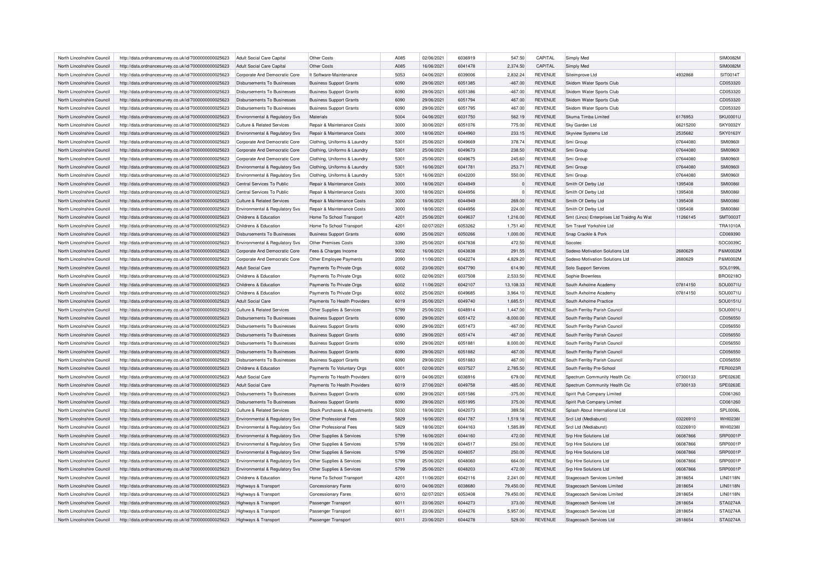| North Lincolnshire Council | http://data.ordnancesurvey.co.uk/id/7000000000025623 | Adult Social Care Capital             | Other Costs                           | A085 | 02/06/2021 | 6036919 | 547.50           | CAPITAL        | Simply Med                                 |          | <b>SIM0082M</b> |
|----------------------------|------------------------------------------------------|---------------------------------------|---------------------------------------|------|------------|---------|------------------|----------------|--------------------------------------------|----------|-----------------|
| North Lincolnshire Council | http://data.ordnancesurvey.co.uk/id/7000000000025623 | Adult Social Care Capital             | Other Costs                           | A085 | 16/06/2021 | 6041478 | 2,374.50         | CAPITAL        | Simply Med                                 |          | <b>SIM0082M</b> |
| North Lincolnshire Council | http://data.ordnancesurvey.co.uk/id/7000000000025623 | Corporate And Democratic Core         | It Software-Maintenance               | 5053 | 04/06/2021 | 6039006 | 2,832.24         | <b>REVENUE</b> | Siteimprove Ltd                            | 4932868  | SIT0014T        |
| North Lincolnshire Council | http://data.ordnancesurvey.co.uk/id/7000000000025623 | <b>Disbursements To Businesses</b>    | <b>Business Support Grants</b>        | 6090 | 29/06/2021 | 6051385 | $-467.00$        | <b>REVENUE</b> | Skidom Water Sports Club                   |          | CD053320        |
| North Lincolnshire Council | http://data.ordnancesurvey.co.uk/id/7000000000025623 | Disbursements To Businesses           | <b>Business Support Grants</b>        | 6090 | 29/06/2021 | 6051386 | $-467.00$        | <b>REVENUE</b> | Skidom Water Sports Club                   |          | CD053320        |
| North Lincolnshire Council | http://data.ordnancesurvey.co.uk/id/7000000000025623 | Disbursements To Businesses           | <b>Business Support Grants</b>        | 6090 | 29/06/2021 | 6051794 | 467.00           | <b>REVENUE</b> | Skidom Water Sports Club                   |          | CD053320        |
| North Lincolnshire Council | http://data.ordnancesurvey.co.uk/id/7000000000025623 | Disbursements To Businesses           | <b>Business Support Grants</b>        | 6090 | 29/06/2021 | 6051795 | 467.00           | <b>REVENUE</b> | Skidom Water Sports Club                   |          | CD053320        |
| North Lincolnshire Council | http://data.ordnancesurvey.co.uk/id/7000000000025623 | Environmental & Regulatory Svs        | Materials                             | 5004 | 04/06/2021 | 6031750 | 562.19           | <b>REVENUE</b> | Skuma Timba Limited                        | 6176953  | SKU0001U        |
| North Lincolnshire Council | http://data.ordnancesurvey.co.uk/id/7000000000025623 | Culture & Related Services            | Repair & Maintenance Costs            | 3000 | 30/06/2021 | 6051076 | 775.00           | REVENUE        | Sky Garden Ltd                             | 06215200 | <b>SKY0032Y</b> |
| North Lincolnshire Council | http://data.ordnancesurvey.co.uk/id/7000000000025623 | Environmental & Regulatory Svs        | <b>Benair &amp; Maintenance Costs</b> | 3000 | 18/06/2021 | 6044960 | 233.15           | <b>REVENUE</b> | Skyview Systems Ltd                        | 2535682  | <b>SKY0163Y</b> |
| North Lincolnshire Council | http://data.ordnancesurvey.co.uk/id/7000000000025623 | Cornorate And Democratic Core         | Clothing, Uniforms & Laundry          | 5301 | 25/06/2021 | 6049669 | 378.74           | <b>REVENUE</b> | Smi Group                                  | 07644080 | <b>SMI0960I</b> |
| North Lincolnshire Council |                                                      |                                       |                                       | 5301 | 25/06/2021 | 6049673 | 238.50           | <b>REVENUE</b> |                                            | 07644080 | <b>SMI09601</b> |
| North Lincolnshire Council | http://data.ordnancesurvey.co.uk/id/7000000000025623 | Corporate And Democratic Core         | Clothing, Uniforms & Laundry          | 5301 | 25/06/2021 | 6049675 |                  | <b>REVENUE</b> | Smi Group<br>Smi Group                     | 07644080 | <b>SMI09601</b> |
| North Lincolnshire Council | http://data.ordnancesurvey.co.uk/id/7000000000025623 | Corporate And Democratic Core         | Clothing, Uniforms & Laundry          | 5301 | 16/06/2021 | 6041781 | 245.60<br>253.71 | <b>REVENUE</b> | Smi Group                                  | 07644080 | <b>SMI0960I</b> |
|                            | http://data.ordnancesurvey.co.uk/id/7000000000025623 | Environmental & Regulatory Svs        | Clothing, Uniforms & Laundry          |      |            |         |                  |                |                                            |          |                 |
| North Lincolnshire Council | http://data.ordnancesurvey.co.uk/id/7000000000025623 | Environmental & Regulatory Svs        | Clothing, Uniforms & Laundry          | 5301 | 16/06/2021 | 6042200 | 550.00           | <b>REVENUE</b> | Smi Group                                  | 07644080 | <b>SMI09601</b> |
| North Lincolnshire Council | http://data.ordnancesurvey.co.uk/id/7000000000025623 | Central Services To Public            | Repair & Maintenance Costs            | 3000 | 18/06/2021 | 6044949 |                  | <b>REVENUE</b> | Smith Of Derby Ltd                         | 1395408  | <b>SMI0086I</b> |
| North Lincolnshire Council | http://data.ordnancesurvey.co.uk/id/7000000000025623 | Central Services To Public            | Repair & Maintenance Costs            | 3000 | 18/06/2021 | 6044956 | $\Omega$         | <b>REVENUE</b> | Smith Of Derby Ltd                         | 1395408  | <b>SMI00861</b> |
| North Lincolnshire Council | http://data.ordnancesurvey.co.uk/id/7000000000025623 | Culture & Related Services            | Repair & Maintenance Costs            | 3000 | 18/06/2021 | 6044949 | 269.00           | REVENUE        | Smith Of Derby Ltd                         | 1395408  | <b>SMI0086I</b> |
| North Lincolnshire Council | http://data.ordnancesurvey.co.uk/id/7000000000025623 | Environmental & Regulatory Svs        | Repair & Maintenance Costs            | 3000 | 18/06/2021 | 6044956 | 224.00           | <b>REVENUE</b> | Smith Of Derby Ltd                         | 1395408  | <b>SMI00861</b> |
| North Lincolnshire Council | http://data.ordnancesurvey.co.uk/id/7000000000025623 | Childrens & Education                 | Home To School Transport              | 4201 | 25/06/2021 | 6049637 | 1,216.00         | <b>REVENUE</b> | Smt (Lincs) Enterprises Ltd Traidng As Wat | 11266145 | <b>SMT0003T</b> |
| North Lincolnshire Council | http://data.ordnancesurvey.co.uk/id/7000000000025623 | Childrens & Education                 | Home To School Transport              | 4201 | 02/07/2021 | 6053262 | 1,751.40         | <b>REVENUE</b> | Sm Travel Yorkshire Ltd                    |          | <b>TRA1010A</b> |
| North Lincolnshire Council | http://data.ordnancesurvey.co.uk/id/7000000000025623 | <b>Disbursements To Businesses</b>    | <b>Business Support Grants</b>        | 6090 | 25/06/2021 | 6050266 | 1,000.00         | REVENUE        | Snap Crackle & Pork                        |          | CD069390        |
| North Lincolnshire Council | http://data.ordnancesurvey.co.uk/id/7000000000025623 | Environmental & Regulatory Svs        | Other Premises Costs                  | 3390 | 25/06/2021 | 6047838 | 472.50           | <b>REVENUE</b> | Socotec                                    |          | SOC0039C        |
| North Lincolnshire Council | http://data.ordnancesurvey.co.uk/id/7000000000025623 | Corporate And Democratic Core         | Fees & Charges Income                 | 9002 | 16/06/2021 | 6043838 | 291.55           | REVENUE        | Sodexo Motivation Solutions Ltd            | 2680629  | P&M0002M        |
| North Lincolnshire Council | http://data.ordnancesurvey.co.uk/id/7000000000025623 | Corporate And Democratic Core         | Other Employee Payments               | 2090 | 11/06/2021 | 6042274 | 4,829.20         | <b>REVENUE</b> | Sodexo Motivation Solutions Ltd            | 2680629  | P&M0002M        |
| North Lincolnshire Council | http://data.ordnancesurvey.co.uk/id/7000000000025623 | Adult Social Care                     | Payments To Private Orgs              | 6002 | 23/06/2021 | 6047790 | 614.90           | REVENUE        | Solo Support Services                      |          | SOL0199L        |
| North Lincolnshire Council | http://data.ordnancesurvey.co.uk/id/7000000000025623 | Childrens & Education                 | Payments To Private Orgs              | 6002 | 02/06/2021 | 6037508 | 2,533.50         | REVENUE        | Sophie Brownless                           |          | BRO0218O        |
| North Lincolnshire Council | http://data.ordnancesurvey.co.uk/id/7000000000025623 | Childrens & Education                 | Payments To Private Orgs              | 6002 | 11/06/2021 | 6042107 | 13,108.33        | <b>REVENUE</b> | South Axholme Academy                      | 07814150 | SOU0071U        |
| North Lincolnshire Council | http://data.ordnancesurvey.co.uk/id/7000000000025623 | Childrens & Education                 | Payments To Private Orgs              | 6002 | 25/06/2021 | 6049685 | 3,964.10         | <b>REVENUE</b> | South Axholme Academy                      | 07814150 | SOU0071U        |
| North Lincolnshire Council | http://data.ordnancesurvey.co.uk/id/7000000000025623 | Adult Social Care                     | Payments To Health Providers          | 6019 | 25/06/2021 | 6049740 | 1,685.51         | <b>REVENUE</b> | South Axholme Practice                     |          | SOU0151U        |
| North Lincolnshire Council | http://data.ordnancesurvey.co.uk/id/7000000000025623 | Culture & Related Services            | Other Supplies & Services             | 5799 | 25/06/2021 | 6048914 | 1.447.00         | <b>REVENUE</b> | South Ferriby Parish Council               |          | SOU0001U        |
| North Lincolnshire Council | http://data.ordnancesurvey.co.uk/id/7000000000025623 | Disbursements To Businesses           | <b>Business Support Grants</b>        | 6090 | 29/06/2021 | 6051472 | $-8,000.00$      | <b>REVENUE</b> | South Ferriby Parish Council               |          | CD056550        |
| North Lincolnshire Council |                                                      | Disbursements To Businesses           |                                       | 6090 | 29/06/2021 | 6051473 | $-467.00$        | <b>REVENUE</b> |                                            |          | CD056550        |
|                            | http://data.ordnancesurvey.co.uk/id/7000000000025623 | Disbursements To Businesses           | <b>Business Support Grants</b>        |      |            |         |                  |                | South Ferriby Parish Council               |          |                 |
| North Lincolnshire Council | http://data.ordnancesurvey.co.uk/id/7000000000025623 |                                       | <b>Business Support Grants</b>        | 6090 | 29/06/2021 | 6051474 | $-467.00$        | <b>REVENUE</b> | South Ferriby Parish Council               |          | CD056550        |
| North Lincolnshire Council | http://data.ordnancesurvey.co.uk/id/7000000000025623 | Disbursements To Businesses           | <b>Business Support Grants</b>        | 6090 | 29/06/2021 | 6051881 | 8.000.00         | <b>REVENUE</b> | South Ferriby Parish Council               |          | CD056550        |
| North Lincolnshire Council | http://data.ordnancesurvey.co.uk/id/7000000000025623 | Disbursements To Businesses           | <b>Business Support Grants</b>        | 6090 | 29/06/2021 | 6051882 | 467.00           | <b>REVENUE</b> | South Ferriby Parish Council               |          | CD056550        |
| North Lincolnshire Council | http://data.ordnancesurvey.co.uk/id/7000000000025623 | Disbursements To Businesses           | <b>Business Support Grants</b>        | 6090 | 29/06/2021 | 6051883 | 467.00           | <b>REVENUE</b> | South Ferriby Parish Council               |          | CD056550        |
| North Lincolnshire Council | http://data.ordnancesurvey.co.uk/id/7000000000025623 | Childrens & Education                 | Payments To Voluntary Oras            | 6001 | 02/06/2021 | 6037527 | 2,785.50         | <b>REVENUE</b> | South Ferriby Pre-School                   |          | FER0023R        |
| North Lincolnshire Council | http://data.ordnancesurvey.co.uk/id/7000000000025623 | Adult Social Care                     | Payments To Health Providers          | 6019 | 04/06/2021 | 6036916 | 679.00           | <b>REVENUE</b> | Spectrum Community Health Cic              | 07300133 | SPE0263E        |
| North Lincolnshire Council | http://data.ordnancesurvey.co.uk/id/7000000000025623 | Adult Social Care                     | Payments To Health Providers          | 6019 | 27/06/2021 | 6049758 | $-485.00$        | REVENUE        | Spectrum Community Health Cic              | 07300133 | SPE0263E        |
| North Lincolnshire Council | http://data.ordnancesurvey.co.uk/id/7000000000025623 | Disbursements To Businesses           | <b>Business Support Grants</b>        | 6090 | 29/06/2021 | 6051586 | $-375.00$        | <b>REVENUE</b> | Spirit Pub Company Limited                 |          | CD061260        |
| North Lincolnshire Council | http://data.ordnancesurvey.co.uk/id/7000000000025623 | <b>Disbursements To Businesses</b>    | <b>Business Support Grants</b>        | 6090 | 29/06/2021 | 6051995 | 375.00           | REVENUE        | Spirit Pub Company Limited                 |          | CD061260        |
| North Lincolnshire Council | http://data.ordnancesurvey.co.uk/id/7000000000025623 | <b>Culture &amp; Related Services</b> | Stock Purchases & Adjustments         | 5030 | 18/06/2021 | 6042073 | 389.56           | <b>REVENUE</b> | Splash About International Ltd             |          | SPL0006L        |
| North Lincolnshire Council | http://data.ordnancesurvey.co.uk/id/7000000000025623 | Environmental & Regulatory Svs        | Other Professional Fees               | 5829 | 16/06/2021 | 6041787 | 1,519.18         | <b>REVENUE</b> | Srcl Ltd (Mediaburst)                      | 03226910 | WHI0238I        |
| North Lincolnshire Council | http://data.ordnancesurvey.co.uk/id/7000000000025623 | Environmental & Regulatory Svs        | Other Professional Fees               | 5829 | 18/06/2021 | 6044163 | 1,585.89         | <b>REVENUE</b> | Srcl Ltd (Mediaburst)                      | 03226910 | WHI0238I        |
| North Lincolnshire Council | http://data.ordnancesurvey.co.uk/id/7000000000025623 | Environmental & Regulatory Svs        | Other Supplies & Services             | 5799 | 16/06/2021 | 6044160 | 472.00           | REVENUE        | Srp Hire Solutions Ltd                     | 06087866 | SRP0001P        |
| North Lincolnshire Council | http://data.ordnancesurvey.co.uk/id/7000000000025623 | Environmental & Regulatory Svs        | Other Supplies & Services             | 5799 | 18/06/2021 | 6044517 | 250.00           | <b>REVENUE</b> | Srp Hire Solutions Ltd                     | 06087866 | <b>SRP0001P</b> |
| North Lincolnshire Council | http://data.ordnancesurvey.co.uk/id/7000000000025623 | Environmental & Regulatory Svs        | Other Supplies & Services             | 5799 | 25/06/2021 | 6048057 | 250.00           | REVENUE        | <b>Srp Hire Solutions Ltd</b>              | 06087866 | SRP0001P        |
| North Lincolnshire Council | http://data.ordnancesurvey.co.uk/id/7000000000025623 | Environmental & Regulatory Svs        | Other Supplies & Services             | 5799 | 25/06/2021 | 6048060 | 664.00           | <b>REVENUE</b> | Srp Hire Solutions Ltd                     | 06087866 | SRP0001P        |
| North Lincolnshire Council | http://data.ordnancesurvey.co.uk/id/7000000000025623 | Environmental & Regulatory Svs        | Other Supplies & Services             | 5799 | 25/06/2021 | 6048203 | 472.00           | <b>REVENUE</b> | <b>Srp Hire Solutions Ltd</b>              | 06087866 | SRP0001P        |
| North Lincolnshire Council | http://data.ordnancesurvey.co.uk/id/7000000000025623 | Childrens & Education                 | Home To School Transport              | 4201 | 11/06/2021 | 6042116 | 2.241.00         | REVENUE        | <b>Stagecoach Services Limited</b>         | 2818654  | <b>LIN0118N</b> |
| North Lincolnshire Council | http://data.ordnancesurvey.co.uk/id/7000000000025623 | Highways & Transport                  | <b>Concessionary Fares</b>            | 6010 | 04/06/2021 | 6038680 | 79,450.00        | <b>REVENUE</b> | Stagecoach Services Limited                | 2818654  | <b>LIN0118N</b> |
| North Lincolnshire Council | http://data.ordnancesurvey.co.uk/id/7000000000025623 | Highways & Transport                  | Concessionary Fares                   | 6010 | 02/07/2021 | 6053408 | 79,450.00        | <b>REVENUE</b> | Stagecoach Services Limited                | 2818654  | <b>LIN0118N</b> |
| North Lincolnshire Council | http://data.ordnancesurvey.co.uk/id/7000000000025623 | Highways & Transport                  | Passenger Transport                   | 6011 | 23/06/2021 | 6044273 | 373.00           | REVENUE        | Stagecoach Services Ltd                    | 2818654  | STA0274A        |
| North Lincolnshire Council | http://data.ordnancesurvey.co.uk/id/7000000000025623 | Highways & Transport                  | Passenger Transport                   | 6011 | 23/06/2021 | 6044276 | 5.957.00         | <b>REVENUE</b> | Stagecoach Services Ltd                    | 2818654  | STA0274A        |
| North Lincolnshire Council | http://data.ordnancesurvey.co.uk/id/7000000000025623 |                                       |                                       | 6011 | 23/06/2021 | 6044278 | 529.00           | <b>REVENUE</b> | Stagecoach Services Ltd                    | 2818654  | STA0274A        |
|                            |                                                      | Highways & Transport                  | Passenger Transport                   |      |            |         |                  |                |                                            |          |                 |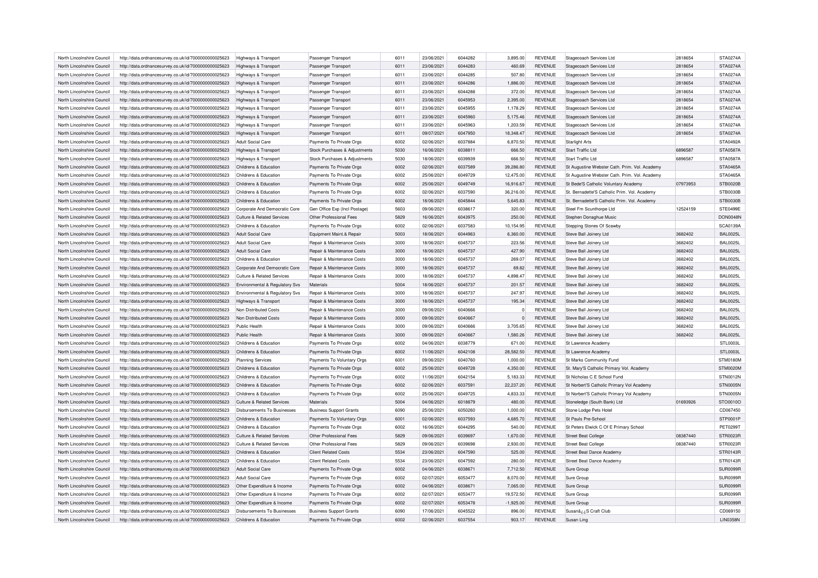| North Lincolnshire Council | http://data.ordnancesurvey.co.uk/id/7000000000025623 | Highways & Transport                  | Passenger Transport            | 6011 | 23/06/2021 | 6044282 | 3,895.00    | <b>REVENUE</b> | Stagecoach Services Ltd                       | 2818654  | <b>STA0274A</b> |
|----------------------------|------------------------------------------------------|---------------------------------------|--------------------------------|------|------------|---------|-------------|----------------|-----------------------------------------------|----------|-----------------|
| North Lincolnshire Council | http://data.ordnancesurvey.co.uk/id/7000000000025623 | Highways & Transport                  | Passenger Transport            | 6011 | 23/06/2021 | 6044283 | 460.69      | <b>REVENUE</b> | Stagecoach Services Ltd                       | 2818654  | <b>STA0274A</b> |
| North Lincolnshire Council | http://data.ordnancesurvey.co.uk/id/7000000000025623 | Highways & Transport                  | Passenger Transport            | 6011 | 23/06/2021 | 6044285 | 507.80      | <b>REVENUE</b> | Stagecoach Services Ltd                       | 2818654  | <b>STA0274A</b> |
| North Lincolnshire Council | http://data.ordnancesurvey.co.uk/id/7000000000025623 | Highways & Transport                  | Passenger Transport            | 6011 | 23/06/2021 | 6044286 | 1,886.00    | <b>REVENUE</b> | Stagecoach Services Ltd                       | 2818654  | <b>STA0274A</b> |
| North Lincolnshire Council | http://data.ordnancesurvey.co.uk/id/7000000000025623 | Highways & Transport                  | Passenger Transport            | 6011 | 23/06/2021 | 6044288 | 372.00      | <b>REVENUE</b> | Stagecoach Services Ltd                       | 2818654  | STA0274A        |
| North Lincolnshire Council | http://data.ordnancesurvey.co.uk/id/7000000000025623 | Highways & Transport                  | Passenger Transport            | 6011 | 23/06/2021 | 6045953 | 2,395.00    | <b>REVENUE</b> | Stagecoach Services Ltd                       | 2818654  | STA0274A        |
| North Lincolnshire Council | http://data.ordnancesurvey.co.uk/id/7000000000025623 | Highways & Transport                  | Passenger Transport            | 6011 | 23/06/2021 | 6045955 | 1,178.29    | <b>REVENUE</b> | Stagecoach Services Ltd                       | 2818654  | STA0274A        |
| North Lincolnshire Council | http://data.ordnancesurvey.co.uk/id/7000000000025623 | Highways & Transport                  | Passenger Transport            | 6011 | 23/06/2021 | 6045960 | 5,175.46    | <b>REVENUE</b> | Stagecoach Services Ltd                       | 2818654  | <b>STA0274A</b> |
| North Lincolnshire Council | http://data.ordnancesurvey.co.uk/id/7000000000025623 | Highways & Transport                  | Passenger Transport            | 6011 | 23/06/2021 | 6045963 | 1,203.59    | <b>REVENUE</b> | Stagecoach Services Ltd                       | 2818654  | <b>STA0274A</b> |
| North Lincolnshire Council | http://data.ordnancesurvey.co.uk/id/7000000000025623 | Highways & Transport                  | Passenger Transport            | 6011 | 09/07/2021 | 6047950 | 18,348.47   | <b>REVENUE</b> | Stagecoach Services Ltd                       | 2818654  | <b>STA0274A</b> |
| North Lincolnshire Council | http://data.ordnancesurvey.co.uk/id/7000000000025623 | Adult Social Care                     | Payments To Private Orgs       | 6002 | 02/06/2021 | 6037884 | 6,870.50    | <b>REVENUE</b> | <b>Starlight Arts</b>                         |          | STA0492A        |
| North Lincolnshire Council | http://data.ordnancesurvey.co.uk/id/7000000000025623 | Highways & Transport                  | Stock Purchases & Adjustments  | 5030 | 16/06/2021 | 6038811 | 666.50      | <b>REVENUE</b> | <b>Start Traffic Ltd</b>                      | 6896587  | <b>STA0587A</b> |
| North Lincolnshire Council | http://data.ordnancesurvey.co.uk/id/7000000000025623 | Highways & Transport                  | Stock Purchases & Adjustments  | 5030 | 18/06/2021 | 6039939 | 666.50      | <b>REVENUE</b> | <b>Start Traffic Ltd</b>                      | 6896587  | <b>STA0587A</b> |
| North Lincolnshire Council | http://data.ordnancesurvey.co.uk/id/7000000000025623 | Childrens & Education                 | Payments To Private Orgs       | 6002 | 02/06/2021 | 6037589 | 39,286.80   | <b>REVENUE</b> | St Augustine Webster Cath. Prim. Vol. Academy |          | <b>STA0465A</b> |
|                            |                                                      |                                       |                                |      |            |         |             |                |                                               |          |                 |
| North Lincolnshire Council | http://data.ordnancesurvey.co.uk/id/7000000000025623 | Childrens & Education                 | Payments To Private Orgs       | 6002 | 25/06/2021 | 6049729 | 12,475.00   | REVENUE        | St Augustine Webster Cath. Prim. Vol. Academy |          | <b>STA0465A</b> |
| North Lincolnshire Council | http://data.ordnancesurvey.co.uk/id/7000000000025623 | Childrens & Education                 | Payments To Private Orgs       | 6002 | 25/06/2021 | 6049749 | 16,916.67   | <b>REVENUE</b> | St Bede'S Catholic Voluntary Academ           | 07973953 | STB0020B        |
| North Lincolnshire Council | http://data.ordnancesurvey.co.uk/id/7000000000025623 | Childrens & Education                 | Payments To Private Orgs       | 6002 | 02/06/2021 | 6037590 | 36,216.00   | <b>REVENUE</b> | St. Bernadette'S Catholic Prim. Vol. Academy  |          | <b>STB0030B</b> |
| North Lincolnshire Council | http://data.ordnancesurvey.co.uk/id/7000000000025623 | Childrens & Education                 | Payments To Private Orgs       | 6002 | 18/06/2021 | 6045844 | 5,645.83    | <b>REVENUE</b> | St. Bernadette'S Catholic Prim. Vol. Academy  |          | <b>STB0030B</b> |
| North Lincolnshire Council | http://data.ordnancesurvey.co.uk/id/7000000000025623 | Corporate And Democratic Core         | Gen Office Exp (Incl Postage)  | 5603 | 09/06/2021 | 6038617 | 320.00      | <b>REVENUE</b> | Steel Fm Scunthorpe Ltd                       | 12524159 | <b>STE0499E</b> |
| North Lincolnshire Council | http://data.ordnancesurvey.co.uk/id/7000000000025623 | Culture & Related Services            | Other Professional Fees        | 5829 | 16/06/2021 | 6043975 | 250.00      | <b>REVENUE</b> | Stephen Donaghue Music                        |          | <b>DON0048N</b> |
| North Lincolnshire Council | http://data.ordnancesurvey.co.uk/id/7000000000025623 | Childrens & Education                 | Payments To Private Orgs       | 6002 | 02/06/2021 | 6037583 | 10,154.95   | <b>REVENUE</b> | Stepping Stones Of Scawby                     |          | <b>SCA0139A</b> |
| North Lincolnshire Council | http://data.ordnancesurvey.co.uk/id/7000000000025623 | Adult Social Care                     | Equipment Maint.& Repair       | 5003 | 18/06/2021 | 6044963 | 6,360.00    | <b>REVENUE</b> | Steve Ball Joinery Ltd                        | 3682402  | <b>BAL0025L</b> |
| North Lincolnshire Council | http://data.ordnancesurvey.co.uk/id/7000000000025623 | Adult Social Care                     | Repair & Maintenance Costs     | 3000 | 18/06/2021 | 6045737 | 223.56      | <b>REVENUE</b> | Steve Ball Joinery Ltd                        | 3682402  | <b>BAL0025L</b> |
| North Lincolnshire Council | http://data.ordnancesurvey.co.uk/id/7000000000025623 | Adult Social Care                     | Repair & Maintenance Costs     | 3000 | 18/06/2021 | 6045737 | 427.90      | <b>REVENUE</b> | Steve Ball Joinery Ltd                        | 3682402  | <b>BAL0025L</b> |
| North Lincolnshire Council | http://data.ordnancesurvey.co.uk/id/7000000000025623 | Childrens & Education                 | Repair & Maintenance Costs     | 3000 | 18/06/2021 | 6045737 | 269.07      | <b>REVENUE</b> | Steve Ball Joinery Ltd                        | 3682402  | <b>BAL0025L</b> |
| North Lincolnshire Council | http://data.ordnancesurvey.co.uk/id/7000000000025623 | Corporate And Democratic Core         | Repair & Maintenance Costs     | 3000 | 18/06/2021 | 6045737 | 69.82       | <b>REVENUE</b> | Steve Ball Joinery Ltd                        | 3682402  | <b>BAL0025L</b> |
| North Lincolnshire Council | http://data.ordnancesurvey.co.uk/id/7000000000025623 | Culture & Related Services            | Repair & Maintenance Costs     | 3000 | 18/06/2021 | 6045737 | 4,898.47    | <b>REVENUE</b> | Steve Ball Joinery Ltd                        | 3682402  | <b>BAL0025L</b> |
| North Lincolnshire Council | http://data.ordnancesurvey.co.uk/id/7000000000025623 | Environmental & Regulatory Svs        | Materials                      | 5004 | 18/06/2021 | 6045737 | 201.57      | <b>REVENUE</b> | Steve Ball Joinery Ltd                        | 3682402  | <b>BAL0025L</b> |
| North Lincolnshire Council | http://data.ordnancesurvey.co.uk/id/7000000000025623 | Environmental & Regulatory Svs        | Repair & Maintenance Costs     | 3000 | 18/06/2021 | 6045737 | 247.97      | <b>REVENUE</b> | Steve Ball Joinery Ltd                        | 3682402  | <b>BAL0025L</b> |
| North Lincolnshire Council | http://data.ordnancesurvey.co.uk/id/7000000000025623 | Highways & Transport                  | Repair & Maintenance Costs     | 3000 | 18/06/2021 | 6045737 | 195.34      | <b>REVENUE</b> | Steve Ball Joinery Ltd                        | 3682402  | <b>BAL0025L</b> |
| North Lincolnshire Council | http://data.ordnancesurvey.co.uk/id/7000000000025623 | Non Distributed Costs                 | Repair & Maintenance Costs     | 3000 | 09/06/2021 | 6040666 |             | <b>REVENUE</b> | Steve Ball Joinery Ltd                        | 3682402  | <b>BAL0025L</b> |
| North Lincolnshire Council | http://data.ordnancesurvey.co.uk/id/7000000000025623 | Non Distributed Costs                 | Repair & Maintenance Costs     | 3000 | 09/06/2021 | 6040667 | $\Omega$    | <b>REVENUE</b> | Steve Ball Joinery Ltd                        | 3682402  | <b>BAL0025L</b> |
| North Lincolnshire Council | http://data.ordnancesurvey.co.uk/id/7000000000025623 | Public Health                         | Repair & Maintenance Costs     | 3000 | 09/06/2021 | 6040666 | 3,705.65    | <b>REVENUE</b> | Steve Ball Joinery Ltd                        | 3682402  | <b>BAL0025L</b> |
| North Lincolnshire Council | http://data.ordnancesurvey.co.uk/id/7000000000025623 | Public Health                         | Repair & Maintenance Costs     | 3000 | 09/06/2021 | 6040667 | 1,580.26    | <b>REVENUE</b> | Steve Ball Joinery Ltd                        | 3682402  | <b>BAL0025L</b> |
| North Lincolnshire Council | http://data.ordnancesurvey.co.uk/id/7000000000025623 | Childrens & Education                 | Payments To Private Orgs       | 6002 | 04/06/2021 | 6038779 | 671.00      | <b>REVENUE</b> | St Lawrence Academy                           |          | STL0003L        |
|                            |                                                      | Childrens & Education                 |                                | 6002 | 11/06/2021 | 6042108 | 28,582.50   | <b>REVENUE</b> |                                               |          | <b>STL0003L</b> |
| North Lincolnshire Council | http://data.ordnancesurvey.co.uk/id/7000000000025623 |                                       | Payments To Private Orgs       |      |            |         |             |                | St Lawrence Academ                            |          |                 |
| North Lincolnshire Council | http://data.ordnancesurvey.co.uk/id/7000000000025623 | <b>Planning Services</b>              | Payments To Voluntary Orgs     | 6001 | 09/06/2021 | 6040760 | 1,000.00    | <b>REVENUE</b> | St Marks Community Fund                       |          | <b>STM0180M</b> |
| North Lincolnshire Council | http://data.ordnancesurvey.co.uk/id/7000000000025623 | Childrens & Education                 | Payments To Private Orgs       | 6002 | 25/06/2021 | 6049728 | 4,350.00    | <b>REVENUE</b> | St. Mary'S Catholic Primary Vol. Academy      |          | STM0020M        |
| North Lincolnshire Council | http://data.ordnancesurvey.co.uk/id/7000000000025623 | Childrens & Education                 | Payments To Private Orgs       | 6002 | 11/06/2021 | 6042154 | 5,183.33    | <b>REVENUE</b> | St Nicholas C E School Fund                   |          | STN0012N        |
| North Lincolnshire Council | http://data.ordnancesurvey.co.uk/id/7000000000025623 | Childrens & Education                 | Payments To Private Orgs       | 6002 | 02/06/2021 | 6037591 | 22,237.20   | <b>REVENUE</b> | St Norbert'S Catholic Primary Vol Academy     |          | STN0005N        |
| North Lincolnshire Council | http://data.ordnancesurvey.co.uk/id/7000000000025623 | Childrens & Education                 | Payments To Private Orgs       | 6002 | 25/06/2021 | 6049725 | 4,833.33    | REVENUE        | St Norbert'S Catholic Primary Vol Academy     |          | STN0005N        |
| North Lincolnshire Council | http://data.ordnancesurvey.co.uk/id/7000000000025623 | Culture & Related Services            | Materials                      | 5004 | 04/06/2021 | 6018879 | 480.00      | <b>REVENUE</b> | Stoneledge (South Bank) Ltd                   | 01693926 | STO0010O        |
| North Lincolnshire Council | http://data.ordnancesurvey.co.uk/id/7000000000025623 | Disbursements To Businesses           | <b>Business Support Grants</b> | 6090 | 25/06/2021 | 6050260 | 1,000.00    | <b>REVENUE</b> | Stone Lodge Pets Hotel                        |          | CD067450        |
| North Lincolnshire Council | http://data.ordnancesurvey.co.uk/id/7000000000025623 | Childrens & Education                 | Payments To Voluntary Orgs     | 6001 | 02/06/2021 | 6037593 | 4,685.70    | <b>REVENUE</b> | St Pauls Pre-School                           |          | STP0001P        |
| North Lincolnshire Council | http://data.ordnancesurvey.co.uk/id/7000000000025623 | Childrens & Education                 | Payments To Private Orgs       | 6002 | 16/06/2021 | 6044295 | 540.00      | REVENUE        | St Peters Elwick C Of E Primary School        |          | <b>PET0299T</b> |
| North Lincolnshire Council | http://data.ordnancesurvey.co.uk/id/7000000000025623 | <b>Culture &amp; Related Services</b> | Other Professional Fees        | 5829 | 09/06/2021 | 6039697 | 1,670.00    | <b>REVENUE</b> | <b>Street Beat College</b>                    | 08387440 | STR0023R        |
| North Lincolnshire Council | http://data.ordnancesurvey.co.uk/id/7000000000025623 | Culture & Related Services            | Other Professional Fees        | 5829 | 09/06/2021 | 6039698 | 2,930.00    | <b>REVENUE</b> | <b>Street Beat College</b>                    | 08387440 | STR0023R        |
| North Lincolnshire Council | http://data.ordnancesurvey.co.uk/id/7000000000025623 | Childrens & Education                 | <b>Client Related Costs</b>    | 5534 | 23/06/2021 | 6047590 | 525.00      | <b>REVENUE</b> | Street Beat Dance Academy                     |          | STR0143R        |
| North Lincolnshire Council | http://data.ordnancesurvey.co.uk/id/7000000000025623 | Childrens & Education                 | <b>Client Related Costs</b>    | 5534 | 23/06/2021 | 6047592 | 280.00      | <b>REVENUE</b> | Street Beat Dance Academy                     |          | STR0143R        |
| North Lincolnshire Council | http://data.ordnancesurvey.co.uk/id/7000000000025623 | Adult Social Care                     | Payments To Private Orgs       | 6002 | 04/06/2021 | 6038671 | 7,712.50    | <b>REVENUE</b> | Sure Group                                    |          | SUR0099R        |
| North Lincolnshire Council | http://data.ordnancesurvey.co.uk/id/7000000000025623 | Adult Social Care                     | Payments To Private Orgs       | 6002 | 02/07/2021 | 6053477 | 8,070.00    | <b>REVENUE</b> | Sure Group                                    |          | SUR0099R        |
| North Lincolnshire Council | http://data.ordnancesurvey.co.uk/id/7000000000025623 | Other Expenditure & Income            | Payments To Private Orgs       | 6002 | 04/06/2021 | 6038671 | 7,065.00    | <b>REVENUE</b> | Sure Group                                    |          | SUR0099R        |
| North Lincolnshire Council | http://data.ordnancesurvey.co.uk/id/7000000000025623 | Other Expenditure & Income            | Payments To Private Orgs       | 6002 | 02/07/2021 | 6053477 | 19,572.50   | <b>REVENUE</b> | Sure Group                                    |          | SUR0099R        |
| North Lincolnshire Council | http://data.ordnancesurvey.co.uk/id/7000000000025623 | Other Expenditure & Income            | Payments To Private Orgs       | 6002 | 02/07/2021 | 6053478 | $-1,925.00$ | <b>REVENUE</b> | Sure Group                                    |          | SUR0099R        |
| North Lincolnshire Council | http://data.ordnancesurvey.co.uk/id/7000000000025623 | Disbursements To Businesses           | <b>Business Support Grants</b> | 6090 | 17/06/2021 | 6045522 | 896.00      | <b>REVENUE</b> | Susanâzz, S Craft Club                        |          | CD069150        |
| North Lincolnshire Council | http://data.ordnancesurvey.co.uk/id/7000000000025623 | Childrens & Education                 | Payments To Private Orgs       | 6002 | 02/06/2021 | 6037554 | 903.17      | <b>REVENUE</b> | Susan Ling                                    |          | <b>LIN0358N</b> |
|                            |                                                      |                                       |                                |      |            |         |             |                |                                               |          |                 |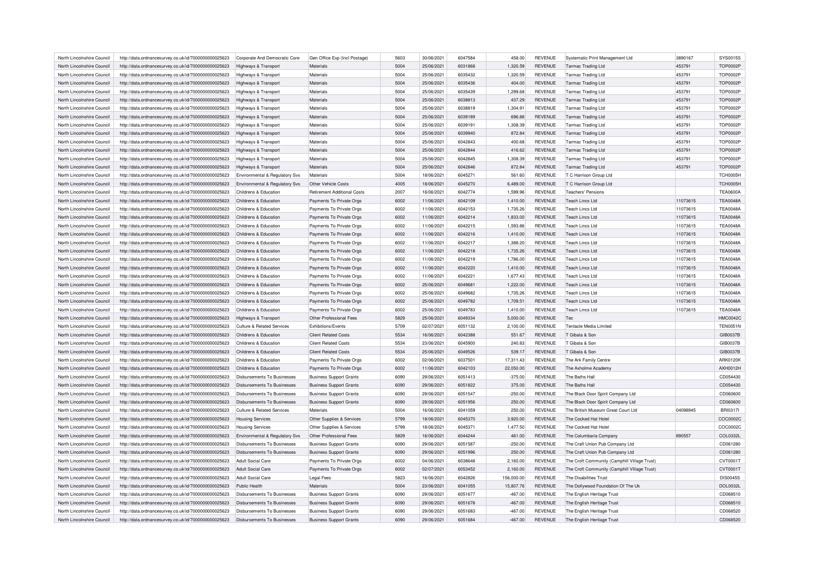| North Lincolnshire Council | http://data.ordnancesurvey.co.uk/id/7000000000025623 | Corporate And Democratic Core                  | Gen Office Exp (Incl Postage)      | 5603 | 30/06/2021               | 6047584 | 458.00     | <b>REVENUE</b>            | Systematic Print Management Ltd              | 3890167  | SYS0015S        |
|----------------------------|------------------------------------------------------|------------------------------------------------|------------------------------------|------|--------------------------|---------|------------|---------------------------|----------------------------------------------|----------|-----------------|
| North Lincolnshire Council | http://data.ordnancesurvey.co.uk/id/7000000000025623 | Highways & Transport                           | Materials                          | 5004 | 25/06/2021               | 6031868 | 1,320.59   | <b>REVENUE</b>            | <b>Tarmac Trading Ltd</b>                    | 453791   | <b>TOP0002P</b> |
| North Lincolnshire Council | http://data.ordnancesurvey.co.uk/id/7000000000025623 | Highways & Transport                           | Materials                          | 5004 | 25/06/2021               | 6035432 | 1,320.59   | <b>REVENUE</b>            | <b>Tarmac Trading Ltd</b>                    | 453791   | <b>TOP0002P</b> |
| North Lincolnshire Council | http://data.ordnancesurvey.co.uk/id/7000000000025623 | Highways & Transport                           | Materials                          | 5004 | 25/06/2021               | 6035436 | 404.00     | <b>REVENUE</b>            | <b>Tarmac Trading Ltd</b>                    | 453791   | <b>TOP0002F</b> |
| North Lincolnshire Council | http://data.ordnancesurvey.co.uk/id/7000000000025623 | Highways & Transport                           | Materials                          | 5004 | 25/06/2021               | 6035439 | 1,299.68   | <b>REVENUE</b>            | Tarmac Trading Ltd                           | 453791   | <b>TOP0002F</b> |
| North Lincolnshire Council | http://data.ordnancesurvey.co.uk/id/7000000000025623 | Highways & Transport                           | Materials                          | 5004 | 25/06/2021               | 6038813 | 437.29     | <b>REVENUE</b>            | <b>Tarmac Trading Ltd</b>                    | 453791   | <b>TOP0002P</b> |
| North Lincolnshire Council | http://data.ordnancesurvey.co.uk/id/7000000000025623 | Highways & Transport                           | Materials                          | 5004 | 25/06/2021               | 6038819 | 1,304.91   | <b>REVENUE</b>            | <b>Tarmac Trading Ltd</b>                    | 453791   | <b>TOP0002F</b> |
| North Lincolnshire Council | http://data.ordnancesurvey.co.uk/id/7000000000025623 | Highways & Transport                           | Materials                          | 5004 | 25/06/2021               | 6039189 | 696.88     | <b>REVENUE</b>            | <b>Tarmac Trading Ltd</b>                    | 453791   | <b>TOP0002F</b> |
| North Lincolnshire Council | http://data.ordnancesurvey.co.uk/id/7000000000025623 | Highways & Transport                           | Materials                          | 5004 | 25/06/2021               | 6039191 | 1,308.39   | <b>REVENUE</b>            | <b>Tarmac Trading Ltd</b>                    | 453791   | <b>TOP0002P</b> |
| North Lincolnshire Council | http://data.ordnancesurvey.co.uk/id/7000000000025623 | Highways & Transport                           | Materials                          | 5004 | 25/06/2021               | 6039940 | 872.84     | <b>REVENUE</b>            | <b>Tarmac Trading Ltd</b>                    | 453791   | <b>TOP0002F</b> |
|                            |                                                      |                                                |                                    |      |                          |         |            |                           |                                              |          | <b>TOP0002F</b> |
| North Lincolnshire Council | http://data.ordnancesurvey.co.uk/id/7000000000025623 | <b>Highways &amp; Transport</b>                | Materials                          | 5004 | 25/06/2021               | 6042843 | 400.68     | <b>REVENUE</b>            | Tarmac Trading Ltd                           | 453791   |                 |
| North Lincolnshire Council | http://data.ordnancesurvey.co.uk/id/7000000000025623 | Highways & Transport                           | Materials                          | 5004 | 25/06/2021               | 6042844 | 416.62     | <b>REVENUE</b>            | <b>Tarmac Trading Ltd</b>                    | 453791   | <b>TOP0002P</b> |
| North Lincolnshire Council | http://data.ordnancesurvey.co.uk/id/7000000000025623 | Highways & Transport                           | Materials                          | 5004 | 25/06/2021               | 6042845 | 1,308.39   | <b>REVENUE</b>            | <b>Tarmac Trading Ltd</b>                    | 453791   | <b>TOP0002F</b> |
| North Lincolnshire Council | http://data.ordnancesurvey.co.uk/id/7000000000025623 | Highways & Transport                           | Materials                          | 5004 | 25/06/2021               | 6042846 | 872.84     | <b>REVENUE</b>            | <b>Tarmac Trading Ltd</b>                    | 453791   | <b>TOP0002P</b> |
| North Lincolnshire Council | http://data.ordnancesurvey.co.uk/id/7000000000025623 | Environmental & Regulatory Svs                 | Materials                          | 5004 | 18/06/2021               | 6045271 | 561.60     | <b>REVENUE</b>            | T C Harrison Group Ltd                       |          | TCH0005H        |
| North Lincolnshire Council | http://data.ordnancesurvey.co.uk/id/7000000000025623 | Environmental & Regulatory Svs                 | Other Vehicle Costs                | 4005 | 18/06/2021               | 6045270 | 6,489.00   | <b>REVENUE</b>            | T C Harrison Group Ltd                       |          | <b>TCH0005H</b> |
| North Lincolnshire Council | http://data.ordnancesurvey.co.uk/id/7000000000025623 | Childrens & Education                          | <b>Retirement Additional Costs</b> | 2007 | 16/06/2021               | 6042774 | 1,599.96   | <b>REVENUE</b>            | <b>Teachers' Pensions</b>                    |          | <b>TEA0600A</b> |
| North Lincolnshire Council | http://data.ordnancesurvey.co.uk/id/7000000000025623 | Childrens & Education                          | Payments To Private Orgs           | 6002 | 11/06/2021               | 6042109 | 1,410.00   | <b>REVENUE</b>            | <b>Teach Lincs Ltd</b>                       | 11073615 | <b>TEA0048A</b> |
| North Lincolnshire Council | http://data.ordnancesurvey.co.uk/id/7000000000025623 | Childrens & Education                          | Payments To Private Orgs           | 6002 | 11/06/2021               | 6042153 | 1,735.26   | <b>REVENUE</b>            | Teach Lincs Ltd                              | 11073615 | <b>TEA0048A</b> |
| North Lincolnshire Council | http://data.ordnancesurvey.co.uk/id/7000000000025623 | Childrens & Education                          | Payments To Private Orgs           | 6002 | 11/06/2021               | 6042214 | 1,833.00   | <b>REVENUE</b>            | Teach Lincs Ltd                              | 11073615 | <b>TEA0048A</b> |
| North Lincolnshire Council | http://data.ordnancesurvey.co.uk/id/7000000000025623 | Childrens & Education                          | Payments To Private Orgs           | 6002 | 11/06/2021               | 6042215 | 1,593.86   | REVENUE                   | <b>Teach Lincs Ltd</b>                       | 11073615 | <b>TEA0048A</b> |
| North Lincolnshire Council | http://data.ordnancesurvey.co.uk/id/7000000000025623 | Childrens & Education                          | Payments To Private Orgs           | 6002 | 11/06/2021               | 6042216 | 1,410.00   | <b>REVENUE</b>            | Teach Lincs Ltd                              | 11073615 | <b>TEA0048A</b> |
| North Lincolnshire Council | http://data.ordnancesurvey.co.uk/id/7000000000025623 | Childrens & Education                          | Payments To Private Orgs           | 6002 | 11/06/2021               | 6042217 | 1,388.20   | <b>REVENUE</b>            | <b>Teach Lincs Ltd</b>                       | 11073615 | <b>TEA0048A</b> |
| North Lincolnshire Council | http://data.ordnancesurvey.co.uk/id/7000000000025623 | Childrens & Education                          | Payments To Private Orgs           | 6002 | 11/06/2021               | 6042218 | 1,735.26   | <b>REVENUE</b>            | <b>Teach Lincs Ltd</b>                       | 11073615 | <b>TEA0048A</b> |
| North Lincolnshire Council | http://data.ordnancesurvey.co.uk/id/7000000000025623 | Childrens & Education                          | Payments To Private Orgs           | 6002 | 11/06/2021               | 6042219 | 1,786.00   | <b>REVENUE</b>            | <b>Teach Lincs Ltd</b>                       | 11073615 | <b>TEA0048A</b> |
| North Lincolnshire Council | http://data.ordnancesurvey.co.uk/id/7000000000025623 | Childrens & Education                          | Payments To Private Orgs           | 6002 | 11/06/2021               | 6042220 | 1,410.00   | <b>REVENUE</b>            | Teach Lincs Ltd                              | 11073615 | <b>TEA0048A</b> |
|                            |                                                      |                                                |                                    | 6002 |                          | 6042221 |            |                           |                                              |          | <b>TEA0048A</b> |
| North Lincolnshire Council | http://data.ordnancesurvey.co.uk/id/7000000000025623 | Childrens & Education<br>Childrens & Education | Payments To Private Orgs           | 6002 | 11/06/2021<br>25/06/2021 | 6049681 | 1,677.43   | REVENUE<br><b>REVENUE</b> | <b>Teach Lincs Ltd</b><br>Teach Lincs Ltd    | 11073615 | <b>TEA0048A</b> |
| North Lincolnshire Council | http://data.ordnancesurvey.co.uk/id/7000000000025623 |                                                | Payments To Private Orgs           |      |                          |         | 1,222.00   |                           |                                              | 11073615 |                 |
| North Lincolnshire Council | http://data.ordnancesurvey.co.uk/id/7000000000025623 | Childrens & Education                          | Payments To Private Orgs           | 6002 | 25/06/2021               | 6049682 | 1,735.26   | <b>REVENUE</b>            | Teach Lincs Ltd                              | 11073615 | <b>TEA0048A</b> |
| North Lincolnshire Council | http://data.ordnancesurvey.co.uk/id/7000000000025623 | Childrens & Education                          | Payments To Private Orgs           | 6002 | 25/06/2021               | 6049782 | 1,709.51   | <b>REVENUE</b>            | <b>Teach Lincs Ltd</b>                       | 11073615 | <b>TEA0048A</b> |
| North Lincolnshire Council | http://data.ordnancesurvey.co.uk/id/7000000000025623 | Childrens & Education                          | Payments To Private Orgs           | 6002 | 25/06/2021               | 6049783 | 1,410.00   | <b>REVENUE</b>            | Teach Lincs Ltd                              | 11073615 | <b>TEA0048A</b> |
| North Lincolnshire Council | http://data.ordnancesurvey.co.uk/id/7000000000025623 | Highways & Transport                           | Other Professional Fees            | 5829 | 25/06/2021               | 6049334 | 5,000.00   | <b>REVENUE</b>            | Tec                                          |          | <b>HMC0042C</b> |
| North Lincolnshire Council | http://data.ordnancesurvey.co.uk/id/7000000000025623 | Culture & Related Services                     | Exhibitions/Events                 | 5709 | 02/07/2021               | 6051132 | 2,100.00   | <b>REVENUE</b>            | <b>Tentacle Media Limited</b>                |          | <b>TEN0051N</b> |
| North Lincolnshire Council | http://data.ordnancesurvey.co.uk/id/7000000000025623 | Childrens & Education                          | <b>Client Related Costs</b>        | 5534 | 16/06/2021               | 6042388 | 551.67     | <b>REVENUE</b>            | T Gibala & Son                               |          | GIB0037B        |
| North Lincolnshire Council | http://data.ordnancesurvey.co.uk/id/7000000000025623 | Childrens & Education                          | <b>Client Related Costs</b>        | 5534 | 23/06/2021               | 6045900 | 240.83     | <b>REVENUE</b>            | T Gibala & Son                               |          | GIB0037B        |
| North Lincolnshire Council | http://data.ordnancesurvey.co.uk/id/7000000000025623 | Childrens & Education                          | <b>Client Related Costs</b>        | 5534 | 25/06/2021               | 6049526 | 539.17     | <b>REVENUE</b>            | T Gibala & Son                               |          | GIB0037B        |
| North Lincolnshire Council | http://data.ordnancesurvey.co.uk/id/7000000000025623 | Childrens & Education                          | Payments To Private Orgs           | 6002 | 02/06/2021               | 603750  | 17,311.43  | <b>REVENUE</b>            | The Ark Family Centre                        |          | ARK0120K        |
| North Lincolnshire Council | http://data.ordnancesurvey.co.uk/id/7000000000025623 | Childrens & Education                          | Payments To Private Orgs           | 6002 | 11/06/2021               | 6042103 | 22,050.00  | <b>REVENUE</b>            | The Axholme Academ                           |          | <b>AXH0012H</b> |
| North Lincolnshire Council | http://data.ordnancesurvey.co.uk/id/7000000000025623 | Disbursements To Businesses                    | <b>Business Support Grants</b>     | 6090 | 29/06/2021               | 6051413 | $-375.00$  | <b>REVENUE</b>            | The Baths Hall                               |          | CD054430        |
| North Lincolnshire Council | http://data.ordnancesurvey.co.uk/id/7000000000025623 | Disbursements To Businesses                    | <b>Business Support Grants</b>     | 6090 | 29/06/2021               | 6051822 | 375.00     | <b>REVENUE</b>            | The Baths Hall                               |          | CD054430        |
| North Lincolnshire Council | http://data.ordnancesurvey.co.uk/id/7000000000025623 | Disbursements To Businesses                    | <b>Business Support Grants</b>     | 6090 | 29/06/2021               | 6051547 | $-250.00$  | <b>REVENUE</b>            | The Black Door Spirit Company Ltd            |          | CD060600        |
| North Lincolnshire Council | http://data.ordnancesurvey.co.uk/id/7000000000025623 | <b>Disbursements To Businesses</b>             | <b>Business Support Grants</b>     | 6090 | 29/06/2021               | 6051956 | 250.00     | <b>REVENUE</b>            | The Black Door Spirit Company Ltd            |          | CD060600        |
| North Lincolnshire Council | http://data.ordnancesurvey.co.uk/id/7000000000025623 | Culture & Related Services                     | Materials                          | 5004 | 16/06/2021               | 6041059 | 250.00     | <b>REVENUE</b>            | The British Museum Great Court Ltd           | 04098945 | <b>BRI0317I</b> |
| North Lincolnshire Council |                                                      |                                                |                                    | 5799 | 18/06/2021               | 6045370 |            | <b>REVENUE</b>            | The Cocked Hat Hotel                         |          | COC0002C        |
|                            | http://data.ordnancesurvey.co.uk/id/7000000000025623 | <b>Housing Services</b>                        | Other Supplies & Services          |      |                          |         | 3,920.00   |                           |                                              |          |                 |
| North Lincolnshire Council | http://data.ordnancesurvey.co.uk/id/7000000000025623 | <b>Housing Services</b>                        | Other Supplies & Services          | 5799 | 18/06/2021               | 6045371 | 1,477.50   | <b>REVENUE</b>            | The Cocked Hat Hotel                         |          | COC0002C        |
| North Lincolnshire Council | http://data.ordnancesurvey.co.uk/id/7000000000025623 | Environmental & Regulatory Svs                 | Other Professional Fees            | 5829 | 16/06/2021               | 6044244 | 461.00     | <b>REVENUE</b>            | The Columbaria Company                       | 890557   | COL0332L        |
| North Lincolnshire Council | http://data.ordnancesurvey.co.uk/id/7000000000025623 | Disbursements To Businesses                    | <b>Business Support Grants</b>     | 6090 | 29/06/2021               | 6051587 | $-250.00$  | <b>REVENUE</b>            | The Craft Union Pub Company Ltd              |          | CD061280        |
| North Lincolnshire Council | http://data.ordnancesurvey.co.uk/id/7000000000025623 | <b>Disbursements To Businesses</b>             | <b>Business Support Grants</b>     | 6090 | 29/06/2021               | 6051996 | 250.00     | <b>REVENUE</b>            | The Craft Union Pub Company Ltd              |          | CD061280        |
| North Lincolnshire Council | http://data.ordnancesurvey.co.uk/id/7000000000025623 | Adult Social Care                              | Payments To Private Orgs           | 6002 | 04/06/2021               | 6038648 | 2.160.00   | <b>REVENUE</b>            | The Croft Community (Camphill Village Trust) |          | CVT0001T        |
| North Lincolnshire Council | http://data.ordnancesurvey.co.uk/id/7000000000025623 | Adult Social Care                              | Payments To Private Orgs           | 6002 | 02/07/2021               | 6053452 | 2,160.00   | <b>REVENUE</b>            | The Croft Community (Camphill Village Trust) |          | CVT0001T        |
| North Lincolnshire Council | http://data.ordnancesurvey.co.uk/id/7000000000025623 | Adult Social Care                              | <b>Legal Fees</b>                  | 5823 | 16/06/2021               | 6042826 | 156,000.00 | <b>REVENUE</b>            | The Disabilities Trust                       |          | <b>DIS0045S</b> |
| North Lincolnshire Council | http://data.ordnancesurvey.co.uk/id/7000000000025623 | Public Health                                  | <b>Materials</b>                   | 5004 | 23/06/2021               | 6041055 | 15.807.76  | <b>REVENUE</b>            | The Dollywood Foundation Of The Uk           |          | <b>DOL0032L</b> |
| North Lincolnshire Council | http://data.ordnancesurvey.co.uk/id/7000000000025623 | Disbursements To Businesses                    | <b>Business Support Grants</b>     | 6090 | 29/06/2021               | 6051677 | $-467.00$  | <b>REVENUE</b>            | The English Heritage Trust                   |          | CD068510        |
| North Lincolnshire Council | http://data.ordnancesurvey.co.uk/id/7000000000025623 | Disbursements To Businesses                    | <b>Business Support Grants</b>     | 6090 | 29/06/2021               | 6051678 | $-467.00$  | <b>REVENUE</b>            | The English Heritage Trust                   |          | CD068510        |
| North Lincolnshire Council | http://data.ordnancesurvey.co.uk/id/7000000000025623 | Disbursements To Businesses                    | <b>Business Support Grants</b>     | 6090 | 29/06/2021               | 6051683 | $-467.00$  | <b>REVENUE</b>            | The English Heritage Trust                   |          | CD068520        |
| North Lincolnshire Council | http://data.ordnancesurvey.co.uk/id/7000000000025623 | Disbursements To Businesses                    | <b>Business Support Grants</b>     | 6090 | 29/06/2021               | 6051684 | $-467.00$  | <b>REVENUE</b>            | The English Heritage Trust                   |          | CD068520        |
|                            |                                                      |                                                |                                    |      |                          |         |            |                           |                                              |          |                 |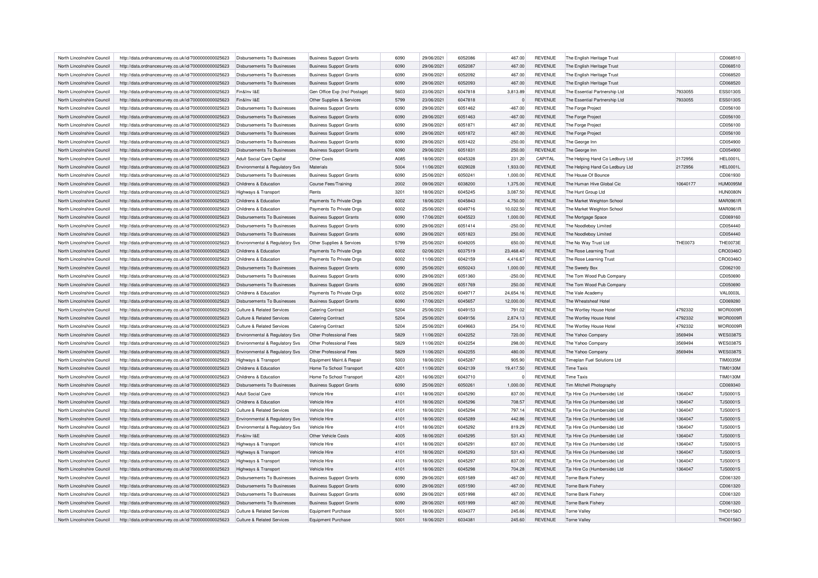| North Lincolnshire Council | http://data.ordnancesurvey.co.uk/id/7000000000025623 | Disbursements To Businesses        | <b>Business Support Grants</b> | 6090 | 29/06/2021 | 6052086 | 467.00    | <b>REVENUE</b> | The English Heritage Trust         |                | CD068510        |
|----------------------------|------------------------------------------------------|------------------------------------|--------------------------------|------|------------|---------|-----------|----------------|------------------------------------|----------------|-----------------|
| North Lincolnshire Council | http://data.ordnancesurvey.co.uk/id/7000000000025623 | Disbursements To Businesses        | <b>Business Support Grants</b> | 6090 | 29/06/2021 | 6052087 | 467.00    | REVENUE        | The English Heritage Trust         |                | CD068510        |
| North Lincolnshire Council | http://data.ordnancesurvey.co.uk/id/7000000000025623 | Disbursements To Businesses        | <b>Business Support Grants</b> | 6090 | 29/06/2021 | 6052092 | 467.00    | <b>REVENUE</b> | The English Heritage Trust         |                | CD068520        |
| North Lincolnshire Council | http://data.ordnancesurvey.co.uk/id/7000000000025623 | Disbursements To Businesses        | <b>Business Support Grants</b> | 6090 | 29/06/2021 | 6052093 | 467.00    | <b>REVENUE</b> | The English Heritage Trust         |                | CD068520        |
| North Lincolnshire Council | http://data.ordnancesurvey.co.uk/id/7000000000025623 | Fin&Inv I&F                        | Gen Office Exp (Incl Postage)  | 5603 | 23/06/2021 | 6047818 | 3,813.89  | <b>REVENUE</b> | The Essential Partnership Ltd      | 7933055        | <b>ESS0130S</b> |
| North Lincolnshire Council | http://data.ordnancesurvey.co.uk/id/7000000000025623 | Fin&Inv I&E                        | Other Supplies & Services      | 5799 | 23/06/2021 | 6047818 |           | <b>REVENUE</b> | The Essential Partnership Ltd      | 7933055        | <b>ESS0130S</b> |
| North Lincolnshire Council | http://data.ordnancesurvey.co.uk/id/7000000000025623 | Disbursements To Businesses        | <b>Business Support Grants</b> | 6090 | 29/06/2021 | 6051462 | $-467.00$ | <b>REVENUE</b> | The Forge Project                  |                | CD056100        |
| North Lincolnshire Council | http://data.ordnancesurvey.co.uk/id/7000000000025623 | Disbursements To Businesses        | <b>Business Support Grants</b> | 6090 | 29/06/2021 | 6051463 | $-467.00$ | <b>REVENUE</b> | The Forge Project                  |                | CD056100        |
| North Lincolnshire Council | http://data.ordnancesurvey.co.uk/id/7000000000025623 | Disbursements To Businesses        | <b>Business Support Grants</b> | 6090 | 29/06/2021 | 6051871 | 467.00    | <b>REVENUE</b> | The Forge Project                  |                | CD056100        |
| North Lincolnshire Council | http://data.ordnancesurvey.co.uk/id/7000000000025623 | Disbursements To Businesses        | <b>Business Support Grants</b> | 6090 | 29/06/2021 | 6051872 | 467.00    | <b>REVENUE</b> | The Forge Project                  |                | CD056100        |
| North Lincolnshire Council | http://data.ordnancesurvey.co.uk/id/7000000000025623 | Disbursements To Businesses        | <b>Business Support Grants</b> | 6090 | 29/06/2021 | 6051422 | $-250.00$ | <b>REVENUE</b> | The George Inn                     |                | CD054900        |
| North Lincolnshire Council | http://data.ordnancesurvey.co.uk/id/7000000000025623 | Disbursements To Businesses        | <b>Business Support Grants</b> | 6090 | 29/06/2021 | 6051831 | 250.00    | <b>REVENUE</b> | The George Inn                     |                | CD054900        |
| North Lincolnshire Council | http://data.ordnancesurvey.co.uk/id/7000000000025623 | Adult Social Care Capital          | Other Costs                    | A085 | 18/06/2021 | 6045328 | 231.20    | CAPITAL        | The Helping Hand Co Ledbury Ltd    | 2172956        | <b>HEL0001L</b> |
| North Lincolnshire Council | http://data.ordnancesurvey.co.uk/id/7000000000025623 | Environmental & Regulatory Svs     | Materials                      | 5004 | 11/06/2021 | 6029028 | 1,933.00  | REVENUE        | The Helping Hand Co Ledbury Ltd    | 2172956        | <b>HEL0001L</b> |
|                            |                                                      |                                    |                                | 6090 | 25/06/2021 | 6050241 |           | <b>REVENUE</b> |                                    |                | CD061930        |
| North Lincolnshire Council | http://data.ordnancesurvey.co.uk/id/7000000000025623 | Disbursements To Businesses        | <b>Business Support Grants</b> |      |            |         | 1,000.00  |                | The House Of Bounce                |                |                 |
| North Lincolnshire Council | http://data.ordnancesurvey.co.uk/id/7000000000025623 | Childrens & Education              | Course Fees/Training           | 2002 | 09/06/2021 | 6038200 | 1,375.00  | <b>REVENUE</b> | The Human Hive Global Cic          | 10640177       | <b>HUM0095M</b> |
| North Lincolnshire Council | http://data.ordnancesurvey.co.uk/id/7000000000025623 | <b>Highways &amp; Transport</b>    | Rents                          | 3201 | 18/06/2021 | 6045245 | 3,087.50  | <b>REVENUE</b> | The Hunt Group Ltd                 |                | HUN0080N        |
| North Lincolnshire Council | http://data.ordnancesurvey.co.uk/id/7000000000025623 | Childrens & Education              | Payments To Private Orgs       | 6002 | 18/06/2021 | 6045843 | 4,750.00  | <b>REVENUE</b> | The Market Weighton School         |                | MAR0961R        |
| North Lincolnshire Council | http://data.ordnancesurvey.co.uk/id/7000000000025623 | Childrens & Education              | Payments To Private Orgs       | 6002 | 25/06/2021 | 6049716 | 10,022.50 | <b>REVENUE</b> | The Market Weighton School         |                | MAR0961F        |
| North Lincolnshire Council | http://data.ordnancesurvey.co.uk/id/7000000000025623 | Disbursements To Businesses        | <b>Business Support Grants</b> | 6090 | 17/06/2021 | 6045523 | 1,000.00  | <b>REVENUE</b> | The Mortgage Space                 |                | CD069160        |
| North Lincolnshire Council | http://data.ordnancesurvey.co.uk/id/7000000000025623 | Disbursements To Businesses        | <b>Business Support Grants</b> | 6090 | 29/06/2021 | 6051414 | $-250.00$ | <b>REVENUE</b> | The Noodleboy Limited              |                | CD054440        |
| North Lincolnshire Council | http://data.ordnancesurvey.co.uk/id/7000000000025623 | <b>Disbursements To Businesses</b> | <b>Business Support Grants</b> | 6090 | 29/06/2021 | 6051823 | 250.00    | <b>REVENUE</b> | The Noodleboy Limited              |                | CD054440        |
| North Lincolnshire Council | http://data.ordnancesurvey.co.uk/id/7000000000025623 | Environmental & Regulatory Svs     | Other Supplies & Services      | 5799 | 25/06/2021 | 6049205 | 650.00    | <b>REVENUE</b> | The No Way Trust Ltd               | <b>THE0073</b> | THE0073E        |
| North Lincolnshire Council | http://data.ordnancesurvey.co.uk/id/7000000000025623 | Childrens & Education              | Payments To Private Orgs       | 6002 | 02/06/2021 | 6037519 | 23,468.40 | <b>REVENUE</b> | The Rose Learning Trust            |                | CRO0346C        |
| North Lincolnshire Council | http://data.ordnancesurvey.co.uk/id/7000000000025623 | Childrens & Education              | Payments To Private Orgs       | 6002 | 11/06/2021 | 6042159 | 4,416.67  | <b>REVENUE</b> | The Rose Learning Trust            |                | CRO0346C        |
| North Lincolnshire Council | http://data.ordnancesurvey.co.uk/id/7000000000025623 | <b>Disbursements To Businesses</b> | <b>Business Support Grants</b> | 6090 | 25/06/2021 | 6050243 | 1,000.00  | <b>REVENUE</b> | The Sweety Box                     |                | CD062100        |
| North Lincolnshire Council | http://data.ordnancesurvey.co.uk/id/7000000000025623 | Disbursements To Businesses        | <b>Business Support Grants</b> | 6090 | 29/06/2021 | 6051360 | $-250.00$ | <b>REVENUE</b> | The Tom Wood Pub Company           |                | CD050690        |
| North Lincolnshire Council | http://data.ordnancesurvey.co.uk/id/7000000000025623 | Disbursements To Businesses        | <b>Business Support Grants</b> | 6090 | 29/06/2021 | 6051769 | 250.00    | <b>REVENUE</b> | The Tom Wood Pub Company           |                | CD050690        |
| North Lincolnshire Council | http://data.ordnancesurvey.co.uk/id/7000000000025623 | Childrens & Education              | Payments To Private Orgs       | 6002 | 25/06/2021 | 6049717 | 24,654.16 | <b>REVENUE</b> | The Vale Academy                   |                | <b>VAL0003L</b> |
| North Lincolnshire Council | http://data.ordnancesurvey.co.uk/id/7000000000025623 | Disbursements To Businesses        | <b>Business Support Grants</b> | 6090 | 17/06/2021 | 6045657 | 12,000.00 | <b>REVENUE</b> | The Wheatsheaf Hotel               |                | CD069280        |
| North Lincolnshire Council | http://data.ordnancesurvey.co.uk/id/7000000000025623 | Culture & Related Services         | <b>Catering Contract</b>       | 5204 | 25/06/2021 | 6049153 | 791.02    | <b>REVENUE</b> | The Wortley House Hotel            | 4792332        | WOR0009F        |
| North Lincolnshire Council | http://data.ordnancesurvey.co.uk/id/7000000000025623 | Culture & Related Services         | <b>Catering Contract</b>       | 5204 | 25/06/2021 | 6049156 | 2,874.13  | <b>REVENUE</b> | The Wortley House Hotel            | 4792332        | <b>WOR0009F</b> |
| North Lincolnshire Council | http://data.ordnancesurvey.co.uk/id/7000000000025623 | Culture & Related Services         | <b>Catering Contract</b>       | 5204 | 25/06/2021 | 6049663 | 254.10    | <b>REVENUE</b> | The Wortley House Hotel            | 4792332        | WOR0009R        |
| North Lincolnshire Council | http://data.ordnancesurvey.co.uk/id/7000000000025623 | Environmental & Regulatory Svs     | Other Professional Fees        | 5829 | 11/06/2021 | 6042252 | 720.00    | <b>REVENUE</b> | The Yahoo Company                  | 3569494        | <b>WES03879</b> |
| North Lincolnshire Council | http://data.ordnancesurvey.co.uk/id/7000000000025623 | Environmental & Regulatory Svs     | Other Professional Fees        | 5829 | 11/06/2021 | 6042254 | 298.00    | <b>REVENUE</b> | The Yahoo Company                  | 3569494        | <b>WES0387S</b> |
| North Lincolnshire Council | http://data.ordnancesurvey.co.uk/id/7000000000025623 | Environmental & Regulatory Svs     | Other Professional Fees        | 5829 | 11/06/2021 | 6042255 | 480.00    | <b>REVENUE</b> | The Yahoo Company                  | 3569494        | <b>WES0387S</b> |
| North Lincolnshire Council | http://data.ordnancesurvey.co.uk/id/7000000000025623 | Highways & Transport               | Equipment Maint.& Repair       | 5003 | 18/06/2021 | 6045287 | 905.90    | <b>REVENUE</b> | <b>Timeplan Fuel Solutions Ltd</b> |                | <b>TIM0035M</b> |
| North Lincolnshire Council | http://data.ordnancesurvey.co.uk/id/7000000000025623 | Childrens & Education              | Home To School Transport       | 4201 | 11/06/2021 | 6042139 | 19,417.50 | <b>REVENUE</b> | <b>Time Taxis</b>                  |                | <b>TIM0130M</b> |
| North Lincolnshire Council | http://data.ordnancesurvey.co.uk/id/7000000000025623 | Childrens & Education              | Home To School Transport       | 4201 | 16/06/2021 | 6043710 |           | <b>REVENUE</b> | <b>Time Taxis</b>                  |                | <b>TIM0130M</b> |
| North Lincolnshire Council | http://data.ordnancesurvey.co.uk/id/7000000000025623 | <b>Disbursements To Businesses</b> | <b>Business Support Grants</b> | 6090 | 25/06/2021 | 6050261 | 1,000.00  | <b>REVENUE</b> | Tim Mitchell Photography           |                | CD069340        |
| North Lincolnshire Council | http://data.ordnancesurvey.co.uk/id/7000000000025623 | Adult Social Care                  | Vehicle Hire                   | 4101 | 18/06/2021 | 6045290 | 837.00    | <b>REVENUE</b> | Tjs Hire Co (Humberside) Ltd       | 1364047        | <b>TJS0001S</b> |
| North Lincolnshire Council |                                                      |                                    | Vehicle Hire                   | 4101 | 18/06/2021 | 6045296 |           |                |                                    | 1364047        | <b>TJS0001S</b> |
|                            | http://data.ordnancesurvey.co.uk/id/7000000000025623 | Childrens & Education              |                                |      |            |         | 708.57    | <b>REVENUE</b> | Tis Hire Co (Humberside) Ltd       |                |                 |
| North Lincolnshire Council | http://data.ordnancesurvey.co.uk/id/7000000000025623 | Culture & Related Services         | Vehicle Hire                   | 4101 | 18/06/2021 | 6045294 | 797.14    | <b>REVENUE</b> | Tjs Hire Co (Humberside) Ltd       | 1364047        | <b>TJS0001S</b> |
| North Lincolnshire Council | http://data.ordnancesurvey.co.uk/id/7000000000025623 | Environmental & Regulatory Svs     | Vehicle Hire                   | 4101 | 18/06/2021 | 6045289 | 442.86    | <b>REVENUE</b> | Tjs Hire Co (Humberside) Ltd       | 1364047        | <b>TJS0001S</b> |
| North Lincolnshire Council | http://data.ordnancesurvey.co.uk/id/7000000000025623 | Environmental & Regulatory Svs     | Vehicle Hire                   | 4101 | 18/06/2021 | 6045292 | 819.29    | <b>REVENUE</b> | Tjs Hire Co (Humberside) Ltd       | 1364047        | <b>TJS0001S</b> |
| North Lincolnshire Council | http://data.ordnancesurvey.co.uk/id/7000000000025623 | Fin&Inv I&E                        | Other Vehicle Costs            | 4005 | 18/06/2021 | 6045295 | 531.43    | <b>REVENUE</b> | Tjs Hire Co (Humberside) Ltd       | 1364047        | <b>TJS0001S</b> |
| North Lincolnshire Council | http://data.ordnancesurvey.co.uk/id/7000000000025623 | <b>Highways &amp; Transport</b>    | Vehicle Hire                   | 4101 | 18/06/2021 | 6045291 | 837.00    | <b>REVENUE</b> | Tjs Hire Co (Humberside) Ltd       | 1364047        | <b>TJS0001S</b> |
| North Lincolnshire Council | http://data.ordnancesurvey.co.uk/id/7000000000025623 | Highways & Transport               | Vehicle Hire                   | 4101 | 18/06/2021 | 6045293 | 531.43    | <b>REVENUE</b> | Tis Hire Co (Humberside) Ltd       | 1364047        | <b>TJS0001S</b> |
| North Lincolnshire Council | http://data.ordnancesurvey.co.uk/id/7000000000025623 | Highways & Transport               | Vehicle Hire                   | 4101 | 18/06/2021 | 6045297 | 837.00    | <b>REVENUE</b> | Tjs Hire Co (Humberside) Ltd       | 1364047        | <b>TJS0001S</b> |
| North Lincolnshire Council | http://data.ordnancesurvey.co.uk/id/7000000000025623 | Highways & Transport               | Vehicle Hire                   | 4101 | 18/06/2021 | 6045298 | 704.28    | <b>REVENUE</b> | Tjs Hire Co (Humberside) Ltd       | 1364047        | <b>TJS0001S</b> |
| North Lincolnshire Council | http://data.ordnancesurvey.co.uk/id/7000000000025623 | Disbursements To Businesses        | <b>Business Support Grants</b> | 6090 | 29/06/2021 | 6051589 | $-467.00$ | <b>REVENUE</b> | Torne Bank Fisherv                 |                | CD061320        |
| North Lincolnshire Council | http://data.ordnancesurvey.co.uk/id/7000000000025623 | Disbursements To Businesses        | <b>Business Support Grants</b> | 6090 | 29/06/2021 | 6051590 | $-467.00$ | <b>REVENUE</b> | <b>Torne Bank Fishery</b>          |                | CD061320        |
| North Lincolnshire Council | http://data.ordnancesurvey.co.uk/id/7000000000025623 | Disbursements To Businesses        | <b>Business Support Grants</b> | 6090 | 29/06/2021 | 6051998 | 467.00    | <b>REVENUE</b> | Torne Bank Fishery                 |                | CD061320        |
| North Lincolnshire Council | http://data.ordnancesurvey.co.uk/id/7000000000025623 | Disbursements To Businesses        | <b>Business Support Grants</b> | 6090 | 29/06/2021 | 6051999 | 467.00    | <b>REVENUE</b> | Torne Bank Fisherv                 |                | CD061320        |
| North Lincolnshire Council | http://data.ordnancesurvey.co.uk/id/7000000000025623 | Culture & Related Services         | <b>Equipment Purchase</b>      | 5001 | 18/06/2021 | 6034377 | 245.66    | <b>REVENUE</b> | Torne Valley                       |                | <b>THO0156C</b> |
| North Lincolnshire Council | http://data.ordnancesurvey.co.uk/id/7000000000025623 | Culture & Related Services         | Equipment Purchase             | 5001 | 18/06/2021 | 6034381 | 245.60    | REVENUE        | Torne Valley                       |                | THO0156O        |
|                            |                                                      |                                    |                                |      |            |         |           |                |                                    |                |                 |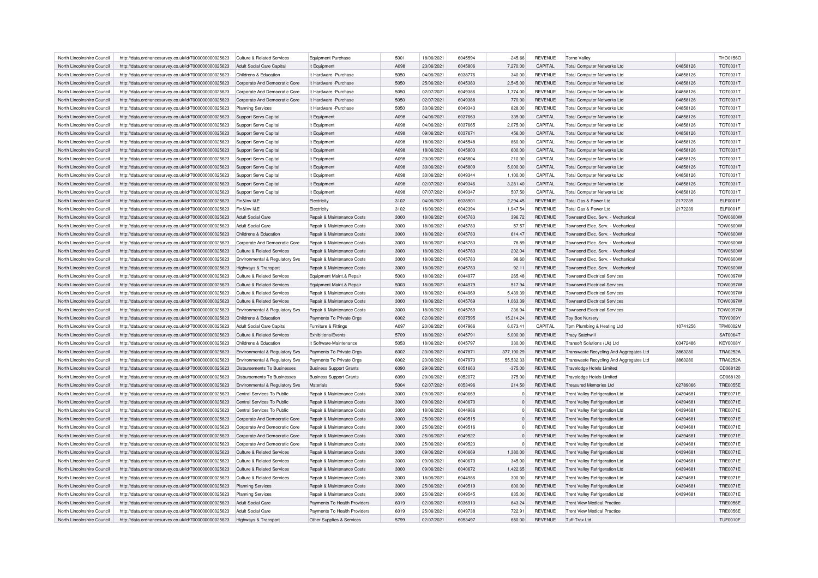| North Lincolnshire Council | http://data.ordnancesurvey.co.uk/id/7000000000025623 | Culture & Related Services                | <b>Equipment Purchase</b>      | 5001 | 18/06/2021 | 6045594 | $-245.66$  | <b>REVENUE</b> | Torne Valley                            |          | THO0156O        |
|----------------------------|------------------------------------------------------|-------------------------------------------|--------------------------------|------|------------|---------|------------|----------------|-----------------------------------------|----------|-----------------|
| North Lincolnshire Council | http://data.ordnancesurvey.co.uk/id/7000000000025623 | Adult Social Care Capital                 | It Equipment                   | A098 | 23/06/2021 | 6045806 | 7,270.00   | CAPITAL        | <b>Total Computer Networks Ltd</b>      | 04858126 | <b>TOT0031T</b> |
| North Lincolnshire Council | http://data.ordnancesurvey.co.uk/id/7000000000025623 | Childrens & Education                     | It Hardware - Purchase         | 5050 | 04/06/2021 | 6038776 | 340.00     | <b>REVENUE</b> | Total Computer Networks Ltd             | 04858126 | <b>TOT0031T</b> |
| North Lincolnshire Council | http://data.ordnancesurvey.co.uk/id/7000000000025623 | Corporate And Democratic Core             | It Hardware - Purchase         | 5050 | 25/06/2021 | 6045383 | 2,545.00   | <b>REVENUE</b> | <b>Total Computer Networks Ltd</b>      | 04858126 | <b>TOT0031T</b> |
| North Lincolnshire Council | http://data.ordnancesurvey.co.uk/id/7000000000025623 | Corporate And Democratic Core             | It Hardware - Purchase         | 5050 | 02/07/2021 | 6049386 | 1,774.00   | <b>REVENUE</b> | <b>Total Computer Networks Ltd</b>      | 04858126 | <b>TOT0031T</b> |
| North Lincolnshire Council | http://data.ordnancesurvey.co.uk/id/7000000000025623 | Corporate And Democratic Core             | It Hardware - Purchase         | 5050 | 02/07/2021 | 6049388 | 770.00     | <b>REVENUE</b> | <b>Total Computer Networks Ltd</b>      | 04858126 | <b>TOT0031T</b> |
| North Lincolnshire Council | http://data.ordnancesurvey.co.uk/id/7000000000025623 | <b>Planning Services</b>                  | It Hardware - Purchase         | 5050 | 30/06/2021 | 6049343 | 828.00     | <b>REVENUE</b> | <b>Total Computer Networks Ltd</b>      | 04858126 | <b>TOT0031T</b> |
| North Lincolnshire Council | http://data.ordnancesurvey.co.uk/id/7000000000025623 | Support Servs Capital                     | It Equipment                   | A098 | 04/06/2021 | 6037663 | 335.00     | CAPITAL        | <b>Total Computer Networks Ltd</b>      | 04858126 | <b>TOT0031T</b> |
| North Lincolnshire Council |                                                      |                                           |                                | ANGR | 04/06/2021 | 6037665 |            | CAPITAL        |                                         | 04858126 | <b>TOT0031T</b> |
|                            | http://data.ordnancesurvey.co.uk/id/7000000000025623 | Support Servs Capital                     | It Equipment                   | A098 |            |         | 2,075.00   |                | <b>Total Computer Networks Ltd</b>      |          |                 |
| North Lincolnshire Council | http://data.ordnancesurvey.co.uk/id/7000000000025623 | Support Servs Capital                     | It Equipment                   |      | 09/06/2021 | 6037671 | 456.00     | CAPITAL        | <b>Total Computer Networks Ltd</b>      | 04858126 | <b>TOT0031T</b> |
| North Lincolnshire Council | http://data.ordnancesurvey.co.uk/id/7000000000025623 | Support Servs Capital                     | It Equipment                   | A098 | 18/06/2021 | 6045548 | 860.00     | CAPITAL        | <b>Total Computer Networks Ltd</b>      | 04858126 | <b>TOT0031T</b> |
| North Lincolnshire Council | http://data.ordnancesurvey.co.uk/id/7000000000025623 | Support Servs Capital                     | It Equipment                   | A098 | 18/06/2021 | 6045803 | 600.00     | CAPITAL        | <b>Total Computer Networks Ltd</b>      | 04858126 | <b>TOT0031T</b> |
| North Lincolnshire Council | http://data.ordnancesurvey.co.uk/id/7000000000025623 | Support Servs Capital                     | It Equipment                   | A098 | 23/06/2021 | 6045804 | 210.00     | CAPITAL        | <b>Total Computer Networks Ltd</b>      | 04858126 | <b>TOT0031T</b> |
| North Lincolnshire Council | http://data.ordnancesurvey.co.uk/id/7000000000025623 | Support Servs Capital                     | It Equipment                   | A098 | 30/06/2021 | 6045809 | 5,000.00   | CAPITAL        | <b>Total Computer Networks Ltd</b>      | 04858126 | <b>TOT0031T</b> |
| North Lincolnshire Council | http://data.ordnancesurvey.co.uk/id/7000000000025623 | Support Servs Capital                     | It Equipment                   | A098 | 30/06/2021 | 6049344 | 1,100.00   | CAPITAL        | <b>Total Computer Networks Ltd</b>      | 04858126 | <b>TOT0031T</b> |
| North Lincolnshire Council | http://data.ordnancesurvey.co.uk/id/7000000000025623 | <b>Support Servs Capital</b>              | It Equipment                   | A098 | 02/07/2021 | 6049346 | 3,281.40   | CAPITAL        | <b>Total Computer Networks Ltd</b>      | 04858126 | <b>TOT0031T</b> |
| North Lincolnshire Council | http://data.ordnancesurvey.co.uk/id/7000000000025623 | Support Servs Capital                     | It Equipment                   | A098 | 07/07/2021 | 6049347 | 507.50     | CAPITAL        | <b>Total Computer Networks Ltd</b>      | 04858126 | <b>TOT0031T</b> |
| North Lincolnshire Council | http://data.ordnancesurvey.co.uk/id/7000000000025623 | Fin&Inv I&E                               | Electricity                    | 3102 | 04/06/2021 | 6038901 | 2.294.45   | <b>REVENUE</b> | Total Gas & Power Ltd                   | 2172239  | ELF0001F        |
| North Lincolnshire Council | http://data.ordnancesurvey.co.uk/id/7000000000025623 | Fin&Inv I&E                               | Electricity                    | 3102 | 16/06/2021 | 6042394 | 1,947.54   | <b>REVENUE</b> | Total Gas & Power Ltd                   | 2172239  | ELF0001F        |
| North Lincolnshire Council | http://data.ordnancesurvey.co.uk/id/7000000000025623 | Adult Social Care                         | Repair & Maintenance Costs     | 3000 | 18/06/2021 | 6045783 | 396.72     | <b>REVENUE</b> | Townsend Elec. Serv. - Mechanical       |          | <b>TOW0600W</b> |
| North Lincolnshire Council | http://data.ordnancesurvey.co.uk/id/7000000000025623 | Adult Social Care                         | Repair & Maintenance Costs     | 3000 | 18/06/2021 | 6045783 | 57.57      | <b>REVENUE</b> | Townsend Flec, Serv. - Mechanica        |          | <b>TOW0600W</b> |
| North Lincolnshire Council | http://data.ordnancesurvey.co.uk/id/7000000000025623 | Childrens & Education                     | Repair & Maintenance Costs     | 3000 | 18/06/2021 | 6045783 | 614.47     | <b>REVENUE</b> | Townsend Elec. Serv. - Mechanical       |          | <b>TOW0600W</b> |
| North Lincolnshire Council | http://data.ordnancesurvey.co.uk/id/7000000000025623 | Cornorate And Democratic Core             | Repair & Maintenance Costs     | 3000 | 18/06/2021 | 6045783 | 78.89      | <b>REVENUE</b> | Townsend Elec. Serv. - Mechanical       |          | <b>TOW0600W</b> |
| North Lincolnshire Council | http://data.ordnancesurvey.co.uk/id/7000000000025623 | Culture & Related Services                | Repair & Maintenance Costs     | 3000 | 18/06/2021 | 6045783 | 202.04     | <b>REVENUE</b> | Townsend Elec. Serv. - Mechanical       |          | <b>TOW0600W</b> |
| North Lincolnshire Council | http://data.ordnancesurvey.co.uk/id/7000000000025623 | Environmental & Regulatory Svs            | Repair & Maintenance Costs     | 3000 | 18/06/2021 | 6045783 | 98.60      | <b>REVENUE</b> | Townsend Elec. Serv. - Mechanical       |          | <b>TOW0600W</b> |
| North Lincolnshire Council | http://data.ordnancesurvey.co.uk/id/7000000000025623 | Highways & Transport                      | Repair & Maintenance Costs     | 3000 | 18/06/2021 | 6045783 | 92.11      | <b>REVENUE</b> | Townsend Elec. Serv. - Mechanical       |          | <b>TOW0600W</b> |
| North Lincolnshire Council | http://data.ordnancesurvey.co.uk/id/7000000000025623 | Culture & Related Services                | Equipment Maint.& Repair       | 5003 | 18/06/2021 | 6044977 | 265.48     | <b>REVENUE</b> | <b>Townsend Electrical Services</b>     |          | <b>TOW0097W</b> |
| North Lincolnshire Council | http://data.ordnancesurvey.co.uk/id/7000000000025623 | <b>Culture &amp; Related Services</b>     | Equipment Maint.& Repair       | 5003 | 18/06/2021 | 6044979 | 517.94     | <b>REVENUE</b> | <b>Townsend Electrical Services</b>     |          | <b>TOW0097W</b> |
| North Lincolnshire Council | http://data.ordnancesurvey.co.uk/id/7000000000025623 | Culture & Related Services                | Repair & Maintenance Costs     | 3000 | 18/06/2021 | 6044969 | 5.439.39   | <b>REVENUE</b> | <b>Townsend Electrical Services</b>     |          | <b>TOW0097W</b> |
| North Lincolnshire Council | http://data.ordnancesurvey.co.uk/id/7000000000025623 | Culture & Related Services                | Repair & Maintenance Costs     | 3000 | 18/06/2021 | 6045769 | 1,063.39   | <b>REVENUE</b> | <b>Townsend Electrical Services</b>     |          | <b>TOW0097W</b> |
| North Lincolnshire Council | http://data.ordnancesurvey.co.uk/id/7000000000025623 | Environmental & Regulatory Svs            | Repair & Maintenance Costs     | 3000 | 18/06/2021 | 6045769 | 236.94     | <b>REVENUE</b> | <b>Townsend Electrical Services</b>     |          | <b>TOW0097W</b> |
| North Lincolnshire Council | http://data.ordnancesurvey.co.uk/id/7000000000025623 | Childrens & Education                     | Payments To Private Orgs       | 6002 | 02/06/2021 | 6037595 | 15.214.24  | <b>REVENUE</b> | <b>Toy Box Nursery</b>                  |          | <b>TOY0009Y</b> |
| North Lincolnshire Council | http://data.ordnancesurvey.co.uk/id/7000000000025623 | Adult Social Care Capital                 | Furniture & Fittings           | A097 | 23/06/2021 | 6047966 | 6,073.41   | CAPITAL        | Tpm Plumbing & Heating Ltd              | 10741256 | <b>TPM0002M</b> |
| North Lincolnshire Council | http://data.ordnancesurvey.co.uk/id/7000000000025623 | <b>Culture &amp; Related Services</b>     | Exhibitions/Events             | 5709 | 18/06/2021 | 6045791 | 5,000.00   | <b>REVENUE</b> | <b>Tracy Satchwill</b>                  |          | <b>SAT0064T</b> |
| North Lincolnshire Council | http://data.ordnancesurvey.co.uk/id/7000000000025623 | Childrens & Education                     | It Software-Maintenance        | 5053 | 18/06/2021 | 6045797 | 330.00     | <b>REVENUE</b> | Transoft Solutions (Uk) Ltd             | 03472486 | <b>KEY0008Y</b> |
| North Lincolnshire Council |                                                      |                                           | Payments To Private Orgs       | 6002 | 23/06/2021 | 6047871 | 377,190.29 | <b>REVENUE</b> | Transwaste Recycling And Aggregates Ltd | 3863280  | <b>TRA0252A</b> |
| North Lincolnshire Council | http://data.ordnancesurvey.co.uk/id/7000000000025623 | Environmental & Regulatory Svs            |                                | 6002 | 23/06/2021 | 6047973 | 55,532.33  | <b>REVENUE</b> |                                         | 3863280  | <b>TRA0252A</b> |
|                            | http://data.ordnancesurvey.co.uk/id/7000000000025623 | Environmental & Regulatory Svs            | Payments To Private Orgs       |      |            |         |            |                | Transwaste Recycling And Aggregates Ltd |          |                 |
| North Lincolnshire Council | http://data.ordnancesurvey.co.uk/id/7000000000025623 | Disbursements To Businesses               | <b>Business Support Grants</b> | 6090 | 29/06/2021 | 6051663 | $-375.00$  | <b>REVENUE</b> | Travelodge Hotels Limited               |          | CD068120        |
| North Lincolnshire Council | http://data.ordnancesurvey.co.uk/id/7000000000025623 | Disbursements To Businesses               | <b>Business Support Grants</b> | 6090 | 29/06/2021 | 6052072 | 375.00     | <b>REVENUE</b> | Travelodge Hotels Limited               |          | CD068120        |
| North Lincolnshire Council | http://data.ordnancesurvey.co.uk/id/7000000000025623 | <b>Environmental &amp; Regulatory Svs</b> | Materials                      | 5004 | 02/07/2021 | 6053496 | 214.50     | <b>REVENUE</b> | <b>Treasured Memories Ltd</b>           | 02789066 | <b>TRE0055E</b> |
| North Lincolnshire Council | http://data.ordnancesurvey.co.uk/id/7000000000025623 | Central Services To Public                | Repair & Maintenance Costs     | 3000 | 09/06/2021 | 6040669 | O          | <b>REVENUE</b> | <b>Trent Valley Refrigeration Ltd</b>   | 04394681 | <b>TRE0071E</b> |
| North Lincolnshire Council | http://data.ordnancesurvey.co.uk/id/7000000000025623 | Central Services To Public                | Repair & Maintenance Costs     | 3000 | 09/06/2021 | 6040670 | $\Omega$   | <b>REVENUE</b> | <b>Trent Valley Refrigeration Ltd</b>   | 04394681 | <b>TRE0071E</b> |
| North Lincolnshire Council | http://data.ordnancesurvey.co.uk/id/7000000000025623 | Central Services To Public                | Repair & Maintenance Costs     | 3000 | 18/06/2021 | 6044986 |            | <b>REVENUE</b> | Trent Valley Refrigeration Ltd          | 04394681 | <b>TRE0071E</b> |
| North Lincolnshire Council | http://data.ordnancesurvey.co.uk/id/7000000000025623 | Corporate And Democratic Core             | Repair & Maintenance Costs     | 3000 | 25/06/2021 | 6049515 | $\Omega$   | <b>REVENUE</b> | <b>Trent Valley Refrigeration Ltd</b>   | 04394681 | <b>TRE0071E</b> |
| North Lincolnshire Council | http://data.ordnancesurvey.co.uk/id/7000000000025623 | Corporate And Democratic Core             | Repair & Maintenance Costs     | 3000 | 25/06/2021 | 6049516 | $\Omega$   | <b>REVENUE</b> | Trent Valley Refrigeration Ltd          | 04394681 | <b>TRE0071E</b> |
| North Lincolnshire Council | http://data.ordnancesurvey.co.uk/id/7000000000025623 | Corporate And Democratic Core             | Repair & Maintenance Costs     | 3000 | 25/06/2021 | 6049522 |            | <b>REVENUE</b> | <b>Trent Valley Refrigeration Ltd</b>   | 04394681 | <b>TRE0071E</b> |
| North Lincolnshire Council | http://data.ordnancesurvey.co.uk/id/7000000000025623 | Corporate And Democratic Core             | Repair & Maintenance Costs     | 3000 | 25/06/2021 | 6049523 | $\Omega$   | <b>REVENUE</b> | <b>Trent Valley Refrigeration Ltd</b>   | 04394681 | <b>TRE0071E</b> |
| North Lincolnshire Council | http://data.ordnancesurvey.co.uk/id/7000000000025623 | Culture & Related Services                | Repair & Maintenance Costs     | 3000 | 09/06/2021 | 6040669 | 1,380.00   | <b>REVENUE</b> | Trent Valley Refrigeration Ltd          | 04394681 | <b>TRE0071E</b> |
| North Lincolnshire Council | http://data.ordnancesurvey.co.uk/id/7000000000025623 | <b>Culture &amp; Related Services</b>     | Repair & Maintenance Costs     | 3000 | 09/06/2021 | 6040670 | 345.00     | <b>REVENUE</b> | <b>Trent Valley Refrigeration Ltd</b>   | 04394681 | <b>TRE0071E</b> |
| North Lincolnshire Council | http://data.ordnancesurvey.co.uk/id/7000000000025623 | Culture & Related Services                | Repair & Maintenance Costs     | 3000 | 09/06/2021 | 6040672 | 1,422.65   | <b>REVENUE</b> | <b>Trent Valley Refrigeration Ltd</b>   | 04394681 | <b>TRE0071E</b> |
| North Lincolnshire Council | http://data.ordnancesurvey.co.uk/id/7000000000025623 | Culture & Related Services                | Repair & Maintenance Costs     | 3000 | 18/06/2021 | 6044986 | 300.00     | <b>REVENUE</b> | Trent Valley Refrigeration Ltd          | 04394681 | <b>TRE0071E</b> |
| North Lincolnshire Council | http://data.ordnancesurvey.co.uk/id/7000000000025623 | <b>Planning Services</b>                  | Repair & Maintenance Costs     | 3000 | 25/06/2021 | 6049519 | 600.00     | <b>REVENUE</b> | <b>Trent Valley Refrigeration Ltd</b>   | 04394681 | <b>TRE0071E</b> |
| North Lincolnshire Council | http://data.ordnancesurvey.co.uk/id/7000000000025623 | <b>Planning Services</b>                  | Repair & Maintenance Costs     | 3000 | 25/06/2021 | 6049545 | 835.00     | <b>REVENUE</b> | <b>Trent Valley Refrigeration Ltd</b>   | 04394681 | <b>TRE0071E</b> |
| North Lincolnshire Council | http://data.ordnancesurvey.co.uk/id/7000000000025623 | <b>Adult Social Care</b>                  | Payments To Health Providers   | 6019 | 02/06/2021 | 6036913 | 643.24     | <b>REVENUE</b> | <b>Trent View Medical Practice</b>      |          | <b>TRE0056E</b> |
| North Lincolnshire Council | http://data.ordnancesurvey.co.uk/id/7000000000025623 | Adult Social Care                         | Payments To Health Providers   | 6019 | 25/06/2021 | 6049738 | 722.91     | <b>REVENUE</b> | <b>Trent View Medical Practice</b>      |          | <b>TRE0056E</b> |
| North Lincolnshire Council | http://data.ordnancesurvey.co.uk/id/7000000000025623 | Highways & Transport                      | Other Supplies & Services      | 5799 | 02/07/2021 | 6053497 | 650.00     | <b>REVENUE</b> | Tuff-Trax Ltd                           |          | <b>TUF0010F</b> |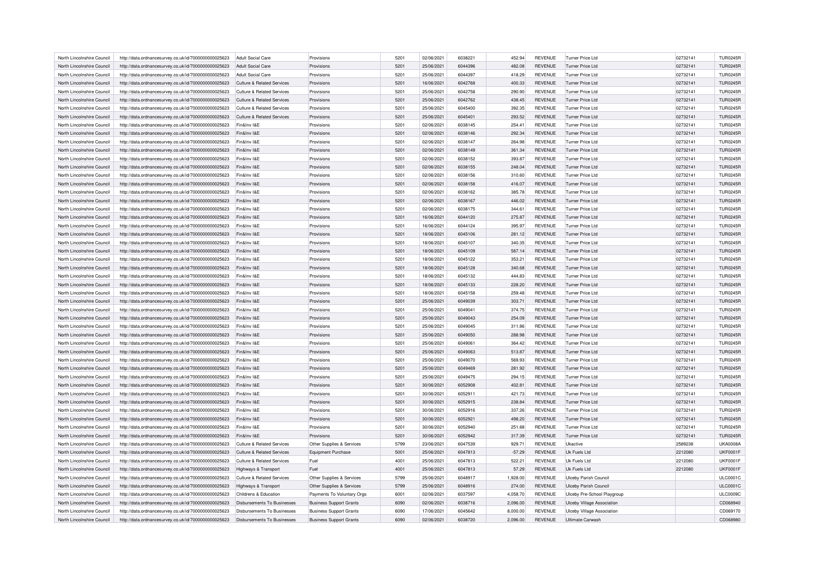| North Lincolnshire Council | http://data.ordnancesurvey.co.uk/id/7000000000025623 | Adult Social Care                     | Provisions                     | 5201 | 02/06/2021 | 6038221 | 452.94   | <b>REVENUE</b> | Turner Price Ltd                  | 02732141 | <b>TUR0245R</b> |
|----------------------------|------------------------------------------------------|---------------------------------------|--------------------------------|------|------------|---------|----------|----------------|-----------------------------------|----------|-----------------|
| North Lincolnshire Council | http://data.ordnancesurvey.co.uk/id/7000000000025623 | Adult Social Care                     | Provisions                     | 5201 | 25/06/2021 | 6044396 | 482.08   | <b>REVENUE</b> | Turner Price Ltd                  | 02732141 | <b>TUR0245R</b> |
| North Lincolnshire Council | http://data.ordnancesurvey.co.uk/id/7000000000025623 | Adult Social Care                     | Provisions                     | 5201 | 25/06/2021 | 6044397 | 418.29   | <b>REVENUE</b> | <b>Turner Price Ltd</b>           | 02732141 | <b>TUR0245R</b> |
| North Lincolnshire Council | http://data.ordnancesurvey.co.uk/id/7000000000025623 | Culture & Related Services            | Provisions                     | 5201 | 16/06/2021 | 6042768 | 400.33   | <b>REVENUE</b> | Turner Price Ltd                  | 02732141 | <b>TUR0245R</b> |
| North Lincolnshire Council | http://data.ordnancesurvey.co.uk/id/7000000000025623 | <b>Culture &amp; Related Services</b> | Provisions                     | 5201 | 25/06/2021 | 6042758 | 290.90   | <b>REVENUE</b> | <b>Turner Price Ltd</b>           | 02732141 | <b>TUR0245R</b> |
| North Lincolnshire Council | http://data.ordnancesurvey.co.uk/id/7000000000025623 | Culture & Related Services            | Provisions                     | 5201 | 25/06/2021 | 6042762 | 438.45   | <b>REVENUE</b> | Turner Price Ltd                  | 02732141 | <b>TUR0245R</b> |
| North Lincolnshire Council | http://data.ordnancesurvey.co.uk/id/7000000000025623 | <b>Culture &amp; Related Services</b> | Provisions                     | 5201 | 25/06/2021 | 6045400 | 392.35   | <b>REVENUE</b> | Turner Price Ltd                  | 02732141 | <b>TUR0245R</b> |
| North Lincolnshire Council | http://data.ordnancesurvey.co.uk/id/7000000000025623 | Culture & Related Services            | Provisions                     | 5201 | 25/06/2021 | 6045401 | 293.52   | <b>REVENUE</b> | Turner Price Ltd                  | 02732141 | <b>TUR0245R</b> |
| North Lincolnshire Council | http://data.ordnancesurvey.co.uk/id/7000000000025623 | Fin&Inv I&E                           | Provisions                     | 5201 | 02/06/2021 | 6038145 | 254.41   | <b>REVENUE</b> | Turner Price Ltd                  | 02732141 | <b>TUR0245R</b> |
| North Lincolnshire Council | http://data.ordnancesurvey.co.uk/id/7000000000025623 | Fin&Inv I&E                           | Provisions                     | 5201 | 02/06/2021 | 6038146 | 292.34   | <b>REVENUE</b> | Turner Price Ltd                  | 02732141 | <b>TUR0245R</b> |
| North Lincolnshire Council | http://data.ordnancesurvey.co.uk/id/7000000000025623 | Fin&Inv I&E                           | Provisions                     | 5201 | 02/06/2021 | 6038147 | 264.98   | <b>REVENUE</b> | Turner Price Ltd                  | 02732141 | <b>TUR0245R</b> |
| North Lincolnshire Council | http://data.ordnancesurvey.co.uk/id/7000000000025623 | Fin&Inv I&E                           | Provisions                     | 5201 | 02/06/2021 | 6038149 | 361.34   | <b>REVENUE</b> | Turner Price Ltd                  | 02732141 | <b>TUR0245R</b> |
| North Lincolnshire Council | http://data.ordnancesurvey.co.uk/id/7000000000025623 | Fin&Inv I&F                           | Provisions                     | 5201 | 02/06/2021 | 6038152 | 393.87   | <b>REVENUE</b> | Turner Price I to                 | 02732141 | <b>TUR0245R</b> |
| North Lincolnshire Council | http://data.ordnancesurvey.co.uk/id/7000000000025623 | Fin&Inv I&E                           | Provisions                     | 5201 | 02/06/2021 | 6038155 | 248.04   | <b>REVENUE</b> | Turner Price Ltd                  | 02732141 | <b>TUR0245R</b> |
|                            |                                                      |                                       |                                |      |            |         |          |                |                                   |          |                 |
| North Lincolnshire Council | http://data.ordnancesurvey.co.uk/id/7000000000025623 | Fin&Inv I&E                           | Provisions                     | 5201 | 02/06/2021 | 6038156 | 310.60   | <b>REVENUE</b> | <b>Turner Price Ltd</b>           | 02732141 | <b>TUR0245R</b> |
| North Lincolnshire Council | http://data.ordnancesurvey.co.uk/id/7000000000025623 | Fin&Inv I&E                           | Provisions                     | 5201 | 02/06/2021 | 6038158 | 416.07   | <b>REVENUE</b> | <b>Turner Price Ltd</b>           | 02732141 | <b>TUR0245R</b> |
| North Lincolnshire Council | http://data.ordnancesurvey.co.uk/id/7000000000025623 | Fin&Inv I&F                           | Provisions                     | 5201 | 02/06/2021 | 6038162 | 385.78   | <b>REVENUE</b> | <b>Turner Price Ltd</b>           | 02732141 | <b>TUR0245R</b> |
| North Lincolnshire Council | http://data.ordnancesurvey.co.uk/id/7000000000025623 | Fin&Inv I&F                           | Provisions                     | 5201 | 02/06/2021 | 6038167 | 446.02   | <b>REVENUE</b> | Turner Price Ltd                  | 02732141 | <b>TUR0245R</b> |
| North Lincolnshire Council | http://data.ordnancesurvey.co.uk/id/7000000000025623 | Fin&Inv I&E                           | Provisions                     | 5201 | 02/06/2021 | 6038175 | 344.61   | <b>REVENUE</b> | Turner Price Ltd                  | 02732141 | <b>TUR0245R</b> |
| North Lincolnshire Council | http://data.ordnancesurvey.co.uk/id/7000000000025623 | Fin&Inv I&E                           | Provisions                     | 5201 | 16/06/2021 | 6044120 | 275.87   | <b>REVENUE</b> | <b>Turner Price Ltd</b>           | 02732141 | <b>TUR0245R</b> |
| North Lincolnshire Council | http://data.ordnancesurvey.co.uk/id/7000000000025623 | Fin&Inv I&E                           | Provisions                     | 5201 | 16/06/2021 | 6044124 | 395.97   | <b>REVENUE</b> | <b>Turner Price Ltd</b>           | 02732141 | <b>TUR0245R</b> |
| North Lincolnshire Council | http://data.ordnancesurvey.co.uk/id/7000000000025623 | Fin&Inv I&E                           | Provisions                     | 5201 | 18/06/2021 | 6045106 | 281.12   | <b>REVENUE</b> | Turner Price Ltd                  | 02732141 | <b>TUR0245R</b> |
| North Lincolnshire Council | http://data.ordnancesurvey.co.uk/id/7000000000025623 | Fin&Inv I&E                           | Provisions                     | 5201 | 18/06/2021 | 6045107 | 340.35   | <b>REVENUE</b> | Turner Price Ltd                  | 02732141 | <b>TUR0245R</b> |
| North Lincolnshire Council | http://data.ordnancesurvey.co.uk/id/7000000000025623 | Fin&Inv I&E                           | Provisions                     | 5201 | 18/06/2021 | 6045109 | 587.14   | <b>REVENUE</b> | Turner Price Ltd                  | 02732141 | <b>TUR0245R</b> |
| North Lincolnshire Council | http://data.ordnancesurvey.co.uk/id/7000000000025623 | Fin&Inv I&E                           | Provisions                     | 5201 | 18/06/2021 | 6045122 | 353.21   | <b>REVENUE</b> | <b>Turner Price Ltd</b>           | 02732141 | <b>TUR0245R</b> |
| North Lincolnshire Council | http://data.ordnancesurvey.co.uk/id/7000000000025623 | Fin&Inv I&E                           | Provisions                     | 5201 | 18/06/2021 | 6045128 | 340.68   | <b>REVENUE</b> | Turner Price Ltd                  | 02732141 | <b>TUR0245R</b> |
| North Lincolnshire Council | http://data.ordnancesurvey.co.uk/id/7000000000025623 | Fin&Inv I&E                           | Provisions                     | 5201 | 18/06/2021 | 6045132 | 444.83   | <b>REVENUE</b> | <b>Turner Price Ltd</b>           | 02732141 | <b>TUR0245R</b> |
| North Lincolnshire Council | http://data.ordnancesurvey.co.uk/id/7000000000025623 | Fin&Inv I&E                           | Provisions                     | 5201 | 18/06/2021 | 6045133 | 228.20   | <b>REVENUE</b> | Turner Price Ltd                  | 02732141 | <b>TUR0245R</b> |
| North Lincolnshire Council | http://data.ordnancesurvey.co.uk/id/7000000000025623 | Fin&Inv I&E                           | Provisions                     | 5201 | 18/06/2021 | 6045158 | 259.48   | <b>REVENUE</b> | Turner Price Ltd                  | 02732141 | <b>TUR0245R</b> |
| North Lincolnshire Council | http://data.ordnancesurvey.co.uk/id/7000000000025623 | Fin&Inv I&E                           | Provisions                     | 5201 | 25/06/2021 | 6049039 | 303.71   | <b>REVENUE</b> | Turner Price Ltd                  | 02732141 | <b>TUR0245R</b> |
| North Lincolnshire Council | http://data.ordnancesurvey.co.uk/id/7000000000025623 | Fin&Inv I&E                           | Provisions                     | 5201 | 25/06/2021 | 6049041 | 374.75   | <b>REVENUE</b> | Turner Price Ltd                  | 02732141 | <b>TUR0245R</b> |
| North Lincolnshire Council | http://data.ordnancesurvey.co.uk/id/7000000000025623 | Fin&Inv I&E                           | Provisions                     | 5201 | 25/06/2021 | 6049043 | 254.09   | <b>REVENUE</b> | Turner Price Ltd                  | 02732141 | <b>TUR0245R</b> |
| North Lincolnshire Council | http://data.ordnancesurvey.co.uk/id/7000000000025623 | Fin&Inv I&E                           | Provisions                     | 5201 | 25/06/2021 | 6049045 | 311.86   | <b>REVENUE</b> | Turner Price Ltd                  | 02732141 | <b>TUR0245R</b> |
| North Lincolnshire Council | http://data.ordnancesurvey.co.uk/id/7000000000025623 | Fin&Inv I&E                           | Provisions                     | 5201 | 25/06/2021 | 6049050 | 288.98   | <b>REVENUE</b> | Turner Price Ltd                  | 02732141 | <b>TUR0245R</b> |
| North Lincolnshire Council | http://data.ordnancesurvey.co.uk/id/7000000000025623 | Fin&Inv I&E                           | Provisions                     | 5201 | 25/06/2021 | 6049061 | 364.42   | <b>REVENUE</b> | Turner Price Ltd                  | 02732141 | <b>TUR0245R</b> |
| North Lincolnshire Council | http://data.ordnancesurvey.co.uk/id/7000000000025623 | Fin&Inv I&E                           | Provisions                     | 5201 | 25/06/2021 | 6049063 | 513.87   | <b>REVENUE</b> | Turner Price Ltd                  | 02732141 | <b>TUR0245R</b> |
| North Lincolnshire Council | http://data.ordnancesurvey.co.uk/id/7000000000025623 | Fin&Inv I&E                           | Provisions                     | 5201 | 25/06/2021 | 6049070 | 569.93   | <b>REVENUE</b> | Turner Price Ltd                  | 02732141 | <b>TUR0245R</b> |
| North Lincolnshire Council | http://data.ordnancesurvey.co.uk/id/7000000000025623 | Fin&Inv I&E                           | Provisions                     | 5201 | 25/06/2021 | 6049469 | 281.92   | <b>REVENUE</b> | <b>Turner Price Ltd</b>           | 02732141 | <b>TUR0245R</b> |
| North Lincolnshire Council | http://data.ordnancesurvey.co.uk/id/7000000000025623 | Fin&Inv I&E                           | Provisions                     | 5201 | 25/06/2021 | 6049475 | 294.15   | <b>REVENUE</b> | Turner Price Ltd                  | 02732141 | <b>TUR0245R</b> |
| North Lincolnshire Council | http://data.ordnancesurvey.co.uk/id/7000000000025623 | Fin&Inv I&E                           | Provisions                     | 5201 | 30/06/2021 | 6052908 | 402.81   | <b>REVENUE</b> | <b>Turner Price Ltd</b>           | 02732141 | <b>TUR0245R</b> |
| North Lincolnshire Council | http://data.ordnancesurvey.co.uk/id/7000000000025623 | Fin&Inv I&F                           | Provisions                     | 5201 | 30/06/2021 | 6052911 | 421.73   | <b>REVENUE</b> | <b>Turner Price Ltd</b>           | 02732141 | <b>TUR0245R</b> |
| North Lincolnshire Council | http://data.ordnancesurvey.co.uk/id/7000000000025623 | Fin&Inv I&E                           | Provisions                     | 5201 | 30/06/2021 | 6052915 | 238.84   | <b>REVENUE</b> | Turner Price Ltd                  | 02732141 | <b>TUR0245R</b> |
| North Lincolnshire Council | http://data.ordnancesurvey.co.uk/id/7000000000025623 | Fin&Inv I&E                           | Provisions                     | 5201 | 30/06/2021 | 6052916 | 337.26   | <b>REVENUE</b> | Turner Price Ltd                  | 02732141 | <b>TUR0245R</b> |
| North Lincolnshire Council | http://data.ordnancesurvey.co.uk/id/7000000000025623 | Fin&Inv I&E                           | Provisions                     | 5201 | 30/06/2021 | 6052921 | 498.20   | <b>REVENUE</b> | <b>Turner Price Ltd</b>           | 02732141 | <b>TUR0245R</b> |
| North Lincolnshire Council | http://data.ordnancesurvey.co.uk/id/7000000000025623 | Fin&Inv I&E                           | Provisions                     | 5201 | 30/06/2021 | 6052940 | 251.88   | <b>REVENUE</b> | <b>Turner Price Ltd</b>           | 02732141 | <b>TUR0245R</b> |
|                            |                                                      |                                       |                                |      |            |         |          |                |                                   |          |                 |
| North Lincolnshire Council | http://data.ordnancesurvey.co.uk/id/7000000000025623 | Fin&Inv I&E                           | Provisions                     | 5201 | 30/06/2021 | 6052942 | 317.39   | <b>REVENUE</b> | <b>Turner Price Ltd</b>           | 02732141 | <b>TUR0245R</b> |
| North Lincolnshire Council | http://data.ordnancesurvey.co.uk/id/7000000000025623 | <b>Culture &amp; Related Services</b> | Other Supplies & Services      | 5799 | 23/06/2021 | 6047539 | 929.71   | <b>REVENUE</b> | Ukactive                          | 2589238  | <b>UKA0008A</b> |
| North Lincolnshire Council | http://data.ordnancesurvey.co.uk/id/7000000000025623 | Culture & Related Services            | <b>Equipment Purchase</b>      | 5001 | 25/06/2021 | 6047813 | $-57.29$ | <b>REVENUE</b> | Uk Fuels Ltd                      | 2212080  | <b>UKF0001F</b> |
| North Lincolnshire Council | http://data.ordnancesurvey.co.uk/id/7000000000025623 | <b>Culture &amp; Related Services</b> | Fuel                           | 4001 | 25/06/2021 | 6047813 | 522.21   | <b>REVENUE</b> | Uk Fuels Ltd                      | 2212080  | <b>UKF0001F</b> |
| North Lincolnshire Council | http://data.ordnancesurvey.co.uk/id/7000000000025623 | Highways & Transport                  | Fuel                           | 4001 | 25/06/2021 | 6047813 | 57.29    | <b>REVENUE</b> | Uk Fuels Ltd                      | 2212080  | <b>UKF0001F</b> |
| North Lincolnshire Council | http://data.ordnancesurvey.co.uk/id/7000000000025623 | Culture & Related Services            | Other Supplies & Services      | 5799 | 25/06/2021 | 6048917 | 1.928.00 | <b>REVENUE</b> | Ulceby Parish Council             |          | <b>ULC0001C</b> |
| North Lincolnshire Council | http://data.ordnancesurvey.co.uk/id/7000000000025623 | Highways & Transport                  | Other Supplies & Services      | 5799 | 25/06/2021 | 6048916 | 274.00   | <b>REVENUE</b> | Ulceby Parish Council             |          | <b>ULC0001C</b> |
| North Lincolnshire Council | http://data.ordnancesurvey.co.uk/id/7000000000025623 | Childrens & Education                 | Payments To Voluntary Orgs     | 6001 | 02/06/2021 | 6037597 | 4,058.70 | <b>REVENUE</b> | Ulceby Pre-School Playgroup       |          | <b>ULC0009C</b> |
| North Lincolnshire Council | http://data.ordnancesurvey.co.uk/id/7000000000025623 | <b>Disbursements To Businesses</b>    | <b>Business Support Grants</b> | 6090 | 02/06/2021 | 6038716 | 2,096.00 | <b>REVENUE</b> | <b>Ulceby Village Association</b> |          | CD068940        |
| North Lincolnshire Council | http://data.ordnancesurvey.co.uk/id/7000000000025623 | <b>Disbursements To Businesses</b>    | <b>Business Support Grants</b> | 6090 | 17/06/2021 | 6045642 | 8,000.00 | <b>REVENUE</b> | <b>Ulceby Village Association</b> |          | CD069170        |
| North Lincolnshire Council | http://data.ordnancesurvey.co.uk/id/7000000000025623 | Disbursements To Businesses           | <b>Business Support Grants</b> | 6090 | 02/06/2021 | 6038720 | 2,096.00 | <b>REVENUE</b> | Ultimate Carwash                  |          | CD068980        |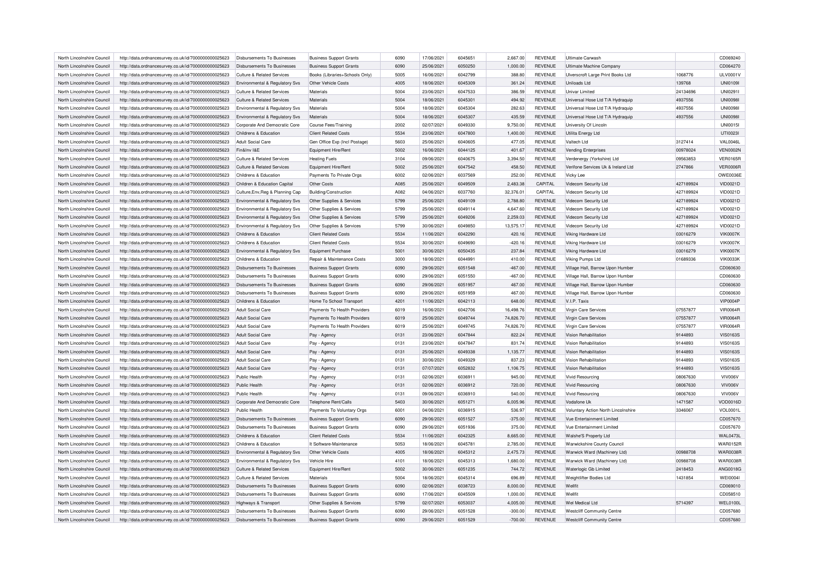| North Lincolnshire Council | http://data.ordnancesurvey.co.uk/id/7000000000025623 | Disbursements To Businesses           | <b>Business Support Grants</b> | 6090 | 17/06/2021 | 6045651 | 2,667.00  | <b>REVENUE</b> | Ultimate Carwash                    |           | CD069240        |
|----------------------------|------------------------------------------------------|---------------------------------------|--------------------------------|------|------------|---------|-----------|----------------|-------------------------------------|-----------|-----------------|
| North Lincolnshire Council | http://data.ordnancesurvey.co.uk/id/7000000000025623 | Disbursements To Businesses           | <b>Business Support Grants</b> | 6090 | 25/06/2021 | 6050250 | 1,000.00  | REVENUE        | Ultimate Machine Company            |           | CD064270        |
| North Lincolnshire Council | http://data.ordnancesurvey.co.uk/id/7000000000025623 | Culture & Related Services            | Books (Libraries+Schools Only) | 5005 | 16/06/2021 | 6042799 | 388.80    | <b>REVENUE</b> | Ulverscroft Large Print Books Ltd   | 1068776   | <b>ULV0001V</b> |
| North Lincolnshire Council | http://data.ordnancesurvey.co.uk/id/7000000000025623 | Environmental & Regulatory Svs        | Other Vehicle Costs            | 4005 | 18/06/2021 | 6045309 | 361.24    | <b>REVENUE</b> | Uniloads I td                       | 139768    | <b>UNI01091</b> |
| North Lincolnshire Council | http://data.ordnancesurvey.co.uk/id/7000000000025623 | <b>Culture &amp; Related Services</b> | Materials                      | 5004 | 23/06/2021 | 6047533 | 386.59    | <b>REVENUE</b> | Univar Limited                      | 24134696  | UNI0291I        |
| North Lincolnshire Council | http://data.ordnancesurvey.co.uk/id/7000000000025623 | <b>Culture &amp; Related Services</b> | Materials                      | 5004 | 18/06/2021 | 6045301 | 494.92    | <b>REVENUE</b> | Universal Hose Ltd T/A Hydraquip    | 4937556   | <b>UNI00981</b> |
| North Lincolnshire Council | http://data.ordnancesurvey.co.uk/id/7000000000025623 | Environmental & Regulatory Svs        | Materials                      | 5004 | 18/06/2021 | 6045304 | 282.63    | <b>REVENUE</b> | Universal Hose Ltd T/A Hydraguip    | 4937556   | <b>UNI0098I</b> |
| North Lincolnshire Council | http://data.ordnancesurvey.co.uk/id/7000000000025623 | Environmental & Regulatory Svs        | Materials                      | 5004 | 18/06/2021 | 6045307 | 435.59    | <b>REVENUE</b> | Universal Hose Ltd T/A Hydraquip    | 4937556   | <b>UNI00981</b> |
| North Lincolnshire Council | http://data.ordnancesurvey.co.uk/id/7000000000025623 | Corporate And Democratic Core         | <b>Course Fees/Training</b>    | 2002 | 02/07/2021 | 6049330 | 9,750.00  | <b>REVENUE</b> | University Of Lincoln               |           | <b>UNI00151</b> |
| North Lincolnshire Council | http://data.ordnancesurvey.co.uk/id/7000000000025623 | Childrens & Education                 | <b>Client Related Costs</b>    | 5534 | 23/06/2021 | 6047800 | 1,400.00  | <b>REVENUE</b> | Utilita Energy Ltd                  |           | <b>UTI0023I</b> |
| North Lincolnshire Council | http://data.ordnancesurvey.co.uk/id/7000000000025623 | <b>Adult Social Care</b>              | Gen Office Exp (Incl Postage)  | 5603 | 25/06/2021 | 6040605 | 477.05    | <b>REVENUE</b> | Valtech I to                        | 3127414   | VAL0046L        |
| North Lincolnshire Council | http://data.ordnancesurvey.co.uk/id/7000000000025623 | Fin&Inv I&F                           | Equipment Hire/Rent            | 5002 | 16/06/2021 | 6044125 | 401.67    | <b>REVENUE</b> | <b>Vending Enterprises</b>          | 00978024  | <b>VEN0002N</b> |
| North Lincolnshire Council | http://data.ordnancesurvey.co.uk/id/7000000000025623 | Culture & Related Services            | <b>Heating Fuels</b>           | 3104 | 09/06/2021 | 6040675 | 3,394.50  | <b>REVENUE</b> | Verdenergy (Yorkshire) Ltd          | 09563853  | <b>VER0165R</b> |
| North Lincolnshire Council | http://data.ordnancesurvey.co.uk/id/7000000000025623 | Culture & Related Services            | Equipment Hire/Rent            | 5002 | 25/06/2021 | 6047542 | 458.50    | <b>REVENUE</b> | Verifone Services Uk & Ireland Ltd  | 2747866   | <b>VER0006R</b> |
|                            |                                                      | Childrens & Education                 |                                | 6002 | 02/06/2021 | 6037569 |           | <b>REVENUE</b> |                                     |           | OWE0036E        |
| North Lincolnshire Council | http://data.ordnancesurvey.co.uk/id/7000000000025623 |                                       | Payments To Private Orgs       |      |            |         | 252.00    |                | Vicky Lee                           |           |                 |
| North Lincolnshire Council | http://data.ordnancesurvey.co.uk/id/7000000000025623 | Children & Education Capital          | Other Costs                    | A085 | 25/06/2021 | 6049509 | 2,483.38  | CAPITAL        | Videcom Security Ltd                | 427189924 | VID0021D        |
| North Lincolnshire Council | http://data.ordnancesurvey.co.uk/id/7000000000025623 | Culture, Env. Reg & Planning Cap      | Building/Construction          | A082 | 04/06/2021 | 6037760 | 32,376.01 | CAPITAL        | Videcom Security Ltd                | 427189924 | VID0021D        |
| North Lincolnshire Council | http://data.ordnancesurvey.co.uk/id/7000000000025623 | Environmental & Regulatory Svs        | Other Supplies & Services      | 5799 | 25/06/2021 | 6049109 | 2,788.80  | <b>REVENUE</b> | Videcom Security Ltd                | 427189924 | VID0021D        |
| North Lincolnshire Council | http://data.ordnancesurvey.co.uk/id/7000000000025623 | Environmental & Regulatory Svs        | Other Supplies & Services      | 5799 | 25/06/2021 | 6049114 | 4,647.60  | <b>REVENUE</b> | Videcom Security Ltd                | 427189924 | VID0021D        |
| North Lincolnshire Council | http://data.ordnancesurvey.co.uk/id/7000000000025623 | Environmental & Regulatory Svs        | Other Supplies & Services      | 5799 | 25/06/2021 | 6049206 | 2,259.03  | <b>REVENUE</b> | Videcom Security Ltd                | 427189924 | VID0021D        |
| North Lincolnshire Council | http://data.ordnancesurvey.co.uk/id/7000000000025623 | Environmental & Regulatory Svs        | Other Supplies & Services      | 5799 | 30/06/2021 | 6049850 | 13,575.17 | <b>REVENUE</b> | Videcom Security Ltd                | 427189924 | VID0021D        |
| North Lincolnshire Council | http://data.ordnancesurvey.co.uk/id/7000000000025623 | Childrens & Education                 | <b>Client Related Costs</b>    | 5534 | 11/06/2021 | 6042290 | 420.16    | <b>REVENUE</b> | Viking Hardware Ltd                 | 03016279  | <b>VIK0007K</b> |
| North Lincolnshire Council | http://data.ordnancesurvey.co.uk/id/7000000000025623 | Childrens & Education                 | <b>Client Related Costs</b>    | 5534 | 30/06/2021 | 6049690 | $-420.16$ | <b>REVENUE</b> | Viking Hardware Ltd                 | 03016279  | <b>VIK0007K</b> |
| North Lincolnshire Council | http://data.ordnancesurvey.co.uk/id/7000000000025623 | Environmental & Regulatory Svs        | <b>Equipment Purchase</b>      | 5001 | 30/06/2021 | 6050435 | 237.84    | <b>REVENUE</b> | Viking Hardware Ltd                 | 03016279  | <b>VIK0007K</b> |
| North Lincolnshire Council | http://data.ordnancesurvey.co.uk/id/7000000000025623 | Childrens & Education                 | Repair & Maintenance Costs     | 3000 | 18/06/2021 | 6044991 | 410.00    | <b>REVENUE</b> | Viking Pumps Ltd                    | 01689336  | <b>VIK0033K</b> |
| North Lincolnshire Council | http://data.ordnancesurvey.co.uk/id/7000000000025623 | Disbursements To Businesses           | <b>Business Support Grants</b> | 6090 | 29/06/2021 | 6051548 | $-467.00$ | <b>REVENUE</b> | Village Hall, Barrow Upon Humber    |           | CD060630        |
| North Lincolnshire Council | http://data.ordnancesurvey.co.uk/id/7000000000025623 | Disbursements To Businesses           | <b>Business Support Grants</b> | 6090 | 29/06/2021 | 6051550 | $-467.00$ | <b>REVENUE</b> | Village Hall, Barrow Upon Humber    |           | CD060630        |
| North Lincolnshire Council | http://data.ordnancesurvey.co.uk/id/7000000000025623 | <b>Disbursements To Businesses</b>    | <b>Business Support Grants</b> | 6090 | 29/06/2021 | 6051957 | 467.00    | <b>REVENUE</b> | Village Hall, Barrow Upon Humber    |           | CD060630        |
| North Lincolnshire Council | http://data.ordnancesurvey.co.uk/id/7000000000025623 | <b>Disbursements To Businesses</b>    | <b>Business Support Grants</b> | 6090 | 29/06/2021 | 6051959 | 467.00    | <b>REVENUE</b> | Village Hall, Barrow Upon Humber    |           | CD060630        |
| North Lincolnshire Council | http://data.ordnancesurvey.co.uk/id/7000000000025623 | Childrens & Education                 | Home To School Transport       | 4201 | 11/06/2021 | 6042113 | 648.00    | <b>REVENUE</b> | V.I.P. Taxis                        |           | <b>VIP0004P</b> |
| North Lincolnshire Council | http://data.ordnancesurvey.co.uk/id/7000000000025623 | <b>Adult Social Care</b>              | Payments To Health Providers   | 6019 | 16/06/2021 | 6042706 | 16,498.76 | <b>REVENUE</b> | Virgin Care Services                | 07557877  | <b>VIR0064R</b> |
| North Lincolnshire Council | http://data.ordnancesurvey.co.uk/id/7000000000025623 | Adult Social Care                     | Payments To Health Providers   | 6019 | 25/06/2021 | 6049744 | 74,826.70 | <b>REVENUE</b> | Virgin Care Services                | 07557877  | <b>VIR0064R</b> |
| North Lincolnshire Council | http://data.ordnancesurvey.co.uk/id/7000000000025623 | Adult Social Care                     | Payments To Health Providers   | 6019 | 25/06/2021 | 6049745 | 74,826.70 | <b>REVENUE</b> | Virgin Care Services                | 07557877  | <b>VIR0064R</b> |
|                            |                                                      |                                       |                                |      |            |         |           |                |                                     |           |                 |
| North Lincolnshire Council | http://data.ordnancesurvey.co.uk/id/7000000000025623 | <b>Adult Social Care</b>              | Pay - Agency                   | 0131 | 23/06/2021 | 6047844 | 822.24    | <b>REVENUE</b> | Vision Rehabilitation               | 9144893   | <b>VIS0163S</b> |
| North Lincolnshire Council | http://data.ordnancesurvey.co.uk/id/7000000000025623 | Adult Social Care                     | Pay - Agency                   | 0131 | 23/06/2021 | 6047847 | 831.74    | <b>REVENUE</b> | Vision Rehabilitation               | 9144893   | <b>VIS0163S</b> |
| North Lincolnshire Council | http://data.ordnancesurvey.co.uk/id/7000000000025623 | Adult Social Care                     | Pay - Agency                   | 0131 | 25/06/2021 | 6049338 | 1,135.77  | <b>REVENUE</b> | Vision Rehabilitation               | 9144893   | <b>VIS0163S</b> |
| North Lincolnshire Council | http://data.ordnancesurvey.co.uk/id/7000000000025623 | Adult Social Care                     | Pay - Agency                   | 0131 | 30/06/2021 | 6049329 | 837.23    | <b>REVENUE</b> | Vision Rehabilitation               | 9144893   | <b>VIS0163S</b> |
| North Lincolnshire Council | http://data.ordnancesurvey.co.uk/id/7000000000025623 | Adult Social Care                     | Pay - Agency                   | 0131 | 07/07/2021 | 6052832 | 1,106.75  | <b>REVENUE</b> | Vision Rehabilitation               | 9144893   | <b>VIS0163S</b> |
| North Lincolnshire Council | http://data.ordnancesurvey.co.uk/id/7000000000025623 | Public Health                         | Pay - Agency                   | 0131 | 02/06/2021 | 6036911 | 945.00    | <b>REVENUE</b> | <b>Vivid Resourcing</b>             | 08067630  | VIV006V         |
| North Lincolnshire Council | http://data.ordnancesurvey.co.uk/id/7000000000025623 | Public Health                         | Pay - Agency                   | 0131 | 02/06/2021 | 6036912 | 720.00    | <b>REVENUE</b> | <b>Vivid Resourcing</b>             | 08067630  | VIV006V         |
| North Lincolnshire Council | http://data.ordnancesurvey.co.uk/id/7000000000025623 | Public Health                         | Pay - Agency                   | 0131 | 09/06/2021 | 6036910 | 540.00    | <b>REVENUE</b> | <b>Vivid Resourcing</b>             | 08067630  | VIV006V         |
| North Lincolnshire Council | http://data.ordnancesurvey.co.uk/id/7000000000025623 | Corporate And Democratic Core         | Telephone Rent/Calls           | 5403 | 30/06/2021 | 6051271 | 6,005.96  | <b>REVENUE</b> | Vodafone Uk                         | 1471587   | <b>VOD0016D</b> |
| North Lincolnshire Council | http://data.ordnancesurvey.co.uk/id/7000000000025623 | Public Health                         | Payments To Voluntary Orgs     | 6001 | 04/06/2021 | 6036915 | 536.97    | <b>REVENUE</b> | Voluntary Action North Lincolnshire | 3346067   | VOL0001L        |
| North Lincolnshire Council | http://data.ordnancesurvey.co.uk/id/7000000000025623 | Disbursements To Businesses           | <b>Business Support Grants</b> | 6090 | 29/06/2021 | 6051527 | $-375.00$ | <b>REVENUE</b> | Vue Entertainment Limited           |           | CD057670        |
| North Lincolnshire Council | http://data.ordnancesurvey.co.uk/id/7000000000025623 | Disbursements To Businesses           | <b>Business Support Grants</b> | GOOO | 29/06/2021 | 6051936 | 375.00    | <b>REVENUE</b> | Vue Entertainment Limited           |           | CD057670        |
| North Lincolnshire Council | http://data.ordnancesurvey.co.uk/id/7000000000025623 | Childrens & Education                 | <b>Client Related Costs</b>    | 5534 | 11/06/2021 | 6042325 | 8,665.00  | <b>REVENUE</b> | Walshe'S Property Ltd               |           | <b>WAL0473L</b> |
| North Lincolnshire Council | http://data.ordnancesurvey.co.uk/id/7000000000025623 | Childrens & Education                 | It Software-Maintenance        | 5053 | 18/06/2021 | 6045781 | 2,785.00  | <b>REVENUE</b> | Warwickshire County Council         |           | <b>WAR0152R</b> |
| North Lincolnshire Council | http://data.ordnancesurvey.co.uk/id/7000000000025623 | Environmental & Regulatory Svs        | Other Vehicle Costs            | 4005 | 18/06/2021 | 6045312 | 2,475.73  | <b>REVENUE</b> | Warwick Ward (Machinery Ltd)        | 00988708  | <b>WAR0038F</b> |
| North Lincolnshire Council | http://data.ordnancesurvey.co.uk/id/7000000000025623 | Environmental & Regulatory Svs        | Vehicle Hire                   | 4101 | 18/06/2021 | 6045313 | 1,680.00  | <b>REVENUE</b> | Warwick Ward (Machinery Ltd)        | 00988708  | <b>WAR0038F</b> |
| North Lincolnshire Council | http://data.ordnancesurvey.co.uk/id/7000000000025623 | Culture & Related Services            | Equipment Hire/Rent            | 5002 | 30/06/2021 | 6051235 | 744.72    | <b>REVENUE</b> | Waterlogic Gb Limited               | 2418453   | ANG0018G        |
| North Lincolnshire Council | http://data.ordnancesurvey.co.uk/id/7000000000025623 | Culture & Related Services            | Materials                      | 5004 | 18/06/2021 | 6045314 | 696.89    | <b>REVENUE</b> | Weightlifter Bodies Ltd             | 1431854   | <b>WEI0004I</b> |
| North Lincolnshire Council | http://data.ordnancesurvey.co.uk/id/7000000000025623 | <b>Disbursements To Businesses</b>    | <b>Business Support Grants</b> | 6090 | 02/06/2021 | 6038723 | 8,000.00  | <b>REVENUE</b> | Wellfit                             |           | CD069010        |
| North Lincolnshire Council | http://data.ordnancesurvey.co.uk/id/7000000000025623 | Disbursements To Businesses           | <b>Business Support Grants</b> | 6090 | 17/06/2021 | 6045509 | 1,000.00  | <b>REVENUE</b> | Wellfit                             |           | CD058510        |
| North Lincolnshire Council |                                                      |                                       |                                | 5799 | 02/07/2021 | 6053037 |           |                | Wel Medical I to                    | 5714397   | <b>WEL0100L</b> |
|                            | http://data.ordnancesurvey.co.uk/id/7000000000025623 | Highways & Transport                  | Other Supplies & Services      |      |            |         | 4,005.00  | <b>REVENUE</b> |                                     |           |                 |
| North Lincolnshire Council | http://data.ordnancesurvey.co.uk/id/7000000000025623 | Disbursements To Businesses           | <b>Business Support Grants</b> | 6090 | 29/06/2021 | 6051528 | $-300.00$ | <b>REVENUE</b> | <b>Westcliff Community Centre</b>   |           | CD057680        |
| North Lincolnshire Council | http://data.ordnancesurvey.co.uk/id/7000000000025623 | Disbursements To Businesses           | <b>Business Support Grants</b> | 6090 | 29/06/2021 | 6051529 | $-700.00$ | <b>REVENUE</b> | <b>Westcliff Community Centre</b>   |           | CD057680        |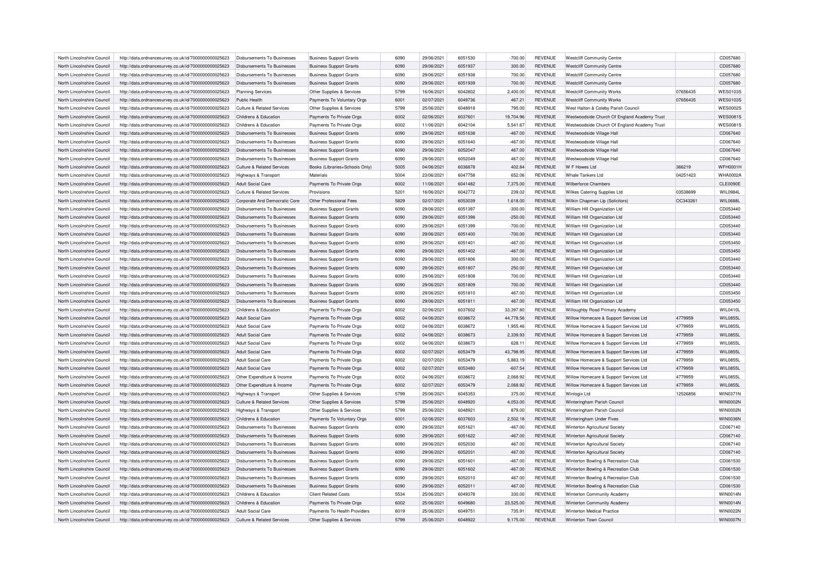| North Lincolnshire Council | http://data.ordnancesurvey.co.uk/id/7000000000025623 | Disbursements To Businesses        | <b>Business Support Grants</b> | 6090 | 29/06/2021 | 6051530 | $-700.00$ | <b>REVENUE</b> | <b>Westcliff Community Centre</b>            |          | CD057680        |
|----------------------------|------------------------------------------------------|------------------------------------|--------------------------------|------|------------|---------|-----------|----------------|----------------------------------------------|----------|-----------------|
| North Lincolnshire Council | http://data.ordnancesurvey.co.uk/id/7000000000025623 | Disbursements To Businesses        | <b>Business Support Grants</b> | 6090 | 29/06/2021 | 6051937 | 300.00    | REVENUE        | <b>Westcliff Community Centre</b>            |          | CD057680        |
| North Lincolnshire Council | http://data.ordnancesurvey.co.uk/id/7000000000025623 | Disbursements To Businesses        | <b>Business Support Grants</b> | 6090 | 29/06/2021 | 6051938 | 700.00    | <b>REVENUE</b> | <b>Westcliff Community Centre</b>            |          | CD057680        |
| North Lincolnshire Council | http://data.ordnancesurvey.co.uk/id/7000000000025623 | Disbursements To Businesses        | <b>Business Support Grants</b> | 6090 | 29/06/2021 | 6051939 | 700.00    | <b>REVENUE</b> | <b>Westcliff Community Centre</b>            |          | CD057680        |
| North Lincolnshire Council | http://data.ordnancesurvey.co.uk/id/7000000000025623 | <b>Planning Services</b>           | Other Supplies & Services      | 5799 | 16/06/2021 | 6042802 | 2,400.00  | <b>REVENUE</b> | <b>Westcliff Community Works</b>             | 07656435 | <b>WES0103S</b> |
| North Lincolnshire Council | http://data.ordnancesurvey.co.uk/id/7000000000025623 | Public Health                      | Payments To Voluntary Orgs     | 6001 | 02/07/2021 | 6049736 | 467.21    | <b>REVENUE</b> | <b>Westcliff Community Works</b>             | 07656435 | WES01035        |
| North Lincolnshire Council | http://data.ordnancesurvey.co.uk/id/7000000000025623 | Culture & Related Services         | Other Supplies & Services      | 5799 | 25/06/2021 | 6048918 | 795.00    | <b>REVENUE</b> | West Halton & Coleby Parish Council          |          | <b>WES00029</b> |
| North Lincolnshire Council | http://data.ordnancesurvey.co.uk/id/7000000000025623 | Childrens & Education              | Payments To Private Orgs       | 6002 | 02/06/2021 | 6037601 | 19,704.96 | REVENUE        | Westwoodside Church Of England Academy Trust |          | <b>WES0081S</b> |
| North Lincolnshire Council | http://data.ordnancesurvey.co.uk/id/7000000000025623 | Childrens & Education              | Payments To Private Orgs       | 6002 | 11/06/2021 | 6042104 | 5,541.67  | <b>REVENUE</b> | Westwoodside Church Of England Academy Trust |          | <b>WES0081S</b> |
| North Lincolnshire Council | http://data.ordnancesurvey.co.uk/id/7000000000025623 | Disbursements To Businesses        | <b>Business Support Grants</b> | 6090 | 29/06/2021 | 6051638 | $-467.00$ | <b>REVENUE</b> | Westwoodside Village Hall                    |          | CD067640        |
| North Lincolnshire Council | http://data.ordnancesurvey.co.uk/id/7000000000025623 | Disbursements To Businesses        | <b>Business Support Grants</b> | 6090 | 29/06/2021 | 6051640 | $-467.00$ | <b>REVENUE</b> | Westwoodside Village Hall                    |          | CD067640        |
| North Lincolnshire Council | http://data.ordnancesurvey.co.uk/id/7000000000025623 | Disbursements To Businesses        | <b>Business Support Grants</b> | 6090 | 29/06/2021 | 6052047 | 467.00    | <b>REVENUE</b> | Westwoodside Village Hall                    |          | CD067640        |
| North Lincolnshire Council | http://data.ordnancesurvey.co.uk/id/7000000000025623 | Disbursements To Businesses        | <b>Business Support Grants</b> | 6090 | 29/06/2021 | 6052049 | 467.00    | <b>REVENUE</b> | Westwoodside Village Hall                    |          | CD067640        |
|                            |                                                      |                                    |                                |      | 04/06/2021 |         |           |                |                                              |          | <b>WFH0001H</b> |
| North Lincolnshire Council | http://data.ordnancesurvey.co.uk/id/7000000000025623 | Culture & Related Services         | Books (Libraries+Schools Only) | 5005 |            | 6036878 | 402.84    | REVENUE        | W F Howes Ltd                                | 366219   |                 |
| North Lincolnshire Council | http://data.ordnancesurvey.co.uk/id/7000000000025623 | Highways & Transport               | Materials                      | 5004 | 23/06/2021 | 6047758 | 652.06    | REVENUE        | Whale Tankers Ltd                            | 04251423 | WHA0002A        |
| North Lincolnshire Council | http://data.ordnancesurvey.co.uk/id/7000000000025623 | <b>Adult Social Care</b>           | Payments To Private Orgs       | 6002 | 11/06/2021 | 6041482 | 7,375.00  | <b>REVENUE</b> | <b>Wilherforce Chambers</b>                  |          | <b>CLE0090E</b> |
| North Lincolnshire Council | http://data.ordnancesurvey.co.uk/id/7000000000025623 | Culture & Related Services         | Provisions                     | 5201 | 16/06/2021 | 6042772 | 239.02    | <b>REVENUE</b> | Wilkes Catering Supplies Ltd                 | 03538699 | WIL0984L        |
| North Lincolnshire Council | http://data.ordnancesurvey.co.uk/id/7000000000025623 | Corporate And Democratic Core      | Other Professional Fees        | 5829 | 02/07/2021 | 6053039 | 1,618.00  | <b>REVENUE</b> | Wilkin Chapman Llp (Solicitors)              | OC34326  | <b>WIL0688L</b> |
| North Lincolnshire Council | http://data.ordnancesurvey.co.uk/id/7000000000025623 | Disbursements To Businesses        | <b>Business Support Grants</b> | 6090 | 29/06/2021 | 6051397 | $-300.00$ | <b>REVENUE</b> | William Hill Organization Ltd                |          | CD053440        |
| North Lincolnshire Council | http://data.ordnancesurvey.co.uk/id/7000000000025623 | Disbursements To Businesses        | <b>Business Support Grants</b> | 6090 | 29/06/2021 | 6051398 | $-250.00$ | <b>REVENUE</b> | William Hill Organization Ltd                |          | CD053440        |
| North Lincolnshire Council | http://data.ordnancesurvey.co.uk/id/7000000000025623 | Disbursements To Businesses        | <b>Business Support Grants</b> | 6090 | 29/06/2021 | 6051399 | $-700.00$ | <b>REVENUE</b> | William Hill Organization Ltd                |          | CD053440        |
| North Lincolnshire Council | http://data.ordnancesurvey.co.uk/id/7000000000025623 | Disbursements To Businesses        | <b>Business Support Grants</b> | 6090 | 29/06/2021 | 6051400 | $-700.00$ | REVENUE        | William Hill Organization Ltd                |          | CD053440        |
| North Lincolnshire Council | http://data.ordnancesurvey.co.uk/id/7000000000025623 | Disbursements To Businesses        | <b>Business Support Grants</b> | 6090 | 29/06/2021 | 6051401 | $-467.00$ | <b>REVENUE</b> | William Hill Organization Ltd                |          | CD053450        |
| North Lincolnshire Council | http://data.ordnancesurvey.co.uk/id/7000000000025623 | <b>Disbursements To Businesses</b> | <b>Business Support Grants</b> | 6090 | 29/06/2021 | 6051402 | $-467.00$ | <b>REVENUE</b> | William Hill Organization Ltd                |          | CD053450        |
| North Lincolnshire Council | http://data.ordnancesurvey.co.uk/id/7000000000025623 | <b>Disbursements To Businesses</b> | <b>Business Support Grants</b> | 6090 | 29/06/2021 | 6051806 | 300.00    | <b>REVENUE</b> | William Hill Organization Ltd                |          | CD053440        |
| North Lincolnshire Council | http://data.ordnancesurvey.co.uk/id/7000000000025623 | Disbursements To Businesses        | <b>Business Support Grants</b> | 6090 | 29/06/2021 | 6051807 | 250.00    | <b>REVENUE</b> | William Hill Organization Ltd                |          | CD053440        |
| North Lincolnshire Council | http://data.ordnancesurvey.co.uk/id/7000000000025623 | Disbursements To Businesses        | <b>Business Support Grants</b> | 6090 | 29/06/2021 | 6051808 | 700.00    | <b>REVENUE</b> | William Hill Organization Ltd                |          | CD053440        |
| North Lincolnshire Council | http://data.ordnancesurvey.co.uk/id/7000000000025623 | Disbursements To Businesses        | <b>Business Support Grants</b> | 6090 | 29/06/2021 | 6051809 | 700.00    | REVENUE        | William Hill Organization Ltd                |          | CD053440        |
| North Lincolnshire Council | http://data.ordnancesurvey.co.uk/id/7000000000025623 | Disbursements To Businesses        | <b>Business Support Grants</b> | 6090 | 29/06/2021 | 6051810 | 467.00    | <b>REVENUE</b> | William Hill Organization Ltd                |          | CD053450        |
| North Lincolnshire Council | http://data.ordnancesurvey.co.uk/id/7000000000025623 | Disbursements To Businesses        | <b>Business Support Grants</b> | 6090 | 29/06/2021 | 6051811 | 467.00    | <b>REVENUE</b> | William Hill Organization Ltd                |          | CD053450        |
| North Lincolnshire Council | http://data.ordnancesurvey.co.uk/id/7000000000025623 | Childrens & Education              | Payments To Private Orgs       | 6002 | 02/06/2021 | 6037602 | 33,397.80 | <b>REVENUE</b> | Willoughby Road Primary Academy              |          | WIL0410L        |
| North Lincolnshire Council | http://data.ordnancesurvey.co.uk/id/7000000000025623 | Adult Social Care                  | Payments To Private Oras       | 6002 | 04/06/2021 | 6038672 | 44.778.56 | <b>REVENUE</b> | Willow Homecare & Support Services Ltd       | 4779959  | <b>WIL0855L</b> |
| North Lincolnshire Council | http://data.ordnancesurvey.co.uk/id/7000000000025623 | Adult Social Care                  | Payments To Private Orgs       | 6002 | 04/06/2021 | 6038672 | 1,955.46  | <b>REVENUE</b> | Willow Homecare & Support Services Ltd       | 4779959  | <b>WIL0855L</b> |
| North Lincolnshire Council | http://data.ordnancesurvey.co.uk/id/7000000000025623 | Adult Social Care                  | Payments To Private Orgs       | 6002 | 04/06/2021 | 6038673 | 2,339.93  | REVENUE        | Willow Homecare & Support Services Ltd       | 4779959  | <b>WIL0855L</b> |
| North Lincolnshire Council | http://data.ordnancesurvey.co.uk/id/7000000000025623 | Adult Social Care                  | Payments To Private Orgs       | 6002 | 04/06/2021 | 6038673 | 628.11    | <b>REVENUE</b> | Willow Homecare & Support Services Ltd       | 4779959  | WIL0855L        |
|                            |                                                      |                                    |                                | 6002 |            | 6053479 |           |                |                                              | 4779959  | <b>WIL0855L</b> |
| North Lincolnshire Council | http://data.ordnancesurvey.co.uk/id/7000000000025623 | <b>Adult Social Care</b>           | Payments To Private Orgs       |      | 02/07/2021 |         | 43,798.95 | <b>REVENUE</b> | Willow Homecare & Support Services Ltd       |          |                 |
| North Lincolnshire Council | http://data.ordnancesurvey.co.uk/id/7000000000025623 | Adult Social Care                  | Payments To Private Orgs       | 6002 | 02/07/2021 | 6053479 | 5,883.19  | <b>REVENUE</b> | Willow Homecare & Support Services Ltd       | 4779959  | WIL0855L        |
| North Lincolnshire Council | http://data.ordnancesurvey.co.uk/id/7000000000025623 | Adult Social Care                  | Payments To Private Orgs       | 6002 | 02/07/2021 | 6053480 | $-607.54$ | <b>REVENUE</b> | Willow Homecare & Support Services Ltd       | 4779959  | WIL0855L        |
| North Lincolnshire Council | http://data.ordnancesurvey.co.uk/id/7000000000025623 | Other Expenditure & Income         | Payments To Private Orgs       | 6002 | 04/06/2021 | 6038672 | 2,068.92  | <b>REVENUE</b> | Willow Homecare & Support Services Ltd       | 4779959  | <b>WIL0855L</b> |
| North Lincolnshire Council | http://data.ordnancesurvey.co.uk/id/7000000000025623 | Other Expenditure & Income         | Payments To Private Orgs       | 6002 | 02/07/2021 | 6053479 | 2,068.92  | <b>REVENUE</b> | Willow Homecare & Support Services Ltd       | 4779959  | WIL0855L        |
| North Lincolnshire Council | http://data.ordnancesurvey.co.uk/id/7000000000025623 | Highways & Transport               | Other Supplies & Services      | 5799 | 25/06/2021 | 6045353 | 375.00    | <b>REVENUE</b> | Winlogix Ltd                                 | 12526856 | WIN0371N        |
| North Lincolnshire Council | http://data.ordnancesurvey.co.uk/id/7000000000025623 | Culture & Related Services         | Other Supplies & Services      | 5799 | 25/06/2021 | 6048920 | 4,053.00  | <b>REVENUE</b> | Winteringham Parish Council                  |          | WIN0002N        |
| North Lincolnshire Council | http://data.ordnancesurvey.co.uk/id/7000000000025623 | Highways & Transport               | Other Supplies & Services      | 5799 | 25/06/2021 | 6048921 | 879.00    | <b>REVENUE</b> | Winteringham Parish Council                  |          | WIN0002N        |
| North Lincolnshire Council | http://data.ordnancesurvey.co.uk/id/7000000000025623 | Childrens & Education              | Payments To Voluntary Orgs     | 6001 | 02/06/2021 | 6037603 | 2,502.18  | <b>REVENUE</b> | Winteringham Under Fives                     |          | <b>WIN0036N</b> |
| North Lincolnshire Council | http://data.ordnancesurvey.co.uk/id/7000000000025623 | Disbursements To Businesses        | <b>Business Support Grants</b> | 6090 | 29/06/2021 | 6051621 | $-467.00$ | REVENUE        | Winterton Agricultural Society               |          | CD067140        |
| North Lincolnshire Council | http://data.ordnancesurvey.co.uk/id/7000000000025623 | <b>Disbursements To Businesses</b> | <b>Business Support Grants</b> | 6090 | 29/06/2021 | 6051622 | $-467.00$ | <b>REVENUE</b> | Winterton Agricultural Society               |          | CD067140        |
| North Lincolnshire Council | http://data.ordnancesurvey.co.uk/id/7000000000025623 | Disbursements To Businesses        | <b>Business Support Grants</b> | 6090 | 29/06/2021 | 6052030 | 467.00    | <b>REVENUE</b> | Winterton Agricultural Society               |          | CD067140        |
| North Lincolnshire Council | http://data.ordnancesurvey.co.uk/id/7000000000025623 | Disbursements To Businesses        | <b>Business Support Grants</b> | 6090 | 29/06/2021 | 6052031 | 467.00    | REVENUE        | Winterton Agricultural Society               |          | CD067140        |
| North Lincolnshire Council | http://data.ordnancesurvey.co.uk/id/7000000000025623 | Disbursements To Businesses        | <b>Business Support Grants</b> | 6090 | 29/06/2021 | 6051601 | $-467.00$ | <b>REVENUE</b> | Winterton Bowling & Recreation Club          |          | CD061530        |
| North Lincolnshire Council | http://data.ordnancesurvey.co.uk/id/7000000000025623 | Disbursements To Businesses        | <b>Business Support Grants</b> | 6090 | 29/06/2021 | 6051602 | $-467.00$ | <b>REVENUE</b> | Winterton Bowling & Recreation Club          |          | CD061530        |
| North Lincolnshire Council | http://data.ordnancesurvey.co.uk/id/7000000000025623 | Disbursements To Businesses        | <b>Business Support Grants</b> | 6090 | 29/06/2021 | 6052010 | 467.00    | <b>REVENUE</b> | Winterton Bowling & Recreation Club          |          | CD061530        |
| North Lincolnshire Council | http://data.ordnancesurvey.co.uk/id/7000000000025623 | Disbursements To Businesses        | <b>Business Support Grants</b> | 6090 | 29/06/2021 | 6052011 | 467.00    | <b>REVENUE</b> | Winterton Bowling & Recreation Club          |          | CD061530        |
| North Lincolnshire Council | http://data.ordnancesurvey.co.uk/id/7000000000025623 | Childrens & Education              | <b>Client Related Costs</b>    | 5534 | 25/06/2021 | 6049378 | 330.00    | <b>REVENUE</b> | Winterton Community Academy                  |          | WIN0014N        |
| North Lincolnshire Council | http://data.ordnancesurvey.co.uk/id/7000000000025623 | Childrens & Education              | Payments To Private Orgs       | 6002 | 25/06/2021 | 6049680 | 23,525.00 | REVENUE        | Winterton Community Academy                  |          | <b>WIN0014N</b> |
| North Lincolnshire Council | http://data.ordnancesurvey.co.uk/id/7000000000025623 | Adult Social Care                  | Payments To Health Providers   | 6019 | 25/06/2021 | 6049751 | 735.91    | <b>REVENUE</b> | Winterton Medical Practice                   |          | <b>WIN0022N</b> |
| North Lincolnshire Council | http://data.ordnancesurvey.co.uk/id/7000000000025623 | Culture & Related Services         | Other Supplies & Services      | 5799 | 25/06/2021 | 6048922 | 9.175.00  | <b>REVENUE</b> | Winterton Town Council                       |          | <b>WIN0007N</b> |
|                            |                                                      |                                    |                                |      |            |         |           |                |                                              |          |                 |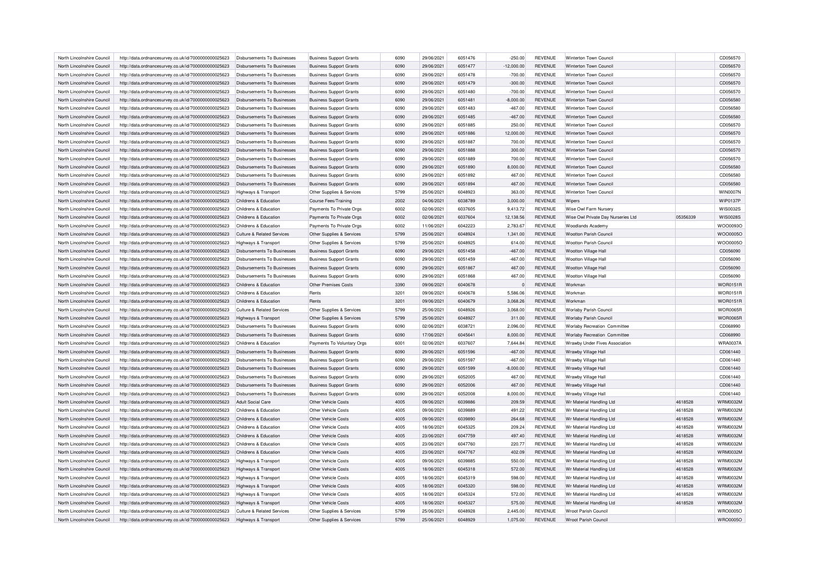| North Lincolnshire Council | http://data.ordnancesurvey.co.uk/id/7000000000025623 | Disbursements To Businesses           | <b>Business Support Grants</b> | 6090 | 29/06/2021 | 6051476 | $-250.00$    | <b>REVENUE</b> | Winterton Town Council              |          | CD056570        |
|----------------------------|------------------------------------------------------|---------------------------------------|--------------------------------|------|------------|---------|--------------|----------------|-------------------------------------|----------|-----------------|
| North Lincolnshire Council | http://data.ordnancesurvey.co.uk/id/7000000000025623 | Disbursements To Businesses           | <b>Business Support Grants</b> | 6090 | 29/06/2021 | 6051477 | $-12,000.00$ | <b>REVENUE</b> | Winterton Town Council              |          | CD056570        |
| North Lincolnshire Council | http://data.ordnancesurvey.co.uk/id/7000000000025623 | Disbursements To Businesses           | <b>Business Support Grants</b> | 6090 | 29/06/2021 | 6051478 | $-700.00$    | <b>REVENUE</b> | Winterton Town Counci               |          | CD056570        |
| North Lincolnshire Council | http://data.ordnancesurvey.co.uk/id/7000000000025623 | Disbursements To Businesses           | <b>Business Support Grants</b> | 6090 | 29/06/2021 | 6051479 | $-300.00$    | <b>REVENUE</b> | Winterton Town Council              |          | CD056570        |
| North Lincolnshire Council | http://data.ordnancesurvey.co.uk/id/7000000000025623 | Disbursements To Businesses           | <b>Business Support Grants</b> | 6090 | 29/06/2021 | 6051480 | $-700.00$    | <b>REVENUE</b> | Winterton Town Council              |          | CD056570        |
| North Lincolnshire Council | http://data.ordnancesurvey.co.uk/id/7000000000025623 | Disbursements To Businesses           | <b>Business Support Grants</b> | 6090 | 29/06/2021 | 6051481 | $-8,000.00$  | <b>REVENUE</b> | Winterton Town Council              |          | CD056580        |
| North Lincolnshire Council | http://data.ordnancesurvey.co.uk/id/7000000000025623 | Disbursements To Businesses           | <b>Business Support Grants</b> | 6090 | 29/06/2021 | 6051483 | $-467.00$    | <b>REVENUE</b> | Winterton Town Council              |          | CD056580        |
| North Lincolnshire Council | http://data.ordnancesurvey.co.uk/id/7000000000025623 | Disbursements To Businesses           | <b>Business Support Grants</b> | 6090 | 29/06/2021 | 6051485 | $-467.00$    | <b>REVENUE</b> | Winterton Town Council              |          | CD056580        |
| North Lincolnshire Council | http://data.ordnancesurvey.co.uk/id/7000000000025623 | Disbursements To Businesses           | <b>Business Support Grants</b> | 6090 | 29/06/2021 | 6051885 | 250.00       | <b>REVENUE</b> | Winterton Town Council              |          | CD056570        |
| North Lincolnshire Council | http://data.ordnancesurvey.co.uk/id/7000000000025623 | Disbursements To Businesses           | <b>Business Support Grants</b> | 6090 | 29/06/2021 | 6051886 | 12,000.00    | <b>REVENUE</b> | Winterton Town Council              |          | CD056570        |
| North Lincolnshire Council | http://data.ordnancesurvey.co.uk/id/7000000000025623 | <b>Disbursements To Businesses</b>    | <b>Business Support Grants</b> | 6090 | 29/06/2021 | 6051887 | 700.00       | <b>REVENUE</b> | Winterton Town Counci               |          | CD056570        |
|                            |                                                      |                                       |                                | 6090 |            | 6051888 |              |                | Winterton Town Counci               |          |                 |
| North Lincolnshire Council | http://data.ordnancesurvey.co.uk/id/7000000000025623 | <b>Disbursements To Businesses</b>    | <b>Business Support Grants</b> |      | 29/06/2021 |         | 300.00       | <b>REVENUE</b> |                                     |          | CD056570        |
| North Lincolnshire Council | http://data.ordnancesurvey.co.uk/id/7000000000025623 | Disbursements To Businesses           | <b>Business Support Grants</b> | 6090 | 29/06/2021 | 6051889 | 700.00       | <b>REVENUE</b> | Winterton Town Council              |          | CD056570        |
| North Lincolnshire Council | http://data.ordnancesurvey.co.uk/id/7000000000025623 | Disbursements To Businesses           | <b>Business Support Grants</b> | 6090 | 29/06/2021 | 6051890 | 8,000.00     | <b>REVENUE</b> | Winterton Town Council              |          | CD056580        |
| North Lincolnshire Council | http://data.ordnancesurvey.co.uk/id/7000000000025623 | Disbursements To Businesses           | <b>Business Support Grants</b> | 6090 | 29/06/2021 | 6051892 | 467.00       | <b>REVENUE</b> | Winterton Town Council              |          | CD056580        |
| North Lincolnshire Council | http://data.ordnancesurvey.co.uk/id/7000000000025623 | <b>Disbursements To Businesses</b>    | <b>Business Support Grants</b> | 6090 | 29/06/2021 | 6051894 | 467.00       | <b>REVENUE</b> | Winterton Town Council              |          | CD056580        |
| North Lincolnshire Council | http://data.ordnancesurvey.co.uk/id/7000000000025623 | Highways & Transport                  | Other Supplies & Services      | 5799 | 25/06/2021 | 6048923 | 363.00       | <b>REVENUE</b> | Winterton Town Council              |          | <b>WIN0007N</b> |
| North Lincolnshire Council | http://data.ordnancesurvey.co.uk/id/7000000000025623 | Childrens & Education                 | Course Fees/Training           | 2002 | 04/06/2021 | 6038789 | 3,000.00     | <b>REVENUE</b> | Wipers                              |          | <b>WIP0137P</b> |
| North Lincolnshire Council | http://data.ordnancesurvey.co.uk/id/7000000000025623 | Childrens & Education                 | Payments To Private Orgs       | 6002 | 02/06/2021 | 6037605 | 9,413.72     | <b>REVENUE</b> | Wise Owl Farm Nursery               |          | WIS0032S        |
| North Lincolnshire Council | http://data.ordnancesurvey.co.uk/id/7000000000025623 | Childrens & Education                 | Payments To Private Orgs       | 6002 | 02/06/2021 | 6037604 | 12,138.56    | <b>REVENUE</b> | Wise Owl Private Day Nurseries Ltd  | 05356339 | WIS0028S        |
| North Lincolnshire Council | http://data.ordnancesurvey.co.uk/id/7000000000025623 | Childrens & Education                 | Payments To Private Orgs       | 6002 | 11/06/2021 | 6042223 | 2,783.67     | <b>REVENUE</b> | <b>Woodlands Academy</b>            |          | WOO0093O        |
| North Lincolnshire Council | http://data.ordnancesurvey.co.uk/id/7000000000025623 | <b>Culture &amp; Related Services</b> | Other Supplies & Services      | 5799 | 25/06/2021 | 6048924 | 1,341.00     | <b>REVENUE</b> | <b>Wootton Parish Council</b>       |          | WOO0005O        |
| North Lincolnshire Council | http://data.ordnancesurvey.co.uk/id/7000000000025623 | Highways & Transport                  | Other Supplies & Services      | 5799 | 25/06/2021 | 6048925 | 614.00       | <b>REVENUE</b> | <b>Wootton Parish Council</b>       |          | WOO0005O        |
| North Lincolnshire Council | http://data.ordnancesurvey.co.uk/id/7000000000025623 | <b>Disbursements To Businesses</b>    | <b>Business Support Grants</b> | 6090 | 29/06/2021 | 6051458 | $-467.00$    | <b>REVENUE</b> | Wootton Village Hall                |          | CD056090        |
| North Lincolnshire Council | http://data.ordnancesurvey.co.uk/id/7000000000025623 | <b>Disbursements To Businesses</b>    | <b>Business Support Grants</b> | 6090 | 29/06/2021 | 6051459 | $-467.00$    | <b>REVENUE</b> | Wootton Village Hall                |          | CD056090        |
| North Lincolnshire Council | http://data.ordnancesurvey.co.uk/id/7000000000025623 | <b>Disbursements To Businesses</b>    | <b>Business Support Grants</b> | 6090 | 29/06/2021 | 6051867 | 467.00       | <b>REVENUE</b> | Wootton Village Hall                |          | CD056090        |
| North Lincolnshire Council |                                                      | <b>Disbursements To Businesses</b>    |                                | 6090 | 29/06/2021 | 6051868 | 467.00       | <b>REVENUE</b> | Wootton Village Hall                |          | CD056090        |
|                            | http://data.ordnancesurvey.co.uk/id/7000000000025623 |                                       | <b>Business Support Grants</b> | 3390 |            |         |              |                |                                     |          | <b>WOR0151R</b> |
| North Lincolnshire Council | http://data.ordnancesurvey.co.uk/id/7000000000025623 | Childrens & Education                 | <b>Other Premises Costs</b>    |      | 09/06/2021 | 6040678 |              | <b>REVENUE</b> | Workman                             |          |                 |
| North Lincolnshire Council | http://data.ordnancesurvey.co.uk/id/7000000000025623 | Childrens & Education                 | Rents                          | 3201 | 09/06/2021 | 6040678 | 5,586.06     | <b>REVENUE</b> | Workman                             |          | <b>WOR0151R</b> |
| North Lincolnshire Council | http://data.ordnancesurvey.co.uk/id/7000000000025623 | Childrens & Education                 | Rents                          | 3201 | 09/06/2021 | 6040679 | 3,068.26     | <b>REVENUE</b> | Workman                             |          | <b>WOR0151R</b> |
| North Lincolnshire Council | http://data.ordnancesurvey.co.uk/id/7000000000025623 | Culture & Related Services            | Other Supplies & Services      | 5799 | 25/06/2021 | 6048926 | 3,068.00     | <b>REVENUE</b> | Worlaby Parish Council              |          | WOR0065F        |
| North Lincolnshire Council | http://data.ordnancesurvey.co.uk/id/7000000000025623 | Highways & Transport                  | Other Supplies & Services      | 5799 | 25/06/2021 | 6048927 | 311.00       | <b>REVENUE</b> | <b>Worlaby Parish Council</b>       |          | <b>WOR0065R</b> |
| North Lincolnshire Council | http://data.ordnancesurvey.co.uk/id/7000000000025623 | <b>Disbursements To Businesses</b>    | <b>Business Support Grants</b> | 6090 | 02/06/2021 | 603872  | 2,096.00     | <b>REVENUE</b> | <b>Worlaby Recreation Committee</b> |          | CD068990        |
| North Lincolnshire Council | http://data.ordnancesurvey.co.uk/id/7000000000025623 | <b>Disbursements To Businesses</b>    | <b>Business Support Grants</b> | 6090 | 17/06/2021 | 604564  | 8,000.00     | <b>REVENUE</b> | Worlaby Recreation Committee        |          | CD068990        |
| North Lincolnshire Council | http://data.ordnancesurvey.co.uk/id/7000000000025623 | Childrens & Education                 | Payments To Voluntary Orgs     | 6001 | 02/06/2021 | 6037607 | 7,644.84     | <b>REVENUE</b> | Wrawby Under Fives Association      |          | <b>WRA0037A</b> |
| North Lincolnshire Council | http://data.ordnancesurvey.co.uk/id/7000000000025623 | <b>Disbursements To Businesses</b>    | <b>Business Support Grants</b> | 6090 | 29/06/2021 | 6051596 | $-467.00$    | <b>REVENUE</b> | Wrawby Village Hall                 |          | CD061440        |
| North Lincolnshire Council | http://data.ordnancesurvey.co.uk/id/7000000000025623 | Disbursements To Businesses           | <b>Business Support Grants</b> | 6090 | 29/06/2021 | 6051597 | $-467.00$    | <b>REVENUE</b> | Wrawby Village Hall                 |          | CD061440        |
| North Lincolnshire Council | http://data.ordnancesurvey.co.uk/id/7000000000025623 | Disbursements To Businesses           | <b>Business Support Grants</b> | 6090 | 29/06/2021 | 6051599 | $-8,000.00$  | <b>REVENUE</b> | Wrawby Village Hall                 |          | CD061440        |
| North Lincolnshire Council | http://data.ordnancesurvey.co.uk/id/7000000000025623 | Disbursements To Businesses           | <b>Business Support Grants</b> | 6090 | 29/06/2021 | 6052005 | 467.00       | <b>REVENUE</b> | Wrawby Village Hall                 |          | CD061440        |
| North Lincolnshire Council | http://data.ordnancesurvey.co.uk/id/7000000000025623 | Disbursements To Businesses           | <b>Business Support Grants</b> | 6090 | 29/06/2021 | 6052006 | 467.00       | <b>REVENUE</b> | Wrawby Village Hall                 |          | CD061440        |
| North Lincolnshire Council | http://data.ordnancesurvey.co.uk/id/7000000000025623 | Disbursements To Businesses           | <b>Business Support Grants</b> | 6090 | 29/06/2021 | 6052008 | 8,000.00     | <b>REVENUE</b> | Wrawby Village Hall                 |          | CD061440        |
| North Lincolnshire Council | http://data.ordnancesurvey.co.uk/id/7000000000025623 | <b>Adult Social Care</b>              | Other Vehicle Costs            | 4005 | 09/06/2021 | 6039886 | 209.59       | <b>REVENUE</b> | Wr Material Handling Ltd            | 4618528  | <b>WRM0032M</b> |
| North Lincolnshire Council | http://data.ordnancesurvey.co.uk/id/7000000000025623 | Childrens & Education                 | Other Vehicle Costs            | 4005 | 09/06/2021 | 6039889 | 491.22       | <b>REVENUE</b> | Wr Material Handling Ltd            | 4618528  | <b>WRM0032M</b> |
| North Lincolnshire Council | http://data.ordnancesurvey.co.uk/id/7000000000025623 | Childrens & Education                 | Other Vehicle Costs            | 4005 | 09/06/2021 | 6039890 | 264.68       | <b>REVENUE</b> | Wr Material Handling Ltd            | 4618528  | <b>WRM0032M</b> |
| North Lincolnshire Council |                                                      | Childrens & Education                 | Other Vehicle Costs            | 4005 | 18/06/2021 | 6045325 | 209.24       | <b>REVENUE</b> | Wr Material Handling Ltd            | 4618528  | <b>WRM0032M</b> |
|                            | http://data.ordnancesurvey.co.uk/id/7000000000025623 |                                       |                                |      |            |         |              |                |                                     |          |                 |
| North Lincolnshire Council | http://data.ordnancesurvey.co.uk/id/7000000000025623 | Childrens & Education                 | Other Vehicle Costs            | 4005 | 23/06/2021 | 6047759 | 497.40       | <b>REVENUE</b> | Wr Material Handling Ltd            | 4618528  | <b>WRM0032M</b> |
| North Lincolnshire Council | http://data.ordnancesurvey.co.uk/id/7000000000025623 | Childrens & Education                 | Other Vehicle Costs            | 4005 | 23/06/2021 | 6047760 | 220.77       | <b>REVENUE</b> | Wr Material Handling Ltd            | 4618528  | <b>WRM0032M</b> |
| North Lincolnshire Council | http://data.ordnancesurvey.co.uk/id/7000000000025623 | Childrens & Education                 | Other Vehicle Costs            | 4005 | 23/06/2021 | 6047767 | 402.09       | <b>REVENUE</b> | Wr Material Handling Ltd            | 4618528  | <b>WRM0032M</b> |
| North Lincolnshire Council | http://data.ordnancesurvey.co.uk/id/7000000000025623 | <b>Highways &amp; Transport</b>       | Other Vehicle Costs            | 4005 | 09/06/2021 | 6039885 | 550.00       | <b>REVENUE</b> | Wr Material Handling Ltd            | 4618528  | <b>WRM0032M</b> |
| North Lincolnshire Council | http://data.ordnancesurvey.co.uk/id/7000000000025623 | Highways & Transport                  | Other Vehicle Costs            | 4005 | 18/06/2021 | 6045318 | 572.00       | <b>REVENUE</b> | Wr Material Handling Ltd            | 4618528  | <b>WRM0032M</b> |
| North Lincolnshire Council | http://data.ordnancesurvey.co.uk/id/7000000000025623 | Highways & Transport                  | Other Vehicle Costs            | 4005 | 18/06/2021 | 6045319 | 598.00       | <b>REVENUE</b> | Wr Material Handling Ltd            | 4618528  | <b>WRM0032M</b> |
| North Lincolnshire Council | http://data.ordnancesurvey.co.uk/id/7000000000025623 | Highways & Transport                  | Other Vehicle Costs            | 4005 | 18/06/2021 | 6045320 | 598.00       | <b>REVENUE</b> | Wr Material Handling Ltd            | 4618528  | WRM0032M        |
| North Lincolnshire Council | http://data.ordnancesurvey.co.uk/id/7000000000025623 | Highways & Transport                  | Other Vehicle Costs            | 4005 | 18/06/2021 | 6045324 | 572.00       | <b>REVENUE</b> | Wr Material Handling Ltd            | 4618528  | <b>WRM0032M</b> |
| North Lincolnshire Council | http://data.ordnancesurvey.co.uk/id/7000000000025623 | Highways & Transport                  | Other Vehicle Costs            | 4005 | 18/06/2021 | 6045327 | 575.00       | <b>REVENUE</b> | Wr Material Handling Ltd            | 4618528  | <b>WRM0032M</b> |
| North Lincolnshire Council | http://data.ordnancesurvey.co.uk/id/7000000000025623 | Culture & Related Services            | Other Supplies & Services      | 5799 | 25/06/2021 | 6048928 | 2,445.00     | <b>REVENUE</b> | <b>Wroot Parish Council</b>         |          | WRO0005O        |
| North Lincolnshire Council | http://data.ordnancesurvey.co.uk/id/7000000000025623 | Highways & Transport                  | Other Supplies & Services      | 5799 | 25/06/2021 | 6048929 | 1,075.00     | <b>REVENUE</b> | <b>Wroot Parish Council</b>         |          | WRO0005O        |
|                            |                                                      |                                       |                                |      |            |         |              |                |                                     |          |                 |